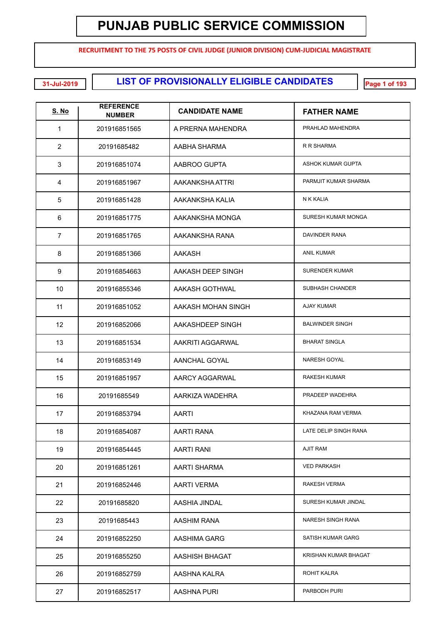**RECRUITMENT TO THE 75 POSTS OF CIVIL JUDGE (JUNIOR DIVISION) CUM-JUDICIAL MAGISTRATE**

**LIST OF PROVISIONALLY ELIGIBLE CANDIDATES 31-Jul-2019 Page 1 of 193**

| <b>S. No</b>   | <b>REFERENCE</b><br><b>NUMBER</b> | <b>CANDIDATE NAME</b> | <b>FATHER NAME</b>     |
|----------------|-----------------------------------|-----------------------|------------------------|
| 1              | 201916851565                      | A PRERNA MAHENDRA     | PRAHLAD MAHENDRA       |
| $\overline{2}$ | 20191685482                       | AABHA SHARMA          | R R SHARMA             |
| 3              | 201916851074                      | AABROO GUPTA          | ASHOK KUMAR GUPTA      |
| 4              | 201916851967                      | AAKANKSHA ATTRI       | PARMJIT KUMAR SHARMA   |
| 5              | 201916851428                      | AAKANKSHA KALIA       | N K KALIA              |
| 6              | 201916851775                      | AAKANKSHA MONGA       | SURESH KUMAR MONGA     |
| $\overline{7}$ | 201916851765                      | AAKANKSHA RANA        | DAVINDER RANA          |
| 8              | 201916851366                      | AAKASH                | <b>ANIL KUMAR</b>      |
| 9              | 201916854663                      | AAKASH DEEP SINGH     | <b>SURENDER KUMAR</b>  |
| 10             | 201916855346                      | AAKASH GOTHWAL        | SUBHASH CHANDER        |
| 11             | 201916851052                      | AAKASH MOHAN SINGH    | AJAY KUMAR             |
| 12             | 201916852066                      | AAKASHDEEP SINGH      | <b>BALWINDER SINGH</b> |
| 13             | 201916851534                      | AAKRITI AGGARWAL      | <b>BHARAT SINGLA</b>   |
| 14             | 201916853149                      | AANCHAL GOYAL         | NARESH GOYAL           |
| 15             | 201916851957                      | AARCY AGGARWAL        | <b>RAKESH KUMAR</b>    |
| 16             | 20191685549                       | AARKIZA WADEHRA       | PRADEEP WADEHRA        |
| 17             | 201916853794                      | <b>AARTI</b>          | KHAZANA RAM VERMA      |
| 18             | 201916854087                      | AARTI RANA            | LATE DELIP SINGH RANA  |
| 19             | 201916854445                      | <b>AARTI RANI</b>     | <b>AJIT RAM</b>        |
| 20             | 201916851261                      | AARTI SHARMA          | <b>VED PARKASH</b>     |
| 21             | 201916852446                      | <b>AARTI VERMA</b>    | RAKESH VERMA           |
| 22             | 20191685820                       | AASHIA JINDAL         | SURESH KUMAR JINDAL    |
| 23             | 20191685443                       | AASHIM RANA           | NARESH SINGH RANA      |
| 24             | 201916852250                      | AASHIMA GARG          | SATISH KUMAR GARG      |
| 25             | 201916855250                      | AASHISH BHAGAT        | KRISHAN KUMAR BHAGAT   |
| 26             | 201916852759                      | AASHNA KALRA          | ROHIT KALRA            |
| 27             | 201916852517                      | AASHNA PURI           | PARBODH PURI           |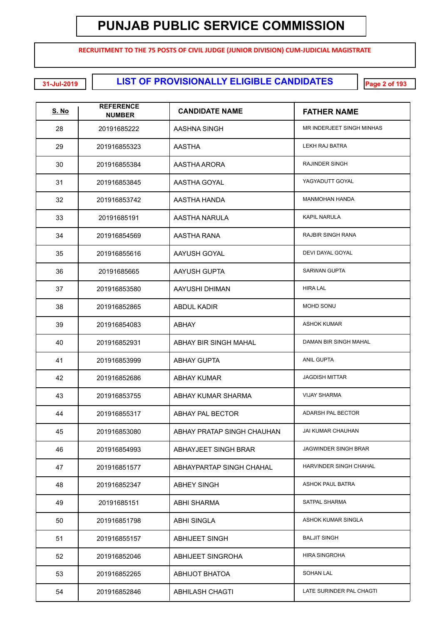**RECRUITMENT TO THE 75 POSTS OF CIVIL JUDGE (JUNIOR DIVISION) CUM-JUDICIAL MAGISTRATE**

**LIST OF PROVISIONALLY ELIGIBLE CANDIDATES 31-Jul-2019 Page 2 of 193**

| <b>S. No</b> | <b>REFERENCE</b><br><b>NUMBER</b> | <b>CANDIDATE NAME</b>      | <b>FATHER NAME</b>          |
|--------------|-----------------------------------|----------------------------|-----------------------------|
| 28           | 20191685222                       | AASHNA SINGH               | MR INDERJEET SINGH MINHAS   |
| 29           | 201916855323                      | AASTHA                     | LEKH RAJ BATRA              |
| 30           | 201916855384                      | AASTHA ARORA               | RAJINDER SINGH              |
| 31           | 201916853845                      | AASTHA GOYAL               | YAGYADUTT GOYAL             |
| 32           | 201916853742                      | AASTHA HANDA               | <b>MANMOHAN HANDA</b>       |
| 33           | 20191685191                       | AASTHA NARULA              | <b>KAPIL NARULA</b>         |
| 34           | 201916854569                      | AASTHA RANA                | <b>RAJBIR SINGH RANA</b>    |
| 35           | 201916855616                      | AAYUSH GOYAL               | DEVI DAYAL GOYAL            |
| 36           | 20191685665                       | AAYUSH GUPTA               | <b>SARWAN GUPTA</b>         |
| 37           | 201916853580                      | AAYUSHI DHIMAN             | <b>HIRA LAL</b>             |
| 38           | 201916852865                      | <b>ABDUL KADIR</b>         | MOHD SONU                   |
| 39           | 201916854083                      | ABHAY                      | <b>ASHOK KUMAR</b>          |
| 40           | 201916852931                      | ABHAY BIR SINGH MAHAL      | DAMAN BIR SINGH MAHAL       |
| 41           | 201916853999                      | <b>ABHAY GUPTA</b>         | <b>ANIL GUPTA</b>           |
| 42           | 201916852686                      | <b>ABHAY KUMAR</b>         | <b>JAGDISH MITTAR</b>       |
| 43           | 201916853755                      | ABHAY KUMAR SHARMA         | <b>VIJAY SHARMA</b>         |
| 44           | 201916855317                      | <b>ABHAY PAL BECTOR</b>    | ADARSH PAL BECTOR           |
| 45           | 201916853080                      | ABHAY PRATAP SINGH CHAUHAN | JAI KUMAR CHAUHAN           |
| 46           | 201916854993                      | ABHAYJEET SINGH BRAR       | <b>JAGWINDER SINGH BRAR</b> |
| 47           | 201916851577                      | ABHAYPARTAP SINGH CHAHAL   | HARVINDER SINGH CHAHAL      |
| 48           | 201916852347                      | ABHEY SINGH                | ASHOK PAUL BATRA            |
| 49           | 20191685151                       | ABHI SHARMA                | <b>SATPAL SHARMA</b>        |
| 50           | 201916851798                      | <b>ABHI SINGLA</b>         | ASHOK KUMAR SINGLA          |
| 51           | 201916855157                      | <b>ABHIJEET SINGH</b>      | <b>BALJIT SINGH</b>         |
| 52           | 201916852046                      | ABHIJEET SINGROHA          | <b>HIRA SINGROHA</b>        |
| 53           | 201916852265                      | <b>ABHIJOT BHATOA</b>      | <b>SOHAN LAL</b>            |
| 54           | 201916852846                      | <b>ABHILASH CHAGTI</b>     | LATE SURINDER PAL CHAGTI    |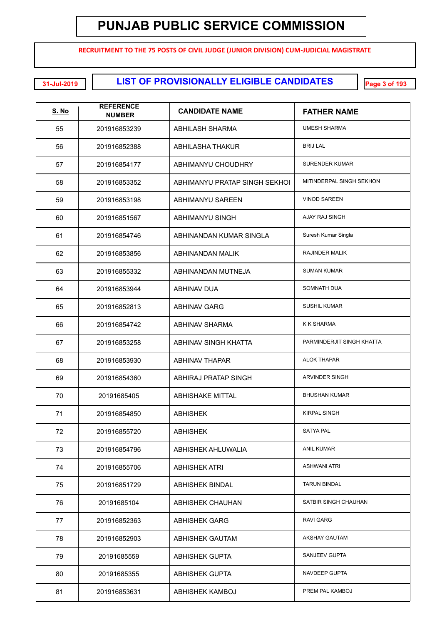**RECRUITMENT TO THE 75 POSTS OF CIVIL JUDGE (JUNIOR DIVISION) CUM-JUDICIAL MAGISTRATE**

**LIST OF PROVISIONALLY ELIGIBLE CANDIDATES 31-Jul-2019 Page 3 of 193**

| <u>S. No</u> | <b>REFERENCE</b><br><b>NUMBER</b> | <b>CANDIDATE NAME</b>         | <b>FATHER NAME</b>        |
|--------------|-----------------------------------|-------------------------------|---------------------------|
| 55           | 201916853239                      | ABHILASH SHARMA               | <b>UMESH SHARMA</b>       |
| 56           | 201916852388                      | <b>ABHILASHA THAKUR</b>       | <b>BRIJ LAL</b>           |
| 57           | 201916854177                      | ABHIMANYU CHOUDHRY            | <b>SURENDER KUMAR</b>     |
| 58           | 201916853352                      | ABHIMANYU PRATAP SINGH SEKHOL | MITINDERPAL SINGH SEKHON  |
| 59           | 201916853198                      | ABHIMANYU SAREEN              | <b>VINOD SAREEN</b>       |
| 60           | 201916851567                      | <b>ABHIMANYU SINGH</b>        | AJAY RAJ SINGH            |
| 61           | 201916854746                      | ABHINANDAN KUMAR SINGLA       | Suresh Kumar Singla       |
| 62           | 201916853856                      | ABHINANDAN MALIK              | RAJINDER MALIK            |
| 63           | 201916855332                      | ABHINANDAN MUTNEJA            | <b>SUMAN KUMAR</b>        |
| 64           | 201916853944                      | <b>ABHINAV DUA</b>            | <b>SOMNATH DUA</b>        |
| 65           | 201916852813                      | <b>ABHINAV GARG</b>           | <b>SUSHIL KUMAR</b>       |
| 66           | 201916854742                      | <b>ABHINAV SHARMA</b>         | K K SHARMA                |
| 67           | 201916853258                      | ABHINAV SINGH KHATTA          | PARMINDERJIT SINGH KHATTA |
| 68           | 201916853930                      | <b>ABHINAV THAPAR</b>         | <b>ALOK THAPAR</b>        |
| 69           | 201916854360                      | ABHIRAJ PRATAP SINGH          | <b>ARVINDER SINGH</b>     |
| 70           | 20191685405                       | <b>ABHISHAKE MITTAL</b>       | <b>BHUSHAN KUMAR</b>      |
| 71           | 201916854850                      | <b>ABHISHEK</b>               | <b>KIRPAL SINGH</b>       |
| 72           | 201916855720                      | <b>ABHISHEK</b>               | <b>SATYA PAL</b>          |
| 73           | 201916854796                      | ABHISHEK AHLUWALIA            | <b>ANIL KUMAR</b>         |
| 74           | 201916855706                      | <b>ABHISHEK ATRI</b>          | <b>ASHWANI ATRI</b>       |
| 75           | 201916851729                      | ABHISHEK BINDAL               | <b>TARUN BINDAL</b>       |
| 76           | 20191685104                       | ABHISHEK CHAUHAN              | SATBIR SINGH CHAUHAN      |
| 77           | 201916852363                      | ABHISHEK GARG                 | <b>RAVI GARG</b>          |
| 78           | 201916852903                      | ABHISHEK GAUTAM               | AKSHAY GAUTAM             |
| 79           | 20191685559                       | ABHISHEK GUPTA                | SANJEEV GUPTA             |
| 80           | 20191685355                       | ABHISHEK GUPTA                | NAVDEEP GUPTA             |
| 81           | 201916853631                      | ABHISHEK KAMBOJ               | PREM PAL KAMBOJ           |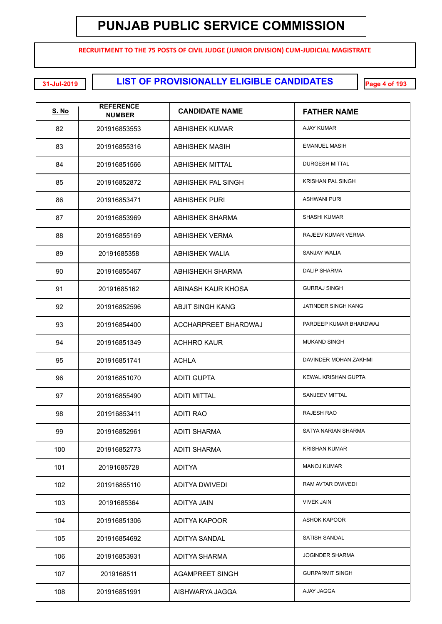**RECRUITMENT TO THE 75 POSTS OF CIVIL JUDGE (JUNIOR DIVISION) CUM-JUDICIAL MAGISTRATE**

**LIST OF PROVISIONALLY ELIGIBLE CANDIDATES 31-Jul-2019 Page 4 of 193**

| <b>S. No</b> | <b>REFERENCE</b><br><b>NUMBER</b> | <b>CANDIDATE NAME</b>   | <b>FATHER NAME</b>         |
|--------------|-----------------------------------|-------------------------|----------------------------|
| 82           | 201916853553                      | <b>ABHISHEK KUMAR</b>   | AJAY KUMAR                 |
| 83           | 201916855316                      | ABHISHEK MASIH          | <b>EMANUEL MASIH</b>       |
| 84           | 201916851566                      | <b>ABHISHEK MITTAL</b>  | <b>DURGESH MITTAL</b>      |
| 85           | 201916852872                      | ABHISHEK PAL SINGH      | <b>KRISHAN PAL SINGH</b>   |
| 86           | 201916853471                      | <b>ABHISHEK PURI</b>    | <b>ASHWANI PURI</b>        |
| 87           | 201916853969                      | ABHISHEK SHARMA         | <b>SHASHI KUMAR</b>        |
| 88           | 201916855169                      | ABHISHEK VERMA          | RAJEEV KUMAR VERMA         |
| 89           | 20191685358                       | ABHISHEK WALIA          | <b>SANJAY WALIA</b>        |
| 90           | 201916855467                      | ABHISHEKH SHARMA        | <b>DALIP SHARMA</b>        |
| 91           | 20191685162                       | ABINASH KAUR KHOSA      | <b>GURRAJ SINGH</b>        |
| 92           | 201916852596                      | <b>ABJIT SINGH KANG</b> | JATINDER SINGH KANG        |
| 93           | 201916854400                      | ACCHARPREET BHARDWAJ    | PARDEEP KUMAR BHARDWAJ     |
| 94           | 201916851349                      | <b>ACHHRO KAUR</b>      | <b>MUKAND SINGH</b>        |
| 95           | 201916851741                      | <b>ACHLA</b>            | DAVINDER MOHAN ZAKHMI      |
| 96           | 201916851070                      | <b>ADITI GUPTA</b>      | <b>KEWAL KRISHAN GUPTA</b> |
| 97           | 201916855490                      | <b>ADITI MITTAL</b>     | SANJEEV MITTAL             |
| 98           | 201916853411                      | ADITI RAO               | RAJESH RAO                 |
| 99           | 201916852961                      | ADITI SHARMA            | SATYA NARIAN SHARMA        |
| 100          | 201916852773                      | <b>ADITI SHARMA</b>     | <b>KRISHAN KUMAR</b>       |
| 101          | 20191685728                       | <b>ADITYA</b>           | <b>MANOJ KUMAR</b>         |
| 102          | 201916855110                      | ADITYA DWIVEDI          | RAM AVTAR DWIVEDI          |
| 103          | 20191685364                       | ADITYA JAIN             | <b>VIVEK JAIN</b>          |
| 104          | 201916851306                      | ADITYA KAPOOR           | <b>ASHOK KAPOOR</b>        |
| 105          | 201916854692                      | ADITYA SANDAL           | SATISH SANDAL              |
| 106          | 201916853931                      | ADITYA SHARMA           | <b>JOGINDER SHARMA</b>     |
| 107          | 2019168511                        | AGAMPREET SINGH         | <b>GURPARMIT SINGH</b>     |
| 108          | 201916851991                      | AISHWARYA JAGGA         | AJAY JAGGA                 |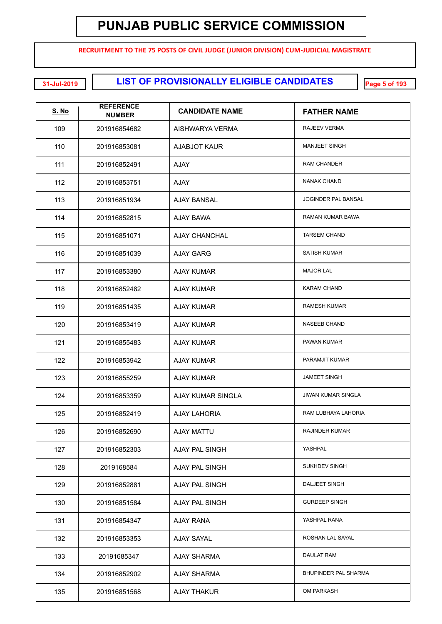**RECRUITMENT TO THE 75 POSTS OF CIVIL JUDGE (JUNIOR DIVISION) CUM-JUDICIAL MAGISTRATE**

**LIST OF PROVISIONALLY ELIGIBLE CANDIDATES 31-Jul-2019 Page 5 of 193**

| <b>S. No</b> | <b>REFERENCE</b><br><b>NUMBER</b> | <b>CANDIDATE NAME</b> | <b>FATHER NAME</b>         |
|--------------|-----------------------------------|-----------------------|----------------------------|
| 109          | 201916854682                      | AISHWARYA VERMA       | RAJEEV VERMA               |
| 110          | 201916853081                      | <b>AJABJOT KAUR</b>   | <b>MANJEET SINGH</b>       |
| 111          | 201916852491                      | <b>AJAY</b>           | <b>RAM CHANDER</b>         |
| 112          | 201916853751                      | <b>AJAY</b>           | <b>NANAK CHAND</b>         |
| 113          | 201916851934                      | AJAY BANSAL           | <b>JOGINDER PAL BANSAL</b> |
| 114          | 201916852815                      | AJAY BAWA             | RAMAN KUMAR BAWA           |
| 115          | 201916851071                      | <b>AJAY CHANCHAL</b>  | <b>TARSEM CHAND</b>        |
| 116          | 201916851039                      | <b>AJAY GARG</b>      | <b>SATISH KUMAR</b>        |
| 117          | 201916853380                      | <b>AJAY KUMAR</b>     | <b>MAJOR LAL</b>           |
| 118          | 201916852482                      | <b>AJAY KUMAR</b>     | <b>KARAM CHAND</b>         |
| 119          | 201916851435                      | <b>AJAY KUMAR</b>     | <b>RAMESH KUMAR</b>        |
| 120          | 201916853419                      | <b>AJAY KUMAR</b>     | <b>NASEEB CHAND</b>        |
| 121          | 201916855483                      | <b>AJAY KUMAR</b>     | PAWAN KUMAR                |
| 122          | 201916853942                      | <b>AJAY KUMAR</b>     | PARAMJIT KUMAR             |
| 123          | 201916855259                      | <b>AJAY KUMAR</b>     | <b>JAMEET SINGH</b>        |
| 124          | 201916853359                      | AJAY KUMAR SINGLA     | <b>JIWAN KUMAR SINGLA</b>  |
| 125          | 201916852419                      | <b>AJAY LAHORIA</b>   | RAM LUBHAYA LAHORIA        |
| 126          | 201916852690                      | AJAY MATTU            | <b>RAJINDER KUMAR</b>      |
| 127          | 201916852303                      | AJAY PAL SINGH        | YASHPAL                    |
| 128          | 2019168584                        | AJAY PAL SINGH        | SUKHDEV SINGH              |
| 129          | 201916852881                      | AJAY PAL SINGH        | DALJEET SINGH              |
| 130          | 201916851584                      | AJAY PAL SINGH        | <b>GURDEEP SINGH</b>       |
| 131          | 201916854347                      | <b>AJAY RANA</b>      | YASHPAL RANA               |
| 132          | 201916853353                      | <b>AJAY SAYAL</b>     | ROSHAN LAL SAYAL           |
| 133          | 20191685347                       | AJAY SHARMA           | <b>DAULAT RAM</b>          |
| 134          | 201916852902                      | AJAY SHARMA           | BHUPINDER PAL SHARMA       |
| 135          | 201916851568                      | <b>AJAY THAKUR</b>    | OM PARKASH                 |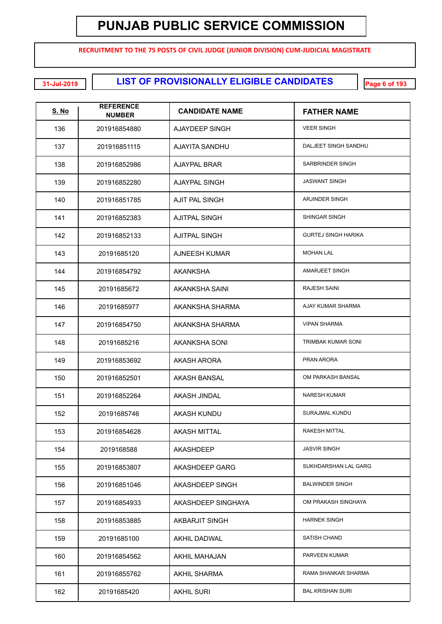**RECRUITMENT TO THE 75 POSTS OF CIVIL JUDGE (JUNIOR DIVISION) CUM-JUDICIAL MAGISTRATE**

**LIST OF PROVISIONALLY ELIGIBLE CANDIDATES 31-Jul-2019 Page 6 of 193**

| <b>S. No</b> | <b>REFERENCE</b><br><b>NUMBER</b> | <b>CANDIDATE NAME</b> | <b>FATHER NAME</b>         |
|--------------|-----------------------------------|-----------------------|----------------------------|
| 136          | 201916854880                      | AJAYDEEP SINGH        | <b>VEER SINGH</b>          |
| 137          | 201916851115                      | AJAYITA SANDHU        | DALJEET SINGH SANDHU       |
| 138          | 201916852986                      | <b>AJAYPAL BRAR</b>   | SARBRINDER SINGH           |
| 139          | 201916852280                      | <b>AJAYPAL SINGH</b>  | <b>JASWANT SINGH</b>       |
| 140          | 201916851785                      | <b>AJIT PAL SINGH</b> | ARJINDER SINGH             |
| 141          | 201916852383                      | <b>AJITPAL SINGH</b>  | SHINGAR SINGH              |
| 142          | 201916852133                      | <b>AJITPAL SINGH</b>  | <b>GURTEJ SINGH HARIKA</b> |
| 143          | 20191685120                       | AJNEESH KUMAR         | <b>MOHAN LAL</b>           |
| 144          | 201916854792                      | <b>AKANKSHA</b>       | AMARJEET SINGH             |
| 145          | 20191685672                       | AKANKSHA SAINI        | <b>RAJESH SAINI</b>        |
| 146          | 20191685977                       | AKANKSHA SHARMA       | AJAY KUMAR SHARMA          |
| 147          | 201916854750                      | AKANKSHA SHARMA       | <b>VIPAN SHARMA</b>        |
| 148          | 20191685216                       | AKANKSHA SONI         | <b>TRIMBAK KUMAR SONI</b>  |
| 149          | 201916853692                      | AKASH ARORA           | PRAN ARORA                 |
| 150          | 201916852501                      | <b>AKASH BANSAL</b>   | OM PARKASH BANSAL          |
| 151          | 201916852264                      | <b>AKASH JINDAL</b>   | <b>NARESH KUMAR</b>        |
| 152          | 20191685746                       | AKASH KUNDU           | SURAJMAL KUNDU             |
| 153          | 201916854628                      | AKASH MITTAL          | <b>RAKESH MITTAL</b>       |
| 154          | 2019168588                        | AKASHDEEP             | <b>JASVIR SINGH</b>        |
| 155          | 201916853807                      | AKASHDEEP GARG        | SUKHDARSHAN LAL GARG       |
| 156          | 201916851046                      | AKASHDEEP SINGH       | <b>BALWINDER SINGH</b>     |
| 157          | 201916854933                      | AKASHDEEP SINGHAYA    | OM PRAKASH SINGHAYA        |
| 158          | 201916853885                      | <b>AKBARJIT SINGH</b> | <b>HARNEK SINGH</b>        |
| 159          | 20191685100                       | <b>AKHIL DADWAL</b>   | SATISH CHAND               |
| 160          | 201916854562                      | AKHIL MAHAJAN         | PARVEEN KUMAR              |
| 161          | 201916855762                      | <b>AKHIL SHARMA</b>   | RAMA SHANKAR SHARMA        |
| 162          | 20191685420                       | <b>AKHIL SURI</b>     | <b>BAL KRISHAN SURI</b>    |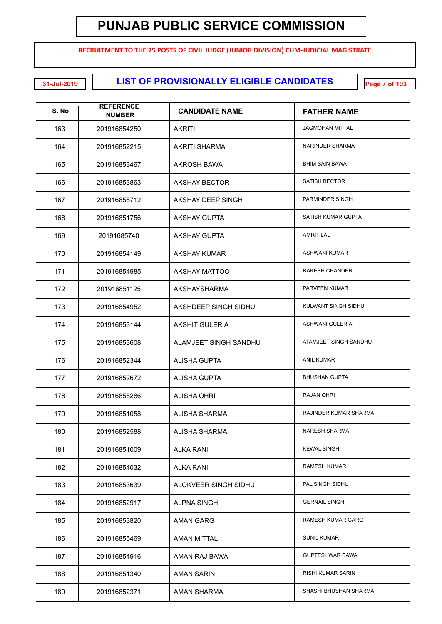**RECRUITMENT TO THE 75 POSTS OF CIVIL JUDGE (JUNIOR DIVISION) CUM-JUDICIAL MAGISTRATE**

**LIST OF PROVISIONALLY ELIGIBLE CANDIDATES 31-Jul-2019 Page 7 of 193**

| <b>S. No</b> | <b>REFERENCE</b><br><b>NUMBER</b> | <b>CANDIDATE NAME</b> | <b>FATHER NAME</b>       |
|--------------|-----------------------------------|-----------------------|--------------------------|
| 163          | 201916854250                      | <b>AKRITI</b>         | <b>JAGMOHAN MITTAL</b>   |
| 164          | 201916852215                      | <b>AKRITI SHARMA</b>  | NARINDER SHARMA          |
| 165          | 201916853467                      | AKROSH BAWA           | <b>BHIM SAIN BAWA</b>    |
| 166          | 201916853863                      | <b>AKSHAY BECTOR</b>  | <b>SATISH BECTOR</b>     |
| 167          | 201916855712                      | AKSHAY DEEP SINGH     | PARMINDER SINGH          |
| 168          | 201916851756                      | <b>AKSHAY GUPTA</b>   | SATISH KUMAR GUPTA       |
| 169          | 20191685740                       | <b>AKSHAY GUPTA</b>   | <b>AMRIT LAL</b>         |
| 170          | 201916854149                      | <b>AKSHAY KUMAR</b>   | <b>ASHWANI KUMAR</b>     |
| 171          | 201916854985                      | <b>AKSHAY MATTOO</b>  | RAKESH CHANDER           |
| 172          | 201916851125                      | AKSHAYSHARMA          | PARVEEN KUMAR            |
| 173          | 201916854952                      | AKSHDEEP SINGH SIDHU  | KULWANT SINGH SIDHU      |
| 174          | 201916853144                      | <b>AKSHIT GULERIA</b> | <b>ASHWANI GULERIA</b>   |
| 175          | 201916853608                      | ALAMJEET SINGH SANDHU | ATAMJEET SINGH SANDHU    |
| 176          | 201916852344                      | <b>ALISHA GUPTA</b>   | <b>ANIL KUMAR</b>        |
| 177          | 201916852672                      | <b>ALISHA GUPTA</b>   | <b>BHUSHAN GUPTA</b>     |
| 178          | 201916855286                      | <b>ALISHA OHRI</b>    | <b>RAJAN OHRI</b>        |
| 179          | 201916851058                      | <b>ALISHA SHARMA</b>  | RAJINDER KUMAR SHARMA    |
| 180          | 201916852588                      | ALISHA SHARMA         | <b>NARESH SHARMA</b>     |
| 181          | 201916851009                      | ALKA RANI             | <b>KEWAL SINGH</b>       |
| 182          | 201916854032                      | <b>ALKA RANI</b>      | <b>RAMESH KUMAR</b>      |
| 183          | 201916853639                      | ALOKVEER SINGH SIDHU  | PAL SINGH SIDHU          |
| 184          | 201916852917                      | <b>ALPNA SINGH</b>    | <b>GERNAIL SINGH</b>     |
| 185          | 201916853820                      | <b>AMAN GARG</b>      | RAMESH KUMAR GARG        |
| 186          | 201916855469                      | <b>AMAN MITTAL</b>    | <b>SUNIL KUMAR</b>       |
| 187          | 201916854916                      | AMAN RAJ BAWA         | <b>GUPTESHWAR BAWA</b>   |
| 188          | 201916851340                      | <b>AMAN SARIN</b>     | <b>RISHI KUMAR SARIN</b> |
| 189          | 201916852371                      | AMAN SHARMA           | SHASHI BHUSHAN SHARMA    |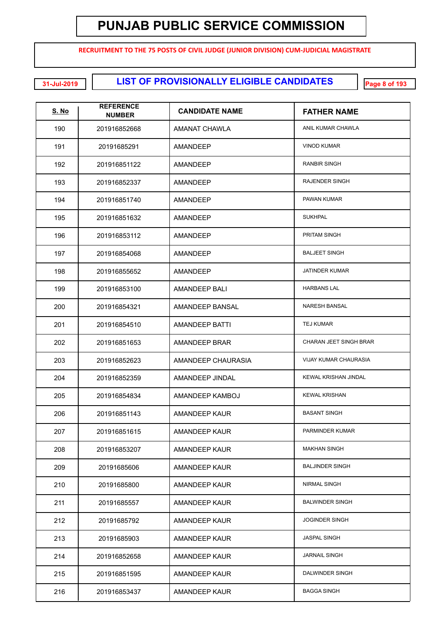**RECRUITMENT TO THE 75 POSTS OF CIVIL JUDGE (JUNIOR DIVISION) CUM-JUDICIAL MAGISTRATE**

**LIST OF PROVISIONALLY ELIGIBLE CANDIDATES 31-Jul-2019 Page 8 of 193**

| <u>S. No</u> | <b>REFERENCE</b><br><b>NUMBER</b> | <b>CANDIDATE NAME</b> | <b>FATHER NAME</b>           |
|--------------|-----------------------------------|-----------------------|------------------------------|
| 190          | 201916852668                      | AMANAT CHAWLA         | ANIL KUMAR CHAWLA            |
| 191          | 20191685291                       | AMANDEEP              | <b>VINOD KUMAR</b>           |
| 192          | 201916851122                      | AMANDEEP              | <b>RANBIR SINGH</b>          |
| 193          | 201916852337                      | AMANDEEP              | <b>RAJENDER SINGH</b>        |
| 194          | 201916851740                      | AMANDEEP              | PAWAN KUMAR                  |
| 195          | 201916851632                      | AMANDEEP              | <b>SUKHPAL</b>               |
| 196          | 201916853112                      | AMANDEEP              | <b>PRITAM SINGH</b>          |
| 197          | 201916854068                      | AMANDEEP              | <b>BALJEET SINGH</b>         |
| 198          | 201916855652                      | AMANDEEP              | <b>JATINDER KUMAR</b>        |
| 199          | 201916853100                      | AMANDEEP BALI         | <b>HARBANS LAL</b>           |
| 200          | 201916854321                      | AMANDEEP BANSAL       | <b>NARESH BANSAL</b>         |
| 201          | 201916854510                      | <b>AMANDEEP BATTI</b> | <b>TEJ KUMAR</b>             |
| 202          | 201916851653                      | AMANDEEP BRAR         | CHARAN JEET SINGH BRAR       |
| 203          | 201916852623                      | AMANDEEP CHAURASIA    | <b>VIJAY KUMAR CHAURASIA</b> |
| 204          | 201916852359                      | AMANDEEP JINDAL       | KEWAL KRISHAN JINDAL         |
| 205          | 201916854834                      | AMANDEEP KAMBOJ       | <b>KEWAL KRISHAN</b>         |
| 206          | 201916851143                      | AMANDEEP KAUR         | <b>BASANT SINGH</b>          |
| 207          | 201916851615                      | AMANDEEP KAUR         | PARMINDER KUMAR              |
| 208          | 201916853207                      | <b>AMANDEEP KAUR</b>  | <b>MAKHAN SINGH</b>          |
| 209          | 20191685606                       | AMANDEEP KAUR         | <b>BALJINDER SINGH</b>       |
| 210          | 20191685800                       | AMANDEEP KAUR         | NIRMAL SINGH                 |
| 211          | 20191685557                       | AMANDEEP KAUR         | <b>BALWINDER SINGH</b>       |
| 212          | 20191685792                       | AMANDEEP KAUR         | <b>JOGINDER SINGH</b>        |
| 213          | 20191685903                       | AMANDEEP KAUR         | <b>JASPAL SINGH</b>          |
| 214          | 201916852658                      | AMANDEEP KAUR         | <b>JARNAIL SINGH</b>         |
| 215          | 201916851595                      | AMANDEEP KAUR         | DALWINDER SINGH              |
| 216          | 201916853437                      | AMANDEEP KAUR         | <b>BAGGA SINGH</b>           |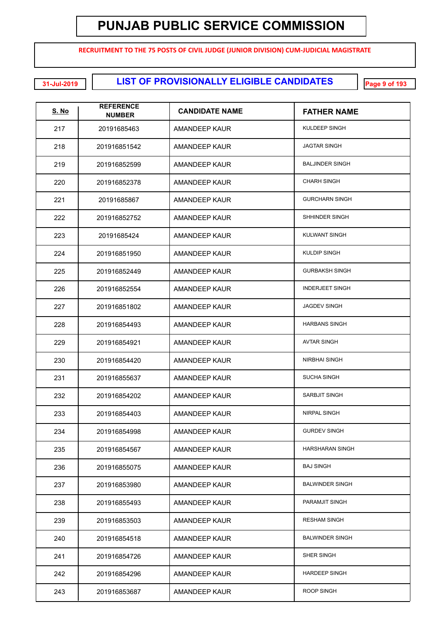**RECRUITMENT TO THE 75 POSTS OF CIVIL JUDGE (JUNIOR DIVISION) CUM-JUDICIAL MAGISTRATE**

**LIST OF PROVISIONALLY ELIGIBLE CANDIDATES 31-Jul-2019 Page 9 of 193**

| <u>S. No</u> | <b>REFERENCE</b><br><b>NUMBER</b> | <b>CANDIDATE NAME</b> | <b>FATHER NAME</b>     |
|--------------|-----------------------------------|-----------------------|------------------------|
| 217          | 20191685463                       | AMANDEEP KAUR         | KULDEEP SINGH          |
| 218          | 201916851542                      | AMANDEEP KAUR         | <b>JAGTAR SINGH</b>    |
| 219          | 201916852599                      | AMANDEEP KAUR         | <b>BALJINDER SINGH</b> |
| 220          | 201916852378                      | AMANDEEP KAUR         | <b>CHARH SINGH</b>     |
| 221          | 20191685867                       | AMANDEEP KAUR         | <b>GURCHARN SINGH</b>  |
| 222          | 201916852752                      | AMANDEEP KAUR         | SHHINDER SINGH         |
| 223          | 20191685424                       | AMANDEEP KAUR         | KULWANT SINGH          |
| 224          | 201916851950                      | AMANDEEP KAUR         | <b>KULDIP SINGH</b>    |
| 225          | 201916852449                      | AMANDEEP KAUR         | <b>GURBAKSH SINGH</b>  |
| 226          | 201916852554                      | AMANDEEP KAUR         | <b>INDERJEET SINGH</b> |
| 227          | 201916851802                      | AMANDEEP KAUR         | <b>JAGDEV SINGH</b>    |
| 228          | 201916854493                      | AMANDEEP KAUR         | <b>HARBANS SINGH</b>   |
| 229          | 201916854921                      | AMANDEEP KAUR         | <b>AVTAR SINGH</b>     |
| 230          | 201916854420                      | AMANDEEP KAUR         | NIRBHAI SINGH          |
| 231          | 201916855637                      | AMANDEEP KAUR         | <b>SUCHA SINGH</b>     |
| 232          | 201916854202                      | AMANDEEP KAUR         | SARBJIT SINGH          |
| 233          | 201916854403                      | AMANDEEP KAUR         | NIRPAL SINGH           |
| 234          | 201916854998                      | AMANDEEP KAUR         | <b>GURDEV SINGH</b>    |
| 235          | 201916854567                      | AMANDEEP KAUR         | <b>HARSHARAN SINGH</b> |
| 236          | 201916855075                      | AMANDEEP KAUR         | <b>BAJ SINGH</b>       |
| 237          | 201916853980                      | AMANDEEP KAUR         | <b>BALWINDER SINGH</b> |
| 238          | 201916855493                      | AMANDEEP KAUR         | PARAMJIT SINGH         |
| 239          | 201916853503                      | AMANDEEP KAUR         | <b>RESHAM SINGH</b>    |
| 240          | 201916854518                      | AMANDEEP KAUR         | <b>BALWINDER SINGH</b> |
| 241          | 201916854726                      | AMANDEEP KAUR         | SHER SINGH             |
| 242          | 201916854296                      | AMANDEEP KAUR         | <b>HARDEEP SINGH</b>   |
| 243          | 201916853687                      | AMANDEEP KAUR         | ROOP SINGH             |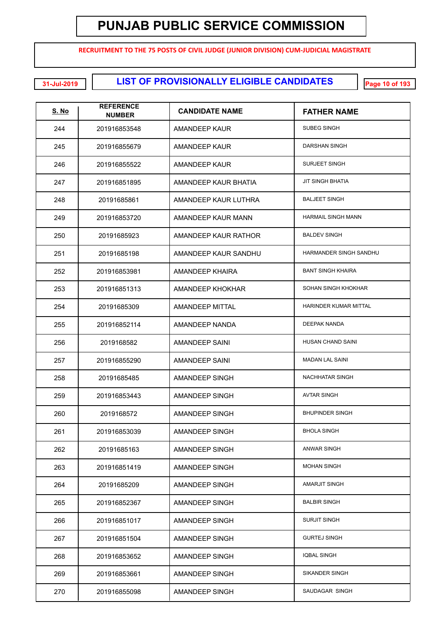**RECRUITMENT TO THE 75 POSTS OF CIVIL JUDGE (JUNIOR DIVISION) CUM-JUDICIAL MAGISTRATE**

**EXECUTE: LIST OF PROVISIONALLY ELIGIBLE CANDIDATES** 

| <u>S. No</u> | <b>REFERENCE</b><br><b>NUMBER</b> | <b>CANDIDATE NAME</b>  | <b>FATHER NAME</b>        |
|--------------|-----------------------------------|------------------------|---------------------------|
| 244          | 201916853548                      | AMANDEEP KAUR          | <b>SUBEG SINGH</b>        |
| 245          | 201916855679                      | AMANDEEP KAUR          | DARSHAN SINGH             |
| 246          | 201916855522                      | AMANDEEP KAUR          | <b>SURJEET SINGH</b>      |
| 247          | 201916851895                      | AMANDEEP KAUR BHATIA   | JIT SINGH BHATIA          |
| 248          | 20191685861                       | AMANDEEP KAUR LUTHRA   | <b>BALJEET SINGH</b>      |
| 249          | 201916853720                      | AMANDEEP KAUR MANN     | <b>HARMAIL SINGH MANN</b> |
| 250          | 20191685923                       | AMANDEEP KAUR RATHOR   | <b>BALDEV SINGH</b>       |
| 251          | 20191685198                       | AMANDEEP KAUR SANDHU   | HARMANDER SINGH SANDHU    |
| 252          | 201916853981                      | AMANDEEP KHAIRA        | <b>BANT SINGH KHAIRA</b>  |
| 253          | 201916851313                      | AMANDEEP KHOKHAR       | SOHAN SINGH KHOKHAR       |
| 254          | 20191685309                       | <b>AMANDEEP MITTAL</b> | HARINDER KUMAR MITTAL     |
| 255          | 201916852114                      | AMANDEEP NANDA         | DEEPAK NANDA              |
| 256          | 2019168582                        | AMANDEEP SAINI         | HUSAN CHAND SAINI         |
| 257          | 201916855290                      | AMANDEEP SAINI         | <b>MADAN LAL SAINI</b>    |
| 258          | 20191685485                       | AMANDEEP SINGH         | NACHHATAR SINGH           |
| 259          | 201916853443                      | AMANDEEP SINGH         | <b>AVTAR SINGH</b>        |
| 260          | 2019168572                        | AMANDEEP SINGH         | <b>BHUPINDER SINGH</b>    |
| 261          | 201916853039                      | AMANDEEP SINGH         | <b>BHOLA SINGH</b>        |
| 262          | 20191685163                       | AMANDEEP SINGH         | ANWAR SINGH               |
| 263          | 201916851419                      | AMANDEEP SINGH         | <b>MOHAN SINGH</b>        |
| 264          | 20191685209                       | AMANDEEP SINGH         | AMARJIT SINGH             |
| 265          | 201916852367                      | AMANDEEP SINGH         | <b>BALBIR SINGH</b>       |
| 266          | 201916851017                      | AMANDEEP SINGH         | <b>SURJIT SINGH</b>       |
| 267          | 201916851504                      | AMANDEEP SINGH         | <b>GURTEJ SINGH</b>       |
| 268          | 201916853652                      | AMANDEEP SINGH         | <b>IQBAL SINGH</b>        |
| 269          | 201916853661                      | AMANDEEP SINGH         | SIKANDER SINGH            |
| 270          | 201916855098                      | AMANDEEP SINGH         | SAUDAGAR SINGH            |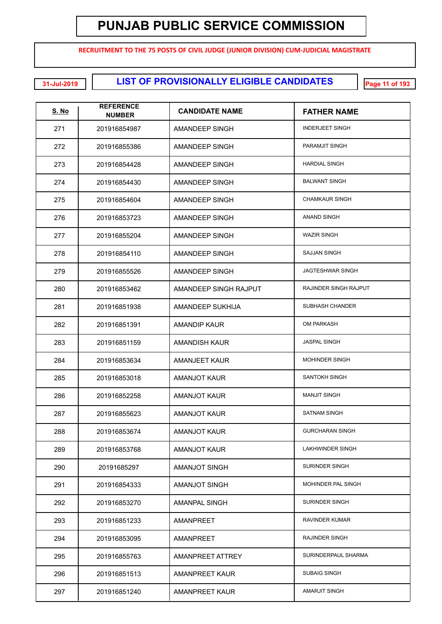**RECRUITMENT TO THE 75 POSTS OF CIVIL JUDGE (JUNIOR DIVISION) CUM-JUDICIAL MAGISTRATE**

**LIST OF PROVISIONALLY ELIGIBLE CANDIDATES 31-Jul-2019 Page 11 of 193**

| <u>S. No</u> | <b>REFERENCE</b><br><b>NUMBER</b> | <b>CANDIDATE NAME</b> | <b>FATHER NAME</b>      |
|--------------|-----------------------------------|-----------------------|-------------------------|
| 271          | 201916854987                      | AMANDEEP SINGH        | <b>INDERJEET SINGH</b>  |
| 272          | 201916855386                      | AMANDEEP SINGH        | PARAMJIT SINGH          |
| 273          | 201916854428                      | AMANDEEP SINGH        | <b>HARDIAL SINGH</b>    |
| 274          | 201916854430                      | AMANDEEP SINGH        | <b>BALWANT SINGH</b>    |
| 275          | 201916854604                      | AMANDEEP SINGH        | <b>CHAMKAUR SINGH</b>   |
| 276          | 201916853723                      | AMANDEEP SINGH        | <b>ANAND SINGH</b>      |
| 277          | 201916855204                      | AMANDEEP SINGH        | <b>WAZIR SINGH</b>      |
| 278          | 201916854110                      | AMANDEEP SINGH        | <b>SAJJAN SINGH</b>     |
| 279          | 201916855526                      | AMANDEEP SINGH        | <b>JAGTESHWAR SINGH</b> |
| 280          | 201916853462                      | AMANDEEP SINGH RAJPUT | RAJINDER SINGH RAJPUT   |
| 281          | 201916851938                      | AMANDEEP SUKHIJA      | <b>SUBHASH CHANDER</b>  |
| 282          | 201916851391                      | <b>AMANDIP KAUR</b>   | <b>OM PARKASH</b>       |
| 283          | 201916851159                      | <b>AMANDISH KAUR</b>  | <b>JASPAL SINGH</b>     |
| 284          | 201916853634                      | AMANJEET KAUR         | <b>MOHINDER SINGH</b>   |
| 285          | 201916853018                      | AMANJOT KAUR          | SANTOKH SINGH           |
| 286          | 201916852258                      | <b>AMANJOT KAUR</b>   | <b>MANJIT SINGH</b>     |
| 287          | 201916855623                      | AMANJOT KAUR          | <b>SATNAM SINGH</b>     |
| 288          | 201916853674                      | AMANJOT KAUR          | <b>GURCHARAN SINGH</b>  |
| 289          | 201916853768                      | <b>AMANJOT KAUR</b>   | LAKHWINDER SINGH        |
| 290          | 20191685297                       | AMANJOT SINGH         | <b>SURINDER SINGH</b>   |
| 291          | 201916854333                      | <b>AMANJOT SINGH</b>  | MOHINDER PAL SINGH      |
| 292          | 201916853270                      | AMANPAL SINGH         | <b>SURINDER SINGH</b>   |
| 293          | 201916851233                      | AMANPREET             | <b>RAVINDER KUMAR</b>   |
| 294          | 201916853095                      | AMANPREET             | <b>RAJINDER SINGH</b>   |
| 295          | 201916855763                      | AMANPREET ATTREY      | SURINDERPAUL SHARMA     |
| 296          | 201916851513                      | AMANPREET KAUR        | <b>SUBAIG SINGH</b>     |
| 297          | 201916851240                      | AMANPREET KAUR        | AMARJIT SINGH           |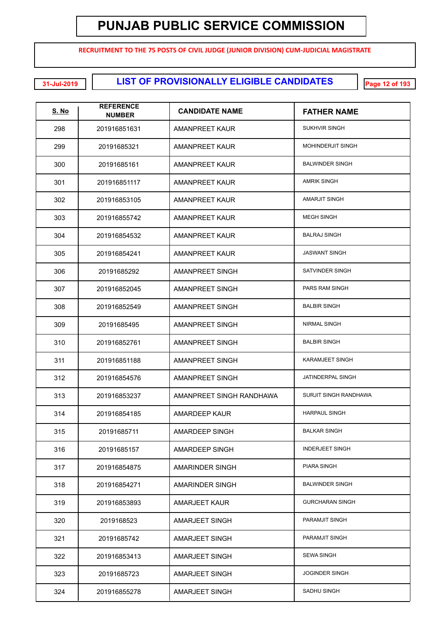**RECRUITMENT TO THE 75 POSTS OF CIVIL JUDGE (JUNIOR DIVISION) CUM-JUDICIAL MAGISTRATE**

**LIST OF PROVISIONALLY ELIGIBLE CANDIDATES 31-Jul-2019 Page 12 of 193**

| <u>S. No</u> | <b>REFERENCE</b><br><b>NUMBER</b> | <b>CANDIDATE NAME</b>    | <b>FATHER NAME</b>       |
|--------------|-----------------------------------|--------------------------|--------------------------|
| 298          | 201916851631                      | AMANPREET KAUR           | <b>SUKHVIR SINGH</b>     |
| 299          | 20191685321                       | AMANPREET KAUR           | <b>MOHINDERJIT SINGH</b> |
| 300          | 20191685161                       | <b>AMANPREET KAUR</b>    | <b>BALWINDER SINGH</b>   |
| 301          | 201916851117                      | <b>AMANPREET KAUR</b>    | <b>AMRIK SINGH</b>       |
| 302          | 201916853105                      | <b>AMANPREET KAUR</b>    | <b>AMARJIT SINGH</b>     |
| 303          | 201916855742                      | <b>AMANPREET KAUR</b>    | <b>MEGH SINGH</b>        |
| 304          | 201916854532                      | <b>AMANPREET KAUR</b>    | <b>BALRAJ SINGH</b>      |
| 305          | 201916854241                      | <b>AMANPREET KAUR</b>    | <b>JASWANT SINGH</b>     |
| 306          | 20191685292                       | AMANPREET SINGH          | SATVINDER SINGH          |
| 307          | 201916852045                      | AMANPREET SINGH          | PARS RAM SINGH           |
| 308          | 201916852549                      | AMANPREET SINGH          | <b>BALBIR SINGH</b>      |
| 309          | 20191685495                       | AMANPREET SINGH          | NIRMAL SINGH             |
| 310          | 201916852761                      | AMANPREET SINGH          | <b>BALBIR SINGH</b>      |
| 311          | 201916851188                      | AMANPREET SINGH          | KARAMJEET SINGH          |
| 312          | 201916854576                      | AMANPREET SINGH          | JATINDERPAL SINGH        |
| 313          | 201916853237                      | AMANPREET SINGH RANDHAWA | SURJIT SINGH RANDHAWA    |
| 314          | 201916854185                      | AMARDEEP KAUR            | <b>HARPAUL SINGH</b>     |
| 315          | 20191685711                       | AMARDEEP SINGH           | <b>BALKAR SINGH</b>      |
| 316          | 20191685157                       | AMARDEEP SINGH           | <b>INDERJEET SINGH</b>   |
| 317          | 201916854875                      | <b>AMARINDER SINGH</b>   | PIARA SINGH              |
| 318          | 201916854271                      | <b>AMARINDER SINGH</b>   | <b>BALWINDER SINGH</b>   |
| 319          | 201916853893                      | <b>AMARJEET KAUR</b>     | <b>GURCHARAN SINGH</b>   |
| 320          | 2019168523                        | AMARJEET SINGH           | PARAMJIT SINGH           |
| 321          | 20191685742                       | AMARJEET SINGH           | PARAMJIT SINGH           |
| 322          | 201916853413                      | AMARJEET SINGH           | <b>SEWA SINGH</b>        |
| 323          | 20191685723                       | AMARJEET SINGH           | <b>JOGINDER SINGH</b>    |
| 324          | 201916855278                      | AMARJEET SINGH           | SADHU SINGH              |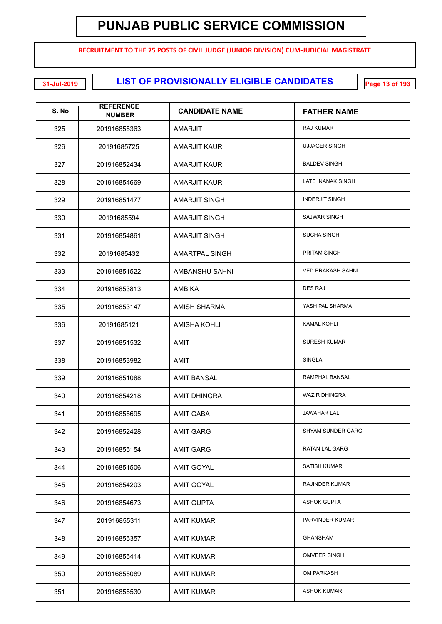**RECRUITMENT TO THE 75 POSTS OF CIVIL JUDGE (JUNIOR DIVISION) CUM-JUDICIAL MAGISTRATE**

**EXECUTE: LIST OF PROVISIONALLY ELIGIBLE CANDIDATES** 

| <u>S. No</u> | <b>REFERENCE</b><br><b>NUMBER</b> | <b>CANDIDATE NAME</b> | <b>FATHER NAME</b>       |
|--------------|-----------------------------------|-----------------------|--------------------------|
| 325          | 201916855363                      | AMARJIT               | RAJ KUMAR                |
| 326          | 20191685725                       | <b>AMARJIT KAUR</b>   | <b>UJJAGER SINGH</b>     |
| 327          | 201916852434                      | <b>AMARJIT KAUR</b>   | <b>BALDEV SINGH</b>      |
| 328          | 201916854669                      | <b>AMARJIT KAUR</b>   | LATE NANAK SINGH         |
| 329          | 201916851477                      | <b>AMARJIT SINGH</b>  | <b>INDERJIT SINGH</b>    |
| 330          | 20191685594                       | <b>AMARJIT SINGH</b>  | <b>SAJWAR SINGH</b>      |
| 331          | 201916854861                      | <b>AMARJIT SINGH</b>  | <b>SUCHA SINGH</b>       |
| 332          | 20191685432                       | <b>AMARTPAL SINGH</b> | PRITAM SINGH             |
| 333          | 201916851522                      | AMBANSHU SAHNI        | <b>VED PRAKASH SAHNI</b> |
| 334          | 201916853813                      | <b>AMBIKA</b>         | <b>DES RAJ</b>           |
| 335          | 201916853147                      | <b>AMISH SHARMA</b>   | YASH PAL SHARMA          |
| 336          | 20191685121                       | <b>AMISHA KOHLI</b>   | <b>KAMAL KOHLI</b>       |
| 337          | 201916851532                      | AMIT                  | <b>SURESH KUMAR</b>      |
| 338          | 201916853982                      | AMIT                  | <b>SINGLA</b>            |
| 339          | 201916851088                      | <b>AMIT BANSAL</b>    | RAMPHAL BANSAL           |
| 340          | 201916854218                      | <b>AMIT DHINGRA</b>   | <b>WAZIR DHINGRA</b>     |
| 341          | 201916855695                      | <b>AMIT GABA</b>      | <b>JAWAHAR LAL</b>       |
| 342          | 201916852428                      | <b>AMIT GARG</b>      | <b>SHYAM SUNDER GARG</b> |
| 343          | 201916855154                      | <b>AMIT GARG</b>      | RATAN LAL GARG           |
| 344          | 201916851506                      | <b>AMIT GOYAL</b>     | SATISH KUMAR             |
| 345          | 201916854203                      | <b>AMIT GOYAL</b>     | <b>RAJINDER KUMAR</b>    |
| 346          | 201916854673                      | <b>AMIT GUPTA</b>     | <b>ASHOK GUPTA</b>       |
| 347          | 201916855311                      | <b>AMIT KUMAR</b>     | PARVINDER KUMAR          |
| 348          | 201916855357                      | <b>AMIT KUMAR</b>     | GHANSHAM                 |
| 349          | 201916855414                      | <b>AMIT KUMAR</b>     | <b>OMVEER SINGH</b>      |
| 350          | 201916855089                      | <b>AMIT KUMAR</b>     | OM PARKASH               |
| 351          | 201916855530                      | <b>AMIT KUMAR</b>     | <b>ASHOK KUMAR</b>       |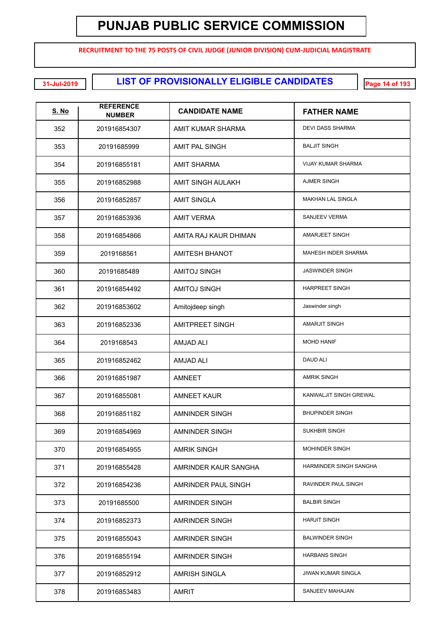**RECRUITMENT TO THE 75 POSTS OF CIVIL JUDGE (JUNIOR DIVISION) CUM-JUDICIAL MAGISTRATE**

**LIST OF PROVISIONALLY ELIGIBLE CANDIDATES 31-Jul-2019 Page 14 of 193**

| <b>S. No</b> | <b>REFERENCE</b><br><b>NUMBER</b> | <b>CANDIDATE NAME</b>    | <b>FATHER NAME</b>        |
|--------------|-----------------------------------|--------------------------|---------------------------|
| 352          | 201916854307                      | <b>AMIT KUMAR SHARMA</b> | <b>DEVI DASS SHARMA</b>   |
| 353          | 20191685999                       | AMIT PAL SINGH           | <b>BALJIT SINGH</b>       |
| 354          | 201916855181                      | <b>AMIT SHARMA</b>       | <b>VIJAY KUMAR SHARMA</b> |
| 355          | 201916852988                      | AMIT SINGH AULAKH        | <b>AJMER SINGH</b>        |
| 356          | 201916852857                      | <b>AMIT SINGLA</b>       | <b>MAKHAN LAL SINGLA</b>  |
| 357          | 201916853936                      | <b>AMIT VERMA</b>        | SANJEEV VERMA             |
| 358          | 201916854866                      | AMITA RAJ KAUR DHIMAN    | <b>AMARJEET SINGH</b>     |
| 359          | 2019168561                        | <b>AMITESH BHANOT</b>    | MAHESH INDER SHARMA       |
| 360          | 20191685489                       | <b>AMITOJ SINGH</b>      | <b>JASWINDER SINGH</b>    |
| 361          | 201916854492                      | <b>AMITOJ SINGH</b>      | <b>HARPREET SINGH</b>     |
| 362          | 201916853602                      | Amitojdeep singh         | Jaswinder singh           |
| 363          | 201916852336                      | <b>AMITPREET SINGH</b>   | <b>AMARJIT SINGH</b>      |
| 364          | 2019168543                        | <b>AMJAD ALI</b>         | <b>MOHD HANIF</b>         |
| 365          | 201916852462                      | <b>AMJAD ALI</b>         | <b>DAUD ALI</b>           |
| 366          | 201916851987                      | AMNEET                   | <b>AMRIK SINGH</b>        |
| 367          | 201916855081                      | <b>AMNEET KAUR</b>       | KANWALJIT SINGH GREWAL    |
| 368          | 201916851182                      | <b>AMNINDER SINGH</b>    | <b>BHUPINDER SINGH</b>    |
| 369          | 201916854969                      | AMNINDER SINGH           | <b>SUKHBIR SINGH</b>      |
| 370          | 201916854955                      | <b>AMRIK SINGH</b>       | <b>MOHINDER SINGH</b>     |
| 371          | 201916855428                      | AMRINDER KAUR SANGHA     | HARMINDER SINGH SANGHA    |
| 372          | 201916854236                      | AMRINDER PAUL SINGH      | RAVINDER PAUL SINGH       |
| 373          | 20191685500                       | AMRINDER SINGH           | <b>BALBIR SINGH</b>       |
| 374          | 201916852373                      | AMRINDER SINGH           | <b>HARJIT SINGH</b>       |
| 375          | 201916855043                      | AMRINDER SINGH           | <b>BALWINDER SINGH</b>    |
| 376          | 201916855194                      | AMRINDER SINGH           | <b>HARBANS SINGH</b>      |
| 377          | 201916852912                      | <b>AMRISH SINGLA</b>     | <b>JIWAN KUMAR SINGLA</b> |
| 378          | 201916853483                      | <b>AMRIT</b>             | SANJEEV MAHAJAN           |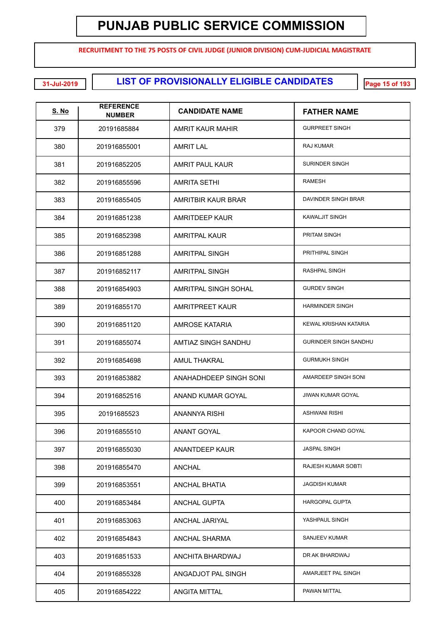**RECRUITMENT TO THE 75 POSTS OF CIVIL JUDGE (JUNIOR DIVISION) CUM-JUDICIAL MAGISTRATE**

**LIST OF PROVISIONALLY ELIGIBLE CANDIDATES 31-Jul-2019 Page 15 of 193**

| <u>S. No</u> | <b>REFERENCE</b><br><b>NUMBER</b> | <b>CANDIDATE NAME</b>  | <b>FATHER NAME</b>           |
|--------------|-----------------------------------|------------------------|------------------------------|
| 379          | 20191685884                       | AMRIT KAUR MAHIR       | <b>GURPREET SINGH</b>        |
| 380          | 201916855001                      | <b>AMRIT LAL</b>       | <b>RAJ KUMAR</b>             |
| 381          | 201916852205                      | <b>AMRIT PAUL KAUR</b> | <b>SURINDER SINGH</b>        |
| 382          | 201916855596                      | <b>AMRITA SETHI</b>    | <b>RAMESH</b>                |
| 383          | 201916855405                      | AMRITBIR KAUR BRAR     | DAVINDER SINGH BRAR          |
| 384          | 201916851238                      | <b>AMRITDEEP KAUR</b>  | <b>KAWALJIT SINGH</b>        |
| 385          | 201916852398                      | <b>AMRITPAL KAUR</b>   | PRITAM SINGH                 |
| 386          | 201916851288                      | <b>AMRITPAL SINGH</b>  | PRITHIPAL SINGH              |
| 387          | 201916852117                      | <b>AMRITPAL SINGH</b>  | <b>RASHPAL SINGH</b>         |
| 388          | 201916854903                      | AMRITPAL SINGH SOHAL   | <b>GURDEV SINGH</b>          |
| 389          | 201916855170                      | <b>AMRITPREET KAUR</b> | <b>HARMINDER SINGH</b>       |
| 390          | 201916851120                      | <b>AMROSE KATARIA</b>  | KEWAL KRISHAN KATARIA        |
| 391          | 201916855074                      | AMTIAZ SINGH SANDHU    | <b>GURINDER SINGH SANDHU</b> |
| 392          | 201916854698                      | <b>AMUL THAKRAL</b>    | <b>GURMUKH SINGH</b>         |
| 393          | 201916853882                      | ANAHADHDEEP SINGH SONI | AMARDEEP SINGH SONI          |
| 394          | 201916852516                      | ANAND KUMAR GOYAL      | <b>JIWAN KUMAR GOYAL</b>     |
| 395          | 20191685523                       | ANANNYA RISHI          | <b>ASHWANI RISHI</b>         |
| 396          | 201916855510                      | ANANT GOYAL            | KAPOOR CHAND GOYAL           |
| 397          | 201916855030                      | ANANTDEEP KAUR         | <b>JASPAL SINGH</b>          |
| 398          | 201916855470                      | ANCHAL                 | RAJESH KUMAR SOBTI           |
| 399          | 201916853551                      | <b>ANCHAL BHATIA</b>   | <b>JAGDISH KUMAR</b>         |
| 400          | 201916853484                      | <b>ANCHAL GUPTA</b>    | <b>HARGOPAL GUPTA</b>        |
| 401          | 201916853063                      | ANCHAL JARIYAL         | YASHPAUL SINGH               |
| 402          | 201916854843                      | ANCHAL SHARMA          | SANJEEV KUMAR                |
| 403          | 201916851533                      | ANCHITA BHARDWAJ       | DR AK BHARDWAJ               |
| 404          | 201916855328                      | ANGADJOT PAL SINGH     | AMARJEET PAL SINGH           |
| 405          | 201916854222                      | <b>ANGITA MITTAL</b>   | PAWAN MITTAL                 |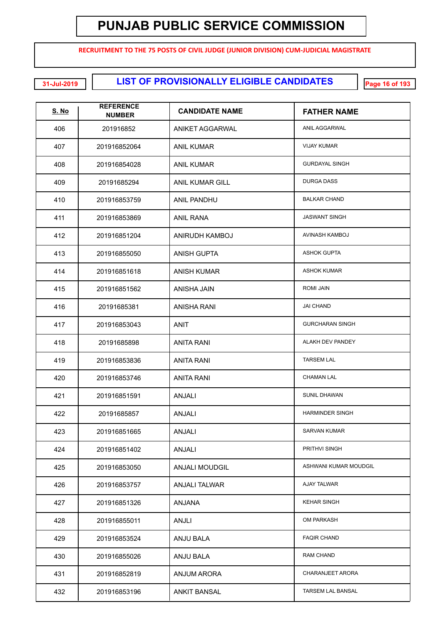**RECRUITMENT TO THE 75 POSTS OF CIVIL JUDGE (JUNIOR DIVISION) CUM-JUDICIAL MAGISTRATE**

**LIST OF PROVISIONALLY ELIGIBLE CANDIDATES 31-Jul-2019 Page 16 of 193**

| <u>S. No</u> | <b>REFERENCE</b><br><b>NUMBER</b> | <b>CANDIDATE NAME</b>  | <b>FATHER NAME</b>     |
|--------------|-----------------------------------|------------------------|------------------------|
| 406          | 201916852                         | ANIKET AGGARWAL        | ANIL AGGARWAL          |
| 407          | 201916852064                      | ANIL KUMAR             | <b>VIJAY KUMAR</b>     |
| 408          | 201916854028                      | <b>ANIL KUMAR</b>      | <b>GURDAYAL SINGH</b>  |
| 409          | 20191685294                       | <b>ANIL KUMAR GILL</b> | <b>DURGA DASS</b>      |
| 410          | 201916853759                      | <b>ANIL PANDHU</b>     | <b>BALKAR CHAND</b>    |
| 411          | 201916853869                      | ANIL RANA              | <b>JASWANT SINGH</b>   |
| 412          | 201916851204                      | ANIRUDH KAMBOJ         | AVINASH KAMBOJ         |
| 413          | 201916855050                      | <b>ANISH GUPTA</b>     | <b>ASHOK GUPTA</b>     |
| 414          | 201916851618                      | <b>ANISH KUMAR</b>     | <b>ASHOK KUMAR</b>     |
| 415          | 201916851562                      | ANISHA JAIN            | <b>ROMI JAIN</b>       |
| 416          | 20191685381                       | <b>ANISHA RANI</b>     | <b>JAI CHAND</b>       |
| 417          | 201916853043                      | ANIT                   | <b>GURCHARAN SINGH</b> |
| 418          | 20191685898                       | <b>ANITA RANI</b>      | ALAKH DEV PANDEY       |
| 419          | 201916853836                      | <b>ANITA RANI</b>      | <b>TARSEM LAL</b>      |
| 420          | 201916853746                      | <b>ANITA RANI</b>      | <b>CHAMAN LAL</b>      |
| 421          | 201916851591                      | <b>ANJALI</b>          | SUNIL DHAWAN           |
| 422          | 20191685857                       | ANJALI                 | <b>HARMINDER SINGH</b> |
| 423          | 201916851665                      | ANJALI                 | <b>SARVAN KUMAR</b>    |
| 424          | 201916851402                      | ANJALI                 | PRITHVI SINGH          |
| 425          | 201916853050                      | <b>ANJALI MOUDGIL</b>  | ASHWANI KUMAR MOUDGIL  |
| 426          | 201916853757                      | <b>ANJALI TALWAR</b>   | AJAY TALWAR            |
| 427          | 201916851326                      | ANJANA                 | <b>KEHAR SINGH</b>     |
| 428          | 201916855011                      | ANJLI                  | OM PARKASH             |
| 429          | 201916853524                      | ANJU BALA              | <b>FAQIR CHAND</b>     |
| 430          | 201916855026                      | ANJU BALA              | RAM CHAND              |
| 431          | 201916852819                      | <b>ANJUM ARORA</b>     | CHARANJEET ARORA       |
| 432          | 201916853196                      | <b>ANKIT BANSAL</b>    | TARSEM LAL BANSAL      |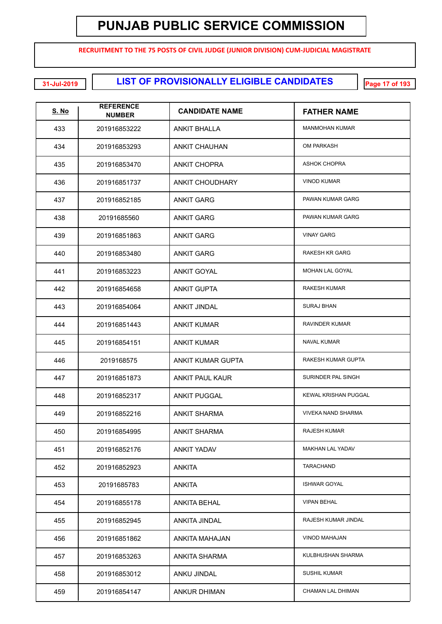**RECRUITMENT TO THE 75 POSTS OF CIVIL JUDGE (JUNIOR DIVISION) CUM-JUDICIAL MAGISTRATE**

**EXECUTE: LIST OF PROVISIONALLY ELIGIBLE CANDIDATES** 

| <b>S. No</b> | <b>REFERENCE</b><br><b>NUMBER</b> | <b>CANDIDATE NAME</b>  | <b>FATHER NAME</b>        |
|--------------|-----------------------------------|------------------------|---------------------------|
| 433          | 201916853222                      | ANKIT BHALLA           | <b>MANMOHAN KUMAR</b>     |
| 434          | 201916853293                      | <b>ANKIT CHAUHAN</b>   | <b>OM PARKASH</b>         |
| 435          | 201916853470                      | <b>ANKIT CHOPRA</b>    | <b>ASHOK CHOPRA</b>       |
| 436          | 201916851737                      | <b>ANKIT CHOUDHARY</b> | <b>VINOD KUMAR</b>        |
| 437          | 201916852185                      | <b>ANKIT GARG</b>      | PAWAN KUMAR GARG          |
| 438          | 20191685560                       | <b>ANKIT GARG</b>      | PAWAN KUMAR GARG          |
| 439          | 201916851863                      | <b>ANKIT GARG</b>      | <b>VINAY GARG</b>         |
| 440          | 201916853480                      | <b>ANKIT GARG</b>      | <b>RAKESH KR GARG</b>     |
| 441          | 201916853223                      | <b>ANKIT GOYAL</b>     | MOHAN LAL GOYAL           |
| 442          | 201916854658                      | <b>ANKIT GUPTA</b>     | <b>RAKESH KUMAR</b>       |
| 443          | 201916854064                      | <b>ANKIT JINDAL</b>    | <b>SURAJ BHAN</b>         |
| 444          | 201916851443                      | <b>ANKIT KUMAR</b>     | RAVINDER KUMAR            |
| 445          | 201916854151                      | <b>ANKIT KUMAR</b>     | <b>NAVAL KUMAR</b>        |
| 446          | 2019168575                        | ANKIT KUMAR GUPTA      | RAKESH KUMAR GUPTA        |
| 447          | 201916851873                      | <b>ANKIT PAUL KAUR</b> | SURINDER PAL SINGH        |
| 448          | 201916852317                      | <b>ANKIT PUGGAL</b>    | KEWAL KRISHAN PUGGAL      |
| 449          | 201916852216                      | <b>ANKIT SHARMA</b>    | <b>VIVEKA NAND SHARMA</b> |
| 450          | 201916854995                      | <b>ANKIT SHARMA</b>    | <b>RAJESH KUMAR</b>       |
| 451          | 201916852176                      | <b>ANKIT YADAV</b>     | MAKHAN LAL YADAV          |
| 452          | 201916852923                      | <b>ANKITA</b>          | TARACHAND                 |
| 453          | 20191685783                       | <b>ANKITA</b>          | <b>ISHWAR GOYAL</b>       |
| 454          | 201916855178                      | <b>ANKITA BEHAL</b>    | <b>VIPAN BEHAL</b>        |
| 455          | 201916852945                      | ANKITA JINDAL          | RAJESH KUMAR JINDAL       |
| 456          | 201916851862                      | ANKITA MAHAJAN         | VINOD MAHAJAN             |
| 457          | 201916853263                      | <b>ANKITA SHARMA</b>   | KULBHUSHAN SHARMA         |
| 458          | 201916853012                      | ANKU JINDAL            | <b>SUSHIL KUMAR</b>       |
| 459          | 201916854147                      | ANKUR DHIMAN           | CHAMAN LAL DHIMAN         |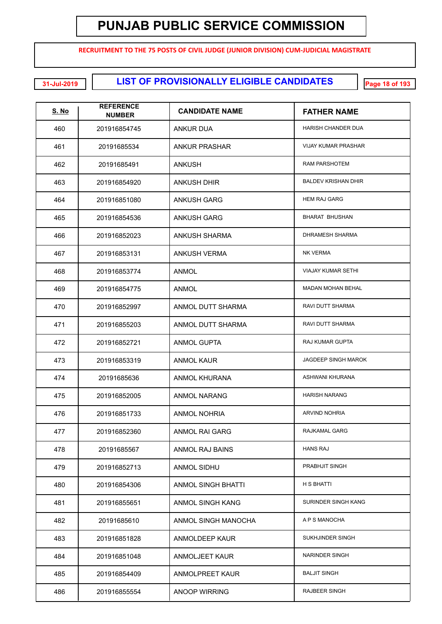**RECRUITMENT TO THE 75 POSTS OF CIVIL JUDGE (JUNIOR DIVISION) CUM-JUDICIAL MAGISTRATE**

**EXECUTE: LIST OF PROVISIONALLY ELIGIBLE CANDIDATES** 

| <b>S. No</b> | <b>REFERENCE</b><br><b>NUMBER</b> | <b>CANDIDATE NAME</b>     | <b>FATHER NAME</b>         |
|--------------|-----------------------------------|---------------------------|----------------------------|
| 460          | 201916854745                      | <b>ANKUR DUA</b>          | <b>HARISH CHANDER DUA</b>  |
| 461          | 20191685534                       | <b>ANKUR PRASHAR</b>      | <b>VIJAY KUMAR PRASHAR</b> |
| 462          | 20191685491                       | <b>ANKUSH</b>             | <b>RAM PARSHOTEM</b>       |
| 463          | 201916854920                      | <b>ANKUSH DHIR</b>        | <b>BALDEV KRISHAN DHIR</b> |
| 464          | 201916851080                      | <b>ANKUSH GARG</b>        | <b>HEM RAJ GARG</b>        |
| 465          | 201916854536                      | ANKUSH GARG               | <b>BHARAT BHUSHAN</b>      |
| 466          | 201916852023                      | ANKUSH SHARMA             | DHRAMESH SHARMA            |
| 467          | 201916853131                      | <b>ANKUSH VERMA</b>       | <b>NK VERMA</b>            |
| 468          | 201916853774                      | ANMOL                     | <b>VIAJAY KUMAR SETHI</b>  |
| 469          | 201916854775                      | ANMOL                     | <b>MADAN MOHAN BEHAL</b>   |
| 470          | 201916852997                      | ANMOL DUTT SHARMA         | RAVI DUTT SHARMA           |
| 471          | 201916855203                      | ANMOL DUTT SHARMA         | RAVI DUTT SHARMA           |
| 472          | 201916852721                      | <b>ANMOL GUPTA</b>        | RAJ KUMAR GUPTA            |
| 473          | 201916853319                      | ANMOL KAUR                | <b>JAGDEEP SINGH MAROK</b> |
| 474          | 20191685636                       | <b>ANMOL KHURANA</b>      | ASHWANI KHURANA            |
| 475          | 201916852005                      | <b>ANMOL NARANG</b>       | <b>HARISH NARANG</b>       |
| 476          | 201916851733                      | <b>ANMOL NOHRIA</b>       | <b>ARVIND NOHRIA</b>       |
| 477          | 201916852360                      | <b>ANMOL RAI GARG</b>     | RAJKAMAL GARG              |
| 478          | 20191685567                       | ANMOL RAJ BAINS           | <b>HANS RAJ</b>            |
| 479          | 201916852713                      | <b>ANMOL SIDHU</b>        | PRABHJIT SINGH             |
| 480          | 201916854306                      | <b>ANMOL SINGH BHATTI</b> | H S BHATTI                 |
| 481          | 201916855651                      | ANMOL SINGH KANG          | SURINDER SINGH KANG        |
| 482          | 20191685610                       | ANMOL SINGH MANOCHA       | A P S MANOCHA              |
| 483          | 201916851828                      | ANMOLDEEP KAUR            | SUKHJINDER SINGH           |
| 484          | 201916851048                      | ANMOLJEET KAUR            | NARINDER SINGH             |
| 485          | 201916854409                      | ANMOLPREET KAUR           | <b>BALJIT SINGH</b>        |
| 486          | 201916855554                      | <b>ANOOP WIRRING</b>      | RAJBEER SINGH              |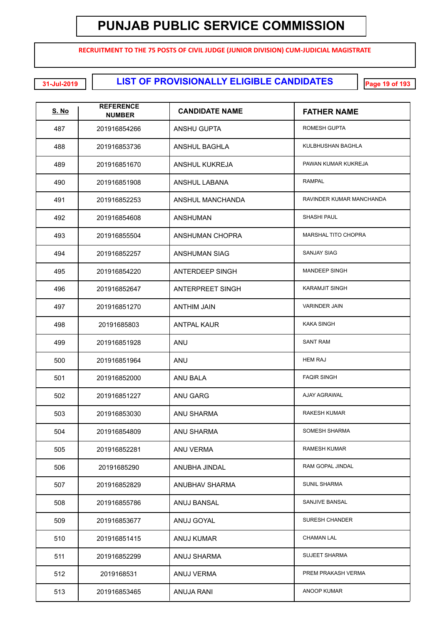**RECRUITMENT TO THE 75 POSTS OF CIVIL JUDGE (JUNIOR DIVISION) CUM-JUDICIAL MAGISTRATE**

**LIST OF PROVISIONALLY ELIGIBLE CANDIDATES 31-Jul-2019 Page 19 of 193**

| <u>S. No</u> | <b>REFERENCE</b><br><b>NUMBER</b> | <b>CANDIDATE NAME</b>   | <b>FATHER NAME</b>         |
|--------------|-----------------------------------|-------------------------|----------------------------|
| 487          | 201916854266                      | <b>ANSHU GUPTA</b>      | <b>ROMESH GUPTA</b>        |
| 488          | 201916853736                      | <b>ANSHUL BAGHLA</b>    | KULBHUSHAN BAGHLA          |
| 489          | 201916851670                      | <b>ANSHUL KUKREJA</b>   | PAWAN KUMAR KUKREJA        |
| 490          | 201916851908                      | ANSHUL LABANA           | <b>RAMPAL</b>              |
| 491          | 201916852253                      | ANSHUL MANCHANDA        | RAVINDER KUMAR MANCHANDA   |
| 492          | 201916854608                      | ANSHUMAN                | <b>SHASHI PAUL</b>         |
| 493          | 201916855504                      | ANSHUMAN CHOPRA         | <b>MARSHAL TITO CHOPRA</b> |
| 494          | 201916852257                      | <b>ANSHUMAN SIAG</b>    | <b>SANJAY SIAG</b>         |
| 495          | 201916854220                      | ANTERDEEP SINGH         | <b>MANDEEP SINGH</b>       |
| 496          | 201916852647                      | <b>ANTERPREET SINGH</b> | <b>KARAMJIT SINGH</b>      |
| 497          | 201916851270                      | <b>ANTHIM JAIN</b>      | <b>VARINDER JAIN</b>       |
| 498          | 20191685803                       | <b>ANTPAL KAUR</b>      | <b>KAKA SINGH</b>          |
| 499          | 201916851928                      | <b>ANU</b>              | <b>SANT RAM</b>            |
| 500          | 201916851964                      | <b>ANU</b>              | <b>HEM RAJ</b>             |
| 501          | 201916852000                      | ANU BALA                | <b>FAQIR SINGH</b>         |
| 502          | 201916851227                      | ANU GARG                | <b>AJAY AGRAWAL</b>        |
| 503          | 201916853030                      | ANU SHARMA              | <b>RAKESH KUMAR</b>        |
| 504          | 201916854809                      | <b>ANU SHARMA</b>       | SOMESH SHARMA              |
| 505          | 201916852281                      | ANU VERMA               | RAMESH KUMAR               |
| 506          | 20191685290                       | ANUBHA JINDAL           | RAM GOPAL JINDAL           |
| 507          | 201916852829                      | ANUBHAV SHARMA          | <b>SUNIL SHARMA</b>        |
| 508          | 201916855786                      | ANUJ BANSAL             | SANJIVE BANSAL             |
| 509          | 201916853677                      | ANUJ GOYAL              | <b>SURESH CHANDER</b>      |
| 510          | 201916851415                      | <b>ANUJ KUMAR</b>       | CHAMAN LAL                 |
| 511          | 201916852299                      | ANUJ SHARMA             | SUJEET SHARMA              |
| 512          | 2019168531                        | ANUJ VERMA              | PREM PRAKASH VERMA         |
| 513          | 201916853465                      | <b>ANUJA RANI</b>       | <b>ANOOP KUMAR</b>         |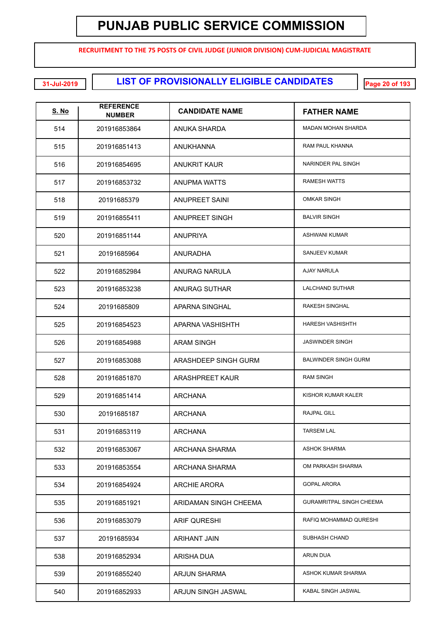**RECRUITMENT TO THE 75 POSTS OF CIVIL JUDGE (JUNIOR DIVISION) CUM-JUDICIAL MAGISTRATE**

**LIST OF PROVISIONALLY ELIGIBLE CANDIDATES 31-Jul-2019 Page 20 of 193**

| <u>S. No</u> | <b>REFERENCE</b><br><b>NUMBER</b> | <b>CANDIDATE NAME</b> | <b>FATHER NAME</b>              |
|--------------|-----------------------------------|-----------------------|---------------------------------|
| 514          | 201916853864                      | ANUKA SHARDA          | MADAN MOHAN SHARDA              |
| 515          | 201916851413                      | ANUKHANNA             | <b>RAM PAUL KHANNA</b>          |
| 516          | 201916854695                      | <b>ANUKRIT KAUR</b>   | NARINDER PAL SINGH              |
| 517          | 201916853732                      | ANUPMA WATTS          | <b>RAMESH WATTS</b>             |
| 518          | 20191685379                       | <b>ANUPREET SAINI</b> | <b>OMKAR SINGH</b>              |
| 519          | 201916855411                      | ANUPREET SINGH        | <b>BALVIR SINGH</b>             |
| 520          | 201916851144                      | ANUPRIYA              | <b>ASHWANI KUMAR</b>            |
| 521          | 20191685964                       | ANURADHA              | SANJEEV KUMAR                   |
| 522          | 201916852984                      | ANURAG NARULA         | AJAY NARULA                     |
| 523          | 201916853238                      | ANURAG SUTHAR         | <b>LALCHAND SUTHAR</b>          |
| 524          | 20191685809                       | APARNA SINGHAL        | RAKESH SINGHAL                  |
| 525          | 201916854523                      | APARNA VASHISHTH      | <b>HARESH VASHISHTH</b>         |
| 526          | 201916854988                      | <b>ARAM SINGH</b>     | <b>JASWINDER SINGH</b>          |
| 527          | 201916853088                      | ARASHDEEP SINGH GURM  | <b>BALWINDER SINGH GURM</b>     |
| 528          | 201916851870                      | ARASHPREET KAUR       | <b>RAM SINGH</b>                |
| 529          | 201916851414                      | ARCHANA               | KISHOR KUMAR KALER              |
| 530          | 20191685187                       | ARCHANA               | RAJPAL GILL                     |
| 531          | 201916853119                      | ARCHANA               | <b>TARSEM LAL</b>               |
| 532          | 201916853067                      | ARCHANA SHARMA        | <b>ASHOK SHARMA</b>             |
| 533          | 201916853554                      | ARCHANA SHARMA        | OM PARKASH SHARMA               |
| 534          | 201916854924                      | <b>ARCHIE ARORA</b>   | <b>GOPAL ARORA</b>              |
| 535          | 201916851921                      | ARIDAMAN SINGH CHEEMA | <b>GURAMRITPAL SINGH CHEEMA</b> |
| 536          | 201916853079                      | <b>ARIF QURESHI</b>   | RAFIQ MOHAMMAD QURESHI          |
| 537          | 20191685934                       | ARIHANT JAIN          | SUBHASH CHAND                   |
| 538          | 201916852934                      | ARISHA DUA            | <b>ARUN DUA</b>                 |
| 539          | 201916855240                      | ARJUN SHARMA          | ASHOK KUMAR SHARMA              |
| 540          | 201916852933                      | ARJUN SINGH JASWAL    | KABAL SINGH JASWAL              |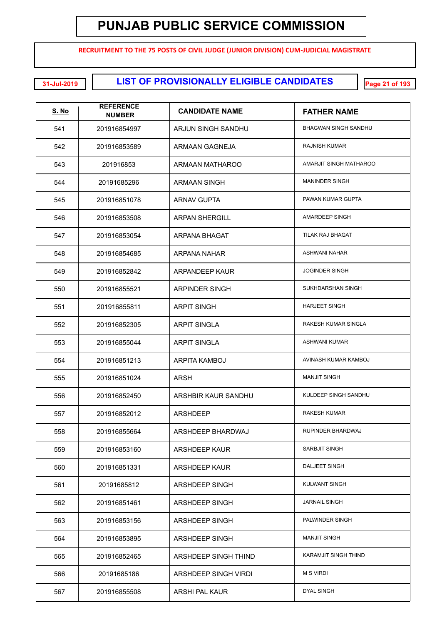**RECRUITMENT TO THE 75 POSTS OF CIVIL JUDGE (JUNIOR DIVISION) CUM-JUDICIAL MAGISTRATE**

**LIST OF PROVISIONALLY ELIGIBLE CANDIDATES 31-Jul-2019 Page 21 of 193**

| <u>S. No</u> | <b>REFERENCE</b><br><b>NUMBER</b> | <b>CANDIDATE NAME</b> | <b>FATHER NAME</b>          |
|--------------|-----------------------------------|-----------------------|-----------------------------|
| 541          | 201916854997                      | ARJUN SINGH SANDHU    | BHAGWAN SINGH SANDHU        |
| 542          | 201916853589                      | ARMAAN GAGNEJA        | <b>RAJNISH KUMAR</b>        |
| 543          | 201916853                         | ARMAAN MATHAROO       | AMARJIT SINGH MATHAROO      |
| 544          | 20191685296                       | ARMAAN SINGH          | <b>MANINDER SINGH</b>       |
| 545          | 201916851078                      | <b>ARNAV GUPTA</b>    | PAWAN KUMAR GUPTA           |
| 546          | 201916853508                      | <b>ARPAN SHERGILL</b> | AMARDEEP SINGH              |
| 547          | 201916853054                      | ARPANA BHAGAT         | TILAK RAJ BHAGAT            |
| 548          | 201916854685                      | ARPANA NAHAR          | <b>ASHWANI NAHAR</b>        |
| 549          | 201916852842                      | <b>ARPANDEEP KAUR</b> | <b>JOGINDER SINGH</b>       |
| 550          | 201916855521                      | ARPINDER SINGH        | SUKHDARSHAN SINGH           |
| 551          | 201916855811                      | <b>ARPIT SINGH</b>    | <b>HARJEET SINGH</b>        |
| 552          | 201916852305                      | <b>ARPIT SINGLA</b>   | RAKESH KUMAR SINGLA         |
| 553          | 201916855044                      | <b>ARPIT SINGLA</b>   | <b>ASHWANI KUMAR</b>        |
| 554          | 201916851213                      | ARPITA KAMBOJ         | AVINASH KUMAR KAMBOJ        |
| 555          | 201916851024                      | ARSH                  | <b>MANJIT SINGH</b>         |
| 556          | 201916852450                      | ARSHBIR KAUR SANDHU   | KULDEEP SINGH SANDHU        |
| 557          | 201916852012                      | <b>ARSHDEEP</b>       | <b>RAKESH KUMAR</b>         |
| 558          | 201916855664                      | ARSHDEEP BHARDWAJ     | RUPINDER BHARDWAJ           |
| 559          | 201916853160                      | <b>ARSHDEEP KAUR</b>  | SARBJIT SINGH               |
| 560          | 201916851331                      | ARSHDEEP KAUR         | DALJEET SINGH               |
| 561          | 20191685812                       | ARSHDEEP SINGH        | KULWANT SINGH               |
| 562          | 201916851461                      | ARSHDEEP SINGH        | <b>JARNAIL SINGH</b>        |
| 563          | 201916853156                      | ARSHDEEP SINGH        | PALWINDER SINGH             |
| 564          | 201916853895                      | ARSHDEEP SINGH        | <b>MANJIT SINGH</b>         |
| 565          | 201916852465                      | ARSHDEEP SINGH THIND  | <b>KARAMJIT SINGH THIND</b> |
| 566          | 20191685186                       | ARSHDEEP SINGH VIRDI  | <b>M S VIRDI</b>            |
| 567          | 201916855508                      | ARSHI PAL KAUR        | <b>DYAL SINGH</b>           |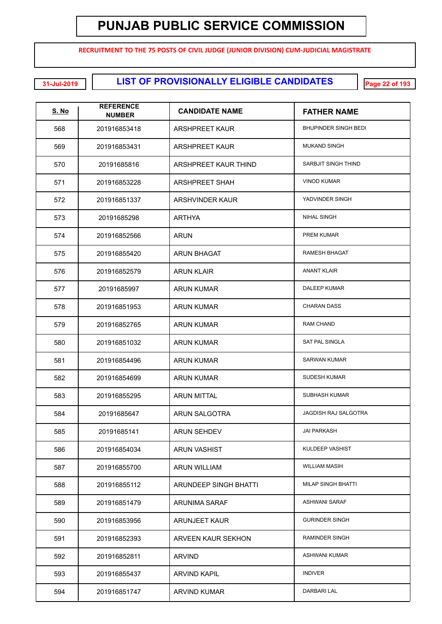**RECRUITMENT TO THE 75 POSTS OF CIVIL JUDGE (JUNIOR DIVISION) CUM-JUDICIAL MAGISTRATE**

**LIST OF PROVISIONALLY ELIGIBLE CANDIDATES 31-Jul-2019 Page 22 of 193**

| <b>S. No</b> | <b>REFERENCE</b><br><b>NUMBER</b> | <b>CANDIDATE NAME</b>  | <b>FATHER NAME</b>          |
|--------------|-----------------------------------|------------------------|-----------------------------|
| 568          | 201916853418                      | ARSHPREET KAUR         | <b>BHUPINDER SINGH BEDI</b> |
| 569          | 201916853431                      | <b>ARSHPREET KAUR</b>  | <b>MUKAND SINGH</b>         |
| 570          | 20191685816                       | ARSHPREET KAUR THIND   | SARBJIT SINGH THIND         |
| 571          | 201916853228                      | <b>ARSHPREET SHAH</b>  | <b>VINOD KUMAR</b>          |
| 572          | 201916851337                      | <b>ARSHVINDER KAUR</b> | YADVINDER SINGH             |
| 573          | 20191685298                       | ARTHYA                 | <b>NIHAL SINGH</b>          |
| 574          | 201916852566                      | <b>ARUN</b>            | PREM KUMAR                  |
| 575          | 201916855420                      | ARUN BHAGAT            | <b>RAMESH BHAGAT</b>        |
| 576          | 201916852579                      | <b>ARUN KLAIR</b>      | <b>ANANT KLAIR</b>          |
| 577          | 20191685997                       | <b>ARUN KUMAR</b>      | <b>DALEEP KUMAR</b>         |
| 578          | 201916851953                      | <b>ARUN KUMAR</b>      | <b>CHARAN DASS</b>          |
| 579          | 201916852765                      | <b>ARUN KUMAR</b>      | <b>RAM CHAND</b>            |
| 580          | 201916851032                      | <b>ARUN KUMAR</b>      | <b>SAT PAL SINGLA</b>       |
| 581          | 201916854496                      | <b>ARUN KUMAR</b>      | <b>SARWAN KUMAR</b>         |
| 582          | 201916854699                      | <b>ARUN KUMAR</b>      | <b>SUDESH KUMAR</b>         |
| 583          | 201916855295                      | <b>ARUN MITTAL</b>     | SUBHASH KUMAR               |
| 584          | 20191685647                       | ARUN SALGOTRA          | JAGDISH RAJ SALGOTRA        |
| 585          | 20191685141                       | <b>ARUN SEHDEV</b>     | JAI PARKASH                 |
| 586          | 201916854034                      | <b>ARUN VASHIST</b>    | KULDEEP VASHIST             |
| 587          | 201916855700                      | <b>ARUN WILLIAM</b>    | <b>WILLIAM MASIH</b>        |
| 588          | 201916855112                      | ARUNDEEP SINGH BHATTI  | <b>MILAP SINGH BHATTI</b>   |
| 589          | 201916851479                      | ARUNIMA SARAF          | <b>ASHWANI SARAF</b>        |
| 590          | 201916853956                      | <b>ARUNJEET KAUR</b>   | <b>GURINDER SINGH</b>       |
| 591          | 201916852393                      | ARVEEN KAUR SEKHON     | RAMINDER SINGH              |
| 592          | 201916852811                      | <b>ARVIND</b>          | ASHWANI KUMAR               |
| 593          | 201916855437                      | ARVIND KAPIL           | <b>INDIVER</b>              |
| 594          | 201916851747                      | <b>ARVIND KUMAR</b>    | DARBARI LAL                 |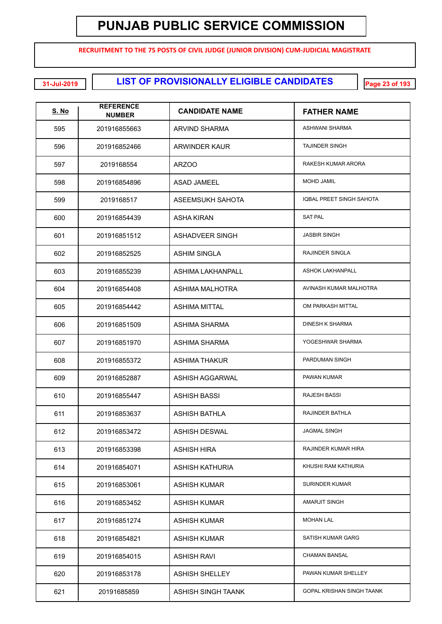**RECRUITMENT TO THE 75 POSTS OF CIVIL JUDGE (JUNIOR DIVISION) CUM-JUDICIAL MAGISTRATE**

**LIST OF PROVISIONALLY ELIGIBLE CANDIDATES 31-Jul-2019 Page 23 of 193**

| <b>S. No</b> | <b>REFERENCE</b><br><b>NUMBER</b> | <b>CANDIDATE NAME</b>  | <b>FATHER NAME</b>         |
|--------------|-----------------------------------|------------------------|----------------------------|
| 595          | 201916855663                      | <b>ARVIND SHARMA</b>   | ASHWANI SHARMA             |
| 596          | 201916852466                      | ARWINDER KAUR          | <b>TAJINDER SINGH</b>      |
| 597          | 2019168554                        | ARZOO                  | RAKESH KUMAR ARORA         |
| 598          | 201916854896                      | ASAD JAMEEL            | MOHD JAMIL                 |
| 599          | 2019168517                        | ASEEMSUKH SAHOTA       | IQBAL PREET SINGH SAHOTA   |
| 600          | 201916854439                      | ASHA KIRAN             | <b>SAT PAL</b>             |
| 601          | 201916851512                      | <b>ASHADVEER SINGH</b> | <b>JASBIR SINGH</b>        |
| 602          | 201916852525                      | ASHIM SINGLA           | RAJINDER SINGLA            |
| 603          | 201916855239                      | ASHIMA LAKHANPALL      | <b>ASHOK LAKHANPALL</b>    |
| 604          | 201916854408                      | <b>ASHIMA MALHOTRA</b> | AVINASH KUMAR MALHOTRA     |
| 605          | 201916854442                      | <b>ASHIMA MITTAL</b>   | OM PARKASH MITTAL          |
| 606          | 201916851509                      | ASHIMA SHARMA          | <b>DINESH K SHARMA</b>     |
| 607          | 201916851970                      | ASHIMA SHARMA          | YOGESHWAR SHARMA           |
| 608          | 201916855372                      | <b>ASHIMA THAKUR</b>   | PARDUMAN SINGH             |
| 609          | 201916852887                      | ASHISH AGGARWAL        | PAWAN KUMAR                |
| 610          | 201916855447                      | ASHISH BASSI           | <b>RAJESH BASSI</b>        |
| 611          | 201916853637                      | <b>ASHISH BATHLA</b>   | RAJINDER BATHLA            |
| 612          | 201916853472                      | ASHISH DESWAL          | <b>JAGMAL SINGH</b>        |
| 613          | 201916853398                      | ASHISH HIRA            | <b>RAJINDER KUMAR HIRA</b> |
| 614          | 201916854071                      | ASHISH KATHURIA        | KHUSHI RAM KATHURIA        |
| 615          | 201916853061                      | ASHISH KUMAR           | <b>SURINDER KUMAR</b>      |
| 616          | 201916853452                      | ASHISH KUMAR           | AMARJIT SINGH              |
| 617          | 201916851274                      | ASHISH KUMAR           | <b>MOHAN LAL</b>           |
| 618          | 201916854821                      | ASHISH KUMAR           | SATISH KUMAR GARG          |
| 619          | 201916854015                      | <b>ASHISH RAVI</b>     | <b>CHAMAN BANSAL</b>       |
| 620          | 201916853178                      | <b>ASHISH SHELLEY</b>  | PAWAN KUMAR SHELLEY        |
| 621          | 20191685859                       | ASHISH SINGH TAANK     | GOPAL KRISHAN SINGH TAANK  |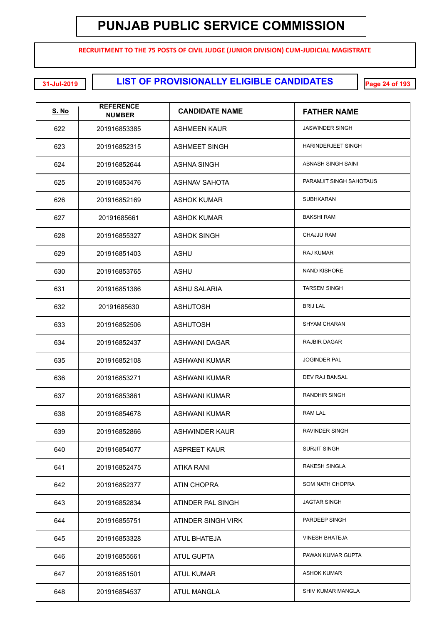**RECRUITMENT TO THE 75 POSTS OF CIVIL JUDGE (JUNIOR DIVISION) CUM-JUDICIAL MAGISTRATE**

**LIST OF PROVISIONALLY ELIGIBLE CANDIDATES 31-Jul-2019 Page 24 of 193**

| <b>S. No</b> | <b>REFERENCE</b><br><b>NUMBER</b> | <b>CANDIDATE NAME</b> | <b>FATHER NAME</b>        |
|--------------|-----------------------------------|-----------------------|---------------------------|
| 622          | 201916853385                      | ASHMEEN KAUR          | <b>JASWINDER SINGH</b>    |
| 623          | 201916852315                      | <b>ASHMEET SINGH</b>  | <b>HARINDERJEET SINGH</b> |
| 624          | 201916852644                      | <b>ASHNA SINGH</b>    | ABNASH SINGH SAINI        |
| 625          | 201916853476                      | <b>ASHNAV SAHOTA</b>  | PARAMJIT SINGH SAHOTAUS   |
| 626          | 201916852169                      | <b>ASHOK KUMAR</b>    | <b>SUBHKARAN</b>          |
| 627          | 20191685661                       | <b>ASHOK KUMAR</b>    | <b>BAKSHI RAM</b>         |
| 628          | 201916855327                      | <b>ASHOK SINGH</b>    | <b>CHAJJU RAM</b>         |
| 629          | 201916851403                      | <b>ASHU</b>           | RAJ KUMAR                 |
| 630          | 201916853765                      | <b>ASHU</b>           | <b>NAND KISHORE</b>       |
| 631          | 201916851386                      | <b>ASHU SALARIA</b>   | <b>TARSEM SINGH</b>       |
| 632          | 20191685630                       | <b>ASHUTOSH</b>       | <b>BRIJ LAL</b>           |
| 633          | 201916852506                      | <b>ASHUTOSH</b>       | <b>SHYAM CHARAN</b>       |
| 634          | 201916852437                      | <b>ASHWANI DAGAR</b>  | RAJBIR DAGAR              |
| 635          | 201916852108                      | <b>ASHWANI KUMAR</b>  | <b>JOGINDER PAL</b>       |
| 636          | 201916853271                      | <b>ASHWANI KUMAR</b>  | DEV RAJ BANSAL            |
| 637          | 201916853861                      | <b>ASHWANI KUMAR</b>  | RANDHIR SINGH             |
| 638          | 201916854678                      | <b>ASHWANI KUMAR</b>  | RAM LAL                   |
| 639          | 201916852866                      | ASHWINDER KAUR        | RAVINDER SINGH            |
| 640          | 201916854077                      | <b>ASPREET KAUR</b>   | <b>SURJIT SINGH</b>       |
| 641          | 201916852475                      | <b>ATIKA RANI</b>     | RAKESH SINGLA             |
| 642          | 201916852377                      | ATIN CHOPRA           | <b>SOM NATH CHOPRA</b>    |
| 643          | 201916852834                      | ATINDER PAL SINGH     | <b>JAGTAR SINGH</b>       |
| 644          | 201916855751                      | ATINDER SINGH VIRK    | PARDEEP SINGH             |
| 645          | 201916853328                      | <b>ATUL BHATEJA</b>   | <b>VINESH BHATEJA</b>     |
| 646          | 201916855561                      | <b>ATUL GUPTA</b>     | PAWAN KUMAR GUPTA         |
| 647          | 201916851501                      | <b>ATUL KUMAR</b>     | <b>ASHOK KUMAR</b>        |
| 648          | 201916854537                      | ATUL MANGLA           | SHIV KUMAR MANGLA         |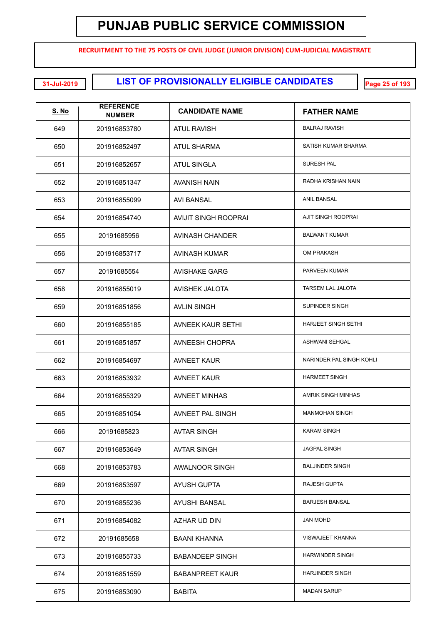**RECRUITMENT TO THE 75 POSTS OF CIVIL JUDGE (JUNIOR DIVISION) CUM-JUDICIAL MAGISTRATE**

**LIST OF PROVISIONALLY ELIGIBLE CANDIDATES 31-Jul-2019 Page 25 of 193**

| <u>S. No</u> | <b>REFERENCE</b><br><b>NUMBER</b> | <b>CANDIDATE NAME</b>       | <b>FATHER NAME</b>         |
|--------------|-----------------------------------|-----------------------------|----------------------------|
| 649          | 201916853780                      | ATUL RAVISH                 | <b>BALRAJ RAVISH</b>       |
| 650          | 201916852497                      | <b>ATUL SHARMA</b>          | SATISH KUMAR SHARMA        |
| 651          | 201916852657                      | <b>ATUL SINGLA</b>          | <b>SURESH PAL</b>          |
| 652          | 201916851347                      | AVANISH NAIN                | RADHA KRISHAN NAIN         |
| 653          | 201916855099                      | AVI BANSAL                  | ANIL BANSAL                |
| 654          | 201916854740                      | <b>AVIJIT SINGH ROOPRAI</b> | AJIT SINGH ROOPRAI         |
| 655          | 20191685956                       | AVINASH CHANDER             | <b>BALWANT KUMAR</b>       |
| 656          | 201916853717                      | <b>AVINASH KUMAR</b>        | OM PRAKASH                 |
| 657          | 20191685554                       | <b>AVISHAKE GARG</b>        | PARVEEN KUMAR              |
| 658          | 201916855019                      | <b>AVISHEK JALOTA</b>       | TARSEM LAL JALOTA          |
| 659          | 201916851856                      | <b>AVLIN SINGH</b>          | SUPINDER SINGH             |
| 660          | 201916855185                      | <b>AVNEEK KAUR SETHI</b>    | <b>HARJEET SINGH SETHI</b> |
| 661          | 201916851857                      | AVNEESH CHOPRA              | <b>ASHWANI SEHGAL</b>      |
| 662          | 201916854697                      | <b>AVNEET KAUR</b>          | NARINDER PAL SINGH KOHLI   |
| 663          | 201916853932                      | <b>AVNEET KAUR</b>          | <b>HARMEET SINGH</b>       |
| 664          | 201916855329                      | <b>AVNEET MINHAS</b>        | AMRIK SINGH MINHAS         |
| 665          | 201916851054                      | <b>AVNEET PAL SINGH</b>     | <b>MANMOHAN SINGH</b>      |
| 666          | 20191685823                       | AVTAR SINGH                 | <b>KARAM SINGH</b>         |
| 667          | 201916853649                      | <b>AVTAR SINGH</b>          | <b>JAGPAL SINGH</b>        |
| 668          | 201916853783                      | AWALNOOR SINGH              | <b>BALJINDER SINGH</b>     |
| 669          | 201916853597                      | <b>AYUSH GUPTA</b>          | RAJESH GUPTA               |
| 670          | 201916855236                      | AYUSHI BANSAL               | <b>BARJESH BANSAL</b>      |
| 671          | 201916854082                      | AZHAR UD DIN                | <b>JAN MOHD</b>            |
| 672          | 20191685658                       | <b>BAANI KHANNA</b>         | <b>VISWAJEET KHANNA</b>    |
| 673          | 201916855733                      | <b>BABANDEEP SINGH</b>      | <b>HARWINDER SINGH</b>     |
| 674          | 201916851559                      | <b>BABANPREET KAUR</b>      | <b>HARJINDER SINGH</b>     |
| 675          | 201916853090                      | <b>BABITA</b>               | <b>MADAN SARUP</b>         |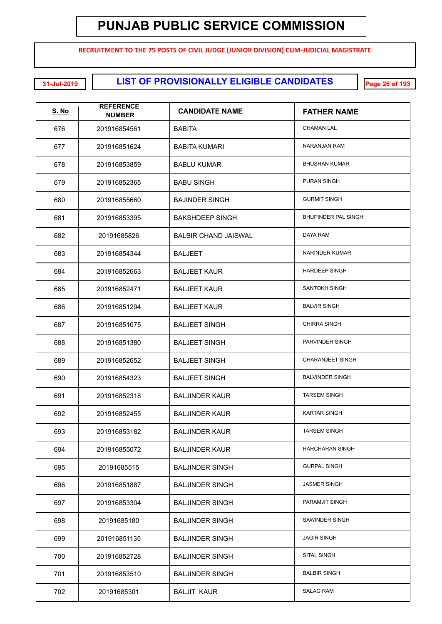**RECRUITMENT TO THE 75 POSTS OF CIVIL JUDGE (JUNIOR DIVISION) CUM-JUDICIAL MAGISTRATE**

**LIST OF PROVISIONALLY ELIGIBLE CANDIDATES 31-Jul-2019 Page 26 of 193**

| <u>S. No</u> | <b>REFERENCE</b><br><b>NUMBER</b> | <b>CANDIDATE NAME</b>       | <b>FATHER NAME</b>         |
|--------------|-----------------------------------|-----------------------------|----------------------------|
| 676          | 201916854561                      | <b>BABITA</b>               | <b>CHAMAN LAL</b>          |
| 677          | 201916851624                      | <b>BABITA KUMARI</b>        | NARANJAN RAM               |
| 678          | 201916853859                      | <b>BABLU KUMAR</b>          | <b>BHUSHAN KUMAR</b>       |
| 679          | 201916852365                      | <b>BABU SINGH</b>           | <b>PURAN SINGH</b>         |
| 680          | 201916855660                      | <b>BAJINDER SINGH</b>       | <b>GURMIT SINGH</b>        |
| 681          | 201916853395                      | <b>BAKSHDEEP SINGH</b>      | <b>BHUPINDER PAL SINGH</b> |
| 682          | 20191685826                       | <b>BALBIR CHAND JAISWAL</b> | DAYA RAM                   |
| 683          | 201916854344                      | <b>BALJEET</b>              | <b>NARINDER KUMAR</b>      |
| 684          | 201916852663                      | <b>BALJEET KAUR</b>         | <b>HARDEEP SINGH</b>       |
| 685          | 201916852471                      | <b>BALJEET KAUR</b>         | SANTOKH SINGH              |
| 686          | 201916851294                      | <b>BALJEET KAUR</b>         | <b>BALVIR SINGH</b>        |
| 687          | 201916851075                      | <b>BALJEET SINGH</b>        | <b>CHIRRA SINGH</b>        |
| 688          | 201916851380                      | <b>BALJEET SINGH</b>        | PARVINDER SINGH            |
| 689          | 201916852652                      | <b>BALJEET SINGH</b>        | <b>CHARANJEET SINGH</b>    |
| 690          | 201916854323                      | <b>BALJEET SINGH</b>        | <b>BALVINDER SINGH</b>     |
| 691          | 201916852318                      | <b>BALJINDER KAUR</b>       | <b>TARSEM SINGH</b>        |
| 692          | 201916852455                      | <b>BALJINDER KAUR</b>       | <b>KARTAR SINGH</b>        |
| 693          | 201916853182                      | <b>BALJINDER KAUR</b>       | <b>TARSEM SINGH</b>        |
| 694          | 201916855072                      | <b>BALJINDER KAUR</b>       | <b>HARCHARAN SINGH</b>     |
| 695          | 20191685515                       | <b>BALJINDER SINGH</b>      | <b>GURPAL SINGH</b>        |
| 696          | 201916851887                      | <b>BALJINDER SINGH</b>      | <b>JASMER SINGH</b>        |
| 697          | 201916853304                      | <b>BALJINDER SINGH</b>      | PARAMJIT SINGH             |
| 698          | 20191685180                       | <b>BALJINDER SINGH</b>      | SAWINDER SINGH             |
| 699          | 201916851135                      | <b>BALJINDER SINGH</b>      | <b>JAGIR SINGH</b>         |
| 700          | 201916852728                      | <b>BALJINDER SINGH</b>      | SITAL SINGH                |
| 701          | 201916853510                      | <b>BALJINDER SINGH</b>      | <b>BALBIR SINGH</b>        |
| 702          | 20191685301                       | <b>BALJIT KAUR</b>          | <b>SALAG RAM</b>           |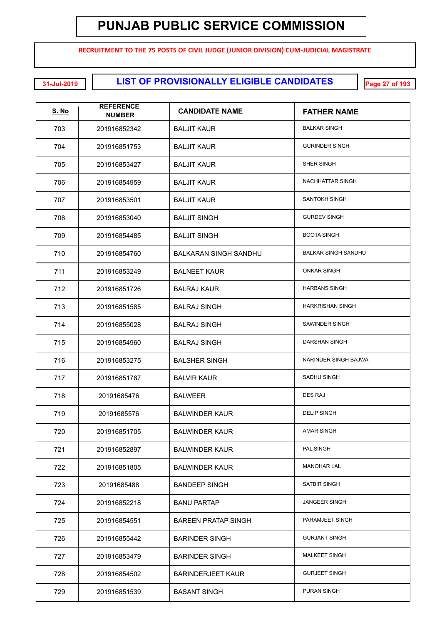**RECRUITMENT TO THE 75 POSTS OF CIVIL JUDGE (JUNIOR DIVISION) CUM-JUDICIAL MAGISTRATE**

**LIST OF PROVISIONALLY ELIGIBLE CANDIDATES 31-Jul-2019 Page 27 of 193**

| <u>S. No</u> | <b>REFERENCE</b><br><b>NUMBER</b> | <b>CANDIDATE NAME</b>        | <b>FATHER NAME</b>         |
|--------------|-----------------------------------|------------------------------|----------------------------|
| 703          | 201916852342                      | <b>BALJIT KAUR</b>           | <b>BALKAR SINGH</b>        |
| 704          | 201916851753                      | <b>BALJIT KAUR</b>           | <b>GURINDER SINGH</b>      |
| 705          | 201916853427                      | <b>BALJIT KAUR</b>           | SHER SINGH                 |
| 706          | 201916854959                      | <b>BALJIT KAUR</b>           | NACHHATTAR SINGH           |
| 707          | 201916853501                      | <b>BALJIT KAUR</b>           | SANTOKH SINGH              |
| 708          | 201916853040                      | <b>BALJIT SINGH</b>          | <b>GURDEV SINGH</b>        |
| 709          | 201916854485                      | <b>BALJIT SINGH</b>          | <b>BOOTA SINGH</b>         |
| 710          | 201916854760                      | <b>BALKARAN SINGH SANDHU</b> | <b>BALKAR SINGH SANDHU</b> |
| 711          | 201916853249                      | <b>BALNEET KAUR</b>          | <b>ONKAR SINGH</b>         |
| 712          | 201916851726                      | <b>BALRAJ KAUR</b>           | <b>HARBANS SINGH</b>       |
| 713          | 201916851585                      | <b>BALRAJ SINGH</b>          | <b>HARKRISHAN SINGH</b>    |
| 714          | 201916855028                      | <b>BALRAJ SINGH</b>          | SAWINDER SINGH             |
| 715          | 201916854960                      | <b>BALRAJ SINGH</b>          | DARSHAN SINGH              |
| 716          | 201916853275                      | <b>BALSHER SINGH</b>         | NARINDER SINGH BAJWA       |
| 717          | 201916851787                      | <b>BALVIR KAUR</b>           | SADHU SINGH                |
| 718          | 20191685476                       | <b>BALWEER</b>               | <b>DES RAJ</b>             |
| 719          | 20191685576                       | <b>BALWINDER KAUR</b>        | <b>DELIP SINGH</b>         |
| 720          | 201916851705                      | <b>BALWINDER KAUR</b>        | AMAR SINGH                 |
| 721          | 201916852897                      | <b>BALWINDER KAUR</b>        | PAL SINGH                  |
| 722          | 201916851805                      | <b>BALWINDER KAUR</b>        | <b>MANOHAR LAL</b>         |
| 723          | 20191685488                       | <b>BANDEEP SINGH</b>         | SATBIR SINGH               |
| 724          | 201916852218                      | <b>BANU PARTAP</b>           | <b>JANGEER SINGH</b>       |
| 725          | 201916854551                      | <b>BAREEN PRATAP SINGH</b>   | PARAMJEET SINGH            |
| 726          | 201916855442                      | <b>BARINDER SINGH</b>        | <b>GURJANT SINGH</b>       |
| 727          | 201916853479                      | <b>BARINDER SINGH</b>        | <b>MALKEET SINGH</b>       |
| 728          | 201916854502                      | <b>BARINDERJEET KAUR</b>     | <b>GURJEET SINGH</b>       |
| 729          | 201916851539                      | <b>BASANT SINGH</b>          | PURAN SINGH                |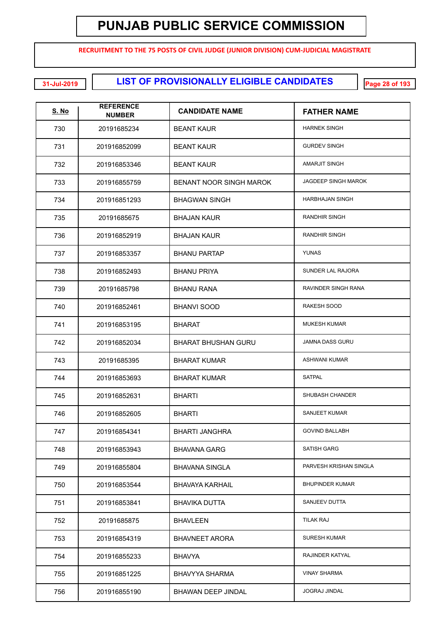**RECRUITMENT TO THE 75 POSTS OF CIVIL JUDGE (JUNIOR DIVISION) CUM-JUDICIAL MAGISTRATE**

**LIST OF PROVISIONALLY ELIGIBLE CANDIDATES 31-Jul-2019 Page 28 of 193**

| <b>S. No</b> | <b>REFERENCE</b><br><b>NUMBER</b> | <b>CANDIDATE NAME</b>          | <b>FATHER NAME</b>         |
|--------------|-----------------------------------|--------------------------------|----------------------------|
| 730          | 20191685234                       | <b>BEANT KAUR</b>              | <b>HARNEK SINGH</b>        |
| 731          | 201916852099                      | <b>BEANT KAUR</b>              | <b>GURDEV SINGH</b>        |
| 732          | 201916853346                      | <b>BEANT KAUR</b>              | <b>AMARJIT SINGH</b>       |
| 733          | 201916855759                      | <b>BENANT NOOR SINGH MAROK</b> | <b>JAGDEEP SINGH MAROK</b> |
| 734          | 201916851293                      | <b>BHAGWAN SINGH</b>           | <b>HARBHAJAN SINGH</b>     |
| 735          | 20191685675                       | <b>BHAJAN KAUR</b>             | RANDHIR SINGH              |
| 736          | 201916852919                      | <b>BHAJAN KAUR</b>             | RANDHIR SINGH              |
| 737          | 201916853357                      | <b>BHANU PARTAP</b>            | <b>YUNAS</b>               |
| 738          | 201916852493                      | <b>BHANU PRIYA</b>             | <b>SUNDER LAL RAJORA</b>   |
| 739          | 20191685798                       | <b>BHANU RANA</b>              | RAVINDER SINGH RANA        |
| 740          | 201916852461                      | <b>BHANVI SOOD</b>             | RAKESH SOOD                |
| 741          | 201916853195                      | <b>BHARAT</b>                  | <b>MUKESH KUMAR</b>        |
| 742          | 201916852034                      | <b>BHARAT BHUSHAN GURU</b>     | <b>JAMNA DASS GURU</b>     |
| 743          | 20191685395                       | <b>BHARAT KUMAR</b>            | <b>ASHWANI KUMAR</b>       |
| 744          | 201916853693                      | <b>BHARAT KUMAR</b>            | <b>SATPAL</b>              |
| 745          | 201916852631                      | <b>BHARTI</b>                  | SHUBASH CHANDER            |
| 746          | 201916852605                      | <b>BHARTI</b>                  | SANJEET KUMAR              |
| 747          | 201916854341                      | <b>BHARTI JANGHRA</b>          | <b>GOVIND BALLABH</b>      |
| 748          | 201916853943                      | <b>BHAVANA GARG</b>            | <b>SATISH GARG</b>         |
| 749          | 201916855804                      | <b>BHAVANA SINGLA</b>          | PARVESH KRISHAN SINGLA     |
| 750          | 201916853544                      | BHAVAYA KARHAIL                | <b>BHUPINDER KUMAR</b>     |
| 751          | 201916853841                      | <b>BHAVIKA DUTTA</b>           | SANJEEV DUTTA              |
| 752          | 20191685875                       | <b>BHAVLEEN</b>                | <b>TILAK RAJ</b>           |
| 753          | 201916854319                      | <b>BHAVNEET ARORA</b>          | <b>SURESH KUMAR</b>        |
| 754          | 201916855233                      | <b>BHAVYA</b>                  | RAJINDER KATYAL            |
| 755          | 201916851225                      | BHAVYYA SHARMA                 | <b>VINAY SHARMA</b>        |
| 756          | 201916855190                      | BHAWAN DEEP JINDAL             | <b>JOGRAJ JINDAL</b>       |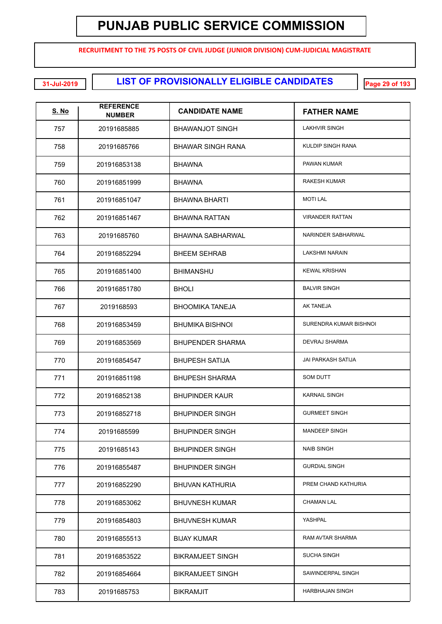**RECRUITMENT TO THE 75 POSTS OF CIVIL JUDGE (JUNIOR DIVISION) CUM-JUDICIAL MAGISTRATE**

**LIST OF PROVISIONALLY ELIGIBLE CANDIDATES 31-Jul-2019 Page 29 of 193**

| <b>S. No</b> | <b>REFERENCE</b><br><b>NUMBER</b> | <b>CANDIDATE NAME</b>    | <b>FATHER NAME</b>        |
|--------------|-----------------------------------|--------------------------|---------------------------|
| 757          | 20191685885                       | <b>BHAWANJOT SINGH</b>   | <b>LAKHVIR SINGH</b>      |
| 758          | 20191685766                       | <b>BHAWAR SINGH RANA</b> | KULDIP SINGH RANA         |
| 759          | 201916853138                      | <b>BHAWNA</b>            | PAWAN KUMAR               |
| 760          | 201916851999                      | <b>BHAWNA</b>            | <b>RAKESH KUMAR</b>       |
| 761          | 201916851047                      | <b>BHAWNA BHARTI</b>     | <b>MOTI LAL</b>           |
| 762          | 201916851467                      | <b>BHAWNA RATTAN</b>     | <b>VIRANDER RATTAN</b>    |
| 763          | 20191685760                       | <b>BHAWNA SABHARWAL</b>  | NARINDER SABHARWAL        |
| 764          | 201916852294                      | <b>BHEEM SEHRAB</b>      | <b>LAKSHMI NARAIN</b>     |
| 765          | 201916851400                      | <b>BHIMANSHU</b>         | <b>KEWAL KRISHAN</b>      |
| 766          | 201916851780                      | <b>BHOLI</b>             | <b>BALVIR SINGH</b>       |
| 767          | 2019168593                        | <b>BHOOMIKA TANEJA</b>   | <b>AK TANEJA</b>          |
| 768          | 201916853459                      | <b>BHUMIKA BISHNOI</b>   | SURENDRA KUMAR BISHNOI    |
| 769          | 201916853569                      | <b>BHUPENDER SHARMA</b>  | <b>DEVRAJ SHARMA</b>      |
| 770          | 201916854547                      | <b>BHUPESH SATIJA</b>    | <b>JAI PARKASH SATIJA</b> |
| 771          | 201916851198                      | <b>BHUPESH SHARMA</b>    | <b>SOM DUTT</b>           |
| 772          | 201916852138                      | <b>BHUPINDER KAUR</b>    | <b>KARNAIL SINGH</b>      |
| 773          | 201916852718                      | <b>BHUPINDER SINGH</b>   | <b>GURMEET SINGH</b>      |
| 774          | 20191685599                       | <b>BHUPINDER SINGH</b>   | <b>MANDEEP SINGH</b>      |
| 775          | 20191685143                       | <b>BHUPINDER SINGH</b>   | <b>NAIB SINGH</b>         |
| 776          | 201916855487                      | <b>BHUPINDER SINGH</b>   | <b>GURDIAL SINGH</b>      |
| 777          | 201916852290                      | <b>BHUVAN KATHURIA</b>   | PREM CHAND KATHURIA       |
| 778          | 201916853062                      | <b>BHUVNESH KUMAR</b>    | <b>CHAMAN LAL</b>         |
| 779          | 201916854803                      | <b>BHUVNESH KUMAR</b>    | YASHPAL                   |
| 780          | 201916855513                      | <b>BIJAY KUMAR</b>       | RAM AVTAR SHARMA          |
| 781          | 201916853522                      | <b>BIKRAMJEET SINGH</b>  | <b>SUCHA SINGH</b>        |
| 782          | 201916854664                      | <b>BIKRAMJEET SINGH</b>  | SAWINDERPAL SINGH         |
| 783          | 20191685753                       | <b>BIKRAMJIT</b>         | HARBHAJAN SINGH           |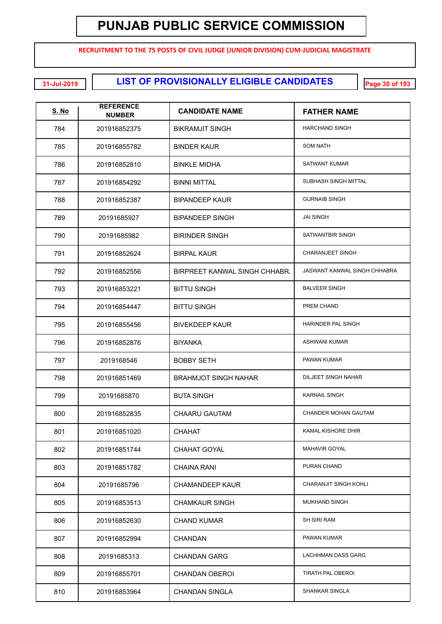**RECRUITMENT TO THE 75 POSTS OF CIVIL JUDGE (JUNIOR DIVISION) CUM-JUDICIAL MAGISTRATE**

**LIST OF PROVISIONALLY ELIGIBLE CANDIDATES 31-Jul-2019 Page 30 of 193**

| <u>S. No</u> | <b>REFERENCE</b><br><b>NUMBER</b> | <b>CANDIDATE NAME</b>         | <b>FATHER NAME</b>           |
|--------------|-----------------------------------|-------------------------------|------------------------------|
| 784          | 201916852375                      | <b>BIKRAMJIT SINGH</b>        | <b>HARCHAND SINGH</b>        |
| 785          | 201916855782                      | <b>BINDER KAUR</b>            | <b>SOM NATH</b>              |
| 786          | 201916852810                      | <b>BINKLE MIDHA</b>           | SATWANT KUMAR                |
| 787          | 201916854292                      | <b>BINNI MITTAL</b>           | SUBHASH SINGH MITTAL         |
| 788          | 201916852387                      | <b>BIPANDEEP KAUR</b>         | <b>GURNAIB SINGH</b>         |
| 789          | 20191685927                       | <b>BIPANDEEP SINGH</b>        | <b>JAI SINGH</b>             |
| 790          | 20191685982                       | <b>BIRINDER SINGH</b>         | SATWANTBIR SINGH             |
| 791          | 201916852624                      | <b>BIRPAL KAUR</b>            | <b>CHARANJEET SINGH</b>      |
| 792          | 201916852556                      | BIRPREET KANWAL SINGH CHHABR. | JASWANT KANWAL SINGH CHHABRA |
| 793          | 201916853221                      | <b>BITTU SINGH</b>            | <b>BALVEER SINGH</b>         |
| 794          | 201916854447                      | <b>BITTU SINGH</b>            | PREM CHAND                   |
| 795          | 201916855456                      | <b>BIVEKDEEP KAUR</b>         | HARINDER PAL SINGH           |
| 796          | 201916852876                      | <b>BIYANKA</b>                | <b>ASHWANI KUMAR</b>         |
| 797          | 2019168546                        | <b>BOBBY SETH</b>             | PAWAN KUMAR                  |
| 798          | 201916851469                      | <b>BRAHMJOT SINGH NAHAR</b>   | <b>DILJEET SINGH NAHAR</b>   |
| 799          | 20191685870                       | <b>BUTA SINGH</b>             | <b>KARNAIL SINGH</b>         |
| 800          | 201916852835                      | <b>CHAARU GAUTAM</b>          | <b>CHANDER MOHAN GAUTAM</b>  |
| 801          | 201916851020                      | CHAHAT                        | KAMAL KISHORE DHIR           |
| 802          | 201916851744                      | <b>CHAHAT GOYAL</b>           | <b>MAHAVIR GOYAL</b>         |
| 803          | 201916851782                      | <b>CHAINA RANI</b>            | PURAN CHAND                  |
| 804          | 20191685796                       | <b>CHAMANDEEP KAUR</b>        | CHARANJIT SINGH KOHLI        |
| 805          | 201916853513                      | <b>CHAMKAUR SINGH</b>         | MUKHAND SINGH                |
| 806          | 201916852630                      | <b>CHAND KUMAR</b>            | <b>SH SIRI RAM</b>           |
| 807          | 201916852994                      | <b>CHANDAN</b>                | PAWAN KUMAR                  |
| 808          | 20191685313                       | <b>CHANDAN GARG</b>           | LACHHMAN DASS GARG           |
| 809          | 201916855701                      | <b>CHANDAN OBEROI</b>         | TIRATH PAL OBEROI            |
| 810          | 201916853964                      | CHANDAN SINGLA                | SHANKAR SINGLA               |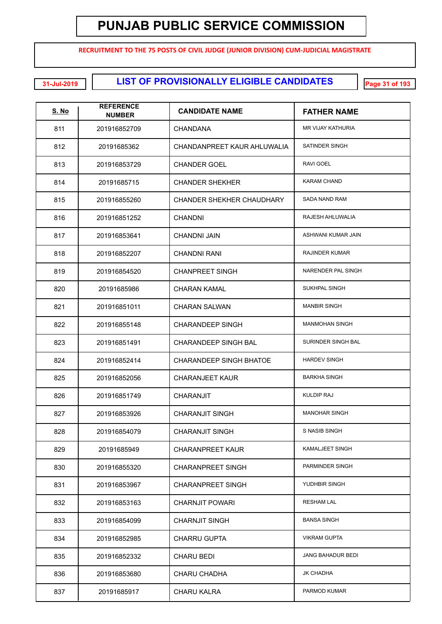**RECRUITMENT TO THE 75 POSTS OF CIVIL JUDGE (JUNIOR DIVISION) CUM-JUDICIAL MAGISTRATE**

#### **LIST OF PROVISIONALLY ELIGIBLE CANDIDATES 31-Jul-2019 Page 31 of 193**

| <u>S. No</u> | <b>REFERENCE</b><br><b>NUMBER</b> | <b>CANDIDATE NAME</b>       | <b>FATHER NAME</b>       |
|--------------|-----------------------------------|-----------------------------|--------------------------|
| 811          | 201916852709                      | <b>CHANDANA</b>             | <b>MR VIJAY KATHURIA</b> |
| 812          | 20191685362                       | CHANDANPREET KAUR AHLUWALIA | SATINDER SINGH           |
| 813          | 201916853729                      | <b>CHANDER GOEL</b>         | <b>RAVI GOEL</b>         |
| 814          | 20191685715                       | <b>CHANDER SHEKHER</b>      | <b>KARAM CHAND</b>       |
| 815          | 201916855260                      | CHANDER SHEKHER CHAUDHARY   | SADA NAND RAM            |
| 816          | 201916851252                      | <b>CHANDNI</b>              | RAJESH AHLUWALIA         |
| 817          | 201916853641                      | <b>CHANDNI JAIN</b>         | ASHWANI KUMAR JAIN       |
| 818          | 201916852207                      | <b>CHANDNI RANI</b>         | <b>RAJINDER KUMAR</b>    |
| 819          | 201916854520                      | <b>CHANPREET SINGH</b>      | NARENDER PAL SINGH       |
| 820          | 20191685986                       | <b>CHARAN KAMAL</b>         | SUKHPAL SINGH            |
| 821          | 201916851011                      | <b>CHARAN SALWAN</b>        | <b>MANBIR SINGH</b>      |
| 822          | 201916855148                      | CHARANDEEP SINGH            | <b>MANMOHAN SINGH</b>    |
| 823          | 201916851491                      | CHARANDEEP SINGH BAL        | SURINDER SINGH BAL       |
| 824          | 201916852414                      | CHARANDEEP SINGH BHATOE     | <b>HARDEV SINGH</b>      |
| 825          | 201916852056                      | <b>CHARANJEET KAUR</b>      | <b>BARKHA SINGH</b>      |
| 826          | 201916851749                      | CHARANJIT                   | <b>KULDIP RAJ</b>        |
| 827          | 201916853926                      | <b>CHARANJIT SINGH</b>      | <b>MANOHAR SINGH</b>     |
| 828          | 201916854079                      | <b>CHARANJIT SINGH</b>      | S NASIB SINGH            |
| 829          | 20191685949                       | <b>CHARANPREET KAUR</b>     | KAMALJEET SINGH          |
| 830          | 201916855320                      | <b>CHARANPREET SINGH</b>    | PARMINDER SINGH          |
| 831          | 201916853967                      | <b>CHARANPREET SINGH</b>    | YUDHBIR SINGH            |
| 832          | 201916853163                      | <b>CHARNJIT POWARI</b>      | <b>RESHAM LAL</b>        |
| 833          | 201916854099                      | <b>CHARNJIT SINGH</b>       | <b>BANSA SINGH</b>       |
| 834          | 201916852985                      | <b>CHARRU GUPTA</b>         | <b>VIKRAM GUPTA</b>      |
| 835          | 201916852332                      | <b>CHARU BEDI</b>           | JANG BAHADUR BEDI        |
| 836          | 201916853680                      | CHARU CHADHA                | JK CHADHA                |
| 837          | 20191685917                       | <b>CHARU KALRA</b>          | PARMOD KUMAR             |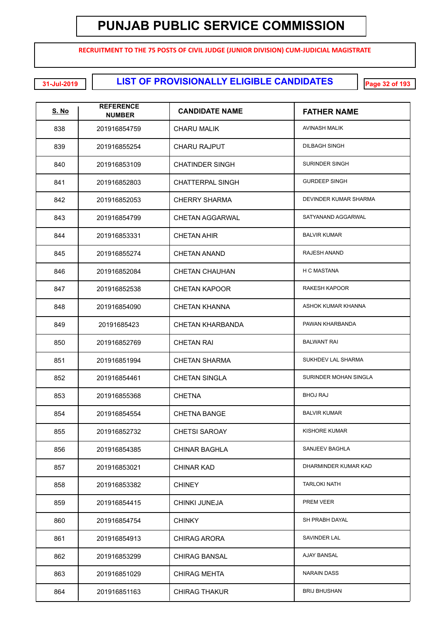**RECRUITMENT TO THE 75 POSTS OF CIVIL JUDGE (JUNIOR DIVISION) CUM-JUDICIAL MAGISTRATE**

**LIST OF PROVISIONALLY ELIGIBLE CANDIDATES 31-Jul-2019 Page 32 of 193**

| <u>S. No</u> | <b>REFERENCE</b><br><b>NUMBER</b> | <b>CANDIDATE NAME</b>   | <b>FATHER NAME</b>    |
|--------------|-----------------------------------|-------------------------|-----------------------|
| 838          | 201916854759                      | CHARU MALIK             | AVINASH MALIK         |
| 839          | 201916855254                      | <b>CHARU RAJPUT</b>     | <b>DILBAGH SINGH</b>  |
| 840          | 201916853109                      | <b>CHATINDER SINGH</b>  | <b>SURINDER SINGH</b> |
| 841          | 201916852803                      | <b>CHATTERPAL SINGH</b> | <b>GURDEEP SINGH</b>  |
| 842          | 201916852053                      | <b>CHERRY SHARMA</b>    | DEVINDER KUMAR SHARMA |
| 843          | 201916854799                      | <b>CHETAN AGGARWAL</b>  | SATYANAND AGGARWAL    |
| 844          | 201916853331                      | <b>CHETAN AHIR</b>      | <b>BALVIR KUMAR</b>   |
| 845          | 201916855274                      | <b>CHETAN ANAND</b>     | RAJESH ANAND          |
| 846          | 201916852084                      | <b>CHETAN CHAUHAN</b>   | H C MASTANA           |
| 847          | 201916852538                      | <b>CHETAN KAPOOR</b>    | RAKESH KAPOOR         |
| 848          | 201916854090                      | <b>CHETAN KHANNA</b>    | ASHOK KUMAR KHANNA    |
| 849          | 20191685423                       | <b>CHETAN KHARBANDA</b> | PAWAN KHARBANDA       |
| 850          | 201916852769                      | <b>CHETAN RAI</b>       | <b>BALWANT RAI</b>    |
| 851          | 201916851994                      | <b>CHETAN SHARMA</b>    | SUKHDEV LAL SHARMA    |
| 852          | 201916854461                      | <b>CHETAN SINGLA</b>    | SURINDER MOHAN SINGLA |
| 853          | 201916855368                      | <b>CHETNA</b>           | <b>BHOJ RAJ</b>       |
| 854          | 201916854554                      | <b>CHETNA BANGE</b>     | <b>BALVIR KUMAR</b>   |
| 855          | 201916852732                      | CHETSI SAROAY           | KISHORE KUMAR         |
| 856          | 201916854385                      | <b>CHINAR BAGHLA</b>    | SANJEEV BAGHLA        |
| 857          | 201916853021                      | <b>CHINAR KAD</b>       | DHARMINDER KUMAR KAD  |
| 858          | 201916853382                      | <b>CHINEY</b>           | <b>TARLOKI NATH</b>   |
| 859          | 201916854415                      | CHINKI JUNEJA           | PREM VEER             |
| 860          | 201916854754                      | <b>CHINKY</b>           | SH PRABH DAYAL        |
| 861          | 201916854913                      | <b>CHIRAG ARORA</b>     | SAVINDER LAL          |
| 862          | 201916853299                      | <b>CHIRAG BANSAL</b>    | <b>AJAY BANSAL</b>    |
| 863          | 201916851029                      | <b>CHIRAG MEHTA</b>     | <b>NARAIN DASS</b>    |
| 864          | 201916851163                      | <b>CHIRAG THAKUR</b>    | <b>BRIJ BHUSHAN</b>   |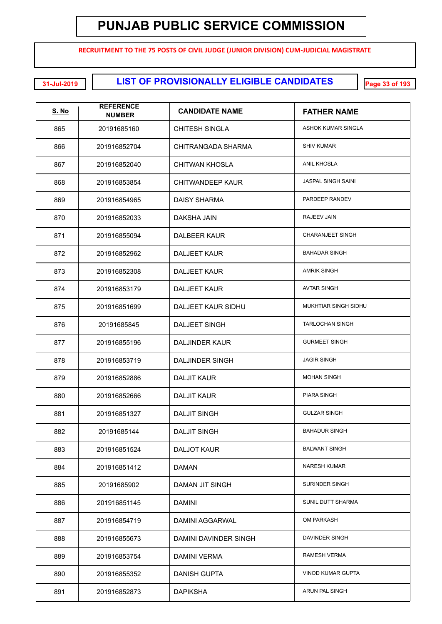**RECRUITMENT TO THE 75 POSTS OF CIVIL JUDGE (JUNIOR DIVISION) CUM-JUDICIAL MAGISTRATE**

**EXECUTE: LIST OF PROVISIONALLY ELIGIBLE CANDIDATES** 

| <u>S. No</u> | <b>REFERENCE</b><br><b>NUMBER</b> | <b>CANDIDATE NAME</b>     | <b>FATHER NAME</b>        |
|--------------|-----------------------------------|---------------------------|---------------------------|
| 865          | 20191685160                       | <b>CHITESH SINGLA</b>     | ASHOK KUMAR SINGLA        |
| 866          | 201916852704                      | CHITRANGADA SHARMA        | <b>SHIV KUMAR</b>         |
| 867          | 201916852040                      | <b>CHITWAN KHOSLA</b>     | <b>ANIL KHOSLA</b>        |
| 868          | 201916853854                      | <b>CHITWANDEEP KAUR</b>   | <b>JASPAL SINGH SAINI</b> |
| 869          | 201916854965                      | <b>DAISY SHARMA</b>       | PARDEEP RANDEV            |
| 870          | 201916852033                      | DAKSHA JAIN               | RAJEEV JAIN               |
| 871          | 201916855094                      | <b>DALBEER KAUR</b>       | <b>CHARANJEET SINGH</b>   |
| 872          | 201916852962                      | <b>DALJEET KAUR</b>       | <b>BAHADAR SINGH</b>      |
| 873          | 201916852308                      | <b>DALJEET KAUR</b>       | <b>AMRIK SINGH</b>        |
| 874          | 201916853179                      | <b>DALJEET KAUR</b>       | <b>AVTAR SINGH</b>        |
| 875          | 201916851699                      | <b>DALJEET KAUR SIDHU</b> | MUKHTIAR SINGH SIDHU      |
| 876          | 20191685845                       | DALJEET SINGH             | <b>TARLOCHAN SINGH</b>    |
| 877          | 201916855196                      | <b>DALJINDER KAUR</b>     | <b>GURMEET SINGH</b>      |
| 878          | 201916853719                      | <b>DALJINDER SINGH</b>    | <b>JAGIR SINGH</b>        |
| 879          | 201916852886                      | <b>DALJIT KAUR</b>        | <b>MOHAN SINGH</b>        |
| 880          | 201916852666                      | <b>DALJIT KAUR</b>        | <b>PIARA SINGH</b>        |
| 881          | 201916851327                      | <b>DALJIT SINGH</b>       | <b>GULZAR SINGH</b>       |
| 882          | 20191685144                       | <b>DALJIT SINGH</b>       | <b>BAHADUR SINGH</b>      |
| 883          | 201916851524                      | DALJOT KAUR               | <b>BALWANT SINGH</b>      |
| 884          | 201916851412                      | <b>DAMAN</b>              | <b>NARESH KUMAR</b>       |
| 885          | 20191685902                       | DAMAN JIT SINGH           | SURINDER SINGH            |
| 886          | 201916851145                      | <b>DAMINI</b>             | SUNIL DUTT SHARMA         |
| 887          | 201916854719                      | DAMINI AGGARWAL           | OM PARKASH                |
| 888          | 201916855673                      | DAMINI DAVINDER SINGH     | DAVINDER SINGH            |
| 889          | 201916853754                      | <b>DAMINI VERMA</b>       | RAMESH VERMA              |
| 890          | 201916855352                      | <b>DANISH GUPTA</b>       | <b>VINOD KUMAR GUPTA</b>  |
| 891          | 201916852873                      | <b>DAPIKSHA</b>           | ARUN PAL SINGH            |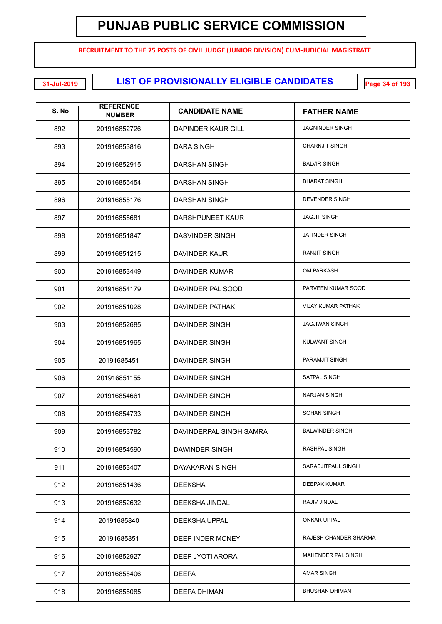**RECRUITMENT TO THE 75 POSTS OF CIVIL JUDGE (JUNIOR DIVISION) CUM-JUDICIAL MAGISTRATE**

**LIST OF PROVISIONALLY ELIGIBLE CANDIDATES 31-Jul-2019 Page 34 of 193**

| S. No | <b>REFERENCE</b><br><b>NUMBER</b> | <b>CANDIDATE NAME</b>   | <b>FATHER NAME</b>        |
|-------|-----------------------------------|-------------------------|---------------------------|
| 892   | 201916852726                      | DAPINDER KAUR GILL      | <b>JAGNINDER SINGH</b>    |
| 893   | 201916853816                      | DARA SINGH              | <b>CHARNJIT SINGH</b>     |
| 894   | 201916852915                      | DARSHAN SINGH           | <b>BALVIR SINGH</b>       |
| 895   | 201916855454                      | DARSHAN SINGH           | <b>BHARAT SINGH</b>       |
| 896   | 201916855176                      | <b>DARSHAN SINGH</b>    | <b>DEVENDER SINGH</b>     |
| 897   | 201916855681                      | DARSHPUNEET KAUR        | <b>JAGJIT SINGH</b>       |
| 898   | 201916851847                      | DASVINDER SINGH         | JATINDER SINGH            |
| 899   | 201916851215                      | <b>DAVINDER KAUR</b>    | <b>RANJIT SINGH</b>       |
| 900   | 201916853449                      | <b>DAVINDER KUMAR</b>   | <b>OM PARKASH</b>         |
| 901   | 201916854179                      | DAVINDER PAL SOOD       | PARVEEN KUMAR SOOD        |
| 902   | 201916851028                      | <b>DAVINDER PATHAK</b>  | <b>VIJAY KUMAR PATHAK</b> |
| 903   | 201916852685                      | <b>DAVINDER SINGH</b>   | <b>JAGJIWAN SINGH</b>     |
| 904   | 201916851965                      | <b>DAVINDER SINGH</b>   | KULWANT SINGH             |
| 905   | 20191685451                       | <b>DAVINDER SINGH</b>   | PARAMJIT SINGH            |
| 906   | 201916851155                      | <b>DAVINDER SINGH</b>   | SATPAL SINGH              |
| 907   | 201916854661                      | <b>DAVINDER SINGH</b>   | <b>NARJAN SINGH</b>       |
| 908   | 201916854733                      | <b>DAVINDER SINGH</b>   | <b>SOHAN SINGH</b>        |
| 909   | 201916853782                      | DAVINDERPAL SINGH SAMRA | <b>BALWINDER SINGH</b>    |
| 910   | 201916854590                      | DAWINDER SINGH          | RASHPAL SINGH             |
| 911   | 201916853407                      | DAYAKARAN SINGH         | SARABJITPAUL SINGH        |
| 912   | 201916851436                      | <b>DEEKSHA</b>          | <b>DEEPAK KUMAR</b>       |
| 913   | 201916852632                      | DEEKSHA JINDAL          | RAJIV JINDAL              |
| 914   | 20191685840                       | <b>DEEKSHA UPPAL</b>    | ONKAR UPPAL               |
| 915   | 20191685851                       | DEEP INDER MONEY        | RAJESH CHANDER SHARMA     |
| 916   | 201916852927                      | DEEP JYOTI ARORA        | MAHENDER PAL SINGH        |
| 917   | 201916855406                      | <b>DEEPA</b>            | AMAR SINGH                |
| 918   | 201916855085                      | <b>DEEPA DHIMAN</b>     | <b>BHUSHAN DHIMAN</b>     |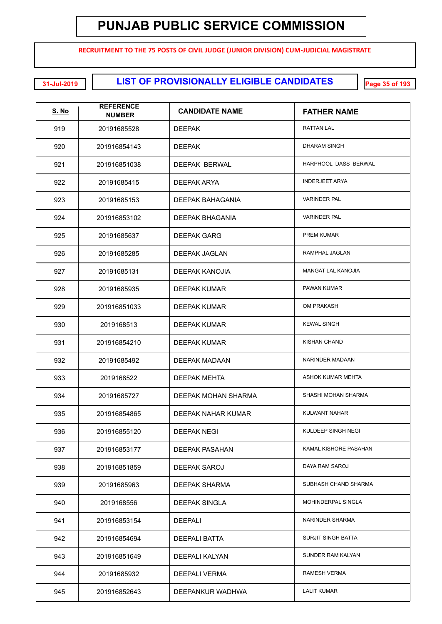**RECRUITMENT TO THE 75 POSTS OF CIVIL JUDGE (JUNIOR DIVISION) CUM-JUDICIAL MAGISTRATE**

**LIST OF PROVISIONALLY ELIGIBLE CANDIDATES 31-Jul-2019 Page 35 of 193**

| <u>S. No</u> | <b>REFERENCE</b><br><b>NUMBER</b> | <b>CANDIDATE NAME</b> | <b>FATHER NAME</b>        |
|--------------|-----------------------------------|-----------------------|---------------------------|
| 919          | 20191685528                       | <b>DEEPAK</b>         | <b>RATTAN LAL</b>         |
| 920          | 201916854143                      | <b>DEEPAK</b>         | <b>DHARAM SINGH</b>       |
| 921          | 201916851038                      | DEEPAK BERWAL         | HARPHOOL DASS BERWAL      |
| 922          | 20191685415                       | DEEPAK ARYA           | <b>INDERJEET ARYA</b>     |
| 923          | 20191685153                       | DEEPAK BAHAGANIA      | <b>VARINDER PAL</b>       |
| 924          | 201916853102                      | DEEPAK BHAGANIA       | <b>VARINDER PAL</b>       |
| 925          | 20191685637                       | <b>DEEPAK GARG</b>    | PREM KUMAR                |
| 926          | 20191685285                       | <b>DEEPAK JAGLAN</b>  | RAMPHAL JAGLAN            |
| 927          | 20191685131                       | DEEPAK KANOJIA        | MANGAT LAL KANOJIA        |
| 928          | 20191685935                       | DEEPAK KUMAR          | PAWAN KUMAR               |
| 929          | 201916851033                      | DEEPAK KUMAR          | <b>OM PRAKASH</b>         |
| 930          | 2019168513                        | DEEPAK KUMAR          | <b>KEWAL SINGH</b>        |
| 931          | 201916854210                      | DEEPAK KUMAR          | <b>KISHAN CHAND</b>       |
| 932          | 20191685492                       | DEEPAK MADAAN         | NARINDER MADAAN           |
| 933          | 2019168522                        | DEEPAK MEHTA          | <b>ASHOK KUMAR MEHTA</b>  |
| 934          | 20191685727                       | DEEPAK MOHAN SHARMA   | SHASHI MOHAN SHARMA       |
| 935          | 201916854865                      | DEEPAK NAHAR KUMAR    | KULWANT NAHAR             |
| 936          | 201916855120                      | DEEPAK NEGI           | KULDEEP SINGH NEGI        |
| 937          | 201916853177                      | DEEPAK PASAHAN        | KAMAL KISHORE PASAHAN     |
| 938          | 201916851859                      | DEEPAK SAROJ          | DAYA RAM SAROJ            |
| 939          | 20191685963                       | <b>DEEPAK SHARMA</b>  | SUBHASH CHAND SHARMA      |
| 940          | 2019168556                        | <b>DEEPAK SINGLA</b>  | MOHINDERPAL SINGLA        |
| 941          | 201916853154                      | <b>DEEPALI</b>        | NARINDER SHARMA           |
| 942          | 201916854694                      | <b>DEEPALI BATTA</b>  | <b>SURJIT SINGH BATTA</b> |
| 943          | 201916851649                      | DEEPALI KALYAN        | SUNDER RAM KALYAN         |
| 944          | 20191685932                       | DEEPALI VERMA         | <b>RAMESH VERMA</b>       |
| 945          | 201916852643                      | DEEPANKUR WADHWA      | <b>LALIT KUMAR</b>        |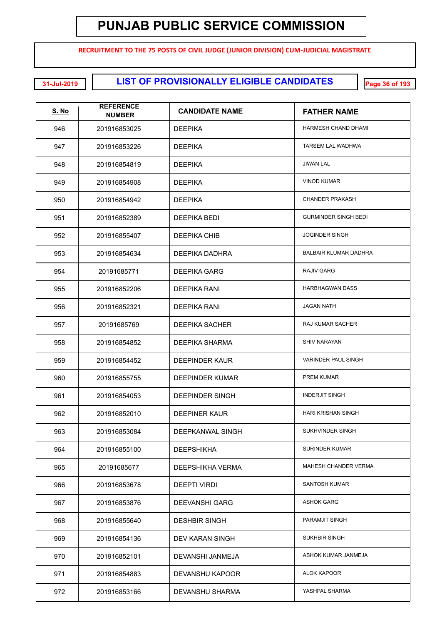**RECRUITMENT TO THE 75 POSTS OF CIVIL JUDGE (JUNIOR DIVISION) CUM-JUDICIAL MAGISTRATE**

**LIST OF PROVISIONALLY ELIGIBLE CANDIDATES 31-Jul-2019 Page 36 of 193**

| <u>S. No</u> | <b>REFERENCE</b><br><b>NUMBER</b> | <b>CANDIDATE NAME</b>  | <b>FATHER NAME</b>           |
|--------------|-----------------------------------|------------------------|------------------------------|
| 946          | 201916853025                      | <b>DEEPIKA</b>         | HARMESH CHAND DHAMI          |
| 947          | 201916853226                      | <b>DEEPIKA</b>         | TARSEM LAL WADHWA            |
| 948          | 201916854819                      | <b>DEEPIKA</b>         | <b>JIWAN LAL</b>             |
| 949          | 201916854908                      | <b>DEEPIKA</b>         | <b>VINOD KUMAR</b>           |
| 950          | 201916854942                      | <b>DEEPIKA</b>         | <b>CHANDER PRAKASH</b>       |
| 951          | 201916852389                      | DEEPIKA BEDI           | <b>GURMINDER SINGH BEDI</b>  |
| 952          | 201916855407                      | DEEPIKA CHIB           | <b>JOGINDER SINGH</b>        |
| 953          | 201916854634                      | <b>DEEPIKA DADHRA</b>  | <b>BALBAIR KLUMAR DADHRA</b> |
| 954          | 20191685771                       | <b>DEEPIKA GARG</b>    | <b>RAJIV GARG</b>            |
| 955          | 201916852206                      | DEEPIKA RANI           | <b>HARBHAGWAN DASS</b>       |
| 956          | 201916852321                      | <b>DEEPIKA RANI</b>    | <b>JAGAN NATH</b>            |
| 957          | 20191685769                       | <b>DEEPIKA SACHER</b>  | <b>RAJ KUMAR SACHER</b>      |
| 958          | 201916854852                      | <b>DEEPIKA SHARMA</b>  | <b>SHIV NARAYAN</b>          |
| 959          | 201916854452                      | <b>DEEPINDER KAUR</b>  | <b>VARINDER PAUL SINGH</b>   |
| 960          | 201916855755                      | <b>DEEPINDER KUMAR</b> | <b>PREM KUMAR</b>            |
| 961          | 201916854053                      | <b>DEEPINDER SINGH</b> | <b>INDERJIT SINGH</b>        |
| 962          | 201916852010                      | <b>DEEPINER KAUR</b>   | <b>HARI KRISHAN SINGH</b>    |
| 963          | 201916853084                      | DEEPKANWAL SINGH       | SUKHVINDER SINGH             |
| 964          | 201916855100                      | <b>DEEPSHIKHA</b>      | <b>SURINDER KUMAR</b>        |
| 965          | 20191685677                       | DEEPSHIKHA VERMA       | MAHESH CHANDER VERMA         |
| 966          | 201916853678                      | <b>DEEPTI VIRDI</b>    | <b>SANTOSH KUMAR</b>         |
| 967          | 201916853876                      | <b>DEEVANSHI GARG</b>  | <b>ASHOK GARG</b>            |
| 968          | 201916855640                      | <b>DESHBIR SINGH</b>   | PARAMJIT SINGH               |
| 969          | 201916854136                      | DEV KARAN SINGH        | SUKHBIR SINGH                |
| 970          | 201916852101                      | DEVANSHI JANMEJA       | ASHOK KUMAR JANMEJA          |
| 971          | 201916854883                      | DEVANSHU KAPOOR        | <b>ALOK KAPOOR</b>           |
| 972          | 201916853166                      | DEVANSHU SHARMA        | YASHPAL SHARMA               |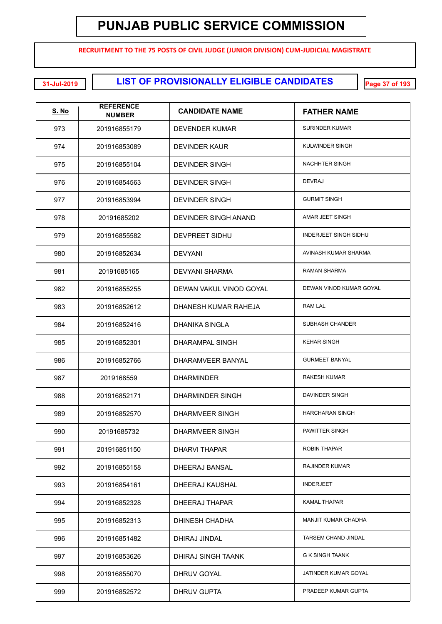**RECRUITMENT TO THE 75 POSTS OF CIVIL JUDGE (JUNIOR DIVISION) CUM-JUDICIAL MAGISTRATE**

**LIST OF PROVISIONALLY ELIGIBLE CANDIDATES 31-Jul-2019 Page 37 of 193**

| <u>S. No</u> | <b>REFERENCE</b><br><b>NUMBER</b> | <b>CANDIDATE NAME</b>       | <b>FATHER NAME</b>           |
|--------------|-----------------------------------|-----------------------------|------------------------------|
| 973          | 201916855179                      | DEVENDER KUMAR              | <b>SURINDER KUMAR</b>        |
| 974          | 201916853089                      | DEVINDER KAUR               | KULWINDER SINGH              |
| 975          | 201916855104                      | <b>DEVINDER SINGH</b>       | <b>NACHHTER SINGH</b>        |
| 976          | 201916854563                      | <b>DEVINDER SINGH</b>       | <b>DEVRAJ</b>                |
| 977          | 201916853994                      | <b>DEVINDER SINGH</b>       | <b>GURMIT SINGH</b>          |
| 978          | 20191685202                       | <b>DEVINDER SINGH ANAND</b> | AMAR JEET SINGH              |
| 979          | 201916855582                      | DEVPREET SIDHU              | <b>INDERJEET SINGH SIDHU</b> |
| 980          | 201916852634                      | <b>DEVYANI</b>              | AVINASH KUMAR SHARMA         |
| 981          | 20191685165                       | <b>DEVYANI SHARMA</b>       | RAMAN SHARMA                 |
| 982          | 201916855255                      | DEWAN VAKUL VINOD GOYAL     | DEWAN VINOD KUMAR GOYAL      |
| 983          | 201916852612                      | DHANESH KUMAR RAHEJA        | <b>RAM LAL</b>               |
| 984          | 201916852416                      | <b>DHANIKA SINGLA</b>       | SUBHASH CHANDER              |
| 985          | 201916852301                      | <b>DHARAMPAL SINGH</b>      | <b>KEHAR SINGH</b>           |
| 986          | 201916852766                      | DHARAMVEER BANYAL           | <b>GURMEET BANYAL</b>        |
| 987          | 2019168559                        | <b>DHARMINDER</b>           | <b>RAKESH KUMAR</b>          |
| 988          | 201916852171                      | <b>DHARMINDER SINGH</b>     | DAVINDER SINGH               |
| 989          | 201916852570                      | <b>DHARMVEER SINGH</b>      | <b>HARCHARAN SINGH</b>       |
| 990          | 20191685732                       | DHARMVEER SINGH             | PAWITTER SINGH               |
| 991          | 201916851150                      | <b>DHARVI THAPAR</b>        | <b>ROBIN THAPAR</b>          |
| 992          | 201916855158                      | DHEERAJ BANSAL              | <b>RAJINDER KUMAR</b>        |
| 993          | 201916854161                      | DHEERAJ KAUSHAL             | <b>INDERJEET</b>             |
| 994          | 201916852328                      | DHEERAJ THAPAR              | <b>KAMAL THAPAR</b>          |
| 995          | 201916852313                      | DHINESH CHADHA              | <b>MANJIT KUMAR CHADHA</b>   |
| 996          | 201916851482                      | DHIRAJ JINDAL               | TARSEM CHAND JINDAL          |
| 997          | 201916853626                      | DHIRAJ SINGH TAANK          | <b>G K SINGH TAANK</b>       |
| 998          | 201916855070                      | <b>DHRUV GOYAL</b>          | JATINDER KUMAR GOYAL         |
| 999          | 201916852572                      | <b>DHRUV GUPTA</b>          | PRADEEP KUMAR GUPTA          |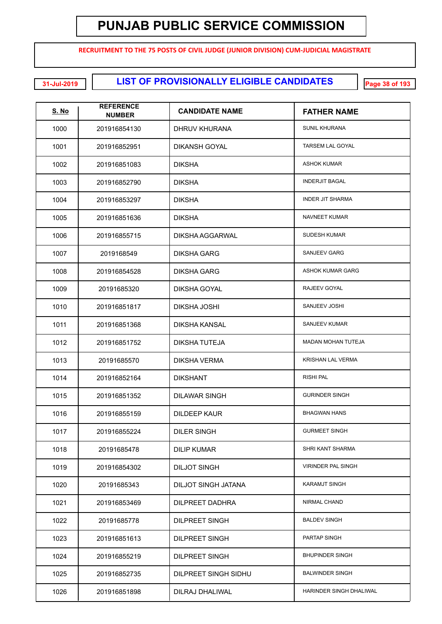**RECRUITMENT TO THE 75 POSTS OF CIVIL JUDGE (JUNIOR DIVISION) CUM-JUDICIAL MAGISTRATE**

**LIST OF PROVISIONALLY ELIGIBLE CANDIDATES 31-Jul-2019 Page 38 of 193**

| <u>S. No</u> | <b>REFERENCE</b><br><b>NUMBER</b> | <b>CANDIDATE NAME</b>  | <b>FATHER NAME</b>        |
|--------------|-----------------------------------|------------------------|---------------------------|
| 1000         | 201916854130                      | DHRUV KHURANA          | <b>SUNIL KHURANA</b>      |
| 1001         | 201916852951                      | <b>DIKANSH GOYAL</b>   | <b>TARSEM LAL GOYAL</b>   |
| 1002         | 201916851083                      | <b>DIKSHA</b>          | <b>ASHOK KUMAR</b>        |
| 1003         | 201916852790                      | <b>DIKSHA</b>          | <b>INDERJIT BAGAL</b>     |
| 1004         | 201916853297                      | <b>DIKSHA</b>          | <b>INDER JIT SHARMA</b>   |
| 1005         | 201916851636                      | <b>DIKSHA</b>          | <b>NAVNEET KUMAR</b>      |
| 1006         | 201916855715                      | <b>DIKSHA AGGARWAL</b> | <b>SUDESH KUMAR</b>       |
| 1007         | 2019168549                        | <b>DIKSHA GARG</b>     | <b>SANJEEV GARG</b>       |
| 1008         | 201916854528                      | <b>DIKSHA GARG</b>     | <b>ASHOK KUMAR GARG</b>   |
| 1009         | 20191685320                       | <b>DIKSHA GOYAL</b>    | RAJEEV GOYAL              |
| 1010         | 201916851817                      | <b>DIKSHA JOSHI</b>    | SANJEEV JOSHI             |
| 1011         | 201916851368                      | <b>DIKSHA KANSAL</b>   | <b>SANJEEV KUMAR</b>      |
| 1012         | 201916851752                      | DIKSHA TUTEJA          | <b>MADAN MOHAN TUTEJA</b> |
| 1013         | 20191685570                       | <b>DIKSHA VERMA</b>    | <b>KRISHAN LAL VERMA</b>  |
| 1014         | 201916852164                      | <b>DIKSHANT</b>        | <b>RISHI PAL</b>          |
| 1015         | 201916851352                      | <b>DILAWAR SINGH</b>   | <b>GURINDER SINGH</b>     |
| 1016         | 201916855159                      | <b>DILDEEP KAUR</b>    | <b>BHAGWAN HANS</b>       |
| 1017         | 201916855224                      | <b>DILER SINGH</b>     | <b>GURMEET SINGH</b>      |
| 1018         | 20191685478                       | <b>DILIP KUMAR</b>     | SHRI KANT SHARMA          |
| 1019         | 201916854302                      | <b>DILJOT SINGH</b>    | <b>VIRINDER PAL SINGH</b> |
| 1020         | 20191685343                       | DILJOT SINGH JATANA    | <b>KARAMJT SINGH</b>      |
| 1021         | 201916853469                      | <b>DILPREET DADHRA</b> | <b>NIRMAL CHAND</b>       |
| 1022         | 20191685778                       | <b>DILPREET SINGH</b>  | <b>BALDEV SINGH</b>       |
| 1023         | 201916851613                      | <b>DILPREET SINGH</b>  | PARTAP SINGH              |
| 1024         | 201916855219                      | <b>DILPREET SINGH</b>  | <b>BHUPINDER SINGH</b>    |
| 1025         | 201916852735                      | DILPREET SINGH SIDHU   | <b>BALWINDER SINGH</b>    |
| 1026         | 201916851898                      | DILRAJ DHALIWAL        | HARINDER SINGH DHALIWAL   |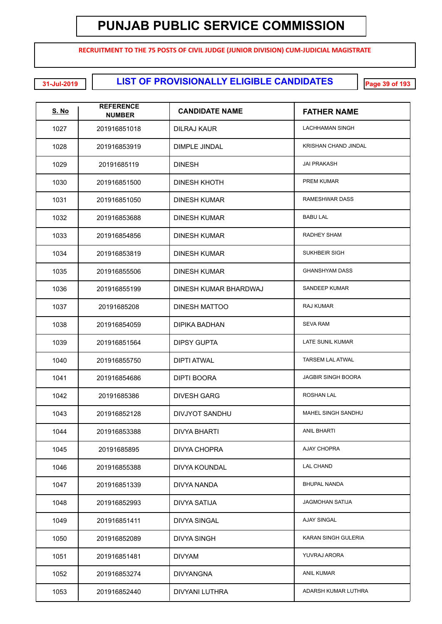**RECRUITMENT TO THE 75 POSTS OF CIVIL JUDGE (JUNIOR DIVISION) CUM-JUDICIAL MAGISTRATE**

**LIST OF PROVISIONALLY ELIGIBLE CANDIDATES 31-Jul-2019 Page 39 of 193**

| <u>S. No</u> | <b>REFERENCE</b><br><b>NUMBER</b> | <b>CANDIDATE NAME</b> | <b>FATHER NAME</b>        |
|--------------|-----------------------------------|-----------------------|---------------------------|
| 1027         | 201916851018                      | DILRAJ KAUR           | <b>LACHHAMAN SINGH</b>    |
| 1028         | 201916853919                      | <b>DIMPLE JINDAL</b>  | KRISHAN CHAND JINDAL      |
| 1029         | 20191685119                       | <b>DINESH</b>         | <b>JAI PRAKASH</b>        |
| 1030         | 201916851500                      | DINESH KHOTH          | <b>PREM KUMAR</b>         |
| 1031         | 201916851050                      | DINESH KUMAR          | RAMESHWAR DASS            |
| 1032         | 201916853688                      | DINESH KUMAR          | <b>BABU LAL</b>           |
| 1033         | 201916854856                      | DINESH KUMAR          | RADHEY SHAM               |
| 1034         | 201916853819                      | <b>DINESH KUMAR</b>   | <b>SUKHBEIR SIGH</b>      |
| 1035         | 201916855506                      | <b>DINESH KUMAR</b>   | <b>GHANSHYAM DASS</b>     |
| 1036         | 201916855199                      | DINESH KUMAR BHARDWAJ | SANDEEP KUMAR             |
| 1037         | 20191685208                       | <b>DINESH MATTOO</b>  | <b>RAJ KUMAR</b>          |
| 1038         | 201916854059                      | <b>DIPIKA BADHAN</b>  | <b>SEVA RAM</b>           |
| 1039         | 201916851564                      | <b>DIPSY GUPTA</b>    | LATE SUNIL KUMAR          |
| 1040         | 201916855750                      | <b>DIPTI ATWAL</b>    | <b>TARSEM LAL ATWAL</b>   |
| 1041         | 201916854686                      | <b>DIPTI BOORA</b>    | <b>JAGBIR SINGH BOORA</b> |
| 1042         | 20191685386                       | <b>DIVESH GARG</b>    | ROSHAN LAL                |
| 1043         | 201916852128                      | DIVJYOT SANDHU        | MAHEL SINGH SANDHU        |
| 1044         | 201916853388                      | <b>DIVYA BHARTI</b>   | <b>ANIL BHARTI</b>        |
| 1045         | 20191685895                       | DIVYA CHOPRA          | AJAY CHOPRA               |
| 1046         | 201916855388                      | DIVYA KOUNDAL         | <b>LAL CHAND</b>          |
| 1047         | 201916851339                      | DIVYA NANDA           | <b>BHUPAL NANDA</b>       |
| 1048         | 201916852993                      | <b>DIVYA SATIJA</b>   | <b>JAGMOHAN SATIJA</b>    |
| 1049         | 201916851411                      | <b>DIVYA SINGAL</b>   | <b>AJAY SINGAL</b>        |
| 1050         | 201916852089                      | <b>DIVYA SINGH</b>    | KARAN SINGH GULERIA       |
| 1051         | 201916851481                      | <b>DIVYAM</b>         | YUVRAJ ARORA              |
| 1052         | 201916853274                      | <b>DIVYANGNA</b>      | <b>ANIL KUMAR</b>         |
| 1053         | 201916852440                      | DIVYANI LUTHRA        | ADARSH KUMAR LUTHRA       |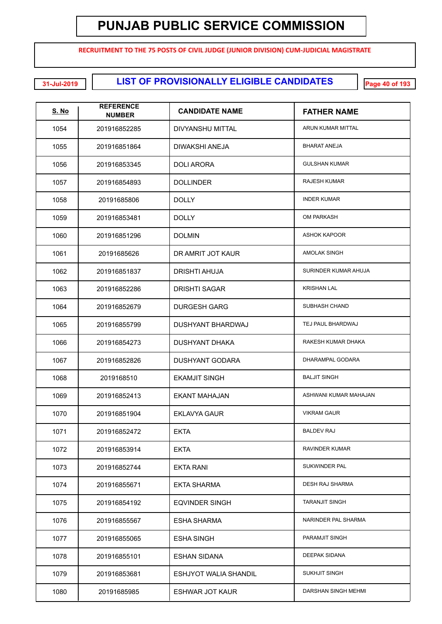**RECRUITMENT TO THE 75 POSTS OF CIVIL JUDGE (JUNIOR DIVISION) CUM-JUDICIAL MAGISTRATE**

**LIST OF PROVISIONALLY ELIGIBLE CANDIDATES 31-Jul-2019 Page 40 of 193**

| <u>S. No</u> | <b>REFERENCE</b><br><b>NUMBER</b> | <b>CANDIDATE NAME</b>        | <b>FATHER NAME</b>     |
|--------------|-----------------------------------|------------------------------|------------------------|
| 1054         | 201916852285                      | DIVYANSHU MITTAL             | ARUN KUMAR MITTAL      |
| 1055         | 201916851864                      | <b>DIWAKSHI ANEJA</b>        | <b>BHARAT ANEJA</b>    |
| 1056         | 201916853345                      | <b>DOLI ARORA</b>            | <b>GULSHAN KUMAR</b>   |
| 1057         | 201916854893                      | <b>DOLLINDER</b>             | <b>RAJESH KUMAR</b>    |
| 1058         | 20191685806                       | <b>DOLLY</b>                 | <b>INDER KUMAR</b>     |
| 1059         | 201916853481                      | <b>DOLLY</b>                 | <b>OM PARKASH</b>      |
| 1060         | 201916851296                      | <b>DOLMIN</b>                | <b>ASHOK KAPOOR</b>    |
| 1061         | 20191685626                       | DR AMRIT JOT KAUR            | AMOLAK SINGH           |
| 1062         | 201916851837                      | <b>DRISHTI AHUJA</b>         | SURINDER KUMAR AHUJA   |
| 1063         | 201916852286                      | <b>DRISHTI SAGAR</b>         | <b>KRISHAN LAL</b>     |
| 1064         | 201916852679                      | <b>DURGESH GARG</b>          | SUBHASH CHAND          |
| 1065         | 201916855799                      | <b>DUSHYANT BHARDWAJ</b>     | TEJ PAUL BHARDWAJ      |
| 1066         | 201916854273                      | <b>DUSHYANT DHAKA</b>        | RAKESH KUMAR DHAKA     |
| 1067         | 201916852826                      | <b>DUSHYANT GODARA</b>       | DHARAMPAL GODARA       |
| 1068         | 2019168510                        | <b>EKAMJIT SINGH</b>         | <b>BALJIT SINGH</b>    |
| 1069         | 201916852413                      | <b>EKANT MAHAJAN</b>         | ASHWANI KUMAR MAHAJAN  |
| 1070         | 201916851904                      | <b>EKLAVYA GAUR</b>          | <b>VIKRAM GAUR</b>     |
| 1071         | 201916852472                      | <b>EKTA</b>                  | <b>BALDEV RAJ</b>      |
| 1072         | 201916853914                      | <b>EKTA</b>                  | <b>RAVINDER KUMAR</b>  |
| 1073         | 201916852744                      | <b>EKTA RANI</b>             | <b>SUKWINDER PAL</b>   |
| 1074         | 201916855671                      | <b>EKTA SHARMA</b>           | <b>DESH RAJ SHARMA</b> |
| 1075         | 201916854192                      | <b>EQVINDER SINGH</b>        | <b>TARANJIT SINGH</b>  |
| 1076         | 201916855567                      | <b>ESHA SHARMA</b>           | NARINDER PAL SHARMA    |
| 1077         | 201916855065                      | <b>ESHA SINGH</b>            | PARAMJIT SINGH         |
| 1078         | 201916855101                      | <b>ESHAN SIDANA</b>          | DEEPAK SIDANA          |
| 1079         | 201916853681                      | <b>ESHJYOT WALIA SHANDIL</b> | <b>SUKHJIT SINGH</b>   |
| 1080         | 20191685985                       | <b>ESHWAR JOT KAUR</b>       | DARSHAN SINGH MEHMI    |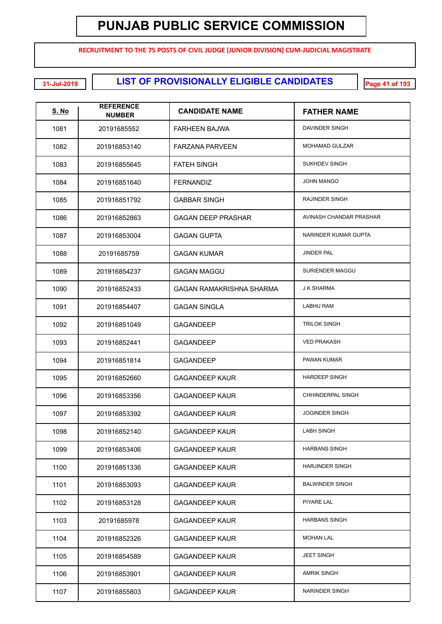**RECRUITMENT TO THE 75 POSTS OF CIVIL JUDGE (JUNIOR DIVISION) CUM-JUDICIAL MAGISTRATE**

**LIST OF PROVISIONALLY ELIGIBLE CANDIDATES 31-Jul-2019 Page 41 of 193**

| <b>S. No</b> | <b>REFERENCE</b><br><b>NUMBER</b> | <b>CANDIDATE NAME</b>           | <b>FATHER NAME</b>      |
|--------------|-----------------------------------|---------------------------------|-------------------------|
| 1081         | 20191685552                       | <b>FARHEEN BAJWA</b>            | DAVINDER SINGH          |
| 1082         | 201916853140                      | <b>FARZANA PARVEEN</b>          | <b>MOHAMAD GULZAR</b>   |
| 1083         | 201916855645                      | <b>FATEH SINGH</b>              | SUKHDEV SINGH           |
| 1084         | 201916851640                      | <b>FERNANDIZ</b>                | <b>JOHN MANGO</b>       |
| 1085         | 201916851792                      | <b>GABBAR SINGH</b>             | <b>RAJINDER SINGH</b>   |
| 1086         | 201916852863                      | <b>GAGAN DEEP PRASHAR</b>       | AVINASH CHANDAR PRASHAR |
| 1087         | 201916853004                      | <b>GAGAN GUPTA</b>              | NARINDER KUMAR GUPTA    |
| 1088         | 20191685759                       | <b>GAGAN KUMAR</b>              | <b>JINDER PAL</b>       |
| 1089         | 201916854237                      | <b>GAGAN MAGGU</b>              | SURIENDER MAGGU         |
| 1090         | 201916852433                      | <b>GAGAN RAMAKRISHNA SHARMA</b> | <b>J K SHARMA</b>       |
| 1091         | 201916854407                      | <b>GAGAN SINGLA</b>             | <b>LABHU RAM</b>        |
| 1092         | 201916851049                      | <b>GAGANDEEP</b>                | <b>TRILOK SINGH</b>     |
| 1093         | 201916852441                      | <b>GAGANDEEP</b>                | <b>VED PRAKASH</b>      |
| 1094         | 201916851814                      | <b>GAGANDEEP</b>                | PAWAN KUMAR             |
| 1095         | 201916852660                      | <b>GAGANDEEP KAUR</b>           | <b>HARDEEP SINGH</b>    |
| 1096         | 201916853356                      | <b>GAGANDEEP KAUR</b>           | CHHINDERPAL SINGH       |
| 1097         | 201916853392                      | <b>GAGANDEEP KAUR</b>           | <b>JOGINDER SINGH</b>   |
| 1098         | 201916852140                      | <b>GAGANDEEP KAUR</b>           | <b>LABH SINGH</b>       |
| 1099         | 201916853406                      | <b>GAGANDEEP KAUR</b>           | <b>HARBANS SINGH</b>    |
| 1100         | 201916851336                      | <b>GAGANDEEP KAUR</b>           | <b>HARJINDER SINGH</b>  |
| 1101         | 201916853093                      | <b>GAGANDEEP KAUR</b>           | <b>BALWINDER SINGH</b>  |
| 1102         | 201916853128                      | <b>GAGANDEEP KAUR</b>           | PIYARE LAL              |
| 1103         | 20191685978                       | <b>GAGANDEEP KAUR</b>           | <b>HARBANS SINGH</b>    |
| 1104         | 201916852326                      | <b>GAGANDEEP KAUR</b>           | <b>MOHAN LAL</b>        |
| 1105         | 201916854589                      | <b>GAGANDEEP KAUR</b>           | <b>JEET SINGH</b>       |
| 1106         | 201916853901                      | <b>GAGANDEEP KAUR</b>           | <b>AMRIK SINGH</b>      |
| 1107         | 201916855803                      | <b>GAGANDEEP KAUR</b>           | NARINDER SINGH          |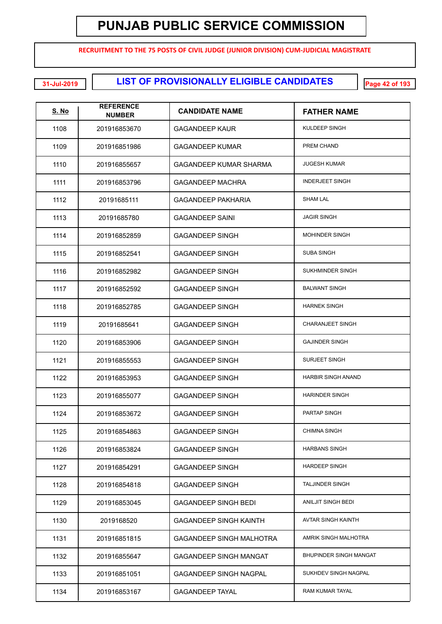**RECRUITMENT TO THE 75 POSTS OF CIVIL JUDGE (JUNIOR DIVISION) CUM-JUDICIAL MAGISTRATE**

**LIST OF PROVISIONALLY ELIGIBLE CANDIDATES 31-Jul-2019 Page 42 of 193**

| <u>S. No</u> | <b>REFERENCE</b><br><b>NUMBER</b> | <b>CANDIDATE NAME</b>           | <b>FATHER NAME</b>        |
|--------------|-----------------------------------|---------------------------------|---------------------------|
| 1108         | 201916853670                      | <b>GAGANDEEP KAUR</b>           | KULDEEP SINGH             |
| 1109         | 201916851986                      | <b>GAGANDEEP KUMAR</b>          | PREM CHAND                |
| 1110         | 201916855657                      | GAGANDEEP KUMAR SHARMA          | <b>JUGESH KUMAR</b>       |
| 1111         | 201916853796                      | <b>GAGANDEEP MACHRA</b>         | <b>INDERJEET SINGH</b>    |
| 1112         | 20191685111                       | <b>GAGANDEEP PAKHARIA</b>       | <b>SHAM LAL</b>           |
| 1113         | 20191685780                       | <b>GAGANDEEP SAINI</b>          | <b>JAGIR SINGH</b>        |
| 1114         | 201916852859                      | <b>GAGANDEEP SINGH</b>          | <b>MOHINDER SINGH</b>     |
| 1115         | 201916852541                      | <b>GAGANDEEP SINGH</b>          | <b>SUBA SINGH</b>         |
| 1116         | 201916852982                      | <b>GAGANDEEP SINGH</b>          | SUKHMINDER SINGH          |
| 1117         | 201916852592                      | <b>GAGANDEEP SINGH</b>          | <b>BALWANT SINGH</b>      |
| 1118         | 201916852785                      | <b>GAGANDEEP SINGH</b>          | <b>HARNEK SINGH</b>       |
| 1119         | 20191685641                       | <b>GAGANDEEP SINGH</b>          | <b>CHARANJEET SINGH</b>   |
| 1120         | 201916853906                      | <b>GAGANDEEP SINGH</b>          | <b>GAJINDER SINGH</b>     |
| 1121         | 201916855553                      | <b>GAGANDEEP SINGH</b>          | <b>SURJEET SINGH</b>      |
| 1122         | 201916853953                      | <b>GAGANDEEP SINGH</b>          | <b>HARBIR SINGH ANAND</b> |
| 1123         | 201916855077                      | <b>GAGANDEEP SINGH</b>          | <b>HARINDER SINGH</b>     |
| 1124         | 201916853672                      | <b>GAGANDEEP SINGH</b>          | PARTAP SINGH              |
| 1125         | 201916854863                      | <b>GAGANDEEP SINGH</b>          | <b>CHIMNA SINGH</b>       |
| 1126         | 201916853824                      | <b>GAGANDEEP SINGH</b>          | <b>HARBANS SINGH</b>      |
| 1127         | 201916854291                      | <b>GAGANDEEP SINGH</b>          | <b>HARDEEP SINGH</b>      |
| 1128         | 201916854818                      | <b>GAGANDEEP SINGH</b>          | <b>TALJINDER SINGH</b>    |
| 1129         | 201916853045                      | <b>GAGANDEEP SINGH BEDI</b>     | ANILJIT SINGH BEDI        |
| 1130         | 2019168520                        | <b>GAGANDEEP SINGH KAINTH</b>   | AVTAR SINGH KAINTH        |
| 1131         | 201916851815                      | <b>GAGANDEEP SINGH MALHOTRA</b> | AMRIK SINGH MALHOTRA      |
| 1132         | 201916855647                      | <b>GAGANDEEP SINGH MANGAT</b>   | BHUPINDER SINGH MANGAT    |
| 1133         | 201916851051                      | <b>GAGANDEEP SINGH NAGPAL</b>   | SUKHDEV SINGH NAGPAL      |
| 1134         | 201916853167                      | <b>GAGANDEEP TAYAL</b>          | RAM KUMAR TAYAL           |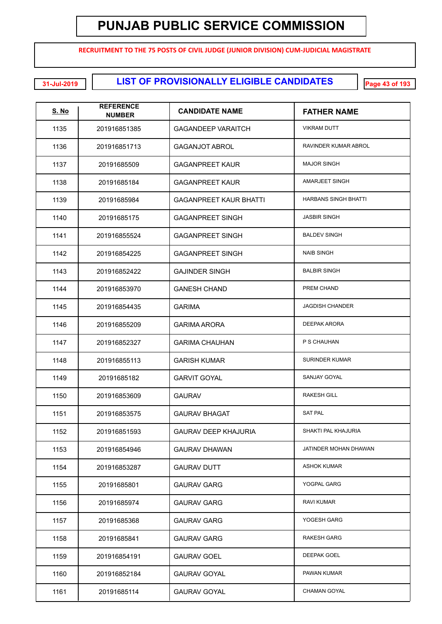**RECRUITMENT TO THE 75 POSTS OF CIVIL JUDGE (JUNIOR DIVISION) CUM-JUDICIAL MAGISTRATE**

**LIST OF PROVISIONALLY ELIGIBLE CANDIDATES 31-Jul-2019 Page 43 of 193**

| <b>S. No</b> | <b>REFERENCE</b><br><b>NUMBER</b> | <b>CANDIDATE NAME</b>         | <b>FATHER NAME</b>          |
|--------------|-----------------------------------|-------------------------------|-----------------------------|
| 1135         | 201916851385                      | <b>GAGANDEEP VARAITCH</b>     | <b>VIKRAM DUTT</b>          |
| 1136         | 201916851713                      | <b>GAGANJOT ABROL</b>         | RAVINDER KUMAR ABROL        |
| 1137         | 20191685509                       | <b>GAGANPREET KAUR</b>        | <b>MAJOR SINGH</b>          |
| 1138         | 20191685184                       | <b>GAGANPREET KAUR</b>        | <b>AMARJEET SINGH</b>       |
| 1139         | 20191685984                       | <b>GAGANPREET KAUR BHATTI</b> | <b>HARBANS SINGH BHATTI</b> |
| 1140         | 20191685175                       | <b>GAGANPREET SINGH</b>       | <b>JASBIR SINGH</b>         |
| 1141         | 201916855524                      | <b>GAGANPREET SINGH</b>       | <b>BALDEV SINGH</b>         |
| 1142         | 201916854225                      | <b>GAGANPREET SINGH</b>       | <b>NAIB SINGH</b>           |
| 1143         | 201916852422                      | <b>GAJINDER SINGH</b>         | <b>BALBIR SINGH</b>         |
| 1144         | 201916853970                      | <b>GANESH CHAND</b>           | PREM CHAND                  |
| 1145         | 201916854435                      | <b>GARIMA</b>                 | <b>JAGDISH CHANDER</b>      |
| 1146         | 201916855209                      | <b>GARIMA ARORA</b>           | <b>DEEPAK ARORA</b>         |
| 1147         | 201916852327                      | <b>GARIMA CHAUHAN</b>         | P S CHAUHAN                 |
| 1148         | 201916855113                      | <b>GARISH KUMAR</b>           | <b>SURINDER KUMAR</b>       |
| 1149         | 20191685182                       | <b>GARVIT GOYAL</b>           | SANJAY GOYAL                |
| 1150         | 201916853609                      | <b>GAURAV</b>                 | <b>RAKESH GILL</b>          |
| 1151         | 201916853575                      | <b>GAURAV BHAGAT</b>          | <b>SAT PAL</b>              |
| 1152         | 201916851593                      | GAURAV DEEP KHAJURIA          | SHAKTI PAL KHAJURIA         |
| 1153         | 201916854946                      | <b>GAURAV DHAWAN</b>          | JATINDER MOHAN DHAWAN       |
| 1154         | 201916853287                      | <b>GAURAV DUTT</b>            | <b>ASHOK KUMAR</b>          |
| 1155         | 20191685801                       | <b>GAURAV GARG</b>            | YOGPAL GARG                 |
| 1156         | 20191685974                       | <b>GAURAV GARG</b>            | <b>RAVI KUMAR</b>           |
| 1157         | 20191685368                       | <b>GAURAV GARG</b>            | YOGESH GARG                 |
| 1158         | 20191685841                       | <b>GAURAV GARG</b>            | <b>RAKESH GARG</b>          |
| 1159         | 201916854191                      | <b>GAURAV GOEL</b>            | <b>DEEPAK GOEL</b>          |
| 1160         | 201916852184                      | <b>GAURAV GOYAL</b>           | PAWAN KUMAR                 |
| 1161         | 20191685114                       | <b>GAURAV GOYAL</b>           | <b>CHAMAN GOYAL</b>         |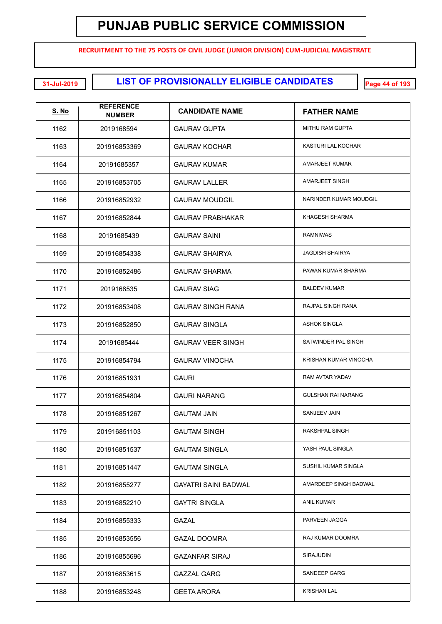**RECRUITMENT TO THE 75 POSTS OF CIVIL JUDGE (JUNIOR DIVISION) CUM-JUDICIAL MAGISTRATE**

**LIST OF PROVISIONALLY ELIGIBLE CANDIDATES 31-Jul-2019 Page 44 of 193**

| <b>S. No</b> | <b>REFERENCE</b><br><b>NUMBER</b> | <b>CANDIDATE NAME</b>    | <b>FATHER NAME</b>        |
|--------------|-----------------------------------|--------------------------|---------------------------|
| 1162         | 2019168594                        | <b>GAURAV GUPTA</b>      | MITHU RAM GUPTA           |
| 1163         | 201916853369                      | <b>GAURAV KOCHAR</b>     | KASTURI LAL KOCHAR        |
| 1164         | 20191685357                       | <b>GAURAV KUMAR</b>      | AMARJEET KUMAR            |
| 1165         | 201916853705                      | <b>GAURAV LALLER</b>     | AMARJEET SINGH            |
| 1166         | 201916852932                      | <b>GAURAV MOUDGIL</b>    | NARINDER KUMAR MOUDGIL    |
| 1167         | 201916852844                      | <b>GAURAV PRABHAKAR</b>  | KHAGESH SHARMA            |
| 1168         | 20191685439                       | <b>GAURAV SAINI</b>      | <b>RAMNIWAS</b>           |
| 1169         | 201916854338                      | <b>GAURAV SHAIRYA</b>    | <b>JAGDISH SHAIRYA</b>    |
| 1170         | 201916852486                      | <b>GAURAV SHARMA</b>     | PAWAN KUMAR SHARMA        |
| 1171         | 2019168535                        | <b>GAURAV SIAG</b>       | <b>BALDEV KUMAR</b>       |
| 1172         | 201916853408                      | <b>GAURAV SINGH RANA</b> | RAJPAL SINGH RANA         |
| 1173         | 201916852850                      | <b>GAURAV SINGLA</b>     | <b>ASHOK SINGLA</b>       |
| 1174         | 20191685444                       | <b>GAURAV VEER SINGH</b> | SATWINDER PAL SINGH       |
| 1175         | 201916854794                      | <b>GAURAV VINOCHA</b>    | KRISHAN KUMAR VINOCHA     |
| 1176         | 201916851931                      | <b>GAURI</b>             | RAM AVTAR YADAV           |
| 1177         | 201916854804                      | <b>GAURI NARANG</b>      | <b>GULSHAN RAI NARANG</b> |
| 1178         | 201916851267                      | <b>GAUTAM JAIN</b>       | SANJEEV JAIN              |
| 1179         | 201916851103                      | <b>GAUTAM SINGH</b>      | <b>RAKSHPAL SINGH</b>     |
| 1180         | 201916851537                      | <b>GAUTAM SINGLA</b>     | YASH PAUL SINGLA          |
| 1181         | 201916851447                      | <b>GAUTAM SINGLA</b>     | SUSHIL KUMAR SINGLA       |
| 1182         | 201916855277                      | GAYATRI SAINI BADWAL     | AMARDEEP SINGH BADWAL     |
| 1183         | 201916852210                      | <b>GAYTRI SINGLA</b>     | <b>ANIL KUMAR</b>         |
| 1184         | 201916855333                      | <b>GAZAL</b>             | PARVEEN JAGGA             |
| 1185         | 201916853556                      | <b>GAZAL DOOMRA</b>      | RAJ KUMAR DOOMRA          |
| 1186         | 201916855696                      | <b>GAZANFAR SIRAJ</b>    | SIRAJUDIN                 |
| 1187         | 201916853615                      | <b>GAZZAL GARG</b>       | SANDEEP GARG              |
| 1188         | 201916853248                      | <b>GEETA ARORA</b>       | <b>KRISHAN LAL</b>        |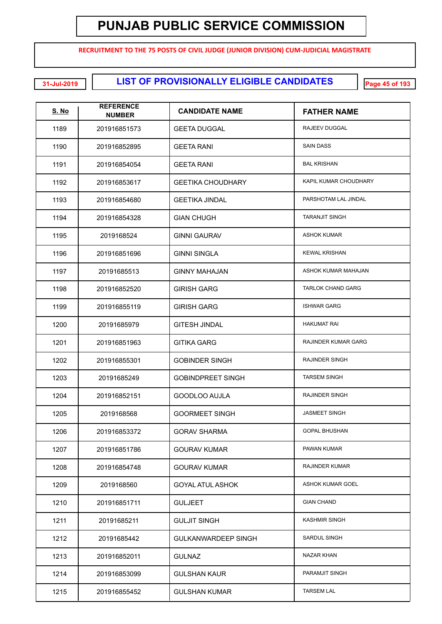**RECRUITMENT TO THE 75 POSTS OF CIVIL JUDGE (JUNIOR DIVISION) CUM-JUDICIAL MAGISTRATE**

**LIST OF PROVISIONALLY ELIGIBLE CANDIDATES 31-Jul-2019 Page 45 of 193**

| <u>S. No</u> | <b>REFERENCE</b><br><b>NUMBER</b> | <b>CANDIDATE NAME</b>      | <b>FATHER NAME</b>       |
|--------------|-----------------------------------|----------------------------|--------------------------|
| 1189         | 201916851573                      | <b>GEETA DUGGAL</b>        | RAJEEV DUGGAL            |
| 1190         | 201916852895                      | <b>GEETA RANI</b>          | <b>SAIN DASS</b>         |
| 1191         | 201916854054                      | <b>GEETA RANI</b>          | <b>BAL KRISHAN</b>       |
| 1192         | 201916853617                      | <b>GEETIKA CHOUDHARY</b>   | KAPIL KUMAR CHOUDHARY    |
| 1193         | 201916854680                      | <b>GEETIKA JINDAL</b>      | PARSHOTAM LAL JINDAL     |
| 1194         | 201916854328                      | <b>GIAN CHUGH</b>          | <b>TARANJIT SINGH</b>    |
| 1195         | 2019168524                        | <b>GINNI GAURAV</b>        | <b>ASHOK KUMAR</b>       |
| 1196         | 201916851696                      | <b>GINNI SINGLA</b>        | <b>KEWAL KRISHAN</b>     |
| 1197         | 20191685513                       | <b>GINNY MAHAJAN</b>       | ASHOK KUMAR MAHAJAN      |
| 1198         | 201916852520                      | <b>GIRISH GARG</b>         | <b>TARLOK CHAND GARG</b> |
| 1199         | 201916855119                      | <b>GIRISH GARG</b>         | <b>ISHWAR GARG</b>       |
| 1200         | 20191685979                       | <b>GITESH JINDAL</b>       | <b>HAKUMAT RAI</b>       |
| 1201         | 201916851963                      | <b>GITIKA GARG</b>         | RAJINDER KUMAR GARG      |
| 1202         | 201916855301                      | <b>GOBINDER SINGH</b>      | RAJINDER SINGH           |
| 1203         | 20191685249                       | <b>GOBINDPREET SINGH</b>   | <b>TARSEM SINGH</b>      |
| 1204         | 201916852151                      | <b>GOODLOO AUJLA</b>       | <b>RAJINDER SINGH</b>    |
| 1205         | 2019168568                        | <b>GOORMEET SINGH</b>      | <b>JASMEET SINGH</b>     |
| 1206         | 201916853372                      | <b>GORAV SHARMA</b>        | <b>GOPAL BHUSHAN</b>     |
| 1207         | 201916851786                      | <b>GOURAV KUMAR</b>        | PAWAN KUMAR              |
| 1208         | 201916854748                      | <b>GOURAV KUMAR</b>        | RAJINDER KUMAR           |
| 1209         | 2019168560                        | <b>GOYAL ATUL ASHOK</b>    | ASHOK KUMAR GOEL         |
| 1210         | 201916851711                      | <b>GULJEET</b>             | <b>GIAN CHAND</b>        |
| 1211         | 20191685211                       | <b>GULJIT SINGH</b>        | <b>KASHMIR SINGH</b>     |
| 1212         | 20191685442                       | <b>GULKANWARDEEP SINGH</b> | SARDUL SINGH             |
| 1213         | 201916852011                      | <b>GULNAZ</b>              | NAZAR KHAN               |
| 1214         | 201916853099                      | <b>GULSHAN KAUR</b>        | PARAMJIT SINGH           |
| 1215         | 201916855452                      | <b>GULSHAN KUMAR</b>       | <b>TARSEM LAL</b>        |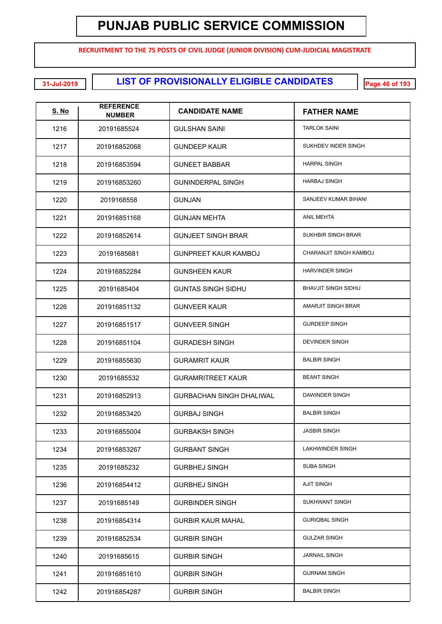**RECRUITMENT TO THE 75 POSTS OF CIVIL JUDGE (JUNIOR DIVISION) CUM-JUDICIAL MAGISTRATE**

**LIST OF PROVISIONALLY ELIGIBLE CANDIDATES 31-Jul-2019 Page 46 of 193**

| <u>S. No</u> | <b>REFERENCE</b><br><b>NUMBER</b> | <b>CANDIDATE NAME</b>           | <b>FATHER NAME</b>         |
|--------------|-----------------------------------|---------------------------------|----------------------------|
| 1216         | 20191685524                       | <b>GULSHAN SAINI</b>            | <b>TARLOK SAINI</b>        |
| 1217         | 201916852068                      | <b>GUNDEEP KAUR</b>             | SUKHDEV INDER SINGH        |
| 1218         | 201916853594                      | <b>GUNEET BABBAR</b>            | <b>HARPAL SINGH</b>        |
| 1219         | 201916853260                      | <b>GUNINDERPAL SINGH</b>        | <b>HARBAJ SINGH</b>        |
| 1220         | 2019168558                        | <b>GUNJAN</b>                   | SANJEEV KUMAR BIHANI       |
| 1221         | 201916851168                      | <b>GUNJAN MEHTA</b>             | <b>ANIL MEHTA</b>          |
| 1222         | 201916852614                      | <b>GUNJEET SINGH BRAR</b>       | SUKHBIR SINGH BRAR         |
| 1223         | 20191685681                       | <b>GUNPREET KAUR KAMBOJ</b>     | CHARANJIT SINGH KAMBOJ     |
| 1224         | 201916852284                      | <b>GUNSHEEN KAUR</b>            | <b>HARVINDER SINGH</b>     |
| 1225         | 20191685404                       | <b>GUNTAS SINGH SIDHU</b>       | <b>BHAVJIT SINGH SIDHU</b> |
| 1226         | 201916851132                      | <b>GUNVEER KAUR</b>             | <b>AMARJIT SINGH BRAR</b>  |
| 1227         | 201916851517                      | <b>GUNVEER SINGH</b>            | <b>GURDEEP SINGH</b>       |
| 1228         | 201916851104                      | <b>GURADESH SINGH</b>           | <b>DEVINDER SINGH</b>      |
| 1229         | 201916855630                      | <b>GURAMRIT KAUR</b>            | <b>BALBIR SINGH</b>        |
| 1230         | 20191685532                       | <b>GURAMRITREET KAUR</b>        | <b>BEANT SINGH</b>         |
| 1231         | 201916852913                      | <b>GURBACHAN SINGH DHALIWAL</b> | <b>DAWINDER SINGH</b>      |
| 1232         | 201916853420                      | <b>GURBAJ SINGH</b>             | <b>BALBIR SINGH</b>        |
| 1233         | 201916855004                      | <b>GURBAKSH SINGH</b>           | <b>JASBIR SINGH</b>        |
| 1234         | 201916853267                      | <b>GURBANT SINGH</b>            | LAKHWINDER SINGH           |
| 1235         | 20191685232                       | <b>GURBHEJ SINGH</b>            | SUBA SINGH                 |
| 1236         | 201916854412                      | <b>GURBHEJ SINGH</b>            | <b>AJIT SINGH</b>          |
| 1237         | 20191685149                       | <b>GURBINDER SINGH</b>          | <b>SUKHWANT SINGH</b>      |
| 1238         | 201916854314                      | <b>GURBIR KAUR MAHAL</b>        | <b>GURIQBAL SINGH</b>      |
| 1239         | 201916852534                      | <b>GURBIR SINGH</b>             | <b>GULZAR SINGH</b>        |
| 1240         | 20191685615                       | <b>GURBIR SINGH</b>             | <b>JARNAIL SINGH</b>       |
| 1241         | 201916851610                      | <b>GURBIR SINGH</b>             | <b>GURNAM SINGH</b>        |
| 1242         | 201916854287                      | <b>GURBIR SINGH</b>             | <b>BALBIR SINGH</b>        |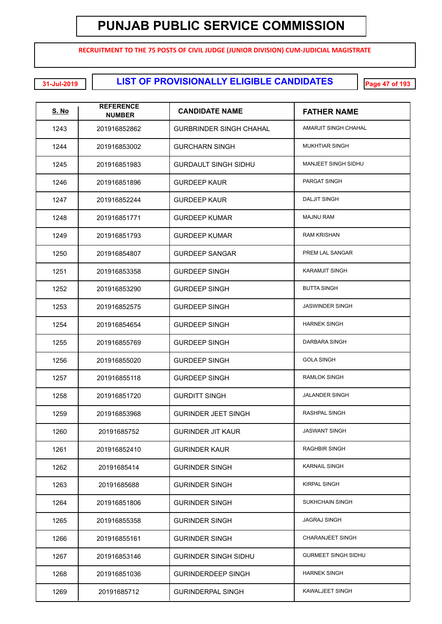**RECRUITMENT TO THE 75 POSTS OF CIVIL JUDGE (JUNIOR DIVISION) CUM-JUDICIAL MAGISTRATE**

**LIST OF PROVISIONALLY ELIGIBLE CANDIDATES 31-Jul-2019 Page 47 of 193**

| <u>S. No</u> | <b>REFERENCE</b><br><b>NUMBER</b> | <b>CANDIDATE NAME</b>          | <b>FATHER NAME</b>         |
|--------------|-----------------------------------|--------------------------------|----------------------------|
| 1243         | 201916852862                      | <b>GURBRINDER SINGH CHAHAL</b> | AMARJIT SINGH CHAHAL       |
| 1244         | 201916853002                      | <b>GURCHARN SINGH</b>          | <b>MUKHTIAR SINGH</b>      |
| 1245         | 201916851983                      | <b>GURDAULT SINGH SIDHU</b>    | MANJEET SINGH SIDHU        |
| 1246         | 201916851896                      | <b>GURDEEP KAUR</b>            | <b>PARGAT SINGH</b>        |
| 1247         | 201916852244                      | <b>GURDEEP KAUR</b>            | <b>DALJIT SINGH</b>        |
| 1248         | 201916851771                      | <b>GURDEEP KUMAR</b>           | <b>MAJNU RAM</b>           |
| 1249         | 201916851793                      | <b>GURDEEP KUMAR</b>           | <b>RAM KRISHAN</b>         |
| 1250         | 201916854807                      | <b>GURDEEP SANGAR</b>          | PREM LAL SANGAR            |
| 1251         | 201916853358                      | <b>GURDEEP SINGH</b>           | <b>KARAMJIT SINGH</b>      |
| 1252         | 201916853290                      | <b>GURDEEP SINGH</b>           | <b>BUTTA SINGH</b>         |
| 1253         | 201916852575                      | <b>GURDEEP SINGH</b>           | <b>JASWINDER SINGH</b>     |
| 1254         | 201916854654                      | <b>GURDEEP SINGH</b>           | <b>HARNEK SINGH</b>        |
| 1255         | 201916855769                      | <b>GURDEEP SINGH</b>           | DARBARA SINGH              |
| 1256         | 201916855020                      | <b>GURDEEP SINGH</b>           | <b>GOLA SINGH</b>          |
| 1257         | 201916855118                      | <b>GURDEEP SINGH</b>           | <b>RAMLOK SINGH</b>        |
| 1258         | 201916851720                      | <b>GURDITT SINGH</b>           | <b>JALANDER SINGH</b>      |
| 1259         | 201916853968                      | <b>GURINDER JEET SINGH</b>     | <b>RASHPAL SINGH</b>       |
| 1260         | 20191685752                       | <b>GURINDER JIT KAUR</b>       | <b>JASWANT SINGH</b>       |
| 1261         | 201916852410                      | <b>GURINDER KAUR</b>           | <b>RAGHBIR SINGH</b>       |
| 1262         | 20191685414                       | <b>GURINDER SINGH</b>          | <b>KARNAIL SINGH</b>       |
| 1263         | 20191685688                       | <b>GURINDER SINGH</b>          | <b>KIRPAL SINGH</b>        |
| 1264         | 201916851806                      | <b>GURINDER SINGH</b>          | <b>SUKHCHAIN SINGH</b>     |
| 1265         | 201916855358                      | <b>GURINDER SINGH</b>          | <b>JAGRAJ SINGH</b>        |
| 1266         | 201916855161                      | <b>GURINDER SINGH</b>          | <b>CHARANJEET SINGH</b>    |
| 1267         | 201916853146                      | <b>GURINDER SINGH SIDHU</b>    | <b>GURMEET SINGH SIDHU</b> |
| 1268         | 201916851036                      | <b>GURINDERDEEP SINGH</b>      | <b>HARNEK SINGH</b>        |
| 1269         | 20191685712                       | <b>GURINDERPAL SINGH</b>       | KAWALJEET SINGH            |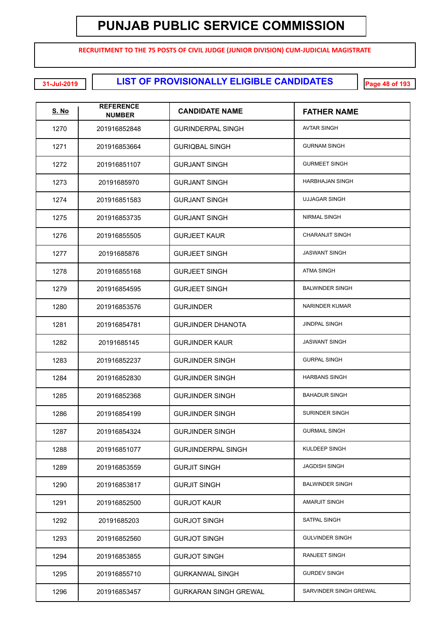**RECRUITMENT TO THE 75 POSTS OF CIVIL JUDGE (JUNIOR DIVISION) CUM-JUDICIAL MAGISTRATE**

**LIST OF PROVISIONALLY ELIGIBLE CANDIDATES 31-Jul-2019 Page 48 of 193**

| S. No | <b>REFERENCE</b><br><b>NUMBER</b> | <b>CANDIDATE NAME</b>        | <b>FATHER NAME</b>     |
|-------|-----------------------------------|------------------------------|------------------------|
| 1270  | 201916852848                      | <b>GURINDERPAL SINGH</b>     | <b>AVTAR SINGH</b>     |
| 1271  | 201916853664                      | <b>GURIQBAL SINGH</b>        | <b>GURNAM SINGH</b>    |
| 1272  | 201916851107                      | <b>GURJANT SINGH</b>         | <b>GURMEET SINGH</b>   |
| 1273  | 20191685970                       | <b>GURJANT SINGH</b>         | <b>HARBHAJAN SINGH</b> |
| 1274  | 201916851583                      | <b>GURJANT SINGH</b>         | <b>UJJAGAR SINGH</b>   |
| 1275  | 201916853735                      | <b>GURJANT SINGH</b>         | <b>NIRMAL SINGH</b>    |
| 1276  | 201916855505                      | <b>GURJEET KAUR</b>          | <b>CHARANJIT SINGH</b> |
| 1277  | 20191685876                       | <b>GURJEET SINGH</b>         | <b>JASWANT SINGH</b>   |
| 1278  | 201916855168                      | <b>GURJEET SINGH</b>         | <b>ATMA SINGH</b>      |
| 1279  | 201916854595                      | <b>GURJEET SINGH</b>         | <b>BALWINDER SINGH</b> |
| 1280  | 201916853576                      | <b>GURJINDER</b>             | <b>NARINDER KUMAR</b>  |
| 1281  | 201916854781                      | <b>GURJINDER DHANOTA</b>     | <b>JINDPAL SINGH</b>   |
| 1282  | 20191685145                       | <b>GURJINDER KAUR</b>        | <b>JASWANT SINGH</b>   |
| 1283  | 201916852237                      | <b>GURJINDER SINGH</b>       | <b>GURPAL SINGH</b>    |
| 1284  | 201916852830                      | <b>GURJINDER SINGH</b>       | <b>HARBANS SINGH</b>   |
| 1285  | 201916852368                      | <b>GURJINDER SINGH</b>       | <b>BAHADUR SINGH</b>   |
| 1286  | 201916854199                      | <b>GURJINDER SINGH</b>       | <b>SURINDER SINGH</b>  |
| 1287  | 201916854324                      | <b>GURJINDER SINGH</b>       | <b>GURMAIL SINGH</b>   |
| 1288  | 201916851077                      | <b>GURJINDERPAL SINGH</b>    | KULDEEP SINGH          |
| 1289  | 201916853559                      | <b>GURJIT SINGH</b>          | <b>JAGDISH SINGH</b>   |
| 1290  | 201916853817                      | <b>GURJIT SINGH</b>          | <b>BALWINDER SINGH</b> |
| 1291  | 201916852500                      | <b>GURJOT KAUR</b>           | <b>AMARJIT SINGH</b>   |
| 1292  | 20191685203                       | <b>GURJOT SINGH</b>          | <b>SATPAL SINGH</b>    |
| 1293  | 201916852560                      | <b>GURJOT SINGH</b>          | <b>GULVINDER SINGH</b> |
| 1294  | 201916853855                      | <b>GURJOT SINGH</b>          | <b>RANJEET SINGH</b>   |
| 1295  | 201916855710                      | <b>GURKANWAL SINGH</b>       | <b>GURDEV SINGH</b>    |
| 1296  | 201916853457                      | <b>GURKARAN SINGH GREWAL</b> | SARVINDER SINGH GREWAL |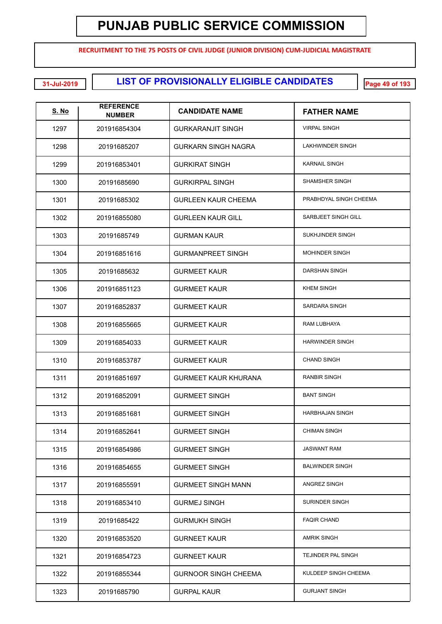**RECRUITMENT TO THE 75 POSTS OF CIVIL JUDGE (JUNIOR DIVISION) CUM-JUDICIAL MAGISTRATE**

**LIST OF PROVISIONALLY ELIGIBLE CANDIDATES 31-Jul-2019 Page 49 of 193**

| S. No | <b>REFERENCE</b><br><b>NUMBER</b> | <b>CANDIDATE NAME</b>       | <b>FATHER NAME</b>      |
|-------|-----------------------------------|-----------------------------|-------------------------|
| 1297  | 201916854304                      | <b>GURKARANJIT SINGH</b>    | <b>VIRPAL SINGH</b>     |
| 1298  | 20191685207                       | <b>GURKARN SINGH NAGRA</b>  | <b>LAKHWINDER SINGH</b> |
| 1299  | 201916853401                      | <b>GURKIRAT SINGH</b>       | <b>KARNAIL SINGH</b>    |
| 1300  | 20191685690                       | <b>GURKIRPAL SINGH</b>      | SHAMSHER SINGH          |
| 1301  | 20191685302                       | <b>GURLEEN KAUR CHEEMA</b>  | PRABHDYAL SINGH CHEEMA  |
| 1302  | 201916855080                      | <b>GURLEEN KAUR GILL</b>    | SARBJEET SINGH GILL     |
| 1303  | 20191685749                       | <b>GURMAN KAUR</b>          | SUKHJINDER SINGH        |
| 1304  | 201916851616                      | <b>GURMANPREET SINGH</b>    | <b>MOHINDER SINGH</b>   |
| 1305  | 20191685632                       | <b>GURMEET KAUR</b>         | DARSHAN SINGH           |
| 1306  | 201916851123                      | <b>GURMEET KAUR</b>         | <b>KHEM SINGH</b>       |
| 1307  | 201916852837                      | <b>GURMEET KAUR</b>         | SARDARA SINGH           |
| 1308  | 201916855665                      | <b>GURMEET KAUR</b>         | RAM LUBHAYA             |
| 1309  | 201916854033                      | <b>GURMEET KAUR</b>         | <b>HARWINDER SINGH</b>  |
| 1310  | 201916853787                      | <b>GURMEET KAUR</b>         | <b>CHAND SINGH</b>      |
| 1311  | 201916851697                      | <b>GURMEET KAUR KHURANA</b> | <b>RANBIR SINGH</b>     |
| 1312  | 201916852091                      | <b>GURMEET SINGH</b>        | <b>BANT SINGH</b>       |
| 1313  | 201916851681                      | <b>GURMEET SINGH</b>        | <b>HARBHAJAN SINGH</b>  |
| 1314  | 201916852641                      | <b>GURMEET SINGH</b>        | <b>CHIMAN SINGH</b>     |
| 1315  | 201916854986                      | <b>GURMEET SINGH</b>        | <b>JASWANT RAM</b>      |
| 1316  | 201916854655                      | <b>GURMEET SINGH</b>        | <b>BALWINDER SINGH</b>  |
| 1317  | 201916855591                      | <b>GURMEET SINGH MANN</b>   | ANGREZ SINGH            |
| 1318  | 201916853410                      | <b>GURMEJ SINGH</b>         | SURINDER SINGH          |
| 1319  | 20191685422                       | <b>GURMUKH SINGH</b>        | <b>FAQIR CHAND</b>      |
| 1320  | 201916853520                      | <b>GURNEET KAUR</b>         | <b>AMRIK SINGH</b>      |
| 1321  | 201916854723                      | <b>GURNEET KAUR</b>         | TEJINDER PAL SINGH      |
| 1322  | 201916855344                      | <b>GURNOOR SINGH CHEEMA</b> | KULDEEP SINGH CHEEMA    |
| 1323  | 20191685790                       | <b>GURPAL KAUR</b>          | <b>GURJANT SINGH</b>    |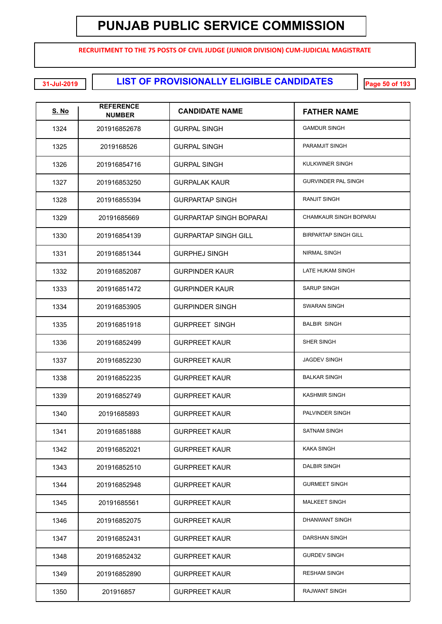**RECRUITMENT TO THE 75 POSTS OF CIVIL JUDGE (JUNIOR DIVISION) CUM-JUDICIAL MAGISTRATE**

**LIST OF PROVISIONALLY ELIGIBLE CANDIDATES 31-Jul-2019 Page 50 of 193**

| <b>S. No</b> | <b>REFERENCE</b><br><b>NUMBER</b> | <b>CANDIDATE NAME</b>          | <b>FATHER NAME</b>          |
|--------------|-----------------------------------|--------------------------------|-----------------------------|
| 1324         | 201916852678                      | <b>GURPAL SINGH</b>            | <b>GAMDUR SINGH</b>         |
| 1325         | 2019168526                        | <b>GURPAL SINGH</b>            | PARAMJIT SINGH              |
| 1326         | 201916854716                      | <b>GURPAL SINGH</b>            | KULKWINER SINGH             |
| 1327         | 201916853250                      | <b>GURPALAK KAUR</b>           | <b>GURVINDER PAL SINGH</b>  |
| 1328         | 201916855394                      | <b>GURPARTAP SINGH</b>         | <b>RANJIT SINGH</b>         |
| 1329         | 20191685669                       | <b>GURPARTAP SINGH BOPARAI</b> | CHAMKAUR SINGH BOPARAI      |
| 1330         | 201916854139                      | <b>GURPARTAP SINGH GILL</b>    | <b>BIRPARTAP SINGH GILL</b> |
| 1331         | 201916851344                      | <b>GURPHEJ SINGH</b>           | <b>NIRMAL SINGH</b>         |
| 1332         | 201916852087                      | <b>GURPINDER KAUR</b>          | LATE HUKAM SINGH            |
| 1333         | 201916851472                      | <b>GURPINDER KAUR</b>          | <b>SARUP SINGH</b>          |
| 1334         | 201916853905                      | <b>GURPINDER SINGH</b>         | <b>SWARAN SINGH</b>         |
| 1335         | 201916851918                      | <b>GURPREET SINGH</b>          | <b>BALBIR SINGH</b>         |
| 1336         | 201916852499                      | <b>GURPREET KAUR</b>           | SHER SINGH                  |
| 1337         | 201916852230                      | <b>GURPREET KAUR</b>           | <b>JAGDEV SINGH</b>         |
| 1338         | 201916852235                      | <b>GURPREET KAUR</b>           | <b>BALKAR SINGH</b>         |
| 1339         | 201916852749                      | <b>GURPREET KAUR</b>           | <b>KASHMIR SINGH</b>        |
| 1340         | 20191685893                       | <b>GURPREET KAUR</b>           | PALVINDER SINGH             |
| 1341         | 201916851888                      | <b>GURPREET KAUR</b>           | <b>SATNAM SINGH</b>         |
| 1342         | 201916852021                      | <b>GURPREET KAUR</b>           | <b>KAKA SINGH</b>           |
| 1343         | 201916852510                      | <b>GURPREET KAUR</b>           | DALBIR SINGH                |
| 1344         | 201916852948                      | <b>GURPREET KAUR</b>           | <b>GURMEET SINGH</b>        |
| 1345         | 20191685561                       | <b>GURPREET KAUR</b>           | <b>MALKEET SINGH</b>        |
| 1346         | 201916852075                      | <b>GURPREET KAUR</b>           | DHANWANT SINGH              |
| 1347         | 201916852431                      | <b>GURPREET KAUR</b>           | DARSHAN SINGH               |
| 1348         | 201916852432                      | <b>GURPREET KAUR</b>           | <b>GURDEV SINGH</b>         |
| 1349         | 201916852890                      | <b>GURPREET KAUR</b>           | <b>RESHAM SINGH</b>         |
| 1350         | 201916857                         | <b>GURPREET KAUR</b>           | RAJWANT SINGH               |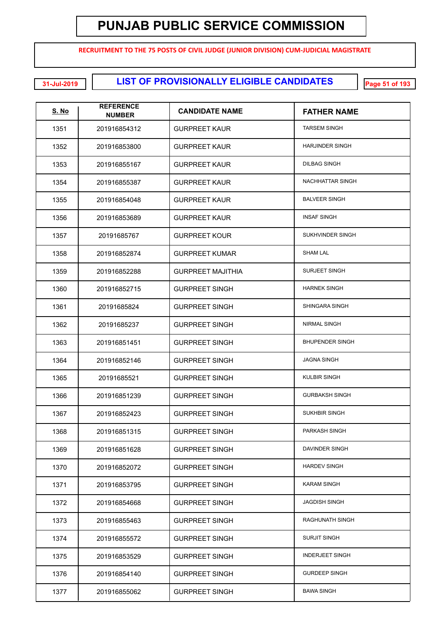**RECRUITMENT TO THE 75 POSTS OF CIVIL JUDGE (JUNIOR DIVISION) CUM-JUDICIAL MAGISTRATE**

**LIST OF PROVISIONALLY ELIGIBLE CANDIDATES 31-Jul-2019 Page 51 of 193**

| <u>S. No</u> | <b>REFERENCE</b><br><b>NUMBER</b> | <b>CANDIDATE NAME</b>    | <b>FATHER NAME</b>     |
|--------------|-----------------------------------|--------------------------|------------------------|
| 1351         | 201916854312                      | <b>GURPREET KAUR</b>     | <b>TARSEM SINGH</b>    |
| 1352         | 201916853800                      | <b>GURPREET KAUR</b>     | <b>HARJINDER SINGH</b> |
| 1353         | 201916855167                      | <b>GURPREET KAUR</b>     | <b>DILBAG SINGH</b>    |
| 1354         | 201916855387                      | <b>GURPREET KAUR</b>     | NACHHATTAR SINGH       |
| 1355         | 201916854048                      | <b>GURPREET KAUR</b>     | <b>BALVEER SINGH</b>   |
| 1356         | 201916853689                      | <b>GURPREET KAUR</b>     | <b>INSAF SINGH</b>     |
| 1357         | 20191685767                       | <b>GURPREET KOUR</b>     | SUKHVINDER SINGH       |
| 1358         | 201916852874                      | <b>GURPREET KUMAR</b>    | <b>SHAM LAL</b>        |
| 1359         | 201916852288                      | <b>GURPREET MAJITHIA</b> | <b>SURJEET SINGH</b>   |
| 1360         | 201916852715                      | <b>GURPREET SINGH</b>    | <b>HARNEK SINGH</b>    |
| 1361         | 20191685824                       | <b>GURPREET SINGH</b>    | <b>SHINGARA SINGH</b>  |
| 1362         | 20191685237                       | <b>GURPREET SINGH</b>    | <b>NIRMAL SINGH</b>    |
| 1363         | 201916851451                      | <b>GURPREET SINGH</b>    | <b>BHUPENDER SINGH</b> |
| 1364         | 201916852146                      | <b>GURPREET SINGH</b>    | <b>JAGNA SINGH</b>     |
| 1365         | 20191685521                       | <b>GURPREET SINGH</b>    | <b>KULBIR SINGH</b>    |
| 1366         | 201916851239                      | <b>GURPREET SINGH</b>    | <b>GURBAKSH SINGH</b>  |
| 1367         | 201916852423                      | <b>GURPREET SINGH</b>    | <b>SUKHBIR SINGH</b>   |
| 1368         | 201916851315                      | <b>GURPREET SINGH</b>    | PARKASH SINGH          |
| 1369         | 201916851628                      | <b>GURPREET SINGH</b>    | DAVINDER SINGH         |
| 1370         | 201916852072                      | <b>GURPREET SINGH</b>    | <b>HARDEV SINGH</b>    |
| 1371         | 201916853795                      | <b>GURPREET SINGH</b>    | <b>KARAM SINGH</b>     |
| 1372         | 201916854668                      | <b>GURPREET SINGH</b>    | <b>JAGDISH SINGH</b>   |
| 1373         | 201916855463                      | <b>GURPREET SINGH</b>    | <b>RAGHUNATH SINGH</b> |
| 1374         | 201916855572                      | <b>GURPREET SINGH</b>    | <b>SURJIT SINGH</b>    |
| 1375         | 201916853529                      | <b>GURPREET SINGH</b>    | <b>INDERJEET SINGH</b> |
| 1376         | 201916854140                      | <b>GURPREET SINGH</b>    | <b>GURDEEP SINGH</b>   |
| 1377         | 201916855062                      | <b>GURPREET SINGH</b>    | <b>BAWA SINGH</b>      |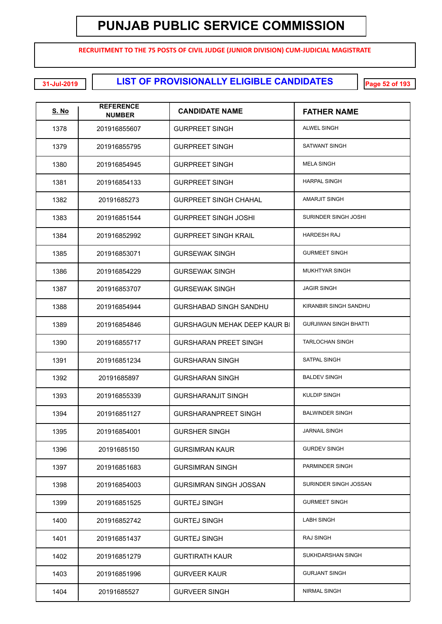**RECRUITMENT TO THE 75 POSTS OF CIVIL JUDGE (JUNIOR DIVISION) CUM-JUDICIAL MAGISTRATE**

**LIST OF PROVISIONALLY ELIGIBLE CANDIDATES 31-Jul-2019 Page 52 of 193**

| <u>S. No</u> | <b>REFERENCE</b><br><b>NUMBER</b> | <b>CANDIDATE NAME</b>               | <b>FATHER NAME</b>           |
|--------------|-----------------------------------|-------------------------------------|------------------------------|
| 1378         | 201916855607                      | <b>GURPREET SINGH</b>               | <b>ALWEL SINGH</b>           |
| 1379         | 201916855795                      | <b>GURPREET SINGH</b>               | SATWANT SINGH                |
| 1380         | 201916854945                      | <b>GURPREET SINGH</b>               | <b>MELA SINGH</b>            |
| 1381         | 201916854133                      | <b>GURPREET SINGH</b>               | <b>HARPAL SINGH</b>          |
| 1382         | 20191685273                       | <b>GURPREET SINGH CHAHAL</b>        | AMARJIT SINGH                |
| 1383         | 201916851544                      | <b>GURPREET SINGH JOSHI</b>         | SURINDER SINGH JOSHI         |
| 1384         | 201916852992                      | <b>GURPREET SINGH KRAIL</b>         | <b>HARDESH RAJ</b>           |
| 1385         | 201916853071                      | <b>GURSEWAK SINGH</b>               | <b>GURMEET SINGH</b>         |
| 1386         | 201916854229                      | <b>GURSEWAK SINGH</b>               | <b>MUKHTYAR SINGH</b>        |
| 1387         | 201916853707                      | <b>GURSEWAK SINGH</b>               | <b>JAGIR SINGH</b>           |
| 1388         | 201916854944                      | <b>GURSHABAD SINGH SANDHU</b>       | KIRANBIR SINGH SANDHU        |
| 1389         | 201916854846                      | <b>GURSHAGUN MEHAK DEEP KAUR BI</b> | <b>GURJIWAN SINGH BHATTI</b> |
| 1390         | 201916855717                      | <b>GURSHARAN PREET SINGH</b>        | <b>TARLOCHAN SINGH</b>       |
| 1391         | 201916851234                      | <b>GURSHARAN SINGH</b>              | <b>SATPAL SINGH</b>          |
| 1392         | 20191685897                       | <b>GURSHARAN SINGH</b>              | <b>BALDEV SINGH</b>          |
| 1393         | 201916855339                      | <b>GURSHARANJIT SINGH</b>           | <b>KULDIP SINGH</b>          |
| 1394         | 201916851127                      | <b>GURSHARANPREET SINGH</b>         | <b>BALWINDER SINGH</b>       |
| 1395         | 201916854001                      | <b>GURSHER SINGH</b>                | <b>JARNAIL SINGH</b>         |
| 1396         | 20191685150                       | <b>GURSIMRAN KAUR</b>               | <b>GURDEV SINGH</b>          |
| 1397         | 201916851683                      | <b>GURSIMRAN SINGH</b>              | PARMINDER SINGH              |
| 1398         | 201916854003                      | <b>GURSIMRAN SINGH JOSSAN</b>       | SURINDER SINGH JOSSAN        |
| 1399         | 201916851525                      | <b>GURTEJ SINGH</b>                 | <b>GURMEET SINGH</b>         |
| 1400         | 201916852742                      | <b>GURTEJ SINGH</b>                 | <b>LABH SINGH</b>            |
| 1401         | 201916851437                      | <b>GURTEJ SINGH</b>                 | <b>RAJ SINGH</b>             |
| 1402         | 201916851279                      | <b>GURTIRATH KAUR</b>               | SUKHDARSHAN SINGH            |
| 1403         | 201916851996                      | <b>GURVEER KAUR</b>                 | <b>GURJANT SINGH</b>         |
| 1404         | 20191685527                       | <b>GURVEER SINGH</b>                | NIRMAL SINGH                 |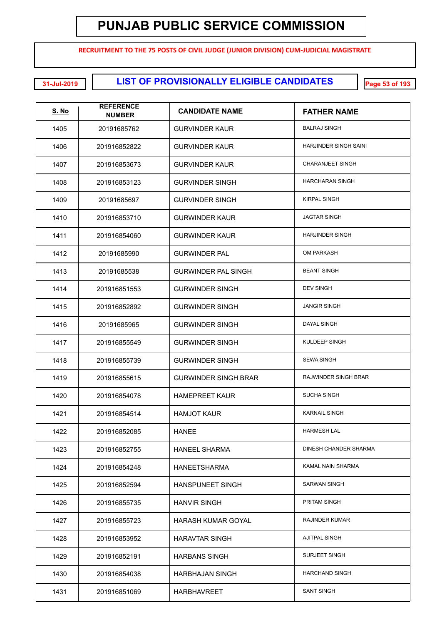**RECRUITMENT TO THE 75 POSTS OF CIVIL JUDGE (JUNIOR DIVISION) CUM-JUDICIAL MAGISTRATE**

**EXECUTE: LIST OF PROVISIONALLY ELIGIBLE CANDIDATES** 

| <b>S. No</b> | <b>REFERENCE</b><br><b>NUMBER</b> | <b>CANDIDATE NAME</b>       | <b>FATHER NAME</b>      |
|--------------|-----------------------------------|-----------------------------|-------------------------|
| 1405         | 20191685762                       | <b>GURVINDER KAUR</b>       | <b>BALRAJ SINGH</b>     |
| 1406         | 201916852822                      | <b>GURVINDER KAUR</b>       | HARJINDER SINGH SAINI   |
| 1407         | 201916853673                      | <b>GURVINDER KAUR</b>       | <b>CHARANJEET SINGH</b> |
| 1408         | 201916853123                      | <b>GURVINDER SINGH</b>      | <b>HARCHARAN SINGH</b>  |
| 1409         | 20191685697                       | <b>GURVINDER SINGH</b>      | <b>KIRPAL SINGH</b>     |
| 1410         | 201916853710                      | <b>GURWINDER KAUR</b>       | <b>JAGTAR SINGH</b>     |
| 1411         | 201916854060                      | <b>GURWINDER KAUR</b>       | <b>HARJINDER SINGH</b>  |
| 1412         | 20191685990                       | <b>GURWINDER PAL</b>        | <b>OM PARKASH</b>       |
| 1413         | 20191685538                       | <b>GURWINDER PAL SINGH</b>  | <b>BEANT SINGH</b>      |
| 1414         | 201916851553                      | <b>GURWINDER SINGH</b>      | <b>DEV SINGH</b>        |
| 1415         | 201916852892                      | <b>GURWINDER SINGH</b>      | <b>JANGIR SINGH</b>     |
| 1416         | 20191685965                       | <b>GURWINDER SINGH</b>      | <b>DAYAL SINGH</b>      |
| 1417         | 201916855549                      | <b>GURWINDER SINGH</b>      | KULDEEP SINGH           |
| 1418         | 201916855739                      | <b>GURWINDER SINGH</b>      | <b>SEWA SINGH</b>       |
| 1419         | 201916855615                      | <b>GURWINDER SINGH BRAR</b> | RAJWINDER SINGH BRAR    |
| 1420         | 201916854078                      | <b>HAMEPREET KAUR</b>       | <b>SUCHA SINGH</b>      |
| 1421         | 201916854514                      | <b>HAMJOT KAUR</b>          | <b>KARNAIL SINGH</b>    |
| 1422         | 201916852085                      | <b>HANEE</b>                | <b>HARMESH LAL</b>      |
| 1423         | 201916852755                      | <b>HANEEL SHARMA</b>        | DINESH CHANDER SHARMA   |
| 1424         | 201916854248                      | <b>HANEETSHARMA</b>         | KAMAL NAIN SHARMA       |
| 1425         | 201916852594                      | <b>HANSPUNEET SINGH</b>     | <b>SARWAN SINGH</b>     |
| 1426         | 201916855735                      | <b>HANVIR SINGH</b>         | PRITAM SINGH            |
| 1427         | 201916855723                      | HARASH KUMAR GOYAL          | <b>RAJINDER KUMAR</b>   |
| 1428         | 201916853952                      | <b>HARAVTAR SINGH</b>       | <b>AJITPAL SINGH</b>    |
| 1429         | 201916852191                      | <b>HARBANS SINGH</b>        | <b>SURJEET SINGH</b>    |
| 1430         | 201916854038                      | HARBHAJAN SINGH             | <b>HARCHAND SINGH</b>   |
| 1431         | 201916851069                      | <b>HARBHAVREET</b>          | <b>SANT SINGH</b>       |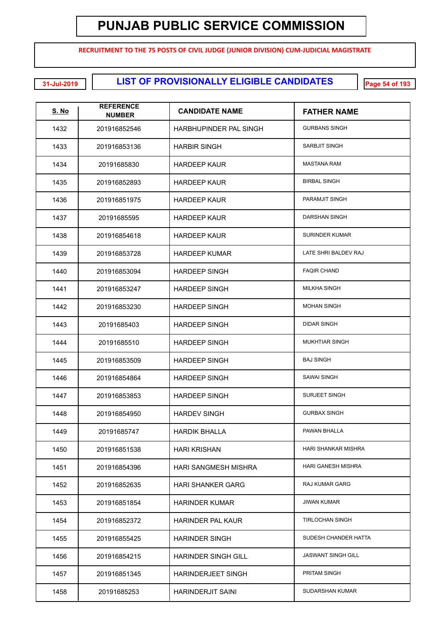**RECRUITMENT TO THE 75 POSTS OF CIVIL JUDGE (JUNIOR DIVISION) CUM-JUDICIAL MAGISTRATE**

**LIST OF PROVISIONALLY ELIGIBLE CANDIDATES 31-Jul-2019 Page 54 of 193**

| <u>S. No</u> | <b>REFERENCE</b><br><b>NUMBER</b> | <b>CANDIDATE NAME</b>      | <b>FATHER NAME</b>        |
|--------------|-----------------------------------|----------------------------|---------------------------|
| 1432         | 201916852546                      | HARBHUPINDER PAL SINGH     | <b>GURBANS SINGH</b>      |
| 1433         | 201916853136                      | <b>HARBIR SINGH</b>        | SARBJIT SINGH             |
| 1434         | 20191685830                       | <b>HARDEEP KAUR</b>        | <b>MASTANA RAM</b>        |
| 1435         | 201916852893                      | <b>HARDEEP KAUR</b>        | <b>BIRBAL SINGH</b>       |
| 1436         | 201916851975                      | <b>HARDEEP KAUR</b>        | PARAMJIT SINGH            |
| 1437         | 20191685595                       | <b>HARDEEP KAUR</b>        | DARSHAN SINGH             |
| 1438         | 201916854618                      | <b>HARDEEP KAUR</b>        | <b>SURINDER KUMAR</b>     |
| 1439         | 201916853728                      | <b>HARDEEP KUMAR</b>       | LATE SHRI BALDEV RAJ      |
| 1440         | 201916853094                      | <b>HARDEEP SINGH</b>       | <b>FAQIR CHAND</b>        |
| 1441         | 201916853247                      | <b>HARDEEP SINGH</b>       | <b>MILKHA SINGH</b>       |
| 1442         | 201916853230                      | <b>HARDEEP SINGH</b>       | <b>MOHAN SINGH</b>        |
| 1443         | 20191685403                       | <b>HARDEEP SINGH</b>       | <b>DIDAR SINGH</b>        |
| 1444         | 20191685510                       | <b>HARDEEP SINGH</b>       | <b>MUKHTIAR SINGH</b>     |
| 1445         | 201916853509                      | <b>HARDEEP SINGH</b>       | <b>BAJ SINGH</b>          |
| 1446         | 201916854864                      | <b>HARDEEP SINGH</b>       | <b>SAWAI SINGH</b>        |
| 1447         | 201916853853                      | <b>HARDEEP SINGH</b>       | <b>SURJEET SINGH</b>      |
| 1448         | 201916854950                      | <b>HARDEV SINGH</b>        | <b>GURBAX SINGH</b>       |
| 1449         | 20191685747                       | HARDIK BHALLA              | PAWAN BHALLA              |
| 1450         | 201916851538                      | <b>HARI KRISHAN</b>        | HARI SHANKAR MISHRA       |
| 1451         | 201916854396                      | HARI SANGMESH MISHRA       | HARI GANESH MISHRA        |
| 1452         | 201916852635                      | <b>HARI SHANKER GARG</b>   | <b>RAJ KUMAR GARG</b>     |
| 1453         | 201916851854                      | <b>HARINDER KUMAR</b>      | <b>JIWAN KUMAR</b>        |
| 1454         | 201916852372                      | <b>HARINDER PAL KAUR</b>   | <b>TIRLOCHAN SINGH</b>    |
| 1455         | 201916855425                      | <b>HARINDER SINGH</b>      | SUDESH CHANDER HATTA      |
| 1456         | 201916854215                      | <b>HARINDER SINGH GILL</b> | <b>JASWANT SINGH GILL</b> |
| 1457         | 201916851345                      | <b>HARINDERJEET SINGH</b>  | PRITAM SINGH              |
| 1458         | 20191685253                       | <b>HARINDERJIT SAINI</b>   | SUDARSHAN KUMAR           |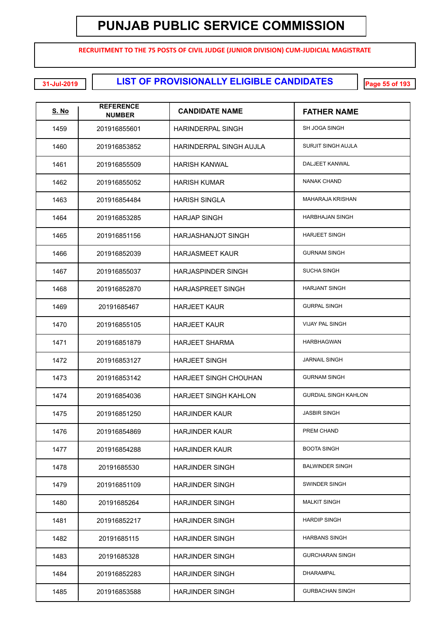**RECRUITMENT TO THE 75 POSTS OF CIVIL JUDGE (JUNIOR DIVISION) CUM-JUDICIAL MAGISTRATE**

**LIST OF PROVISIONALLY ELIGIBLE CANDIDATES 31-Jul-2019 Page 55 of 193**

| <u>S. No</u> | <b>REFERENCE</b><br><b>NUMBER</b> | <b>CANDIDATE NAME</b>        | <b>FATHER NAME</b>          |
|--------------|-----------------------------------|------------------------------|-----------------------------|
| 1459         | 201916855601                      | <b>HARINDERPAL SINGH</b>     | SH JOGA SINGH               |
| 1460         | 201916853852                      | HARINDERPAL SINGH AUJLA      | <b>SURJIT SINGH AUJLA</b>   |
| 1461         | 201916855509                      | <b>HARISH KANWAL</b>         | DALJEET KANWAL              |
| 1462         | 201916855052                      | <b>HARISH KUMAR</b>          | <b>NANAK CHAND</b>          |
| 1463         | 201916854484                      | <b>HARISH SINGLA</b>         | <b>MAHARAJA KRISHAN</b>     |
| 1464         | 201916853285                      | <b>HARJAP SINGH</b>          | <b>HARBHAJAN SINGH</b>      |
| 1465         | 201916851156                      | HARJASHANJOT SINGH           | <b>HARJEET SINGH</b>        |
| 1466         | 201916852039                      | <b>HARJASMEET KAUR</b>       | <b>GURNAM SINGH</b>         |
| 1467         | 201916855037                      | <b>HARJASPINDER SINGH</b>    | <b>SUCHA SINGH</b>          |
| 1468         | 201916852870                      | <b>HARJASPREET SINGH</b>     | <b>HARJANT SINGH</b>        |
| 1469         | 20191685467                       | <b>HARJEET KAUR</b>          | <b>GURPAL SINGH</b>         |
| 1470         | 201916855105                      | <b>HARJEET KAUR</b>          | <b>VIJAY PAL SINGH</b>      |
| 1471         | 201916851879                      | <b>HARJEET SHARMA</b>        | <b>HARBHAGWAN</b>           |
| 1472         | 201916853127                      | <b>HARJEET SINGH</b>         | <b>JARNAIL SINGH</b>        |
| 1473         | 201916853142                      | <b>HARJEET SINGH CHOUHAN</b> | <b>GURNAM SINGH</b>         |
| 1474         | 201916854036                      | <b>HARJEET SINGH KAHLON</b>  | <b>GURDIAL SINGH KAHLON</b> |
| 1475         | 201916851250                      | <b>HARJINDER KAUR</b>        | <b>JASBIR SINGH</b>         |
| 1476         | 201916854869                      | <b>HARJINDER KAUR</b>        | PREM CHAND                  |
| 1477         | 201916854288                      | <b>HARJINDER KAUR</b>        | <b>BOOTA SINGH</b>          |
| 1478         | 20191685530                       | <b>HARJINDER SINGH</b>       | <b>BALWINDER SINGH</b>      |
| 1479         | 201916851109                      | <b>HARJINDER SINGH</b>       | SWINDER SINGH               |
| 1480         | 20191685264                       | <b>HARJINDER SINGH</b>       | <b>MALKIT SINGH</b>         |
| 1481         | 201916852217                      | <b>HARJINDER SINGH</b>       | <b>HARDIP SINGH</b>         |
| 1482         | 20191685115                       | <b>HARJINDER SINGH</b>       | <b>HARBANS SINGH</b>        |
| 1483         | 20191685328                       | <b>HARJINDER SINGH</b>       | <b>GURCHARAN SINGH</b>      |
| 1484         | 201916852283                      | <b>HARJINDER SINGH</b>       | <b>DHARAMPAL</b>            |
| 1485         | 201916853588                      | <b>HARJINDER SINGH</b>       | <b>GURBACHAN SINGH</b>      |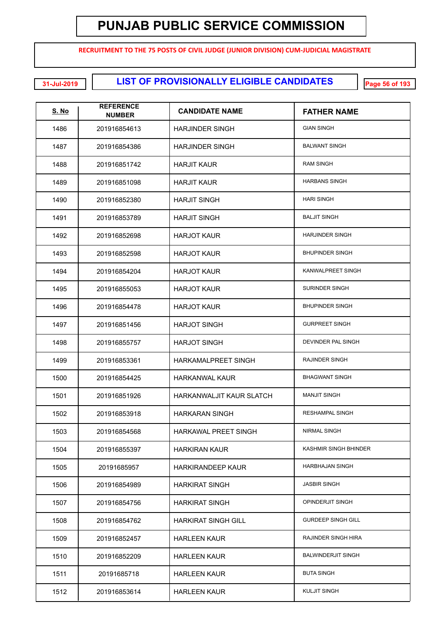**RECRUITMENT TO THE 75 POSTS OF CIVIL JUDGE (JUNIOR DIVISION) CUM-JUDICIAL MAGISTRATE**

**LIST OF PROVISIONALLY ELIGIBLE CANDIDATES 31-Jul-2019 Page 56 of 193**

| <u>S. No</u> | <b>REFERENCE</b><br><b>NUMBER</b> | <b>CANDIDATE NAME</b>      | <b>FATHER NAME</b>        |
|--------------|-----------------------------------|----------------------------|---------------------------|
| 1486         | 201916854613                      | <b>HARJINDER SINGH</b>     | <b>GIAN SINGH</b>         |
| 1487         | 201916854386                      | <b>HARJINDER SINGH</b>     | <b>BALWANT SINGH</b>      |
| 1488         | 201916851742                      | <b>HARJIT KAUR</b>         | <b>RAM SINGH</b>          |
| 1489         | 201916851098                      | <b>HARJIT KAUR</b>         | <b>HARBANS SINGH</b>      |
| 1490         | 201916852380                      | <b>HARJIT SINGH</b>        | <b>HARI SINGH</b>         |
| 1491         | 201916853789                      | <b>HARJIT SINGH</b>        | <b>BALJIT SINGH</b>       |
| 1492         | 201916852698                      | <b>HARJOT KAUR</b>         | <b>HARJINDER SINGH</b>    |
| 1493         | 201916852598                      | <b>HARJOT KAUR</b>         | <b>BHUPINDER SINGH</b>    |
| 1494         | 201916854204                      | <b>HARJOT KAUR</b>         | KANWALPREET SINGH         |
| 1495         | 201916855053                      | <b>HARJOT KAUR</b>         | <b>SURINDER SINGH</b>     |
| 1496         | 201916854478                      | <b>HARJOT KAUR</b>         | <b>BHUPINDER SINGH</b>    |
| 1497         | 201916851456                      | <b>HARJOT SINGH</b>        | <b>GURPREET SINGH</b>     |
| 1498         | 201916855757                      | <b>HARJOT SINGH</b>        | DEVINDER PAL SINGH        |
| 1499         | 201916853361                      | HARKAMALPREET SINGH        | RAJINDER SINGH            |
| 1500         | 201916854425                      | <b>HARKANWAL KAUR</b>      | <b>BHAGWANT SINGH</b>     |
| 1501         | 201916851926                      | HARKANWALJIT KAUR SLATCH   | <b>MANJIT SINGH</b>       |
| 1502         | 201916853918                      | <b>HARKARAN SINGH</b>      | <b>RESHAMPAL SINGH</b>    |
| 1503         | 201916854568                      | HARKAWAL PREET SINGH       | NIRMAL SINGH              |
| 1504         | 201916855397                      | <b>HARKIRAN KAUR</b>       | KASHMIR SINGH BHINDER     |
| 1505         | 20191685957                       | HARKIRANDEEP KAUR          | HARBHAJAN SINGH           |
| 1506         | 201916854989                      | <b>HARKIRAT SINGH</b>      | <b>JASBIR SINGH</b>       |
| 1507         | 201916854756                      | <b>HARKIRAT SINGH</b>      | <b>OPINDERJIT SINGH</b>   |
| 1508         | 201916854762                      | <b>HARKIRAT SINGH GILL</b> | <b>GURDEEP SINGH GILL</b> |
| 1509         | 201916852457                      | <b>HARLEEN KAUR</b>        | RAJINDER SINGH HIRA       |
| 1510         | 201916852209                      | <b>HARLEEN KAUR</b>        | <b>BALWINDERJIT SINGH</b> |
| 1511         | 20191685718                       | <b>HARLEEN KAUR</b>        | <b>BUTA SINGH</b>         |
| 1512         | 201916853614                      | <b>HARLEEN KAUR</b>        | <b>KULJIT SINGH</b>       |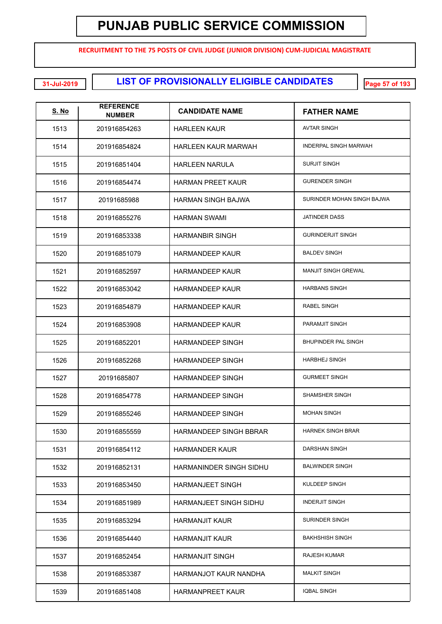**RECRUITMENT TO THE 75 POSTS OF CIVIL JUDGE (JUNIOR DIVISION) CUM-JUDICIAL MAGISTRATE**

**LIST OF PROVISIONALLY ELIGIBLE CANDIDATES 31-Jul-2019 Page 57 of 193**

| <u>S. No</u> | <b>REFERENCE</b><br><b>NUMBER</b> | <b>CANDIDATE NAME</b>         | <b>FATHER NAME</b>           |
|--------------|-----------------------------------|-------------------------------|------------------------------|
| 1513         | 201916854263                      | <b>HARLEEN KAUR</b>           | <b>AVTAR SINGH</b>           |
| 1514         | 201916854824                      | <b>HARLEEN KAUR MARWAH</b>    | <b>INDERPAL SINGH MARWAH</b> |
| 1515         | 201916851404                      | <b>HARLEEN NARULA</b>         | <b>SURJIT SINGH</b>          |
| 1516         | 201916854474                      | <b>HARMAN PREET KAUR</b>      | <b>GURENDER SINGH</b>        |
| 1517         | 20191685988                       | HARMAN SINGH BAJWA            | SURINDER MOHAN SINGH BAJWA   |
| 1518         | 201916855276                      | <b>HARMAN SWAMI</b>           | <b>JATINDER DASS</b>         |
| 1519         | 201916853338                      | <b>HARMANBIR SINGH</b>        | <b>GURINDERJIT SINGH</b>     |
| 1520         | 201916851079                      | <b>HARMANDEEP KAUR</b>        | <b>BALDEV SINGH</b>          |
| 1521         | 201916852597                      | <b>HARMANDEEP KAUR</b>        | <b>MANJIT SINGH GREWAL</b>   |
| 1522         | 201916853042                      | <b>HARMANDEEP KAUR</b>        | <b>HARBANS SINGH</b>         |
| 1523         | 201916854879                      | <b>HARMANDEEP KAUR</b>        | <b>RABEL SINGH</b>           |
| 1524         | 201916853908                      | <b>HARMANDEEP KAUR</b>        | PARAMJIT SINGH               |
| 1525         | 201916852201                      | <b>HARMANDEEP SINGH</b>       | BHUPINDER PAL SINGH          |
| 1526         | 201916852268                      | <b>HARMANDEEP SINGH</b>       | <b>HARBHEJ SINGH</b>         |
| 1527         | 20191685807                       | <b>HARMANDEEP SINGH</b>       | <b>GURMEET SINGH</b>         |
| 1528         | 201916854778                      | <b>HARMANDEEP SINGH</b>       | <b>SHAMSHER SINGH</b>        |
| 1529         | 201916855246                      | <b>HARMANDEEP SINGH</b>       | <b>MOHAN SINGH</b>           |
| 1530         | 201916855559                      | <b>HARMANDEEP SINGH BBRAR</b> | <b>HARNEK SINGH BRAR</b>     |
| 1531         | 201916854112                      | <b>HARMANDER KAUR</b>         | DARSHAN SINGH                |
| 1532         | 201916852131                      | HARMANINDER SINGH SIDHU       | <b>BALWINDER SINGH</b>       |
| 1533         | 201916853450                      | <b>HARMANJEET SINGH</b>       | KULDEEP SINGH                |
| 1534         | 201916851989                      | <b>HARMANJEET SINGH SIDHU</b> | <b>INDERJIT SINGH</b>        |
| 1535         | 201916853294                      | <b>HARMANJIT KAUR</b>         | SURINDER SINGH               |
| 1536         | 201916854440                      | <b>HARMANJIT KAUR</b>         | <b>BAKHSHISH SINGH</b>       |
| 1537         | 201916852454                      | <b>HARMANJIT SINGH</b>        | <b>RAJESH KUMAR</b>          |
| 1538         | 201916853387                      | HARMANJOT KAUR NANDHA         | <b>MALKIT SINGH</b>          |
| 1539         | 201916851408                      | <b>HARMANPREET KAUR</b>       | <b>IQBAL SINGH</b>           |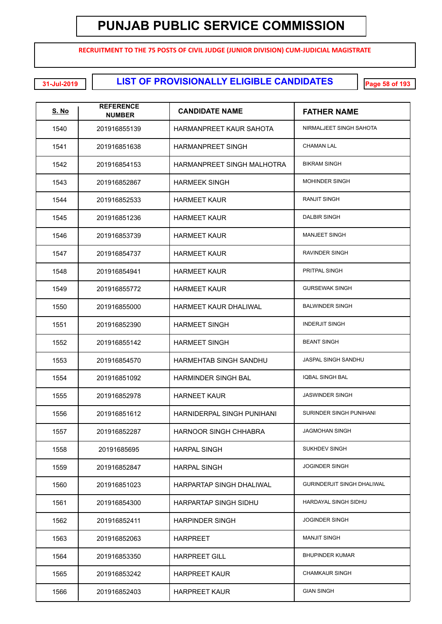**RECRUITMENT TO THE 75 POSTS OF CIVIL JUDGE (JUNIOR DIVISION) CUM-JUDICIAL MAGISTRATE**

**LIST OF PROVISIONALLY ELIGIBLE CANDIDATES 31-Jul-2019 Page 58 of 193**

| <u>S. No</u> | <b>REFERENCE</b><br><b>NUMBER</b> | <b>CANDIDATE NAME</b>        | <b>FATHER NAME</b>                |
|--------------|-----------------------------------|------------------------------|-----------------------------------|
| 1540         | 201916855139                      | HARMANPREET KAUR SAHOTA      | NIRMALJEET SINGH SAHOTA           |
| 1541         | 201916851638                      | <b>HARMANPREET SINGH</b>     | <b>CHAMAN LAL</b>                 |
| 1542         | 201916854153                      | HARMANPREET SINGH MALHOTRA   | <b>BIKRAM SINGH</b>               |
| 1543         | 201916852867                      | <b>HARMEEK SINGH</b>         | <b>MOHINDER SINGH</b>             |
| 1544         | 201916852533                      | <b>HARMEET KAUR</b>          | <b>RANJIT SINGH</b>               |
| 1545         | 201916851236                      | <b>HARMEET KAUR</b>          | <b>DALBIR SINGH</b>               |
| 1546         | 201916853739                      | <b>HARMEET KAUR</b>          | <b>MANJEET SINGH</b>              |
| 1547         | 201916854737                      | <b>HARMEET KAUR</b>          | <b>RAVINDER SINGH</b>             |
| 1548         | 201916854941                      | <b>HARMEET KAUR</b>          | PRITPAL SINGH                     |
| 1549         | 201916855772                      | <b>HARMEET KAUR</b>          | <b>GURSEWAK SINGH</b>             |
| 1550         | 201916855000                      | <b>HARMEET KAUR DHALIWAL</b> | <b>BALWINDER SINGH</b>            |
| 1551         | 201916852390                      | <b>HARMEET SINGH</b>         | <b>INDERJIT SINGH</b>             |
| 1552         | 201916855142                      | <b>HARMEET SINGH</b>         | <b>BEANT SINGH</b>                |
| 1553         | 201916854570                      | HARMEHTAB SINGH SANDHU       | JASPAL SINGH SANDHU               |
| 1554         | 201916851092                      | <b>HARMINDER SINGH BAL</b>   | <b>IQBAL SINGH BAL</b>            |
| 1555         | 201916852978                      | <b>HARNEET KAUR</b>          | <b>JASWINDER SINGH</b>            |
| 1556         | 201916851612                      | HARNIDERPAL SINGH PUNIHANI   | SURINDER SINGH PUNIHANI           |
| 1557         | 201916852287                      | HARNOOR SINGH CHHABRA        | <b>JAGMOHAN SINGH</b>             |
| 1558         | 20191685695                       | <b>HARPAL SINGH</b>          | <b>SUKHDEV SINGH</b>              |
| 1559         | 201916852847                      | <b>HARPAL SINGH</b>          | <b>JOGINDER SINGH</b>             |
| 1560         | 201916851023                      | HARPARTAP SINGH DHALIWAL     | <b>GURINDERJIT SINGH DHALIWAL</b> |
| 1561         | 201916854300                      | HARPARTAP SINGH SIDHU        | HARDAYAL SINGH SIDHU              |
| 1562         | 201916852411                      | <b>HARPINDER SINGH</b>       | <b>JOGINDER SINGH</b>             |
| 1563         | 201916852063                      | <b>HARPREET</b>              | <b>MANJIT SINGH</b>               |
| 1564         | 201916853350                      | <b>HARPREET GILL</b>         | <b>BHUPINDER KUMAR</b>            |
| 1565         | 201916853242                      | <b>HARPREET KAUR</b>         | <b>CHAMKAUR SINGH</b>             |
| 1566         | 201916852403                      | <b>HARPREET KAUR</b>         | <b>GIAN SINGH</b>                 |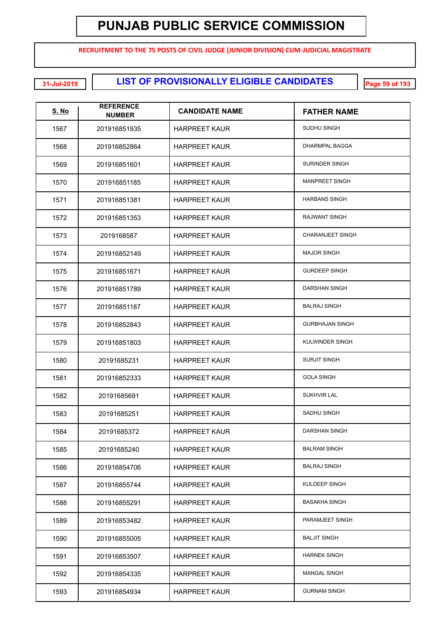**RECRUITMENT TO THE 75 POSTS OF CIVIL JUDGE (JUNIOR DIVISION) CUM-JUDICIAL MAGISTRATE**

**LIST OF PROVISIONALLY ELIGIBLE CANDIDATES 31-Jul-2019 Page 59 of 193**

| <u>S. No</u> | <b>REFERENCE</b><br><b>NUMBER</b> | <b>CANDIDATE NAME</b> | <b>FATHER NAME</b>      |
|--------------|-----------------------------------|-----------------------|-------------------------|
| 1567         | 201916851935                      | <b>HARPREET KAUR</b>  | SUDHU SINGH             |
| 1568         | 201916852864                      | <b>HARPREET KAUR</b>  | <b>DHARMPAL BAGGA</b>   |
| 1569         | 201916851601                      | <b>HARPREET KAUR</b>  | <b>SURINDER SINGH</b>   |
| 1570         | 201916851185                      | <b>HARPREET KAUR</b>  | <b>MANPREET SINGH</b>   |
| 1571         | 201916851381                      | <b>HARPREET KAUR</b>  | <b>HARBANS SINGH</b>    |
| 1572         | 201916851353                      | <b>HARPREET KAUR</b>  | <b>RAJWANT SINGH</b>    |
| 1573         | 2019168587                        | <b>HARPREET KAUR</b>  | <b>CHARANJEET SINGH</b> |
| 1574         | 201916852149                      | <b>HARPREET KAUR</b>  | <b>MAJOR SINGH</b>      |
| 1575         | 201916851671                      | <b>HARPREET KAUR</b>  | <b>GURDEEP SINGH</b>    |
| 1576         | 201916851789                      | <b>HARPREET KAUR</b>  | <b>DARSHAN SINGH</b>    |
| 1577         | 201916851187                      | <b>HARPREET KAUR</b>  | <b>BALRAJ SINGH</b>     |
| 1578         | 201916852843                      | <b>HARPREET KAUR</b>  | <b>GURBHAJAN SINGH</b>  |
| 1579         | 201916851803                      | <b>HARPREET KAUR</b>  | KULWINDER SINGH         |
| 1580         | 20191685231                       | <b>HARPREET KAUR</b>  | <b>SURJIT SINGH</b>     |
| 1581         | 201916852333                      | <b>HARPREET KAUR</b>  | <b>GOLA SINGH</b>       |
| 1582         | 20191685691                       | <b>HARPREET KAUR</b>  | <b>SUKHVIR LAL</b>      |
| 1583         | 20191685251                       | <b>HARPREET KAUR</b>  | <b>SADHU SINGH</b>      |
| 1584         | 20191685372                       | HARPREET KAUR         | DARSHAN SINGH           |
| 1585         | 20191685240                       | <b>HARPREET KAUR</b>  | <b>BALRAM SINGH</b>     |
| 1586         | 201916854706                      | <b>HARPREET KAUR</b>  | <b>BALRAJ SINGH</b>     |
| 1587         | 201916855744                      | <b>HARPREET KAUR</b>  | KULDEEP SINGH           |
| 1588         | 201916855291                      | <b>HARPREET KAUR</b>  | <b>BASAKHA SINGH</b>    |
| 1589         | 201916853482                      | <b>HARPREET KAUR</b>  | PARAMJEET SINGH         |
| 1590         | 201916855005                      | <b>HARPREET KAUR</b>  | <b>BALJIT SINGH</b>     |
| 1591         | 201916853507                      | <b>HARPREET KAUR</b>  | <b>HARNEK SINGH</b>     |
| 1592         | 201916854335                      | <b>HARPREET KAUR</b>  | <b>MANGAL SINGH</b>     |
| 1593         | 201916854934                      | <b>HARPREET KAUR</b>  | <b>GURNAM SINGH</b>     |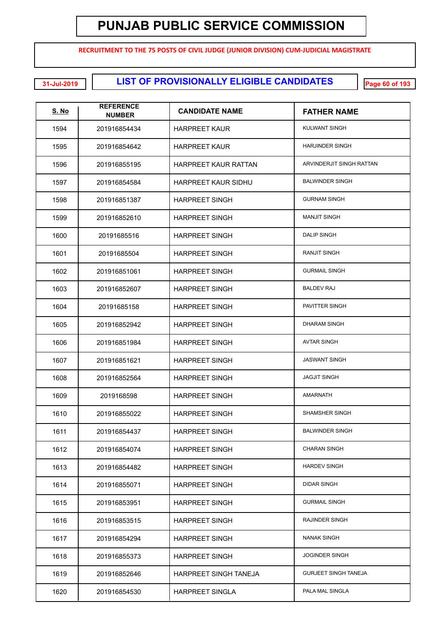**RECRUITMENT TO THE 75 POSTS OF CIVIL JUDGE (JUNIOR DIVISION) CUM-JUDICIAL MAGISTRATE**

#### **LIST OF PROVISIONALLY ELIGIBLE CANDIDATES 31-Jul-2019 Page 60 of 193**

| <u>S. No</u> | <b>REFERENCE</b><br><b>NUMBER</b> | <b>CANDIDATE NAME</b>       | <b>FATHER NAME</b>          |
|--------------|-----------------------------------|-----------------------------|-----------------------------|
| 1594         | 201916854434                      | <b>HARPREET KAUR</b>        | KULWANT SINGH               |
| 1595         | 201916854642                      | <b>HARPREET KAUR</b>        | <b>HARJINDER SINGH</b>      |
| 1596         | 201916855195                      | <b>HARPREET KAUR RATTAN</b> | ARVINDERJIT SINGH RATTAN    |
| 1597         | 201916854584                      | <b>HARPREET KAUR SIDHU</b>  | <b>BALWINDER SINGH</b>      |
| 1598         | 201916851387                      | <b>HARPREET SINGH</b>       | <b>GURNAM SINGH</b>         |
| 1599         | 201916852610                      | <b>HARPREET SINGH</b>       | <b>MANJIT SINGH</b>         |
| 1600         | 20191685516                       | <b>HARPREET SINGH</b>       | <b>DALIP SINGH</b>          |
| 1601         | 20191685504                       | <b>HARPREET SINGH</b>       | <b>RANJIT SINGH</b>         |
| 1602         | 201916851061                      | <b>HARPREET SINGH</b>       | <b>GURMAIL SINGH</b>        |
| 1603         | 201916852607                      | <b>HARPREET SINGH</b>       | <b>BALDEV RAJ</b>           |
| 1604         | 20191685158                       | <b>HARPREET SINGH</b>       | PAVITTER SINGH              |
| 1605         | 201916852942                      | <b>HARPREET SINGH</b>       | <b>DHARAM SINGH</b>         |
| 1606         | 201916851984                      | <b>HARPREET SINGH</b>       | <b>AVTAR SINGH</b>          |
| 1607         | 201916851621                      | <b>HARPREET SINGH</b>       | <b>JASWANT SINGH</b>        |
| 1608         | 201916852564                      | <b>HARPREET SINGH</b>       | <b>JAGJIT SINGH</b>         |
| 1609         | 2019168598                        | <b>HARPREET SINGH</b>       | <b>AMARNATH</b>             |
| 1610         | 201916855022                      | <b>HARPREET SINGH</b>       | SHAMSHER SINGH              |
| 1611         | 201916854437                      | <b>HARPREET SINGH</b>       | <b>BALWINDER SINGH</b>      |
| 1612         | 201916854074                      | <b>HARPREET SINGH</b>       | <b>CHARAN SINGH</b>         |
| 1613         | 201916854482                      | <b>HARPREET SINGH</b>       | <b>HARDEV SINGH</b>         |
| 1614         | 201916855071                      | <b>HARPREET SINGH</b>       | <b>DIDAR SINGH</b>          |
| 1615         | 201916853951                      | <b>HARPREET SINGH</b>       | <b>GURMAIL SINGH</b>        |
| 1616         | 201916853515                      | <b>HARPREET SINGH</b>       | <b>RAJINDER SINGH</b>       |
| 1617         | 201916854294                      | <b>HARPREET SINGH</b>       | <b>NANAK SINGH</b>          |
| 1618         | 201916855373                      | <b>HARPREET SINGH</b>       | <b>JOGINDER SINGH</b>       |
| 1619         | 201916852646                      | HARPREET SINGH TANEJA       | <b>GURJEET SINGH TANEJA</b> |
| 1620         | 201916854530                      | <b>HARPREET SINGLA</b>      | PALA MAL SINGLA             |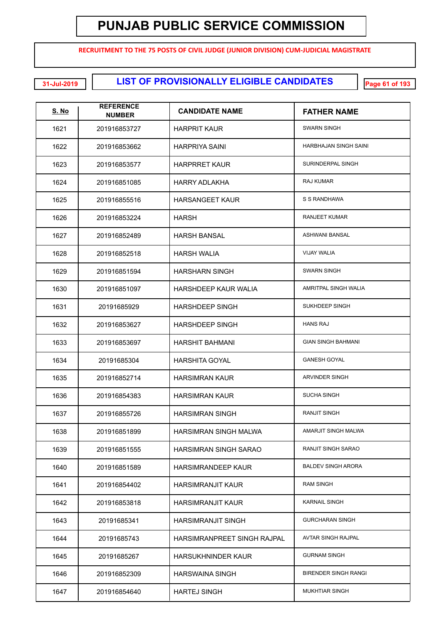**RECRUITMENT TO THE 75 POSTS OF CIVIL JUDGE (JUNIOR DIVISION) CUM-JUDICIAL MAGISTRATE**

**LIST OF PROVISIONALLY ELIGIBLE CANDIDATES 31-Jul-2019 Page 61 of 193**

| <u>S. No</u> | <b>REFERENCE</b><br><b>NUMBER</b> | <b>CANDIDATE NAME</b>        | <b>FATHER NAME</b>           |
|--------------|-----------------------------------|------------------------------|------------------------------|
| 1621         | 201916853727                      | <b>HARPRIT KAUR</b>          | <b>SWARN SINGH</b>           |
| 1622         | 201916853662                      | <b>HARPRIYA SAINI</b>        | <b>HARBHAJAN SINGH SAINI</b> |
| 1623         | 201916853577                      | <b>HARPRRET KAUR</b>         | SURINDERPAL SINGH            |
| 1624         | 201916851085                      | HARRY ADLAKHA                | RAJ KUMAR                    |
| 1625         | 201916855516                      | <b>HARSANGEET KAUR</b>       | S S RANDHAWA                 |
| 1626         | 201916853224                      | <b>HARSH</b>                 | <b>RANJEET KUMAR</b>         |
| 1627         | 201916852489                      | <b>HARSH BANSAL</b>          | <b>ASHWANI BANSAL</b>        |
| 1628         | 201916852518                      | <b>HARSH WALIA</b>           | <b>VIJAY WALIA</b>           |
| 1629         | 201916851594                      | <b>HARSHARN SINGH</b>        | <b>SWARN SINGH</b>           |
| 1630         | 201916851097                      | <b>HARSHDEEP KAUR WALIA</b>  | AMRITPAL SINGH WALIA         |
| 1631         | 20191685929                       | <b>HARSHDEEP SINGH</b>       | SUKHDEEP SINGH               |
| 1632         | 201916853627                      | <b>HARSHDEEP SINGH</b>       | <b>HANS RAJ</b>              |
| 1633         | 201916853697                      | <b>HARSHIT BAHMANI</b>       | <b>GIAN SINGH BAHMANI</b>    |
| 1634         | 20191685304                       | <b>HARSHITA GOYAL</b>        | <b>GANESH GOYAL</b>          |
| 1635         | 201916852714                      | <b>HARSIMRAN KAUR</b>        | ARVINDER SINGH               |
| 1636         | 201916854383                      | <b>HARSIMRAN KAUR</b>        | <b>SUCHA SINGH</b>           |
| 1637         | 201916855726                      | <b>HARSIMRAN SINGH</b>       | <b>RANJIT SINGH</b>          |
| 1638         | 201916851899                      | <b>HARSIMRAN SINGH MALWA</b> | AMARJIT SINGH MALWA          |
| 1639         | 201916851555                      | <b>HARSIMRAN SINGH SARAO</b> | RANJIT SINGH SARAO           |
| 1640         | 201916851589                      | <b>HARSIMRANDEEP KAUR</b>    | <b>BALDEV SINGH ARORA</b>    |
| 1641         | 201916854402                      | <b>HARSIMRANJIT KAUR</b>     | <b>RAM SINGH</b>             |
| 1642         | 201916853818                      | <b>HARSIMRANJIT KAUR</b>     | <b>KARNAIL SINGH</b>         |
| 1643         | 20191685341                       | <b>HARSIMRANJIT SINGH</b>    | <b>GURCHARAN SINGH</b>       |
| 1644         | 20191685743                       | HARSIMRANPREET SINGH RAJPAL  | AVTAR SINGH RAJPAL           |
| 1645         | 20191685267                       | <b>HARSUKHNINDER KAUR</b>    | <b>GURNAM SINGH</b>          |
| 1646         | 201916852309                      | HARSWAINA SINGH              | <b>BIRENDER SINGH RANGI</b>  |
| 1647         | 201916854640                      | <b>HARTEJ SINGH</b>          | <b>MUKHTIAR SINGH</b>        |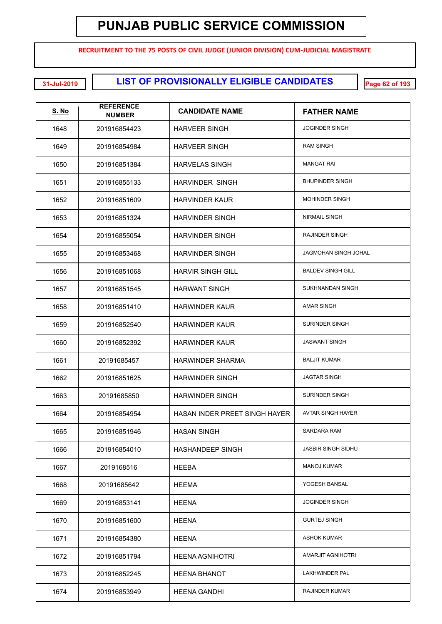**RECRUITMENT TO THE 75 POSTS OF CIVIL JUDGE (JUNIOR DIVISION) CUM-JUDICIAL MAGISTRATE**

**LIST OF PROVISIONALLY ELIGIBLE CANDIDATES 31-Jul-2019 Page 62 of 193**

| <b>S. No</b> | <b>REFERENCE</b><br><b>NUMBER</b> | <b>CANDIDATE NAME</b>         | <b>FATHER NAME</b>        |
|--------------|-----------------------------------|-------------------------------|---------------------------|
| 1648         | 201916854423                      | <b>HARVEER SINGH</b>          | <b>JOGINDER SINGH</b>     |
| 1649         | 201916854984                      | <b>HARVEER SINGH</b>          | <b>RAM SINGH</b>          |
| 1650         | 201916851384                      | <b>HARVELAS SINGH</b>         | <b>MANGAT RAI</b>         |
| 1651         | 201916855133                      | <b>HARVINDER SINGH</b>        | <b>BHUPINDER SINGH</b>    |
| 1652         | 201916851609                      | <b>HARVINDER KAUR</b>         | <b>MOHINDER SINGH</b>     |
| 1653         | 201916851324                      | <b>HARVINDER SINGH</b>        | <b>NIRMAIL SINGH</b>      |
| 1654         | 201916855054                      | <b>HARVINDER SINGH</b>        | <b>RAJINDER SINGH</b>     |
| 1655         | 201916853468                      | <b>HARVINDER SINGH</b>        | JAGMOHAN SINGH JOHAL      |
| 1656         | 201916851068                      | <b>HARVIR SINGH GILL</b>      | <b>BALDEV SINGH GILL</b>  |
| 1657         | 201916851545                      | <b>HARWANT SINGH</b>          | SUKHNANDAN SINGH          |
| 1658         | 201916851410                      | <b>HARWINDER KAUR</b>         | <b>AMAR SINGH</b>         |
| 1659         | 201916852540                      | <b>HARWINDER KAUR</b>         | <b>SURINDER SINGH</b>     |
| 1660         | 201916852392                      | <b>HARWINDER KAUR</b>         | <b>JASWANT SINGH</b>      |
| 1661         | 20191685457                       | <b>HARWINDER SHARMA</b>       | <b>BALJIT KUMAR</b>       |
| 1662         | 201916851625                      | <b>HARWINDER SINGH</b>        | <b>JAGTAR SINGH</b>       |
| 1663         | 20191685850                       | <b>HARWINDER SINGH</b>        | <b>SURINDER SINGH</b>     |
| 1664         | 201916854954                      | HASAN INDER PREET SINGH HAYER | <b>AVTAR SINGH HAYER</b>  |
| 1665         | 201916851946                      | HASAN SINGH                   | SARDARA RAM               |
| 1666         | 201916854010                      | <b>HASHANDEEP SINGH</b>       | <b>JASBIR SINGH SIDHU</b> |
| 1667         | 2019168516                        | <b>HEEBA</b>                  | <b>MANOJ KUMAR</b>        |
| 1668         | 20191685642                       | <b>HEEMA</b>                  | YOGESH BANSAL             |
| 1669         | 201916853141                      | <b>HEENA</b>                  | <b>JOGINDER SINGH</b>     |
| 1670         | 201916851600                      | <b>HEENA</b>                  | <b>GURTEJ SINGH</b>       |
| 1671         | 201916854380                      | <b>HEENA</b>                  | <b>ASHOK KUMAR</b>        |
| 1672         | 201916851794                      | <b>HEENA AGNIHOTRI</b>        | AMARJIT AGNIHOTRI         |
| 1673         | 201916852245                      | <b>HEENA BHANOT</b>           | <b>LAKHWINDER PAL</b>     |
| 1674         | 201916853949                      | <b>HEENA GANDHI</b>           | RAJINDER KUMAR            |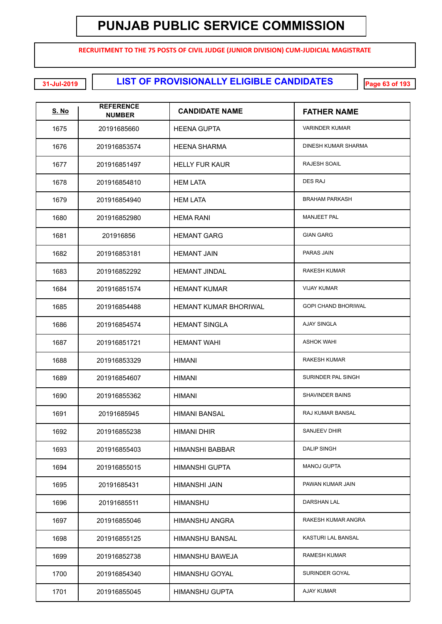**RECRUITMENT TO THE 75 POSTS OF CIVIL JUDGE (JUNIOR DIVISION) CUM-JUDICIAL MAGISTRATE**

**LIST OF PROVISIONALLY ELIGIBLE CANDIDATES 31-Jul-2019 Page 63 of 193**

| <u>S. No</u> | <b>REFERENCE</b><br><b>NUMBER</b> | <b>CANDIDATE NAME</b>        | <b>FATHER NAME</b>         |
|--------------|-----------------------------------|------------------------------|----------------------------|
| 1675         | 20191685660                       | <b>HEENA GUPTA</b>           | <b>VARINDER KUMAR</b>      |
| 1676         | 201916853574                      | <b>HEENA SHARMA</b>          | DINESH KUMAR SHARMA        |
| 1677         | 201916851497                      | <b>HELLY FUR KAUR</b>        | <b>RAJESH SOAIL</b>        |
| 1678         | 201916854810                      | <b>HEM LATA</b>              | <b>DES RAJ</b>             |
| 1679         | 201916854940                      | <b>HEM LATA</b>              | <b>BRAHAM PARKASH</b>      |
| 1680         | 201916852980                      | <b>HEMA RANI</b>             | <b>MANJEET PAL</b>         |
| 1681         | 201916856                         | <b>HEMANT GARG</b>           | <b>GIAN GARG</b>           |
| 1682         | 201916853181                      | <b>HEMANT JAIN</b>           | PARAS JAIN                 |
| 1683         | 201916852292                      | <b>HEMANT JINDAL</b>         | <b>RAKESH KUMAR</b>        |
| 1684         | 201916851574                      | <b>HEMANT KUMAR</b>          | <b>VIJAY KUMAR</b>         |
| 1685         | 201916854488                      | <b>HEMANT KUMAR BHORIWAL</b> | <b>GOPI CHAND BHORIWAL</b> |
| 1686         | 201916854574                      | <b>HEMANT SINGLA</b>         | <b>AJAY SINGLA</b>         |
| 1687         | 201916851721                      | <b>HEMANT WAHI</b>           | <b>ASHOK WAHI</b>          |
| 1688         | 201916853329                      | HIMANI                       | <b>RAKESH KUMAR</b>        |
| 1689         | 201916854607                      | HIMANI                       | SURINDER PAL SINGH         |
| 1690         | 201916855362                      | HIMANI                       | SHAVINDER BAINS            |
| 1691         | 20191685945                       | <b>HIMANI BANSAL</b>         | RAJ KUMAR BANSAL           |
| 1692         | 201916855238                      | HIMANI DHIR                  | <b>SANJEEV DHIR</b>        |
| 1693         | 201916855403                      | HIMANSHI BABBAR              | <b>DALIP SINGH</b>         |
| 1694         | 201916855015                      | <b>HIMANSHI GUPTA</b>        | <b>MANOJ GUPTA</b>         |
| 1695         | 20191685431                       | HIMANSHI JAIN                | PAWAN KUMAR JAIN           |
| 1696         | 20191685511                       | <b>HIMANSHU</b>              | <b>DARSHAN LAL</b>         |
| 1697         | 201916855046                      | <b>HIMANSHU ANGRA</b>        | RAKESH KUMAR ANGRA         |
| 1698         | 201916855125                      | HIMANSHU BANSAL              | KASTURI LAL BANSAL         |
| 1699         | 201916852738                      | HIMANSHU BAWEJA              | <b>RAMESH KUMAR</b>        |
| 1700         | 201916854340                      | HIMANSHU GOYAL               | SURINDER GOYAL             |
| 1701         | 201916855045                      | <b>HIMANSHU GUPTA</b>        | <b>AJAY KUMAR</b>          |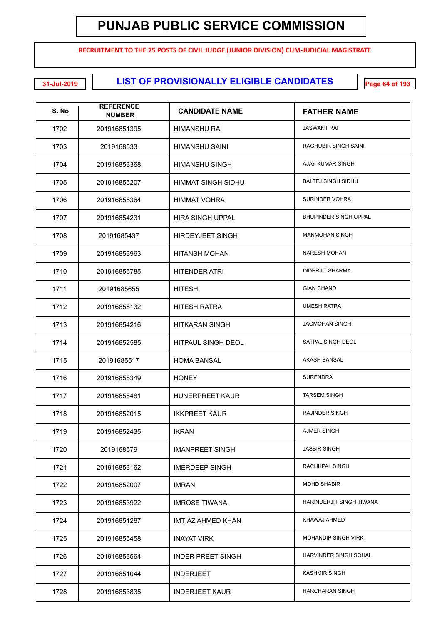**RECRUITMENT TO THE 75 POSTS OF CIVIL JUDGE (JUNIOR DIVISION) CUM-JUDICIAL MAGISTRATE**

**LIST OF PROVISIONALLY ELIGIBLE CANDIDATES 31-Jul-2019 Page 64 of 193**

| <u>S. No</u> | <b>REFERENCE</b><br><b>NUMBER</b> | <b>CANDIDATE NAME</b>     | <b>FATHER NAME</b>           |
|--------------|-----------------------------------|---------------------------|------------------------------|
| 1702         | 201916851395                      | HIMANSHU RAI              | <b>JASWANT RAI</b>           |
| 1703         | 2019168533                        | HIMANSHU SAINI            | RAGHUBIR SINGH SAINI         |
| 1704         | 201916853368                      | HIMANSHU SINGH            | AJAY KUMAR SINGH             |
| 1705         | 201916855207                      | HIMMAT SINGH SIDHU        | <b>BALTEJ SINGH SIDHU</b>    |
| 1706         | 201916855364                      | <b>HIMMAT VOHRA</b>       | SURINDER VOHRA               |
| 1707         | 201916854231                      | HIRA SINGH UPPAL          | <b>BHUPINDER SINGH UPPAL</b> |
| 1708         | 20191685437                       | <b>HIRDEYJEET SINGH</b>   | <b>MANMOHAN SINGH</b>        |
| 1709         | 201916853963                      | <b>HITANSH MOHAN</b>      | <b>NARESH MOHAN</b>          |
| 1710         | 201916855785                      | <b>HITENDER ATRI</b>      | <b>INDERJIT SHARMA</b>       |
| 1711         | 20191685655                       | <b>HITESH</b>             | <b>GIAN CHAND</b>            |
| 1712         | 201916855132                      | <b>HITESH RATRA</b>       | <b>UMESH RATRA</b>           |
| 1713         | 201916854216                      | <b>HITKARAN SINGH</b>     | <b>JAGMOHAN SINGH</b>        |
| 1714         | 201916852585                      | <b>HITPAUL SINGH DEOL</b> | SATPAL SINGH DEOL            |
| 1715         | 20191685517                       | <b>HOMA BANSAL</b>        | <b>AKASH BANSAL</b>          |
| 1716         | 201916855349                      | <b>HONEY</b>              | <b>SURENDRA</b>              |
| 1717         | 201916855481                      | <b>HUNERPREET KAUR</b>    | <b>TARSEM SINGH</b>          |
| 1718         | 201916852015                      | <b>IKKPREET KAUR</b>      | <b>RAJINDER SINGH</b>        |
| 1719         | 201916852435                      | <b>IKRAN</b>              | AJMER SINGH                  |
| 1720         | 2019168579                        | <b>IMANPREET SINGH</b>    | <b>JASBIR SINGH</b>          |
| 1721         | 201916853162                      | <b>IMERDEEP SINGH</b>     | RACHHPAL SINGH               |
| 1722         | 201916852007                      | <b>IMRAN</b>              | <b>MOHD SHABIR</b>           |
| 1723         | 201916853922                      | <b>IMROSE TIWANA</b>      | HARINDERJIT SINGH TIWANA     |
| 1724         | 201916851287                      | IMTIAZ AHMED KHAN         | KHAWAJ AHMED                 |
| 1725         | 201916855458                      | <b>INAYAT VIRK</b>        | <b>MOHANDIP SINGH VIRK</b>   |
| 1726         | 201916853564                      | <b>INDER PREET SINGH</b>  | HARVINDER SINGH SOHAL        |
| 1727         | 201916851044                      | <b>INDERJEET</b>          | <b>KASHMIR SINGH</b>         |
| 1728         | 201916853835                      | <b>INDERJEET KAUR</b>     | <b>HARCHARAN SINGH</b>       |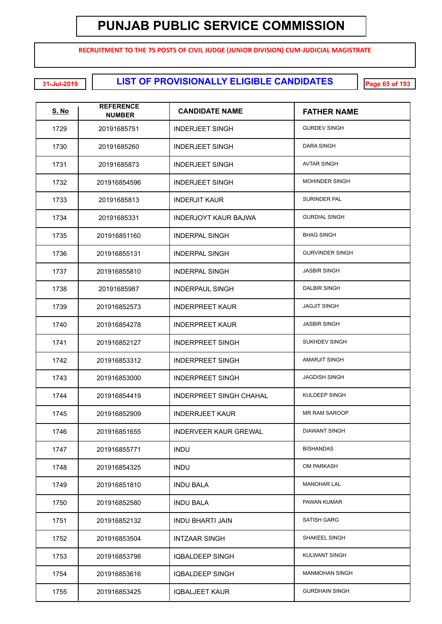**RECRUITMENT TO THE 75 POSTS OF CIVIL JUDGE (JUNIOR DIVISION) CUM-JUDICIAL MAGISTRATE**

**LIST OF PROVISIONALLY ELIGIBLE CANDIDATES 31-Jul-2019 Page 65 of 193**

| <u>S. No</u> | <b>REFERENCE</b><br><b>NUMBER</b> | <b>CANDIDATE NAME</b>          | <b>FATHER NAME</b>     |
|--------------|-----------------------------------|--------------------------------|------------------------|
| 1729         | 20191685751                       | INDERJEET SINGH                | <b>GURDEV SINGH</b>    |
| 1730         | 20191685260                       | INDERJEET SINGH                | <b>DARA SINGH</b>      |
| 1731         | 20191685873                       | INDERJEET SINGH                | <b>AVTAR SINGH</b>     |
| 1732         | 201916854596                      | <b>INDERJEET SINGH</b>         | <b>MOHINDER SINGH</b>  |
| 1733         | 20191685813                       | <b>INDERJIT KAUR</b>           | <b>SURINDER PAL</b>    |
| 1734         | 20191685331                       | INDERJOYT KAUR BAJWA           | <b>GURDIAL SINGH</b>   |
| 1735         | 201916851160                      | INDERPAL SINGH                 | <b>BHAG SINGH</b>      |
| 1736         | 201916855131                      | <b>INDERPAL SINGH</b>          | <b>GURVINDER SINGH</b> |
| 1737         | 201916855810                      | <b>INDERPAL SINGH</b>          | <b>JASBIR SINGH</b>    |
| 1738         | 20191685987                       | <b>INDERPAUL SINGH</b>         | <b>DALBIR SINGH</b>    |
| 1739         | 201916852573                      | <b>INDERPREET KAUR</b>         | <b>JAGJIT SINGH</b>    |
| 1740         | 201916854278                      | INDERPREET KAUR                | <b>JASBIR SINGH</b>    |
| 1741         | 201916852127                      | <b>INDERPREET SINGH</b>        | <b>SUKHDEV SINGH</b>   |
| 1742         | 201916853312                      | <b>INDERPREET SINGH</b>        | <b>AMARJIT SINGH</b>   |
| 1743         | 201916853000                      | <b>INDERPREET SINGH</b>        | <b>JAGDISH SINGH</b>   |
| 1744         | 201916854419                      | <b>INDERPREET SINGH CHAHAL</b> | KULDEEP SINGH          |
| 1745         | 201916852909                      | <b>INDERRJEET KAUR</b>         | <b>MR RAM SAROOP</b>   |
| 1746         | 201916851655                      | <b>INDERVEER KAUR GREWAL</b>   | <b>DIAWANT SINGH</b>   |
| 1747         | 201916855771                      | <b>INDU</b>                    | <b>BISHANDAS</b>       |
| 1748         | 201916854325                      | <b>INDU</b>                    | OM PARKASH             |
| 1749         | 201916851810                      | <b>INDU BALA</b>               | <b>MANOHAR LAL</b>     |
| 1750         | 201916852580                      | <b>INDU BALA</b>               | PAWAN KUMAR            |
| 1751         | 201916852132                      | <b>INDU BHARTI JAIN</b>        | <b>SATISH GARG</b>     |
| 1752         | 201916853504                      | <b>INTZAAR SINGH</b>           | SHAKEEL SINGH          |
| 1753         | 201916853798                      | <b>IQBALDEEP SINGH</b>         | KULWANT SINGH          |
| 1754         | 201916853616                      | <b>IQBALDEEP SINGH</b>         | <b>MANMOHAN SINGH</b>  |
| 1755         | 201916853425                      | <b>IQBALJEET KAUR</b>          | <b>GURDHAIN SINGH</b>  |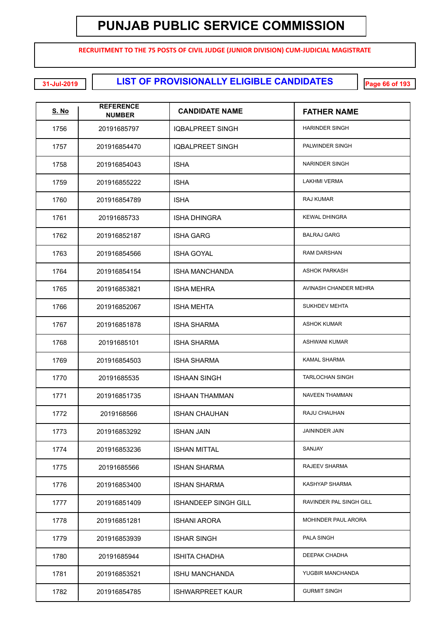**RECRUITMENT TO THE 75 POSTS OF CIVIL JUDGE (JUNIOR DIVISION) CUM-JUDICIAL MAGISTRATE**

**LIST OF PROVISIONALLY ELIGIBLE CANDIDATES 31-Jul-2019 Page 66 of 193**

| <b>S. No</b> | <b>REFERENCE</b><br><b>NUMBER</b> | <b>CANDIDATE NAME</b>       | <b>FATHER NAME</b>      |
|--------------|-----------------------------------|-----------------------------|-------------------------|
| 1756         | 20191685797                       | IQBALPREET SINGH            | <b>HARINDER SINGH</b>   |
| 1757         | 201916854470                      | <b>IQBALPREET SINGH</b>     | PALWINDER SINGH         |
| 1758         | 201916854043                      | <b>ISHA</b>                 | <b>NARINDER SINGH</b>   |
| 1759         | 201916855222                      | <b>ISHA</b>                 | <b>LAKHMI VERMA</b>     |
| 1760         | 201916854789                      | <b>ISHA</b>                 | RAJ KUMAR               |
| 1761         | 20191685733                       | <b>ISHA DHINGRA</b>         | <b>KEWAL DHINGRA</b>    |
| 1762         | 201916852187                      | ISHA GARG                   | <b>BALRAJ GARG</b>      |
| 1763         | 201916854566                      | <b>ISHA GOYAL</b>           | <b>RAM DARSHAN</b>      |
| 1764         | 201916854154                      | ISHA MANCHANDA              | <b>ASHOK PARKASH</b>    |
| 1765         | 201916853821                      | <b>ISHA MEHRA</b>           | AVINASH CHANDER MEHRA   |
| 1766         | 201916852067                      | <b>ISHA MEHTA</b>           | <b>SUKHDEV MEHTA</b>    |
| 1767         | 201916851878                      | <b>ISHA SHARMA</b>          | <b>ASHOK KUMAR</b>      |
| 1768         | 20191685101                       | <b>ISHA SHARMA</b>          | <b>ASHWANI KUMAR</b>    |
| 1769         | 201916854503                      | <b>ISHA SHARMA</b>          | <b>KAMAL SHARMA</b>     |
| 1770         | 20191685535                       | <b>ISHAAN SINGH</b>         | <b>TARLOCHAN SINGH</b>  |
| 1771         | 201916851735                      | <b>ISHAAN THAMMAN</b>       | <b>NAVEEN THAMMAN</b>   |
| 1772         | 2019168566                        | <b>ISHAN CHAUHAN</b>        | <b>RAJU CHAUHAN</b>     |
| 1773         | 201916853292                      | <b>ISHAN JAIN</b>           | <b>JAININDER JAIN</b>   |
| 1774         | 201916853236                      | <b>ISHAN MITTAL</b>         | SANJAY                  |
| 1775         | 20191685566                       | <b>ISHAN SHARMA</b>         | RAJEEV SHARMA           |
| 1776         | 201916853400                      | <b>ISHAN SHARMA</b>         | KASHYAP SHARMA          |
| 1777         | 201916851409                      | <b>ISHANDEEP SINGH GILL</b> | RAVINDER PAL SINGH GILL |
| 1778         | 201916851281                      | <b>ISHANI ARORA</b>         | MOHINDER PAUL ARORA     |
| 1779         | 201916853939                      | <b>ISHAR SINGH</b>          | PALA SINGH              |
| 1780         | 20191685944                       | ISHITA CHADHA               | DEEPAK CHADHA           |
| 1781         | 201916853521                      | <b>ISHU MANCHANDA</b>       | YUGBIR MANCHANDA        |
| 1782         | 201916854785                      | <b>ISHWARPREET KAUR</b>     | <b>GURMIT SINGH</b>     |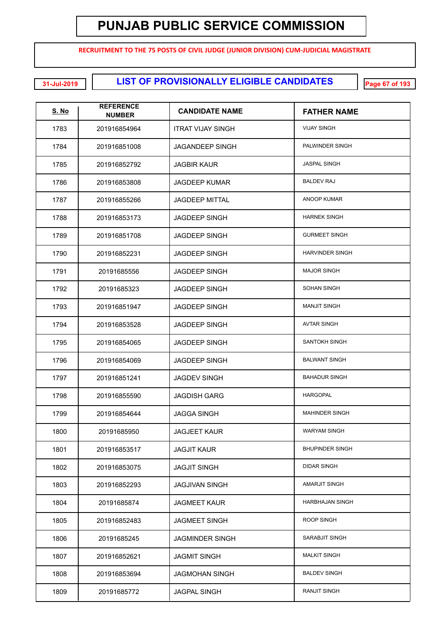**RECRUITMENT TO THE 75 POSTS OF CIVIL JUDGE (JUNIOR DIVISION) CUM-JUDICIAL MAGISTRATE**

**LIST OF PROVISIONALLY ELIGIBLE CANDIDATES 31-Jul-2019 Page 67 of 193**

| <u>S. No</u> | <b>REFERENCE</b><br><b>NUMBER</b> | <b>CANDIDATE NAME</b>    | <b>FATHER NAME</b>     |
|--------------|-----------------------------------|--------------------------|------------------------|
| 1783         | 201916854964                      | <b>ITRAT VIJAY SINGH</b> | <b>VIJAY SINGH</b>     |
| 1784         | 201916851008                      | <b>JAGANDEEP SINGH</b>   | PALWINDER SINGH        |
| 1785         | 201916852792                      | <b>JAGBIR KAUR</b>       | <b>JASPAL SINGH</b>    |
| 1786         | 201916853808                      | <b>JAGDEEP KUMAR</b>     | <b>BALDEV RAJ</b>      |
| 1787         | 201916855266                      | <b>JAGDEEP MITTAL</b>    | <b>ANOOP KUMAR</b>     |
| 1788         | 201916853173                      | <b>JAGDEEP SINGH</b>     | <b>HARNEK SINGH</b>    |
| 1789         | 201916851708                      | <b>JAGDEEP SINGH</b>     | <b>GURMEET SINGH</b>   |
| 1790         | 201916852231                      | <b>JAGDEEP SINGH</b>     | <b>HARVINDER SINGH</b> |
| 1791         | 20191685556                       | <b>JAGDEEP SINGH</b>     | <b>MAJOR SINGH</b>     |
| 1792         | 20191685323                       | <b>JAGDEEP SINGH</b>     | <b>SOHAN SINGH</b>     |
| 1793         | 201916851947                      | <b>JAGDEEP SINGH</b>     | <b>MANJIT SINGH</b>    |
| 1794         | 201916853528                      | <b>JAGDEEP SINGH</b>     | <b>AVTAR SINGH</b>     |
| 1795         | 201916854065                      | <b>JAGDEEP SINGH</b>     | <b>SANTOKH SINGH</b>   |
| 1796         | 201916854069                      | <b>JAGDEEP SINGH</b>     | <b>BALWANT SINGH</b>   |
| 1797         | 201916851241                      | <b>JAGDEV SINGH</b>      | <b>BAHADUR SINGH</b>   |
| 1798         | 201916855590                      | <b>JAGDISH GARG</b>      | <b>HARGOPAL</b>        |
| 1799         | 201916854644                      | <b>JAGGA SINGH</b>       | <b>MAHINDER SINGH</b>  |
| 1800         | 20191685950                       | <b>JAGJEET KAUR</b>      | <b>WARYAM SINGH</b>    |
| 1801         | 201916853517                      | <b>JAGJIT KAUR</b>       | <b>BHUPINDER SINGH</b> |
| 1802         | 201916853075                      | <b>JAGJIT SINGH</b>      | <b>DIDAR SINGH</b>     |
| 1803         | 201916852293                      | <b>JAGJIVAN SINGH</b>    | AMARJIT SINGH          |
| 1804         | 20191685874                       | <b>JAGMEET KAUR</b>      | HARBHAJAN SINGH        |
| 1805         | 201916852483                      | <b>JAGMEET SINGH</b>     | <b>ROOP SINGH</b>      |
| 1806         | 20191685245                       | <b>JAGMINDER SINGH</b>   | SARABJIT SINGH         |
| 1807         | 201916852621                      | <b>JAGMIT SINGH</b>      | <b>MALKIT SINGH</b>    |
| 1808         | 201916853694                      | <b>JAGMOHAN SINGH</b>    | <b>BALDEV SINGH</b>    |
| 1809         | 20191685772                       | <b>JAGPAL SINGH</b>      | <b>RANJIT SINGH</b>    |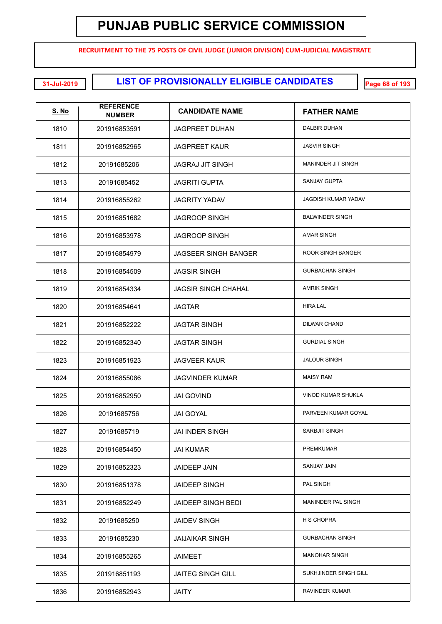**RECRUITMENT TO THE 75 POSTS OF CIVIL JUDGE (JUNIOR DIVISION) CUM-JUDICIAL MAGISTRATE**

**LIST OF PROVISIONALLY ELIGIBLE CANDIDATES 31-Jul-2019 Page 68 of 193**

| <b>S. No</b> | <b>REFERENCE</b><br><b>NUMBER</b> | <b>CANDIDATE NAME</b>       | <b>FATHER NAME</b>         |
|--------------|-----------------------------------|-----------------------------|----------------------------|
| 1810         | 201916853591                      | <b>JAGPREET DUHAN</b>       | <b>DALBIR DUHAN</b>        |
| 1811         | 201916852965                      | <b>JAGPREET KAUR</b>        | <b>JASVIR SINGH</b>        |
| 1812         | 20191685206                       | <b>JAGRAJ JIT SINGH</b>     | <b>MANINDER JIT SINGH</b>  |
| 1813         | 20191685452                       | <b>JAGRITI GUPTA</b>        | <b>SANJAY GUPTA</b>        |
| 1814         | 201916855262                      | <b>JAGRITY YADAV</b>        | <b>JAGDISH KUMAR YADAV</b> |
| 1815         | 201916851682                      | <b>JAGROOP SINGH</b>        | <b>BALWINDER SINGH</b>     |
| 1816         | 201916853978                      | <b>JAGROOP SINGH</b>        | <b>AMAR SINGH</b>          |
| 1817         | 201916854979                      | <b>JAGSEER SINGH BANGER</b> | <b>ROOR SINGH BANGER</b>   |
| 1818         | 201916854509                      | <b>JAGSIR SINGH</b>         | <b>GURBACHAN SINGH</b>     |
| 1819         | 201916854334                      | <b>JAGSIR SINGH CHAHAL</b>  | <b>AMRIK SINGH</b>         |
| 1820         | 201916854641                      | <b>JAGTAR</b>               | <b>HIRA LAL</b>            |
| 1821         | 201916852222                      | <b>JAGTAR SINGH</b>         | <b>DILWAR CHAND</b>        |
| 1822         | 201916852340                      | <b>JAGTAR SINGH</b>         | <b>GURDIAL SINGH</b>       |
| 1823         | 201916851923                      | <b>JAGVEER KAUR</b>         | <b>JALOUR SINGH</b>        |
| 1824         | 201916855086                      | <b>JAGVINDER KUMAR</b>      | <b>MAISY RAM</b>           |
| 1825         | 201916852950                      | <b>JAI GOVIND</b>           | <b>VINOD KUMAR SHUKLA</b>  |
| 1826         | 20191685756                       | <b>JAI GOYAL</b>            | PARVEEN KUMAR GOYAL        |
| 1827         | 20191685719                       | JAI INDER SINGH             | <b>SARBJIT SINGH</b>       |
| 1828         | 201916854450                      | <b>JAI KUMAR</b>            | <b>PREMKUMAR</b>           |
| 1829         | 201916852323                      | <b>JAIDEEP JAIN</b>         | <b>SANJAY JAIN</b>         |
| 1830         | 201916851378                      | <b>JAIDEEP SINGH</b>        | PAL SINGH                  |
| 1831         | 201916852249                      | JAIDEEP SINGH BEDI          | MANINDER PAL SINGH         |
| 1832         | 20191685250                       | <b>JAIDEV SINGH</b>         | <b>H S CHOPRA</b>          |
| 1833         | 20191685230                       | <b>JAIJAIKAR SINGH</b>      | <b>GURBACHAN SINGH</b>     |
| 1834         | 201916855265                      | <b>JAIMEET</b>              | <b>MANOHAR SINGH</b>       |
| 1835         | 201916851193                      | <b>JAITEG SINGH GILL</b>    | SUKHJINDER SINGH GILL      |
| 1836         | 201916852943                      | <b>JAITY</b>                | RAVINDER KUMAR             |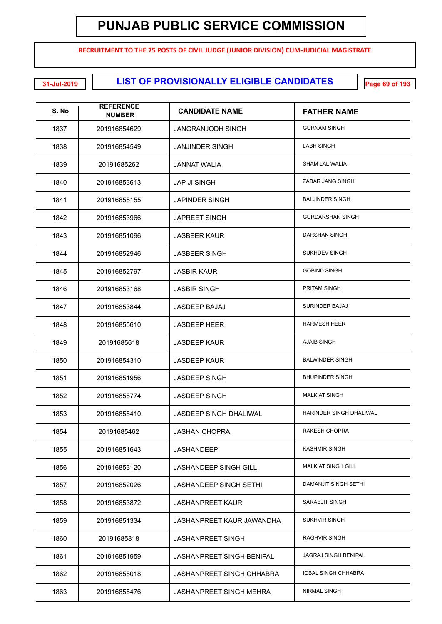**RECRUITMENT TO THE 75 POSTS OF CIVIL JUDGE (JUNIOR DIVISION) CUM-JUDICIAL MAGISTRATE**

**LIST OF PROVISIONALLY ELIGIBLE CANDIDATES 31-Jul-2019 Page 69 of 193**

| <u>S. No</u> | <b>REFERENCE</b><br><b>NUMBER</b> | <b>CANDIDATE NAME</b>            | <b>FATHER NAME</b>        |
|--------------|-----------------------------------|----------------------------------|---------------------------|
| 1837         | 201916854629                      | <b>JANGRANJODH SINGH</b>         | <b>GURNAM SINGH</b>       |
| 1838         | 201916854549                      | <b>JANJINDER SINGH</b>           | <b>LABH SINGH</b>         |
| 1839         | 20191685262                       | <b>JANNAT WALIA</b>              | <b>SHAM LAL WALIA</b>     |
| 1840         | 201916853613                      | <b>JAP JI SINGH</b>              | ZABAR JANG SINGH          |
| 1841         | 201916855155                      | <b>JAPINDER SINGH</b>            | <b>BALJINDER SINGH</b>    |
| 1842         | 201916853966                      | <b>JAPREET SINGH</b>             | <b>GURDARSHAN SINGH</b>   |
| 1843         | 201916851096                      | <b>JASBEER KAUR</b>              | <b>DARSHAN SINGH</b>      |
| 1844         | 201916852946                      | <b>JASBEER SINGH</b>             | SUKHDEV SINGH             |
| 1845         | 201916852797                      | <b>JASBIR KAUR</b>               | <b>GOBIND SINGH</b>       |
| 1846         | 201916853168                      | <b>JASBIR SINGH</b>              | PRITAM SINGH              |
| 1847         | 201916853844                      | <b>JASDEEP BAJAJ</b>             | <b>SURINDER BAJAJ</b>     |
| 1848         | 201916855610                      | <b>JASDEEP HEER</b>              | <b>HARMESH HEER</b>       |
| 1849         | 20191685618                       | <b>JASDEEP KAUR</b>              | <b>AJAIB SINGH</b>        |
| 1850         | 201916854310                      | <b>JASDEEP KAUR</b>              | <b>BALWINDER SINGH</b>    |
| 1851         | 201916851956                      | <b>JASDEEP SINGH</b>             | <b>BHUPINDER SINGH</b>    |
| 1852         | 201916855774                      | <b>JASDEEP SINGH</b>             | <b>MALKIAT SINGH</b>      |
| 1853         | 201916855410                      | <b>JASDEEP SINGH DHALIWAL</b>    | HARINDER SINGH DHALIWAL   |
| 1854         | 20191685462                       | <b>JASHAN CHOPRA</b>             | RAKESH CHOPRA             |
| 1855         | 201916851643                      | <b>JASHANDEEP</b>                | <b>KASHMIR SINGH</b>      |
| 1856         | 201916853120                      | JASHANDEEP SINGH GILL            | <b>MALKIAT SINGH GILL</b> |
| 1857         | 201916852026                      | <b>JASHANDEEP SINGH SETHI</b>    | DAMANJIT SINGH SETHI      |
| 1858         | 201916853872                      | <b>JASHANPREET KAUR</b>          | SARABJIT SINGH            |
| 1859         | 201916851334                      | JASHANPREET KAUR JAWANDHA        | <b>SUKHVIR SINGH</b>      |
| 1860         | 20191685818                       | <b>JASHANPREET SINGH</b>         | RAGHVIR SINGH             |
| 1861         | 201916851959                      | <b>JASHANPREET SINGH BENIPAL</b> | JAGRAJ SINGH BENIPAL      |
| 1862         | 201916855018                      | <b>JASHANPREET SINGH CHHABRA</b> | IQBAL SINGH CHHABRA       |
| 1863         | 201916855476                      | <b>JASHANPREET SINGH MEHRA</b>   | NIRMAL SINGH              |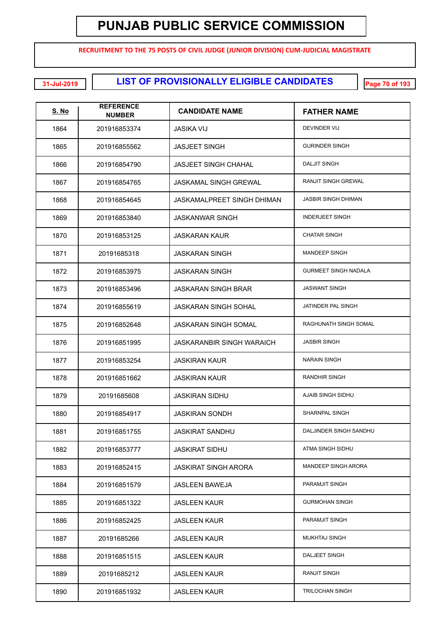**RECRUITMENT TO THE 75 POSTS OF CIVIL JUDGE (JUNIOR DIVISION) CUM-JUDICIAL MAGISTRATE**

**LIST OF PROVISIONALLY ELIGIBLE CANDIDATES 31-Jul-2019 Page 70 of 193**

| <u>S. No</u> | <b>REFERENCE</b><br><b>NUMBER</b> | <b>CANDIDATE NAME</b>             | <b>FATHER NAME</b>          |
|--------------|-----------------------------------|-----------------------------------|-----------------------------|
| 1864         | 201916853374                      | JASIKA VIJ                        | DEVINDER VIJ                |
| 1865         | 201916855562                      | <b>JASJEET SINGH</b>              | <b>GURINDER SINGH</b>       |
| 1866         | 201916854790                      | <b>JASJEET SINGH CHAHAL</b>       | <b>DALJIT SINGH</b>         |
| 1867         | 201916854765                      | <b>JASKAMAL SINGH GREWAL</b>      | <b>RANJIT SINGH GREWAL</b>  |
| 1868         | 201916854645                      | <b>JASKAMALPREET SINGH DHIMAN</b> | JASBIR SINGH DHIMAN         |
| 1869         | 201916853840                      | <b>JASKANWAR SINGH</b>            | <b>INDERJEET SINGH</b>      |
| 1870         | 201916853125                      | <b>JASKARAN KAUR</b>              | <b>CHATAR SINGH</b>         |
| 1871         | 20191685318                       | <b>JASKARAN SINGH</b>             | <b>MANDEEP SINGH</b>        |
| 1872         | 201916853975                      | <b>JASKARAN SINGH</b>             | <b>GURMEET SINGH NADALA</b> |
| 1873         | 201916853496                      | <b>JASKARAN SINGH BRAR</b>        | <b>JASWANT SINGH</b>        |
| 1874         | 201916855619                      | <b>JASKARAN SINGH SOHAL</b>       | JATINDER PAL SINGH          |
| 1875         | 201916852648                      | <b>JASKARAN SINGH SOMAL</b>       | RAGHUNATH SINGH SOMAL       |
| 1876         | 201916851995                      | <b>JASKARANBIR SINGH WARAICH</b>  | <b>JASBIR SINGH</b>         |
| 1877         | 201916853254                      | <b>JASKIRAN KAUR</b>              | <b>NARAIN SINGH</b>         |
| 1878         | 201916851662                      | <b>JASKIRAN KAUR</b>              | RANDHIR SINGH               |
| 1879         | 20191685608                       | <b>JASKIRAN SIDHU</b>             | AJAIB SINGH SIDHU           |
| 1880         | 201916854917                      | <b>JASKIRAN SONDH</b>             | <b>SHARNPAL SINGH</b>       |
| 1881         | 201916851755                      | JASKIRAT SANDHU                   | DALJINDER SINGH SANDHU      |
| 1882         | 201916853777                      | <b>JASKIRAT SIDHU</b>             | ATMA SINGH SIDHU            |
| 1883         | 201916852415                      | <b>JASKIRAT SINGH ARORA</b>       | <b>MANDEEP SINGH ARORA</b>  |
| 1884         | 201916851579                      | JASLEEN BAWEJA                    | PARAMJIT SINGH              |
| 1885         | 201916851322                      | <b>JASLEEN KAUR</b>               | <b>GURMOHAN SINGH</b>       |
| 1886         | 201916852425                      | <b>JASLEEN KAUR</b>               | PARAMJIT SINGH              |
| 1887         | 20191685266                       | <b>JASLEEN KAUR</b>               | <b>MUKHTAJ SINGH</b>        |
| 1888         | 201916851515                      | <b>JASLEEN KAUR</b>               | DALJEET SINGH               |
| 1889         | 20191685212                       | <b>JASLEEN KAUR</b>               | <b>RANJIT SINGH</b>         |
| 1890         | 201916851932                      | <b>JASLEEN KAUR</b>               | TRILOCHAN SINGH             |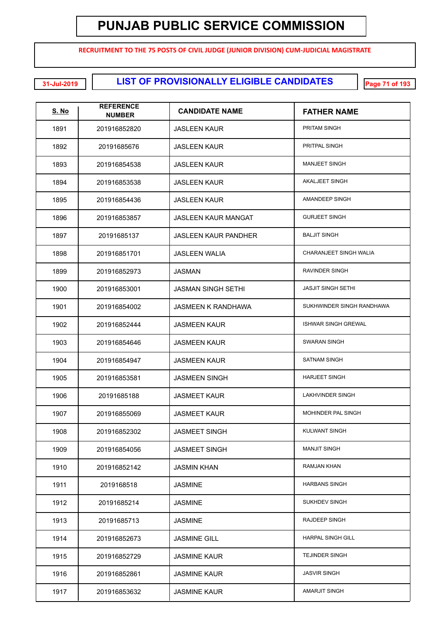**RECRUITMENT TO THE 75 POSTS OF CIVIL JUDGE (JUNIOR DIVISION) CUM-JUDICIAL MAGISTRATE**

**EXECUTE: LIST OF PROVISIONALLY ELIGIBLE CANDIDATES** 

| <u>S. No</u> | <b>REFERENCE</b><br><b>NUMBER</b> | <b>CANDIDATE NAME</b>       | <b>FATHER NAME</b>         |
|--------------|-----------------------------------|-----------------------------|----------------------------|
| 1891         | 201916852820                      | <b>JASLEEN KAUR</b>         | <b>PRITAM SINGH</b>        |
| 1892         | 20191685676                       | <b>JASLEEN KAUR</b>         | PRITPAL SINGH              |
| 1893         | 201916854538                      | <b>JASLEEN KAUR</b>         | <b>MANJEET SINGH</b>       |
| 1894         | 201916853538                      | <b>JASLEEN KAUR</b>         | <b>AKALJEET SINGH</b>      |
| 1895         | 201916854436                      | <b>JASLEEN KAUR</b>         | AMANDEEP SINGH             |
| 1896         | 201916853857                      | <b>JASLEEN KAUR MANGAT</b>  | <b>GURJEET SINGH</b>       |
| 1897         | 20191685137                       | <b>JASLEEN KAUR PANDHER</b> | <b>BALJIT SINGH</b>        |
| 1898         | 201916851701                      | <b>JASLEEN WALIA</b>        | CHARANJEET SINGH WALIA     |
| 1899         | 201916852973                      | <b>JASMAN</b>               | RAVINDER SINGH             |
| 1900         | 201916853001                      | <b>JASMAN SINGH SETHI</b>   | <b>JASJIT SINGH SETHI</b>  |
| 1901         | 201916854002                      | <b>JASMEEN K RANDHAWA</b>   | SUKHWINDER SINGH RANDHAWA  |
| 1902         | 201916852444                      | <b>JASMEEN KAUR</b>         | <b>ISHWAR SINGH GREWAL</b> |
| 1903         | 201916854646                      | <b>JASMEEN KAUR</b>         | SWARAN SINGH               |
| 1904         | 201916854947                      | <b>JASMEEN KAUR</b>         | <b>SATNAM SINGH</b>        |
| 1905         | 201916853581                      | <b>JASMEEN SINGH</b>        | <b>HARJEET SINGH</b>       |
| 1906         | 20191685188                       | <b>JASMEET KAUR</b>         | <b>LAKHVINDER SINGH</b>    |
| 1907         | 201916855069                      | <b>JASMEET KAUR</b>         | MOHINDER PAL SINGH         |
| 1908         | 201916852302                      | <b>JASMEET SINGH</b>        | <b>KULWANT SINGH</b>       |
| 1909         | 201916854056                      | <b>JASMEET SINGH</b>        | <b>MANJIT SINGH</b>        |
| 1910         | 201916852142                      | <b>JASMIN KHAN</b>          | <b>RAMJAN KHAN</b>         |
| 1911         | 2019168518                        | <b>JASMINE</b>              | <b>HARBANS SINGH</b>       |
| 1912         | 20191685214                       | <b>JASMINE</b>              | SUKHDEV SINGH              |
| 1913         | 20191685713                       | <b>JASMINE</b>              | RAJDEEP SINGH              |
| 1914         | 201916852673                      | <b>JASMINE GILL</b>         | <b>HARPAL SINGH GILL</b>   |
| 1915         | 201916852729                      | <b>JASMINE KAUR</b>         | <b>TEJINDER SINGH</b>      |
| 1916         | 201916852861                      | <b>JASMINE KAUR</b>         | <b>JASVIR SINGH</b>        |
| 1917         | 201916853632                      | <b>JASMINE KAUR</b>         | <b>AMARJIT SINGH</b>       |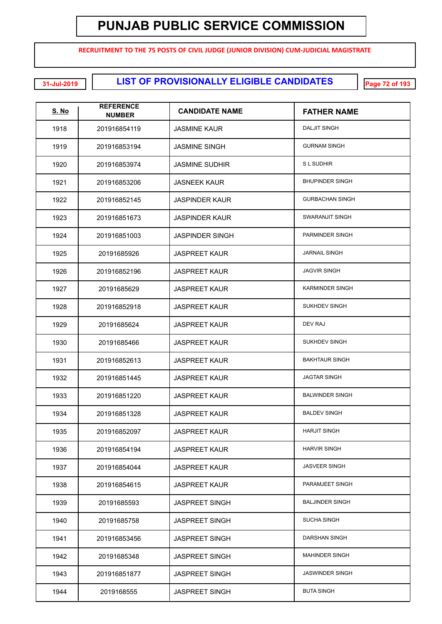**RECRUITMENT TO THE 75 POSTS OF CIVIL JUDGE (JUNIOR DIVISION) CUM-JUDICIAL MAGISTRATE**

**LIST OF PROVISIONALLY ELIGIBLE CANDIDATES 31-Jul-2019 Page 72 of 193**

| <u>S. No</u> | <b>REFERENCE</b><br><b>NUMBER</b> | <b>CANDIDATE NAME</b>  | <b>FATHER NAME</b>     |
|--------------|-----------------------------------|------------------------|------------------------|
| 1918         | 201916854119                      | <b>JASMINE KAUR</b>    | <b>DALJIT SINGH</b>    |
| 1919         | 201916853194                      | <b>JASMINE SINGH</b>   | <b>GURNAM SINGH</b>    |
| 1920         | 201916853974                      | <b>JASMINE SUDHIR</b>  | <b>SL SUDHIR</b>       |
| 1921         | 201916853206                      | <b>JASNEEK KAUR</b>    | <b>BHUPINDER SINGH</b> |
| 1922         | 201916852145                      | <b>JASPINDER KAUR</b>  | <b>GURBACHAN SINGH</b> |
| 1923         | 201916851673                      | <b>JASPINDER KAUR</b>  | SWARANJIT SINGH        |
| 1924         | 201916851003                      | <b>JASPINDER SINGH</b> | PARMINDER SINGH        |
| 1925         | 20191685926                       | <b>JASPREET KAUR</b>   | <b>JARNAIL SINGH</b>   |
| 1926         | 201916852196                      | <b>JASPREET KAUR</b>   | <b>JAGVIR SINGH</b>    |
| 1927         | 20191685629                       | <b>JASPREET KAUR</b>   | <b>KARMINDER SINGH</b> |
| 1928         | 201916852918                      | <b>JASPREET KAUR</b>   | <b>SUKHDEV SINGH</b>   |
| 1929         | 20191685624                       | <b>JASPREET KAUR</b>   | DEV RAJ                |
| 1930         | 20191685466                       | <b>JASPREET KAUR</b>   | <b>SUKHDEV SINGH</b>   |
| 1931         | 201916852613                      | <b>JASPREET KAUR</b>   | <b>BAKHTAUR SINGH</b>  |
| 1932         | 201916851445                      | <b>JASPREET KAUR</b>   | <b>JAGTAR SINGH</b>    |
| 1933         | 201916851220                      | JASPREET KAUR          | <b>BALWINDER SINGH</b> |
| 1934         | 201916851328                      | <b>JASPREET KAUR</b>   | <b>BALDEV SINGH</b>    |
| 1935         | 201916852097                      | <b>JASPREET KAUR</b>   | <b>HARJIT SINGH</b>    |
| 1936         | 201916854194                      | <b>JASPREET KAUR</b>   | <b>HARVIR SINGH</b>    |
| 1937         | 201916854044                      | <b>JASPREET KAUR</b>   | <b>JASVEER SINGH</b>   |
| 1938         | 201916854615                      | <b>JASPREET KAUR</b>   | PARAMJEET SINGH        |
| 1939         | 20191685593                       | <b>JASPREET SINGH</b>  | <b>BALJINDER SINGH</b> |
| 1940         | 20191685758                       | <b>JASPREET SINGH</b>  | <b>SUCHA SINGH</b>     |
| 1941         | 201916853456                      | <b>JASPREET SINGH</b>  | DARSHAN SINGH          |
| 1942         | 20191685348                       | <b>JASPREET SINGH</b>  | <b>MAHINDER SINGH</b>  |
| 1943         | 201916851877                      | <b>JASPREET SINGH</b>  | <b>JASWINDER SINGH</b> |
| 1944         | 2019168555                        | <b>JASPREET SINGH</b>  | <b>BUTA SINGH</b>      |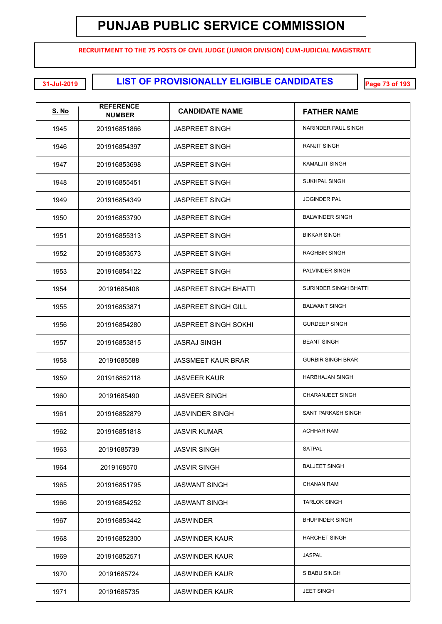**RECRUITMENT TO THE 75 POSTS OF CIVIL JUDGE (JUNIOR DIVISION) CUM-JUDICIAL MAGISTRATE**

| <b>S. No</b> | <b>REFERENCE</b><br><b>NUMBER</b> | <b>CANDIDATE NAME</b>        | <b>FATHER NAME</b>        |
|--------------|-----------------------------------|------------------------------|---------------------------|
| 1945         | 201916851866                      | <b>JASPREET SINGH</b>        | NARINDER PAUL SINGH       |
| 1946         | 201916854397                      | <b>JASPREET SINGH</b>        | <b>RANJIT SINGH</b>       |
| 1947         | 201916853698                      | <b>JASPREET SINGH</b>        | KAMALJIT SINGH            |
| 1948         | 201916855451                      | <b>JASPREET SINGH</b>        | <b>SUKHPAL SINGH</b>      |
| 1949         | 201916854349                      | <b>JASPREET SINGH</b>        | <b>JOGINDER PAL</b>       |
| 1950         | 201916853790                      | <b>JASPREET SINGH</b>        | <b>BALWINDER SINGH</b>    |
| 1951         | 201916855313                      | <b>JASPREET SINGH</b>        | <b>BIKKAR SINGH</b>       |
| 1952         | 201916853573                      | <b>JASPREET SINGH</b>        | <b>RAGHBIR SINGH</b>      |
| 1953         | 201916854122                      | <b>JASPREET SINGH</b>        | PALVINDER SINGH           |
| 1954         | 20191685408                       | <b>JASPREET SINGH BHATTI</b> | SURINDER SINGH BHATTI     |
| 1955         | 201916853871                      | <b>JASPREET SINGH GILL</b>   | <b>BALWANT SINGH</b>      |
| 1956         | 201916854280                      | <b>JASPREET SINGH SOKHI</b>  | <b>GURDEEP SINGH</b>      |
| 1957         | 201916853815                      | <b>JASRAJ SINGH</b>          | <b>BEANT SINGH</b>        |
| 1958         | 20191685588                       | <b>JASSMEET KAUR BRAR</b>    | <b>GURBIR SINGH BRAR</b>  |
| 1959         | 201916852118                      | <b>JASVEER KAUR</b>          | <b>HARBHAJAN SINGH</b>    |
| 1960         | 20191685490                       | <b>JASVEER SINGH</b>         | <b>CHARANJEET SINGH</b>   |
| 1961         | 201916852879                      | <b>JASVINDER SINGH</b>       | <b>SANT PARKASH SINGH</b> |
| 1962         | 201916851818                      | <b>JASVIR KUMAR</b>          | <b>ACHHAR RAM</b>         |
| 1963         | 20191685739                       | <b>JASVIR SINGH</b>          | <b>SATPAL</b>             |
| 1964         | 2019168570                        | <b>JASVIR SINGH</b>          | <b>BALJEET SINGH</b>      |
| 1965         | 201916851795                      | <b>JASWANT SINGH</b>         | <b>CHANAN RAM</b>         |
| 1966         | 201916854252                      | <b>JASWANT SINGH</b>         | <b>TARLOK SINGH</b>       |
| 1967         | 201916853442                      | <b>JASWINDER</b>             | <b>BHUPINDER SINGH</b>    |
| 1968         | 201916852300                      | <b>JASWINDER KAUR</b>        | <b>HARCHET SINGH</b>      |
| 1969         | 201916852571                      | <b>JASWINDER KAUR</b>        | <b>JASPAL</b>             |
| 1970         | 20191685724                       | <b>JASWINDER KAUR</b>        | S BABU SINGH              |
| 1971         | 20191685735                       | <b>JASWINDER KAUR</b>        | <b>JEET SINGH</b>         |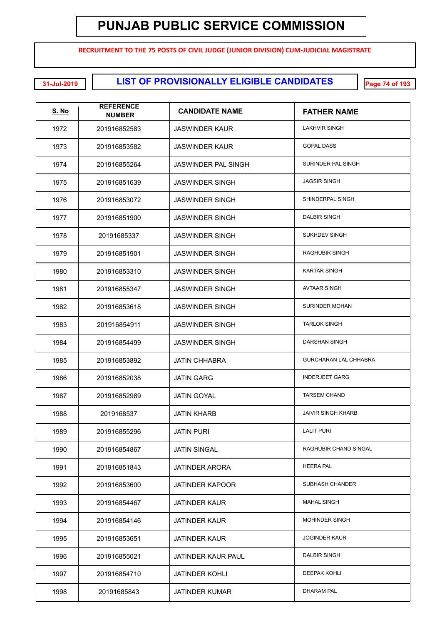**RECRUITMENT TO THE 75 POSTS OF CIVIL JUDGE (JUNIOR DIVISION) CUM-JUDICIAL MAGISTRATE**

| <u>S. No</u> | <b>REFERENCE</b><br><b>NUMBER</b> | <b>CANDIDATE NAME</b>  | <b>FATHER NAME</b>           |
|--------------|-----------------------------------|------------------------|------------------------------|
| 1972         | 201916852583                      | <b>JASWINDER KAUR</b>  | <b>LAKHVIR SINGH</b>         |
| 1973         | 201916853582                      | <b>JASWINDER KAUR</b>  | <b>GOPAL DASS</b>            |
| 1974         | 201916855264                      | JASWINDER PAL SINGH    | SURINDER PAL SINGH           |
| 1975         | 201916851639                      | <b>JASWINDER SINGH</b> | <b>JAGSIR SINGH</b>          |
| 1976         | 201916853072                      | <b>JASWINDER SINGH</b> | SHINDERPAL SINGH             |
| 1977         | 201916851900                      | <b>JASWINDER SINGH</b> | <b>DALBIR SINGH</b>          |
| 1978         | 20191685337                       | <b>JASWINDER SINGH</b> | <b>SUKHDEV SINGH</b>         |
| 1979         | 201916851901                      | <b>JASWINDER SINGH</b> | <b>RAGHUBIR SINGH</b>        |
| 1980         | 201916853310                      | <b>JASWINDER SINGH</b> | <b>KARTAR SINGH</b>          |
| 1981         | 201916855347                      | <b>JASWINDER SINGH</b> | <b>AVTAAR SINGH</b>          |
| 1982         | 201916853618                      | <b>JASWINDER SINGH</b> | <b>SURINDER MOHAN</b>        |
| 1983         | 201916854911                      | <b>JASWINDER SINGH</b> | <b>TARLOK SINGH</b>          |
| 1984         | 201916854499                      | <b>JASWINDER SINGH</b> | DARSHAN SINGH                |
| 1985         | 201916853892                      | <b>JATIN CHHABRA</b>   | <b>GURCHARAN LAL CHHABRA</b> |
| 1986         | 201916852038                      | <b>JATIN GARG</b>      | <b>INDERJEET GARG</b>        |
| 1987         | 201916852989                      | <b>JATIN GOYAL</b>     | <b>TARSEM CHAND</b>          |
| 1988         | 2019168537                        | <b>JATIN KHARB</b>     | <b>JAIVIR SINGH KHARB</b>    |
| 1989         | 201916855296                      | <b>JATIN PURI</b>      | <b>LALIT PURI</b>            |
| 1990         | 201916854867                      | <b>JATIN SINGAL</b>    | RAGHUBIR CHAND SINGAL        |
| 1991         | 201916851843                      | <b>JATINDER ARORA</b>  | <b>HEERA PAL</b>             |
| 1992         | 201916853600                      | <b>JATINDER KAPOOR</b> | SUBHASH CHANDER              |
| 1993         | 201916854467                      | <b>JATINDER KAUR</b>   | <b>MAHAL SINGH</b>           |
| 1994         | 201916854146                      | <b>JATINDER KAUR</b>   | <b>MOHINDER SINGH</b>        |
| 1995         | 201916853651                      | <b>JATINDER KAUR</b>   | <b>JOGINDER KAUR</b>         |
| 1996         | 201916855021                      | JATINDER KAUR PAUL     | DALBIR SINGH                 |
| 1997         | 201916854710                      | <b>JATINDER KOHLI</b>  | <b>DEEPAK KOHLI</b>          |
| 1998         | 20191685843                       | <b>JATINDER KUMAR</b>  | DHARAM PAL                   |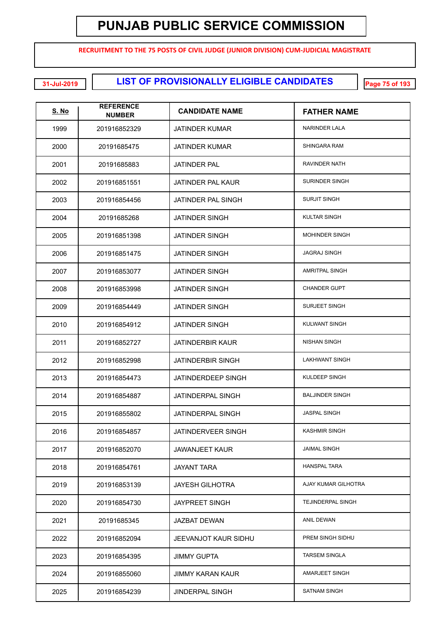**RECRUITMENT TO THE 75 POSTS OF CIVIL JUDGE (JUNIOR DIVISION) CUM-JUDICIAL MAGISTRATE**

| <u>S. No</u> | <b>REFERENCE</b><br><b>NUMBER</b> | <b>CANDIDATE NAME</b>    | <b>FATHER NAME</b>     |
|--------------|-----------------------------------|--------------------------|------------------------|
| 1999         | 201916852329                      | <b>JATINDER KUMAR</b>    | <b>NARINDER LALA</b>   |
| 2000         | 20191685475                       | <b>JATINDER KUMAR</b>    | SHINGARA RAM           |
| 2001         | 20191685883                       | <b>JATINDER PAL</b>      | RAVINDER NATH          |
| 2002         | 201916851551                      | JATINDER PAL KAUR        | <b>SURINDER SINGH</b>  |
| 2003         | 201916854456                      | JATINDER PAL SINGH       | <b>SURJIT SINGH</b>    |
| 2004         | 20191685268                       | <b>JATINDER SINGH</b>    | <b>KULTAR SINGH</b>    |
| 2005         | 201916851398                      | <b>JATINDER SINGH</b>    | <b>MOHINDER SINGH</b>  |
| 2006         | 201916851475                      | <b>JATINDER SINGH</b>    | <b>JAGRAJ SINGH</b>    |
| 2007         | 201916853077                      | <b>JATINDER SINGH</b>    | <b>AMRITPAL SINGH</b>  |
| 2008         | 201916853998                      | <b>JATINDER SINGH</b>    | <b>CHANDER GUPT</b>    |
| 2009         | 201916854449                      | <b>JATINDER SINGH</b>    | <b>SURJEET SINGH</b>   |
| 2010         | 201916854912                      | <b>JATINDER SINGH</b>    | KULWANT SINGH          |
| 2011         | 201916852727                      | <b>JATINDERBIR KAUR</b>  | <b>NISHAN SINGH</b>    |
| 2012         | 201916852998                      | <b>JATINDERBIR SINGH</b> | <b>LAKHWANT SINGH</b>  |
| 2013         | 201916854473                      | JATINDERDEEP SINGH       | KULDEEP SINGH          |
| 2014         | 201916854887                      | <b>JATINDERPAL SINGH</b> | <b>BALJINDER SINGH</b> |
| 2015         | 201916855802                      | <b>JATINDERPAL SINGH</b> | <b>JASPAL SINGH</b>    |
| 2016         | 201916854857                      | JATINDERVEER SINGH       | <b>KASHMIR SINGH</b>   |
| 2017         | 201916852070                      | <b>JAWANJEET KAUR</b>    | <b>JAIMAL SINGH</b>    |
| 2018         | 201916854761                      | <b>JAYANT TARA</b>       | <b>HANSPAL TARA</b>    |
| 2019         | 201916853139                      | <b>JAYESH GILHOTRA</b>   | AJAY KUMAR GILHOTRA    |
| 2020         | 201916854730                      | <b>JAYPREET SINGH</b>    | TEJINDERPAL SINGH      |
| 2021         | 20191685345                       | <b>JAZBAT DEWAN</b>      | <b>ANIL DEWAN</b>      |
| 2022         | 201916852094                      | JEEVANJOT KAUR SIDHU     | PREM SINGH SIDHU       |
| 2023         | 201916854395                      | <b>JIMMY GUPTA</b>       | <b>TARSEM SINGLA</b>   |
| 2024         | 201916855060                      | JIMMY KARAN KAUR         | AMARJEET SINGH         |
| 2025         | 201916854239                      | <b>JINDERPAL SINGH</b>   | <b>SATNAM SINGH</b>    |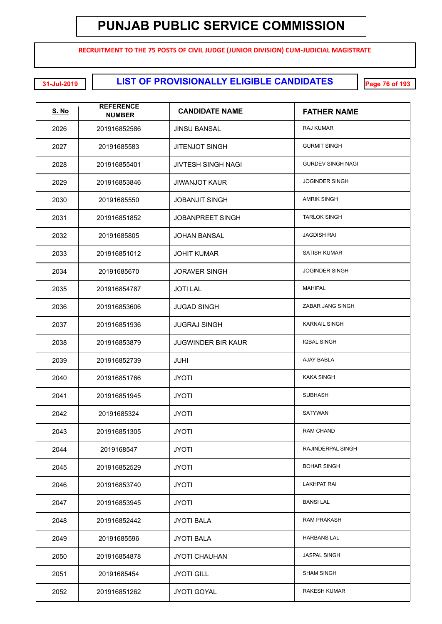**RECRUITMENT TO THE 75 POSTS OF CIVIL JUDGE (JUNIOR DIVISION) CUM-JUDICIAL MAGISTRATE**

**LIST OF PROVISIONALLY ELIGIBLE CANDIDATES 31-Jul-2019 Page 76 of 193**

| <b>S. No</b> | <b>REFERENCE</b><br><b>NUMBER</b> | <b>CANDIDATE NAME</b>     | <b>FATHER NAME</b>       |
|--------------|-----------------------------------|---------------------------|--------------------------|
| 2026         | 201916852586                      | <b>JINSU BANSAL</b>       | RAJ KUMAR                |
| 2027         | 20191685583                       | <b>JITENJOT SINGH</b>     | <b>GURMIT SINGH</b>      |
| 2028         | 201916855401                      | <b>JIVTESH SINGH NAGI</b> | <b>GURDEV SINGH NAGI</b> |
| 2029         | 201916853846                      | <b>JIWANJOT KAUR</b>      | <b>JOGINDER SINGH</b>    |
| 2030         | 20191685550                       | <b>JOBANJIT SINGH</b>     | <b>AMRIK SINGH</b>       |
| 2031         | 201916851852                      | <b>JOBANPREET SINGH</b>   | <b>TARLOK SINGH</b>      |
| 2032         | 20191685805                       | <b>JOHAN BANSAL</b>       | JAGDISH RAI              |
| 2033         | 201916851012                      | <b>JOHIT KUMAR</b>        | <b>SATISH KUMAR</b>      |
| 2034         | 20191685670                       | <b>JORAVER SINGH</b>      | <b>JOGINDER SINGH</b>    |
| 2035         | 201916854787                      | <b>JOTI LAL</b>           | <b>MAHIPAL</b>           |
| 2036         | 201916853606                      | <b>JUGAD SINGH</b>        | ZABAR JANG SINGH         |
| 2037         | 201916851936                      | <b>JUGRAJ SINGH</b>       | <b>KARNAIL SINGH</b>     |
| 2038         | 201916853879                      | <b>JUGWINDER BIR KAUR</b> | <b>IQBAL SINGH</b>       |
| 2039         | 201916852739                      | <b>JUHI</b>               | AJAY BABLA               |
| 2040         | 201916851766                      | <b>JYOTI</b>              | KAKA SINGH               |
| 2041         | 201916851945                      | <b>JYOTI</b>              | <b>SUBHASH</b>           |
| 2042         | 20191685324                       | <b>JYOTI</b>              | <b>SATYWAN</b>           |
| 2043         | 201916851305                      | <b>JYOTI</b>              | <b>RAM CHAND</b>         |
| 2044         | 2019168547                        | <b>JYOTI</b>              | RAJINDERPAL SINGH        |
| 2045         | 201916852529                      | <b>JYOTI</b>              | <b>BOHAR SINGH</b>       |
| 2046         | 201916853740                      | <b>JYOTI</b>              | <b>LAKHPAT RAI</b>       |
| 2047         | 201916853945                      | <b>JYOTI</b>              | <b>BANSI LAL</b>         |
| 2048         | 201916852442                      | <b>JYOTI BALA</b>         | RAM PRAKASH              |
| 2049         | 20191685596                       | <b>JYOTI BALA</b>         | <b>HARBANS LAL</b>       |
| 2050         | 201916854878                      | <b>JYOTI CHAUHAN</b>      | JASPAL SINGH             |
| 2051         | 20191685454                       | <b>JYOTI GILL</b>         | <b>SHAM SINGH</b>        |
| 2052         | 201916851262                      | <b>JYOTI GOYAL</b>        | RAKESH KUMAR             |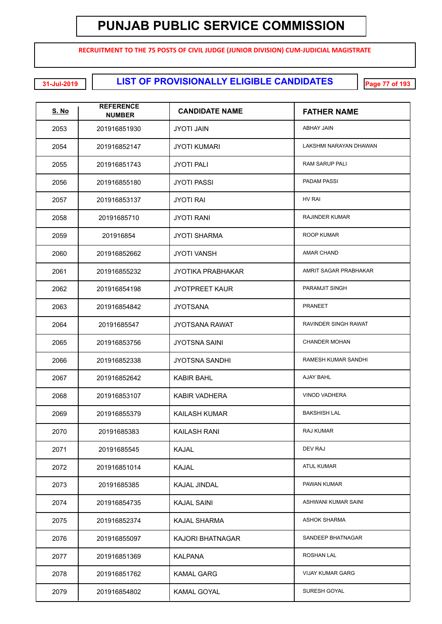**RECRUITMENT TO THE 75 POSTS OF CIVIL JUDGE (JUNIOR DIVISION) CUM-JUDICIAL MAGISTRATE**

**LIST OF PROVISIONALLY ELIGIBLE CANDIDATES 31-Jul-2019 Page 77 of 193**

| <u>S. No</u> | <b>REFERENCE</b><br><b>NUMBER</b> | <b>CANDIDATE NAME</b>    | <b>FATHER NAME</b>      |
|--------------|-----------------------------------|--------------------------|-------------------------|
| 2053         | 201916851930                      | JYOTI JAIN               | ABHAY JAIN              |
| 2054         | 201916852147                      | <b>JYOTI KUMARI</b>      | LAKSHMI NARAYAN DHAWAN  |
| 2055         | 201916851743                      | <b>JYOTI PALI</b>        | RAM SARUP PALI          |
| 2056         | 201916855180                      | <b>JYOTI PASSI</b>       | PADAM PASSI             |
| 2057         | 201916853137                      | <b>JYOTI RAI</b>         | <b>HV RAI</b>           |
| 2058         | 20191685710                       | <b>JYOTI RANI</b>        | <b>RAJINDER KUMAR</b>   |
| 2059         | 201916854                         | <b>JYOTI SHARMA</b>      | ROOP KUMAR              |
| 2060         | 201916852662                      | <b>JYOTI VANSH</b>       | <b>AMAR CHAND</b>       |
| 2061         | 201916855232                      | <b>JYOTIKA PRABHAKAR</b> | AMRIT SAGAR PRABHAKAR   |
| 2062         | 201916854198                      | <b>JYOTPREET KAUR</b>    | PARAMJIT SINGH          |
| 2063         | 201916854842                      | <b>JYOTSANA</b>          | <b>PRANEET</b>          |
| 2064         | 20191685547                       | <b>JYOTSANA RAWAT</b>    | RAVINDER SINGH RAWAT    |
| 2065         | 201916853756                      | <b>JYOTSNA SAINI</b>     | <b>CHANDER MOHAN</b>    |
| 2066         | 201916852338                      | <b>JYOTSNA SANDHI</b>    | RAMESH KUMAR SANDHI     |
| 2067         | 201916852642                      | <b>KABIR BAHL</b>        | AJAY BAHL               |
| 2068         | 201916853107                      | <b>KABIR VADHERA</b>     | <b>VINOD VADHERA</b>    |
| 2069         | 201916855379                      | <b>KAILASH KUMAR</b>     | <b>BAKSHISH LAL</b>     |
| 2070         | 20191685383                       | <b>KAILASH RANI</b>      | RAJ KUMAR               |
| 2071         | 20191685545                       | <b>KAJAL</b>             | DEV RAJ                 |
| 2072         | 201916851014                      | <b>KAJAL</b>             | <b>ATUL KUMAR</b>       |
| 2073         | 20191685385                       | KAJAL JINDAL             | PAWAN KUMAR             |
| 2074         | 201916854735                      | <b>KAJAL SAINI</b>       | ASHWANI KUMAR SAINI     |
| 2075         | 201916852374                      | <b>KAJAL SHARMA</b>      | <b>ASHOK SHARMA</b>     |
| 2076         | 201916855097                      | KAJORI BHATNAGAR         | SANDEEP BHATNAGAR       |
| 2077         | 201916851369                      | <b>KALPANA</b>           | ROSHAN LAL              |
| 2078         | 201916851762                      | <b>KAMAL GARG</b>        | <b>VIJAY KUMAR GARG</b> |
| 2079         | 201916854802                      | <b>KAMAL GOYAL</b>       | SURESH GOYAL            |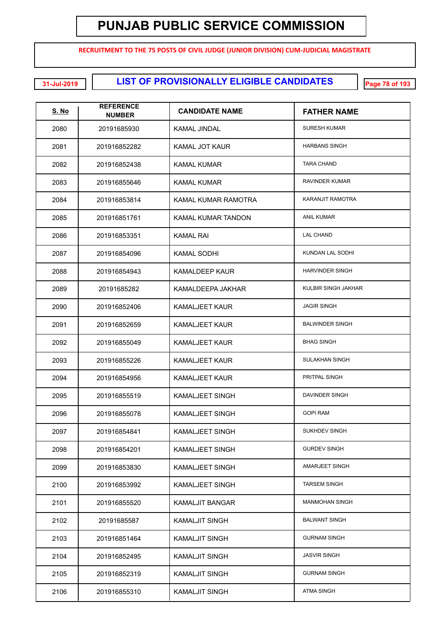**RECRUITMENT TO THE 75 POSTS OF CIVIL JUDGE (JUNIOR DIVISION) CUM-JUDICIAL MAGISTRATE**

| <u>S. No</u> | <b>REFERENCE</b><br><b>NUMBER</b> | <b>CANDIDATE NAME</b>     | <b>FATHER NAME</b>     |
|--------------|-----------------------------------|---------------------------|------------------------|
| 2080         | 20191685930                       | KAMAL JINDAL              | <b>SURESH KUMAR</b>    |
| 2081         | 201916852282                      | <b>KAMAL JOT KAUR</b>     | <b>HARBANS SINGH</b>   |
| 2082         | 201916852438                      | KAMAL KUMAR               | <b>TARA CHAND</b>      |
| 2083         | 201916855646                      | <b>KAMAL KUMAR</b>        | <b>RAVINDER KUMAR</b>  |
| 2084         | 201916853814                      | KAMAL KUMAR RAMOTRA       | KARANJIT RAMOTRA       |
| 2085         | 201916851761                      | <b>KAMAL KUMAR TANDON</b> | <b>ANIL KUMAR</b>      |
| 2086         | 201916853351                      | KAMAL RAI                 | <b>LAL CHAND</b>       |
| 2087         | 201916854096                      | <b>KAMAL SODHI</b>        | KUNDAN LAL SODHI       |
| 2088         | 201916854943                      | <b>KAMALDEEP KAUR</b>     | <b>HARVINDER SINGH</b> |
| 2089         | 20191685282                       | KAMALDEEPA JAKHAR         | KULBIR SINGH JAKHAR    |
| 2090         | 201916852406                      | <b>KAMALJEET KAUR</b>     | <b>JAGIR SINGH</b>     |
| 2091         | 201916852659                      | <b>KAMALJEET KAUR</b>     | <b>BALWINDER SINGH</b> |
| 2092         | 201916855049                      | <b>KAMALJEET KAUR</b>     | <b>BHAG SINGH</b>      |
| 2093         | 201916855226                      | <b>KAMALJEET KAUR</b>     | <b>SULAKHAN SINGH</b>  |
| 2094         | 201916854956                      | <b>KAMALJEET KAUR</b>     | PRITPAL SINGH          |
| 2095         | 201916855519                      | <b>KAMALJEET SINGH</b>    | DAVINDER SINGH         |
| 2096         | 201916855078                      | <b>KAMALJEET SINGH</b>    | <b>GOPI RAM</b>        |
| 2097         | 201916854841                      | <b>KAMALJEET SINGH</b>    | <b>SUKHDEV SINGH</b>   |
| 2098         | 201916854201                      | <b>KAMALJEET SINGH</b>    | <b>GURDEV SINGH</b>    |
| 2099         | 201916853830                      | <b>KAMALJEET SINGH</b>    | AMARJEET SINGH         |
| 2100         | 201916853992                      | <b>KAMALJEET SINGH</b>    | <b>TARSEM SINGH</b>    |
| 2101         | 201916855520                      | <b>KAMALJIT BANGAR</b>    | <b>MANMOHAN SINGH</b>  |
| 2102         | 20191685587                       | <b>KAMALJIT SINGH</b>     | <b>BALWANT SINGH</b>   |
| 2103         | 201916851464                      | <b>KAMALJIT SINGH</b>     | <b>GURNAM SINGH</b>    |
| 2104         | 201916852495                      | <b>KAMALJIT SINGH</b>     | <b>JASVIR SINGH</b>    |
| 2105         | 201916852319                      | <b>KAMALJIT SINGH</b>     | <b>GURNAM SINGH</b>    |
| 2106         | 201916855310                      | <b>KAMALJIT SINGH</b>     | <b>ATMA SINGH</b>      |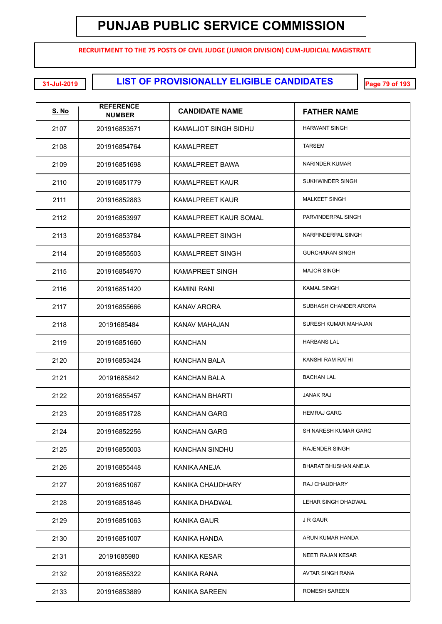**RECRUITMENT TO THE 75 POSTS OF CIVIL JUDGE (JUNIOR DIVISION) CUM-JUDICIAL MAGISTRATE**

**LIST OF PROVISIONALLY ELIGIBLE CANDIDATES 31-Jul-2019 Page 79 of 193**

| <b>S. No</b> | <b>REFERENCE</b><br><b>NUMBER</b> | <b>CANDIDATE NAME</b>   | <b>FATHER NAME</b>     |
|--------------|-----------------------------------|-------------------------|------------------------|
| 2107         | 201916853571                      | KAMALJOT SINGH SIDHU    | <b>HARWANT SINGH</b>   |
| 2108         | 201916854764                      | <b>KAMALPREET</b>       | <b>TARSEM</b>          |
| 2109         | 201916851698                      | <b>KAMALPREET BAWA</b>  | <b>NARINDER KUMAR</b>  |
| 2110         | 201916851779                      | <b>KAMALPREET KAUR</b>  | SUKHWINDER SINGH       |
| 2111         | 201916852883                      | <b>KAMALPREET KAUR</b>  | <b>MALKEET SINGH</b>   |
| 2112         | 201916853997                      | KAMALPREET KAUR SOMAL   | PARVINDERPAL SINGH     |
| 2113         | 201916853784                      | <b>KAMALPREET SINGH</b> | NARPINDERPAL SINGH     |
| 2114         | 201916855503                      | <b>KAMALPREET SINGH</b> | <b>GURCHARAN SINGH</b> |
| 2115         | 201916854970                      | <b>KAMAPREET SINGH</b>  | <b>MAJOR SINGH</b>     |
| 2116         | 201916851420                      | KAMINI RANI             | <b>KAMAL SINGH</b>     |
| 2117         | 201916855666                      | <b>KANAV ARORA</b>      | SUBHASH CHANDER ARORA  |
| 2118         | 20191685484                       | KANAV MAHAJAN           | SURESH KUMAR MAHAJAN   |
| 2119         | 201916851660                      | KANCHAN                 | <b>HARBANS LAL</b>     |
| 2120         | 201916853424                      | <b>KANCHAN BALA</b>     | KANSHI RAM RATHI       |
| 2121         | 20191685842                       | <b>KANCHAN BALA</b>     | <b>BACHAN LAL</b>      |
| 2122         | 201916855457                      | <b>KANCHAN BHARTI</b>   | <b>JANAK RAJ</b>       |
| 2123         | 201916851728                      | KANCHAN GARG            | <b>HEMRAJ GARG</b>     |
| 2124         | 201916852256                      | KANCHAN GARG            | SH NARESH KUMAR GARG   |
| 2125         | 201916855003                      | <b>KANCHAN SINDHU</b>   | <b>RAJENDER SINGH</b>  |
| 2126         | 201916855448                      | KANIKA ANEJA            | BHARAT BHUSHAN ANEJA   |
| 2127         | 201916851067                      | KANIKA CHAUDHARY        | RAJ CHAUDHARY          |
| 2128         | 201916851846                      | KANIKA DHADWAL          | LEHAR SINGH DHADWAL    |
| 2129         | 201916851063                      | <b>KANIKA GAUR</b>      | J R GAUR               |
| 2130         | 201916851007                      | KANIKA HANDA            | ARUN KUMAR HANDA       |
| 2131         | 20191685980                       | <b>KANIKA KESAR</b>     | NEETI RAJAN KESAR      |
| 2132         | 201916855322                      | KANIKA RANA             | AVTAR SINGH RANA       |
| 2133         | 201916853889                      | <b>KANIKA SAREEN</b>    | ROMESH SAREEN          |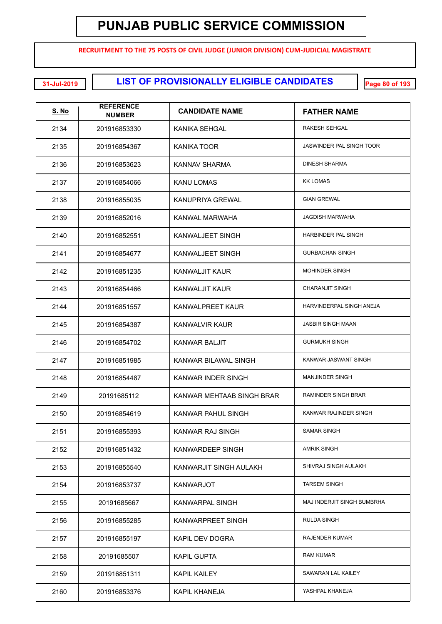**RECRUITMENT TO THE 75 POSTS OF CIVIL JUDGE (JUNIOR DIVISION) CUM-JUDICIAL MAGISTRATE**

**LIST OF PROVISIONALLY ELIGIBLE CANDIDATES 31-Jul-2019 Page 80 of 193**

| <u>S. No</u> | <b>REFERENCE</b><br><b>NUMBER</b> | <b>CANDIDATE NAME</b>     | <b>FATHER NAME</b>              |
|--------------|-----------------------------------|---------------------------|---------------------------------|
| 2134         | 201916853330                      | KANIKA SEHGAL             | RAKESH SEHGAL                   |
| 2135         | 201916854367                      | KANIKA TOOR               | <b>JASWINDER PAL SINGH TOOR</b> |
| 2136         | 201916853623                      | KANNAV SHARMA             | <b>DINESH SHARMA</b>            |
| 2137         | 201916854066                      | KANU LOMAS                | <b>KK LOMAS</b>                 |
| 2138         | 201916855035                      | KANUPRIYA GREWAL          | <b>GIAN GREWAL</b>              |
| 2139         | 201916852016                      | KANWAL MARWAHA            | <b>JAGDISH MARWAHA</b>          |
| 2140         | 201916852551                      | KANWALJEET SINGH          | HARBINDER PAL SINGH             |
| 2141         | 201916854677                      | KANWALJEET SINGH          | <b>GURBACHAN SINGH</b>          |
| 2142         | 201916851235                      | <b>KANWALJIT KAUR</b>     | <b>MOHINDER SINGH</b>           |
| 2143         | 201916854466                      | <b>KANWALJIT KAUR</b>     | <b>CHARANJIT SINGH</b>          |
| 2144         | 201916851557                      | <b>KANWALPREET KAUR</b>   | HARVINDERPAL SINGH ANEJA        |
| 2145         | 201916854387                      | KANWALVIR KAUR            | <b>JASBIR SINGH MAAN</b>        |
| 2146         | 201916854702                      | KANWAR BALJIT             | <b>GURMUKH SINGH</b>            |
| 2147         | 201916851985                      | KANWAR BILAWAL SINGH      | KANWAR JASWANT SINGH            |
| 2148         | 201916854487                      | KANWAR INDER SINGH        | <b>MANJINDER SINGH</b>          |
| 2149         | 20191685112                       | KANWAR MEHTAAB SINGH BRAR | RAMINDER SINGH BRAR             |
| 2150         | 201916854619                      | KANWAR PAHUL SINGH        | KANWAR RAJINDER SINGH           |
| 2151         | 201916855393                      | <b>KANWAR RAJ SINGH</b>   | <b>SAMAR SINGH</b>              |
| 2152         | 201916851432                      | KANWARDEEP SINGH          | <b>AMRIK SINGH</b>              |
| 2153         | 201916855540                      | KANWARJIT SINGH AULAKH    | SHIVRAJ SINGH AULAKH            |
| 2154         | 201916853737                      | <b>KANWARJOT</b>          | <b>TARSEM SINGH</b>             |
| 2155         | 20191685667                       | KANWARPAL SINGH           | MAJ INDERJIT SINGH BUMBRHA      |
| 2156         | 201916855285                      | KANWARPREET SINGH         | RULDA SINGH                     |
| 2157         | 201916855197                      | KAPIL DEV DOGRA           | RAJENDER KUMAR                  |
| 2158         | 20191685507                       | <b>KAPIL GUPTA</b>        | <b>RAM KUMAR</b>                |
| 2159         | 201916851311                      | KAPIL KAILEY              | SAWARAN LAL KAILEY              |
| 2160         | 201916853376                      | <b>KAPIL KHANEJA</b>      | YASHPAL KHANEJA                 |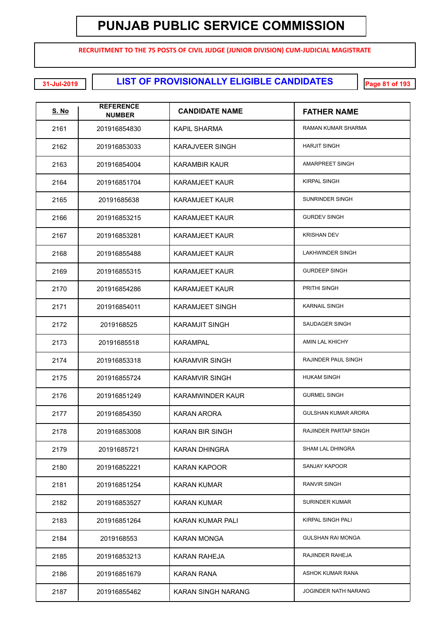**RECRUITMENT TO THE 75 POSTS OF CIVIL JUDGE (JUNIOR DIVISION) CUM-JUDICIAL MAGISTRATE**

**LIST OF PROVISIONALLY ELIGIBLE CANDIDATES 31-Jul-2019 Page 81 of 193**

| <u>S. No</u> | <b>REFERENCE</b><br><b>NUMBER</b> | <b>CANDIDATE NAME</b>   | <b>FATHER NAME</b>          |
|--------------|-----------------------------------|-------------------------|-----------------------------|
| 2161         | 201916854830                      | KAPIL SHARMA            | RAMAN KUMAR SHARMA          |
| 2162         | 201916853033                      | <b>KARAJVEER SINGH</b>  | <b>HARJIT SINGH</b>         |
| 2163         | 201916854004                      | <b>KARAMBIR KAUR</b>    | AMARPREET SINGH             |
| 2164         | 201916851704                      | <b>KARAMJEET KAUR</b>   | <b>KIRPAL SINGH</b>         |
| 2165         | 20191685638                       | KARAMJEET KAUR          | SUNRINDER SINGH             |
| 2166         | 201916853215                      | <b>KARAMJEET KAUR</b>   | <b>GURDEV SINGH</b>         |
| 2167         | 201916853281                      | <b>KARAMJEET KAUR</b>   | <b>KRISHAN DEV</b>          |
| 2168         | 201916855488                      | <b>KARAMJEET KAUR</b>   | <b>LAKHWINDER SINGH</b>     |
| 2169         | 201916855315                      | KARAMJEET KAUR          | <b>GURDEEP SINGH</b>        |
| 2170         | 201916854286                      | <b>KARAMJEET KAUR</b>   | PRITHI SINGH                |
| 2171         | 201916854011                      | <b>KARAMJEET SINGH</b>  | <b>KARNAIL SINGH</b>        |
| 2172         | 2019168525                        | <b>KARAMJIT SINGH</b>   | SAUDAGER SINGH              |
| 2173         | 20191685518                       | KARAMPAL                | AMIN LAL KHICHY             |
| 2174         | 201916853318                      | <b>KARAMVIR SINGH</b>   | RAJINDER PAUL SINGH         |
| 2175         | 201916855724                      | <b>KARAMVIR SINGH</b>   | <b>HUKAM SINGH</b>          |
| 2176         | 201916851249                      | <b>KARAMWINDER KAUR</b> | <b>GURMEL SINGH</b>         |
| 2177         | 201916854350                      | KARAN ARORA             | <b>GULSHAN KUMAR ARORA</b>  |
| 2178         | 201916853008                      | <b>KARAN BIR SINGH</b>  | RAJINDER PARTAP SINGH       |
| 2179         | 20191685721                       | <b>KARAN DHINGRA</b>    | SHAM LAL DHINGRA            |
| 2180         | 201916852221                      | <b>KARAN KAPOOR</b>     | <b>SANJAY KAPOOR</b>        |
| 2181         | 201916851254                      | <b>KARAN KUMAR</b>      | <b>RANVIR SINGH</b>         |
| 2182         | 201916853527                      | <b>KARAN KUMAR</b>      | <b>SURINDER KUMAR</b>       |
| 2183         | 201916851264                      | <b>KARAN KUMAR PALI</b> | KIRPAL SINGH PALI           |
| 2184         | 2019168553                        | KARAN MONGA             | <b>GULSHAN RAI MONGA</b>    |
| 2185         | 201916853213                      | KARAN RAHEJA            | RAJINDER RAHEJA             |
| 2186         | 201916851679                      | KARAN RANA              | ASHOK KUMAR RANA            |
| 2187         | 201916855462                      | KARAN SINGH NARANG      | <b>JOGINDER NATH NARANG</b> |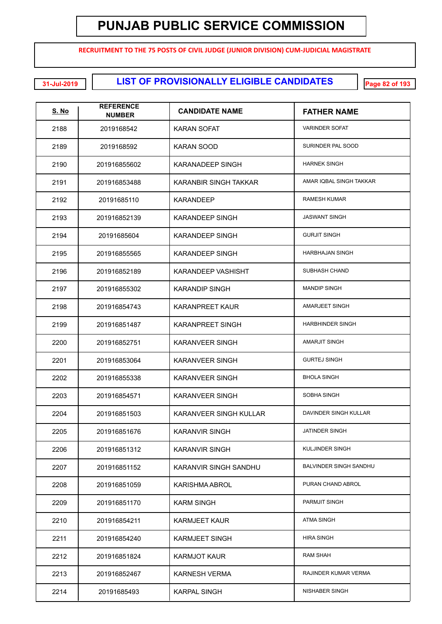**RECRUITMENT TO THE 75 POSTS OF CIVIL JUDGE (JUNIOR DIVISION) CUM-JUDICIAL MAGISTRATE**

**LIST OF PROVISIONALLY ELIGIBLE CANDIDATES 31-Jul-2019 Page 82 of 193**

| <u>S. No</u> | <b>REFERENCE</b><br><b>NUMBER</b> | <b>CANDIDATE NAME</b>   | <b>FATHER NAME</b>            |
|--------------|-----------------------------------|-------------------------|-------------------------------|
| 2188         | 2019168542                        | KARAN SOFAT             | <b>VARINDER SOFAT</b>         |
| 2189         | 2019168592                        | KARAN SOOD              | SURINDER PAL SOOD             |
| 2190         | 201916855602                      | <b>KARANADEEP SINGH</b> | <b>HARNEK SINGH</b>           |
| 2191         | 201916853488                      | KARANBIR SINGH TAKKAR   | AMAR IQBAL SINGH TAKKAR       |
| 2192         | 20191685110                       | <b>KARANDEEP</b>        | <b>RAMESH KUMAR</b>           |
| 2193         | 201916852139                      | <b>KARANDEEP SINGH</b>  | <b>JASWANT SINGH</b>          |
| 2194         | 20191685604                       | <b>KARANDEEP SINGH</b>  | <b>GURJIT SINGH</b>           |
| 2195         | 201916855565                      | <b>KARANDEEP SINGH</b>  | <b>HARBHAJAN SINGH</b>        |
| 2196         | 201916852189                      | KARANDEEP VASHISHT      | <b>SUBHASH CHAND</b>          |
| 2197         | 201916855302                      | <b>KARANDIP SINGH</b>   | <b>MANDIP SINGH</b>           |
| 2198         | 201916854743                      | <b>KARANPREET KAUR</b>  | <b>AMARJEET SINGH</b>         |
| 2199         | 201916851487                      | <b>KARANPREET SINGH</b> | <b>HARBHINDER SINGH</b>       |
| 2200         | 201916852751                      | <b>KARANVEER SINGH</b>  | <b>AMARJIT SINGH</b>          |
| 2201         | 201916853064                      | <b>KARANVEER SINGH</b>  | <b>GURTEJ SINGH</b>           |
| 2202         | 201916855338                      | <b>KARANVEER SINGH</b>  | <b>BHOLA SINGH</b>            |
| 2203         | 201916854571                      | <b>KARANVEER SINGH</b>  | SOBHA SINGH                   |
| 2204         | 201916851503                      | KARANVEER SINGH KULLAR  | DAVINDER SINGH KULLAR         |
| 2205         | 201916851676                      | <b>KARANVIR SINGH</b>   | <b>JATINDER SINGH</b>         |
| 2206         | 201916851312                      | <b>KARANVIR SINGH</b>   | <b>KULJINDER SINGH</b>        |
| 2207         | 201916851152                      | KARANVIR SINGH SANDHU   | <b>BALVINDER SINGH SANDHU</b> |
| 2208         | 201916851059                      | KARISHMA ABROL          | PURAN CHAND ABROL             |
| 2209         | 201916851170                      | <b>KARM SINGH</b>       | PARMJIT SINGH                 |
| 2210         | 201916854211                      | <b>KARMJEET KAUR</b>    | <b>ATMA SINGH</b>             |
| 2211         | 201916854240                      | <b>KARMJEET SINGH</b>   | <b>HIRA SINGH</b>             |
| 2212         | 201916851824                      | <b>KARMJOT KAUR</b>     | <b>RAM SHAH</b>               |
| 2213         | 201916852467                      | <b>KARNESH VERMA</b>    | RAJINDER KUMAR VERMA          |
| 2214         | 20191685493                       | <b>KARPAL SINGH</b>     | <b>NISHABER SINGH</b>         |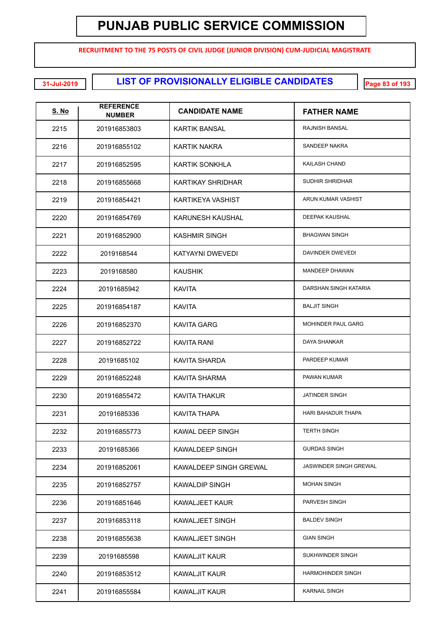**RECRUITMENT TO THE 75 POSTS OF CIVIL JUDGE (JUNIOR DIVISION) CUM-JUDICIAL MAGISTRATE**

| <u>S. No</u> | <b>REFERENCE</b><br><b>NUMBER</b> | <b>CANDIDATE NAME</b>    | <b>FATHER NAME</b>            |
|--------------|-----------------------------------|--------------------------|-------------------------------|
| 2215         | 201916853803                      | KARTIK BANSAL            | RAJNISH BANSAL                |
| 2216         | 201916855102                      | <b>KARTIK NAKRA</b>      | SANDEEP NAKRA                 |
| 2217         | 201916852595                      | <b>KARTIK SONKHLA</b>    | KAILASH CHAND                 |
| 2218         | 201916855668                      | <b>KARTIKAY SHRIDHAR</b> | SUDHIR SHRIDHAR               |
| 2219         | 201916854421                      | KARTIKEYA VASHIST        | ARUN KUMAR VASHIST            |
| 2220         | 201916854769                      | <b>KARUNESH KAUSHAL</b>  | DEEPAK KAUSHAL                |
| 2221         | 201916852900                      | <b>KASHMIR SINGH</b>     | <b>BHAGWAN SINGH</b>          |
| 2222         | 2019168544                        | KATYAYNI DWEVEDI         | DAVINDER DWEVEDI              |
| 2223         | 2019168580                        | <b>KAUSHIK</b>           | MANDEEP DHAWAN                |
| 2224         | 20191685942                       | KAVITA                   | DARSHAN SINGH KATARIA         |
| 2225         | 201916854187                      | <b>KAVITA</b>            | <b>BALJIT SINGH</b>           |
| 2226         | 201916852370                      | <b>KAVITA GARG</b>       | <b>MOHINDER PAUL GARG</b>     |
| 2227         | 201916852722                      | <b>KAVITA RANI</b>       | DAYA SHANKAR                  |
| 2228         | 20191685102                       | KAVITA SHARDA            | PARDEEP KUMAR                 |
| 2229         | 201916852248                      | KAVITA SHARMA            | PAWAN KUMAR                   |
| 2230         | 201916855472                      | <b>KAVITA THAKUR</b>     | JATINDER SINGH                |
| 2231         | 20191685336                       | <b>KAVITA THAPA</b>      | <b>HARI BAHADUR THAPA</b>     |
| 2232         | 201916855773                      | KAWAL DEEP SINGH         | <b>TERTH SINGH</b>            |
| 2233         | 20191685366                       | <b>KAWALDEEP SINGH</b>   | <b>GURDAS SINGH</b>           |
| 2234         | 201916852061                      | KAWALDEEP SINGH GREWAL   | <b>JASWINDER SINGH GREWAL</b> |
| 2235         | 201916852757                      | <b>KAWALDIP SINGH</b>    | <b>MOHAN SINGH</b>            |
| 2236         | 201916851646                      | <b>KAWALJEET KAUR</b>    | PARVESH SINGH                 |
| 2237         | 201916853118                      | KAWALJEET SINGH          | <b>BALDEV SINGH</b>           |
| 2238         | 201916855638                      | KAWALJEET SINGH          | <b>GIAN SINGH</b>             |
| 2239         | 20191685598                       | <b>KAWALJIT KAUR</b>     | SUKHWINDER SINGH              |
| 2240         | 201916853512                      | <b>KAWALJIT KAUR</b>     | <b>HARMOHINDER SINGH</b>      |
| 2241         | 201916855584                      | <b>KAWALJIT KAUR</b>     | <b>KARNAIL SINGH</b>          |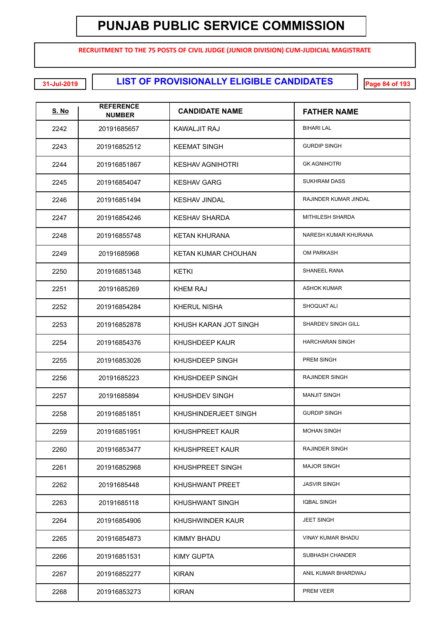**RECRUITMENT TO THE 75 POSTS OF CIVIL JUDGE (JUNIOR DIVISION) CUM-JUDICIAL MAGISTRATE**

**LIST OF PROVISIONALLY ELIGIBLE CANDIDATES 31-Jul-2019 Page 84 of 193**

| <u>S. No</u> | <b>REFERENCE</b><br><b>NUMBER</b> | <b>CANDIDATE NAME</b>      | <b>FATHER NAME</b>       |
|--------------|-----------------------------------|----------------------------|--------------------------|
| 2242         | 20191685657                       | KAWALJIT RAJ               | <b>BIHARI LAL</b>        |
| 2243         | 201916852512                      | <b>KEEMAT SINGH</b>        | <b>GURDIP SINGH</b>      |
| 2244         | 201916851867                      | <b>KESHAV AGNIHOTRI</b>    | <b>GK AGNIHOTRI</b>      |
| 2245         | 201916854047                      | <b>KESHAV GARG</b>         | <b>SUKHRAM DASS</b>      |
| 2246         | 201916851494                      | <b>KESHAV JINDAL</b>       | RAJINDER KUMAR JINDAL    |
| 2247         | 201916854246                      | <b>KESHAV SHARDA</b>       | MITHILESH SHARDA         |
| 2248         | 201916855748                      | <b>KETAN KHURANA</b>       | NARESH KUMAR KHURANA     |
| 2249         | 20191685968                       | <b>KETAN KUMAR CHOUHAN</b> | <b>OM PARKASH</b>        |
| 2250         | 201916851348                      | KETKI                      | <b>SHANEEL RANA</b>      |
| 2251         | 20191685269                       | KHEM RAJ                   | <b>ASHOK KUMAR</b>       |
| 2252         | 201916854284                      | <b>KHERUL NISHA</b>        | SHOQUAT ALI              |
| 2253         | 201916852878                      | KHUSH KARAN JOT SINGH      | SHARDEV SINGH GILL       |
| 2254         | 201916854376                      | <b>KHUSHDEEP KAUR</b>      | <b>HARCHARAN SINGH</b>   |
| 2255         | 201916853026                      | KHUSHDEEP SINGH            | PREM SINGH               |
| 2256         | 20191685223                       | KHUSHDEEP SINGH            | <b>RAJINDER SINGH</b>    |
| 2257         | 20191685894                       | <b>KHUSHDEV SINGH</b>      | <b>MANJIT SINGH</b>      |
| 2258         | 201916851851                      | KHUSHINDERJEET SINGH       | <b>GURDIP SINGH</b>      |
| 2259         | 201916851951                      | KHUSHPREET KAUR            | <b>MOHAN SINGH</b>       |
| 2260         | 201916853477                      | KHUSHPREET KAUR            | <b>RAJINDER SINGH</b>    |
| 2261         | 201916852968                      | KHUSHPREET SINGH           | <b>MAJOR SINGH</b>       |
| 2262         | 20191685448                       | <b>KHUSHWANT PREET</b>     | <b>JASVIR SINGH</b>      |
| 2263         | 20191685118                       | <b>KHUSHWANT SINGH</b>     | <b>IQBAL SINGH</b>       |
| 2264         | 201916854906                      | KHUSHWINDER KAUR           | <b>JEET SINGH</b>        |
| 2265         | 201916854873                      | <b>KIMMY BHADU</b>         | <b>VINAY KUMAR BHADU</b> |
| 2266         | 201916851531                      | <b>KIMY GUPTA</b>          | SUBHASH CHANDER          |
| 2267         | 201916852277                      | <b>KIRAN</b>               | ANIL KUMAR BHARDWAJ      |
| 2268         | 201916853273                      | <b>KIRAN</b>               | PREM VEER                |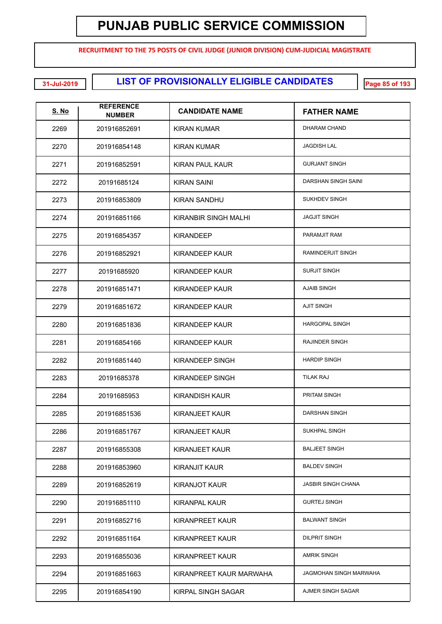**RECRUITMENT TO THE 75 POSTS OF CIVIL JUDGE (JUNIOR DIVISION) CUM-JUDICIAL MAGISTRATE**

**LIST OF PROVISIONALLY ELIGIBLE CANDIDATES 31-Jul-2019 Page 85 of 193**

| <u>S. No</u> | <b>REFERENCE</b><br><b>NUMBER</b> | <b>CANDIDATE NAME</b>   | <b>FATHER NAME</b>        |
|--------------|-----------------------------------|-------------------------|---------------------------|
| 2269         | 201916852691                      | KIRAN KUMAR             | <b>DHARAM CHAND</b>       |
| 2270         | 201916854148                      | <b>KIRAN KUMAR</b>      | <b>JAGDISH LAL</b>        |
| 2271         | 201916852591                      | <b>KIRAN PAUL KAUR</b>  | <b>GURJANT SINGH</b>      |
| 2272         | 20191685124                       | KIRAN SAINI             | DARSHAN SINGH SAINI       |
| 2273         | 201916853809                      | <b>KIRAN SANDHU</b>     | <b>SUKHDEV SINGH</b>      |
| 2274         | 201916851166                      | KIRANBIR SINGH MALHI    | <b>JAGJIT SINGH</b>       |
| 2275         | 201916854357                      | <b>KIRANDEEP</b>        | PARAMJIT RAM              |
| 2276         | 201916852921                      | <b>KIRANDEEP KAUR</b>   | RAMINDERJIT SINGH         |
| 2277         | 20191685920                       | <b>KIRANDEEP KAUR</b>   | <b>SURJIT SINGH</b>       |
| 2278         | 201916851471                      | <b>KIRANDEEP KAUR</b>   | <b>AJAIB SINGH</b>        |
| 2279         | 201916851672                      | <b>KIRANDEEP KAUR</b>   | <b>AJIT SINGH</b>         |
| 2280         | 201916851836                      | <b>KIRANDEEP KAUR</b>   | <b>HARGOPAL SINGH</b>     |
| 2281         | 201916854166                      | <b>KIRANDEEP KAUR</b>   | RAJINDER SINGH            |
| 2282         | 201916851440                      | KIRANDEEP SINGH         | <b>HARDIP SINGH</b>       |
| 2283         | 20191685378                       | KIRANDEEP SINGH         | TILAK RAJ                 |
| 2284         | 20191685953                       | <b>KIRANDISH KAUR</b>   | <b>PRITAM SINGH</b>       |
| 2285         | 201916851536                      | KIRANJEET KAUR          | DARSHAN SINGH             |
| 2286         | 201916851767                      | <b>KIRANJEET KAUR</b>   | SUKHPAL SINGH             |
| 2287         | 201916855308                      | <b>KIRANJEET KAUR</b>   | <b>BALJEET SINGH</b>      |
| 2288         | 201916853960                      | <b>KIRANJIT KAUR</b>    | <b>BALDEV SINGH</b>       |
| 2289         | 201916852619                      | <b>KIRANJOT KAUR</b>    | <b>JASBIR SINGH CHANA</b> |
| 2290         | 201916851110                      | <b>KIRANPAL KAUR</b>    | <b>GURTEJ SINGH</b>       |
| 2291         | 201916852716                      | KIRANPREET KAUR         | <b>BALWANT SINGH</b>      |
| 2292         | 201916851164                      | <b>KIRANPREET KAUR</b>  | <b>DILPRIT SINGH</b>      |
| 2293         | 201916855036                      | <b>KIRANPREET KAUR</b>  | <b>AMRIK SINGH</b>        |
| 2294         | 201916851663                      | KIRANPREET KAUR MARWAHA | JAGMOHAN SINGH MARWAHA    |
| 2295         | 201916854190                      | KIRPAL SINGH SAGAR      | AJMER SINGH SAGAR         |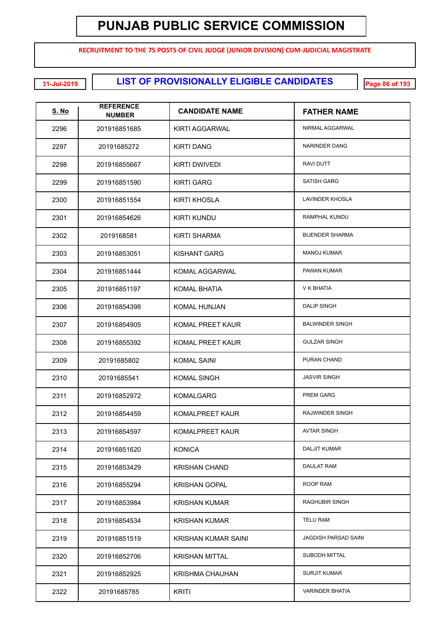**RECRUITMENT TO THE 75 POSTS OF CIVIL JUDGE (JUNIOR DIVISION) CUM-JUDICIAL MAGISTRATE**

**LIST OF PROVISIONALLY ELIGIBLE CANDIDATES 31-Jul-2019 Page 86 of 193**

| <u>S. No</u> | <b>REFERENCE</b><br><b>NUMBER</b> | <b>CANDIDATE NAME</b>   | <b>FATHER NAME</b>          |
|--------------|-----------------------------------|-------------------------|-----------------------------|
| 2296         | 201916851685                      | KIRTI AGGARWAL          | NIRMAL AGGARWAL             |
| 2297         | 20191685272                       | <b>KIRTI DANG</b>       | NARINDER DANG               |
| 2298         | 201916855667                      | <b>KIRTI DWIVEDI</b>    | <b>RAVI DUTT</b>            |
| 2299         | 201916851590                      | <b>KIRTI GARG</b>       | <b>SATISH GARG</b>          |
| 2300         | 201916851554                      | <b>KIRTI KHOSLA</b>     | <b>LAVINDER KHOSLA</b>      |
| 2301         | 201916854626                      | <b>KIRTI KUNDU</b>      | RAMPHAL KUNDU               |
| 2302         | 2019168581                        | <b>KIRTI SHARMA</b>     | <b>BIJENDER SHARMA</b>      |
| 2303         | 201916853051                      | <b>KISHANT GARG</b>     | <b>MANOJ KUMAR</b>          |
| 2304         | 201916851444                      | KOMAL AGGARWAL          | PAWAN KUMAR                 |
| 2305         | 201916851197                      | <b>KOMAL BHATIA</b>     | V K BHATIA                  |
| 2306         | 201916854398                      | <b>KOMAL HUNJAN</b>     | <b>DALIP SINGH</b>          |
| 2307         | 201916854905                      | <b>KOMAL PREET KAUR</b> | <b>BALWINDER SINGH</b>      |
| 2308         | 201916855392                      | <b>KOMAL PREET KAUR</b> | <b>GULZAR SINGH</b>         |
| 2309         | 20191685802                       | <b>KOMAL SAINI</b>      | PURAN CHAND                 |
| 2310         | 20191685541                       | <b>KOMAL SINGH</b>      | <b>JASVIR SINGH</b>         |
| 2311         | 201916852972                      | <b>KOMALGARG</b>        | <b>PREM GARG</b>            |
| 2312         | 201916854459                      | <b>KOMALPREET KAUR</b>  | <b>RAJWINDER SINGH</b>      |
| 2313         | 201916854597                      | KOMALPREET KAUR         | <b>AVTAR SINGH</b>          |
| 2314         | 201916851620                      | <b>KONICA</b>           | <b>DALJIT KUMAR</b>         |
| 2315         | 201916853429                      | <b>KRISHAN CHAND</b>    | DAULAT RAM                  |
| 2316         | 201916855294                      | <b>KRISHAN GOPAL</b>    | ROOP RAM                    |
| 2317         | 201916853984                      | <b>KRISHAN KUMAR</b>    | <b>RAGHUBIR SINGH</b>       |
| 2318         | 201916854534                      | <b>KRISHAN KUMAR</b>    | TELU RAM                    |
| 2319         | 201916851519                      | KRISHAN KUMAR SAINI     | <b>JAGDISH PARSAD SAINI</b> |
| 2320         | 201916852706                      | <b>KRISHAN MITTAL</b>   | SUBODH MITTAL               |
| 2321         | 201916852925                      | <b>KRISHMA CHAUHAN</b>  | <b>SURJIT KUMAR</b>         |
| 2322         | 20191685785                       | <b>KRITI</b>            | <b>VARINDER BHATIA</b>      |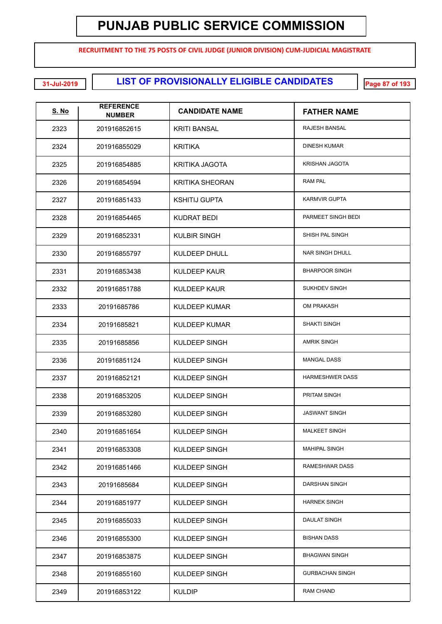**RECRUITMENT TO THE 75 POSTS OF CIVIL JUDGE (JUNIOR DIVISION) CUM-JUDICIAL MAGISTRATE**

**LIST OF PROVISIONALLY ELIGIBLE CANDIDATES 31-Jul-2019 Page 87 of 193**

| <u>S. No</u> | <b>REFERENCE</b><br><b>NUMBER</b> | <b>CANDIDATE NAME</b>  | <b>FATHER NAME</b>     |
|--------------|-----------------------------------|------------------------|------------------------|
| 2323         | 201916852615                      | <b>KRITI BANSAL</b>    | RAJESH BANSAL          |
| 2324         | 201916855029                      | <b>KRITIKA</b>         | <b>DINESH KUMAR</b>    |
| 2325         | 201916854885                      | <b>KRITIKA JAGOTA</b>  | <b>KRISHAN JAGOTA</b>  |
| 2326         | 201916854594                      | <b>KRITIKA SHEORAN</b> | <b>RAM PAL</b>         |
| 2327         | 201916851433                      | <b>KSHITIJ GUPTA</b>   | <b>KARMVIR GUPTA</b>   |
| 2328         | 201916854465                      | <b>KUDRAT BEDI</b>     | PARMEET SINGH BEDI     |
| 2329         | 201916852331                      | <b>KULBIR SINGH</b>    | SHISH PAL SINGH        |
| 2330         | 201916855797                      | <b>KULDEEP DHULL</b>   | <b>NAR SINGH DHULL</b> |
| 2331         | 201916853438                      | <b>KULDEEP KAUR</b>    | <b>BHARPOOR SINGH</b>  |
| 2332         | 201916851788                      | <b>KULDEEP KAUR</b>    | SUKHDEV SINGH          |
| 2333         | 20191685786                       | <b>KULDEEP KUMAR</b>   | OM PRAKASH             |
| 2334         | 20191685821                       | <b>KULDEEP KUMAR</b>   | <b>SHAKTI SINGH</b>    |
| 2335         | 20191685856                       | KULDEEP SINGH          | <b>AMRIK SINGH</b>     |
| 2336         | 201916851124                      | KULDEEP SINGH          | <b>MANGAL DASS</b>     |
| 2337         | 201916852121                      | KULDEEP SINGH          | <b>HARMESHWER DASS</b> |
| 2338         | 201916853205                      | KULDEEP SINGH          | PRITAM SINGH           |
| 2339         | 201916853280                      | KULDEEP SINGH          | <b>JASWANT SINGH</b>   |
| 2340         | 201916851654                      | KULDEEP SINGH          | <b>MALKEET SINGH</b>   |
| 2341         | 201916853308                      | KULDEEP SINGH          | <b>MAHIPAL SINGH</b>   |
| 2342         | 201916851466                      | KULDEEP SINGH          | RAMESHWAR DASS         |
| 2343         | 20191685684                       | KULDEEP SINGH          | DARSHAN SINGH          |
| 2344         | 201916851977                      | KULDEEP SINGH          | <b>HARNEK SINGH</b>    |
| 2345         | 201916855033                      | KULDEEP SINGH          | <b>DAULAT SINGH</b>    |
| 2346         | 201916855300                      | KULDEEP SINGH          | BISHAN DASS            |
| 2347         | 201916853875                      | KULDEEP SINGH          | <b>BHAGWAN SINGH</b>   |
| 2348         | 201916855160                      | KULDEEP SINGH          | <b>GURBACHAN SINGH</b> |
| 2349         | 201916853122                      | <b>KULDIP</b>          | RAM CHAND              |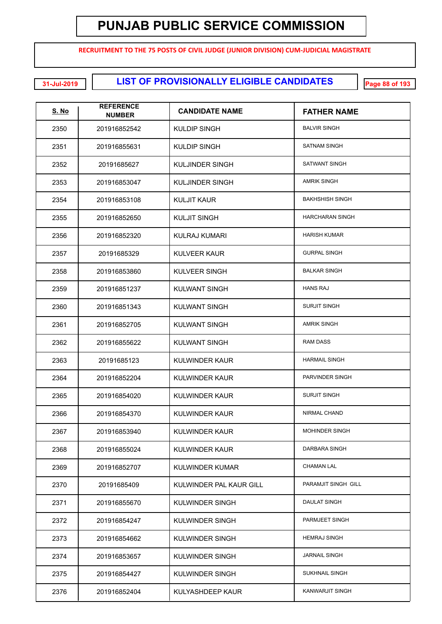**RECRUITMENT TO THE 75 POSTS OF CIVIL JUDGE (JUNIOR DIVISION) CUM-JUDICIAL MAGISTRATE**

**LIST OF PROVISIONALLY ELIGIBLE CANDIDATES 31-Jul-2019 Page 88 of 193**

| S. No | <b>REFERENCE</b><br><b>NUMBER</b> | <b>CANDIDATE NAME</b>   | <b>FATHER NAME</b>     |
|-------|-----------------------------------|-------------------------|------------------------|
| 2350  | 201916852542                      | KULDIP SINGH            | <b>BALVIR SINGH</b>    |
| 2351  | 201916855631                      | <b>KULDIP SINGH</b>     | <b>SATNAM SINGH</b>    |
| 2352  | 20191685627                       | <b>KULJINDER SINGH</b>  | <b>SATWANT SINGH</b>   |
| 2353  | 201916853047                      | <b>KULJINDER SINGH</b>  | <b>AMRIK SINGH</b>     |
| 2354  | 201916853108                      | KULJIT KAUR             | <b>BAKHSHISH SINGH</b> |
| 2355  | 201916852650                      | <b>KULJIT SINGH</b>     | <b>HARCHARAN SINGH</b> |
| 2356  | 201916852320                      | <b>KULRAJ KUMARI</b>    | <b>HARISH KUMAR</b>    |
| 2357  | 20191685329                       | <b>KULVEER KAUR</b>     | <b>GURPAL SINGH</b>    |
| 2358  | 201916853860                      | KULVEER SINGH           | <b>BALKAR SINGH</b>    |
| 2359  | 201916851237                      | <b>KULWANT SINGH</b>    | <b>HANS RAJ</b>        |
| 2360  | 201916851343                      | <b>KULWANT SINGH</b>    | <b>SURJIT SINGH</b>    |
| 2361  | 201916852705                      | <b>KULWANT SINGH</b>    | <b>AMRIK SINGH</b>     |
| 2362  | 201916855622                      | <b>KULWANT SINGH</b>    | <b>RAM DASS</b>        |
| 2363  | 20191685123                       | <b>KULWINDER KAUR</b>   | <b>HARMAIL SINGH</b>   |
| 2364  | 201916852204                      | <b>KULWINDER KAUR</b>   | PARVINDER SINGH        |
| 2365  | 201916854020                      | <b>KULWINDER KAUR</b>   | <b>SURJIT SINGH</b>    |
| 2366  | 201916854370                      | KULWINDER KAUR          | <b>NIRMAL CHAND</b>    |
| 2367  | 201916853940                      | KULWINDER KAUR          | <b>MOHINDER SINGH</b>  |
| 2368  | 201916855024                      | KULWINDER KAUR          | DARBARA SINGH          |
| 2369  | 201916852707                      | KULWINDER KUMAR         | <b>CHAMAN LAL</b>      |
| 2370  | 20191685409                       | KULWINDER PAL KAUR GILL | PARAMJIT SINGH GILL    |
| 2371  | 201916855670                      | KULWINDER SINGH         | <b>DAULAT SINGH</b>    |
| 2372  | 201916854247                      | KULWINDER SINGH         | PARMJEET SINGH         |
| 2373  | 201916854662                      | KULWINDER SINGH         | <b>HEMRAJ SINGH</b>    |
| 2374  | 201916853657                      | KULWINDER SINGH         | <b>JARNAIL SINGH</b>   |
| 2375  | 201916854427                      | KULWINDER SINGH         | <b>SUKHNAIL SINGH</b>  |
| 2376  | 201916852404                      | KULYASHDEEP KAUR        | KANWARJIT SINGH        |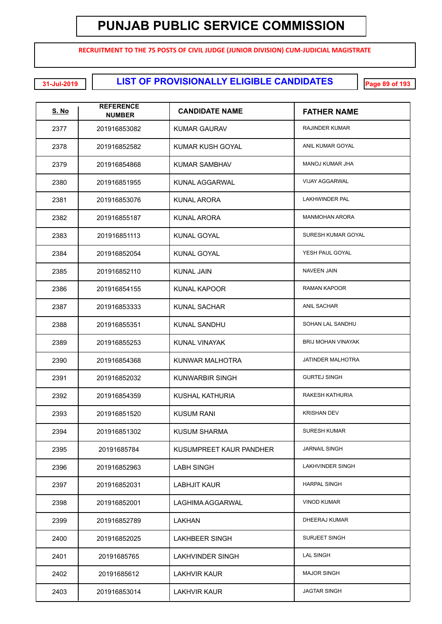**RECRUITMENT TO THE 75 POSTS OF CIVIL JUDGE (JUNIOR DIVISION) CUM-JUDICIAL MAGISTRATE**

**LIST OF PROVISIONALLY ELIGIBLE CANDIDATES 31-Jul-2019 Page 89 of 193**

| <u>S. No</u> | <b>REFERENCE</b><br><b>NUMBER</b> | <b>CANDIDATE NAME</b>   | <b>FATHER NAME</b>        |
|--------------|-----------------------------------|-------------------------|---------------------------|
| 2377         | 201916853082                      | KUMAR GAURAV            | <b>RAJINDER KUMAR</b>     |
| 2378         | 201916852582                      | KUMAR KUSH GOYAL        | ANIL KUMAR GOYAL          |
| 2379         | 201916854868                      | KUMAR SAMBHAV           | <b>MANOJ KUMAR JHA</b>    |
| 2380         | 201916851955                      | KUNAL AGGARWAL          | <b>VIJAY AGGARWAL</b>     |
| 2381         | 201916853076                      | KUNAL ARORA             | <b>LAKHWINDER PAL</b>     |
| 2382         | 201916855187                      | KUNAL ARORA             | <b>MANMOHAN ARORA</b>     |
| 2383         | 201916851113                      | KUNAL GOYAL             | SURESH KUMAR GOYAL        |
| 2384         | 201916852054                      | KUNAL GOYAL             | YESH PAUL GOYAL           |
| 2385         | 201916852110                      | KUNAL JAIN              | <b>NAVEEN JAIN</b>        |
| 2386         | 201916854155                      | <b>KUNAL KAPOOR</b>     | <b>RAMAN KAPOOR</b>       |
| 2387         | 201916853333                      | <b>KUNAL SACHAR</b>     | <b>ANIL SACHAR</b>        |
| 2388         | 201916855351                      | <b>KUNAL SANDHU</b>     | SOHAN LAL SANDHU          |
| 2389         | 201916855253                      | <b>KUNAL VINAYAK</b>    | <b>BRIJ MOHAN VINAYAK</b> |
| 2390         | 201916854368                      | KUNWAR MALHOTRA         | JATINDER MALHOTRA         |
| 2391         | 201916852032                      | <b>KUNWARBIR SINGH</b>  | <b>GURTEJ SINGH</b>       |
| 2392         | 201916854359                      | KUSHAL KATHURIA         | RAKESH KATHURIA           |
| 2393         | 201916851520                      | <b>KUSUM RANI</b>       | <b>KRISHAN DEV</b>        |
| 2394         | 201916851302                      | KUSUM SHARMA            | <b>SURESH KUMAR</b>       |
| 2395         | 20191685784                       | KUSUMPREET KAUR PANDHER | <b>JARNAIL SINGH</b>      |
| 2396         | 201916852963                      | <b>LABH SINGH</b>       | <b>LAKHVINDER SINGH</b>   |
| 2397         | 201916852031                      | <b>LABHJIT KAUR</b>     | <b>HARPAL SINGH</b>       |
| 2398         | 201916852001                      | LAGHIMA AGGARWAL        | <b>VINOD KUMAR</b>        |
| 2399         | 201916852789                      | LAKHAN                  | DHEERAJ KUMAR             |
| 2400         | 201916852025                      | <b>LAKHBEER SINGH</b>   | <b>SURJEET SINGH</b>      |
| 2401         | 20191685765                       | <b>LAKHVINDER SINGH</b> | <b>LAL SINGH</b>          |
| 2402         | 20191685612                       | LAKHVIR KAUR            | <b>MAJOR SINGH</b>        |
| 2403         | 201916853014                      | <b>LAKHVIR KAUR</b>     | <b>JAGTAR SINGH</b>       |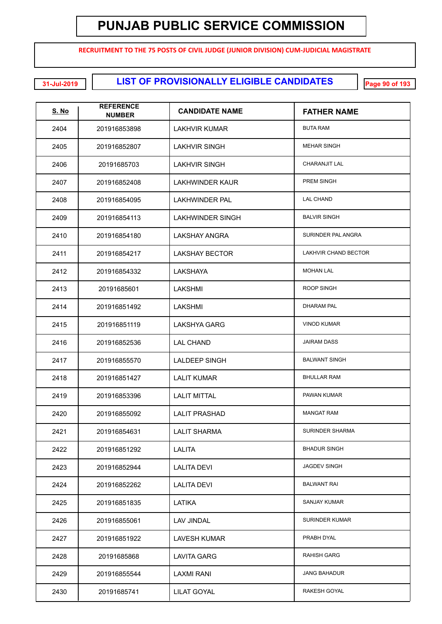**RECRUITMENT TO THE 75 POSTS OF CIVIL JUDGE (JUNIOR DIVISION) CUM-JUDICIAL MAGISTRATE**

**LIST OF PROVISIONALLY ELIGIBLE CANDIDATES 31-Jul-2019 Page 90 of 193**

| <u>S. No</u> | <b>REFERENCE</b><br><b>NUMBER</b> | <b>CANDIDATE NAME</b>   | <b>FATHER NAME</b>    |
|--------------|-----------------------------------|-------------------------|-----------------------|
| 2404         | 201916853898                      | LAKHVIR KUMAR           | <b>BUTA RAM</b>       |
| 2405         | 201916852807                      | <b>LAKHVIR SINGH</b>    | <b>MEHAR SINGH</b>    |
| 2406         | 20191685703                       | <b>LAKHVIR SINGH</b>    | <b>CHARANJIT LAL</b>  |
| 2407         | 201916852408                      | <b>LAKHWINDER KAUR</b>  | PREM SINGH            |
| 2408         | 201916854095                      | <b>LAKHWINDER PAL</b>   | <b>LAL CHAND</b>      |
| 2409         | 201916854113                      | <b>LAKHWINDER SINGH</b> | <b>BALVIR SINGH</b>   |
| 2410         | 201916854180                      | <b>LAKSHAY ANGRA</b>    | SURINDER PAL ANGRA    |
| 2411         | 201916854217                      | <b>LAKSHAY BECTOR</b>   | LAKHVIR CHAND BECTOR  |
| 2412         | 201916854332                      | <b>LAKSHAYA</b>         | <b>MOHAN LAL</b>      |
| 2413         | 20191685601                       | LAKSHMI                 | <b>ROOP SINGH</b>     |
| 2414         | 201916851492                      | LAKSHMI                 | <b>DHARAM PAL</b>     |
| 2415         | 201916851119                      | <b>LAKSHYA GARG</b>     | <b>VINOD KUMAR</b>    |
| 2416         | 201916852536                      | <b>LAL CHAND</b>        | <b>JAIRAM DASS</b>    |
| 2417         | 201916855570                      | <b>LALDEEP SINGH</b>    | <b>BALWANT SINGH</b>  |
| 2418         | 201916851427                      | <b>LALIT KUMAR</b>      | <b>BHULLAR RAM</b>    |
| 2419         | 201916853396                      | <b>LALIT MITTAL</b>     | PAWAN KUMAR           |
| 2420         | 201916855092                      | <b>LALIT PRASHAD</b>    | <b>MANGAT RAM</b>     |
| 2421         | 201916854631                      | <b>LALIT SHARMA</b>     | SURINDER SHARMA       |
| 2422         | 201916851292                      | <b>LALITA</b>           | <b>BHADUR SINGH</b>   |
| 2423         | 201916852944                      | <b>LALITA DEVI</b>      | <b>JAGDEV SINGH</b>   |
| 2424         | 201916852262                      | <b>LALITA DEVI</b>      | <b>BALWANT RAI</b>    |
| 2425         | 201916851835                      | LATIKA                  | SANJAY KUMAR          |
| 2426         | 201916855061                      | LAV JINDAL              | <b>SURINDER KUMAR</b> |
| 2427         | 201916851922                      | <b>LAVESH KUMAR</b>     | PRABH DYAL            |
| 2428         | 20191685868                       | <b>LAVITA GARG</b>      | <b>RAHISH GARG</b>    |
| 2429         | 201916855544                      | <b>LAXMI RANI</b>       | <b>JANG BAHADUR</b>   |
| 2430         | 20191685741                       | <b>LILAT GOYAL</b>      | RAKESH GOYAL          |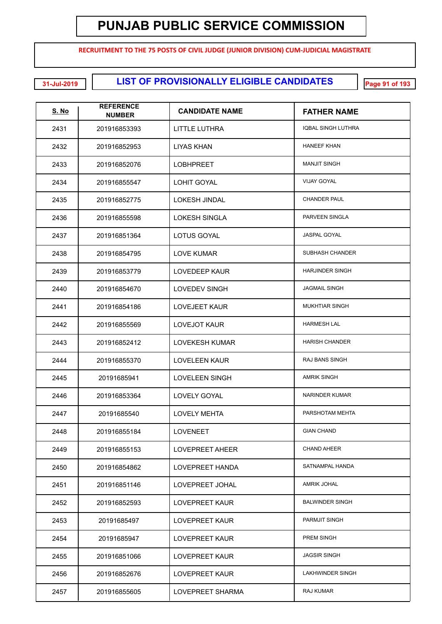**RECRUITMENT TO THE 75 POSTS OF CIVIL JUDGE (JUNIOR DIVISION) CUM-JUDICIAL MAGISTRATE**

**LIST OF PROVISIONALLY ELIGIBLE CANDIDATES 31-Jul-2019 Page 91 of 193**

| <u>S. No</u> | <b>REFERENCE</b><br><b>NUMBER</b> | <b>CANDIDATE NAME</b>  | <b>FATHER NAME</b>        |
|--------------|-----------------------------------|------------------------|---------------------------|
| 2431         | 201916853393                      | <b>LITTLE LUTHRA</b>   | <b>IQBAL SINGH LUTHRA</b> |
| 2432         | 201916852953                      | LIYAS KHAN             | <b>HANEEF KHAN</b>        |
| 2433         | 201916852076                      | <b>LOBHPREET</b>       | <b>MANJIT SINGH</b>       |
| 2434         | 201916855547                      | <b>LOHIT GOYAL</b>     | <b>VIJAY GOYAL</b>        |
| 2435         | 201916852775                      | <b>LOKESH JINDAL</b>   | <b>CHANDER PAUL</b>       |
| 2436         | 201916855598                      | <b>LOKESH SINGLA</b>   | PARVEEN SINGLA            |
| 2437         | 201916851364                      | LOTUS GOYAL            | <b>JASPAL GOYAL</b>       |
| 2438         | 201916854795                      | <b>LOVE KUMAR</b>      | <b>SUBHASH CHANDER</b>    |
| 2439         | 201916853779                      | <b>LOVEDEEP KAUR</b>   | <b>HARJINDER SINGH</b>    |
| 2440         | 201916854670                      | <b>LOVEDEV SINGH</b>   | <b>JAGMAIL SINGH</b>      |
| 2441         | 201916854186                      | <b>LOVEJEET KAUR</b>   | <b>MUKHTIAR SINGH</b>     |
| 2442         | 201916855569                      | <b>LOVEJOT KAUR</b>    | <b>HARMESH LAL</b>        |
| 2443         | 201916852412                      | <b>LOVEKESH KUMAR</b>  | <b>HARISH CHANDER</b>     |
| 2444         | 201916855370                      | <b>LOVELEEN KAUR</b>   | RAJ BANS SINGH            |
| 2445         | 20191685941                       | <b>LOVELEEN SINGH</b>  | <b>AMRIK SINGH</b>        |
| 2446         | 201916853364                      | <b>LOVELY GOYAL</b>    | <b>NARINDER KUMAR</b>     |
| 2447         | 20191685540                       | <b>LOVELY MEHTA</b>    | PARSHOTAM MEHTA           |
| 2448         | 201916855184                      | <b>LOVENEET</b>        | <b>GIAN CHAND</b>         |
| 2449         | 201916855153                      | <b>LOVEPREET AHEER</b> | <b>CHAND AHEER</b>        |
| 2450         | 201916854862                      | LOVEPREET HANDA        | SATNAMPAL HANDA           |
| 2451         | 201916851146                      | LOVEPREET JOHAL        | AMRIK JOHAL               |
| 2452         | 201916852593                      | LOVEPREET KAUR         | <b>BALWINDER SINGH</b>    |
| 2453         | 20191685497                       | LOVEPREET KAUR         | <b>PARMJIT SINGH</b>      |
| 2454         | 20191685947                       | LOVEPREET KAUR         | PREM SINGH                |
| 2455         | 201916851066                      | LOVEPREET KAUR         | <b>JAGSIR SINGH</b>       |
| 2456         | 201916852676                      | LOVEPREET KAUR         | LAKHWINDER SINGH          |
| 2457         | 201916855605                      | LOVEPREET SHARMA       | RAJ KUMAR                 |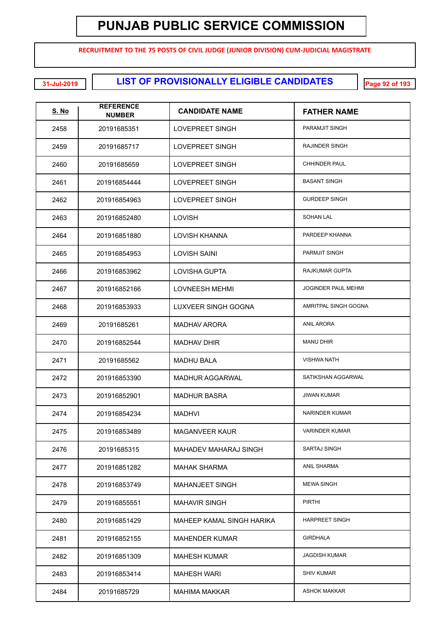**RECRUITMENT TO THE 75 POSTS OF CIVIL JUDGE (JUNIOR DIVISION) CUM-JUDICIAL MAGISTRATE**

**LIST OF PROVISIONALLY ELIGIBLE CANDIDATES 31-Jul-2019 Page 92 of 193**

| <u>S. No</u> | <b>REFERENCE</b><br><b>NUMBER</b> | <b>CANDIDATE NAME</b>      | <b>FATHER NAME</b>         |
|--------------|-----------------------------------|----------------------------|----------------------------|
| 2458         | 20191685351                       | LOVEPREET SINGH            | PARAMJIT SINGH             |
| 2459         | 20191685717                       | <b>LOVEPREET SINGH</b>     | RAJINDER SINGH             |
| 2460         | 20191685659                       | <b>LOVEPREET SINGH</b>     | CHHINDER PAUL              |
| 2461         | 201916854444                      | <b>LOVEPREET SINGH</b>     | <b>BASANT SINGH</b>        |
| 2462         | 201916854963                      | <b>LOVEPREET SINGH</b>     | <b>GURDEEP SINGH</b>       |
| 2463         | 201916852480                      | <b>LOVISH</b>              | <b>SOHAN LAL</b>           |
| 2464         | 201916851880                      | <b>LOVISH KHANNA</b>       | PARDEEP KHANNA             |
| 2465         | 201916854953                      | <b>LOVISH SAINI</b>        | PARMJIT SINGH              |
| 2466         | 201916853962                      | <b>LOVISHA GUPTA</b>       | <b>RAJKUMAR GUPTA</b>      |
| 2467         | 201916852166                      | <b>LOVNEESH MEHMI</b>      | <b>JOGINDER PAUL MEHMI</b> |
| 2468         | 201916853933                      | <b>LUXVEER SINGH GOGNA</b> | AMRITPAL SINGH GOGNA       |
| 2469         | 20191685261                       | <b>MADHAV ARORA</b>        | <b>ANIL ARORA</b>          |
| 2470         | 201916852544                      | <b>MADHAV DHIR</b>         | <b>MANU DHIR</b>           |
| 2471         | 20191685562                       | <b>MADHU BALA</b>          | <b>VISHWA NATH</b>         |
| 2472         | 201916853390                      | <b>MADHUR AGGARWAL</b>     | SATIKSHAN AGGARWAL         |
| 2473         | 201916852901                      | <b>MADHUR BASRA</b>        | <b>JIWAN KUMAR</b>         |
| 2474         | 201916854234                      | <b>MADHVI</b>              | <b>NARINDER KUMAR</b>      |
| 2475         | 201916853489                      | MAGANVEER KAUR             | <b>VARINDER KUMAR</b>      |
| 2476         | 20191685315                       | MAHADEV MAHARAJ SINGH      | SARTAJ SINGH               |
| 2477         | 201916851282                      | MAHAK SHARMA               | ANIL SHARMA                |
| 2478         | 201916853749                      | <b>MAHANJEET SINGH</b>     | <b>MEWA SINGH</b>          |
| 2479         | 201916855551                      | <b>MAHAVIR SINGH</b>       | <b>PIRTHI</b>              |
| 2480         | 201916851429                      | MAHEEP KAMAL SINGH HARIKA  | <b>HARPREET SINGH</b>      |
| 2481         | 201916852155                      | <b>MAHENDER KUMAR</b>      | <b>GIRDHALA</b>            |
| 2482         | 201916851309                      | <b>MAHESH KUMAR</b>        | <b>JAGDISH KUMAR</b>       |
| 2483         | 201916853414                      | <b>MAHESH WARI</b>         | <b>SHIV KUMAR</b>          |
| 2484         | 20191685729                       | <b>MAHIMA MAKKAR</b>       | <b>ASHOK MAKKAR</b>        |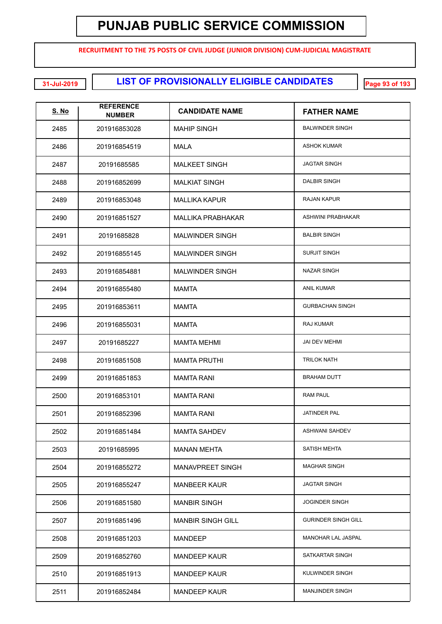**RECRUITMENT TO THE 75 POSTS OF CIVIL JUDGE (JUNIOR DIVISION) CUM-JUDICIAL MAGISTRATE**

| <u>S. No</u> | <b>REFERENCE</b><br><b>NUMBER</b> | <b>CANDIDATE NAME</b>    | <b>FATHER NAME</b>         |
|--------------|-----------------------------------|--------------------------|----------------------------|
| 2485         | 201916853028                      | <b>MAHIP SINGH</b>       | <b>BALWINDER SINGH</b>     |
| 2486         | 201916854519                      | MALA                     | <b>ASHOK KUMAR</b>         |
| 2487         | 20191685585                       | <b>MALKEET SINGH</b>     | <b>JAGTAR SINGH</b>        |
| 2488         | 201916852699                      | <b>MALKIAT SINGH</b>     | <b>DALBIR SINGH</b>        |
| 2489         | 201916853048                      | <b>MALLIKA KAPUR</b>     | <b>RAJAN KAPUR</b>         |
| 2490         | 201916851527                      | <b>MALLIKA PRABHAKAR</b> | ASHWINI PRABHAKAR          |
| 2491         | 20191685828                       | <b>MALWINDER SINGH</b>   | <b>BALBIR SINGH</b>        |
| 2492         | 201916855145                      | <b>MALWINDER SINGH</b>   | <b>SURJIT SINGH</b>        |
| 2493         | 201916854881                      | <b>MALWINDER SINGH</b>   | <b>NAZAR SINGH</b>         |
| 2494         | 201916855480                      | <b>MAMTA</b>             | <b>ANIL KUMAR</b>          |
| 2495         | 201916853611                      | MAMTA                    | <b>GURBACHAN SINGH</b>     |
| 2496         | 201916855031                      | MAMTA                    | RAJ KUMAR                  |
| 2497         | 20191685227                       | <b>MAMTA MEHMI</b>       | <b>JAI DEV MEHMI</b>       |
| 2498         | 201916851508                      | <b>MAMTA PRUTHI</b>      | <b>TRILOK NATH</b>         |
| 2499         | 201916851853                      | <b>MAMTA RANI</b>        | <b>BRAHAM DUTT</b>         |
| 2500         | 201916853101                      | <b>MAMTA RANI</b>        | <b>RAM PAUL</b>            |
| 2501         | 201916852396                      | <b>MAMTA RANI</b>        | <b>JATINDER PAL</b>        |
| 2502         | 201916851484                      | <b>MAMTA SAHDEV</b>      | ASHWANI SAHDEV             |
| 2503         | 20191685995                       | <b>MANAN MEHTA</b>       | SATISH MEHTA               |
| 2504         | 201916855272                      | MANAVPREET SINGH         | <b>MAGHAR SINGH</b>        |
| 2505         | 201916855247                      | <b>MANBEER KAUR</b>      | <b>JAGTAR SINGH</b>        |
| 2506         | 201916851580                      | <b>MANBIR SINGH</b>      | <b>JOGINDER SINGH</b>      |
| 2507         | 201916851496                      | <b>MANBIR SINGH GILL</b> | <b>GURINDER SINGH GILL</b> |
| 2508         | 201916851203                      | <b>MANDEEP</b>           | MANOHAR LAL JASPAL         |
| 2509         | 201916852760                      | <b>MANDEEP KAUR</b>      | SATKARTAR SINGH            |
| 2510         | 201916851913                      | <b>MANDEEP KAUR</b>      | KULWINDER SINGH            |
| 2511         | 201916852484                      | <b>MANDEEP KAUR</b>      | <b>MANJINDER SINGH</b>     |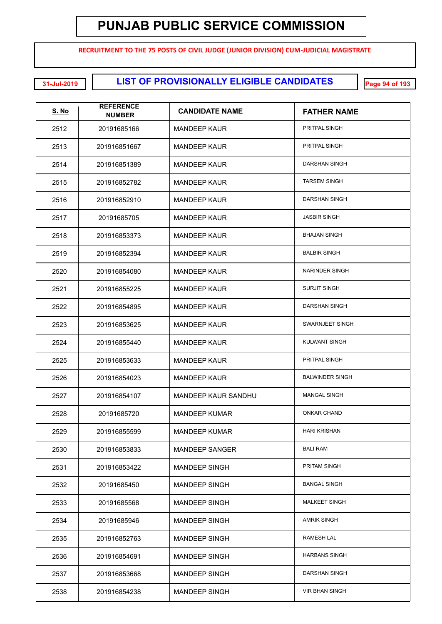**RECRUITMENT TO THE 75 POSTS OF CIVIL JUDGE (JUNIOR DIVISION) CUM-JUDICIAL MAGISTRATE**

**LIST OF PROVISIONALLY ELIGIBLE CANDIDATES 31-Jul-2019 Page 94 of 193**

| <u>S. No</u> | <b>REFERENCE</b><br><b>NUMBER</b> | <b>CANDIDATE NAME</b>      | <b>FATHER NAME</b>     |
|--------------|-----------------------------------|----------------------------|------------------------|
| 2512         | 20191685166                       | <b>MANDEEP KAUR</b>        | PRITPAL SINGH          |
| 2513         | 201916851667                      | <b>MANDEEP KAUR</b>        | PRITPAL SINGH          |
| 2514         | 201916851389                      | <b>MANDEEP KAUR</b>        | DARSHAN SINGH          |
| 2515         | 201916852782                      | <b>MANDEEP KAUR</b>        | <b>TARSEM SINGH</b>    |
| 2516         | 201916852910                      | <b>MANDEEP KAUR</b>        | <b>DARSHAN SINGH</b>   |
| 2517         | 20191685705                       | <b>MANDEEP KAUR</b>        | <b>JASBIR SINGH</b>    |
| 2518         | 201916853373                      | <b>MANDEEP KAUR</b>        | <b>BHAJAN SINGH</b>    |
| 2519         | 201916852394                      | <b>MANDEEP KAUR</b>        | <b>BALBIR SINGH</b>    |
| 2520         | 201916854080                      | <b>MANDEEP KAUR</b>        | <b>NARINDER SINGH</b>  |
| 2521         | 201916855225                      | <b>MANDEEP KAUR</b>        | <b>SURJIT SINGH</b>    |
| 2522         | 201916854895                      | <b>MANDEEP KAUR</b>        | DARSHAN SINGH          |
| 2523         | 201916853625                      | <b>MANDEEP KAUR</b>        | SWARNJEET SINGH        |
| 2524         | 201916855440                      | MANDEEP KAUR               | <b>KULWANT SINGH</b>   |
| 2525         | 201916853633                      | <b>MANDEEP KAUR</b>        | PRITPAL SINGH          |
| 2526         | 201916854023                      | MANDEEP KAUR               | <b>BALWINDER SINGH</b> |
| 2527         | 201916854107                      | <b>MANDEEP KAUR SANDHU</b> | <b>MANGAL SINGH</b>    |
| 2528         | 20191685720                       | <b>MANDEEP KUMAR</b>       | <b>ONKAR CHAND</b>     |
| 2529         | 201916855599                      | <b>MANDEEP KUMAR</b>       | <b>HARI KRISHAN</b>    |
| 2530         | 201916853833                      | MANDEEP SANGER             | <b>BALI RAM</b>        |
| 2531         | 201916853422                      | <b>MANDEEP SINGH</b>       | PRITAM SINGH           |
| 2532         | 20191685450                       | <b>MANDEEP SINGH</b>       | <b>BANGAL SINGH</b>    |
| 2533         | 20191685568                       | <b>MANDEEP SINGH</b>       | <b>MALKEET SINGH</b>   |
| 2534         | 20191685946                       | <b>MANDEEP SINGH</b>       | <b>AMRIK SINGH</b>     |
| 2535         | 201916852763                      | <b>MANDEEP SINGH</b>       | RAMESH LAL             |
| 2536         | 201916854691                      | <b>MANDEEP SINGH</b>       | <b>HARBANS SINGH</b>   |
| 2537         | 201916853668                      | <b>MANDEEP SINGH</b>       | DARSHAN SINGH          |
| 2538         | 201916854238                      | <b>MANDEEP SINGH</b>       | <b>VIR BHAN SINGH</b>  |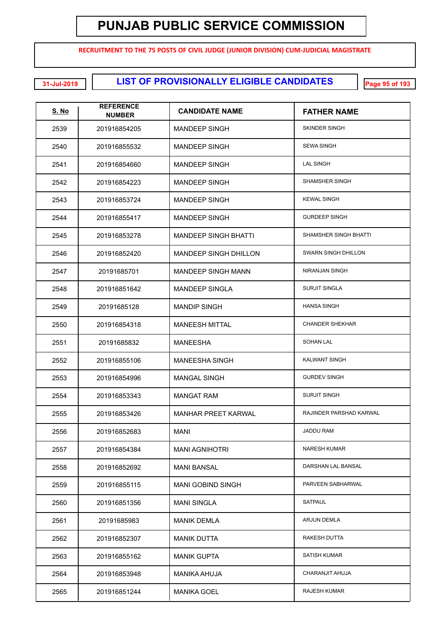**RECRUITMENT TO THE 75 POSTS OF CIVIL JUDGE (JUNIOR DIVISION) CUM-JUDICIAL MAGISTRATE**

**LIST OF PROVISIONALLY ELIGIBLE CANDIDATES 31-Jul-2019 Page 95 of 193**

| <u>S. No</u> | <b>REFERENCE</b><br><b>NUMBER</b> | <b>CANDIDATE NAME</b>        | <b>FATHER NAME</b>         |
|--------------|-----------------------------------|------------------------------|----------------------------|
| 2539         | 201916854205                      | <b>MANDEEP SINGH</b>         | <b>SKINDER SINGH</b>       |
| 2540         | 201916855532                      | <b>MANDEEP SINGH</b>         | <b>SEWA SINGH</b>          |
| 2541         | 201916854660                      | <b>MANDEEP SINGH</b>         | <b>LAL SINGH</b>           |
| 2542         | 201916854223                      | <b>MANDEEP SINGH</b>         | <b>SHAMSHER SINGH</b>      |
| 2543         | 201916853724                      | <b>MANDEEP SINGH</b>         | <b>KEWAL SINGH</b>         |
| 2544         | 201916855417                      | <b>MANDEEP SINGH</b>         | <b>GURDEEP SINGH</b>       |
| 2545         | 201916853278                      | <b>MANDEEP SINGH BHATTI</b>  | SHAMSHER SINGH BHATTI      |
| 2546         | 201916852420                      | <b>MANDEEP SINGH DHILLON</b> | <b>SWARN SINGH DHILLON</b> |
| 2547         | 20191685701                       | <b>MANDEEP SINGH MANN</b>    | NIRANJAN SINGH             |
| 2548         | 201916851642                      | <b>MANDEEP SINGLA</b>        | <b>SURJIT SINGLA</b>       |
| 2549         | 20191685128                       | <b>MANDIP SINGH</b>          | <b>HANSA SINGH</b>         |
| 2550         | 201916854318                      | <b>MANEESH MITTAL</b>        | <b>CHANDER SHEKHAR</b>     |
| 2551         | 20191685832                       | <b>MANEESHA</b>              | <b>SOHAN LAL</b>           |
| 2552         | 201916855106                      | <b>MANEESHA SINGH</b>        | <b>KALWANT SINGH</b>       |
| 2553         | 201916854996                      | <b>MANGAL SINGH</b>          | <b>GURDEV SINGH</b>        |
| 2554         | 201916853343                      | <b>MANGAT RAM</b>            | <b>SURJIT SINGH</b>        |
| 2555         | 201916853426                      | <b>MANHAR PREET KARWAL</b>   | RAJINDER PARSHAD KARWAL    |
| 2556         | 201916852683                      | MANI                         | <b>JADDU RAM</b>           |
| 2557         | 201916854384                      | <b>MANI AGNIHOTRI</b>        | <b>NARESH KUMAR</b>        |
| 2558         | 201916852692                      | <b>MANI BANSAL</b>           | DARSHAN LAL BANSAL         |
| 2559         | 201916855115                      | <b>MANI GOBIND SINGH</b>     | PARVEEN SABHARWAL          |
| 2560         | 201916851356                      | <b>MANI SINGLA</b>           | SATPAUL                    |
| 2561         | 20191685983                       | <b>MANIK DEMLA</b>           | ARJUN DEMLA                |
| 2562         | 201916852307                      | <b>MANIK DUTTA</b>           | RAKESH DUTTA               |
| 2563         | 201916855162                      | <b>MANIK GUPTA</b>           | <b>SATISH KUMAR</b>        |
| 2564         | 201916853948                      | <b>MANIKA AHUJA</b>          | CHARANJIT AHUJA            |
| 2565         | 201916851244                      | <b>MANIKA GOEL</b>           | <b>RAJESH KUMAR</b>        |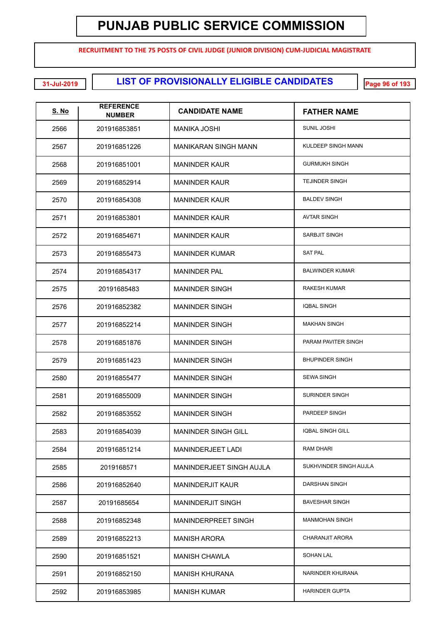**RECRUITMENT TO THE 75 POSTS OF CIVIL JUDGE (JUNIOR DIVISION) CUM-JUDICIAL MAGISTRATE**

**LIST OF PROVISIONALLY ELIGIBLE CANDIDATES 31-Jul-2019 Page 96 of 193**

| <u>S. No</u> | <b>REFERENCE</b><br><b>NUMBER</b> | <b>CANDIDATE NAME</b>       | <b>FATHER NAME</b>      |
|--------------|-----------------------------------|-----------------------------|-------------------------|
| 2566         | 201916853851                      | MANIKA JOSHI                | <b>SUNIL JOSHI</b>      |
| 2567         | 201916851226                      | <b>MANIKARAN SINGH MANN</b> | KULDEEP SINGH MANN      |
| 2568         | 201916851001                      | <b>MANINDER KAUR</b>        | <b>GURMUKH SINGH</b>    |
| 2569         | 201916852914                      | <b>MANINDER KAUR</b>        | <b>TEJINDER SINGH</b>   |
| 2570         | 201916854308                      | <b>MANINDER KAUR</b>        | <b>BALDEV SINGH</b>     |
| 2571         | 201916853801                      | <b>MANINDER KAUR</b>        | <b>AVTAR SINGH</b>      |
| 2572         | 201916854671                      | <b>MANINDER KAUR</b>        | SARBJIT SINGH           |
| 2573         | 201916855473                      | <b>MANINDER KUMAR</b>       | <b>SAT PAL</b>          |
| 2574         | 201916854317                      | <b>MANINDER PAL</b>         | <b>BALWINDER KUMAR</b>  |
| 2575         | 20191685483                       | <b>MANINDER SINGH</b>       | <b>RAKESH KUMAR</b>     |
| 2576         | 201916852382                      | <b>MANINDER SINGH</b>       | <b>IQBAL SINGH</b>      |
| 2577         | 201916852214                      | <b>MANINDER SINGH</b>       | <b>MAKHAN SINGH</b>     |
| 2578         | 201916851876                      | <b>MANINDER SINGH</b>       | PARAM PAVITER SINGH     |
| 2579         | 201916851423                      | <b>MANINDER SINGH</b>       | <b>BHUPINDER SINGH</b>  |
| 2580         | 201916855477                      | <b>MANINDER SINGH</b>       | <b>SEWA SINGH</b>       |
| 2581         | 201916855009                      | <b>MANINDER SINGH</b>       | SURINDER SINGH          |
| 2582         | 201916853552                      | <b>MANINDER SINGH</b>       | PARDEEP SINGH           |
| 2583         | 201916854039                      | <b>MANINDER SINGH GILL</b>  | <b>IQBAL SINGH GILL</b> |
| 2584         | 201916851214                      | MANINDERJEET LADI           | RAM DHARI               |
| 2585         | 2019168571                        | MANINDERJEET SINGH AUJLA    | SUKHVINDER SINGH AUJLA  |
| 2586         | 201916852640                      | <b>MANINDERJIT KAUR</b>     | <b>DARSHAN SINGH</b>    |
| 2587         | 20191685654                       | <b>MANINDERJIT SINGH</b>    | <b>BAVESHAR SINGH</b>   |
| 2588         | 201916852348                      | MANINDERPREET SINGH         | <b>MANMOHAN SINGH</b>   |
| 2589         | 201916852213                      | <b>MANISH ARORA</b>         | CHARANJIT ARORA         |
| 2590         | 201916851521                      | <b>MANISH CHAWLA</b>        | <b>SOHAN LAL</b>        |
| 2591         | 201916852150                      | MANISH KHURANA              | NARINDER KHURANA        |
| 2592         | 201916853985                      | <b>MANISH KUMAR</b>         | <b>HARINDER GUPTA</b>   |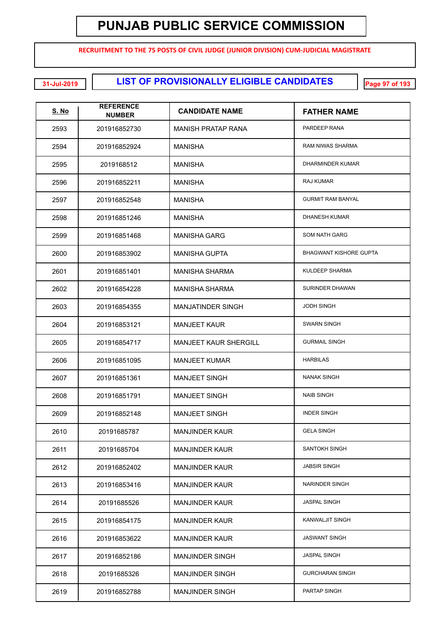**RECRUITMENT TO THE 75 POSTS OF CIVIL JUDGE (JUNIOR DIVISION) CUM-JUDICIAL MAGISTRATE**

**LIST OF PROVISIONALLY ELIGIBLE CANDIDATES 31-Jul-2019 Page 97 of 193**

| <u>S. No</u> | <b>REFERENCE</b><br><b>NUMBER</b> | <b>CANDIDATE NAME</b>        | <b>FATHER NAME</b>            |
|--------------|-----------------------------------|------------------------------|-------------------------------|
| 2593         | 201916852730                      | MANISH PRATAP RANA           | PARDEEP RANA                  |
| 2594         | 201916852924                      | <b>MANISHA</b>               | <b>RAM NIWAS SHARMA</b>       |
| 2595         | 2019168512                        | MANISHA                      | DHARMINDER KUMAR              |
| 2596         | 201916852211                      | MANISHA                      | RAJ KUMAR                     |
| 2597         | 201916852548                      | MANISHA                      | <b>GURMIT RAM BANYAL</b>      |
| 2598         | 201916851246                      | MANISHA                      | <b>DHANESH KUMAR</b>          |
| 2599         | 201916851468                      | <b>MANISHA GARG</b>          | <b>SOM NATH GARG</b>          |
| 2600         | 201916853902                      | <b>MANISHA GUPTA</b>         | <b>BHAGWANT KISHORE GUPTA</b> |
| 2601         | 201916851401                      | <b>MANISHA SHARMA</b>        | <b>KULDEEP SHARMA</b>         |
| 2602         | 201916854228                      | <b>MANISHA SHARMA</b>        | SURINDER DHAWAN               |
| 2603         | 201916854355                      | <b>MANJATINDER SINGH</b>     | <b>JODH SINGH</b>             |
| 2604         | 201916853121                      | <b>MANJEET KAUR</b>          | <b>SWARN SINGH</b>            |
| 2605         | 201916854717                      | <b>MANJEET KAUR SHERGILL</b> | <b>GURMAIL SINGH</b>          |
| 2606         | 201916851095                      | <b>MANJEET KUMAR</b>         | <b>HARBILAS</b>               |
| 2607         | 201916851361                      | <b>MANJEET SINGH</b>         | <b>NANAK SINGH</b>            |
| 2608         | 201916851791                      | <b>MANJEET SINGH</b>         | <b>NAIB SINGH</b>             |
| 2609         | 201916852148                      | <b>MANJEET SINGH</b>         | <b>INDER SINGH</b>            |
| 2610         | 20191685787                       | <b>MANJINDER KAUR</b>        | <b>GELA SINGH</b>             |
| 2611         | 20191685704                       | <b>MANJINDER KAUR</b>        | SANTOKH SINGH                 |
| 2612         | 201916852402                      | <b>MANJINDER KAUR</b>        | <b>JABSIR SINGH</b>           |
| 2613         | 201916853416                      | <b>MANJINDER KAUR</b>        | NARINDER SINGH                |
| 2614         | 20191685526                       | <b>MANJINDER KAUR</b>        | <b>JASPAL SINGH</b>           |
| 2615         | 201916854175                      | <b>MANJINDER KAUR</b>        | KANWALJIT SINGH               |
| 2616         | 201916853622                      | <b>MANJINDER KAUR</b>        | <b>JASWANT SINGH</b>          |
| 2617         | 201916852186                      | <b>MANJINDER SINGH</b>       | <b>JASPAL SINGH</b>           |
| 2618         | 20191685326                       | <b>MANJINDER SINGH</b>       | <b>GURCHARAN SINGH</b>        |
| 2619         | 201916852788                      | <b>MANJINDER SINGH</b>       | PARTAP SINGH                  |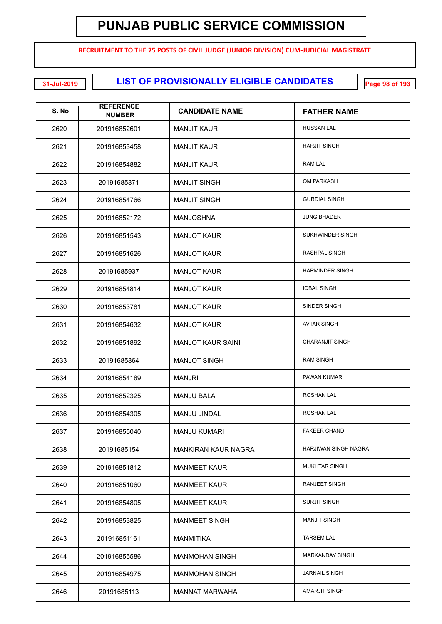**RECRUITMENT TO THE 75 POSTS OF CIVIL JUDGE (JUNIOR DIVISION) CUM-JUDICIAL MAGISTRATE**

**LIST OF PROVISIONALLY ELIGIBLE CANDIDATES 31-Jul-2019 Page 98 of 193**

| <b>S. No</b> | <b>REFERENCE</b><br><b>NUMBER</b> | <b>CANDIDATE NAME</b>    | <b>FATHER NAME</b>     |
|--------------|-----------------------------------|--------------------------|------------------------|
| 2620         | 201916852601                      | <b>MANJIT KAUR</b>       | <b>HUSSAN LAL</b>      |
| 2621         | 201916853458                      | <b>MANJIT KAUR</b>       | <b>HARJIT SINGH</b>    |
| 2622         | 201916854882                      | <b>MANJIT KAUR</b>       | <b>RAM LAL</b>         |
| 2623         | 20191685871                       | <b>MANJIT SINGH</b>      | <b>OM PARKASH</b>      |
| 2624         | 201916854766                      | <b>MANJIT SINGH</b>      | <b>GURDIAL SINGH</b>   |
| 2625         | 201916852172                      | <b>MANJOSHNA</b>         | <b>JUNG BHADER</b>     |
| 2626         | 201916851543                      | <b>MANJOT KAUR</b>       | SUKHWINDER SINGH       |
| 2627         | 201916851626                      | <b>MANJOT KAUR</b>       | RASHPAL SINGH          |
| 2628         | 20191685937                       | <b>MANJOT KAUR</b>       | <b>HARMINDER SINGH</b> |
| 2629         | 201916854814                      | <b>MANJOT KAUR</b>       | <b>IQBAL SINGH</b>     |
| 2630         | 201916853781                      | <b>MANJOT KAUR</b>       | SINDER SINGH           |
| 2631         | 201916854632                      | <b>MANJOT KAUR</b>       | <b>AVTAR SINGH</b>     |
| 2632         | 201916851892                      | <b>MANJOT KAUR SAINI</b> | <b>CHARANJIT SINGH</b> |
| 2633         | 20191685864                       | <b>MANJOT SINGH</b>      | <b>RAM SINGH</b>       |
| 2634         | 201916854189                      | <b>MANJRI</b>            | PAWAN KUMAR            |
| 2635         | 201916852325                      | <b>MANJU BALA</b>        | <b>ROSHAN LAL</b>      |
| 2636         | 201916854305                      | MANJU JINDAL             | ROSHAN LAL             |
| 2637         | 201916855040                      | <b>MANJU KUMARI</b>      | <b>FAKEER CHAND</b>    |
| 2638         | 20191685154                       | MANKIRAN KAUR NAGRA      | HARJIWAN SINGH NAGRA   |
| 2639         | 201916851812                      | <b>MANMEET KAUR</b>      | <b>MUKHTAR SINGH</b>   |
| 2640         | 201916851060                      | <b>MANMEET KAUR</b>      | RANJEET SINGH          |
| 2641         | 201916854805                      | <b>MANMEET KAUR</b>      | <b>SURJIT SINGH</b>    |
| 2642         | 201916853825                      | <b>MANMEET SINGH</b>     | <b>MANJIT SINGH</b>    |
| 2643         | 201916851161                      | <b>MANMITIKA</b>         | <b>TARSEM LAL</b>      |
| 2644         | 201916855586                      | <b>MANMOHAN SINGH</b>    | <b>MARKANDAY SINGH</b> |
| 2645         | 201916854975                      | <b>MANMOHAN SINGH</b>    | <b>JARNAIL SINGH</b>   |
| 2646         | 20191685113                       | <b>MANNAT MARWAHA</b>    | AMARJIT SINGH          |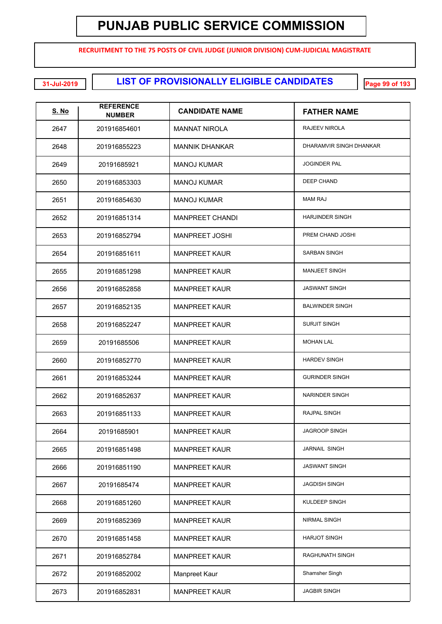**RECRUITMENT TO THE 75 POSTS OF CIVIL JUDGE (JUNIOR DIVISION) CUM-JUDICIAL MAGISTRATE**

**LIST OF PROVISIONALLY ELIGIBLE CANDIDATES 31-Jul-2019 Page 99 of 193**

| <u>S. No</u> | <b>REFERENCE</b><br><b>NUMBER</b> | <b>CANDIDATE NAME</b>  | <b>FATHER NAME</b>      |
|--------------|-----------------------------------|------------------------|-------------------------|
| 2647         | 201916854601                      | <b>MANNAT NIROLA</b>   | RAJEEV NIROLA           |
| 2648         | 201916855223                      | <b>MANNIK DHANKAR</b>  | DHARAMVIR SINGH DHANKAR |
| 2649         | 20191685921                       | <b>MANOJ KUMAR</b>     | <b>JOGINDER PAL</b>     |
| 2650         | 201916853303                      | <b>MANOJ KUMAR</b>     | DEEP CHAND              |
| 2651         | 201916854630                      | <b>MANOJ KUMAR</b>     | <b>MAM RAJ</b>          |
| 2652         | 201916851314                      | <b>MANPREET CHANDI</b> | <b>HARJINDER SINGH</b>  |
| 2653         | 201916852794                      | <b>MANPREET JOSHI</b>  | PREM CHAND JOSHI        |
| 2654         | 201916851611                      | <b>MANPREET KAUR</b>   | <b>SARBAN SINGH</b>     |
| 2655         | 201916851298                      | <b>MANPREET KAUR</b>   | <b>MANJEET SINGH</b>    |
| 2656         | 201916852858                      | <b>MANPREET KAUR</b>   | <b>JASWANT SINGH</b>    |
| 2657         | 201916852135                      | <b>MANPREET KAUR</b>   | <b>BALWINDER SINGH</b>  |
| 2658         | 201916852247                      | <b>MANPREET KAUR</b>   | <b>SURJIT SINGH</b>     |
| 2659         | 20191685506                       | <b>MANPREET KAUR</b>   | <b>MOHAN LAL</b>        |
| 2660         | 201916852770                      | <b>MANPREET KAUR</b>   | <b>HARDEV SINGH</b>     |
| 2661         | 201916853244                      | <b>MANPREET KAUR</b>   | <b>GURINDER SINGH</b>   |
| 2662         | 201916852637                      | <b>MANPREET KAUR</b>   | NARINDER SINGH          |
| 2663         | 201916851133                      | <b>MANPREET KAUR</b>   | <b>RAJPAL SINGH</b>     |
| 2664         | 20191685901                       | <b>MANPREET KAUR</b>   | <b>JAGROOP SINGH</b>    |
| 2665         | 201916851498                      | <b>MANPREET KAUR</b>   | JARNAIL SINGH           |
| 2666         | 201916851190                      | <b>MANPREET KAUR</b>   | <b>JASWANT SINGH</b>    |
| 2667         | 20191685474                       | <b>MANPREET KAUR</b>   | <b>JAGDISH SINGH</b>    |
| 2668         | 201916851260                      | <b>MANPREET KAUR</b>   | <b>KULDEEP SINGH</b>    |
| 2669         | 201916852369                      | <b>MANPREET KAUR</b>   | <b>NIRMAL SINGH</b>     |
| 2670         | 201916851458                      | <b>MANPREET KAUR</b>   | <b>HARJOT SINGH</b>     |
| 2671         | 201916852784                      | <b>MANPREET KAUR</b>   | <b>RAGHUNATH SINGH</b>  |
| 2672         | 201916852002                      | Manpreet Kaur          | Shamsher Singh          |
| 2673         | 201916852831                      | <b>MANPREET KAUR</b>   | <b>JAGBIR SINGH</b>     |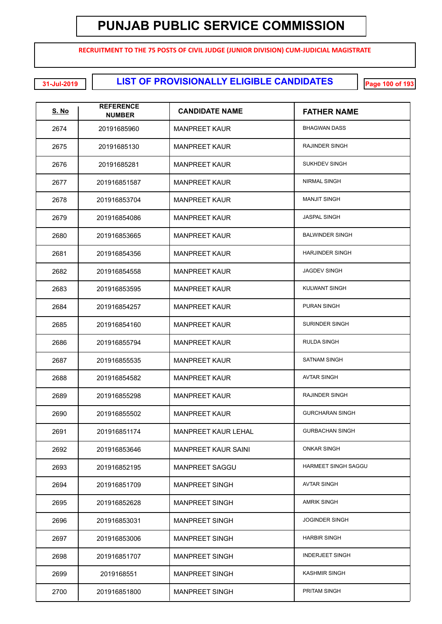**RECRUITMENT TO THE 75 POSTS OF CIVIL JUDGE (JUNIOR DIVISION) CUM-JUDICIAL MAGISTRATE**

**LIST OF PROVISIONALLY ELIGIBLE CANDIDATES 31-Jul-2019 Page 100 of 193**

| <u>S. No</u> | <b>REFERENCE</b><br><b>NUMBER</b> | <b>CANDIDATE NAME</b>      | <b>FATHER NAME</b>     |
|--------------|-----------------------------------|----------------------------|------------------------|
| 2674         | 20191685960                       | <b>MANPREET KAUR</b>       | <b>BHAGWAN DASS</b>    |
| 2675         | 20191685130                       | <b>MANPREET KAUR</b>       | RAJINDER SINGH         |
| 2676         | 20191685281                       | <b>MANPREET KAUR</b>       | <b>SUKHDEV SINGH</b>   |
| 2677         | 201916851587                      | <b>MANPREET KAUR</b>       | <b>NIRMAL SINGH</b>    |
| 2678         | 201916853704                      | <b>MANPREET KAUR</b>       | <b>MANJIT SINGH</b>    |
| 2679         | 201916854086                      | <b>MANPREET KAUR</b>       | <b>JASPAL SINGH</b>    |
| 2680         | 201916853665                      | <b>MANPREET KAUR</b>       | <b>BALWINDER SINGH</b> |
| 2681         | 201916854356                      | <b>MANPREET KAUR</b>       | <b>HARJINDER SINGH</b> |
| 2682         | 201916854558                      | <b>MANPREET KAUR</b>       | <b>JAGDEV SINGH</b>    |
| 2683         | 201916853595                      | <b>MANPREET KAUR</b>       | <b>KULWANT SINGH</b>   |
| 2684         | 201916854257                      | <b>MANPREET KAUR</b>       | <b>PURAN SINGH</b>     |
| 2685         | 201916854160                      | <b>MANPREET KAUR</b>       | <b>SURINDER SINGH</b>  |
| 2686         | 201916855794                      | <b>MANPREET KAUR</b>       | <b>RULDA SINGH</b>     |
| 2687         | 201916855535                      | <b>MANPREET KAUR</b>       | <b>SATNAM SINGH</b>    |
| 2688         | 201916854582                      | <b>MANPREET KAUR</b>       | <b>AVTAR SINGH</b>     |
| 2689         | 201916855298                      | <b>MANPREET KAUR</b>       | <b>RAJINDER SINGH</b>  |
| 2690         | 201916855502                      | <b>MANPREET KAUR</b>       | <b>GURCHARAN SINGH</b> |
| 2691         | 201916851174                      | <b>MANPREET KAUR LEHAL</b> | <b>GURBACHAN SINGH</b> |
| 2692         | 201916853646                      | <b>MANPREET KAUR SAINI</b> | <b>ONKAR SINGH</b>     |
| 2693         | 201916852195                      | <b>MANPREET SAGGU</b>      | HARMEET SINGH SAGGU    |
| 2694         | 201916851709                      | <b>MANPREET SINGH</b>      | <b>AVTAR SINGH</b>     |
| 2695         | 201916852628                      | <b>MANPREET SINGH</b>      | <b>AMRIK SINGH</b>     |
| 2696         | 201916853031                      | <b>MANPREET SINGH</b>      | <b>JOGINDER SINGH</b>  |
| 2697         | 201916853006                      | <b>MANPREET SINGH</b>      | <b>HARBIR SINGH</b>    |
| 2698         | 201916851707                      | <b>MANPREET SINGH</b>      | <b>INDERJEET SINGH</b> |
| 2699         | 2019168551                        | <b>MANPREET SINGH</b>      | <b>KASHMIR SINGH</b>   |
| 2700         | 201916851800                      | <b>MANPREET SINGH</b>      | PRITAM SINGH           |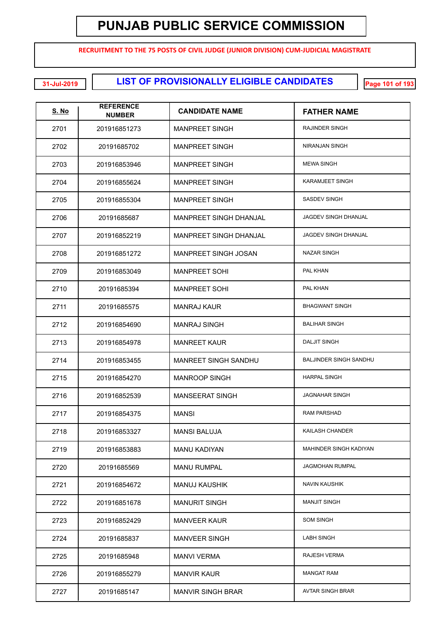**RECRUITMENT TO THE 75 POSTS OF CIVIL JUDGE (JUNIOR DIVISION) CUM-JUDICIAL MAGISTRATE**

**LIST OF PROVISIONALLY ELIGIBLE CANDIDATES 31-Jul-2019 Page 101 of 193**

| <u>S. No</u> | <b>REFERENCE</b><br><b>NUMBER</b> | <b>CANDIDATE NAME</b>       | <b>FATHER NAME</b>            |
|--------------|-----------------------------------|-----------------------------|-------------------------------|
| 2701         | 201916851273                      | <b>MANPREET SINGH</b>       | RAJINDER SINGH                |
| 2702         | 20191685702                       | <b>MANPREET SINGH</b>       | NIRANJAN SINGH                |
| 2703         | 201916853946                      | <b>MANPREET SINGH</b>       | <b>MEWA SINGH</b>             |
| 2704         | 201916855624                      | <b>MANPREET SINGH</b>       | <b>KARAMJEET SINGH</b>        |
| 2705         | 201916855304                      | <b>MANPREET SINGH</b>       | <b>SASDEV SINGH</b>           |
| 2706         | 20191685687                       | MANPREET SINGH DHANJAL      | JAGDEV SINGH DHANJAL          |
| 2707         | 201916852219                      | MANPREET SINGH DHANJAL      | JAGDEV SINGH DHANJAL          |
| 2708         | 201916851272                      | MANPREET SINGH JOSAN        | <b>NAZAR SINGH</b>            |
| 2709         | 201916853049                      | <b>MANPREET SOHI</b>        | PAL KHAN                      |
| 2710         | 20191685394                       | <b>MANPREET SOHI</b>        | PAL KHAN                      |
| 2711         | 20191685575                       | <b>MANRAJ KAUR</b>          | <b>BHAGWANT SINGH</b>         |
| 2712         | 201916854690                      | <b>MANRAJ SINGH</b>         | <b>BALIHAR SINGH</b>          |
| 2713         | 201916854978                      | <b>MANREET KAUR</b>         | <b>DALJIT SINGH</b>           |
| 2714         | 201916853455                      | <b>MANREET SINGH SANDHU</b> | <b>BALJINDER SINGH SANDHU</b> |
| 2715         | 201916854270                      | <b>MANROOP SINGH</b>        | <b>HARPAL SINGH</b>           |
| 2716         | 201916852539                      | <b>MANSEERAT SINGH</b>      | <b>JAGNAHAR SINGH</b>         |
| 2717         | 201916854375                      | MANSI                       | <b>RAM PARSHAD</b>            |
| 2718         | 201916853327                      | MANSI BALUJA                | KAILASH CHANDER               |
| 2719         | 201916853883                      | <b>MANU KADIYAN</b>         | <b>MAHINDER SINGH KADIYAN</b> |
| 2720         | 20191685569                       | <b>MANU RUMPAL</b>          | <b>JAGMOHAN RUMPAL</b>        |
| 2721         | 201916854672                      | <b>MANUJ KAUSHIK</b>        | <b>NAVIN KAUSHIK</b>          |
| 2722         | 201916851678                      | <b>MANURIT SINGH</b>        | <b>MANJIT SINGH</b>           |
| 2723         | 201916852429                      | <b>MANVEER KAUR</b>         | <b>SOM SINGH</b>              |
| 2724         | 20191685837                       | <b>MANVEER SINGH</b>        | <b>LABH SINGH</b>             |
| 2725         | 20191685948                       | <b>MANVI VERMA</b>          | RAJESH VERMA                  |
| 2726         | 201916855279                      | <b>MANVIR KAUR</b>          | <b>MANGAT RAM</b>             |
| 2727         | 20191685147                       | <b>MANVIR SINGH BRAR</b>    | <b>AVTAR SINGH BRAR</b>       |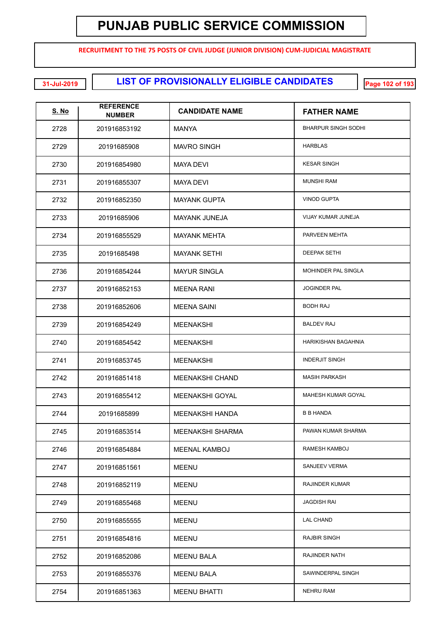**RECRUITMENT TO THE 75 POSTS OF CIVIL JUDGE (JUNIOR DIVISION) CUM-JUDICIAL MAGISTRATE**

**LIST OF PROVISIONALLY ELIGIBLE CANDIDATES 31-Jul-2019 Page 102 of 193**

| <u>S. No</u> | <b>REFERENCE</b><br><b>NUMBER</b> | <b>CANDIDATE NAME</b>   | <b>FATHER NAME</b>         |
|--------------|-----------------------------------|-------------------------|----------------------------|
| 2728         | 201916853192                      | MANYA                   | <b>BHARPUR SINGH SODHI</b> |
| 2729         | 20191685908                       | <b>MAVRO SINGH</b>      | <b>HARBLAS</b>             |
| 2730         | 201916854980                      | MAYA DEVI               | <b>KESAR SINGH</b>         |
| 2731         | 201916855307                      | MAYA DEVI               | <b>MUNSHI RAM</b>          |
| 2732         | 201916852350                      | <b>MAYANK GUPTA</b>     | <b>VINOD GUPTA</b>         |
| 2733         | 20191685906                       | <b>MAYANK JUNEJA</b>    | VIJAY KUMAR JUNEJA         |
| 2734         | 201916855529                      | <b>MAYANK MEHTA</b>     | PARVEEN MEHTA              |
| 2735         | 20191685498                       | <b>MAYANK SETHI</b>     | <b>DEEPAK SETHI</b>        |
| 2736         | 201916854244                      | <b>MAYUR SINGLA</b>     | MOHINDER PAL SINGLA        |
| 2737         | 201916852153                      | <b>MEENA RANI</b>       | <b>JOGINDER PAL</b>        |
| 2738         | 201916852606                      | <b>MEENA SAINI</b>      | <b>BODH RAJ</b>            |
| 2739         | 201916854249                      | <b>MEENAKSHI</b>        | <b>BALDEV RAJ</b>          |
| 2740         | 201916854542                      | <b>MEENAKSHI</b>        | HARIKISHAN BAGAHNIA        |
| 2741         | 201916853745                      | <b>MEENAKSHI</b>        | <b>INDERJIT SINGH</b>      |
| 2742         | 201916851418                      | MEENAKSHI CHAND         | <b>MASIH PARKASH</b>       |
| 2743         | 201916855412                      | <b>MEENAKSHI GOYAL</b>  | MAHESH KUMAR GOYAL         |
| 2744         | 20191685899                       | <b>MEENAKSHI HANDA</b>  | <b>B B HANDA</b>           |
| 2745         | 201916853514                      | <b>MEENAKSHI SHARMA</b> | PAWAN KUMAR SHARMA         |
| 2746         | 201916854884                      | <b>MEENAL KAMBOJ</b>    | RAMESH KAMBOJ              |
| 2747         | 201916851561                      | MEENU                   | <b>SANJEEV VERMA</b>       |
| 2748         | 201916852119                      | MEENU                   | <b>RAJINDER KUMAR</b>      |
| 2749         | 201916855468                      | MEENU                   | <b>JAGDISH RAI</b>         |
| 2750         | 201916855555                      | MEENU                   | <b>LAL CHAND</b>           |
| 2751         | 201916854816                      | MEENU                   | <b>RAJBIR SINGH</b>        |
| 2752         | 201916852086                      | <b>MEENU BALA</b>       | RAJINDER NATH              |
| 2753         | 201916855376                      | <b>MEENU BALA</b>       | SAWINDERPAL SINGH          |
| 2754         | 201916851363                      | <b>MEENU BHATTI</b>     | <b>NEHRU RAM</b>           |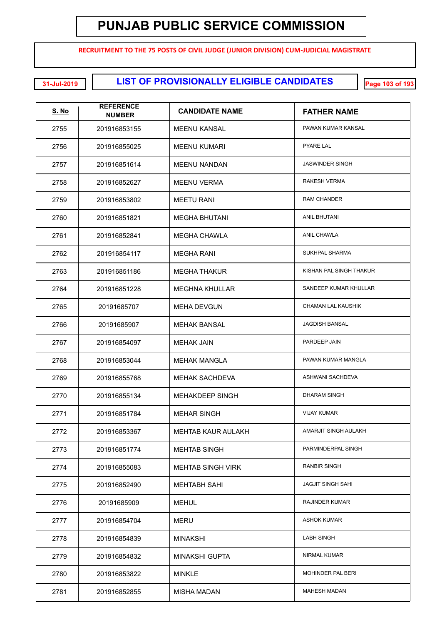**RECRUITMENT TO THE 75 POSTS OF CIVIL JUDGE (JUNIOR DIVISION) CUM-JUDICIAL MAGISTRATE**

**LIST OF PROVISIONALLY ELIGIBLE CANDIDATES 31-Jul-2019 Page 103 of 193**

| <u>S. No</u> | <b>REFERENCE</b><br><b>NUMBER</b> | <b>CANDIDATE NAME</b>     | <b>FATHER NAME</b>        |
|--------------|-----------------------------------|---------------------------|---------------------------|
| 2755         | 201916853155                      | <b>MEENU KANSAL</b>       | PAWAN KUMAR KANSAL        |
| 2756         | 201916855025                      | <b>MEENU KUMARI</b>       | <b>PYARE LAL</b>          |
| 2757         | 201916851614                      | <b>MEENU NANDAN</b>       | <b>JASWINDER SINGH</b>    |
| 2758         | 201916852627                      | <b>MEENU VERMA</b>        | RAKESH VERMA              |
| 2759         | 201916853802                      | <b>MEETU RANI</b>         | <b>RAM CHANDER</b>        |
| 2760         | 201916851821                      | <b>MEGHA BHUTANI</b>      | ANIL BHUTANI              |
| 2761         | 201916852841                      | MEGHA CHAWLA              | ANIL CHAWLA               |
| 2762         | 201916854117                      | <b>MEGHA RANI</b>         | SUKHPAL SHARMA            |
| 2763         | 201916851186                      | <b>MEGHA THAKUR</b>       | KISHAN PAL SINGH THAKUR   |
| 2764         | 201916851228                      | <b>MEGHNA KHULLAR</b>     | SANDEEP KUMAR KHULLAR     |
| 2765         | 20191685707                       | <b>MEHA DEVGUN</b>        | <b>CHAMAN LAL KAUSHIK</b> |
| 2766         | 20191685907                       | <b>MEHAK BANSAL</b>       | JAGDISH BANSAL            |
| 2767         | 201916854097                      | <b>MEHAK JAIN</b>         | PARDEEP JAIN              |
| 2768         | 201916853044                      | <b>MEHAK MANGLA</b>       | PAWAN KUMAR MANGLA        |
| 2769         | 201916855768                      | MEHAK SACHDEVA            | ASHWANI SACHDEVA          |
| 2770         | 201916855134                      | <b>MEHAKDEEP SINGH</b>    | <b>DHARAM SINGH</b>       |
| 2771         | 201916851784                      | <b>MEHAR SINGH</b>        | <b>VIJAY KUMAR</b>        |
| 2772         | 201916853367                      | <b>MEHTAB KAUR AULAKH</b> | AMARJIT SINGH AULAKH      |
| 2773         | 201916851774                      | <b>MEHTAB SINGH</b>       | PARMINDERPAL SINGH        |
| 2774         | 201916855083                      | <b>MEHTAB SINGH VIRK</b>  | <b>RANBIR SINGH</b>       |
| 2775         | 201916852490                      | MEHTABH SAHI              | <b>JAGJIT SINGH SAHI</b>  |
| 2776         | 20191685909                       | <b>MEHUL</b>              | <b>RAJINDER KUMAR</b>     |
| 2777         | 201916854704                      | MERU                      | <b>ASHOK KUMAR</b>        |
| 2778         | 201916854839                      | <b>MINAKSHI</b>           | <b>LABH SINGH</b>         |
| 2779         | 201916854832                      | <b>MINAKSHI GUPTA</b>     | NIRMAL KUMAR              |
| 2780         | 201916853822                      | <b>MINKLE</b>             | <b>MOHINDER PAL BERI</b>  |
| 2781         | 201916852855                      | <b>MISHA MADAN</b>        | <b>MAHESH MADAN</b>       |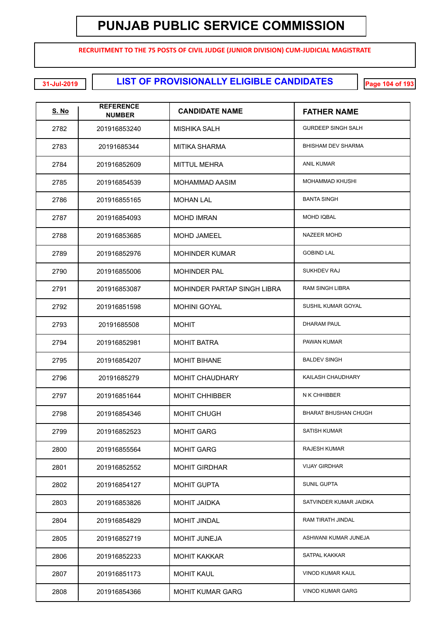**RECRUITMENT TO THE 75 POSTS OF CIVIL JUDGE (JUNIOR DIVISION) CUM-JUDICIAL MAGISTRATE**

**LIST OF PROVISIONALLY ELIGIBLE CANDIDATES 31-Jul-2019 Page 104 of 193**

| <u>S. No</u> | <b>REFERENCE</b><br><b>NUMBER</b> | <b>CANDIDATE NAME</b>       | <b>FATHER NAME</b>          |
|--------------|-----------------------------------|-----------------------------|-----------------------------|
| 2782         | 201916853240                      | MISHIKA SALH                | <b>GURDEEP SINGH SALH</b>   |
| 2783         | 20191685344                       | <b>MITIKA SHARMA</b>        | BHISHAM DEV SHARMA          |
| 2784         | 201916852609                      | <b>MITTUL MEHRA</b>         | <b>ANIL KUMAR</b>           |
| 2785         | 201916854539                      | <b>MOHAMMAD AASIM</b>       | <b>MOHAMMAD KHUSHI</b>      |
| 2786         | 201916855165                      | <b>MOHAN LAL</b>            | <b>BANTA SINGH</b>          |
| 2787         | 201916854093                      | <b>MOHD IMRAN</b>           | <b>MOHD IQBAL</b>           |
| 2788         | 201916853685                      | <b>MOHD JAMEEL</b>          | <b>NAZEER MOHD</b>          |
| 2789         | 201916852976                      | <b>MOHINDER KUMAR</b>       | <b>GOBIND LAL</b>           |
| 2790         | 201916855006                      | <b>MOHINDER PAL</b>         | SUKHDEV RAJ                 |
| 2791         | 201916853087                      | MOHINDER PARTAP SINGH LIBRA | <b>RAM SINGH LIBRA</b>      |
| 2792         | 201916851598                      | <b>MOHINI GOYAL</b>         | SUSHIL KUMAR GOYAL          |
| 2793         | 20191685508                       | <b>MOHIT</b>                | <b>DHARAM PAUL</b>          |
| 2794         | 201916852981                      | <b>MOHIT BATRA</b>          | PAWAN KUMAR                 |
| 2795         | 201916854207                      | <b>MOHIT BIHANE</b>         | <b>BALDEV SINGH</b>         |
| 2796         | 20191685279                       | <b>MOHIT CHAUDHARY</b>      | KAILASH CHAUDHARY           |
| 2797         | 201916851644                      | <b>MOHIT CHHIBBER</b>       | N K CHHIBBER                |
| 2798         | 201916854346                      | <b>MOHIT CHUGH</b>          | <b>BHARAT BHUSHAN CHUGH</b> |
| 2799         | 201916852523                      | <b>MOHIT GARG</b>           | <b>SATISH KUMAR</b>         |
| 2800         | 201916855564                      | <b>MOHIT GARG</b>           | <b>RAJESH KUMAR</b>         |
| 2801         | 201916852552                      | <b>MOHIT GIRDHAR</b>        | <b>VIJAY GIRDHAR</b>        |
| 2802         | 201916854127                      | <b>MOHIT GUPTA</b>          | <b>SUNIL GUPTA</b>          |
| 2803         | 201916853826                      | <b>MOHIT JAIDKA</b>         | SATVINDER KUMAR JAIDKA      |
| 2804         | 201916854829                      | <b>MOHIT JINDAL</b>         | RAM TIRATH JINDAL           |
| 2805         | 201916852719                      | <b>MOHIT JUNEJA</b>         | ASHWANI KUMAR JUNEJA        |
| 2806         | 201916852233                      | <b>MOHIT KAKKAR</b>         | <b>SATPAL KAKKAR</b>        |
| 2807         | 201916851173                      | <b>MOHIT KAUL</b>           | VINOD KUMAR KAUL            |
| 2808         | 201916854366                      | <b>MOHIT KUMAR GARG</b>     | VINOD KUMAR GARG            |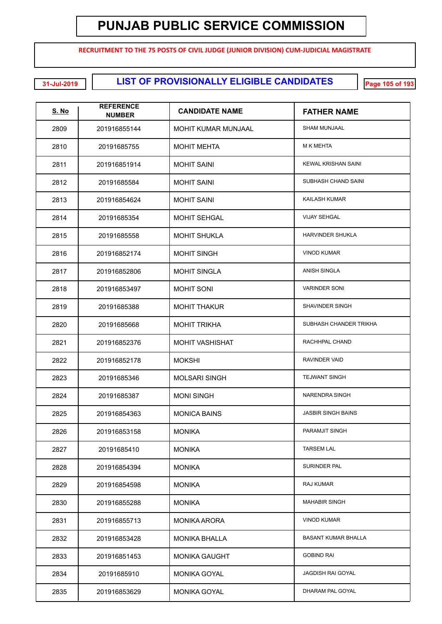**RECRUITMENT TO THE 75 POSTS OF CIVIL JUDGE (JUNIOR DIVISION) CUM-JUDICIAL MAGISTRATE**

**LIST OF PROVISIONALLY ELIGIBLE CANDIDATES 31-Jul-2019 Page 105 of 193**

| <u>S. No</u> | <b>REFERENCE</b><br><b>NUMBER</b> | <b>CANDIDATE NAME</b>  | <b>FATHER NAME</b>         |
|--------------|-----------------------------------|------------------------|----------------------------|
| 2809         | 201916855144                      | MOHIT KUMAR MUNJAAL    | <b>SHAM MUNJAAL</b>        |
| 2810         | 20191685755                       | <b>MOHIT MEHTA</b>     | <b>M K MEHTA</b>           |
| 2811         | 201916851914                      | <b>MOHIT SAINI</b>     | <b>KEWAL KRISHAN SAINI</b> |
| 2812         | 20191685584                       | <b>MOHIT SAINI</b>     | SUBHASH CHAND SAINI        |
| 2813         | 201916854624                      | <b>MOHIT SAINI</b>     | KAILASH KUMAR              |
| 2814         | 20191685354                       | <b>MOHIT SEHGAL</b>    | <b>VIJAY SEHGAL</b>        |
| 2815         | 20191685558                       | <b>MOHIT SHUKLA</b>    | <b>HARVINDER SHUKLA</b>    |
| 2816         | 201916852174                      | <b>MOHIT SINGH</b>     | <b>VINOD KUMAR</b>         |
| 2817         | 201916852806                      | <b>MOHIT SINGLA</b>    | <b>ANISH SINGLA</b>        |
| 2818         | 201916853497                      | <b>MOHIT SONI</b>      | <b>VARINDER SONI</b>       |
| 2819         | 20191685388                       | <b>MOHIT THAKUR</b>    | SHAVINDER SINGH            |
| 2820         | 20191685668                       | <b>MOHIT TRIKHA</b>    | SUBHASH CHANDER TRIKHA     |
| 2821         | 201916852376                      | <b>MOHIT VASHISHAT</b> | RACHHPAL CHAND             |
| 2822         | 201916852178                      | <b>MOKSHI</b>          | RAVINDER VAID              |
| 2823         | 20191685346                       | <b>MOLSARI SINGH</b>   | <b>TEJWANT SINGH</b>       |
| 2824         | 20191685387                       | <b>MONI SINGH</b>      | <b>NARENDRA SINGH</b>      |
| 2825         | 201916854363                      | <b>MONICA BAINS</b>    | <b>JASBIR SINGH BAINS</b>  |
| 2826         | 201916853158                      | <b>MONIKA</b>          | PARAMJIT SINGH             |
| 2827         | 20191685410                       | <b>MONIKA</b>          | <b>TARSEM LAL</b>          |
| 2828         | 201916854394                      | <b>MONIKA</b>          | SURINDER PAL               |
| 2829         | 201916854598                      | <b>MONIKA</b>          | RAJ KUMAR                  |
| 2830         | 201916855288                      | <b>MONIKA</b>          | <b>MAHABIR SINGH</b>       |
| 2831         | 201916855713                      | <b>MONIKA ARORA</b>    | <b>VINOD KUMAR</b>         |
| 2832         | 201916853428                      | <b>MONIKA BHALLA</b>   | <b>BASANT KUMAR BHALLA</b> |
| 2833         | 201916851453                      | <b>MONIKA GAUGHT</b>   | <b>GOBIND RAI</b>          |
| 2834         | 20191685910                       | <b>MONIKA GOYAL</b>    | <b>JAGDISH RAI GOYAL</b>   |
| 2835         | 201916853629                      | <b>MONIKA GOYAL</b>    | DHARAM PAL GOYAL           |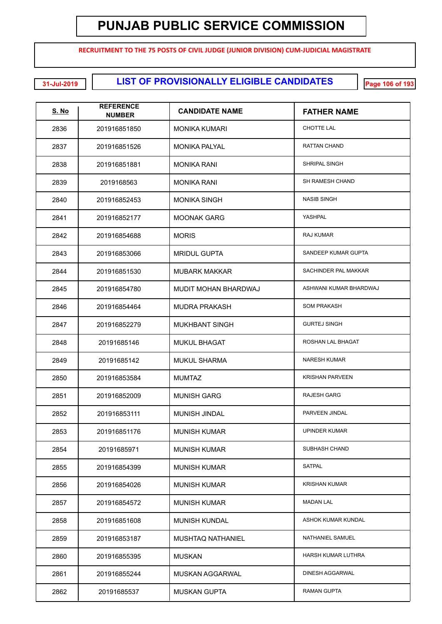**RECRUITMENT TO THE 75 POSTS OF CIVIL JUDGE (JUNIOR DIVISION) CUM-JUDICIAL MAGISTRATE**

**LIST OF PROVISIONALLY ELIGIBLE CANDIDATES 31-Jul-2019 Page 106 of 193**

| <u>S. No</u> | <b>REFERENCE</b><br><b>NUMBER</b> | <b>CANDIDATE NAME</b>  | <b>FATHER NAME</b>     |
|--------------|-----------------------------------|------------------------|------------------------|
| 2836         | 201916851850                      | <b>MONIKA KUMARI</b>   | <b>CHOTTE LAL</b>      |
| 2837         | 201916851526                      | <b>MONIKA PALYAL</b>   | RATTAN CHAND           |
| 2838         | 201916851881                      | <b>MONIKA RANI</b>     | SHRIPAL SINGH          |
| 2839         | 2019168563                        | <b>MONIKA RANI</b>     | SH RAMESH CHAND        |
| 2840         | 201916852453                      | <b>MONIKA SINGH</b>    | <b>NASIB SINGH</b>     |
| 2841         | 201916852177                      | <b>MOONAK GARG</b>     | YASHPAL                |
| 2842         | 201916854688                      | <b>MORIS</b>           | RAJ KUMAR              |
| 2843         | 201916853066                      | <b>MRIDUL GUPTA</b>    | SANDEEP KUMAR GUPTA    |
| 2844         | 201916851530                      | <b>MUBARK MAKKAR</b>   | SACHINDER PAL MAKKAR   |
| 2845         | 201916854780                      | MUDIT MOHAN BHARDWAJ   | ASHWANI KUMAR BHARDWAJ |
| 2846         | 201916854464                      | <b>MUDRA PRAKASH</b>   | <b>SOM PRAKASH</b>     |
| 2847         | 201916852279                      | <b>MUKHBANT SINGH</b>  | <b>GURTEJ SINGH</b>    |
| 2848         | 20191685146                       | <b>MUKUL BHAGAT</b>    | ROSHAN LAL BHAGAT      |
| 2849         | 20191685142                       | <b>MUKUL SHARMA</b>    | <b>NARESH KUMAR</b>    |
| 2850         | 201916853584                      | <b>MUMTAZ</b>          | <b>KRISHAN PARVEEN</b> |
| 2851         | 201916852009                      | <b>MUNISH GARG</b>     | <b>RAJESH GARG</b>     |
| 2852         | 201916853111                      | <b>MUNISH JINDAL</b>   | PARVEEN JINDAL         |
| 2853         | 201916851176                      | <b>MUNISH KUMAR</b>    | UPINDER KUMAR          |
| 2854         | 20191685971                       | <b>MUNISH KUMAR</b>    | SUBHASH CHAND          |
| 2855         | 201916854399                      | <b>MUNISH KUMAR</b>    | <b>SATPAL</b>          |
| 2856         | 201916854026                      | <b>MUNISH KUMAR</b>    | <b>KRISHAN KUMAR</b>   |
| 2857         | 201916854572                      | <b>MUNISH KUMAR</b>    | <b>MADAN LAL</b>       |
| 2858         | 201916851608                      | <b>MUNISH KUNDAL</b>   | ASHOK KUMAR KUNDAL     |
| 2859         | 201916853187                      | MUSHTAQ NATHANIEL      | NATHANIEL SAMUEL       |
| 2860         | 201916855395                      | <b>MUSKAN</b>          | HARSH KUMAR LUTHRA     |
| 2861         | 201916855244                      | <b>MUSKAN AGGARWAL</b> | DINESH AGGARWAL        |
| 2862         | 20191685537                       | <b>MUSKAN GUPTA</b>    | RAMAN GUPTA            |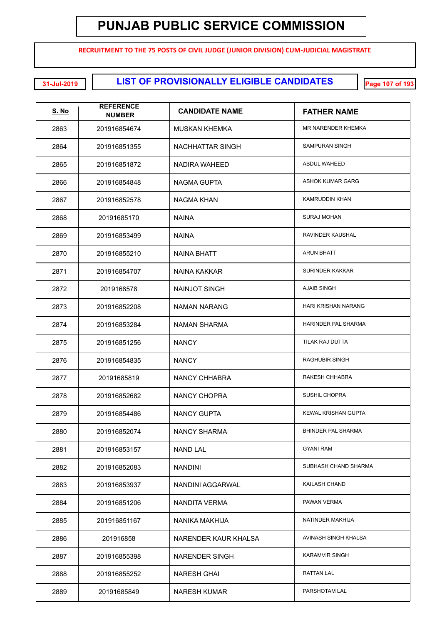**RECRUITMENT TO THE 75 POSTS OF CIVIL JUDGE (JUNIOR DIVISION) CUM-JUDICIAL MAGISTRATE**

**LIST OF PROVISIONALLY ELIGIBLE CANDIDATES 31-Jul-2019 Page 107 of 193**

| <u>S. No</u> | <b>REFERENCE</b><br><b>NUMBER</b> | <b>CANDIDATE NAME</b>   | <b>FATHER NAME</b>         |
|--------------|-----------------------------------|-------------------------|----------------------------|
| 2863         | 201916854674                      | <b>MUSKAN KHEMKA</b>    | <b>MR NARENDER KHEMKA</b>  |
| 2864         | 201916851355                      | <b>NACHHATTAR SINGH</b> | <b>SAMPURAN SINGH</b>      |
| 2865         | 201916851872                      | NADIRA WAHEED           | <b>ABDUL WAHEED</b>        |
| 2866         | 201916854848                      | <b>NAGMA GUPTA</b>      | <b>ASHOK KUMAR GARG</b>    |
| 2867         | 201916852578                      | NAGMA KHAN              | <b>KAMRUDDIN KHAN</b>      |
| 2868         | 20191685170                       | <b>NAINA</b>            | <b>SURAJ MOHAN</b>         |
| 2869         | 201916853499                      | <b>NAINA</b>            | RAVINDER KAUSHAL           |
| 2870         | 201916855210                      | <b>NAINA BHATT</b>      | <b>ARUN BHATT</b>          |
| 2871         | 201916854707                      | NAINA KAKKAR            | <b>SURINDER KAKKAR</b>     |
| 2872         | 2019168578                        | NAINJOT SINGH           | <b>AJAIB SINGH</b>         |
| 2873         | 201916852208                      | <b>NAMAN NARANG</b>     | HARI KRISHAN NARANG        |
| 2874         | 201916853284                      | <b>NAMAN SHARMA</b>     | HARINDER PAL SHARMA        |
| 2875         | 201916851256                      | <b>NANCY</b>            | TILAK RAJ DUTTA            |
| 2876         | 201916854835                      | <b>NANCY</b>            | <b>RAGHUBIR SINGH</b>      |
| 2877         | 20191685819                       | <b>NANCY CHHABRA</b>    | RAKESH CHHABRA             |
| 2878         | 201916852682                      | NANCY CHOPRA            | <b>SUSHIL CHOPRA</b>       |
| 2879         | 201916854486                      | <b>NANCY GUPTA</b>      | <b>KEWAL KRISHAN GUPTA</b> |
| 2880         | 201916852074                      | NANCY SHARMA            | <b>BHINDER PAL SHARMA</b>  |
| 2881         | 201916853157                      | <b>NAND LAL</b>         | <b>GYANI RAM</b>           |
| 2882         | 201916852083                      | <b>NANDINI</b>          | SUBHASH CHAND SHARMA       |
| 2883         | 201916853937                      | NANDINI AGGARWAL        | KAILASH CHAND              |
| 2884         | 201916851206                      | NANDITA VERMA           | PAWAN VERMA                |
| 2885         | 201916851167                      | NANIKA MAKHIJA          | NATINDER MAKHIJA           |
| 2886         | 201916858                         | NARENDER KAUR KHALSA    | AVINASH SINGH KHALSA       |
| 2887         | 201916855398                      | <b>NARENDER SINGH</b>   | <b>KARAMVIR SINGH</b>      |
| 2888         | 201916855252                      | NARESH GHAI             | <b>RATTAN LAL</b>          |
| 2889         | 20191685849                       | <b>NARESH KUMAR</b>     | PARSHOTAM LAL              |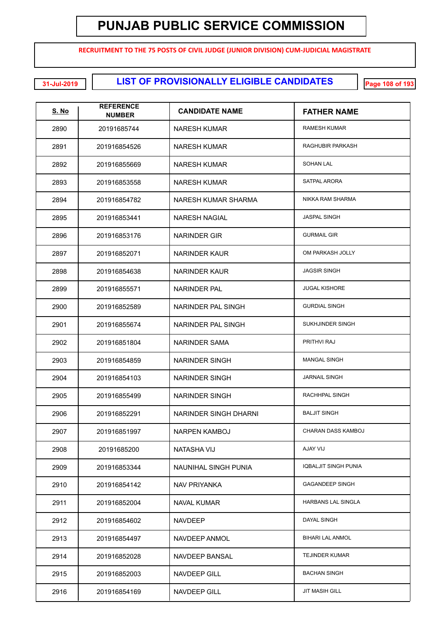**RECRUITMENT TO THE 75 POSTS OF CIVIL JUDGE (JUNIOR DIVISION) CUM-JUDICIAL MAGISTRATE**

**LIST OF PROVISIONALLY ELIGIBLE CANDIDATES 31-Jul-2019 Page 108 of 193**

| <b>S. No</b> | <b>REFERENCE</b><br><b>NUMBER</b> | <b>CANDIDATE NAME</b> | <b>FATHER NAME</b>          |
|--------------|-----------------------------------|-----------------------|-----------------------------|
| 2890         | 20191685744                       | NARESH KUMAR          | <b>RAMESH KUMAR</b>         |
| 2891         | 201916854526                      | <b>NARESH KUMAR</b>   | RAGHUBIR PARKASH            |
| 2892         | 201916855669                      | NARESH KUMAR          | <b>SOHAN LAL</b>            |
| 2893         | 201916853558                      | NARESH KUMAR          | SATPAL ARORA                |
| 2894         | 201916854782                      | NARESH KUMAR SHARMA   | NIKKA RAM SHARMA            |
| 2895         | 201916853441                      | NARESH NAGIAL         | <b>JASPAL SINGH</b>         |
| 2896         | 201916853176                      | NARINDER GIR          | <b>GURMAIL GIR</b>          |
| 2897         | 201916852071                      | NARINDER KAUR         | OM PARKASH JOLLY            |
| 2898         | 201916854638                      | NARINDER KAUR         | <b>JAGSIR SINGH</b>         |
| 2899         | 201916855571                      | <b>NARINDER PAL</b>   | <b>JUGAL KISHORE</b>        |
| 2900         | 201916852589                      | NARINDER PAL SINGH    | <b>GURDIAL SINGH</b>        |
| 2901         | 201916855674                      | NARINDER PAL SINGH    | SUKHJINDER SINGH            |
| 2902         | 201916851804                      | NARINDER SAMA         | PRITHVI RAJ                 |
| 2903         | 201916854859                      | <b>NARINDER SINGH</b> | <b>MANGAL SINGH</b>         |
| 2904         | 201916854103                      | <b>NARINDER SINGH</b> | <b>JARNAIL SINGH</b>        |
| 2905         | 201916855499                      | <b>NARINDER SINGH</b> | RACHHPAL SINGH              |
| 2906         | 201916852291                      | NARINDER SINGH DHARNI | <b>BALJIT SINGH</b>         |
| 2907         | 201916851997                      | NARPEN KAMBOJ         | CHARAN DASS KAMBOJ          |
| 2908         | 20191685200                       | NATASHA VIJ           | <b>AJAY VIJ</b>             |
| 2909         | 201916853344                      | NAUNIHAL SINGH PUNIA  | <b>IQBALJIT SINGH PUNIA</b> |
| 2910         | 201916854142                      | NAV PRIYANKA          | <b>GAGANDEEP SINGH</b>      |
| 2911         | 201916852004                      | <b>NAVAL KUMAR</b>    | HARBANS LAL SINGLA          |
| 2912         | 201916854602                      | <b>NAVDEEP</b>        | DAYAL SINGH                 |
| 2913         | 201916854497                      | NAVDEEP ANMOL         | <b>BIHARI LAL ANMOL</b>     |
| 2914         | 201916852028                      | NAVDEEP BANSAL        | <b>TEJINDER KUMAR</b>       |
| 2915         | 201916852003                      | NAVDEEP GILL          | <b>BACHAN SINGH</b>         |
| 2916         | 201916854169                      | NAVDEEP GILL          | <b>JIT MASIH GILL</b>       |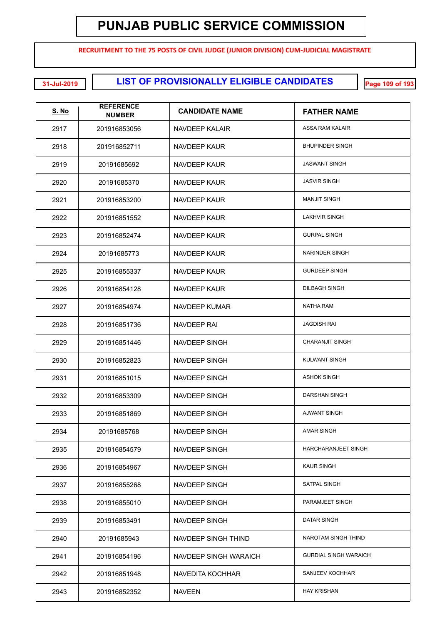**RECRUITMENT TO THE 75 POSTS OF CIVIL JUDGE (JUNIOR DIVISION) CUM-JUDICIAL MAGISTRATE**

**LIST OF PROVISIONALLY ELIGIBLE CANDIDATES 31-Jul-2019 Page 109 of 193**

| <u>S. No</u> | <b>REFERENCE</b><br><b>NUMBER</b> | <b>CANDIDATE NAME</b> | <b>FATHER NAME</b>           |
|--------------|-----------------------------------|-----------------------|------------------------------|
| 2917         | 201916853056                      | <b>NAVDEEP KALAIR</b> | ASSA RAM KALAIR              |
| 2918         | 201916852711                      | NAVDEEP KAUR          | <b>BHUPINDER SINGH</b>       |
| 2919         | 20191685692                       | NAVDEEP KAUR          | <b>JASWANT SINGH</b>         |
| 2920         | 20191685370                       | NAVDEEP KAUR          | <b>JASVIR SINGH</b>          |
| 2921         | 201916853200                      | NAVDEEP KAUR          | <b>MANJIT SINGH</b>          |
| 2922         | 201916851552                      | NAVDEEP KAUR          | <b>LAKHVIR SINGH</b>         |
| 2923         | 201916852474                      | NAVDEEP KAUR          | <b>GURPAL SINGH</b>          |
| 2924         | 20191685773                       | NAVDEEP KAUR          | NARINDER SINGH               |
| 2925         | 201916855337                      | NAVDEEP KAUR          | <b>GURDEEP SINGH</b>         |
| 2926         | 201916854128                      | NAVDEEP KAUR          | <b>DILBAGH SINGH</b>         |
| 2927         | 201916854974                      | NAVDEEP KUMAR         | NATHA RAM                    |
| 2928         | 201916851736                      | NAVDEEP RAI           | <b>JAGDISH RAI</b>           |
| 2929         | 201916851446                      | NAVDEEP SINGH         | <b>CHARANJIT SINGH</b>       |
| 2930         | 201916852823                      | NAVDEEP SINGH         | <b>KULWANT SINGH</b>         |
| 2931         | 201916851015                      | NAVDEEP SINGH         | <b>ASHOK SINGH</b>           |
| 2932         | 201916853309                      | NAVDEEP SINGH         | DARSHAN SINGH                |
| 2933         | 201916851869                      | NAVDEEP SINGH         | <b>AJWANT SINGH</b>          |
| 2934         | 20191685768                       | NAVDEEP SINGH         | <b>AMAR SINGH</b>            |
| 2935         | 201916854579                      | NAVDEEP SINGH         | <b>HARCHARANJEET SINGH</b>   |
| 2936         | 201916854967                      | NAVDEEP SINGH         | <b>KAUR SINGH</b>            |
| 2937         | 201916855268                      | NAVDEEP SINGH         | <b>SATPAL SINGH</b>          |
| 2938         | 201916855010                      | NAVDEEP SINGH         | PARAMJEET SINGH              |
| 2939         | 201916853491                      | NAVDEEP SINGH         | DATAR SINGH                  |
| 2940         | 20191685943                       | NAVDEEP SINGH THIND   | NAROTAM SINGH THIND          |
| 2941         | 201916854196                      | NAVDEEP SINGH WARAICH | <b>GURDIAL SINGH WARAICH</b> |
| 2942         | 201916851948                      | NAVEDITA KOCHHAR      | SANJEEV KOCHHAR              |
| 2943         | 201916852352                      | <b>NAVEEN</b>         | <b>HAY KRISHAN</b>           |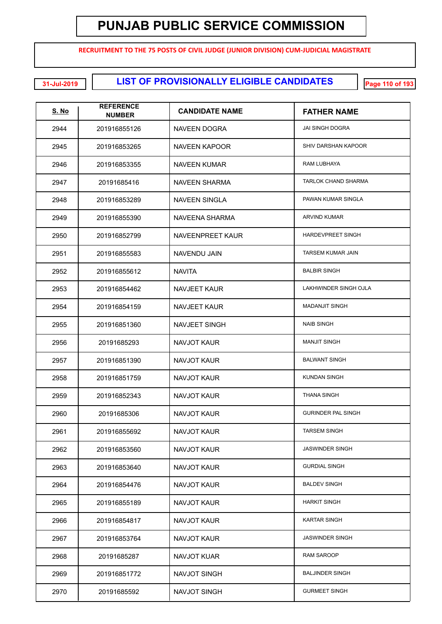**RECRUITMENT TO THE 75 POSTS OF CIVIL JUDGE (JUNIOR DIVISION) CUM-JUDICIAL MAGISTRATE**

| <u>S. No</u> | <b>REFERENCE</b><br><b>NUMBER</b> | <b>CANDIDATE NAME</b> | <b>FATHER NAME</b>           |
|--------------|-----------------------------------|-----------------------|------------------------------|
| 2944         | 201916855126                      | NAVEEN DOGRA          | <b>JAI SINGH DOGRA</b>       |
| 2945         | 201916853265                      | <b>NAVEEN KAPOOR</b>  | SHIV DARSHAN KAPOOR          |
| 2946         | 201916853355                      | NAVEEN KUMAR          | RAM LUBHAYA                  |
| 2947         | 20191685416                       | <b>NAVEEN SHARMA</b>  | <b>TARLOK CHAND SHARMA</b>   |
| 2948         | 201916853289                      | <b>NAVEEN SINGLA</b>  | PAWAN KUMAR SINGLA           |
| 2949         | 201916855390                      | NAVEENA SHARMA        | <b>ARVIND KUMAR</b>          |
| 2950         | 201916852799                      | NAVEENPREET KAUR      | <b>HARDEVPREET SINGH</b>     |
| 2951         | 201916855583                      | <b>NAVENDU JAIN</b>   | TARSEM KUMAR JAIN            |
| 2952         | 201916855612                      | <b>NAVITA</b>         | <b>BALBIR SINGH</b>          |
| 2953         | 201916854462                      | <b>NAVJEET KAUR</b>   | <b>LAKHWINDER SINGH OJLA</b> |
| 2954         | 201916854159                      | <b>NAVJEET KAUR</b>   | <b>MADANJIT SINGH</b>        |
| 2955         | 201916851360                      | NAVJEET SINGH         | <b>NAIB SINGH</b>            |
| 2956         | 20191685293                       | NAVJOT KAUR           | <b>MANJIT SINGH</b>          |
| 2957         | 201916851390                      | NAVJOT KAUR           | <b>BALWANT SINGH</b>         |
| 2958         | 201916851759                      | NAVJOT KAUR           | KUNDAN SINGH                 |
| 2959         | 201916852343                      | NAVJOT KAUR           | THANA SINGH                  |
| 2960         | 20191685306                       | <b>NAVJOT KAUR</b>    | <b>GURINDER PAL SINGH</b>    |
| 2961         | 201916855692                      | <b>NAVJOT KAUR</b>    | <b>TARSEM SINGH</b>          |
| 2962         | 201916853560                      | <b>NAVJOT KAUR</b>    | <b>JASWINDER SINGH</b>       |
| 2963         | 201916853640                      | <b>NAVJOT KAUR</b>    | <b>GURDIAL SINGH</b>         |
| 2964         | 201916854476                      | NAVJOT KAUR           | <b>BALDEV SINGH</b>          |
| 2965         | 201916855189                      | <b>NAVJOT KAUR</b>    | <b>HARKIT SINGH</b>          |
| 2966         | 201916854817                      | <b>NAVJOT KAUR</b>    | <b>KARTAR SINGH</b>          |
| 2967         | 201916853764                      | <b>NAVJOT KAUR</b>    | <b>JASWINDER SINGH</b>       |
| 2968         | 20191685287                       | <b>NAVJOT KUAR</b>    | RAM SAROOP                   |
| 2969         | 201916851772                      | NAVJOT SINGH          | <b>BALJINDER SINGH</b>       |
| 2970         | 20191685592                       | NAVJOT SINGH          | <b>GURMEET SINGH</b>         |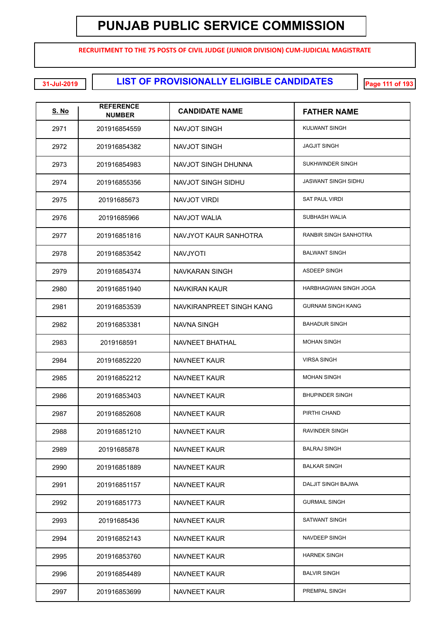**RECRUITMENT TO THE 75 POSTS OF CIVIL JUDGE (JUNIOR DIVISION) CUM-JUDICIAL MAGISTRATE**

| <u>S. No</u> | <b>REFERENCE</b><br><b>NUMBER</b> | <b>CANDIDATE NAME</b>    | <b>FATHER NAME</b>         |
|--------------|-----------------------------------|--------------------------|----------------------------|
| 2971         | 201916854559                      | NAVJOT SINGH             | <b>KULWANT SINGH</b>       |
| 2972         | 201916854382                      | <b>NAVJOT SINGH</b>      | <b>JAGJIT SINGH</b>        |
| 2973         | 201916854983                      | NAVJOT SINGH DHUNNA      | SUKHWINDER SINGH           |
| 2974         | 201916855356                      | NAVJOT SINGH SIDHU       | <b>JASWANT SINGH SIDHU</b> |
| 2975         | 20191685673                       | NAVJOT VIRDI             | <b>SAT PAUL VIRDI</b>      |
| 2976         | 20191685966                       | <b>NAVJOT WALIA</b>      | <b>SUBHASH WALIA</b>       |
| 2977         | 201916851816                      | NAVJYOT KAUR SANHOTRA    | RANBIR SINGH SANHOTRA      |
| 2978         | 201916853542                      | <b>NAVJYOTI</b>          | <b>BALWANT SINGH</b>       |
| 2979         | 201916854374                      | NAVKARAN SINGH           | <b>ASDEEP SINGH</b>        |
| 2980         | 201916851940                      | <b>NAVKIRAN KAUR</b>     | HARBHAGWAN SINGH JOGA      |
| 2981         | 201916853539                      | NAVKIRANPREET SINGH KANG | <b>GURNAM SINGH KANG</b>   |
| 2982         | 201916853381                      | NAVNA SINGH              | <b>BAHADUR SINGH</b>       |
| 2983         | 2019168591                        | NAVNEET BHATHAL          | <b>MOHAN SINGH</b>         |
| 2984         | 201916852220                      | <b>NAVNEET KAUR</b>      | <b>VIRSA SINGH</b>         |
| 2985         | 201916852212                      | <b>NAVNEET KAUR</b>      | <b>MOHAN SINGH</b>         |
| 2986         | 201916853403                      | NAVNEET KAUR             | <b>BHUPINDER SINGH</b>     |
| 2987         | 201916852608                      | <b>NAVNEET KAUR</b>      | PIRTHI CHAND               |
| 2988         | 201916851210                      | NAVNEET KAUR             | RAVINDER SINGH             |
| 2989         | 20191685878                       | NAVNEET KAUR             | <b>BALRAJ SINGH</b>        |
| 2990         | 201916851889                      | NAVNEET KAUR             | <b>BALKAR SINGH</b>        |
| 2991         | 201916851157                      | NAVNEET KAUR             | DALJIT SINGH BAJWA         |
| 2992         | 201916851773                      | NAVNEET KAUR             | <b>GURMAIL SINGH</b>       |
| 2993         | 20191685436                       | NAVNEET KAUR             | SATWANT SINGH              |
| 2994         | 201916852143                      | NAVNEET KAUR             | NAVDEEP SINGH              |
| 2995         | 201916853760                      | NAVNEET KAUR             | <b>HARNEK SINGH</b>        |
| 2996         | 201916854489                      | NAVNEET KAUR             | <b>BALVIR SINGH</b>        |
| 2997         | 201916853699                      | NAVNEET KAUR             | PREMPAL SINGH              |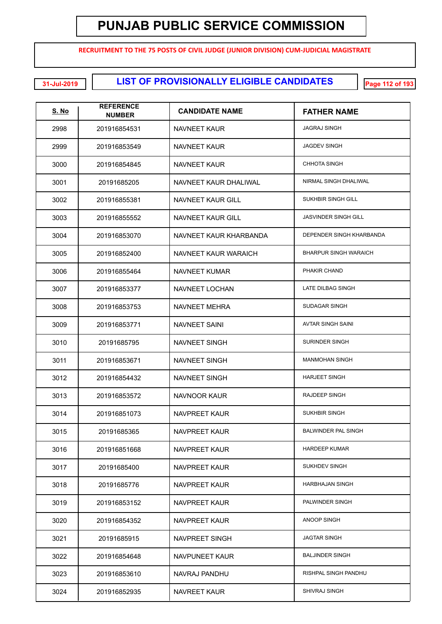**RECRUITMENT TO THE 75 POSTS OF CIVIL JUDGE (JUNIOR DIVISION) CUM-JUDICIAL MAGISTRATE**

**LIST OF PROVISIONALLY ELIGIBLE CANDIDATES 31-Jul-2019 Page 112 of 193**

| <u>S. No</u> | <b>REFERENCE</b><br><b>NUMBER</b> | <b>CANDIDATE NAME</b>  | <b>FATHER NAME</b>           |
|--------------|-----------------------------------|------------------------|------------------------------|
| 2998         | 201916854531                      | NAVNEET KAUR           | <b>JAGRAJ SINGH</b>          |
| 2999         | 201916853549                      | NAVNEET KAUR           | <b>JAGDEV SINGH</b>          |
| 3000         | 201916854845                      | NAVNEET KAUR           | <b>CHHOTA SINGH</b>          |
| 3001         | 20191685205                       | NAVNEET KAUR DHALIWAL  | NIRMAL SINGH DHALIWAL        |
| 3002         | 201916855381                      | NAVNEET KAUR GILL      | SUKHBIR SINGH GILL           |
| 3003         | 201916855552                      | NAVNEET KAUR GILL      | <b>JASVINDER SINGH GILL</b>  |
| 3004         | 201916853070                      | NAVNEET KAUR KHARBANDA | DEPENDER SINGH KHARBANDA     |
| 3005         | 201916852400                      | NAVNEET KAUR WARAICH   | <b>BHARPUR SINGH WARAICH</b> |
| 3006         | 201916855464                      | NAVNEET KUMAR          | PHAKIR CHAND                 |
| 3007         | 201916853377                      | NAVNEET LOCHAN         | <b>LATE DILBAG SINGH</b>     |
| 3008         | 201916853753                      | <b>NAVNEET MEHRA</b>   | SUDAGAR SINGH                |
| 3009         | 201916853771                      | NAVNEET SAINI          | <b>AVTAR SINGH SAINI</b>     |
| 3010         | 20191685795                       | NAVNEET SINGH          | <b>SURINDER SINGH</b>        |
| 3011         | 201916853671                      | NAVNEET SINGH          | <b>MANMOHAN SINGH</b>        |
| 3012         | 201916854432                      | NAVNEET SINGH          | <b>HARJEET SINGH</b>         |
| 3013         | 201916853572                      | NAVNOOR KAUR           | <b>RAJDEEP SINGH</b>         |
| 3014         | 201916851073                      | <b>NAVPREET KAUR</b>   | SUKHBIR SINGH                |
| 3015         | 20191685365                       | NAVPREET KAUR          | <b>BALWINDER PAL SINGH</b>   |
| 3016         | 201916851668                      | NAVPREET KAUR          | <b>HARDEEP KUMAR</b>         |
| 3017         | 20191685400                       | NAVPREET KAUR          | SUKHDEV SINGH                |
| 3018         | 20191685776                       | NAVPREET KAUR          | <b>HARBHAJAN SINGH</b>       |
| 3019         | 201916853152                      | NAVPREET KAUR          | PALWINDER SINGH              |
| 3020         | 201916854352                      | NAVPREET KAUR          | <b>ANOOP SINGH</b>           |
| 3021         | 20191685915                       | NAVPREET SINGH         | <b>JAGTAR SINGH</b>          |
| 3022         | 201916854648                      | NAVPUNEET KAUR         | <b>BALJINDER SINGH</b>       |
| 3023         | 201916853610                      | NAVRAJ PANDHU          | RISHPAL SINGH PANDHU         |
| 3024         | 201916852935                      | NAVREET KAUR           | SHIVRAJ SINGH                |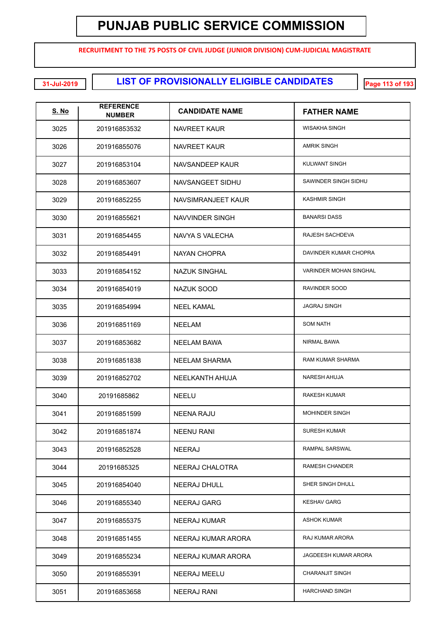**RECRUITMENT TO THE 75 POSTS OF CIVIL JUDGE (JUNIOR DIVISION) CUM-JUDICIAL MAGISTRATE**

| <u>S. No</u> | <b>REFERENCE</b><br><b>NUMBER</b> | <b>CANDIDATE NAME</b> | <b>FATHER NAME</b>          |
|--------------|-----------------------------------|-----------------------|-----------------------------|
| 3025         | 201916853532                      | NAVREET KAUR          | WISAKHA SINGH               |
| 3026         | 201916855076                      | NAVREET KAUR          | <b>AMRIK SINGH</b>          |
| 3027         | 201916853104                      | NAVSANDEEP KAUR       | KULWANT SINGH               |
| 3028         | 201916853607                      | NAVSANGEET SIDHU      | SAWINDER SINGH SIDHU        |
| 3029         | 201916852255                      | NAVSIMRANJEET KAUR    | <b>KASHMIR SINGH</b>        |
| 3030         | 201916855621                      | NAVVINDER SINGH       | <b>BANARSI DASS</b>         |
| 3031         | 201916854455                      | NAVYA S VALECHA       | RAJESH SACHDEVA             |
| 3032         | 201916854491                      | NAYAN CHOPRA          | DAVINDER KUMAR CHOPRA       |
| 3033         | 201916854152                      | <b>NAZUK SINGHAL</b>  | VARINDER MOHAN SINGHAL      |
| 3034         | 201916854019                      | <b>NAZUK SOOD</b>     | RAVINDER SOOD               |
| 3035         | 201916854994                      | <b>NEEL KAMAL</b>     | <b>JAGRAJ SINGH</b>         |
| 3036         | 201916851169                      | <b>NEELAM</b>         | <b>SOM NATH</b>             |
| 3037         | 201916853682                      | <b>NEELAM BAWA</b>    | NIRMAL BAWA                 |
| 3038         | 201916851838                      | <b>NEELAM SHARMA</b>  | <b>RAM KUMAR SHARMA</b>     |
| 3039         | 201916852702                      | NEELKANTH AHUJA       | <b>NARESH AHUJA</b>         |
| 3040         | 20191685862                       | <b>NEELU</b>          | <b>RAKESH KUMAR</b>         |
| 3041         | 201916851599                      | <b>NEENA RAJU</b>     | <b>MOHINDER SINGH</b>       |
| 3042         | 201916851874                      | <b>NEENU RANI</b>     | <b>SURESH KUMAR</b>         |
| 3043         | 201916852528                      | <b>NEERAJ</b>         | <b>RAMPAL SARSWAL</b>       |
| 3044         | 20191685325                       | NEERAJ CHALOTRA       | <b>RAMESH CHANDER</b>       |
| 3045         | 201916854040                      | NEERAJ DHULL          | SHER SINGH DHULL            |
| 3046         | 201916855340                      | <b>NEERAJ GARG</b>    | <b>KESHAV GARG</b>          |
| 3047         | 201916855375                      | <b>NEERAJ KUMAR</b>   | <b>ASHOK KUMAR</b>          |
| 3048         | 201916851455                      | NEERAJ KUMAR ARORA    | RAJ KUMAR ARORA             |
| 3049         | 201916855234                      | NEERAJ KUMAR ARORA    | <b>JAGDEESH KUMAR ARORA</b> |
| 3050         | 201916855391                      | NEERAJ MEELU          | <b>CHARANJIT SINGH</b>      |
| 3051         | 201916853658                      | <b>NEERAJ RANI</b>    | <b>HARCHAND SINGH</b>       |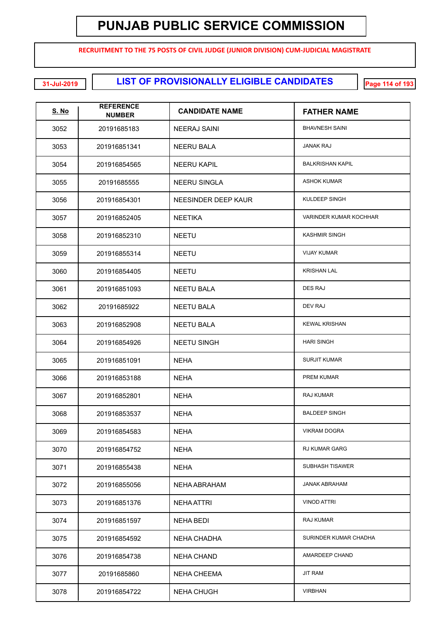**RECRUITMENT TO THE 75 POSTS OF CIVIL JUDGE (JUNIOR DIVISION) CUM-JUDICIAL MAGISTRATE**

| <u>S. No</u> | <b>REFERENCE</b><br><b>NUMBER</b> | <b>CANDIDATE NAME</b> | <b>FATHER NAME</b>      |
|--------------|-----------------------------------|-----------------------|-------------------------|
| 3052         | 20191685183                       | NEERAJ SAINI          | <b>BHAVNESH SAINI</b>   |
| 3053         | 201916851341                      | NEERU BALA            | <b>JANAK RAJ</b>        |
| 3054         | 201916854565                      | <b>NEERU KAPIL</b>    | <b>BALKRISHAN KAPIL</b> |
| 3055         | 20191685555                       | <b>NEERU SINGLA</b>   | <b>ASHOK KUMAR</b>      |
| 3056         | 201916854301                      | NEESINDER DEEP KAUR   | KULDEEP SINGH           |
| 3057         | 201916852405                      | <b>NEETIKA</b>        | VARINDER KUMAR KOCHHAR  |
| 3058         | 201916852310                      | <b>NEETU</b>          | <b>KASHMIR SINGH</b>    |
| 3059         | 201916855314                      | <b>NEETU</b>          | <b>VIJAY KUMAR</b>      |
| 3060         | 201916854405                      | <b>NEETU</b>          | <b>KRISHAN LAL</b>      |
| 3061         | 201916851093                      | <b>NEETU BALA</b>     | <b>DES RAJ</b>          |
| 3062         | 20191685922                       | <b>NEETU BALA</b>     | DEV RAJ                 |
| 3063         | 201916852908                      | <b>NEETU BALA</b>     | <b>KEWAL KRISHAN</b>    |
| 3064         | 201916854926                      | <b>NEETU SINGH</b>    | <b>HARI SINGH</b>       |
| 3065         | 201916851091                      | <b>NEHA</b>           | <b>SURJIT KUMAR</b>     |
| 3066         | 201916853188                      | <b>NEHA</b>           | PREM KUMAR              |
| 3067         | 201916852801                      | <b>NEHA</b>           | RAJ KUMAR               |
| 3068         | 201916853537                      | <b>NEHA</b>           | <b>BALDEEP SINGH</b>    |
| 3069         | 201916854583                      | <b>NEHA</b>           | <b>VIKRAM DOGRA</b>     |
| 3070         | 201916854752                      | <b>NEHA</b>           | RJ KUMAR GARG           |
| 3071         | 201916855438                      | <b>NEHA</b>           | <b>SUBHASH TISAWER</b>  |
| 3072         | 201916855056                      | NEHA ABRAHAM          | <b>JANAK ABRAHAM</b>    |
| 3073         | 201916851376                      | <b>NEHA ATTRI</b>     | <b>VINOD ATTRI</b>      |
| 3074         | 201916851597                      | NEHA BEDI             | RAJ KUMAR               |
| 3075         | 201916854592                      | <b>NEHA CHADHA</b>    | SURINDER KUMAR CHADHA   |
| 3076         | 201916854738                      | <b>NEHA CHAND</b>     | AMARDEEP CHAND          |
| 3077         | 20191685860                       | <b>NEHA CHEEMA</b>    | <b>JIT RAM</b>          |
| 3078         | 201916854722                      | <b>NEHA CHUGH</b>     | <b>VIRBHAN</b>          |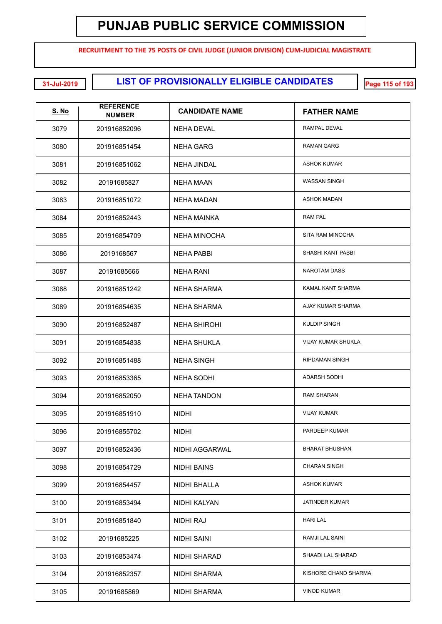**RECRUITMENT TO THE 75 POSTS OF CIVIL JUDGE (JUNIOR DIVISION) CUM-JUDICIAL MAGISTRATE**

| <b>S. No</b> | <b>REFERENCE</b><br><b>NUMBER</b> | <b>CANDIDATE NAME</b> | <b>FATHER NAME</b>        |
|--------------|-----------------------------------|-----------------------|---------------------------|
| 3079         | 201916852096                      | <b>NEHA DEVAL</b>     | RAMPAL DEVAL              |
| 3080         | 201916851454                      | <b>NEHA GARG</b>      | <b>RAMAN GARG</b>         |
| 3081         | 201916851062                      | <b>NEHA JINDAL</b>    | <b>ASHOK KUMAR</b>        |
| 3082         | 20191685827                       | NEHA MAAN             | <b>WASSAN SINGH</b>       |
| 3083         | 201916851072                      | <b>NEHA MADAN</b>     | <b>ASHOK MADAN</b>        |
| 3084         | 201916852443                      | <b>NEHA MAINKA</b>    | <b>RAM PAL</b>            |
| 3085         | 201916854709                      | <b>NEHA MINOCHA</b>   | SITA RAM MINOCHA          |
| 3086         | 2019168567                        | <b>NEHA PABBI</b>     | SHASHI KANT PABBI         |
| 3087         | 20191685666                       | NEHA RANI             | <b>NAROTAM DASS</b>       |
| 3088         | 201916851242                      | <b>NEHA SHARMA</b>    | KAMAL KANT SHARMA         |
| 3089         | 201916854635                      | <b>NEHA SHARMA</b>    | AJAY KUMAR SHARMA         |
| 3090         | 201916852487                      | <b>NEHA SHIROHI</b>   | <b>KULDIP SINGH</b>       |
| 3091         | 201916854838                      | <b>NEHA SHUKLA</b>    | <b>VIJAY KUMAR SHUKLA</b> |
| 3092         | 201916851488                      | <b>NEHA SINGH</b>     | RIPDAMAN SINGH            |
| 3093         | 201916853365                      | <b>NEHA SODHI</b>     | <b>ADARSH SODHI</b>       |
| 3094         | 201916852050                      | <b>NEHA TANDON</b>    | <b>RAM SHARAN</b>         |
| 3095         | 201916851910                      | <b>NIDHI</b>          | <b>VIJAY KUMAR</b>        |
| 3096         | 201916855702                      | <b>NIDHI</b>          | PARDEEP KUMAR             |
| 3097         | 201916852436                      | NIDHI AGGARWAL        | <b>BHARAT BHUSHAN</b>     |
| 3098         | 201916854729                      | NIDHI BAINS           | <b>CHARAN SINGH</b>       |
| 3099         | 201916854457                      | NIDHI BHALLA          | <b>ASHOK KUMAR</b>        |
| 3100         | 201916853494                      | NIDHI KALYAN          | <b>JATINDER KUMAR</b>     |
| 3101         | 201916851840                      | NIDHI RAJ             | <b>HARI LAL</b>           |
| 3102         | 20191685225                       | NIDHI SAINI           | RAMJI LAL SAINI           |
| 3103         | 201916853474                      | NIDHI SHARAD          | SHAADI LAL SHARAD         |
| 3104         | 201916852357                      | NIDHI SHARMA          | KISHORE CHAND SHARMA      |
| 3105         | 20191685869                       | NIDHI SHARMA          | <b>VINOD KUMAR</b>        |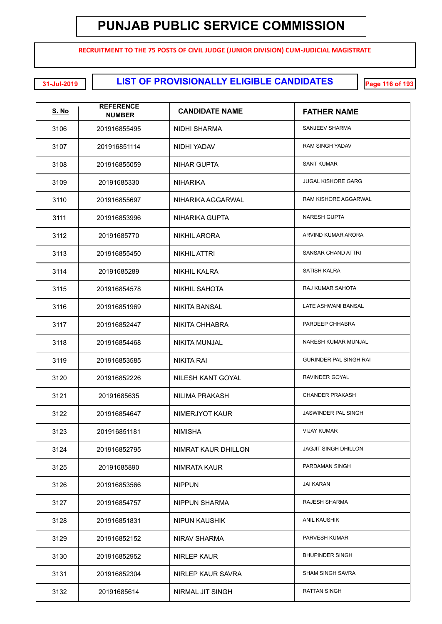**RECRUITMENT TO THE 75 POSTS OF CIVIL JUDGE (JUNIOR DIVISION) CUM-JUDICIAL MAGISTRATE**

| <b>S. No</b> | <b>REFERENCE</b><br><b>NUMBER</b> | <b>CANDIDATE NAME</b> | <b>FATHER NAME</b>            |
|--------------|-----------------------------------|-----------------------|-------------------------------|
| 3106         | 201916855495                      | NIDHI SHARMA          | SANJEEV SHARMA                |
| 3107         | 201916851114                      | NIDHI YADAV           | RAM SINGH YADAV               |
| 3108         | 201916855059                      | <b>NIHAR GUPTA</b>    | <b>SANT KUMAR</b>             |
| 3109         | 20191685330                       | <b>NIHARIKA</b>       | <b>JUGAL KISHORE GARG</b>     |
| 3110         | 201916855697                      | NIHARIKA AGGARWAL     | RAM KISHORE AGGARWAL          |
| 3111         | 201916853996                      | NIHARIKA GUPTA        | <b>NARESH GUPTA</b>           |
| 3112         | 20191685770                       | NIKHIL ARORA          | ARVIND KUMAR ARORA            |
| 3113         | 201916855450                      | <b>NIKHIL ATTRI</b>   | SANSAR CHAND ATTRI            |
| 3114         | 20191685289                       | <b>NIKHIL KALRA</b>   | <b>SATISH KALRA</b>           |
| 3115         | 201916854578                      | <b>NIKHIL SAHOTA</b>  | RAJ KUMAR SAHOTA              |
| 3116         | 201916851969                      | <b>NIKITA BANSAL</b>  | LATE ASHWANI BANSAL           |
| 3117         | 201916852447                      | <b>NIKITA CHHABRA</b> | PARDEEP CHHABRA               |
| 3118         | 201916854468                      | <b>NIKITA MUNJAL</b>  | NARESH KUMAR MUNJAL           |
| 3119         | 201916853585                      | NIKITA RAI            | <b>GURINDER PAL SINGH RAI</b> |
| 3120         | 201916852226                      | NILESH KANT GOYAL     | RAVINDER GOYAL                |
| 3121         | 20191685635                       | <b>NILIMA PRAKASH</b> | <b>CHANDER PRAKASH</b>        |
| 3122         | 201916854647                      | NIMERJYOT KAUR        | JASWINDER PAL SINGH           |
| 3123         | 201916851181                      | <b>NIMISHA</b>        | <b>VIJAY KUMAR</b>            |
| 3124         | 201916852795                      | NIMRAT KAUR DHILLON   | <b>JAGJIT SINGH DHILLON</b>   |
| 3125         | 20191685890                       | NIMRATA KAUR          | PARDAMAN SINGH                |
| 3126         | 201916853566                      | <b>NIPPUN</b>         | <b>JAI KARAN</b>              |
| 3127         | 201916854757                      | <b>NIPPUN SHARMA</b>  | RAJESH SHARMA                 |
| 3128         | 201916851831                      | <b>NIPUN KAUSHIK</b>  | <b>ANIL KAUSHIK</b>           |
| 3129         | 201916852152                      | NIRAV SHARMA          | PARVESH KUMAR                 |
| 3130         | 201916852952                      | NIRLEP KAUR           | <b>BHUPINDER SINGH</b>        |
| 3131         | 201916852304                      | NIRLEP KAUR SAVRA     | <b>SHAM SINGH SAVRA</b>       |
| 3132         | 20191685614                       | NIRMAL JIT SINGH      | <b>RATTAN SINGH</b>           |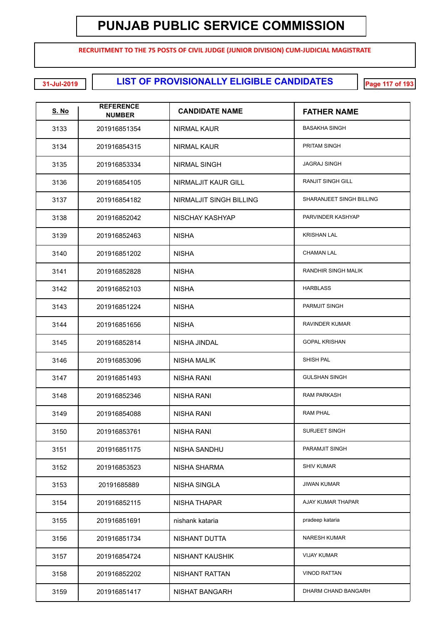**RECRUITMENT TO THE 75 POSTS OF CIVIL JUDGE (JUNIOR DIVISION) CUM-JUDICIAL MAGISTRATE**

**LIST OF PROVISIONALLY ELIGIBLE CANDIDATES 31-Jul-2019 Page 117 of 193**

| <u>S. No</u> | <b>REFERENCE</b><br><b>NUMBER</b> | <b>CANDIDATE NAME</b>   | <b>FATHER NAME</b>       |
|--------------|-----------------------------------|-------------------------|--------------------------|
| 3133         | 201916851354                      | NIRMAL KAUR             | <b>BASAKHA SINGH</b>     |
| 3134         | 201916854315                      | <b>NIRMAL KAUR</b>      | <b>PRITAM SINGH</b>      |
| 3135         | 201916853334                      | <b>NIRMAL SINGH</b>     | <b>JAGRAJ SINGH</b>      |
| 3136         | 201916854105                      | NIRMALJIT KAUR GILL     | <b>RANJIT SINGH GILL</b> |
| 3137         | 201916854182                      | NIRMALJIT SINGH BILLING | SHARANJEET SINGH BILLING |
| 3138         | 201916852042                      | NISCHAY KASHYAP         | PARVINDER KASHYAP        |
| 3139         | 201916852463                      | <b>NISHA</b>            | <b>KRISHAN LAL</b>       |
| 3140         | 201916851202                      | <b>NISHA</b>            | <b>CHAMAN LAL</b>        |
| 3141         | 201916852828                      | <b>NISHA</b>            | RANDHIR SINGH MALIK      |
| 3142         | 201916852103                      | <b>NISHA</b>            | <b>HARBLASS</b>          |
| 3143         | 201916851224                      | <b>NISHA</b>            | PARMJIT SINGH            |
| 3144         | 201916851656                      | <b>NISHA</b>            | RAVINDER KUMAR           |
| 3145         | 201916852814                      | NISHA JINDAL            | <b>GOPAL KRISHAN</b>     |
| 3146         | 201916853096                      | <b>NISHA MALIK</b>      | SHISH PAL                |
| 3147         | 201916851493                      | <b>NISHA RANI</b>       | <b>GULSHAN SINGH</b>     |
| 3148         | 201916852346                      | NISHA RANI              | <b>RAM PARKASH</b>       |
| 3149         | 201916854088                      | <b>NISHA RANI</b>       | <b>RAM PHAL</b>          |
| 3150         | 201916853761                      | NISHA RANI              | <b>SURJEET SINGH</b>     |
| 3151         | 201916851175                      | NISHA SANDHU            | PARAMJIT SINGH           |
| 3152         | 201916853523                      | NISHA SHARMA            | <b>SHIV KUMAR</b>        |
| 3153         | 20191685889                       | <b>NISHA SINGLA</b>     | <b>JIWAN KUMAR</b>       |
| 3154         | 201916852115                      | <b>NISHA THAPAR</b>     | AJAY KUMAR THAPAR        |
| 3155         | 201916851691                      | nishank kataria         | pradeep kataria          |
| 3156         | 201916851734                      | NISHANT DUTTA           | <b>NARESH KUMAR</b>      |
| 3157         | 201916854724                      | <b>NISHANT KAUSHIK</b>  | <b>VIJAY KUMAR</b>       |
| 3158         | 201916852202                      | <b>NISHANT RATTAN</b>   | <b>VINOD RATTAN</b>      |
| 3159         | 201916851417                      | <b>NISHAT BANGARH</b>   | DHARM CHAND BANGARH      |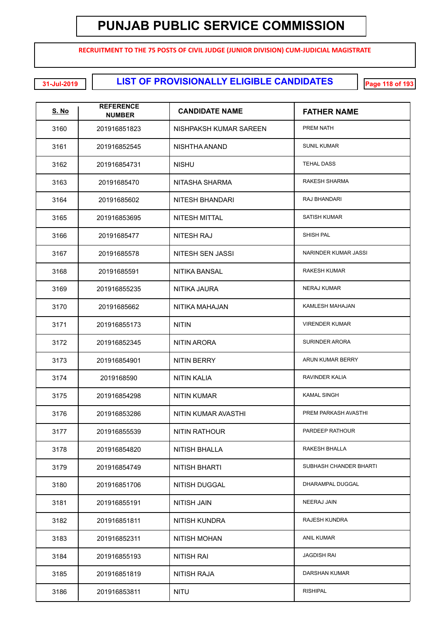**RECRUITMENT TO THE 75 POSTS OF CIVIL JUDGE (JUNIOR DIVISION) CUM-JUDICIAL MAGISTRATE**

| <u>S. No</u> | <b>REFERENCE</b><br><b>NUMBER</b> | <b>CANDIDATE NAME</b>  | <b>FATHER NAME</b>          |
|--------------|-----------------------------------|------------------------|-----------------------------|
| 3160         | 201916851823                      | NISHPAKSH KUMAR SAREEN | <b>PREM NATH</b>            |
| 3161         | 201916852545                      | NISHTHA ANAND          | <b>SUNIL KUMAR</b>          |
| 3162         | 201916854731                      | <b>NISHU</b>           | <b>TEHAL DASS</b>           |
| 3163         | 20191685470                       | NITASHA SHARMA         | RAKESH SHARMA               |
| 3164         | 20191685602                       | <b>NITESH BHANDARI</b> | RAJ BHANDARI                |
| 3165         | 201916853695                      | <b>NITESH MITTAL</b>   | <b>SATISH KUMAR</b>         |
| 3166         | 20191685477                       | <b>NITESH RAJ</b>      | SHISH PAL                   |
| 3167         | 20191685578                       | NITESH SEN JASSI       | <b>NARINDER KUMAR JASSI</b> |
| 3168         | 20191685591                       | <b>NITIKA BANSAL</b>   | <b>RAKESH KUMAR</b>         |
| 3169         | 201916855235                      | NITIKA JAURA           | <b>NERAJ KUMAR</b>          |
| 3170         | 20191685662                       | NITIKA MAHAJAN         | KAMLESH MAHAJAN             |
| 3171         | 201916855173                      | <b>NITIN</b>           | <b>VIRENDER KUMAR</b>       |
| 3172         | 201916852345                      | NITIN ARORA            | <b>SURINDER ARORA</b>       |
| 3173         | 201916854901                      | <b>NITIN BERRY</b>     | ARUN KUMAR BERRY            |
| 3174         | 2019168590                        | <b>NITIN KALIA</b>     | RAVINDER KALIA              |
| 3175         | 201916854298                      | <b>NITIN KUMAR</b>     | <b>KAMAL SINGH</b>          |
| 3176         | 201916853286                      | NITIN KUMAR AVASTHI    | PREM PARKASH AVASTHI        |
| 3177         | 201916855539                      | NITIN RATHOUR          | PARDEEP RATHOUR             |
| 3178         | 201916854820                      | <b>NITISH BHALLA</b>   | RAKESH BHALLA               |
| 3179         | 201916854749                      | <b>NITISH BHARTI</b>   | SUBHASH CHANDER BHARTI      |
| 3180         | 201916851706                      | NITISH DUGGAL          | DHARAMPAL DUGGAL            |
| 3181         | 201916855191                      | <b>NITISH JAIN</b>     | NEERAJ JAIN                 |
| 3182         | 201916851811                      | <b>NITISH KUNDRA</b>   | RAJESH KUNDRA               |
| 3183         | 201916852311                      | <b>NITISH MOHAN</b>    | <b>ANIL KUMAR</b>           |
| 3184         | 201916855193                      | <b>NITISH RAI</b>      | <b>JAGDISH RAI</b>          |
| 3185         | 201916851819                      | NITISH RAJA            | DARSHAN KUMAR               |
| 3186         | 201916853811                      | <b>NITU</b>            | <b>RISHIPAL</b>             |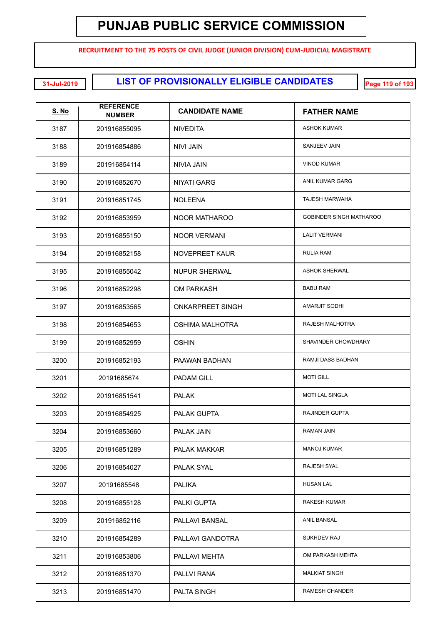**RECRUITMENT TO THE 75 POSTS OF CIVIL JUDGE (JUNIOR DIVISION) CUM-JUDICIAL MAGISTRATE**

| <b>S. No</b> | <b>REFERENCE</b><br><b>NUMBER</b> | <b>CANDIDATE NAME</b>   | <b>FATHER NAME</b>             |
|--------------|-----------------------------------|-------------------------|--------------------------------|
| 3187         | 201916855095                      | <b>NIVEDITA</b>         | <b>ASHOK KUMAR</b>             |
| 3188         | 201916854886                      | NIVI JAIN               | SANJEEV JAIN                   |
| 3189         | 201916854114                      | <b>NIVIA JAIN</b>       | <b>VINOD KUMAR</b>             |
| 3190         | 201916852670                      | <b>NIYATI GARG</b>      | <b>ANIL KUMAR GARG</b>         |
| 3191         | 201916851745                      | <b>NOLEENA</b>          | <b>TAJESH MARWAHA</b>          |
| 3192         | 201916853959                      | NOOR MATHAROO           | <b>GOBINDER SINGH MATHAROO</b> |
| 3193         | 201916855150                      | <b>NOOR VERMANI</b>     | <b>LALIT VERMANI</b>           |
| 3194         | 201916852158                      | <b>NOVEPREET KAUR</b>   | <b>RULIA RAM</b>               |
| 3195         | 201916855042                      | <b>NUPUR SHERWAL</b>    | <b>ASHOK SHERWAL</b>           |
| 3196         | 201916852298                      | OM PARKASH              | <b>BABU RAM</b>                |
| 3197         | 201916853565                      | <b>ONKARPREET SINGH</b> | <b>AMARJIT SODHI</b>           |
| 3198         | 201916854653                      | <b>OSHIMA MALHOTRA</b>  | RAJESH MALHOTRA                |
| 3199         | 201916852959                      | <b>OSHIN</b>            | SHAVINDER CHOWDHARY            |
| 3200         | 201916852193                      | PAAWAN BADHAN           | RAMJI DASS BADHAN              |
| 3201         | 20191685674                       | <b>PADAM GILL</b>       | <b>MOTI GILL</b>               |
| 3202         | 201916851541                      | <b>PALAK</b>            | <b>MOTI LAL SINGLA</b>         |
| 3203         | 201916854925                      | PALAK GUPTA             | RAJINDER GUPTA                 |
| 3204         | 201916853660                      | <b>PALAK JAIN</b>       | <b>RAMAN JAIN</b>              |
| 3205         | 201916851289                      | PALAK MAKKAR            | <b>MANOJ KUMAR</b>             |
| 3206         | 201916854027                      | PALAK SYAL              | RAJESH SYAL                    |
| 3207         | 20191685548                       | <b>PALIKA</b>           | <b>HUSAN LAL</b>               |
| 3208         | 201916855128                      | PALKI GUPTA             | <b>RAKESH KUMAR</b>            |
| 3209         | 201916852116                      | PALLAVI BANSAL          | ANIL BANSAL                    |
| 3210         | 201916854289                      | PALLAVI GANDOTRA        | SUKHDEV RAJ                    |
| 3211         | 201916853806                      | PALLAVI MEHTA           | OM PARKASH MEHTA               |
| 3212         | 201916851370                      | PALLVI RANA             | <b>MALKIAT SINGH</b>           |
| 3213         | 201916851470                      | PALTA SINGH             | RAMESH CHANDER                 |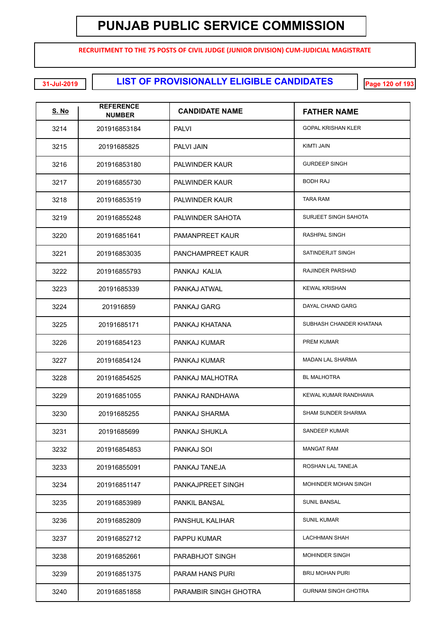**RECRUITMENT TO THE 75 POSTS OF CIVIL JUDGE (JUNIOR DIVISION) CUM-JUDICIAL MAGISTRATE**

**LIST OF PROVISIONALLY ELIGIBLE CANDIDATES 31-Jul-2019 Page 120 of 193**

| <u>S. No</u> | <b>REFERENCE</b><br><b>NUMBER</b> | <b>CANDIDATE NAME</b>    | <b>FATHER NAME</b>          |
|--------------|-----------------------------------|--------------------------|-----------------------------|
| 3214         | 201916853184                      | <b>PALVI</b>             | <b>GOPAL KRISHAN KLER</b>   |
| 3215         | 20191685825                       | PALVI JAIN               | <b>KIMTI JAIN</b>           |
| 3216         | 201916853180                      | PALWINDER KAUR           | <b>GURDEEP SINGH</b>        |
| 3217         | 201916855730                      | PALWINDER KAUR           | <b>BODH RAJ</b>             |
| 3218         | 201916853519                      | PALWINDER KAUR           | <b>TARA RAM</b>             |
| 3219         | 201916855248                      | PALWINDER SAHOTA         | SURJEET SINGH SAHOTA        |
| 3220         | 201916851641                      | <b>PAMANPREET KAUR</b>   | RASHPAL SINGH               |
| 3221         | 201916853035                      | PANCHAMPREET KAUR        | SATINDERJIT SINGH           |
| 3222         | 201916855793                      | PANKAJ KALIA             | RAJINDER PARSHAD            |
| 3223         | 20191685339                       | PANKAJ ATWAL             | <b>KEWAL KRISHAN</b>        |
| 3224         | 201916859                         | PANKAJ GARG              | DAYAL CHAND GARG            |
| 3225         | 20191685171                       | PANKAJ KHATANA           | SUBHASH CHANDER KHATANA     |
| 3226         | 201916854123                      | PANKAJ KUMAR             | PREM KUMAR                  |
| 3227         | 201916854124                      | PANKAJ KUMAR             | <b>MADAN LAL SHARMA</b>     |
| 3228         | 201916854525                      | PANKAJ MALHOTRA          | <b>BL MALHOTRA</b>          |
| 3229         | 201916851055                      | PANKAJ RANDHAWA          | KEWAL KUMAR RANDHAWA        |
| 3230         | 20191685255                       | PANKAJ SHARMA            | <b>SHAM SUNDER SHARMA</b>   |
| 3231         | 20191685699                       | PANKAJ SHUKLA            | SANDEEP KUMAR               |
| 3232         | 201916854853                      | PANKAJ SOI               | <b>MANGAT RAM</b>           |
| 3233         | 201916855091                      | PANKAJ TANEJA            | ROSHAN LAL TANEJA           |
| 3234         | 201916851147                      | <b>PANKAJPREET SINGH</b> | <b>MOHINDER MOHAN SINGH</b> |
| 3235         | 201916853989                      | <b>PANKIL BANSAL</b>     | <b>SUNIL BANSAL</b>         |
| 3236         | 201916852809                      | PANSHUL KALIHAR          | <b>SUNIL KUMAR</b>          |
| 3237         | 201916852712                      | <b>PAPPU KUMAR</b>       | <b>LACHHMAN SHAH</b>        |
| 3238         | 201916852661                      | PARABHJOT SINGH          | <b>MOHINDER SINGH</b>       |
| 3239         | 201916851375                      | PARAM HANS PURI          | <b>BRIJ MOHAN PURI</b>      |
| 3240         | 201916851858                      | PARAMBIR SINGH GHOTRA    | <b>GURNAM SINGH GHOTRA</b>  |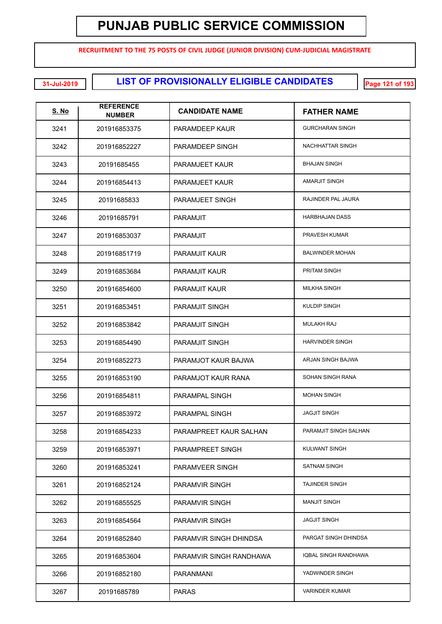**RECRUITMENT TO THE 75 POSTS OF CIVIL JUDGE (JUNIOR DIVISION) CUM-JUDICIAL MAGISTRATE**

**LIST OF PROVISIONALLY ELIGIBLE CANDIDATES 31-Jul-2019 Page 121 of 193**

| <u>S. No</u> | <b>REFERENCE</b><br><b>NUMBER</b> | <b>CANDIDATE NAME</b>   | <b>FATHER NAME</b>     |
|--------------|-----------------------------------|-------------------------|------------------------|
| 3241         | 201916853375                      | PARAMDEEP KAUR          | <b>GURCHARAN SINGH</b> |
| 3242         | 201916852227                      | PARAMDEEP SINGH         | NACHHATTAR SINGH       |
| 3243         | 20191685455                       | PARAMJEET KAUR          | <b>BHAJAN SINGH</b>    |
| 3244         | 201916854413                      | PARAMJEET KAUR          | AMARJIT SINGH          |
| 3245         | 20191685833                       | PARAMJEET SINGH         | RAJINDER PAL JAURA     |
| 3246         | 20191685791                       | <b>PARAMJIT</b>         | <b>HARBHAJAN DASS</b>  |
| 3247         | 201916853037                      | <b>PARAMJIT</b>         | PRAVESH KUMAR          |
| 3248         | 201916851719                      | PARAMJIT KAUR           | <b>BALWINDER MOHAN</b> |
| 3249         | 201916853684                      | PARAMJIT KAUR           | PRITAM SINGH           |
| 3250         | 201916854600                      | PARAMJIT KAUR           | <b>MILKHA SINGH</b>    |
| 3251         | 201916853451                      | <b>PARAMJIT SINGH</b>   | <b>KULDIP SINGH</b>    |
| 3252         | 201916853842                      | <b>PARAMJIT SINGH</b>   | <b>MULAKH RAJ</b>      |
| 3253         | 201916854490                      | <b>PARAMJIT SINGH</b>   | <b>HARVINDER SINGH</b> |
| 3254         | 201916852273                      | PARAMJOT KAUR BAJWA     | ARJAN SINGH BAJWA      |
| 3255         | 201916853190                      | PARAMJOT KAUR RANA      | SOHAN SINGH RANA       |
| 3256         | 201916854811                      | <b>PARAMPAL SINGH</b>   | <b>MOHAN SINGH</b>     |
| 3257         | 201916853972                      | <b>PARAMPAL SINGH</b>   | <b>JAGJIT SINGH</b>    |
| 3258         | 201916854233                      | PARAMPREET KAUR SALHAN  | PARAMJIT SINGH SALHAN  |
| 3259         | 201916853971                      | PARAMPREET SINGH        | KULWANT SINGH          |
| 3260         | 201916853241                      | PARAMVEER SINGH         | <b>SATNAM SINGH</b>    |
| 3261         | 201916852124                      | PARAMVIR SINGH          | <b>TAJINDER SINGH</b>  |
| 3262         | 201916855525                      | PARAMVIR SINGH          | <b>MANJIT SINGH</b>    |
| 3263         | 201916854564                      | <b>PARAMVIR SINGH</b>   | <b>JAGJIT SINGH</b>    |
| 3264         | 201916852840                      | PARAMVIR SINGH DHINDSA  | PARGAT SINGH DHINDSA   |
| 3265         | 201916853604                      | PARAMVIR SINGH RANDHAWA | IQBAL SINGH RANDHAWA   |
| 3266         | 201916852180                      | PARANMANI               | YADWINDER SINGH        |
| 3267         | 20191685789                       | <b>PARAS</b>            | <b>VARINDER KUMAR</b>  |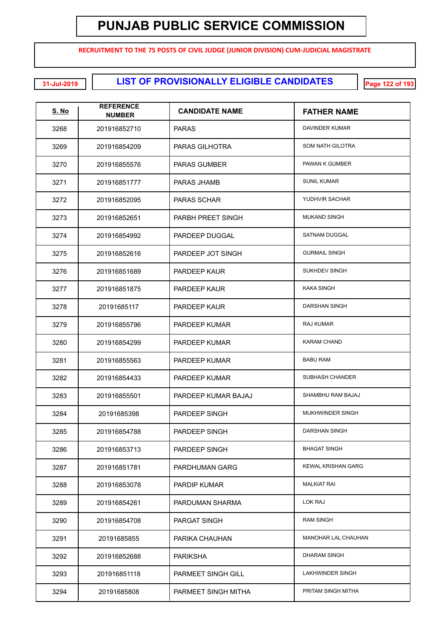**RECRUITMENT TO THE 75 POSTS OF CIVIL JUDGE (JUNIOR DIVISION) CUM-JUDICIAL MAGISTRATE**

**LIST OF PROVISIONALLY ELIGIBLE CANDIDATES 31-Jul-2019 Page 122 of 193**

| <u>S. No</u> | <b>REFERENCE</b><br><b>NUMBER</b> | <b>CANDIDATE NAME</b>     | <b>FATHER NAME</b>         |
|--------------|-----------------------------------|---------------------------|----------------------------|
| 3268         | 201916852710                      | <b>PARAS</b>              | DAVINDER KUMAR             |
| 3269         | 201916854209                      | <b>PARAS GILHOTRA</b>     | SOM NATH GILOTRA           |
| 3270         | 201916855576                      | <b>PARAS GUMBER</b>       | PAWAN K GUMBER             |
| 3271         | 201916851777                      | PARAS JHAMB               | <b>SUNIL KUMAR</b>         |
| 3272         | 201916852095                      | <b>PARAS SCHAR</b>        | YUDHVIR SACHAR             |
| 3273         | 201916852651                      | PARBH PREET SINGH         | <b>MUKAND SINGH</b>        |
| 3274         | 201916854992                      | PARDEEP DUGGAL            | SATNAM DUGGAL              |
| 3275         | 201916852616                      | PARDEEP JOT SINGH         | <b>GURMAIL SINGH</b>       |
| 3276         | 201916851689                      | PARDEEP KAUR              | <b>SUKHDEV SINGH</b>       |
| 3277         | 201916851875                      | PARDEEP KAUR              | <b>KAKA SINGH</b>          |
| 3278         | 20191685117                       | PARDEEP KAUR              | <b>DARSHAN SINGH</b>       |
| 3279         | 201916855796                      | PARDEEP KUMAR             | <b>RAJ KUMAR</b>           |
| 3280         | 201916854299                      | PARDEEP KUMAR             | <b>KARAM CHAND</b>         |
| 3281         | 201916855563                      | PARDEEP KUMAR             | <b>BABU RAM</b>            |
| 3282         | 201916854433                      | PARDEEP KUMAR             | SUBHASH CHANDER            |
| 3283         | 201916855501                      | PARDEEP KUMAR BAJAJ       | SHAMBHU RAM BAJAJ          |
| 3284         | 20191685398                       | PARDEEP SINGH             | MUKHWINDER SINGH           |
| 3285         | 201916854788                      | PARDEEP SINGH             | DARSHAN SINGH              |
| 3286         | 201916853713                      | PARDEEP SINGH             | <b>BHAGAT SINGH</b>        |
| 3287         | 201916851781                      | PARDHUMAN GARG            | <b>KEWAL KRISHAN GARG</b>  |
| 3288         | 201916853078                      | <b>PARDIP KUMAR</b>       | <b>MALKIAT RAI</b>         |
| 3289         | 201916854261                      | PARDUMAN SHARMA           | LOK RAJ                    |
| 3290         | 201916854708                      | <b>PARGAT SINGH</b>       | <b>RAM SINGH</b>           |
| 3291         | 20191685855                       | PARIKA CHAUHAN            | <b>MANOHAR LAL CHAUHAN</b> |
| 3292         | 201916852688                      | <b>PARIKSHA</b>           | DHARAM SINGH               |
| 3293         | 201916851118                      | <b>PARMEET SINGH GILL</b> | LAKHWINDER SINGH           |
| 3294         | 20191685808                       | PARMEET SINGH MITHA       | PRITAM SINGH MITHA         |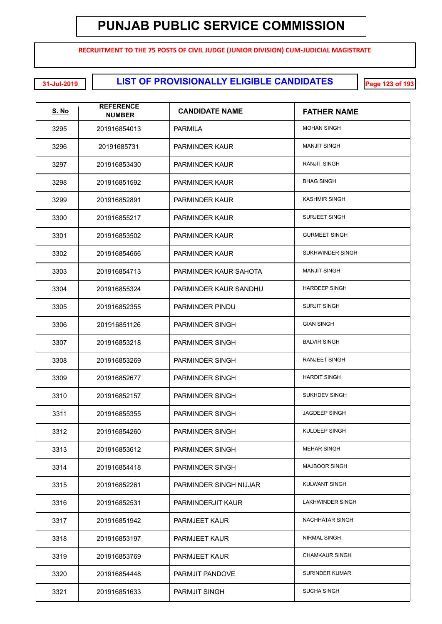**RECRUITMENT TO THE 75 POSTS OF CIVIL JUDGE (JUNIOR DIVISION) CUM-JUDICIAL MAGISTRATE**

**LIST OF PROVISIONALLY ELIGIBLE CANDIDATES 31-Jul-2019 Page 123 of 193**

| <u>S. No</u> | <b>REFERENCE</b><br><b>NUMBER</b> | <b>CANDIDATE NAME</b>  | <b>FATHER NAME</b>      |
|--------------|-----------------------------------|------------------------|-------------------------|
| 3295         | 201916854013                      | <b>PARMILA</b>         | <b>MOHAN SINGH</b>      |
| 3296         | 20191685731                       | <b>PARMINDER KAUR</b>  | <b>MANJIT SINGH</b>     |
| 3297         | 201916853430                      | <b>PARMINDER KAUR</b>  | <b>RANJIT SINGH</b>     |
| 3298         | 201916851592                      | <b>PARMINDER KAUR</b>  | <b>BHAG SINGH</b>       |
| 3299         | 201916852891                      | <b>PARMINDER KAUR</b>  | <b>KASHMIR SINGH</b>    |
| 3300         | 201916855217                      | <b>PARMINDER KAUR</b>  | <b>SURJEET SINGH</b>    |
| 3301         | 201916853502                      | <b>PARMINDER KAUR</b>  | <b>GURMEET SINGH</b>    |
| 3302         | 201916854666                      | PARMINDER KAUR         | SUKHWINDER SINGH        |
| 3303         | 201916854713                      | PARMINDER KAUR SAHOTA  | <b>MANJIT SINGH</b>     |
| 3304         | 201916855324                      | PARMINDER KAUR SANDHU  | <b>HARDEEP SINGH</b>    |
| 3305         | 201916852355                      | PARMINDER PINDU        | <b>SURJIT SINGH</b>     |
| 3306         | 201916851126                      | <b>PARMINDER SINGH</b> | <b>GIAN SINGH</b>       |
| 3307         | 201916853218                      | <b>PARMINDER SINGH</b> | <b>BALVIR SINGH</b>     |
| 3308         | 201916853269                      | <b>PARMINDER SINGH</b> | <b>RANJEET SINGH</b>    |
| 3309         | 201916852677                      | PARMINDER SINGH        | <b>HARDIT SINGH</b>     |
| 3310         | 201916852157                      | PARMINDER SINGH        | <b>SUKHDEV SINGH</b>    |
| 3311         | 201916855355                      | PARMINDER SINGH        | <b>JAGDEEP SINGH</b>    |
| 3312         | 201916854260                      | PARMINDER SINGH        | KULDEEP SINGH           |
| 3313         | 201916853612                      | PARMINDER SINGH        | <b>MEHAR SINGH</b>      |
| 3314         | 201916854418                      | PARMINDER SINGH        | <b>MAJBOOR SINGH</b>    |
| 3315         | 201916852261                      | PARMINDER SINGH NIJJAR | KULWANT SINGH           |
| 3316         | 201916852531                      | PARMINDERJIT KAUR      | <b>LAKHWINDER SINGH</b> |
| 3317         | 201916851942                      | <b>PARMJEET KAUR</b>   | NACHHATAR SINGH         |
| 3318         | 201916853197                      | <b>PARMJEET KAUR</b>   | NIRMAL SINGH            |
| 3319         | 201916853769                      | <b>PARMJEET KAUR</b>   | <b>CHAMKAUR SINGH</b>   |
| 3320         | 201916854448                      | PARMJIT PANDOVE        | <b>SURINDER KUMAR</b>   |
| 3321         | 201916851633                      | <b>PARMJIT SINGH</b>   | <b>SUCHA SINGH</b>      |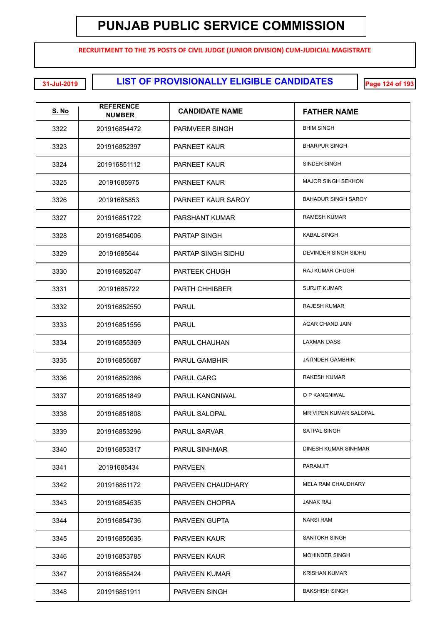**RECRUITMENT TO THE 75 POSTS OF CIVIL JUDGE (JUNIOR DIVISION) CUM-JUDICIAL MAGISTRATE**

**LIST OF PROVISIONALLY ELIGIBLE CANDIDATES 31-Jul-2019 Page 124 of 193**

| <u>S. No</u> | <b>REFERENCE</b><br><b>NUMBER</b> | <b>CANDIDATE NAME</b> | <b>FATHER NAME</b>         |
|--------------|-----------------------------------|-----------------------|----------------------------|
| 3322         | 201916854472                      | <b>PARMVEER SINGH</b> | <b>BHIM SINGH</b>          |
| 3323         | 201916852397                      | <b>PARNEET KAUR</b>   | <b>BHARPUR SINGH</b>       |
| 3324         | 201916851112                      | <b>PARNEET KAUR</b>   | SINDER SINGH               |
| 3325         | 20191685975                       | <b>PARNEET KAUR</b>   | <b>MAJOR SINGH SEKHON</b>  |
| 3326         | 20191685853                       | PARNEET KAUR SAROY    | <b>BAHADUR SINGH SAROY</b> |
| 3327         | 201916851722                      | PARSHANT KUMAR        | <b>RAMESH KUMAR</b>        |
| 3328         | 201916854006                      | <b>PARTAP SINGH</b>   | <b>KABAL SINGH</b>         |
| 3329         | 20191685644                       | PARTAP SINGH SIDHU    | DEVINDER SINGH SIDHU       |
| 3330         | 201916852047                      | PARTEEK CHUGH         | RAJ KUMAR CHUGH            |
| 3331         | 20191685722                       | <b>PARTH CHHIBBER</b> | <b>SURJIT KUMAR</b>        |
| 3332         | 201916852550                      | <b>PARUL</b>          | <b>RAJESH KUMAR</b>        |
| 3333         | 201916851556                      | <b>PARUL</b>          | AGAR CHAND JAIN            |
| 3334         | 201916855369                      | <b>PARUL CHAUHAN</b>  | LAXMAN DASS                |
| 3335         | 201916855587                      | <b>PARUL GAMBHIR</b>  | <b>JATINDER GAMBHIR</b>    |
| 3336         | 201916852386                      | <b>PARUL GARG</b>     | RAKESH KUMAR               |
| 3337         | 201916851849                      | PARUL KANGNIWAL       | O P KANGNIWAL              |
| 3338         | 201916851808                      | PARUL SALOPAL         | MR VIPEN KUMAR SALOPAL     |
| 3339         | 201916853296                      | <b>PARUL SARVAR</b>   | <b>SATPAL SINGH</b>        |
| 3340         | 201916853317                      | <b>PARUL SINHMAR</b>  | DINESH KUMAR SINHMAR       |
| 3341         | 20191685434                       | <b>PARVEEN</b>        | <b>PARAMJIT</b>            |
| 3342         | 201916851172                      | PARVEEN CHAUDHARY     | MELA RAM CHAUDHARY         |
| 3343         | 201916854535                      | PARVEEN CHOPRA        | <b>JANAK RAJ</b>           |
| 3344         | 201916854736                      | PARVEEN GUPTA         | <b>NARSI RAM</b>           |
| 3345         | 201916855635                      | <b>PARVEEN KAUR</b>   | SANTOKH SINGH              |
| 3346         | 201916853785                      | PARVEEN KAUR          | <b>MOHINDER SINGH</b>      |
| 3347         | 201916855424                      | <b>PARVEEN KUMAR</b>  | <b>KRISHAN KUMAR</b>       |
| 3348         | 201916851911                      | PARVEEN SINGH         | <b>BAKSHISH SINGH</b>      |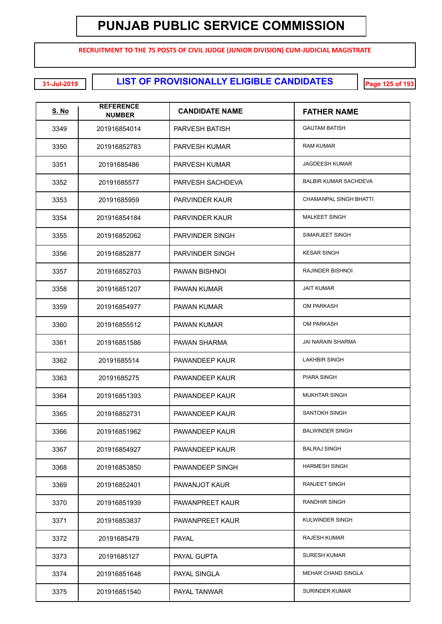**RECRUITMENT TO THE 75 POSTS OF CIVIL JUDGE (JUNIOR DIVISION) CUM-JUDICIAL MAGISTRATE**

**LIST OF PROVISIONALLY ELIGIBLE CANDIDATES 31-Jul-2019 Page 125 of 193**

| <u>S. No</u> | <b>REFERENCE</b><br><b>NUMBER</b> | <b>CANDIDATE NAME</b>  | <b>FATHER NAME</b>            |
|--------------|-----------------------------------|------------------------|-------------------------------|
| 3349         | 201916854014                      | <b>PARVESH BATISH</b>  | <b>GAUTAM BATISH</b>          |
| 3350         | 201916852783                      | PARVESH KUMAR          | <b>RAM KUMAR</b>              |
| 3351         | 20191685486                       | PARVESH KUMAR          | <b>JAGDEESH KUMAR</b>         |
| 3352         | 20191685577                       | PARVESH SACHDEVA       | <b>BALBIR KUMAR SACHDEVA</b>  |
| 3353         | 20191685959                       | PARVINDER KAUR         | <b>CHAMANPAL SINGH BHATTI</b> |
| 3354         | 201916854184                      | PARVINDER KAUR         | <b>MALKEET SINGH</b>          |
| 3355         | 201916852062                      | PARVINDER SINGH        | SIMARJEET SINGH               |
| 3356         | 201916852877                      | PARVINDER SINGH        | <b>KESAR SINGH</b>            |
| 3357         | 201916852703                      | PAWAN BISHNOI          | RAJINDER BISHNOI              |
| 3358         | 201916851207                      | <b>PAWAN KUMAR</b>     | <b>JAIT KUMAR</b>             |
| 3359         | 201916854977                      | PAWAN KUMAR            | <b>OM PARKASH</b>             |
| 3360         | 201916855512                      | PAWAN KUMAR            | <b>OM PARKASH</b>             |
| 3361         | 201916851586                      | PAWAN SHARMA           | JAI NARAIN SHARMA             |
| 3362         | 20191685514                       | PAWANDEEP KAUR         | <b>LAKHBIR SINGH</b>          |
| 3363         | 20191685275                       | PAWANDEEP KAUR         | PIARA SINGH                   |
| 3364         | 201916851393                      | PAWANDEEP KAUR         | <b>MUKHTAR SINGH</b>          |
| 3365         | 201916852731                      | PAWANDEEP KAUR         | SANTOKH SINGH                 |
| 3366         | 201916851962                      | PAWANDEEP KAUR         | <b>BALWINDER SINGH</b>        |
| 3367         | 201916854927                      | PAWANDEEP KAUR         | <b>BALRAJ SINGH</b>           |
| 3368         | 201916853850                      | PAWANDEEP SINGH        | <b>HARMESH SINGH</b>          |
| 3369         | 201916852401                      | PAWANJOT KAUR          | <b>RANJEET SINGH</b>          |
| 3370         | 201916851939                      | <b>PAWANPREET KAUR</b> | <b>RANDHIR SINGH</b>          |
| 3371         | 201916853837                      | <b>PAWANPREET KAUR</b> | KULWINDER SINGH               |
| 3372         | 20191685479                       | <b>PAYAL</b>           | <b>RAJESH KUMAR</b>           |
| 3373         | 20191685127                       | <b>PAYAL GUPTA</b>     | <b>SURESH KUMAR</b>           |
| 3374         | 201916851648                      | PAYAL SINGLA           | <b>MEHAR CHAND SINGLA</b>     |
| 3375         | 201916851540                      | PAYAL TANWAR           | <b>SURINDER KUMAR</b>         |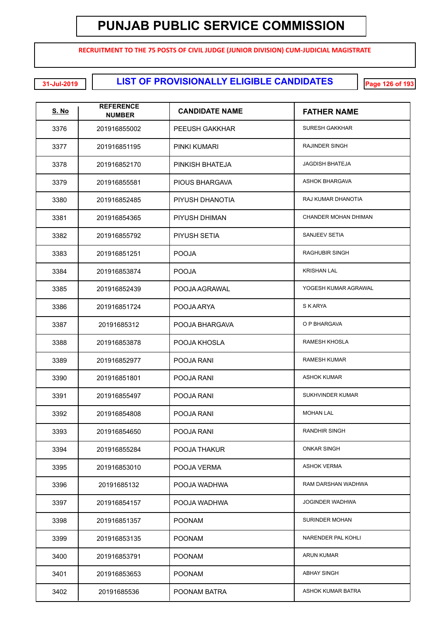**RECRUITMENT TO THE 75 POSTS OF CIVIL JUDGE (JUNIOR DIVISION) CUM-JUDICIAL MAGISTRATE**

**LIST OF PROVISIONALLY ELIGIBLE CANDIDATES 31-Jul-2019 Page 126 of 193**

| <u>S. No</u> | <b>REFERENCE</b><br><b>NUMBER</b> | <b>CANDIDATE NAME</b> | <b>FATHER NAME</b>     |
|--------------|-----------------------------------|-----------------------|------------------------|
| 3376         | 201916855002                      | PEEUSH GAKKHAR        | <b>SURESH GAKKHAR</b>  |
| 3377         | 201916851195                      | PINKI KUMARI          | <b>RAJINDER SINGH</b>  |
| 3378         | 201916852170                      | PINKISH BHATEJA       | <b>JAGDISH BHATEJA</b> |
| 3379         | 201916855581                      | PIOUS BHARGAVA        | <b>ASHOK BHARGAVA</b>  |
| 3380         | 201916852485                      | PIYUSH DHANOTIA       | RAJ KUMAR DHANOTIA     |
| 3381         | 201916854365                      | PIYUSH DHIMAN         | CHANDER MOHAN DHIMAN   |
| 3382         | 201916855792                      | PIYUSH SETIA          | SANJEEV SETIA          |
| 3383         | 201916851251                      | <b>POOJA</b>          | <b>RAGHUBIR SINGH</b>  |
| 3384         | 201916853874                      | <b>POOJA</b>          | <b>KRISHAN LAL</b>     |
| 3385         | 201916852439                      | POOJA AGRAWAL         | YOGESH KUMAR AGRAWAL   |
| 3386         | 201916851724                      | POOJA ARYA            | S K ARYA               |
| 3387         | 20191685312                       | POOJA BHARGAVA        | O P BHARGAVA           |
| 3388         | 201916853878                      | POOJA KHOSLA          | RAMESH KHOSLA          |
| 3389         | 201916852977                      | POOJA RANI            | <b>RAMESH KUMAR</b>    |
| 3390         | 201916851801                      | POOJA RANI            | <b>ASHOK KUMAR</b>     |
| 3391         | 201916855497                      | POOJA RANI            | SUKHVINDER KUMAR       |
| 3392         | 201916854808                      | POOJA RANI            | <b>MOHAN LAL</b>       |
| 3393         | 201916854650                      | POOJA RANI            | RANDHIR SINGH          |
| 3394         | 201916855284                      | POOJA THAKUR          | <b>ONKAR SINGH</b>     |
| 3395         | 201916853010                      | POOJA VERMA           | <b>ASHOK VERMA</b>     |
| 3396         | 20191685132                       | POOJA WADHWA          | RAM DARSHAN WADHWA     |
| 3397         | 201916854157                      | POOJA WADHWA          | <b>JOGINDER WADHWA</b> |
| 3398         | 201916851357                      | <b>POONAM</b>         | SURINDER MOHAN         |
| 3399         | 201916853135                      | <b>POONAM</b>         | NARENDER PAL KOHLI     |
| 3400         | 201916853791                      | <b>POONAM</b>         | <b>ARUN KUMAR</b>      |
| 3401         | 201916853653                      | <b>POONAM</b>         | <b>ABHAY SINGH</b>     |
| 3402         | 20191685536                       | POONAM BATRA          | ASHOK KUMAR BATRA      |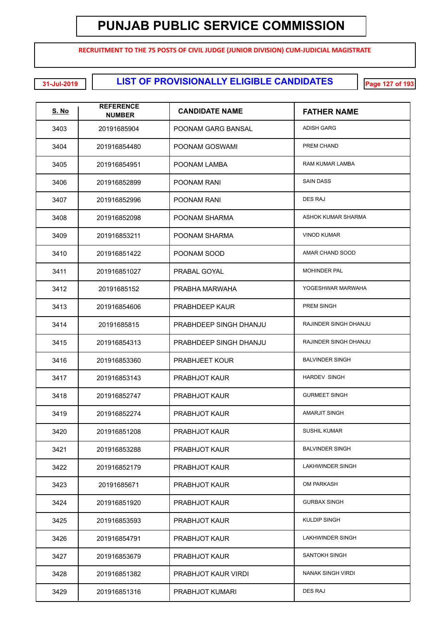**RECRUITMENT TO THE 75 POSTS OF CIVIL JUDGE (JUNIOR DIVISION) CUM-JUDICIAL MAGISTRATE**

**LIST OF PROVISIONALLY ELIGIBLE CANDIDATES 31-Jul-2019 Page 127 of 193**

| <b>S. No</b> | <b>REFERENCE</b><br><b>NUMBER</b> | <b>CANDIDATE NAME</b>  | <b>FATHER NAME</b>       |
|--------------|-----------------------------------|------------------------|--------------------------|
| 3403         | 20191685904                       | POONAM GARG BANSAL     | <b>ADISH GARG</b>        |
| 3404         | 201916854480                      | POONAM GOSWAMI         | PREM CHAND               |
| 3405         | 201916854951                      | POONAM LAMBA           | RAM KUMAR LAMBA          |
| 3406         | 201916852899                      | POONAM RANI            | <b>SAIN DASS</b>         |
| 3407         | 201916852996                      | POONAM RANI            | <b>DES RAJ</b>           |
| 3408         | 201916852098                      | POONAM SHARMA          | ASHOK KUMAR SHARMA       |
| 3409         | 201916853211                      | POONAM SHARMA          | <b>VINOD KUMAR</b>       |
| 3410         | 201916851422                      | POONAM SOOD            | AMAR CHAND SOOD          |
| 3411         | 201916851027                      | PRABAL GOYAL           | MOHINDER PAL             |
| 3412         | 20191685152                       | PRABHA MARWAHA         | YOGESHWAR MARWAHA        |
| 3413         | 201916854606                      | PRABHDEEP KAUR         | PREM SINGH               |
| 3414         | 20191685815                       | PRABHDEEP SINGH DHANJU | RAJINDER SINGH DHANJU    |
| 3415         | 201916854313                      | PRABHDEEP SINGH DHANJU | RAJINDER SINGH DHANJU    |
| 3416         | 201916853360                      | <b>PRABHJEET KOUR</b>  | <b>BALVINDER SINGH</b>   |
| 3417         | 201916853143                      | <b>PRABHJOT KAUR</b>   | <b>HARDEV SINGH</b>      |
| 3418         | 201916852747                      | <b>PRABHJOT KAUR</b>   | <b>GURMEET SINGH</b>     |
| 3419         | 201916852274                      | <b>PRABHJOT KAUR</b>   | <b>AMARJIT SINGH</b>     |
| 3420         | 201916851208                      | <b>PRABHJOT KAUR</b>   | <b>SUSHIL KUMAR</b>      |
| 3421         | 201916853288                      | <b>PRABHJOT KAUR</b>   | <b>BALVINDER SINGH</b>   |
| 3422         | 201916852179                      | <b>PRABHJOT KAUR</b>   | LAKHWINDER SINGH         |
| 3423         | 20191685671                       | <b>PRABHJOT KAUR</b>   | <b>OM PARKASH</b>        |
| 3424         | 201916851920                      | <b>PRABHJOT KAUR</b>   | <b>GURBAX SINGH</b>      |
| 3425         | 201916853593                      | <b>PRABHJOT KAUR</b>   | <b>KULDIP SINGH</b>      |
| 3426         | 201916854791                      | <b>PRABHJOT KAUR</b>   | LAKHWINDER SINGH         |
| 3427         | 201916853679                      | <b>PRABHJOT KAUR</b>   | SANTOKH SINGH            |
| 3428         | 201916851382                      | PRABHJOT KAUR VIRDI    | <b>NANAK SINGH VIRDI</b> |
| 3429         | 201916851316                      | <b>PRABHJOT KUMARI</b> | <b>DES RAJ</b>           |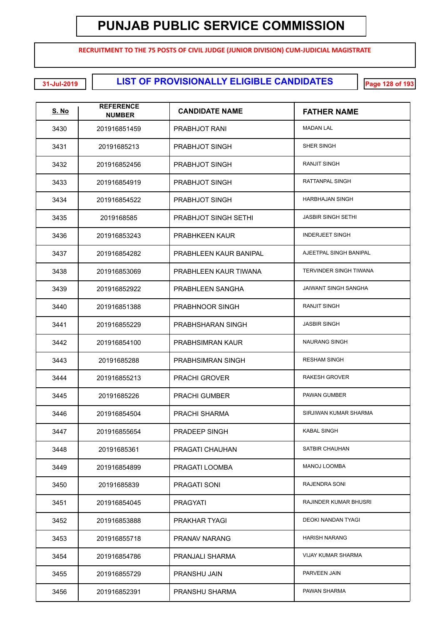**RECRUITMENT TO THE 75 POSTS OF CIVIL JUDGE (JUNIOR DIVISION) CUM-JUDICIAL MAGISTRATE**

**LIST OF PROVISIONALLY ELIGIBLE CANDIDATES 31-Jul-2019 Page 128 of 193**

| <u>S. No</u> | <b>REFERENCE</b><br><b>NUMBER</b> | <b>CANDIDATE NAME</b>   | <b>FATHER NAME</b>            |
|--------------|-----------------------------------|-------------------------|-------------------------------|
| 3430         | 201916851459                      | PRABHJOT RANI           | <b>MADAN LAL</b>              |
| 3431         | 20191685213                       | <b>PRABHJOT SINGH</b>   | SHER SINGH                    |
| 3432         | 201916852456                      | <b>PRABHJOT SINGH</b>   | <b>RANJIT SINGH</b>           |
| 3433         | 201916854919                      | PRABHJOT SINGH          | RATTANPAL SINGH               |
| 3434         | 201916854522                      | PRABHJOT SINGH          | <b>HARBHAJAN SINGH</b>        |
| 3435         | 2019168585                        | PRABHJOT SINGH SETHI    | <b>JASBIR SINGH SETHI</b>     |
| 3436         | 201916853243                      | <b>PRABHKEEN KAUR</b>   | <b>INDERJEET SINGH</b>        |
| 3437         | 201916854282                      | PRABHLEEN KAUR BANIPAL  | AJEETPAL SINGH BANIPAL        |
| 3438         | 201916853069                      | PRABHLEEN KAUR TIWANA   | <b>TERVINDER SINGH TIWANA</b> |
| 3439         | 201916852922                      | PRABHLEEN SANGHA        | <b>JAIWANT SINGH SANGHA</b>   |
| 3440         | 201916851388                      | PRABHNOOR SINGH         | <b>RANJIT SINGH</b>           |
| 3441         | 201916855229                      | PRABHSHARAN SINGH       | <b>JASBIR SINGH</b>           |
| 3442         | 201916854100                      | <b>PRABHSIMRAN KAUR</b> | <b>NAURANG SINGH</b>          |
| 3443         | 20191685288                       | PRABHSIMRAN SINGH       | <b>RESHAM SINGH</b>           |
| 3444         | 201916855213                      | <b>PRACHI GROVER</b>    | RAKESH GROVER                 |
| 3445         | 20191685226                       | <b>PRACHI GUMBER</b>    | PAWAN GUMBER                  |
| 3446         | 201916854504                      | PRACHI SHARMA           | SIRJIWAN KUMAR SHARMA         |
| 3447         | 201916855654                      | <b>PRADEEP SINGH</b>    | <b>KABAL SINGH</b>            |
| 3448         | 20191685361                       | PRAGATI CHAUHAN         | SATBIR CHAUHAN                |
| 3449         | 201916854899                      | PRAGATI LOOMBA          | MANOJ LOOMBA                  |
| 3450         | 20191685839                       | <b>PRAGATI SONI</b>     | RAJENDRA SONI                 |
| 3451         | 201916854045                      | <b>PRAGYATI</b>         | RAJINDER KUMAR BHUSRI         |
| 3452         | 201916853888                      | PRAKHAR TYAGI           | DEOKI NANDAN TYAGI            |
| 3453         | 201916855718                      | <b>PRANAV NARANG</b>    | <b>HARISH NARANG</b>          |
| 3454         | 201916854786                      | PRANJALI SHARMA         | VIJAY KUMAR SHARMA            |
| 3455         | 201916855729                      | PRANSHU JAIN            | PARVEEN JAIN                  |
| 3456         | 201916852391                      | PRANSHU SHARMA          | PAWAN SHARMA                  |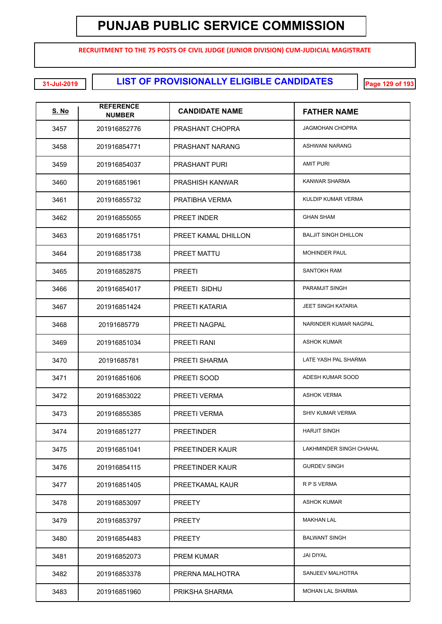**RECRUITMENT TO THE 75 POSTS OF CIVIL JUDGE (JUNIOR DIVISION) CUM-JUDICIAL MAGISTRATE**

**LIST OF PROVISIONALLY ELIGIBLE CANDIDATES 31-Jul-2019 Page 129 of 193**

| <u>S. No</u> | <b>REFERENCE</b><br><b>NUMBER</b> | <b>CANDIDATE NAME</b>  | <b>FATHER NAME</b>          |
|--------------|-----------------------------------|------------------------|-----------------------------|
| 3457         | 201916852776                      | PRASHANT CHOPRA        | <b>JAGMOHAN CHOPRA</b>      |
| 3458         | 201916854771                      | PRASHANT NARANG        | <b>ASHWANI NARANG</b>       |
| 3459         | 201916854037                      | <b>PRASHANT PURI</b>   | <b>AMIT PURI</b>            |
| 3460         | 201916851961                      | <b>PRASHISH KANWAR</b> | <b>KANWAR SHARMA</b>        |
| 3461         | 201916855732                      | PRATIBHA VERMA         | KULDIP KUMAR VERMA          |
| 3462         | 201916855055                      | <b>PREET INDER</b>     | <b>GHAN SHAM</b>            |
| 3463         | 201916851751                      | PREET KAMAL DHILLON    | <b>BALJIT SINGH DHILLON</b> |
| 3464         | 201916851738                      | PREET MATTU            | <b>MOHINDER PAUL</b>        |
| 3465         | 201916852875                      | <b>PREETI</b>          | <b>SANTOKH RAM</b>          |
| 3466         | 201916854017                      | PREETI SIDHU           | PARAMJIT SINGH              |
| 3467         | 201916851424                      | PREETI KATARIA         | <b>JEET SINGH KATARIA</b>   |
| 3468         | 20191685779                       | PREETI NAGPAL          | NARINDER KUMAR NAGPAL       |
| 3469         | 201916851034                      | PREETI RANI            | <b>ASHOK KUMAR</b>          |
| 3470         | 20191685781                       | PREETI SHARMA          | LATE YASH PAL SHARMA        |
| 3471         | 201916851606                      | PREETI SOOD            | ADESH KUMAR SOOD            |
| 3472         | 201916853022                      | PREETI VERMA           | <b>ASHOK VERMA</b>          |
| 3473         | 201916855385                      | PREETI VERMA           | SHIV KUMAR VERMA            |
| 3474         | 201916851277                      | <b>PREETINDER</b>      | <b>HARJIT SINGH</b>         |
| 3475         | 201916851041                      | PREETINDER KAUR        | LAKHMINDER SINGH CHAHAL     |
| 3476         | 201916854115                      | PREETINDER KAUR        | <b>GURDEV SINGH</b>         |
| 3477         | 201916851405                      | PREETKAMAL KAUR        | R P S VERMA                 |
| 3478         | 201916853097                      | <b>PREETY</b>          | <b>ASHOK KUMAR</b>          |
| 3479         | 201916853797                      | <b>PREETY</b>          | MAKHAN LAL                  |
| 3480         | 201916854483                      | <b>PREETY</b>          | <b>BALWANT SINGH</b>        |
| 3481         | 201916852073                      | <b>PREM KUMAR</b>      | <b>JAI DIYAL</b>            |
| 3482         | 201916853378                      | PRERNA MALHOTRA        | SANJEEV MALHOTRA            |
| 3483         | 201916851960                      | PRIKSHA SHARMA         | MOHAN LAL SHARMA            |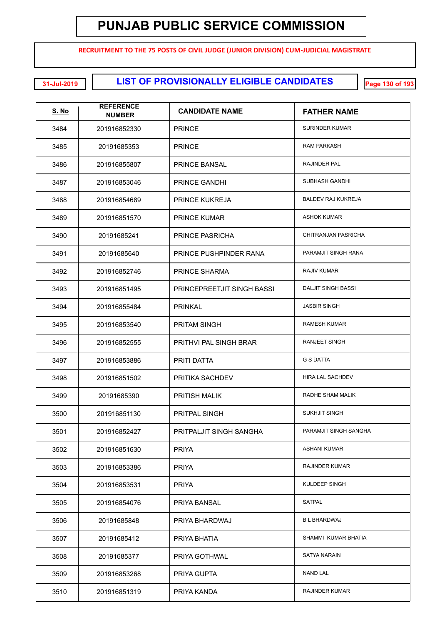**RECRUITMENT TO THE 75 POSTS OF CIVIL JUDGE (JUNIOR DIVISION) CUM-JUDICIAL MAGISTRATE**

**LIST OF PROVISIONALLY ELIGIBLE CANDIDATES 31-Jul-2019 Page 130 of 193**

| <b>S. No</b> | <b>REFERENCE</b><br><b>NUMBER</b> | <b>CANDIDATE NAME</b>             | <b>FATHER NAME</b>        |
|--------------|-----------------------------------|-----------------------------------|---------------------------|
| 3484         | 201916852330                      | <b>PRINCE</b>                     | <b>SURINDER KUMAR</b>     |
| 3485         | 20191685353                       | <b>PRINCE</b>                     | <b>RAM PARKASH</b>        |
| 3486         | 201916855807                      | <b>PRINCE BANSAL</b>              | <b>RAJINDER PAL</b>       |
| 3487         | 201916853046                      | PRINCE GANDHI                     | SUBHASH GANDHI            |
| 3488         | 201916854689                      | <b>PRINCE KUKREJA</b>             | <b>BALDEV RAJ KUKREJA</b> |
| 3489         | 201916851570                      | <b>PRINCE KUMAR</b>               | <b>ASHOK KUMAR</b>        |
| 3490         | 20191685241                       | PRINCE PASRICHA                   | CHITRANJAN PASRICHA       |
| 3491         | 20191685640                       | PRINCE PUSHPINDER RANA            | PARAMJIT SINGH RANA       |
| 3492         | 201916852746                      | PRINCE SHARMA                     | <b>RAJIV KUMAR</b>        |
| 3493         | 201916851495                      | <b>PRINCEPREETJIT SINGH BASSI</b> | <b>DALJIT SINGH BASSI</b> |
| 3494         | 201916855484                      | <b>PRINKAL</b>                    | <b>JASBIR SINGH</b>       |
| 3495         | 201916853540                      | <b>PRITAM SINGH</b>               | <b>RAMESH KUMAR</b>       |
| 3496         | 201916852555                      | PRITHVI PAL SINGH BRAR            | RANJEET SINGH             |
| 3497         | 201916853886                      | PRITI DATTA                       | <b>G S DATTA</b>          |
| 3498         | 201916851502                      | PRITIKA SACHDEV                   | <b>HIRA LAL SACHDEV</b>   |
| 3499         | 20191685390                       | <b>PRITISH MALIK</b>              | RADHE SHAM MALIK          |
| 3500         | 201916851130                      | PRITPAL SINGH                     | <b>SUKHJIT SINGH</b>      |
| 3501         | 201916852427                      | PRITPALJIT SINGH SANGHA           | PARAMJIT SINGH SANGHA     |
| 3502         | 201916851630                      | <b>PRIYA</b>                      | <b>ASHANI KUMAR</b>       |
| 3503         | 201916853386                      | <b>PRIYA</b>                      | RAJINDER KUMAR            |
| 3504         | 201916853531                      | <b>PRIYA</b>                      | KULDEEP SINGH             |
| 3505         | 201916854076                      | PRIYA BANSAL                      | <b>SATPAL</b>             |
| 3506         | 20191685848                       | PRIYA BHARDWAJ                    | <b>B L BHARDWAJ</b>       |
| 3507         | 20191685412                       | PRIYA BHATIA                      | SHAMMI KUMAR BHATIA       |
| 3508         | 20191685377                       | PRIYA GOTHWAL                     | <b>SATYA NARAIN</b>       |
| 3509         | 201916853268                      | PRIYA GUPTA                       | <b>NAND LAL</b>           |
| 3510         | 201916851319                      | PRIYA KANDA                       | RAJINDER KUMAR            |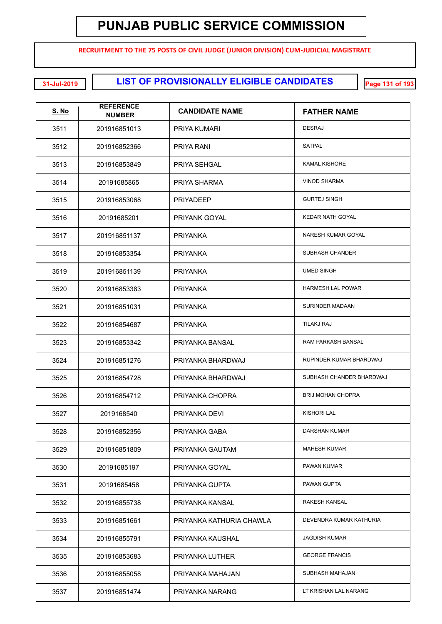**RECRUITMENT TO THE 75 POSTS OF CIVIL JUDGE (JUNIOR DIVISION) CUM-JUDICIAL MAGISTRATE**

**EXECUTE: 11-Jul-2019 120 131 of DIST OF PROVISIONALLY ELIGIBLE CANDIDATES** 

| <u>S. No</u> | <b>REFERENCE</b><br><b>NUMBER</b> | <b>CANDIDATE NAME</b>    | <b>FATHER NAME</b>       |
|--------------|-----------------------------------|--------------------------|--------------------------|
| 3511         | 201916851013                      | PRIYA KUMARI             | <b>DESRAJ</b>            |
| 3512         | 201916852366                      | PRIYA RANI               | <b>SATPAL</b>            |
| 3513         | 201916853849                      | PRIYA SEHGAL             | <b>KAMAL KISHORE</b>     |
| 3514         | 20191685865                       | PRIYA SHARMA             | <b>VINOD SHARMA</b>      |
| 3515         | 201916853068                      | <b>PRIYADEEP</b>         | <b>GURTEJ SINGH</b>      |
| 3516         | 20191685201                       | PRIYANK GOYAL            | KEDAR NATH GOYAL         |
| 3517         | 201916851137                      | PRIYANKA                 | NARESH KUMAR GOYAL       |
| 3518         | 201916853354                      | PRIYANKA                 | <b>SUBHASH CHANDER</b>   |
| 3519         | 201916851139                      | <b>PRIYANKA</b>          | <b>UMED SINGH</b>        |
| 3520         | 201916853383                      | PRIYANKA                 | <b>HARMESH LAL POWAR</b> |
| 3521         | 201916851031                      | PRIYANKA                 | SURINDER MADAAN          |
| 3522         | 201916854687                      | PRIYANKA                 | TILAKJ RAJ               |
| 3523         | 201916853342                      | PRIYANKA BANSAL          | RAM PARKASH BANSAL       |
| 3524         | 201916851276                      | PRIYANKA BHARDWAJ        | RUPINDER KUMAR BHARDWAJ  |
| 3525         | 201916854728                      | PRIYANKA BHARDWAJ        | SUBHASH CHANDER BHARDWAJ |
| 3526         | 201916854712                      | PRIYANKA CHOPRA          | <b>BRIJ MOHAN CHOPRA</b> |
| 3527         | 2019168540                        | PRIYANKA DEVI            | <b>KISHORI LAL</b>       |
| 3528         | 201916852356                      | PRIYANKA GABA            | <b>DARSHAN KUMAR</b>     |
| 3529         | 201916851809                      | PRIYANKA GAUTAM          | <b>MAHESH KUMAR</b>      |
| 3530         | 20191685197                       | PRIYANKA GOYAL           | PAWAN KUMAR              |
| 3531         | 20191685458                       | PRIYANKA GUPTA           | PAWAN GUPTA              |
| 3532         | 201916855738                      | PRIYANKA KANSAL          | <b>RAKESH KANSAL</b>     |
| 3533         | 201916851661                      | PRIYANKA KATHURIA CHAWLA | DEVENDRA KUMAR KATHURIA  |
| 3534         | 201916855791                      | PRIYANKA KAUSHAL         | <b>JAGDISH KUMAR</b>     |
| 3535         | 201916853683                      | PRIYANKA LUTHER          | <b>GEORGE FRANCIS</b>    |
| 3536         | 201916855058                      | PRIYANKA MAHAJAN         | SUBHASH MAHAJAN          |
| 3537         | 201916851474                      | PRIYANKA NARANG          | LT KRISHAN LAL NARANG    |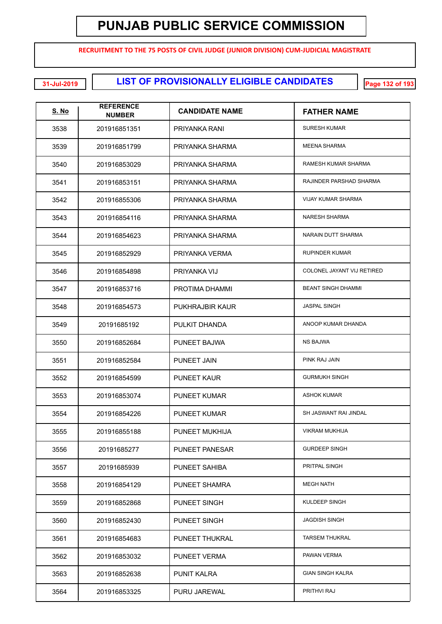**RECRUITMENT TO THE 75 POSTS OF CIVIL JUDGE (JUNIOR DIVISION) CUM-JUDICIAL MAGISTRATE**

**LIST OF PROVISIONALLY ELIGIBLE CANDIDATES 31-Jul-2019 Page 132 of 193**

| <b>S. No</b> | <b>REFERENCE</b><br><b>NUMBER</b> | <b>CANDIDATE NAME</b> | <b>FATHER NAME</b>         |
|--------------|-----------------------------------|-----------------------|----------------------------|
| 3538         | 201916851351                      | PRIYANKA RANI         | <b>SURESH KUMAR</b>        |
| 3539         | 201916851799                      | PRIYANKA SHARMA       | <b>MEENA SHARMA</b>        |
| 3540         | 201916853029                      | PRIYANKA SHARMA       | RAMESH KUMAR SHARMA        |
| 3541         | 201916853151                      | PRIYANKA SHARMA       | RAJINDER PARSHAD SHARMA    |
| 3542         | 201916855306                      | PRIYANKA SHARMA       | <b>VIJAY KUMAR SHARMA</b>  |
| 3543         | 201916854116                      | PRIYANKA SHARMA       | <b>NARESH SHARMA</b>       |
| 3544         | 201916854623                      | PRIYANKA SHARMA       | NARAIN DUTT SHARMA         |
| 3545         | 201916852929                      | PRIYANKA VERMA        | <b>RUPINDER KUMAR</b>      |
| 3546         | 201916854898                      | PRIYANKA VIJ          | COLONEL JAYANT VIJ RETIRED |
| 3547         | 201916853716                      | PROTIMA DHAMMI        | <b>BEANT SINGH DHAMMI</b>  |
| 3548         | 201916854573                      | PUKHRAJBIR KAUR       | <b>JASPAL SINGH</b>        |
| 3549         | 20191685192                       | PULKIT DHANDA         | ANOOP KUMAR DHANDA         |
| 3550         | 201916852684                      | PUNEET BAJWA          | <b>NS BAJWA</b>            |
| 3551         | 201916852584                      | <b>PUNEET JAIN</b>    | PINK RAJ JAIN              |
| 3552         | 201916854599                      | <b>PUNEET KAUR</b>    | <b>GURMUKH SINGH</b>       |
| 3553         | 201916853074                      | <b>PUNEET KUMAR</b>   | <b>ASHOK KUMAR</b>         |
| 3554         | 201916854226                      | <b>PUNEET KUMAR</b>   | SH JASWANT RAI JINDAL      |
| 3555         | 201916855188                      | PUNEET MUKHIJA        | <b>VIKRAM MUKHIJA</b>      |
| 3556         | 20191685277                       | PUNEET PANESAR        | <b>GURDEEP SINGH</b>       |
| 3557         | 20191685939                       | PUNEET SAHIBA         | PRITPAL SINGH              |
| 3558         | 201916854129                      | PUNEET SHAMRA         | <b>MEGH NATH</b>           |
| 3559         | 201916852868                      | PUNEET SINGH          | KULDEEP SINGH              |
| 3560         | 201916852430                      | PUNEET SINGH          | <b>JAGDISH SINGH</b>       |
| 3561         | 201916854683                      | PUNEET THUKRAL        | <b>TARSEM THUKRAL</b>      |
| 3562         | 201916853032                      | PUNEET VERMA          | PAWAN VERMA                |
| 3563         | 201916852638                      | <b>PUNIT KALRA</b>    | <b>GIAN SINGH KALRA</b>    |
| 3564         | 201916853325                      | PURU JAREWAL          | PRITHVI RAJ                |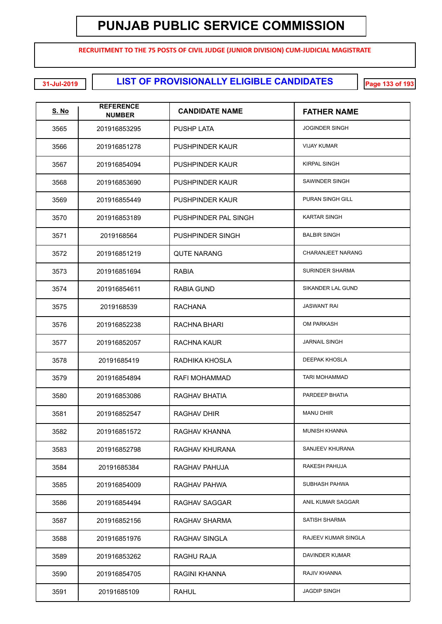**RECRUITMENT TO THE 75 POSTS OF CIVIL JUDGE (JUNIOR DIVISION) CUM-JUDICIAL MAGISTRATE**

| <u>S. No</u> | <b>REFERENCE</b><br><b>NUMBER</b> | <b>CANDIDATE NAME</b>   | <b>FATHER NAME</b>       |
|--------------|-----------------------------------|-------------------------|--------------------------|
| 3565         | 201916853295                      | <b>PUSHP LATA</b>       | <b>JOGINDER SINGH</b>    |
| 3566         | 201916851278                      | <b>PUSHPINDER KAUR</b>  | <b>VIJAY KUMAR</b>       |
| 3567         | 201916854094                      | <b>PUSHPINDER KAUR</b>  | <b>KIRPAL SINGH</b>      |
| 3568         | 201916853690                      | <b>PUSHPINDER KAUR</b>  | SAWINDER SINGH           |
| 3569         | 201916855449                      | <b>PUSHPINDER KAUR</b>  | PURAN SINGH GILL         |
| 3570         | 201916853189                      | PUSHPINDER PAL SINGH    | <b>KARTAR SINGH</b>      |
| 3571         | 2019168564                        | <b>PUSHPINDER SINGH</b> | <b>BALBIR SINGH</b>      |
| 3572         | 201916851219                      | <b>QUTE NARANG</b>      | <b>CHARANJEET NARANG</b> |
| 3573         | 201916851694                      | <b>RABIA</b>            | <b>SURINDER SHARMA</b>   |
| 3574         | 201916854611                      | <b>RABIA GUND</b>       | SIKANDER LAL GUND        |
| 3575         | 2019168539                        | RACHANA                 | <b>JASWANT RAI</b>       |
| 3576         | 201916852238                      | RACHNA BHARI            | <b>OM PARKASH</b>        |
| 3577         | 201916852057                      | <b>RACHNA KAUR</b>      | <b>JARNAIL SINGH</b>     |
| 3578         | 20191685419                       | RADHIKA KHOSLA          | <b>DEEPAK KHOSLA</b>     |
| 3579         | 201916854894                      | <b>RAFI MOHAMMAD</b>    | <b>TARI MOHAMMAD</b>     |
| 3580         | 201916853086                      | RAGHAV BHATIA           | PARDEEP BHATIA           |
| 3581         | 201916852547                      | <b>RAGHAV DHIR</b>      | <b>MANU DHIR</b>         |
| 3582         | 201916851572                      | RAGHAV KHANNA           | <b>MUNISH KHANNA</b>     |
| 3583         | 201916852798                      | RAGHAV KHURANA          | SANJEEV KHURANA          |
| 3584         | 20191685384                       | RAGHAV PAHUJA           | RAKESH PAHUJA            |
| 3585         | 201916854009                      | RAGHAV PAHWA            | SUBHASH PAHWA            |
| 3586         | 201916854494                      | <b>RAGHAV SAGGAR</b>    | ANIL KUMAR SAGGAR        |
| 3587         | 201916852156                      | RAGHAV SHARMA           | SATISH SHARMA            |
| 3588         | 201916851976                      | <b>RAGHAV SINGLA</b>    | RAJEEV KUMAR SINGLA      |
| 3589         | 201916853262                      | RAGHU RAJA              | DAVINDER KUMAR           |
| 3590         | 201916854705                      | RAGINI KHANNA           | RAJIV KHANNA             |
| 3591         | 20191685109                       | <b>RAHUL</b>            | <b>JAGDIP SINGH</b>      |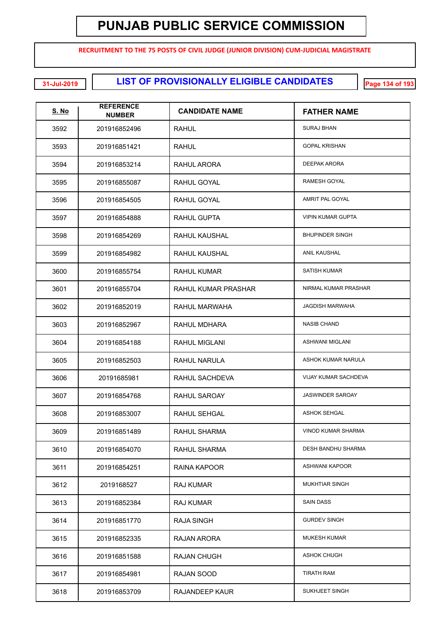**RECRUITMENT TO THE 75 POSTS OF CIVIL JUDGE (JUNIOR DIVISION) CUM-JUDICIAL MAGISTRATE**

**LIST OF PROVISIONALLY ELIGIBLE CANDIDATES 31-Jul-2019 Page 134 of 193**

| <u>S. No</u> | <b>REFERENCE</b><br><b>NUMBER</b> | <b>CANDIDATE NAME</b> | <b>FATHER NAME</b>        |
|--------------|-----------------------------------|-----------------------|---------------------------|
| 3592         | 201916852496                      | <b>RAHUL</b>          | <b>SURAJ BHAN</b>         |
| 3593         | 201916851421                      | <b>RAHUL</b>          | <b>GOPAL KRISHAN</b>      |
| 3594         | 201916853214                      | RAHUL ARORA           | <b>DEEPAK ARORA</b>       |
| 3595         | 201916855087                      | RAHUL GOYAL           | RAMESH GOYAL              |
| 3596         | 201916854505                      | RAHUL GOYAL           | AMRIT PAL GOYAL           |
| 3597         | 201916854888                      | RAHUL GUPTA           | <b>VIPIN KUMAR GUPTA</b>  |
| 3598         | 201916854269                      | <b>RAHUL KAUSHAL</b>  | <b>BHUPINDER SINGH</b>    |
| 3599         | 201916854982                      | <b>RAHUL KAUSHAL</b>  | <b>ANIL KAUSHAL</b>       |
| 3600         | 201916855754                      | <b>RAHUL KUMAR</b>    | <b>SATISH KUMAR</b>       |
| 3601         | 201916855704                      | RAHUL KUMAR PRASHAR   | NIRMAL KUMAR PRASHAR      |
| 3602         | 201916852019                      | RAHUL MARWAHA         | <b>JAGDISH MARWAHA</b>    |
| 3603         | 201916852967                      | RAHUL MDHARA          | <b>NASIB CHAND</b>        |
| 3604         | 201916854188                      | <b>RAHUL MIGLANI</b>  | <b>ASHWANI MIGLANI</b>    |
| 3605         | 201916852503                      | RAHUL NARULA          | ASHOK KUMAR NARULA        |
| 3606         | 20191685981                       | RAHUL SACHDEVA        | VIJAY KUMAR SACHDEVA      |
| 3607         | 201916854768                      | RAHUL SAROAY          | <b>JASWINDER SAROAY</b>   |
| 3608         | 201916853007                      | <b>RAHUL SEHGAL</b>   | <b>ASHOK SEHGAL</b>       |
| 3609         | 201916851489                      | RAHUL SHARMA          | <b>VINOD KUMAR SHARMA</b> |
| 3610         | 201916854070                      | <b>RAHUL SHARMA</b>   | DESH BANDHU SHARMA        |
| 3611         | 201916854251                      | RAINA KAPOOR          | <b>ASHWANI KAPOOR</b>     |
| 3612         | 2019168527                        | RAJ KUMAR             | <b>MUKHTIAR SINGH</b>     |
| 3613         | 201916852384                      | <b>RAJ KUMAR</b>      | <b>SAIN DASS</b>          |
| 3614         | 201916851770                      | <b>RAJA SINGH</b>     | <b>GURDEV SINGH</b>       |
| 3615         | 201916852335                      | RAJAN ARORA           | <b>MUKESH KUMAR</b>       |
| 3616         | 201916851588                      | <b>RAJAN CHUGH</b>    | <b>ASHOK CHUGH</b>        |
| 3617         | 201916854981                      | RAJAN SOOD            | <b>TIRATH RAM</b>         |
| 3618         | 201916853709                      | RAJANDEEP KAUR        | SUKHJEET SINGH            |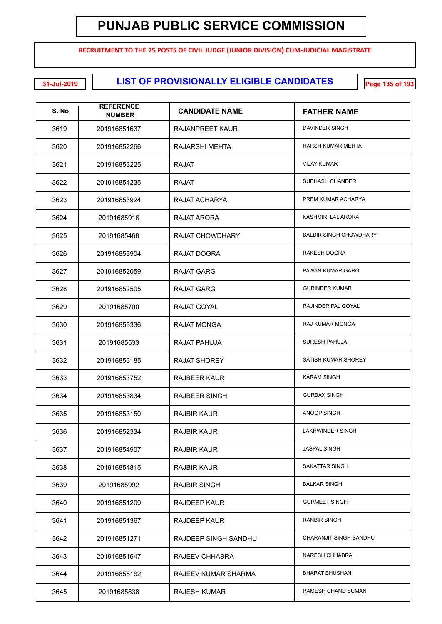**RECRUITMENT TO THE 75 POSTS OF CIVIL JUDGE (JUNIOR DIVISION) CUM-JUDICIAL MAGISTRATE**

**LIST OF PROVISIONALLY ELIGIBLE CANDIDATES 31-Jul-2019 Page 135 of 193**

| <u>S. No</u> | <b>REFERENCE</b><br><b>NUMBER</b> | <b>CANDIDATE NAME</b>  | <b>FATHER NAME</b>            |
|--------------|-----------------------------------|------------------------|-------------------------------|
| 3619         | 201916851637                      | RAJANPREET KAUR        | DAVINDER SINGH                |
| 3620         | 201916852266                      | <b>RAJARSHI MEHTA</b>  | <b>HARSH KUMAR MEHTA</b>      |
| 3621         | 201916853225                      | <b>RAJAT</b>           | <b>VIJAY KUMAR</b>            |
| 3622         | 201916854235                      | <b>RAJAT</b>           | SUBHASH CHANDER               |
| 3623         | 201916853924                      | RAJAT ACHARYA          | PREM KUMAR ACHARYA            |
| 3624         | 20191685916                       | RAJAT ARORA            | KASHMIRI LAL ARORA            |
| 3625         | 20191685468                       | <b>RAJAT CHOWDHARY</b> | <b>BALBIR SINGH CHOWDHARY</b> |
| 3626         | 201916853904                      | RAJAT DOGRA            | <b>RAKESH DOGRA</b>           |
| 3627         | 201916852059                      | <b>RAJAT GARG</b>      | PAWAN KUMAR GARG              |
| 3628         | 201916852505                      | RAJAT GARG             | <b>GURINDER KUMAR</b>         |
| 3629         | 20191685700                       | <b>RAJAT GOYAL</b>     | RAJINDER PAL GOYAL            |
| 3630         | 201916853336                      | RAJAT MONGA            | RAJ KUMAR MONGA               |
| 3631         | 20191685533                       | RAJAT PAHUJA           | <b>SURESH PAHUJA</b>          |
| 3632         | 201916853185                      | <b>RAJAT SHOREY</b>    | SATISH KUMAR SHOREY           |
| 3633         | 201916853752                      | <b>RAJBEER KAUR</b>    | <b>KARAM SINGH</b>            |
| 3634         | 201916853834                      | <b>RAJBEER SINGH</b>   | <b>GURBAX SINGH</b>           |
| 3635         | 201916853150                      | <b>RAJBIR KAUR</b>     | <b>ANOOP SINGH</b>            |
| 3636         | 201916852334                      | <b>RAJBIR KAUR</b>     | LAKHWINDER SINGH              |
| 3637         | 201916854907                      | <b>RAJBIR KAUR</b>     | <b>JASPAL SINGH</b>           |
| 3638         | 201916854815                      | <b>RAJBIR KAUR</b>     | SAKATTAR SINGH                |
| 3639         | 20191685992                       | <b>RAJBIR SINGH</b>    | <b>BALKAR SINGH</b>           |
| 3640         | 201916851209                      | <b>RAJDEEP KAUR</b>    | <b>GURMEET SINGH</b>          |
| 3641         | 201916851367                      | <b>RAJDEEP KAUR</b>    | <b>RANBIR SINGH</b>           |
| 3642         | 201916851271                      | RAJDEEP SINGH SANDHU   | CHARANJIT SINGH SANDHU        |
| 3643         | 201916851647                      | RAJEEV CHHABRA         | <b>NARESH CHHABRA</b>         |
| 3644         | 201916855182                      | RAJEEV KUMAR SHARMA    | <b>BHARAT BHUSHAN</b>         |
| 3645         | 20191685838                       | <b>RAJESH KUMAR</b>    | RAMESH CHAND SUMAN            |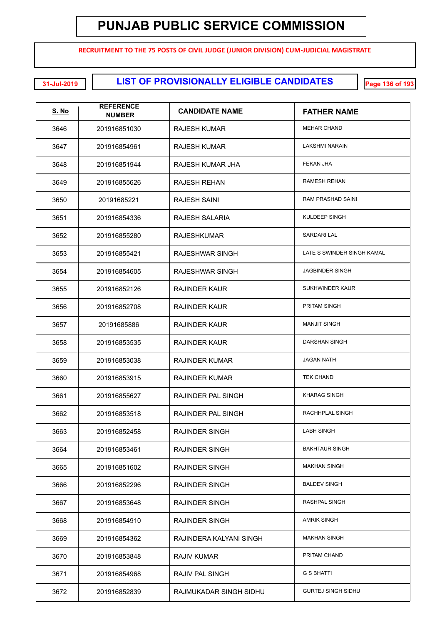**RECRUITMENT TO THE 75 POSTS OF CIVIL JUDGE (JUNIOR DIVISION) CUM-JUDICIAL MAGISTRATE**

**LIST OF PROVISIONALLY ELIGIBLE CANDIDATES 31-Jul-2019 Page 136 of 193**

| <u>S. No</u> | <b>REFERENCE</b><br><b>NUMBER</b> | <b>CANDIDATE NAME</b>   | <b>FATHER NAME</b>         |
|--------------|-----------------------------------|-------------------------|----------------------------|
| 3646         | 201916851030                      | RAJESH KUMAR            | <b>MEHAR CHAND</b>         |
| 3647         | 201916854961                      | RAJESH KUMAR            | <b>LAKSHMI NARAIN</b>      |
| 3648         | 201916851944                      | RAJESH KUMAR JHA        | FEKAN JHA                  |
| 3649         | 201916855626                      | RAJESH REHAN            | <b>RAMESH REHAN</b>        |
| 3650         | 20191685221                       | RAJESH SAINI            | RAM PRASHAD SAINI          |
| 3651         | 201916854336                      | RAJESH SALARIA          | KULDEEP SINGH              |
| 3652         | 201916855280                      | RAJESHKUMAR             | SARDARI LAL                |
| 3653         | 201916855421                      | RAJESHWAR SINGH         | LATE S SWINDER SINGH KAMAL |
| 3654         | 201916854605                      | RAJESHWAR SINGH         | <b>JAGBINDER SINGH</b>     |
| 3655         | 201916852126                      | RAJINDER KAUR           | SUKHWINDER KAUR            |
| 3656         | 201916852708                      | RAJINDER KAUR           | <b>PRITAM SINGH</b>        |
| 3657         | 20191685886                       | RAJINDER KAUR           | <b>MANJIT SINGH</b>        |
| 3658         | 201916853535                      | <b>RAJINDER KAUR</b>    | DARSHAN SINGH              |
| 3659         | 201916853038                      | RAJINDER KUMAR          | <b>JAGAN NATH</b>          |
| 3660         | 201916853915                      | RAJINDER KUMAR          | <b>TEK CHAND</b>           |
| 3661         | 201916855627                      | RAJINDER PAL SINGH      | <b>KHARAG SINGH</b>        |
| 3662         | 201916853518                      | RAJINDER PAL SINGH      | RACHHPLAL SINGH            |
| 3663         | 201916852458                      | RAJINDER SINGH          | <b>LABH SINGH</b>          |
| 3664         | 201916853461                      | <b>RAJINDER SINGH</b>   | <b>BAKHTAUR SINGH</b>      |
| 3665         | 201916851602                      | RAJINDER SINGH          | <b>MAKHAN SINGH</b>        |
| 3666         | 201916852296                      | RAJINDER SINGH          | <b>BALDEV SINGH</b>        |
| 3667         | 201916853648                      | <b>RAJINDER SINGH</b>   | RASHPAL SINGH              |
| 3668         | 201916854910                      | <b>RAJINDER SINGH</b>   | <b>AMRIK SINGH</b>         |
| 3669         | 201916854362                      | RAJINDERA KALYANI SINGH | <b>MAKHAN SINGH</b>        |
| 3670         | 201916853848                      | RAJIV KUMAR             | PRITAM CHAND               |
| 3671         | 201916854968                      | <b>RAJIV PAL SINGH</b>  | <b>G S BHATTI</b>          |
| 3672         | 201916852839                      | RAJMUKADAR SINGH SIDHU  | <b>GURTEJ SINGH SIDHU</b>  |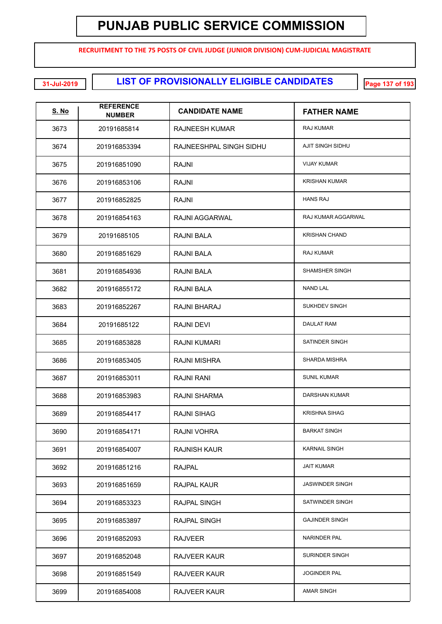**RECRUITMENT TO THE 75 POSTS OF CIVIL JUDGE (JUNIOR DIVISION) CUM-JUDICIAL MAGISTRATE**

**LIST OF PROVISIONALLY ELIGIBLE CANDIDATES 31-Jul-2019 Page 137 of 193**

| <b>S. No</b> | <b>REFERENCE</b><br><b>NUMBER</b> | <b>CANDIDATE NAME</b>   | <b>FATHER NAME</b>     |
|--------------|-----------------------------------|-------------------------|------------------------|
| 3673         | 20191685814                       | <b>RAJNEESH KUMAR</b>   | <b>RAJ KUMAR</b>       |
| 3674         | 201916853394                      | RAJNEESHPAL SINGH SIDHU | AJIT SINGH SIDHU       |
| 3675         | 201916851090                      | RAJNI                   | <b>VIJAY KUMAR</b>     |
| 3676         | 201916853106                      | RAJNI                   | <b>KRISHAN KUMAR</b>   |
| 3677         | 201916852825                      | RAJNI                   | <b>HANS RAJ</b>        |
| 3678         | 201916854163                      | <b>RAJNI AGGARWAL</b>   | RAJ KUMAR AGGARWAL     |
| 3679         | 20191685105                       | RAJNI BALA              | <b>KRISHAN CHAND</b>   |
| 3680         | 201916851629                      | <b>RAJNI BALA</b>       | RAJ KUMAR              |
| 3681         | 201916854936                      | <b>RAJNI BALA</b>       | SHAMSHER SINGH         |
| 3682         | 201916855172                      | <b>RAJNI BALA</b>       | <b>NAND LAL</b>        |
| 3683         | 201916852267                      | RAJNI BHARAJ            | SUKHDEV SINGH          |
| 3684         | 20191685122                       | <b>RAJNI DEVI</b>       | <b>DAULAT RAM</b>      |
| 3685         | 201916853828                      | <b>RAJNI KUMARI</b>     | SATINDER SINGH         |
| 3686         | 201916853405                      | <b>RAJNI MISHRA</b>     | SHARDA MISHRA          |
| 3687         | 201916853011                      | <b>RAJNI RANI</b>       | <b>SUNIL KUMAR</b>     |
| 3688         | 201916853983                      | <b>RAJNI SHARMA</b>     | <b>DARSHAN KUMAR</b>   |
| 3689         | 201916854417                      | <b>RAJNI SIHAG</b>      | <b>KRISHNA SIHAG</b>   |
| 3690         | 201916854171                      | RAJNI VOHRA             | <b>BARKAT SINGH</b>    |
| 3691         | 201916854007                      | <b>RAJNISH KAUR</b>     | <b>KARNAIL SINGH</b>   |
| 3692         | 201916851216                      | <b>RAJPAL</b>           | <b>JAIT KUMAR</b>      |
| 3693         | 201916851659                      | <b>RAJPAL KAUR</b>      | <b>JASWINDER SINGH</b> |
| 3694         | 201916853323                      | RAJPAL SINGH            | SATWINDER SINGH        |
| 3695         | 201916853897                      | RAJPAL SINGH            | <b>GAJINDER SINGH</b>  |
| 3696         | 201916852093                      | <b>RAJVEER</b>          | NARINDER PAL           |
| 3697         | 201916852048                      | RAJVEER KAUR            | SURINDER SINGH         |
| 3698         | 201916851549                      | RAJVEER KAUR            | <b>JOGINDER PAL</b>    |
| 3699         | 201916854008                      | RAJVEER KAUR            | <b>AMAR SINGH</b>      |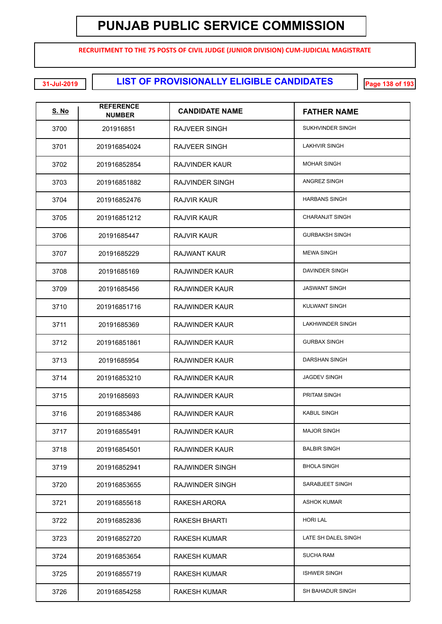**RECRUITMENT TO THE 75 POSTS OF CIVIL JUDGE (JUNIOR DIVISION) CUM-JUDICIAL MAGISTRATE**

**LIST OF PROVISIONALLY ELIGIBLE CANDIDATES 31-Jul-2019 Page 138 of 193**

| <u>S. No</u> | <b>REFERENCE</b><br><b>NUMBER</b> | <b>CANDIDATE NAME</b>  | <b>FATHER NAME</b>     |
|--------------|-----------------------------------|------------------------|------------------------|
| 3700         | 201916851                         | RAJVEER SINGH          | SUKHVINDER SINGH       |
| 3701         | 201916854024                      | RAJVEER SINGH          | <b>LAKHVIR SINGH</b>   |
| 3702         | 201916852854                      | RAJVINDER KAUR         | <b>MOHAR SINGH</b>     |
| 3703         | 201916851882                      | RAJVINDER SINGH        | ANGREZ SINGH           |
| 3704         | 201916852476                      | RAJVIR KAUR            | <b>HARBANS SINGH</b>   |
| 3705         | 201916851212                      | RAJVIR KAUR            | <b>CHARANJIT SINGH</b> |
| 3706         | 20191685447                       | RAJVIR KAUR            | <b>GURBAKSH SINGH</b>  |
| 3707         | 20191685229                       | RAJWANT KAUR           | <b>MEWA SINGH</b>      |
| 3708         | 20191685169                       | RAJWINDER KAUR         | DAVINDER SINGH         |
| 3709         | 20191685456                       | RAJWINDER KAUR         | <b>JASWANT SINGH</b>   |
| 3710         | 201916851716                      | RAJWINDER KAUR         | <b>KULWANT SINGH</b>   |
| 3711         | 20191685369                       | RAJWINDER KAUR         | LAKHWINDER SINGH       |
| 3712         | 201916851861                      | RAJWINDER KAUR         | <b>GURBAX SINGH</b>    |
| 3713         | 20191685954                       | <b>RAJWINDER KAUR</b>  | DARSHAN SINGH          |
| 3714         | 201916853210                      | RAJWINDER KAUR         | <b>JAGDEV SINGH</b>    |
| 3715         | 20191685693                       | RAJWINDER KAUR         | PRITAM SINGH           |
| 3716         | 201916853486                      | RAJWINDER KAUR         | <b>KABUL SINGH</b>     |
| 3717         | 201916855491                      | RAJWINDER KAUR         | <b>MAJOR SINGH</b>     |
| 3718         | 201916854501                      | RAJWINDER KAUR         | <b>BALBIR SINGH</b>    |
| 3719         | 201916852941                      | RAJWINDER SINGH        | <b>BHOLA SINGH</b>     |
| 3720         | 201916853655                      | <b>RAJWINDER SINGH</b> | SARABJEET SINGH        |
| 3721         | 201916855618                      | RAKESH ARORA           | <b>ASHOK KUMAR</b>     |
| 3722         | 201916852836                      | <b>RAKESH BHARTI</b>   | <b>HORI LAL</b>        |
| 3723         | 201916852720                      | RAKESH KUMAR           | LATE SH DALEL SINGH    |
| 3724         | 201916853654                      | RAKESH KUMAR           | <b>SUCHA RAM</b>       |
| 3725         | 201916855719                      | RAKESH KUMAR           | <b>ISHWER SINGH</b>    |
| 3726         | 201916854258                      | <b>RAKESH KUMAR</b>    | SH BAHADUR SINGH       |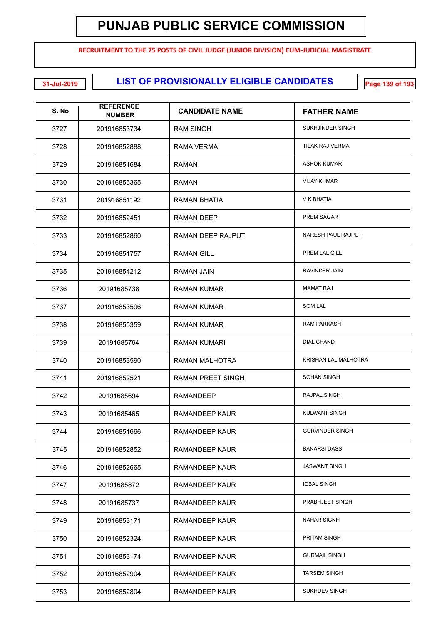**RECRUITMENT TO THE 75 POSTS OF CIVIL JUDGE (JUNIOR DIVISION) CUM-JUDICIAL MAGISTRATE**

**LIST OF PROVISIONALLY ELIGIBLE CANDIDATES 31-Jul-2019 Page 139 of 193**

| <u>S. No</u> | <b>REFERENCE</b><br><b>NUMBER</b> | <b>CANDIDATE NAME</b>    | <b>FATHER NAME</b>     |
|--------------|-----------------------------------|--------------------------|------------------------|
| 3727         | 201916853734                      | RAM SINGH                | SUKHJINDER SINGH       |
| 3728         | 201916852888                      | RAMA VERMA               | TILAK RAJ VERMA        |
| 3729         | 201916851684                      | RAMAN                    | <b>ASHOK KUMAR</b>     |
| 3730         | 201916855365                      | RAMAN                    | <b>VIJAY KUMAR</b>     |
| 3731         | 201916851192                      | RAMAN BHATIA             | V K BHATIA             |
| 3732         | 201916852451                      | RAMAN DEEP               | PREM SAGAR             |
| 3733         | 201916852860                      | <b>RAMAN DEEP RAJPUT</b> | NARESH PAUL RAJPUT     |
| 3734         | 201916851757                      | <b>RAMAN GILL</b>        | PREM LAL GILL          |
| 3735         | 201916854212                      | RAMAN JAIN               | RAVINDER JAIN          |
| 3736         | 20191685738                       | RAMAN KUMAR              | <b>MAMAT RAJ</b>       |
| 3737         | 201916853596                      | RAMAN KUMAR              | <b>SOM LAL</b>         |
| 3738         | 201916855359                      | RAMAN KUMAR              | <b>RAM PARKASH</b>     |
| 3739         | 20191685764                       | RAMAN KUMARI             | <b>DIAL CHAND</b>      |
| 3740         | 201916853590                      | RAMAN MALHOTRA           | KRISHAN LAL MALHOTRA   |
| 3741         | 201916852521                      | RAMAN PREET SINGH        | <b>SOHAN SINGH</b>     |
| 3742         | 20191685694                       | <b>RAMANDEEP</b>         | <b>RAJPAL SINGH</b>    |
| 3743         | 20191685465                       | RAMANDEEP KAUR           | KULWANT SINGH          |
| 3744         | 201916851666                      | RAMANDEEP KAUR           | <b>GURVINDER SINGH</b> |
| 3745         | 201916852852                      | RAMANDEEP KAUR           | <b>BANARSI DASS</b>    |
| 3746         | 201916852665                      | RAMANDEEP KAUR           | <b>JASWANT SINGH</b>   |
| 3747         | 20191685872                       | RAMANDEEP KAUR           | <b>IQBAL SINGH</b>     |
| 3748         | 20191685737                       | RAMANDEEP KAUR           | PRABHJEET SINGH        |
| 3749         | 201916853171                      | RAMANDEEP KAUR           | <b>NAHAR SIGNH</b>     |
| 3750         | 201916852324                      | RAMANDEEP KAUR           | PRITAM SINGH           |
| 3751         | 201916853174                      | RAMANDEEP KAUR           | <b>GURMAIL SINGH</b>   |
| 3752         | 201916852904                      | RAMANDEEP KAUR           | <b>TARSEM SINGH</b>    |
| 3753         | 201916852804                      | RAMANDEEP KAUR           | SUKHDEV SINGH          |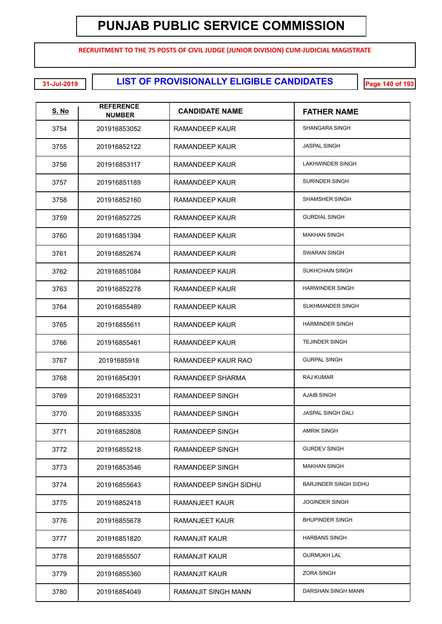**RECRUITMENT TO THE 75 POSTS OF CIVIL JUDGE (JUNIOR DIVISION) CUM-JUDICIAL MAGISTRATE**

**LIST OF PROVISIONALLY ELIGIBLE CANDIDATES 31-Jul-2019 Page 140 of 193**

| <u>S. No</u> | <b>REFERENCE</b><br><b>NUMBER</b> | <b>CANDIDATE NAME</b>      | <b>FATHER NAME</b>           |
|--------------|-----------------------------------|----------------------------|------------------------------|
| 3754         | 201916853052                      | RAMANDEEP KAUR             | <b>SHANGARA SINGH</b>        |
| 3755         | 201916852122                      | RAMANDEEP KAUR             | <b>JASPAL SINGH</b>          |
| 3756         | 201916853117                      | RAMANDEEP KAUR             | <b>LAKHWINDER SINGH</b>      |
| 3757         | 201916851189                      | RAMANDEEP KAUR             | <b>SURINDER SINGH</b>        |
| 3758         | 201916852160                      | RAMANDEEP KAUR             | <b>SHAMSHER SINGH</b>        |
| 3759         | 201916852725                      | RAMANDEEP KAUR             | <b>GURDIAL SINGH</b>         |
| 3760         | 201916851394                      | RAMANDEEP KAUR             | <b>MAKHAN SINGH</b>          |
| 3761         | 201916852674                      | RAMANDEEP KAUR             | <b>SWARAN SINGH</b>          |
| 3762         | 201916851084                      | RAMANDEEP KAUR             | <b>SUKHCHAIN SINGH</b>       |
| 3763         | 201916852278                      | RAMANDEEP KAUR             | <b>HARWINDER SINGH</b>       |
| 3764         | 201916855489                      | RAMANDEEP KAUR             | SUKHMANDER SINGH             |
| 3765         | 201916855611                      | RAMANDEEP KAUR             | <b>HARMINDER SINGH</b>       |
| 3766         | 201916855461                      | RAMANDEEP KAUR             | <b>TEJINDER SINGH</b>        |
| 3767         | 20191685918                       | RAMANDEEP KAUR RAO         | <b>GURPAL SINGH</b>          |
| 3768         | 201916854391                      | RAMANDEEP SHARMA           | <b>RAJ KUMAR</b>             |
| 3769         | 201916853231                      | RAMANDEEP SINGH            | <b>AJAIB SINGH</b>           |
| 3770         | 201916853335                      | RAMANDEEP SINGH            | JASPAL SINGH DALI            |
| 3771         | 201916852808                      | RAMANDEEP SINGH            | <b>AMRIK SINGH</b>           |
| 3772         | 201916855218                      | RAMANDEEP SINGH            | <b>GURDEV SINGH</b>          |
| 3773         | 201916853546                      | RAMANDEEP SINGH            | <b>MAKHAN SINGH</b>          |
| 3774         | 201916855643                      | RAMANDEEP SINGH SIDHU      | <b>BARJINDER SINGH SIDHU</b> |
| 3775         | 201916852418                      | <b>RAMANJEET KAUR</b>      | <b>JOGINDER SINGH</b>        |
| 3776         | 201916855678                      | <b>RAMANJEET KAUR</b>      | <b>BHUPINDER SINGH</b>       |
| 3777         | 201916851820                      | <b>RAMANJIT KAUR</b>       | <b>HARBANS SINGH</b>         |
| 3778         | 201916855507                      | <b>RAMANJIT KAUR</b>       | <b>GURMUKH LAL</b>           |
| 3779         | 201916855360                      | <b>RAMANJIT KAUR</b>       | <b>ZORA SINGH</b>            |
| 3780         | 201916854049                      | <b>RAMANJIT SINGH MANN</b> | DARSHAN SINGH MANN           |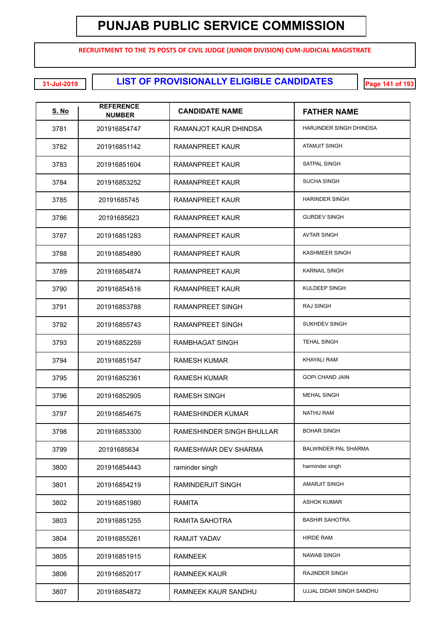**RECRUITMENT TO THE 75 POSTS OF CIVIL JUDGE (JUNIOR DIVISION) CUM-JUDICIAL MAGISTRATE**

**LIST OF PROVISIONALLY ELIGIBLE CANDIDATES 31-Jul-2019 Page 141 of 193**

| <u>S. No</u> | <b>REFERENCE</b><br><b>NUMBER</b> | <b>CANDIDATE NAME</b>     | <b>FATHER NAME</b>          |
|--------------|-----------------------------------|---------------------------|-----------------------------|
| 3781         | 201916854747                      | RAMANJOT KAUR DHINDSA     | HARJINDER SINGH DHINDSA     |
| 3782         | 201916851142                      | RAMANPREET KAUR           | <b>ATAMJIT SINGH</b>        |
| 3783         | 201916851604                      | RAMANPREET KAUR           | <b>SATPAL SINGH</b>         |
| 3784         | 201916853252                      | RAMANPREET KAUR           | <b>SUCHA SINGH</b>          |
| 3785         | 20191685745                       | RAMANPREET KAUR           | <b>HARINDER SINGH</b>       |
| 3786         | 20191685623                       | RAMANPREET KAUR           | <b>GURDEV SINGH</b>         |
| 3787         | 201916851283                      | RAMANPREET KAUR           | <b>AVTAR SINGH</b>          |
| 3788         | 201916854890                      | RAMANPREET KAUR           | <b>KASHMEER SINGH</b>       |
| 3789         | 201916854874                      | RAMANPREET KAUR           | <b>KARNAIL SINGH</b>        |
| 3790         | 201916854516                      | RAMANPREET KAUR           | KULDEEP SINGH               |
| 3791         | 201916853788                      | RAMANPREET SINGH          | <b>RAJ SINGH</b>            |
| 3792         | 201916855743                      | RAMANPREET SINGH          | SUKHDEV SINGH               |
| 3793         | 201916852259                      | RAMBHAGAT SINGH           | <b>TEHAL SINGH</b>          |
| 3794         | 201916851547                      | RAMESH KUMAR              | <b>KHAYALI RAM</b>          |
| 3795         | 201916852361                      | RAMESH KUMAR              | <b>GOPI CHAND JAIN</b>      |
| 3796         | 201916852905                      | RAMESH SINGH              | <b>MEHAL SINGH</b>          |
| 3797         | 201916854675                      | RAMESHINDER KUMAR         | NATHU RAM                   |
| 3798         | 201916853300                      | RAMESHINDER SINGH BHULLAR | <b>BOHAR SINGH</b>          |
| 3799         | 20191685634                       | RAMESHWAR DEV SHARMA      | <b>BALWINDER PAL SHARMA</b> |
| 3800         | 201916854443                      | raminder singh            | harminder singh             |
| 3801         | 201916854219                      | RAMINDERJIT SINGH         | <b>AMARJIT SINGH</b>        |
| 3802         | 201916851980                      | RAMITA                    | <b>ASHOK KUMAR</b>          |
| 3803         | 201916851255                      | RAMITA SAHOTRA            | <b>BASHIR SAHOTRA</b>       |
| 3804         | 201916855261                      | RAMJIT YADAV              | <b>HIRDE RAM</b>            |
| 3805         | 201916851915                      | <b>RAMNEEK</b>            | <b>NAWAB SINGH</b>          |
| 3806         | 201916852017                      | <b>RAMNEEK KAUR</b>       | RAJINDER SINGH              |
| 3807         | 201916854872                      | RAMNEEK KAUR SANDHU       | UJJAL DIDAR SINGH SANDHU    |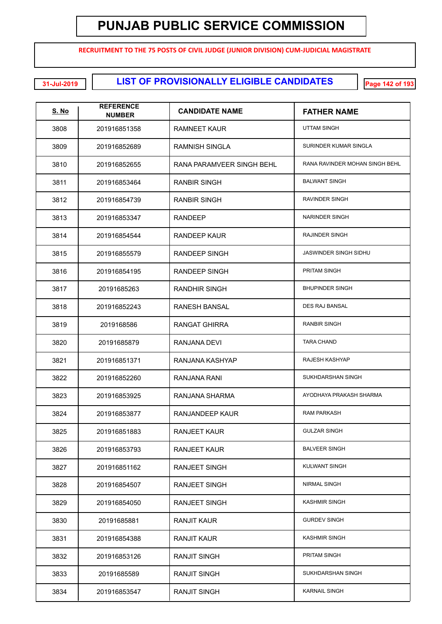**RECRUITMENT TO THE 75 POSTS OF CIVIL JUDGE (JUNIOR DIVISION) CUM-JUDICIAL MAGISTRATE**

**LIST OF PROVISIONALLY ELIGIBLE CANDIDATES 31-Jul-2019 Page 142 of 193**

| <u>S. No</u> | <b>REFERENCE</b><br><b>NUMBER</b> | <b>CANDIDATE NAME</b>     | <b>FATHER NAME</b>             |
|--------------|-----------------------------------|---------------------------|--------------------------------|
| 3808         | 201916851358                      | RAMNEET KAUR              | UTTAM SINGH                    |
| 3809         | 201916852689                      | RAMNISH SINGLA            | SURINDER KUMAR SINGLA          |
| 3810         | 201916852655                      | RANA PARAMVEER SINGH BEHL | RANA RAVINDER MOHAN SINGH BEHL |
| 3811         | 201916853464                      | <b>RANBIR SINGH</b>       | <b>BALWANT SINGH</b>           |
| 3812         | 201916854739                      | RANBIR SINGH              | RAVINDER SINGH                 |
| 3813         | 201916853347                      | <b>RANDEEP</b>            | NARINDER SINGH                 |
| 3814         | 201916854544                      | RANDEEP KAUR              | RAJINDER SINGH                 |
| 3815         | 201916855579                      | <b>RANDEEP SINGH</b>      | JASWINDER SINGH SIDHU          |
| 3816         | 201916854195                      | <b>RANDEEP SINGH</b>      | PRITAM SINGH                   |
| 3817         | 20191685263                       | <b>RANDHIR SINGH</b>      | <b>BHUPINDER SINGH</b>         |
| 3818         | 201916852243                      | <b>RANESH BANSAL</b>      | <b>DES RAJ BANSAL</b>          |
| 3819         | 2019168586                        | <b>RANGAT GHIRRA</b>      | <b>RANBIR SINGH</b>            |
| 3820         | 20191685879                       | RANJANA DEVI              | <b>TARA CHAND</b>              |
| 3821         | 201916851371                      | RANJANA KASHYAP           | RAJESH KASHYAP                 |
| 3822         | 201916852260                      | RANJANA RANI              | SUKHDARSHAN SINGH              |
| 3823         | 201916853925                      | RANJANA SHARMA            | AYODHAYA PRAKASH SHARMA        |
| 3824         | 201916853877                      | RANJANDEEP KAUR           | <b>RAM PARKASH</b>             |
| 3825         | 201916851883                      | RANJEET KAUR              | <b>GULZAR SINGH</b>            |
| 3826         | 201916853793                      | <b>RANJEET KAUR</b>       | <b>BALVEER SINGH</b>           |
| 3827         | 201916851162                      | <b>RANJEET SINGH</b>      | <b>KULWANT SINGH</b>           |
| 3828         | 201916854507                      | <b>RANJEET SINGH</b>      | NIRMAL SINGH                   |
| 3829         | 201916854050                      | <b>RANJEET SINGH</b>      | <b>KASHMIR SINGH</b>           |
| 3830         | 20191685881                       | <b>RANJIT KAUR</b>        | <b>GURDEV SINGH</b>            |
| 3831         | 201916854388                      | <b>RANJIT KAUR</b>        | <b>KASHMIR SINGH</b>           |
| 3832         | 201916853126                      | <b>RANJIT SINGH</b>       | PRITAM SINGH                   |
| 3833         | 20191685589                       | <b>RANJIT SINGH</b>       | SUKHDARSHAN SINGH              |
| 3834         | 201916853547                      | <b>RANJIT SINGH</b>       | <b>KARNAIL SINGH</b>           |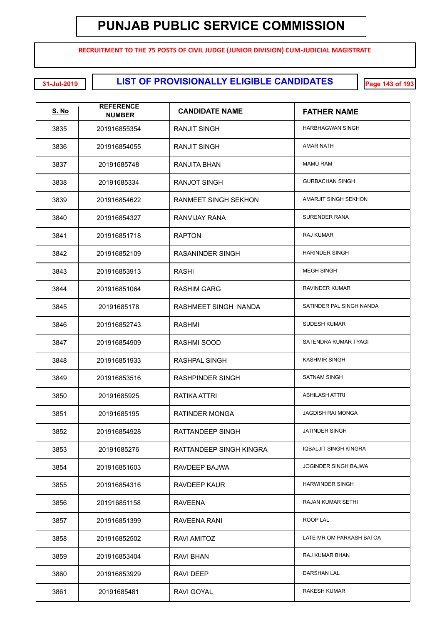**RECRUITMENT TO THE 75 POSTS OF CIVIL JUDGE (JUNIOR DIVISION) CUM-JUDICIAL MAGISTRATE**

**LIST OF PROVISIONALLY ELIGIBLE CANDIDATES 31-Jul-2019 Page 143 of 193**

| <u>S. No</u> | <b>REFERENCE</b><br><b>NUMBER</b> | <b>CANDIDATE NAME</b>       | <b>FATHER NAME</b>           |
|--------------|-----------------------------------|-----------------------------|------------------------------|
| 3835         | 201916855354                      | RANJIT SINGH                | <b>HARBHAGWAN SINGH</b>      |
| 3836         | 201916854055                      | RANJIT SINGH                | AMAR NATH                    |
| 3837         | 20191685748                       | RANJITA BHAN                | <b>MAMU RAM</b>              |
| 3838         | 20191685334                       | <b>RANJOT SINGH</b>         | <b>GURBACHAN SINGH</b>       |
| 3839         | 201916854622                      | <b>RANMEET SINGH SEKHON</b> | <b>AMARJIT SINGH SEKHON</b>  |
| 3840         | 201916854327                      | RANVIJAY RANA               | <b>SURENDER RANA</b>         |
| 3841         | 201916851718                      | <b>RAPTON</b>               | RAJ KUMAR                    |
| 3842         | 201916852109                      | RASANINDER SINGH            | <b>HARINDER SINGH</b>        |
| 3843         | 201916853913                      | <b>RASHI</b>                | <b>MEGH SINGH</b>            |
| 3844         | 201916851064                      | <b>RASHIM GARG</b>          | RAVINDER KUMAR               |
| 3845         | 20191685178                       | <b>RASHMEET SINGH NANDA</b> | SATINDER PAL SINGH NANDA     |
| 3846         | 201916852743                      | RASHMI                      | <b>SUDESH KUMAR</b>          |
| 3847         | 201916854909                      | RASHMI SOOD                 | SATENDRA KUMAR TYAGI         |
| 3848         | 201916851933                      | <b>RASHPAL SINGH</b>        | <b>KASHMIR SINGH</b>         |
| 3849         | 201916853516                      | <b>RASHPINDER SINGH</b>     | <b>SATNAM SINGH</b>          |
| 3850         | 20191685925                       | RATIKA ATTRI                | <b>ABHILASH ATTRI</b>        |
| 3851         | 20191685195                       | <b>RATINDER MONGA</b>       | <b>JAGDISH RAI MONGA</b>     |
| 3852         | 201916854928                      | RATTANDEEP SINGH            | <b>JATINDER SINGH</b>        |
| 3853         | 20191685276                       | RATTANDEEP SINGH KINGRA     | <b>IQBALJIT SINGH KINGRA</b> |
| 3854         | 201916851603                      | RAVDEEP BAJWA               | JOGINDER SINGH BAJWA         |
| 3855         | 201916854316                      | <b>RAVDEEP KAUR</b>         | <b>HARWINDER SINGH</b>       |
| 3856         | 201916851158                      | <b>RAVEENA</b>              | RAJAN KUMAR SETHI            |
| 3857         | 201916851399                      | RAVEENA RANI                | ROOP LAL                     |
| 3858         | 201916852502                      | RAVI AMITOZ                 | LATE MR OM PARKASH BATOA     |
| 3859         | 201916853404                      | <b>RAVI BHAN</b>            | RAJ KUMAR BHAN               |
| 3860         | 201916853929                      | <b>RAVI DEEP</b>            | DARSHAN LAL                  |
| 3861         | 20191685481                       | RAVI GOYAL                  | RAKESH KUMAR                 |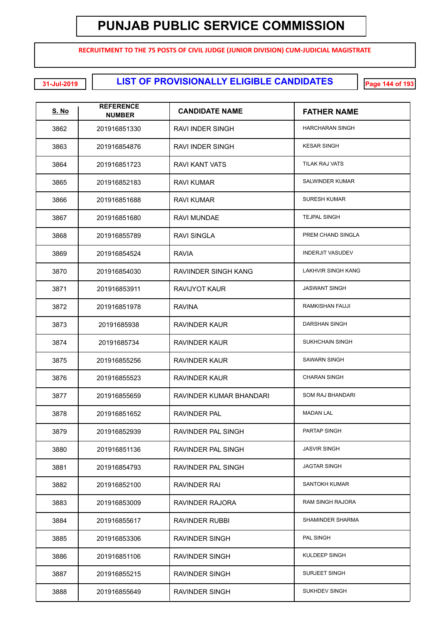**RECRUITMENT TO THE 75 POSTS OF CIVIL JUDGE (JUNIOR DIVISION) CUM-JUDICIAL MAGISTRATE**

**LIST OF PROVISIONALLY ELIGIBLE CANDIDATES 31-Jul-2019 Page 144 of 193**

| <u>S. No</u> | <b>REFERENCE</b><br><b>NUMBER</b> | <b>CANDIDATE NAME</b>   | <b>FATHER NAME</b>        |
|--------------|-----------------------------------|-------------------------|---------------------------|
| 3862         | 201916851330                      | RAVI INDER SINGH        | <b>HARCHARAN SINGH</b>    |
| 3863         | 201916854876                      | RAVI INDER SINGH        | <b>KESAR SINGH</b>        |
| 3864         | 201916851723                      | RAVI KANT VATS          | TILAK RAJ VATS            |
| 3865         | 201916852183                      | RAVI KUMAR              | SALWINDER KUMAR           |
| 3866         | 201916851688                      | RAVI KUMAR              | <b>SURESH KUMAR</b>       |
| 3867         | 201916851680                      | RAVI MUNDAE             | <b>TEJPAL SINGH</b>       |
| 3868         | 201916855789                      | <b>RAVI SINGLA</b>      | PREM CHAND SINGLA         |
| 3869         | 201916854524                      | <b>RAVIA</b>            | <b>INDERJIT VASUDEV</b>   |
| 3870         | 201916854030                      | RAVIINDER SINGH KANG    | <b>LAKHVIR SINGH KANG</b> |
| 3871         | 201916853911                      | <b>RAVIJYOT KAUR</b>    | <b>JASWANT SINGH</b>      |
| 3872         | 201916851978                      | <b>RAVINA</b>           | <b>RAMKISHAN FAUJI</b>    |
| 3873         | 20191685938                       | <b>RAVINDER KAUR</b>    | DARSHAN SINGH             |
| 3874         | 20191685734                       | <b>RAVINDER KAUR</b>    | <b>SUKHCHAIN SINGH</b>    |
| 3875         | 201916855256                      | <b>RAVINDER KAUR</b>    | <b>SAWARN SINGH</b>       |
| 3876         | 201916855523                      | <b>RAVINDER KAUR</b>    | <b>CHARAN SINGH</b>       |
| 3877         | 201916855659                      | RAVINDER KUMAR BHANDARI | SOM RAJ BHANDARI          |
| 3878         | 201916851652                      | <b>RAVINDER PAL</b>     | <b>MADAN LAL</b>          |
| 3879         | 201916852939                      | RAVINDER PAL SINGH      | PARTAP SINGH              |
| 3880         | 201916851136                      | RAVINDER PAL SINGH      | <b>JASVIR SINGH</b>       |
| 3881         | 201916854793                      | RAVINDER PAL SINGH      | <b>JAGTAR SINGH</b>       |
| 3882         | 201916852100                      | RAVINDER RAI            | <b>SANTOKH KUMAR</b>      |
| 3883         | 201916853009                      | <b>RAVINDER RAJORA</b>  | <b>RAM SINGH RAJORA</b>   |
| 3884         | 201916855617                      | RAVINDER RUBBI          | SHAMINDER SHARMA          |
| 3885         | 201916853306                      | RAVINDER SINGH          | PAL SINGH                 |
| 3886         | 201916851106                      | RAVINDER SINGH          | KULDEEP SINGH             |
| 3887         | 201916855215                      | RAVINDER SINGH          | SURJEET SINGH             |
| 3888         | 201916855649                      | RAVINDER SINGH          | SUKHDEV SINGH             |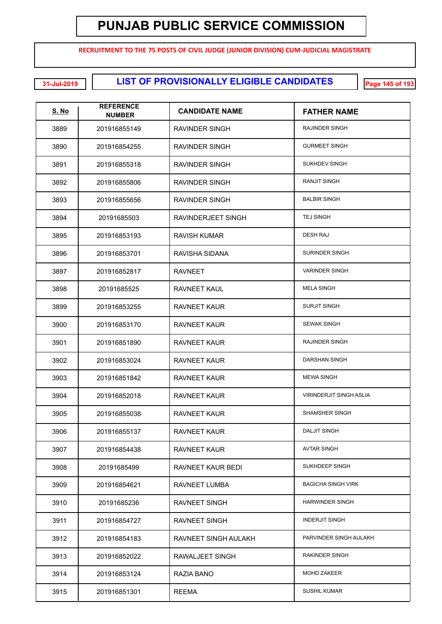**RECRUITMENT TO THE 75 POSTS OF CIVIL JUDGE (JUNIOR DIVISION) CUM-JUDICIAL MAGISTRATE**

**LIST OF PROVISIONALLY ELIGIBLE CANDIDATES 31-Jul-2019 Page 145 of 193**

| <u>S. No</u> | <b>REFERENCE</b><br><b>NUMBER</b> | <b>CANDIDATE NAME</b> | <b>FATHER NAME</b>             |
|--------------|-----------------------------------|-----------------------|--------------------------------|
| 3889         | 201916855149                      | RAVINDER SINGH        | RAJINDER SINGH                 |
| 3890         | 201916854255                      | RAVINDER SINGH        | <b>GURMEET SINGH</b>           |
| 3891         | 201916855318                      | RAVINDER SINGH        | <b>SUKHDEV SINGH</b>           |
| 3892         | 201916855806                      | RAVINDER SINGH        | <b>RANJIT SINGH</b>            |
| 3893         | 201916855656                      | RAVINDER SINGH        | <b>BALBIR SINGH</b>            |
| 3894         | 20191685503                       | RAVINDERJEET SINGH    | <b>TEJ SINGH</b>               |
| 3895         | 201916853193                      | RAVISH KUMAR          | <b>DESH RAJ</b>                |
| 3896         | 201916853701                      | RAVISHA SIDANA        | <b>SURINDER SINGH</b>          |
| 3897         | 201916852817                      | <b>RAVNEET</b>        | <b>VARINDER SINGH</b>          |
| 3898         | 20191685525                       | <b>RAVNEET KAUL</b>   | <b>MELA SINGH</b>              |
| 3899         | 201916853255                      | RAVNEET KAUR          | <b>SURJIT SINGH</b>            |
| 3900         | 201916853170                      | <b>RAVNEET KAUR</b>   | <b>SEWAK SINGH</b>             |
| 3901         | 201916851890                      | <b>RAVNEET KAUR</b>   | <b>RAJINDER SINGH</b>          |
| 3902         | 201916853024                      | RAVNEET KAUR          | DARSHAN SINGH                  |
| 3903         | 201916851842                      | RAVNEET KAUR          | <b>MEWA SINGH</b>              |
| 3904         | 201916852018                      | RAVNEET KAUR          | <b>VIRINDERJIT SINGH ASLIA</b> |
| 3905         | 201916855038                      | <b>RAVNEET KAUR</b>   | SHAMSHER SINGH                 |
| 3906         | 201916855137                      | RAVNEET KAUR          | <b>DALJIT SINGH</b>            |
| 3907         | 201916854438                      | <b>RAVNEET KAUR</b>   | <b>AVTAR SINGH</b>             |
| 3908         | 20191685499                       | RAVNEET KAUR BEDI     | SUKHDEEP SINGH                 |
| 3909         | 201916854621                      | RAVNEET LUMBA         | <b>BAGICHA SINGH VIRK</b>      |
| 3910         | 20191685236                       | <b>RAVNEET SINGH</b>  | <b>HARWINDER SINGH</b>         |
| 3911         | 201916854727                      | <b>RAVNEET SINGH</b>  | <b>INDERJIT SINGH</b>          |
| 3912         | 201916854183                      | RAVNEET SINGH AULAKH  | PARVINDER SINGH AULAKH         |
| 3913         | 201916852022                      | RAWALJEET SINGH       | <b>RAKINDER SINGH</b>          |
| 3914         | 201916853124                      | RAZIA BANO            | <b>MOHD ZAKEER</b>             |
| 3915         | 201916851301                      | <b>REEMA</b>          | <b>SUSHIL KUMAR</b>            |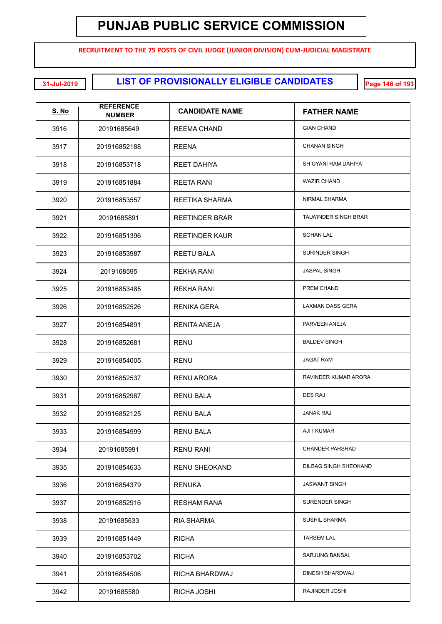**RECRUITMENT TO THE 75 POSTS OF CIVIL JUDGE (JUNIOR DIVISION) CUM-JUDICIAL MAGISTRATE**

**LIST OF PROVISIONALLY ELIGIBLE CANDIDATES 31-Jul-2019 Page 146 of 193**

| <b>S. No</b> | <b>REFERENCE</b><br><b>NUMBER</b> | <b>CANDIDATE NAME</b> | <b>FATHER NAME</b>          |
|--------------|-----------------------------------|-----------------------|-----------------------------|
| 3916         | 20191685649                       | REEMA CHAND           | <b>GIAN CHAND</b>           |
| 3917         | 201916852188                      | <b>REENA</b>          | <b>CHANAN SINGH</b>         |
| 3918         | 201916853718                      | <b>REET DAHIYA</b>    | SH GYANI RAM DAHIYA         |
| 3919         | 201916851884                      | REETA RANI            | <b>WAZIR CHAND</b>          |
| 3920         | 201916853557                      | REETIKA SHARMA        | NIRMAL SHARMA               |
| 3921         | 20191685891                       | <b>REETINDER BRAR</b> | <b>TALWINDER SINGH BRAR</b> |
| 3922         | 201916851396                      | <b>REETINDER KAUR</b> | <b>SOHAN LAL</b>            |
| 3923         | 201916853987                      | <b>REETU BALA</b>     | <b>SURINDER SINGH</b>       |
| 3924         | 2019168595                        | REKHA RANI            | <b>JASPAL SINGH</b>         |
| 3925         | 201916853485                      | REKHA RANI            | PREM CHAND                  |
| 3926         | 201916852526                      | RENIKA GERA           | <b>LAXMAN DASS GERA</b>     |
| 3927         | 201916854891                      | <b>RENITA ANEJA</b>   | PARVEEN ANEJA               |
| 3928         | 201916852681                      | <b>RENU</b>           | <b>BALDEV SINGH</b>         |
| 3929         | 201916854005                      | <b>RENU</b>           | <b>JAGAT RAM</b>            |
| 3930         | 201916852537                      | <b>RENU ARORA</b>     | RAVINDER KUMAR ARORA        |
| 3931         | 201916852987                      | <b>RENU BALA</b>      | <b>DES RAJ</b>              |
| 3932         | 201916852125                      | <b>RENU BALA</b>      | <b>JANAK RAJ</b>            |
| 3933         | 201916854999                      | <b>RENU BALA</b>      | <b>AJIT KUMAR</b>           |
| 3934         | 20191685991                       | <b>RENU RANI</b>      | <b>CHANDER PARSHAD</b>      |
| 3935         | 201916854633                      | <b>RENU SHEOKAND</b>  | DILBAG SINGH SHEOKAND       |
| 3936         | 201916854379                      | <b>RENUKA</b>         | <b>JASWANT SINGH</b>        |
| 3937         | 201916852916                      | <b>RESHAM RANA</b>    | SURENDER SINGH              |
| 3938         | 20191685633                       | RIA SHARMA            | <b>SUSHIL SHARMA</b>        |
| 3939         | 201916851449                      | <b>RICHA</b>          | <b>TARSEM LAL</b>           |
| 3940         | 201916853702                      | <b>RICHA</b>          | SARJUNG BANSAL              |
| 3941         | 201916854506                      | RICHA BHARDWAJ        | DINESH BHARDWAJ             |
| 3942         | 20191685580                       | RICHA JOSHI           | RAJINDER JOSHI              |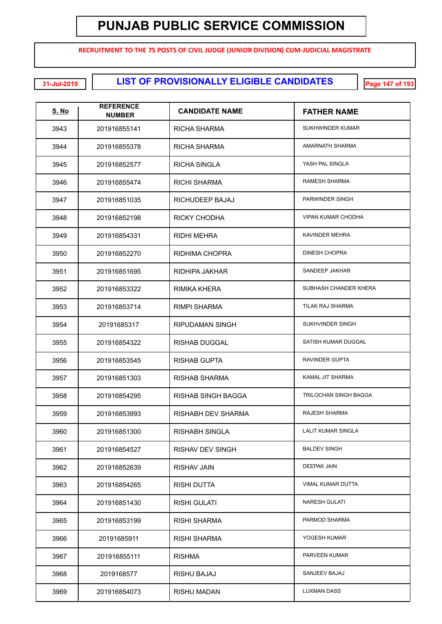**RECRUITMENT TO THE 75 POSTS OF CIVIL JUDGE (JUNIOR DIVISION) CUM-JUDICIAL MAGISTRATE**

**LIST OF PROVISIONALLY ELIGIBLE CANDIDATES 31-Jul-2019 Page 147 of 193**

| <b>S. No</b> | <b>REFERENCE</b><br><b>NUMBER</b> | <b>CANDIDATE NAME</b>  | <b>FATHER NAME</b>        |
|--------------|-----------------------------------|------------------------|---------------------------|
| 3943         | 201916855141                      | RICHA SHARMA           | SUKHWINDER KUMAR          |
| 3944         | 201916855378                      | RICHA SHARMA           | <b>AMARNATH SHARMA</b>    |
| 3945         | 201916852577                      | <b>RICHA SINGLA</b>    | YASH PAL SINGLA           |
| 3946         | 201916855474                      | RICHI SHARMA           | <b>RAMESH SHARMA</b>      |
| 3947         | 201916851035                      | RICHUDEEP BAJAJ        | PARWINDER SINGH           |
| 3948         | 201916852198                      | <b>RICKY CHODHA</b>    | <b>VIPAN KUMAR CHODHA</b> |
| 3949         | 201916854331                      | <b>RIDHI MEHRA</b>     | KAVINDER MEHRA            |
| 3950         | 201916852270                      | <b>RIDHIMA CHOPRA</b>  | <b>DINESH CHOPRA</b>      |
| 3951         | 201916851695                      | RIDHIPA JAKHAR         | SANDEEP JAKHAR            |
| 3952         | 201916853322                      | RIMIKA KHERA           | SUBHASH CHANDER KHERA     |
| 3953         | 201916853714                      | RIMPI SHARMA           | TILAK RAJ SHARMA          |
| 3954         | 20191685317                       | <b>RIPUDAMAN SINGH</b> | SUKHVINDER SINGH          |
| 3955         | 201916854322                      | <b>RISHAB DUGGAL</b>   | SATISH KUMAR DUGGAL       |
| 3956         | 201916853545                      | <b>RISHAB GUPTA</b>    | RAVINDER GUPTA            |
| 3957         | 201916851303                      | RISHAB SHARMA          | KAMAL JIT SHARMA          |
| 3958         | 201916854295                      | RISHAB SINGH BAGGA     | TRILOCHAN SINGH BAGGA     |
| 3959         | 201916853993                      | RISHABH DEV SHARMA     | RAJESH SHARMA             |
| 3960         | 201916851300                      | RISHABH SINGLA         | LALIT KUMAR SINGLA        |
| 3961         | 201916854527                      | RISHAV DEV SINGH       | <b>BALDEV SINGH</b>       |
| 3962         | 201916852639                      | <b>RISHAV JAIN</b>     | DEEPAK JAIN               |
| 3963         | 201916854265                      | <b>RISHI DUTTA</b>     | <b>VIMAL KUMAR DUTTA</b>  |
| 3964         | 201916851430                      | <b>RISHI GULATI</b>    | <b>NARESH GULATI</b>      |
| 3965         | 201916853199                      | <b>RISHI SHARMA</b>    | PARMOD SHARMA             |
| 3966         | 20191685911                       | <b>RISHI SHARMA</b>    | YOGESH KUMAR              |
| 3967         | 201916855111                      | <b>RISHMA</b>          | PARVEEN KUMAR             |
| 3968         | 2019168577                        | RISHU BAJAJ            | SANJEEV BAJAJ             |
| 3969         | 201916854073                      | <b>RISHU MADAN</b>     | <b>LUXMAN DASS</b>        |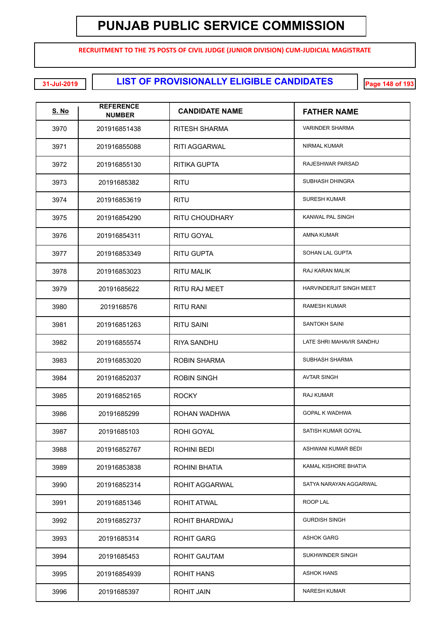**RECRUITMENT TO THE 75 POSTS OF CIVIL JUDGE (JUNIOR DIVISION) CUM-JUDICIAL MAGISTRATE**

**LIST OF PROVISIONALLY ELIGIBLE CANDIDATES 31-Jul-2019 Page 148 of 193**

| <u>S. No</u> | <b>REFERENCE</b><br><b>NUMBER</b> | <b>CANDIDATE NAME</b> | <b>FATHER NAME</b>       |
|--------------|-----------------------------------|-----------------------|--------------------------|
| 3970         | 201916851438                      | RITESH SHARMA         | <b>VARINDER SHARMA</b>   |
| 3971         | 201916855088                      | <b>RITI AGGARWAL</b>  | NIRMAL KUMAR             |
| 3972         | 201916855130                      | <b>RITIKA GUPTA</b>   | RAJESHWAR PARSAD         |
| 3973         | 20191685382                       | <b>RITU</b>           | SUBHASH DHINGRA          |
| 3974         | 201916853619                      | <b>RITU</b>           | <b>SURESH KUMAR</b>      |
| 3975         | 201916854290                      | RITU CHOUDHARY        | KANWAL PAL SINGH         |
| 3976         | 201916854311                      | RITU GOYAL            | <b>AMNA KUMAR</b>        |
| 3977         | 201916853349                      | <b>RITU GUPTA</b>     | SOHAN LAL GUPTA          |
| 3978         | 201916853023                      | <b>RITU MALIK</b>     | RAJ KARAN MALIK          |
| 3979         | 20191685622                       | <b>RITU RAJ MEET</b>  | HARVINDERJIT SINGH MEET  |
| 3980         | 2019168576                        | RITU RANI             | <b>RAMESH KUMAR</b>      |
| 3981         | 201916851263                      | RITU SAINI            | <b>SANTOKH SAINI</b>     |
| 3982         | 201916855574                      | RIYA SANDHU           | LATE SHRI MAHAVIR SANDHU |
| 3983         | 201916853020                      | <b>ROBIN SHARMA</b>   | SUBHASH SHARMA           |
| 3984         | 201916852037                      | <b>ROBIN SINGH</b>    | <b>AVTAR SINGH</b>       |
| 3985         | 201916852165                      | <b>ROCKY</b>          | RAJ KUMAR                |
| 3986         | 20191685299                       | ROHAN WADHWA          | <b>GOPAL K WADHWA</b>    |
| 3987         | 20191685103                       | ROHI GOYAL            | SATISH KUMAR GOYAL       |
| 3988         | 201916852767                      | ROHINI BEDI           | ASHWANI KUMAR BEDI       |
| 3989         | 201916853838                      | ROHINI BHATIA         | KAMAL KISHORE BHATIA     |
| 3990         | 201916852314                      | ROHIT AGGARWAL        | SATYA NARAYAN AGGARWAL   |
| 3991         | 201916851346                      | ROHIT ATWAL           | ROOP LAL                 |
| 3992         | 201916852737                      | ROHIT BHARDWAJ        | <b>GURDISH SINGH</b>     |
| 3993         | 20191685314                       | ROHIT GARG            | <b>ASHOK GARG</b>        |
| 3994         | 20191685453                       | <b>ROHIT GAUTAM</b>   | SUKHWINDER SINGH         |
| 3995         | 201916854939                      | ROHIT HANS            | <b>ASHOK HANS</b>        |
| 3996         | 20191685397                       | <b>ROHIT JAIN</b>     | <b>NARESH KUMAR</b>      |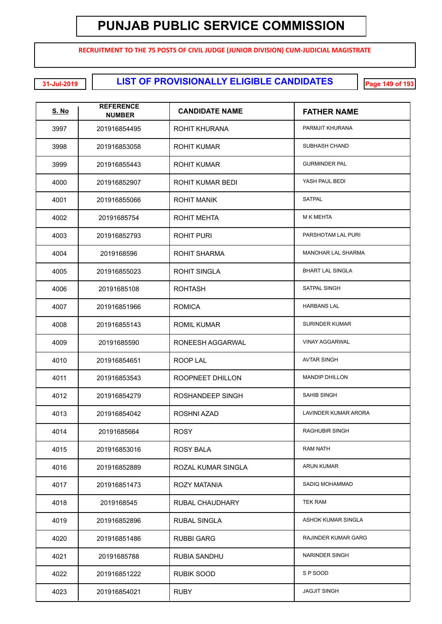**RECRUITMENT TO THE 75 POSTS OF CIVIL JUDGE (JUNIOR DIVISION) CUM-JUDICIAL MAGISTRATE**

**LIST OF PROVISIONALLY ELIGIBLE CANDIDATES 31-Jul-2019 Page 149 of 193**

| <u>S. No</u> | <b>REFERENCE</b><br><b>NUMBER</b> | <b>CANDIDATE NAME</b> | <b>FATHER NAME</b>        |
|--------------|-----------------------------------|-----------------------|---------------------------|
| 3997         | 201916854495                      | ROHIT KHURANA         | PARMJIT KHURANA           |
| 3998         | 201916853058                      | <b>ROHIT KUMAR</b>    | <b>SUBHASH CHAND</b>      |
| 3999         | 201916855443                      | <b>ROHIT KUMAR</b>    | <b>GURMINDER PAL</b>      |
| 4000         | 201916852907                      | ROHIT KUMAR BEDI      | YASH PAUL BEDI            |
| 4001         | 201916855066                      | <b>ROHIT MANIK</b>    | <b>SATPAL</b>             |
| 4002         | 20191685754                       | <b>ROHIT MEHTA</b>    | M K MEHTA                 |
| 4003         | 201916852793                      | <b>ROHIT PURI</b>     | PARSHOTAM LAL PURI        |
| 4004         | 2019168596                        | <b>ROHIT SHARMA</b>   | <b>MANOHAR LAL SHARMA</b> |
| 4005         | 201916855023                      | <b>ROHIT SINGLA</b>   | <b>BHART LAL SINGLA</b>   |
| 4006         | 20191685108                       | <b>ROHTASH</b>        | <b>SATPAL SINGH</b>       |
| 4007         | 201916851966                      | <b>ROMICA</b>         | <b>HARBANS LAL</b>        |
| 4008         | 201916855143                      | <b>ROMIL KUMAR</b>    | <b>SURINDER KUMAR</b>     |
| 4009         | 20191685590                       | RONEESH AGGARWAL      | <b>VINAY AGGARWAL</b>     |
| 4010         | 201916854651                      | <b>ROOP LAL</b>       | <b>AVTAR SINGH</b>        |
| 4011         | 201916853543                      | ROOPNEET DHILLON      | <b>MANDIP DHILLON</b>     |
| 4012         | 201916854279                      | ROSHANDEEP SINGH      | <b>SAHIB SINGH</b>        |
| 4013         | 201916854042                      | ROSHNI AZAD           | LAVINDER KUMAR ARORA      |
| 4014         | 20191685664                       | <b>ROSY</b>           | <b>RAGHUBIR SINGH</b>     |
| 4015         | 201916853016                      | <b>ROSY BALA</b>      | <b>RAM NATH</b>           |
| 4016         | 201916852889                      | ROZAL KUMAR SINGLA    | ARUN KUMAR                |
| 4017         | 201916851473                      | <b>ROZY MATANIA</b>   | SADIQ MOHAMMAD            |
| 4018         | 2019168545                        | RUBAL CHAUDHARY       | <b>TEK RAM</b>            |
| 4019         | 201916852896                      | <b>RUBAL SINGLA</b>   | ASHOK KUMAR SINGLA        |
| 4020         | 201916851486                      | <b>RUBBI GARG</b>     | RAJINDER KUMAR GARG       |
| 4021         | 20191685788                       | <b>RUBIA SANDHU</b>   | NARINDER SINGH            |
| 4022         | 201916851222                      | RUBIK SOOD            | SP SOOD                   |
| 4023         | 201916854021                      | <b>RUBY</b>           | <b>JAGJIT SINGH</b>       |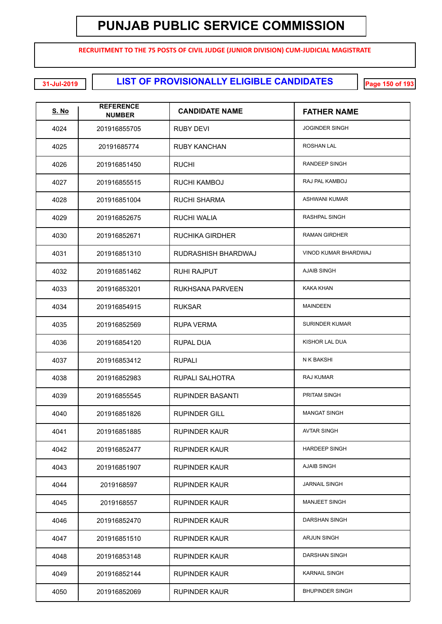**RECRUITMENT TO THE 75 POSTS OF CIVIL JUDGE (JUNIOR DIVISION) CUM-JUDICIAL MAGISTRATE**

**LIST OF PROVISIONALLY ELIGIBLE CANDIDATES 31-Jul-2019 Page 150 of 193**

| <b>S. No</b> | <b>REFERENCE</b><br><b>NUMBER</b> | <b>CANDIDATE NAME</b>  | <b>FATHER NAME</b>     |
|--------------|-----------------------------------|------------------------|------------------------|
| 4024         | 201916855705                      | RUBY DEVI              | <b>JOGINDER SINGH</b>  |
| 4025         | 20191685774                       | <b>RUBY KANCHAN</b>    | <b>ROSHAN LAL</b>      |
| 4026         | 201916851450                      | <b>RUCHI</b>           | RANDEEP SINGH          |
| 4027         | 201916855515                      | <b>RUCHI KAMBOJ</b>    | RAJ PAL KAMBOJ         |
| 4028         | 201916851004                      | RUCHI SHARMA           | <b>ASHWANI KUMAR</b>   |
| 4029         | 201916852675                      | RUCHI WALIA            | RASHPAL SINGH          |
| 4030         | 201916852671                      | <b>RUCHIKA GIRDHER</b> | <b>RAMAN GIRDHER</b>   |
| 4031         | 201916851310                      | RUDRASHISH BHARDWAJ    | VINOD KUMAR BHARDWAJ   |
| 4032         | 201916851462                      | RUHI RAJPUT            | <b>AJAIB SINGH</b>     |
| 4033         | 201916853201                      | RUKHSANA PARVEEN       | <b>KAKA KHAN</b>       |
| 4034         | 201916854915                      | <b>RUKSAR</b>          | <b>MAINDEEN</b>        |
| 4035         | 201916852569                      | RUPA VERMA             | <b>SURINDER KUMAR</b>  |
| 4036         | 201916854120                      | RUPAL DUA              | KISHOR LAL DUA         |
| 4037         | 201916853412                      | <b>RUPALI</b>          | N K BAKSHI             |
| 4038         | 201916852983                      | RUPALI SALHOTRA        | RAJ KUMAR              |
| 4039         | 201916855545                      | RUPINDER BASANTI       | PRITAM SINGH           |
| 4040         | 201916851826                      | <b>RUPINDER GILL</b>   | <b>MANGAT SINGH</b>    |
| 4041         | 201916851885                      | <b>RUPINDER KAUR</b>   | <b>AVTAR SINGH</b>     |
| 4042         | 201916852477                      | <b>RUPINDER KAUR</b>   | <b>HARDEEP SINGH</b>   |
| 4043         | 201916851907                      | <b>RUPINDER KAUR</b>   | <b>AJAIB SINGH</b>     |
| 4044         | 2019168597                        | <b>RUPINDER KAUR</b>   | <b>JARNAIL SINGH</b>   |
| 4045         | 2019168557                        | <b>RUPINDER KAUR</b>   | <b>MANJEET SINGH</b>   |
| 4046         | 201916852470                      | <b>RUPINDER KAUR</b>   | <b>DARSHAN SINGH</b>   |
| 4047         | 201916851510                      | <b>RUPINDER KAUR</b>   | <b>ARJUN SINGH</b>     |
| 4048         | 201916853148                      | <b>RUPINDER KAUR</b>   | DARSHAN SINGH          |
| 4049         | 201916852144                      | <b>RUPINDER KAUR</b>   | <b>KARNAIL SINGH</b>   |
| 4050         | 201916852069                      | <b>RUPINDER KAUR</b>   | <b>BHUPINDER SINGH</b> |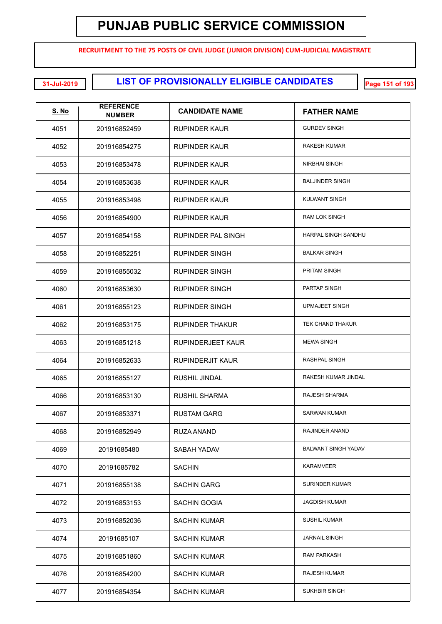**RECRUITMENT TO THE 75 POSTS OF CIVIL JUDGE (JUNIOR DIVISION) CUM-JUDICIAL MAGISTRATE**

**LIST OF PROVISIONALLY ELIGIBLE CANDIDATES 31-Jul-2019 Page 151 of 193**

| S. No | <b>REFERENCE</b><br><b>NUMBER</b> | <b>CANDIDATE NAME</b>    | <b>FATHER NAME</b>         |
|-------|-----------------------------------|--------------------------|----------------------------|
| 4051  | 201916852459                      | <b>RUPINDER KAUR</b>     | <b>GURDEV SINGH</b>        |
| 4052  | 201916854275                      | <b>RUPINDER KAUR</b>     | RAKESH KUMAR               |
| 4053  | 201916853478                      | RUPINDER KAUR            | NIRBHAI SINGH              |
| 4054  | 201916853638                      | RUPINDER KAUR            | <b>BALJINDER SINGH</b>     |
| 4055  | 201916853498                      | RUPINDER KAUR            | KULWANT SINGH              |
| 4056  | 201916854900                      | RUPINDER KAUR            | <b>RAM LOK SINGH</b>       |
| 4057  | 201916854158                      | RUPINDER PAL SINGH       | HARPAL SINGH SANDHU        |
| 4058  | 201916852251                      | RUPINDER SINGH           | <b>BALKAR SINGH</b>        |
| 4059  | 201916855032                      | RUPINDER SINGH           | <b>PRITAM SINGH</b>        |
| 4060  | 201916853630                      | <b>RUPINDER SINGH</b>    | PARTAP SINGH               |
| 4061  | 201916855123                      | <b>RUPINDER SINGH</b>    | <b>UPMAJEET SINGH</b>      |
| 4062  | 201916853175                      | <b>RUPINDER THAKUR</b>   | TEK CHAND THAKUR           |
| 4063  | 201916851218                      | <b>RUPINDERJEET KAUR</b> | <b>MEWA SINGH</b>          |
| 4064  | 201916852633                      | RUPINDERJIT KAUR         | RASHPAL SINGH              |
| 4065  | 201916855127                      | <b>RUSHIL JINDAL</b>     | RAKESH KUMAR JINDAL        |
| 4066  | 201916853130                      | <b>RUSHIL SHARMA</b>     | RAJESH SHARMA              |
| 4067  | 201916853371                      | <b>RUSTAM GARG</b>       | <b>SARWAN KUMAR</b>        |
| 4068  | 201916852949                      | RUZA ANAND               | <b>RAJINDER ANAND</b>      |
| 4069  | 20191685480                       | SABAH YADAV              | <b>BALWANT SINGH YADAV</b> |
| 4070  | 20191685782                       | <b>SACHIN</b>            | <b>KARAMVEER</b>           |
| 4071  | 201916855138                      | <b>SACHIN GARG</b>       | <b>SURINDER KUMAR</b>      |
| 4072  | 201916853153                      | SACHIN GOGIA             | <b>JAGDISH KUMAR</b>       |
| 4073  | 201916852036                      | <b>SACHIN KUMAR</b>      | <b>SUSHIL KUMAR</b>        |
| 4074  | 20191685107                       | <b>SACHIN KUMAR</b>      | <b>JARNAIL SINGH</b>       |
| 4075  | 201916851860                      | <b>SACHIN KUMAR</b>      | <b>RAM PARKASH</b>         |
| 4076  | 201916854200                      | <b>SACHIN KUMAR</b>      | <b>RAJESH KUMAR</b>        |
| 4077  | 201916854354                      | <b>SACHIN KUMAR</b>      | SUKHBIR SINGH              |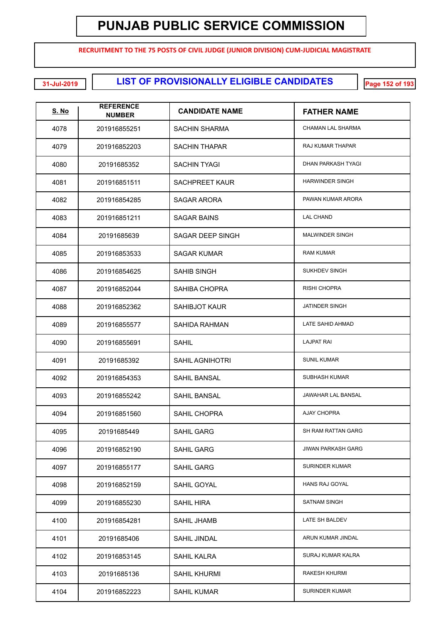**RECRUITMENT TO THE 75 POSTS OF CIVIL JUDGE (JUNIOR DIVISION) CUM-JUDICIAL MAGISTRATE**

**LIST OF PROVISIONALLY ELIGIBLE CANDIDATES 31-Jul-2019 Page 152 of 193**

| <u>S. No</u> | <b>REFERENCE</b><br><b>NUMBER</b> | <b>CANDIDATE NAME</b>  | <b>FATHER NAME</b>        |
|--------------|-----------------------------------|------------------------|---------------------------|
| 4078         | 201916855251                      | SACHIN SHARMA          | CHAMAN LAL SHARMA         |
| 4079         | 201916852203                      | <b>SACHIN THAPAR</b>   | RAJ KUMAR THAPAR          |
| 4080         | 20191685352                       | <b>SACHIN TYAGI</b>    | DHAN PARKASH TYAGI        |
| 4081         | 201916851511                      | <b>SACHPREET KAUR</b>  | <b>HARWINDER SINGH</b>    |
| 4082         | 201916854285                      | SAGAR ARORA            | PAWAN KUMAR ARORA         |
| 4083         | 201916851211                      | SAGAR BAINS            | <b>LAL CHAND</b>          |
| 4084         | 20191685639                       | SAGAR DEEP SINGH       | <b>MALWINDER SINGH</b>    |
| 4085         | 201916853533                      | SAGAR KUMAR            | <b>RAM KUMAR</b>          |
| 4086         | 201916854625                      | SAHIB SINGH            | SUKHDEV SINGH             |
| 4087         | 201916852044                      | SAHIBA CHOPRA          | <b>RISHI CHOPRA</b>       |
| 4088         | 201916852362                      | <b>SAHIBJOT KAUR</b>   | JATINDER SINGH            |
| 4089         | 201916855577                      | SAHIDA RAHMAN          | LATE SAHID AHMAD          |
| 4090         | 201916855691                      | SAHIL                  | <b>LAJPAT RAI</b>         |
| 4091         | 20191685392                       | <b>SAHIL AGNIHOTRI</b> | <b>SUNIL KUMAR</b>        |
| 4092         | 201916854353                      | <b>SAHIL BANSAL</b>    | <b>SUBHASH KUMAR</b>      |
| 4093         | 201916855242                      | <b>SAHIL BANSAL</b>    | JAWAHAR LAL BANSAL        |
| 4094         | 201916851560                      | SAHIL CHOPRA           | <b>AJAY CHOPRA</b>        |
| 4095         | 20191685449                       | SAHIL GARG             | SH RAM RATTAN GARG        |
| 4096         | 201916852190                      | SAHIL GARG             | <b>JIWAN PARKASH GARG</b> |
| 4097         | 201916855177                      | <b>SAHIL GARG</b>      | <b>SURINDER KUMAR</b>     |
| 4098         | 201916852159                      | SAHIL GOYAL            | HANS RAJ GOYAL            |
| 4099         | 201916855230                      | SAHIL HIRA             | <b>SATNAM SINGH</b>       |
| 4100         | 201916854281                      | <b>SAHIL JHAMB</b>     | LATE SH BALDEV            |
| 4101         | 20191685406                       | <b>SAHIL JINDAL</b>    | ARUN KUMAR JINDAL         |
| 4102         | 201916853145                      | SAHIL KALRA            | SURAJ KUMAR KALRA         |
| 4103         | 20191685136                       | <b>SAHIL KHURMI</b>    | <b>RAKESH KHURMI</b>      |
| 4104         | 201916852223                      | <b>SAHIL KUMAR</b>     | <b>SURINDER KUMAR</b>     |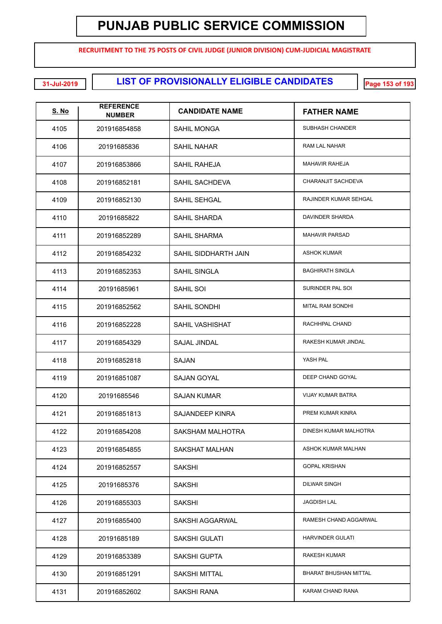**RECRUITMENT TO THE 75 POSTS OF CIVIL JUDGE (JUNIOR DIVISION) CUM-JUDICIAL MAGISTRATE**

**LIST OF PROVISIONALLY ELIGIBLE CANDIDATES 31-Jul-2019 Page 153 of 193**

| <b>S. No</b> | <b>REFERENCE</b><br><b>NUMBER</b> | <b>CANDIDATE NAME</b> | <b>FATHER NAME</b>       |
|--------------|-----------------------------------|-----------------------|--------------------------|
| 4105         | 201916854858                      | <b>SAHIL MONGA</b>    | SUBHASH CHANDER          |
| 4106         | 20191685836                       | <b>SAHIL NAHAR</b>    | RAM LAL NAHAR            |
| 4107         | 201916853866                      | <b>SAHIL RAHEJA</b>   | <b>MAHAVIR RAHEJA</b>    |
| 4108         | 201916852181                      | <b>SAHIL SACHDEVA</b> | CHARANJIT SACHDEVA       |
| 4109         | 201916852130                      | SAHIL SEHGAL          | RAJINDER KUMAR SEHGAL    |
| 4110         | 20191685822                       | <b>SAHIL SHARDA</b>   | DAVINDER SHARDA          |
| 4111         | 201916852289                      | <b>SAHIL SHARMA</b>   | <b>MAHAVIR PARSAD</b>    |
| 4112         | 201916854232                      | SAHIL SIDDHARTH JAIN  | <b>ASHOK KUMAR</b>       |
| 4113         | 201916852353                      | <b>SAHIL SINGLA</b>   | <b>BAGHIRATH SINGLA</b>  |
| 4114         | 20191685961                       | SAHIL SOI             | SURINDER PAL SOI         |
| 4115         | 201916852562                      | SAHIL SONDHI          | <b>MITAL RAM SONDHI</b>  |
| 4116         | 201916852228                      | SAHIL VASHISHAT       | RACHHPAL CHAND           |
| 4117         | 201916854329                      | <b>SAJAL JINDAL</b>   | RAKESH KUMAR JINDAL      |
| 4118         | 201916852818                      | <b>SAJAN</b>          | YASH PAL                 |
| 4119         | 201916851087                      | <b>SAJAN GOYAL</b>    | DEEP CHAND GOYAL         |
| 4120         | 20191685546                       | <b>SAJAN KUMAR</b>    | <b>VIJAY KUMAR BATRA</b> |
| 4121         | 201916851813                      | SAJANDEEP KINRA       | PREM KUMAR KINRA         |
| 4122         | 201916854208                      | SAKSHAM MALHOTRA      | DINESH KUMAR MALHOTRA    |
| 4123         | 201916854855                      | <b>SAKSHAT MALHAN</b> | ASHOK KUMAR MALHAN       |
| 4124         | 201916852557                      | <b>SAKSHI</b>         | <b>GOPAL KRISHAN</b>     |
| 4125         | 20191685376                       | <b>SAKSHI</b>         | <b>DILWAR SINGH</b>      |
| 4126         | 201916855303                      | <b>SAKSHI</b>         | <b>JAGDISH LAL</b>       |
| 4127         | 201916855400                      | SAKSHI AGGARWAL       | RAMESH CHAND AGGARWAL    |
| 4128         | 20191685189                       | <b>SAKSHI GULATI</b>  | <b>HARVINDER GULATI</b>  |
| 4129         | 201916853389                      | <b>SAKSHI GUPTA</b>   | RAKESH KUMAR             |
| 4130         | 201916851291                      | SAKSHI MITTAL         | BHARAT BHUSHAN MITTAL    |
| 4131         | 201916852602                      | SAKSHI RANA           | KARAM CHAND RANA         |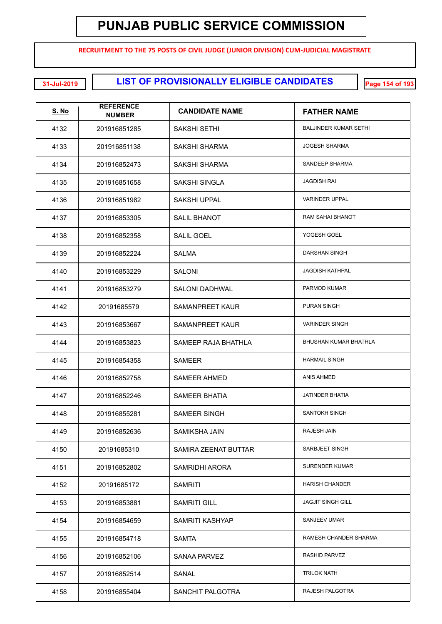**RECRUITMENT TO THE 75 POSTS OF CIVIL JUDGE (JUNIOR DIVISION) CUM-JUDICIAL MAGISTRATE**

**LIST OF PROVISIONALLY ELIGIBLE CANDIDATES 31-Jul-2019 Page 154 of 193**

| <b>S. No</b> | <b>REFERENCE</b><br><b>NUMBER</b> | <b>CANDIDATE NAME</b>  | <b>FATHER NAME</b>           |
|--------------|-----------------------------------|------------------------|------------------------------|
| 4132         | 201916851285                      | SAKSHI SETHI           | <b>BALJINDER KUMAR SETHI</b> |
| 4133         | 201916851138                      | <b>SAKSHI SHARMA</b>   | <b>JOGESH SHARMA</b>         |
| 4134         | 201916852473                      | SAKSHI SHARMA          | SANDEEP SHARMA               |
| 4135         | 201916851658                      | <b>SAKSHI SINGLA</b>   | <b>JAGDISH RAI</b>           |
| 4136         | 201916851982                      | <b>SAKSHI UPPAL</b>    | <b>VARINDER UPPAL</b>        |
| 4137         | 201916853305                      | <b>SALIL BHANOT</b>    | RAM SAHAI BHANOT             |
| 4138         | 201916852358                      | <b>SALIL GOEL</b>      | YOGESH GOEL                  |
| 4139         | 201916852224                      | <b>SALMA</b>           | <b>DARSHAN SINGH</b>         |
| 4140         | 201916853229                      | <b>SALONI</b>          | <b>JAGDISH KATHPAL</b>       |
| 4141         | 201916853279                      | <b>SALONI DADHWAL</b>  | PARMOD KUMAR                 |
| 4142         | 20191685579                       | <b>SAMANPREET KAUR</b> | <b>PURAN SINGH</b>           |
| 4143         | 201916853667                      | <b>SAMANPREET KAUR</b> | <b>VARINDER SINGH</b>        |
| 4144         | 201916853823                      | SAMEEP RAJA BHATHLA    | BHUSHAN KUMAR BHATHLA        |
| 4145         | 201916854358                      | <b>SAMEER</b>          | <b>HARMAIL SINGH</b>         |
| 4146         | 201916852758                      | <b>SAMEER AHMED</b>    | ANIS AHMED                   |
| 4147         | 201916852246                      | <b>SAMEER BHATIA</b>   | <b>JATINDER BHATIA</b>       |
| 4148         | 201916855281                      | <b>SAMEER SINGH</b>    | SANTOKH SINGH                |
| 4149         | 201916852636                      | <b>SAMIKSHA JAIN</b>   | RAJESH JAIN                  |
| 4150         | 20191685310                       | SAMIRA ZEENAT BUTTAR   | SARBJEET SINGH               |
| 4151         | 201916852802                      | SAMRIDHI ARORA         | <b>SURENDER KUMAR</b>        |
| 4152         | 20191685172                       | <b>SAMRITI</b>         | <b>HARISH CHANDER</b>        |
| 4153         | 201916853881                      | <b>SAMRITI GILL</b>    | <b>JAGJIT SINGH GILL</b>     |
| 4154         | 201916854659                      | SAMRITI KASHYAP        | SANJEEV UMAR                 |
| 4155         | 201916854718                      | <b>SAMTA</b>           | RAMESH CHANDER SHARMA        |
| 4156         | 201916852106                      | <b>SANAA PARVEZ</b>    | RASHID PARVEZ                |
| 4157         | 201916852514                      | SANAL                  | <b>TRILOK NATH</b>           |
| 4158         | 201916855404                      | SANCHIT PALGOTRA       | RAJESH PALGOTRA              |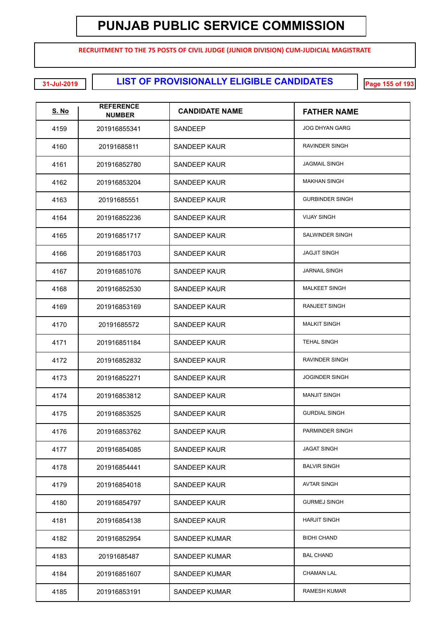**RECRUITMENT TO THE 75 POSTS OF CIVIL JUDGE (JUNIOR DIVISION) CUM-JUDICIAL MAGISTRATE**

**LIST OF PROVISIONALLY ELIGIBLE CANDIDATES 31-Jul-2019 Page 155 of 193**

| <b>S. No</b> | <b>REFERENCE</b><br><b>NUMBER</b> | <b>CANDIDATE NAME</b> | <b>FATHER NAME</b>     |
|--------------|-----------------------------------|-----------------------|------------------------|
| 4159         | 201916855341                      | SANDEEP               | <b>JOG DHYAN GARG</b>  |
| 4160         | 20191685811                       | SANDEEP KAUR          | RAVINDER SINGH         |
| 4161         | 201916852780                      | SANDEEP KAUR          | <b>JAGMAIL SINGH</b>   |
| 4162         | 201916853204                      | SANDEEP KAUR          | <b>MAKHAN SINGH</b>    |
| 4163         | 20191685551                       | <b>SANDEEP KAUR</b>   | <b>GURBINDER SINGH</b> |
| 4164         | 201916852236                      | SANDEEP KAUR          | <b>VIJAY SINGH</b>     |
| 4165         | 201916851717                      | SANDEEP KAUR          | SALWINDER SINGH        |
| 4166         | 201916851703                      | <b>SANDEEP KAUR</b>   | <b>JAGJIT SINGH</b>    |
| 4167         | 201916851076                      | SANDEEP KAUR          | <b>JARNAIL SINGH</b>   |
| 4168         | 201916852530                      | SANDEEP KAUR          | <b>MALKEET SINGH</b>   |
| 4169         | 201916853169                      | <b>SANDEEP KAUR</b>   | <b>RANJEET SINGH</b>   |
| 4170         | 20191685572                       | <b>SANDEEP KAUR</b>   | <b>MALKIT SINGH</b>    |
| 4171         | 201916851184                      | SANDEEP KAUR          | <b>TEHAL SINGH</b>     |
| 4172         | 201916852832                      | SANDEEP KAUR          | RAVINDER SINGH         |
| 4173         | 201916852271                      | <b>SANDEEP KAUR</b>   | <b>JOGINDER SINGH</b>  |
| 4174         | 201916853812                      | SANDEEP KAUR          | <b>MANJIT SINGH</b>    |
| 4175         | 201916853525                      | SANDEEP KAUR          | <b>GURDIAL SINGH</b>   |
| 4176         | 201916853762                      | <b>SANDEEP KAUR</b>   | PARMINDER SINGH        |
| 4177         | 201916854085                      | SANDEEP KAUR          | <b>JAGAT SINGH</b>     |
| 4178         | 201916854441                      | SANDEEP KAUR          | <b>BALVIR SINGH</b>    |
| 4179         | 201916854018                      | <b>SANDEEP KAUR</b>   | <b>AVTAR SINGH</b>     |
| 4180         | 201916854797                      | SANDEEP KAUR          | <b>GURMEJ SINGH</b>    |
| 4181         | 201916854138                      | SANDEEP KAUR          | <b>HARJIT SINGH</b>    |
| 4182         | 201916852954                      | SANDEEP KUMAR         | <b>BIDHI CHAND</b>     |
| 4183         | 20191685487                       | SANDEEP KUMAR         | <b>BAL CHAND</b>       |
| 4184         | 201916851607                      | SANDEEP KUMAR         | <b>CHAMAN LAL</b>      |
| 4185         | 201916853191                      | SANDEEP KUMAR         | RAMESH KUMAR           |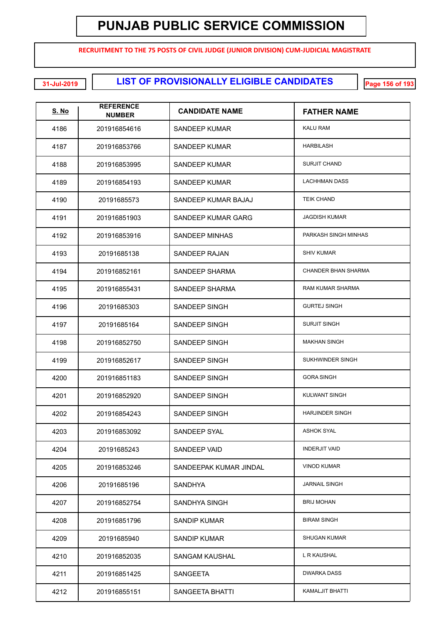**RECRUITMENT TO THE 75 POSTS OF CIVIL JUDGE (JUNIOR DIVISION) CUM-JUDICIAL MAGISTRATE**

**LIST OF PROVISIONALLY ELIGIBLE CANDIDATES 31-Jul-2019 Page 156 of 193**

| <u>S. No</u> | <b>REFERENCE</b><br><b>NUMBER</b> | <b>CANDIDATE NAME</b>  | <b>FATHER NAME</b>     |
|--------------|-----------------------------------|------------------------|------------------------|
| 4186         | 201916854616                      | SANDEEP KUMAR          | <b>KALU RAM</b>        |
| 4187         | 201916853766                      | SANDEEP KUMAR          | <b>HARBILASH</b>       |
| 4188         | 201916853995                      | SANDEEP KUMAR          | <b>SURJIT CHAND</b>    |
| 4189         | 201916854193                      | SANDEEP KUMAR          | <b>LACHHMAN DASS</b>   |
| 4190         | 20191685573                       | SANDEEP KUMAR BAJAJ    | <b>TEIK CHAND</b>      |
| 4191         | 201916851903                      | SANDEEP KUMAR GARG     | <b>JAGDISH KUMAR</b>   |
| 4192         | 201916853916                      | SANDEEP MINHAS         | PARKASH SINGH MINHAS   |
| 4193         | 20191685138                       | SANDEEP RAJAN          | <b>SHIV KUMAR</b>      |
| 4194         | 201916852161                      | SANDEEP SHARMA         | CHANDER BHAN SHARMA    |
| 4195         | 201916855431                      | SANDEEP SHARMA         | RAM KUMAR SHARMA       |
| 4196         | 20191685303                       | SANDEEP SINGH          | <b>GURTEJ SINGH</b>    |
| 4197         | 20191685164                       | SANDEEP SINGH          | <b>SURJIT SINGH</b>    |
| 4198         | 201916852750                      | SANDEEP SINGH          | <b>MAKHAN SINGH</b>    |
| 4199         | 201916852617                      | SANDEEP SINGH          | SUKHWINDER SINGH       |
| 4200         | 201916851183                      | SANDEEP SINGH          | <b>GORA SINGH</b>      |
| 4201         | 201916852920                      | <b>SANDEEP SINGH</b>   | <b>KULWANT SINGH</b>   |
| 4202         | 201916854243                      | SANDEEP SINGH          | <b>HARJINDER SINGH</b> |
| 4203         | 201916853092                      | SANDEEP SYAL           | <b>ASHOK SYAL</b>      |
| 4204         | 20191685243                       | SANDEEP VAID           | <b>INDERJIT VAID</b>   |
| 4205         | 201916853246                      | SANDEEPAK KUMAR JINDAL | <b>VINOD KUMAR</b>     |
| 4206         | 20191685196                       | <b>SANDHYA</b>         | <b>JARNAIL SINGH</b>   |
| 4207         | 201916852754                      | SANDHYA SINGH          | <b>BRIJ MOHAN</b>      |
| 4208         | 201916851796                      | SANDIP KUMAR           | <b>BIRAM SINGH</b>     |
| 4209         | 20191685940                       | SANDIP KUMAR           | <b>SHUGAN KUMAR</b>    |
| 4210         | 201916852035                      | SANGAM KAUSHAL         | L R KAUSHAL            |
| 4211         | 201916851425                      | <b>SANGEETA</b>        | <b>DWARKA DASS</b>     |
| 4212         | 201916855151                      | SANGEETA BHATTI        | <b>KAMALJIT BHATTI</b> |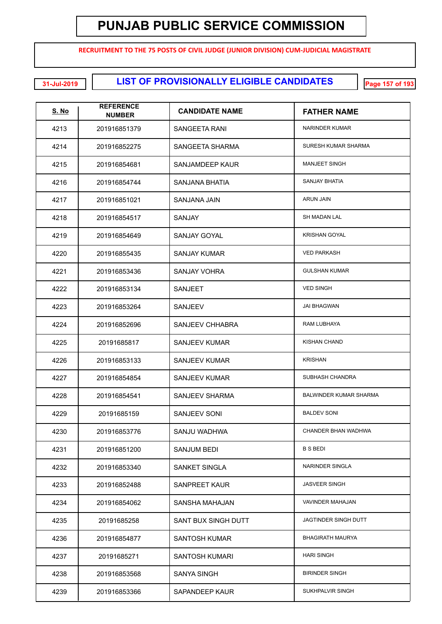**RECRUITMENT TO THE 75 POSTS OF CIVIL JUDGE (JUNIOR DIVISION) CUM-JUDICIAL MAGISTRATE**

**LIST OF PROVISIONALLY ELIGIBLE CANDIDATES 31-Jul-2019 Page 157 of 193**

| <u>S. No</u> | <b>REFERENCE</b><br><b>NUMBER</b> | <b>CANDIDATE NAME</b>  | <b>FATHER NAME</b>            |
|--------------|-----------------------------------|------------------------|-------------------------------|
| 4213         | 201916851379                      | SANGEETA RANI          | <b>NARINDER KUMAR</b>         |
| 4214         | 201916852275                      | SANGEETA SHARMA        | SURESH KUMAR SHARMA           |
| 4215         | 201916854681                      | SANJAMDEEP KAUR        | <b>MANJEET SINGH</b>          |
| 4216         | 201916854744                      | <b>SANJANA BHATIA</b>  | <b>SANJAY BHATIA</b>          |
| 4217         | 201916851021                      | <b>SANJANA JAIN</b>    | <b>ARUN JAIN</b>              |
| 4218         | 201916854517                      | SANJAY                 | <b>SH MADAN LAL</b>           |
| 4219         | 201916854649                      | <b>SANJAY GOYAL</b>    | <b>KRISHAN GOYAL</b>          |
| 4220         | 201916855435                      | <b>SANJAY KUMAR</b>    | <b>VED PARKASH</b>            |
| 4221         | 201916853436                      | <b>SANJAY VOHRA</b>    | <b>GULSHAN KUMAR</b>          |
| 4222         | 201916853134                      | <b>SANJEET</b>         | <b>VED SINGH</b>              |
| 4223         | 201916853264                      | <b>SANJEEV</b>         | <b>JAI BHAGWAN</b>            |
| 4224         | 201916852696                      | <b>SANJEEV CHHABRA</b> | RAM LUBHAYA                   |
| 4225         | 20191685817                       | <b>SANJEEV KUMAR</b>   | <b>KISHAN CHAND</b>           |
| 4226         | 201916853133                      | <b>SANJEEV KUMAR</b>   | <b>KRISHAN</b>                |
| 4227         | 201916854854                      | <b>SANJEEV KUMAR</b>   | SUBHASH CHANDRA               |
| 4228         | 201916854541                      | <b>SANJEEV SHARMA</b>  | <b>BALWINDER KUMAR SHARMA</b> |
| 4229         | 20191685159                       | SANJEEV SONI           | <b>BALDEV SONI</b>            |
| 4230         | 201916853776                      | SANJU WADHWA           | CHANDER BHAN WADHWA           |
| 4231         | 201916851200                      | SANJUM BEDI            | <b>B S BEDI</b>               |
| 4232         | 201916853340                      | SANKET SINGLA          | NARINDER SINGLA               |
| 4233         | 201916852488                      | <b>SANPREET KAUR</b>   | <b>JASVEER SINGH</b>          |
| 4234         | 201916854062                      | SANSHA MAHAJAN         | <b>VAVINDER MAHAJAN</b>       |
| 4235         | 20191685258                       | SANT BUX SINGH DUTT    | JAGTINDER SINGH DUTT          |
| 4236         | 201916854877                      | SANTOSH KUMAR          | <b>BHAGIRATH MAURYA</b>       |
| 4237         | 20191685271                       | SANTOSH KUMARI         | <b>HARI SINGH</b>             |
| 4238         | 201916853568                      | <b>SANYA SINGH</b>     | <b>BIRINDER SINGH</b>         |
| 4239         | 201916853366                      | SAPANDEEP KAUR         | SUKHPALVIR SINGH              |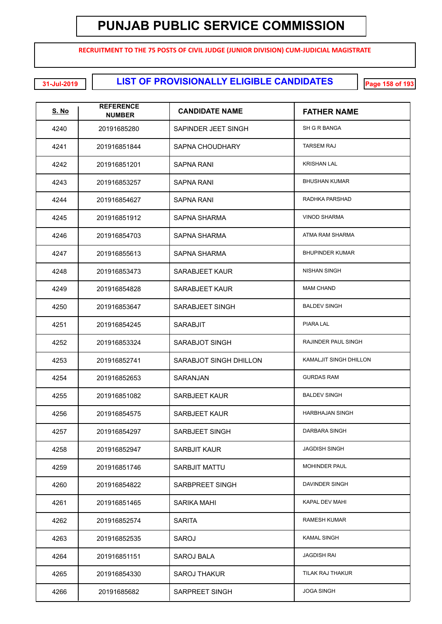**RECRUITMENT TO THE 75 POSTS OF CIVIL JUDGE (JUNIOR DIVISION) CUM-JUDICIAL MAGISTRATE**

**LIST OF PROVISIONALLY ELIGIBLE CANDIDATES 31-Jul-2019 Page 158 of 193**

| <b>S. No</b> | <b>REFERENCE</b><br><b>NUMBER</b> | <b>CANDIDATE NAME</b>  | <b>FATHER NAME</b>     |
|--------------|-----------------------------------|------------------------|------------------------|
| 4240         | 20191685280                       | SAPINDER JEET SINGH    | SH G R BANGA           |
| 4241         | 201916851844                      | SAPNA CHOUDHARY        | <b>TARSEM RAJ</b>      |
| 4242         | 201916851201                      | SAPNA RANI             | <b>KRISHAN LAL</b>     |
| 4243         | 201916853257                      | <b>SAPNA RANI</b>      | <b>BHUSHAN KUMAR</b>   |
| 4244         | 201916854627                      | SAPNA RANI             | RADHKA PARSHAD         |
| 4245         | 201916851912                      | SAPNA SHARMA           | <b>VINOD SHARMA</b>    |
| 4246         | 201916854703                      | SAPNA SHARMA           | ATMA RAM SHARMA        |
| 4247         | 201916855613                      | SAPNA SHARMA           | <b>BHUPINDER KUMAR</b> |
| 4248         | 201916853473                      | SARABJEET KAUR         | <b>NISHAN SINGH</b>    |
| 4249         | 201916854828                      | SARABJEET KAUR         | <b>MAM CHAND</b>       |
| 4250         | 201916853647                      | SARABJEET SINGH        | <b>BALDEV SINGH</b>    |
| 4251         | 201916854245                      | <b>SARABJIT</b>        | PIARA LAL              |
| 4252         | 201916853324                      | SARABJOT SINGH         | RAJINDER PAUL SINGH    |
| 4253         | 201916852741                      | SARABJOT SINGH DHILLON | KAMALJIT SINGH DHILLON |
| 4254         | 201916852653                      | SARANJAN               | <b>GURDAS RAM</b>      |
| 4255         | 201916851082                      | <b>SARBJEET KAUR</b>   | <b>BALDEV SINGH</b>    |
| 4256         | 201916854575                      | SARBJEET KAUR          | <b>HARBHAJAN SINGH</b> |
| 4257         | 201916854297                      | SARBJEET SINGH         | DARBARA SINGH          |
| 4258         | 201916852947                      | <b>SARBJIT KAUR</b>    | <b>JAGDISH SINGH</b>   |
| 4259         | 201916851746                      | <b>SARBJIT MATTU</b>   | <b>MOHINDER PAUL</b>   |
| 4260         | 201916854822                      | SARBPREET SINGH        | DAVINDER SINGH         |
| 4261         | 201916851465                      | SARIKA MAHI            | <b>KAPAL DEV MAHI</b>  |
| 4262         | 201916852574                      | <b>SARITA</b>          | <b>RAMESH KUMAR</b>    |
| 4263         | 201916852535                      | SAROJ                  | KAMAL SINGH            |
| 4264         | 201916851151                      | SAROJ BALA             | JAGDISH RAI            |
| 4265         | 201916854330                      | <b>SAROJ THAKUR</b>    | TILAK RAJ THAKUR       |
| 4266         | 20191685682                       | SARPREET SINGH         | <b>JOGA SINGH</b>      |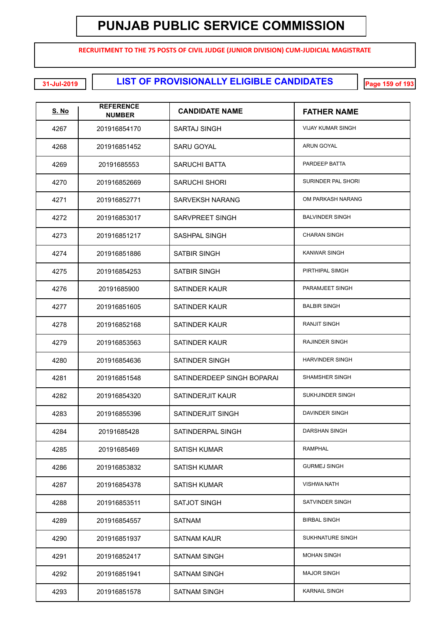**RECRUITMENT TO THE 75 POSTS OF CIVIL JUDGE (JUNIOR DIVISION) CUM-JUDICIAL MAGISTRATE**

**LIST OF PROVISIONALLY ELIGIBLE CANDIDATES 31-Jul-2019 Page 159 of 193**

| <u>S. No</u> | <b>REFERENCE</b><br><b>NUMBER</b> | <b>CANDIDATE NAME</b>      | <b>FATHER NAME</b>       |
|--------------|-----------------------------------|----------------------------|--------------------------|
| 4267         | 201916854170                      | <b>SARTAJ SINGH</b>        | <b>VIJAY KUMAR SINGH</b> |
| 4268         | 201916851452                      | <b>SARU GOYAL</b>          | <b>ARUN GOYAL</b>        |
| 4269         | 20191685553                       | <b>SARUCHI BATTA</b>       | PARDEEP BATTA            |
| 4270         | 201916852669                      | <b>SARUCHI SHORI</b>       | SURINDER PAL SHORI       |
| 4271         | 201916852771                      | <b>SARVEKSH NARANG</b>     | OM PARKASH NARANG        |
| 4272         | 201916853017                      | <b>SARVPREET SINGH</b>     | <b>BALVINDER SINGH</b>   |
| 4273         | 201916851217                      | SASHPAL SINGH              | <b>CHARAN SINGH</b>      |
| 4274         | 201916851886                      | <b>SATBIR SINGH</b>        | <b>KANWAR SINGH</b>      |
| 4275         | 201916854253                      | <b>SATBIR SINGH</b>        | PIRTHIPAL SIMGH          |
| 4276         | 20191685900                       | <b>SATINDER KAUR</b>       | PARAMJEET SINGH          |
| 4277         | 201916851605                      | <b>SATINDER KAUR</b>       | <b>BALBIR SINGH</b>      |
| 4278         | 201916852168                      | <b>SATINDER KAUR</b>       | <b>RANJIT SINGH</b>      |
| 4279         | 201916853563                      | <b>SATINDER KAUR</b>       | <b>RAJINDER SINGH</b>    |
| 4280         | 201916854636                      | SATINDER SINGH             | <b>HARVINDER SINGH</b>   |
| 4281         | 201916851548                      | SATINDERDEEP SINGH BOPARAI | <b>SHAMSHER SINGH</b>    |
| 4282         | 201916854320                      | SATINDERJIT KAUR           | SUKHJINDER SINGH         |
| 4283         | 201916855396                      | SATINDERJIT SINGH          | DAVINDER SINGH           |
| 4284         | 20191685428                       | SATINDERPAL SINGH          | DARSHAN SINGH            |
| 4285         | 20191685469                       | <b>SATISH KUMAR</b>        | <b>RAMPHAL</b>           |
| 4286         | 201916853832                      | <b>SATISH KUMAR</b>        | <b>GURMEJ SINGH</b>      |
| 4287         | 201916854378                      | <b>SATISH KUMAR</b>        | <b>VISHWA NATH</b>       |
| 4288         | 201916853511                      | SATJOT SINGH               | SATVINDER SINGH          |
| 4289         | 201916854557                      | <b>SATNAM</b>              | <b>BIRBAL SINGH</b>      |
| 4290         | 201916851937                      | <b>SATNAM KAUR</b>         | SUKHNATURE SINGH         |
| 4291         | 201916852417                      | <b>SATNAM SINGH</b>        | <b>MOHAN SINGH</b>       |
| 4292         | 201916851941                      | <b>SATNAM SINGH</b>        | <b>MAJOR SINGH</b>       |
| 4293         | 201916851578                      | <b>SATNAM SINGH</b>        | <b>KARNAIL SINGH</b>     |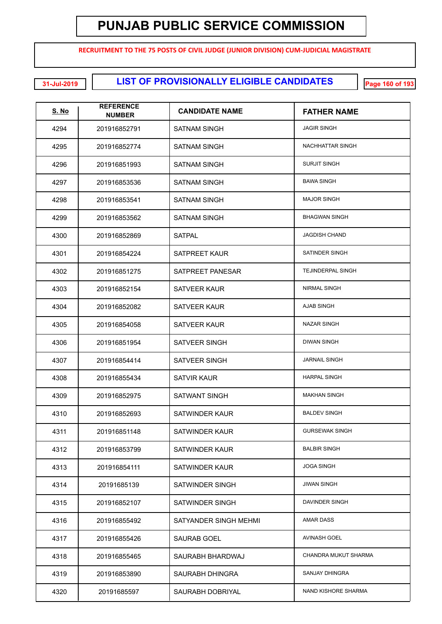**RECRUITMENT TO THE 75 POSTS OF CIVIL JUDGE (JUNIOR DIVISION) CUM-JUDICIAL MAGISTRATE**

**LIST OF PROVISIONALLY ELIGIBLE CANDIDATES 31-Jul-2019 Page 160 of 193**

| <u>S. No</u> | <b>REFERENCE</b><br><b>NUMBER</b> | <b>CANDIDATE NAME</b> | <b>FATHER NAME</b>       |
|--------------|-----------------------------------|-----------------------|--------------------------|
| 4294         | 201916852791                      | <b>SATNAM SINGH</b>   | <b>JAGIR SINGH</b>       |
| 4295         | 201916852774                      | <b>SATNAM SINGH</b>   | NACHHATTAR SINGH         |
| 4296         | 201916851993                      | <b>SATNAM SINGH</b>   | <b>SURJIT SINGH</b>      |
| 4297         | 201916853536                      | <b>SATNAM SINGH</b>   | <b>BAWA SINGH</b>        |
| 4298         | 201916853541                      | <b>SATNAM SINGH</b>   | <b>MAJOR SINGH</b>       |
| 4299         | 201916853562                      | <b>SATNAM SINGH</b>   | <b>BHAGWAN SINGH</b>     |
| 4300         | 201916852869                      | <b>SATPAL</b>         | <b>JAGDISH CHAND</b>     |
| 4301         | 201916854224                      | SATPREET KAUR         | <b>SATINDER SINGH</b>    |
| 4302         | 201916851275                      | SATPREET PANESAR      | <b>TEJINDERPAL SINGH</b> |
| 4303         | 201916852154                      | SATVEER KAUR          | <b>NIRMAL SINGH</b>      |
| 4304         | 201916852082                      | SATVEER KAUR          | AJAB SINGH               |
| 4305         | 201916854058                      | SATVEER KAUR          | <b>NAZAR SINGH</b>       |
| 4306         | 201916851954                      | SATVEER SINGH         | <b>DIWAN SINGH</b>       |
| 4307         | 201916854414                      | SATVEER SINGH         | <b>JARNAIL SINGH</b>     |
| 4308         | 201916855434                      | SATVIR KAUR           | <b>HARPAL SINGH</b>      |
| 4309         | 201916852975                      | SATWANT SINGH         | <b>MAKHAN SINGH</b>      |
| 4310         | 201916852693                      | SATWINDER KAUR        | <b>BALDEV SINGH</b>      |
| 4311         | 201916851148                      | SATWINDER KAUR        | <b>GURSEWAK SINGH</b>    |
| 4312         | 201916853799                      | SATWINDER KAUR        | <b>BALBIR SINGH</b>      |
| 4313         | 201916854111                      | SATWINDER KAUR        | <b>JOGA SINGH</b>        |
| 4314         | 20191685139                       | SATWINDER SINGH       | <b>JIWAN SINGH</b>       |
| 4315         | 201916852107                      | SATWINDER SINGH       | DAVINDER SINGH           |
| 4316         | 201916855492                      | SATYANDER SINGH MEHMI | <b>AMAR DASS</b>         |
| 4317         | 201916855426                      | SAURAB GOEL           | <b>AVINASH GOEL</b>      |
| 4318         | 201916855465                      | SAURABH BHARDWAJ      | CHANDRA MUKUT SHARMA     |
| 4319         | 201916853890                      | SAURABH DHINGRA       | SANJAY DHINGRA           |
| 4320         | 20191685597                       | SAURABH DOBRIYAL      | NAND KISHORE SHARMA      |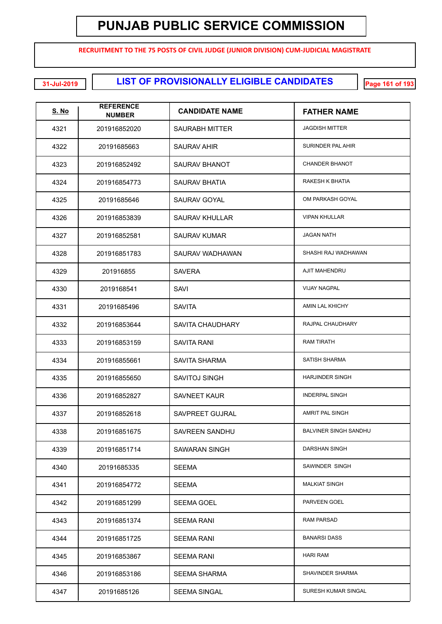**RECRUITMENT TO THE 75 POSTS OF CIVIL JUDGE (JUNIOR DIVISION) CUM-JUDICIAL MAGISTRATE**

**LIST OF PROVISIONALLY ELIGIBLE CANDIDATES 31-Jul-2019 Page 161 of 193**

| S. No | <b>REFERENCE</b><br><b>NUMBER</b> | <b>CANDIDATE NAME</b>   | <b>FATHER NAME</b>           |
|-------|-----------------------------------|-------------------------|------------------------------|
| 4321  | 201916852020                      | SAURABH MITTER          | <b>JAGDISH MITTER</b>        |
| 4322  | 20191685663                       | SAURAV AHIR             | SURINDER PAL AHIR            |
| 4323  | 201916852492                      | SAURAV BHANOT           | <b>CHANDER BHANOT</b>        |
| 4324  | 201916854773                      | SAURAV BHATIA           | RAKESH K BHATIA              |
| 4325  | 20191685646                       | SAURAV GOYAL            | OM PARKASH GOYAL             |
| 4326  | 201916853839                      | <b>SAURAV KHULLAR</b>   | <b>VIPAN KHULLAR</b>         |
| 4327  | 201916852581                      | <b>SAURAV KUMAR</b>     | <b>JAGAN NATH</b>            |
| 4328  | 201916851783                      | SAURAV WADHAWAN         | SHASHI RAJ WADHAWAN          |
| 4329  | 201916855                         | <b>SAVERA</b>           | AJIT MAHENDRU                |
| 4330  | 2019168541                        | SAVI                    | <b>VIJAY NAGPAL</b>          |
| 4331  | 20191685496                       | <b>SAVITA</b>           | AMIN LAL KHICHY              |
| 4332  | 201916853644                      | <b>SAVITA CHAUDHARY</b> | <b>RAJPAL CHAUDHARY</b>      |
| 4333  | 201916853159                      | <b>SAVITA RANI</b>      | <b>RAM TIRATH</b>            |
| 4334  | 201916855661                      | <b>SAVITA SHARMA</b>    | <b>SATISH SHARMA</b>         |
| 4335  | 201916855650                      | <b>SAVITOJ SINGH</b>    | <b>HARJINDER SINGH</b>       |
| 4336  | 201916852827                      | <b>SAVNEET KAUR</b>     | <b>INDERPAL SINGH</b>        |
| 4337  | 201916852618                      | SAVPREET GUJRAL         | AMRIT PAL SINGH              |
| 4338  | 201916851675                      | SAVREEN SANDHU          | <b>BALVINER SINGH SANDHU</b> |
| 4339  | 201916851714                      | SAWARAN SINGH           | DARSHAN SINGH                |
| 4340  | 20191685335                       | <b>SEEMA</b>            | SAWINDER SINGH               |
| 4341  | 201916854772                      | <b>SEEMA</b>            | <b>MALKIAT SINGH</b>         |
| 4342  | 201916851299                      | <b>SEEMA GOEL</b>       | PARVEEN GOEL                 |
| 4343  | 201916851374                      | <b>SEEMA RANI</b>       | <b>RAM PARSAD</b>            |
| 4344  | 201916851725                      | <b>SEEMA RANI</b>       | <b>BANARSI DASS</b>          |
| 4345  | 201916853867                      | <b>SEEMA RANI</b>       | <b>HARI RAM</b>              |
| 4346  | 201916853186                      | <b>SEEMA SHARMA</b>     | SHAVINDER SHARMA             |
| 4347  | 20191685126                       | <b>SEEMA SINGAL</b>     | SURESH KUMAR SINGAL          |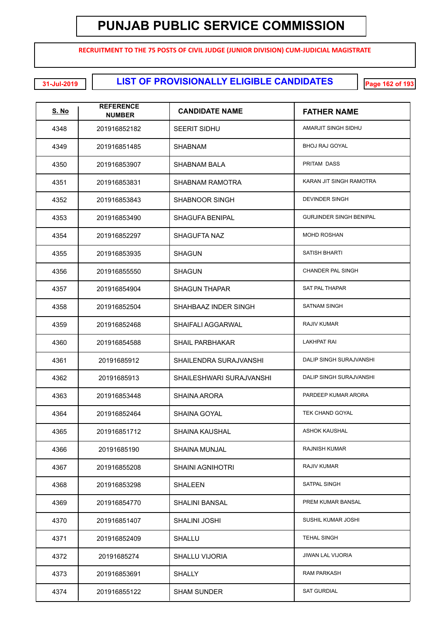**RECRUITMENT TO THE 75 POSTS OF CIVIL JUDGE (JUNIOR DIVISION) CUM-JUDICIAL MAGISTRATE**

**LIST OF PROVISIONALLY ELIGIBLE CANDIDATES 31-Jul-2019 Page 162 of 193**

| <b>S. No</b> | <b>REFERENCE</b><br><b>NUMBER</b> | <b>CANDIDATE NAME</b>    | <b>FATHER NAME</b>             |
|--------------|-----------------------------------|--------------------------|--------------------------------|
| 4348         | 201916852182                      | <b>SEERIT SIDHU</b>      | AMARJIT SINGH SIDHU            |
| 4349         | 201916851485                      | <b>SHABNAM</b>           | BHOJ RAJ GOYAL                 |
| 4350         | 201916853907                      | SHABNAM BALA             | PRITAM DASS                    |
| 4351         | 201916853831                      | SHABNAM RAMOTRA          | KARAN JIT SINGH RAMOTRA        |
| 4352         | 201916853843                      | SHABNOOR SINGH           | <b>DEVINDER SINGH</b>          |
| 4353         | 201916853490                      | <b>SHAGUFA BENIPAL</b>   | <b>GURJINDER SINGH BENIPAL</b> |
| 4354         | 201916852297                      | <b>SHAGUFTA NAZ</b>      | <b>MOHD ROSHAN</b>             |
| 4355         | 201916853935                      | <b>SHAGUN</b>            | SATISH BHARTI                  |
| 4356         | 201916855550                      | <b>SHAGUN</b>            | <b>CHANDER PAL SINGH</b>       |
| 4357         | 201916854904                      | <b>SHAGUN THAPAR</b>     | <b>SAT PAL THAPAR</b>          |
| 4358         | 201916852504                      | SHAHBAAZ INDER SINGH     | <b>SATNAM SINGH</b>            |
| 4359         | 201916852468                      | SHAIFALI AGGARWAL        | <b>RAJIV KUMAR</b>             |
| 4360         | 201916854588                      | <b>SHAIL PARBHAKAR</b>   | <b>LAKHPAT RAI</b>             |
| 4361         | 20191685912                       | SHAILENDRA SURAJVANSHI   | DALIP SINGH SURAJVANSHI        |
| 4362         | 20191685913                       | SHAILESHWARI SURAJVANSHI | DALIP SINGH SURAJVANSHI        |
| 4363         | 201916853448                      | SHAINA ARORA             | PARDEEP KUMAR ARORA            |
| 4364         | 201916852464                      | SHAINA GOYAL             | <b>TEK CHAND GOYAL</b>         |
| 4365         | 201916851712                      | SHAINA KAUSHAL           | <b>ASHOK KAUSHAL</b>           |
| 4366         | 20191685190                       | <b>SHAINA MUNJAL</b>     | <b>RAJNISH KUMAR</b>           |
| 4367         | 201916855208                      | <b>SHAINI AGNIHOTRI</b>  | RAJIV KUMAR                    |
| 4368         | 201916853298                      | <b>SHALEEN</b>           | SATPAL SINGH                   |
| 4369         | 201916854770                      | SHALINI BANSAL           | PREM KUMAR BANSAL              |
| 4370         | 201916851407                      | SHALINI JOSHI            | SUSHIL KUMAR JOSHI             |
| 4371         | 201916852409                      | <b>SHALLU</b>            | <b>TEHAL SINGH</b>             |
| 4372         | 20191685274                       | <b>SHALLU VIJORIA</b>    | <b>JIWAN LAL VIJORIA</b>       |
| 4373         | 201916853691                      | <b>SHALLY</b>            | <b>RAM PARKASH</b>             |
| 4374         | 201916855122                      | <b>SHAM SUNDER</b>       | <b>SAT GURDIAL</b>             |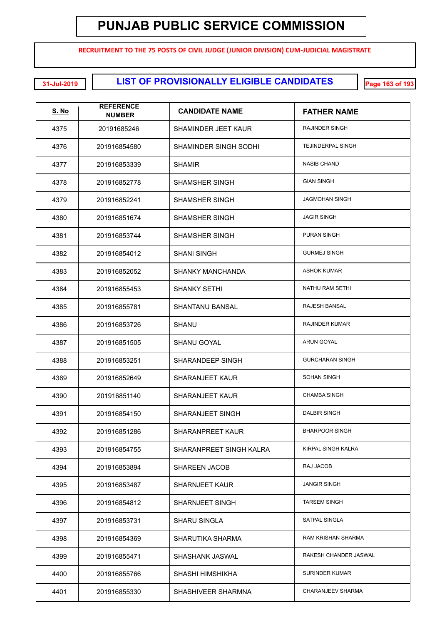**RECRUITMENT TO THE 75 POSTS OF CIVIL JUDGE (JUNIOR DIVISION) CUM-JUDICIAL MAGISTRATE**

**LIST OF PROVISIONALLY ELIGIBLE CANDIDATES 31-Jul-2019 Page 163 of 193**

| <u>S. No</u> | <b>REFERENCE</b><br><b>NUMBER</b> | <b>CANDIDATE NAME</b>   | <b>FATHER NAME</b>       |
|--------------|-----------------------------------|-------------------------|--------------------------|
| 4375         | 20191685246                       | SHAMINDER JEET KAUR     | RAJINDER SINGH           |
| 4376         | 201916854580                      | SHAMINDER SINGH SODHI   | <b>TEJINDERPAL SINGH</b> |
| 4377         | 201916853339                      | SHAMIR                  | <b>NASIB CHAND</b>       |
| 4378         | 201916852778                      | SHAMSHER SINGH          | <b>GIAN SINGH</b>        |
| 4379         | 201916852241                      | SHAMSHER SINGH          | <b>JAGMOHAN SINGH</b>    |
| 4380         | 201916851674                      | SHAMSHER SINGH          | <b>JAGIR SINGH</b>       |
| 4381         | 201916853744                      | SHAMSHER SINGH          | <b>PURAN SINGH</b>       |
| 4382         | 201916854012                      | <b>SHANI SINGH</b>      | <b>GURMEJ SINGH</b>      |
| 4383         | 201916852052                      | <b>SHANKY MANCHANDA</b> | <b>ASHOK KUMAR</b>       |
| 4384         | 201916855453                      | SHANKY SETHI            | NATHU RAM SETHI          |
| 4385         | 201916855781                      | <b>SHANTANU BANSAL</b>  | <b>RAJESH BANSAL</b>     |
| 4386         | 201916853726                      | <b>SHANU</b>            | <b>RAJINDER KUMAR</b>    |
| 4387         | 201916851505                      | <b>SHANU GOYAL</b>      | ARUN GOYAL               |
| 4388         | 201916853251                      | SHARANDEEP SINGH        | <b>GURCHARAN SINGH</b>   |
| 4389         | 201916852649                      | <b>SHARANJEET KAUR</b>  | <b>SOHAN SINGH</b>       |
| 4390         | 201916851140                      | <b>SHARANJEET KAUR</b>  | <b>CHAMBA SINGH</b>      |
| 4391         | 201916854150                      | <b>SHARANJEET SINGH</b> | <b>DALBIR SINGH</b>      |
| 4392         | 201916851286                      | <b>SHARANPREET KAUR</b> | <b>BHARPOOR SINGH</b>    |
| 4393         | 201916854755                      | SHARANPREET SINGH KALRA | KIRPAL SINGH KALRA       |
| 4394         | 201916853894                      | <b>SHAREEN JACOB</b>    | RAJ JACOB                |
| 4395         | 201916853487                      | <b>SHARNJEET KAUR</b>   | <b>JANGIR SINGH</b>      |
| 4396         | 201916854812                      | SHARNJEET SINGH         | <b>TARSEM SINGH</b>      |
| 4397         | 201916853731                      | <b>SHARU SINGLA</b>     | SATPAL SINGLA            |
| 4398         | 201916854369                      | SHARUTIKA SHARMA        | RAM KRISHAN SHARMA       |
| 4399         | 201916855471                      | SHASHANK JASWAL         | RAKESH CHANDER JASWAL    |
| 4400         | 201916855766                      | SHASHI HIMSHIKHA        | <b>SURINDER KUMAR</b>    |
| 4401         | 201916855330                      | SHASHIVEER SHARMNA      | <b>CHARANJEEV SHARMA</b> |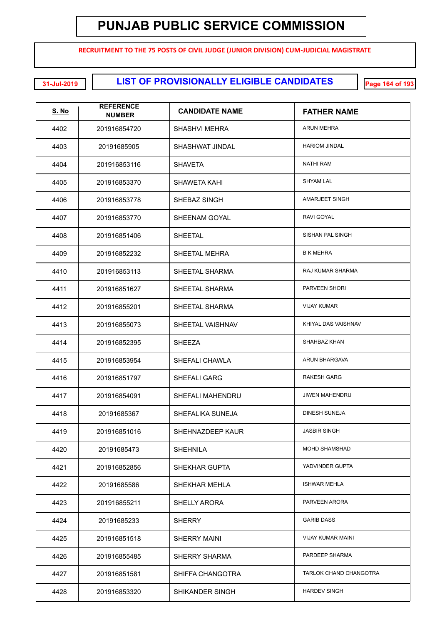**RECRUITMENT TO THE 75 POSTS OF CIVIL JUDGE (JUNIOR DIVISION) CUM-JUDICIAL MAGISTRATE**

**LIST OF PROVISIONALLY ELIGIBLE CANDIDATES 31-Jul-2019 Page 164 of 193**

| <b>S. No</b> | <b>REFERENCE</b><br><b>NUMBER</b> | <b>CANDIDATE NAME</b>   | <b>FATHER NAME</b>       |
|--------------|-----------------------------------|-------------------------|--------------------------|
| 4402         | 201916854720                      | <b>SHASHVI MEHRA</b>    | ARUN MEHRA               |
| 4403         | 20191685905                       | SHASHWAT JINDAL         | <b>HARIOM JINDAL</b>     |
| 4404         | 201916853116                      | <b>SHAVETA</b>          | <b>NATHI RAM</b>         |
| 4405         | 201916853370                      | SHAWETA KAHI            | <b>SHYAM LAL</b>         |
| 4406         | 201916853778                      | SHEBAZ SINGH            | <b>AMARJEET SINGH</b>    |
| 4407         | 201916853770                      | SHEENAM GOYAL           | RAVI GOYAL               |
| 4408         | 201916851406                      | <b>SHEETAL</b>          | SISHAN PAL SINGH         |
| 4409         | 201916852232                      | SHEETAL MEHRA           | <b>B K MEHRA</b>         |
| 4410         | 201916853113                      | SHEETAL SHARMA          | RAJ KUMAR SHARMA         |
| 4411         | 201916851627                      | SHEETAL SHARMA          | PARVEEN SHORI            |
| 4412         | 201916855201                      | SHEETAL SHARMA          | <b>VIJAY KUMAR</b>       |
| 4413         | 201916855073                      | SHEETAL VAISHNAV        | KHIYAL DAS VAISHNAV      |
| 4414         | 201916852395                      | <b>SHEEZA</b>           | SHAHBAZ KHAN             |
| 4415         | 201916853954                      | SHEFALI CHAWLA          | <b>ARUN BHARGAVA</b>     |
| 4416         | 201916851797                      | <b>SHEFALI GARG</b>     | <b>RAKESH GARG</b>       |
| 4417         | 201916854091                      | <b>SHEFALI MAHENDRU</b> | <b>JIWEN MAHENDRU</b>    |
| 4418         | 20191685367                       | SHEFALIKA SUNEJA        | DINESH SUNEJA            |
| 4419         | 201916851016                      | SHEHNAZDEEP KAUR        | <b>JASBIR SINGH</b>      |
| 4420         | 20191685473                       | <b>SHEHNILA</b>         | <b>MOHD SHAMSHAD</b>     |
| 4421         | 201916852856                      | SHEKHAR GUPTA           | YADVINDER GUPTA          |
| 4422         | 20191685586                       | SHEKHAR MEHLA           | <b>ISHWAR MEHLA</b>      |
| 4423         | 201916855211                      | <b>SHELLY ARORA</b>     | PARVEEN ARORA            |
| 4424         | 20191685233                       | <b>SHERRY</b>           | <b>GARIB DASS</b>        |
| 4425         | 201916851518                      | <b>SHERRY MAINI</b>     | <b>VIJAY KUMAR MAINI</b> |
| 4426         | 201916855485                      | <b>SHERRY SHARMA</b>    | PARDEEP SHARMA           |
| 4427         | 201916851581                      | SHIFFA CHANGOTRA        | TARLOK CHAND CHANGOTRA   |
| 4428         | 201916853320                      | <b>SHIKANDER SINGH</b>  | <b>HARDEV SINGH</b>      |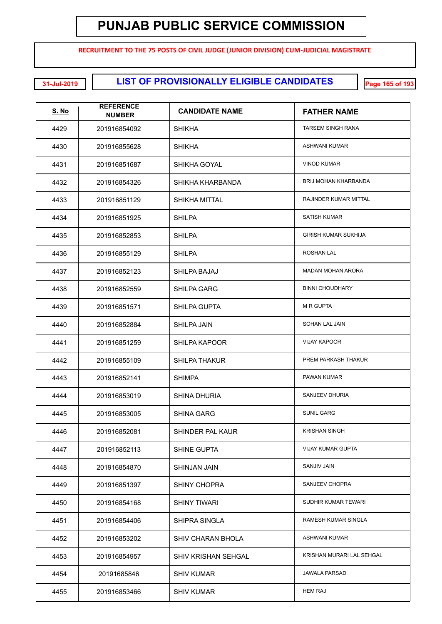**RECRUITMENT TO THE 75 POSTS OF CIVIL JUDGE (JUNIOR DIVISION) CUM-JUDICIAL MAGISTRATE**

**LIST OF PROVISIONALLY ELIGIBLE CANDIDATES 31-Jul-2019 Page 165 of 193**

| <b>S. No</b> | <b>REFERENCE</b><br><b>NUMBER</b> | <b>CANDIDATE NAME</b>    | <b>FATHER NAME</b>          |
|--------------|-----------------------------------|--------------------------|-----------------------------|
| 4429         | 201916854092                      | <b>SHIKHA</b>            | <b>TARSEM SINGH RANA</b>    |
| 4430         | 201916855628                      | <b>SHIKHA</b>            | <b>ASHWANI KUMAR</b>        |
| 4431         | 201916851687                      | SHIKHA GOYAL             | <b>VINOD KUMAR</b>          |
| 4432         | 201916854326                      | SHIKHA KHARBANDA         | <b>BRIJ MOHAN KHARBANDA</b> |
| 4433         | 201916851129                      | <b>SHIKHA MITTAL</b>     | RAJINDER KUMAR MITTAL       |
| 4434         | 201916851925                      | <b>SHILPA</b>            | <b>SATISH KUMAR</b>         |
| 4435         | 201916852853                      | <b>SHILPA</b>            | <b>GIRISH KUMAR SUKHIJA</b> |
| 4436         | 201916855129                      | <b>SHILPA</b>            | ROSHAN LAL                  |
| 4437         | 201916852123                      | SHILPA BAJAJ             | <b>MADAN MOHAN ARORA</b>    |
| 4438         | 201916852559                      | SHILPA GARG              | <b>BINNI CHOUDHARY</b>      |
| 4439         | 201916851571                      | SHILPA GUPTA             | <b>M R GUPTA</b>            |
| 4440         | 201916852884                      | <b>SHILPA JAIN</b>       | SOHAN LAL JAIN              |
| 4441         | 201916851259                      | <b>SHILPA KAPOOR</b>     | <b>VIJAY KAPOOR</b>         |
| 4442         | 201916855109                      | <b>SHILPA THAKUR</b>     | PREM PARKASH THAKUR         |
| 4443         | 201916852141                      | <b>SHIMPA</b>            | PAWAN KUMAR                 |
| 4444         | 201916853019                      | <b>SHINA DHURIA</b>      | SANJEEV DHURIA              |
| 4445         | 201916853005                      | <b>SHINA GARG</b>        | <b>SUNIL GARG</b>           |
| 4446         | 201916852081                      | SHINDER PAL KAUR         | <b>KRISHAN SINGH</b>        |
| 4447         | 201916852113                      | SHINE GUPTA              | <b>VIJAY KUMAR GUPTA</b>    |
| 4448         | 201916854870                      | <b>SHINJAN JAIN</b>      | <b>SANJIV JAIN</b>          |
| 4449         | 201916851397                      | <b>SHINY CHOPRA</b>      | SANJEEV CHOPRA              |
| 4450         | 201916854168                      | SHINY TIWARI             | SUDHIR KUMAR TEWARI         |
| 4451         | 201916854406                      | <b>SHIPRA SINGLA</b>     | <b>RAMESH KUMAR SINGLA</b>  |
| 4452         | 201916853202                      | <b>SHIV CHARAN BHOLA</b> | <b>ASHWANI KUMAR</b>        |
| 4453         | 201916854957                      | SHIV KRISHAN SEHGAL      | KRISHAN MURARI LAL SEHGAL   |
| 4454         | 20191685846                       | <b>SHIV KUMAR</b>        | <b>JAWALA PARSAD</b>        |
| 4455         | 201916853466                      | <b>SHIV KUMAR</b>        | <b>HEM RAJ</b>              |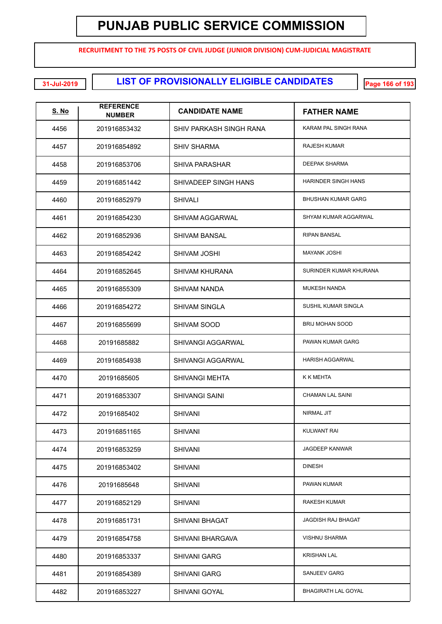**RECRUITMENT TO THE 75 POSTS OF CIVIL JUDGE (JUNIOR DIVISION) CUM-JUDICIAL MAGISTRATE**

**LIST OF PROVISIONALLY ELIGIBLE CANDIDATES 31-Jul-2019 Page 166 of 193**

| <b>S. No</b> | <b>REFERENCE</b><br><b>NUMBER</b> | <b>CANDIDATE NAME</b>    | <b>FATHER NAME</b>         |
|--------------|-----------------------------------|--------------------------|----------------------------|
| 4456         | 201916853432                      | SHIV PARKASH SINGH RANA  | KARAM PAL SINGH RANA       |
| 4457         | 201916854892                      | <b>SHIV SHARMA</b>       | <b>RAJESH KUMAR</b>        |
| 4458         | 201916853706                      | <b>SHIVA PARASHAR</b>    | <b>DEEPAK SHARMA</b>       |
| 4459         | 201916851442                      | SHIVADEEP SINGH HANS     | <b>HARINDER SINGH HANS</b> |
| 4460         | 201916852979                      | <b>SHIVALI</b>           | <b>BHUSHAN KUMAR GARG</b>  |
| 4461         | 201916854230                      | SHIVAM AGGARWAL          | SHYAM KUMAR AGGARWAL       |
| 4462         | 201916852936                      | <b>SHIVAM BANSAL</b>     | <b>RIPAN BANSAL</b>        |
| 4463         | 201916854242                      | SHIVAM JOSHI             | <b>MAYANK JOSHI</b>        |
| 4464         | 201916852645                      | <b>SHIVAM KHURANA</b>    | SURINDER KUMAR KHURANA     |
| 4465         | 201916855309                      | SHIVAM NANDA             | <b>MUKESH NANDA</b>        |
| 4466         | 201916854272                      | <b>SHIVAM SINGLA</b>     | SUSHIL KUMAR SINGLA        |
| 4467         | 201916855699                      | SHIVAM SOOD              | <b>BRIJ MOHAN SOOD</b>     |
| 4468         | 20191685882                       | <b>SHIVANGI AGGARWAL</b> | PAWAN KUMAR GARG           |
| 4469         | 201916854938                      | <b>SHIVANGI AGGARWAL</b> | <b>HARISH AGGARWAL</b>     |
| 4470         | 20191685605                       | <b>SHIVANGI MEHTA</b>    | K K MEHTA                  |
| 4471         | 201916853307                      | <b>SHIVANGI SAINI</b>    | <b>CHAMAN LAL SAINI</b>    |
| 4472         | 20191685402                       | <b>SHIVANI</b>           | NIRMAL JIT                 |
| 4473         | 201916851165                      | <b>SHIVANI</b>           | KULWANT RAI                |
| 4474         | 201916853259                      | <b>SHIVANI</b>           | <b>JAGDEEP KANWAR</b>      |
| 4475         | 201916853402                      | <b>SHIVANI</b>           | <b>DINESH</b>              |
| 4476         | 20191685648                       | <b>SHIVANI</b>           | PAWAN KUMAR                |
| 4477         | 201916852129                      | <b>SHIVANI</b>           | RAKESH KUMAR               |
| 4478         | 201916851731                      | <b>SHIVANI BHAGAT</b>    | JAGDISH RAJ BHAGAT         |
| 4479         | 201916854758                      | SHIVANI BHARGAVA         | <b>VISHNU SHARMA</b>       |
| 4480         | 201916853337                      | <b>SHIVANI GARG</b>      | <b>KRISHAN LAL</b>         |
| 4481         | 201916854389                      | <b>SHIVANI GARG</b>      | SANJEEV GARG               |
| 4482         | 201916853227                      | <b>SHIVANI GOYAL</b>     | <b>BHAGIRATH LAL GOYAL</b> |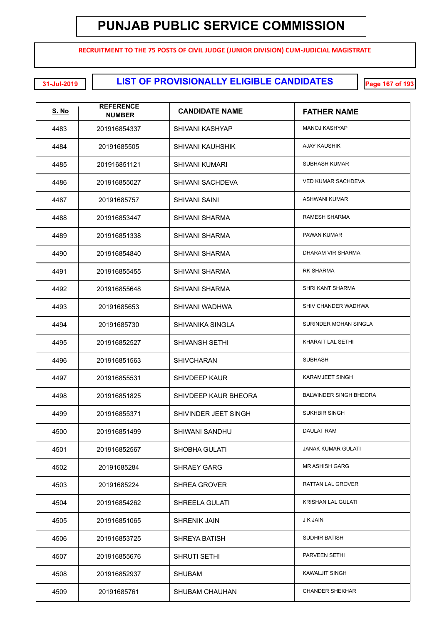**RECRUITMENT TO THE 75 POSTS OF CIVIL JUDGE (JUNIOR DIVISION) CUM-JUDICIAL MAGISTRATE**

**LIST OF PROVISIONALLY ELIGIBLE CANDIDATES 31-Jul-2019 Page 167 of 193**

| <u>S. No</u> | <b>REFERENCE</b><br><b>NUMBER</b> | <b>CANDIDATE NAME</b>   | <b>FATHER NAME</b>            |
|--------------|-----------------------------------|-------------------------|-------------------------------|
| 4483         | 201916854337                      | SHIVANI KASHYAP         | <b>MANOJ KASHYAP</b>          |
| 4484         | 20191685505                       | <b>SHIVANI KAUHSHIK</b> | AJAY KAUSHIK                  |
| 4485         | 201916851121                      | SHIVANI KUMARI          | SUBHASH KUMAR                 |
| 4486         | 201916855027                      | <b>SHIVANI SACHDEVA</b> | <b>VED KUMAR SACHDEVA</b>     |
| 4487         | 20191685757                       | SHIVANI SAINI           | ASHWANI KUMAR                 |
| 4488         | 201916853447                      | <b>SHIVANI SHARMA</b>   | RAMESH SHARMA                 |
| 4489         | 201916851338                      | <b>SHIVANI SHARMA</b>   | PAWAN KUMAR                   |
| 4490         | 201916854840                      | <b>SHIVANI SHARMA</b>   | DHARAM VIR SHARMA             |
| 4491         | 201916855455                      | SHIVANI SHARMA          | <b>RK SHARMA</b>              |
| 4492         | 201916855648                      | <b>SHIVANI SHARMA</b>   | SHRI KANT SHARMA              |
| 4493         | 20191685653                       | <b>SHIVANI WADHWA</b>   | SHIV CHANDER WADHWA           |
| 4494         | 20191685730                       | SHIVANIKA SINGLA        | SURINDER MOHAN SINGLA         |
| 4495         | 201916852527                      | <b>SHIVANSH SETHI</b>   | KHARAIT LAL SETHI             |
| 4496         | 201916851563                      | <b>SHIVCHARAN</b>       | <b>SUBHASH</b>                |
| 4497         | 201916855531                      | <b>SHIVDEEP KAUR</b>    | <b>KARAMJEET SINGH</b>        |
| 4498         | 201916851825                      | SHIVDEEP KAUR BHEORA    | <b>BALWINDER SINGH BHEORA</b> |
| 4499         | 201916855371                      | SHIVINDER JEET SINGH    | <b>SUKHBIR SINGH</b>          |
| 4500         | 201916851499                      | SHIWANI SANDHU          | DAULAT RAM                    |
| 4501         | 201916852567                      | SHOBHA GULATI           | <b>JANAK KUMAR GULATI</b>     |
| 4502         | 20191685284                       | <b>SHRAEY GARG</b>      | <b>MR ASHISH GARG</b>         |
| 4503         | 20191685224                       | <b>SHREA GROVER</b>     | RATTAN LAL GROVER             |
| 4504         | 201916854262                      | SHREELA GULATI          | KRISHAN LAL GULATI            |
| 4505         | 201916851065                      | <b>SHRENIK JAIN</b>     | J K JAIN                      |
| 4506         | 201916853725                      | SHREYA BATISH           | SUDHIR BATISH                 |
| 4507         | 201916855676                      | SHRUTI SETHI            | PARVEEN SETHI                 |
| 4508         | 201916852937                      | <b>SHUBAM</b>           | <b>KAWALJIT SINGH</b>         |
| 4509         | 20191685761                       | <b>SHUBAM CHAUHAN</b>   | <b>CHANDER SHEKHAR</b>        |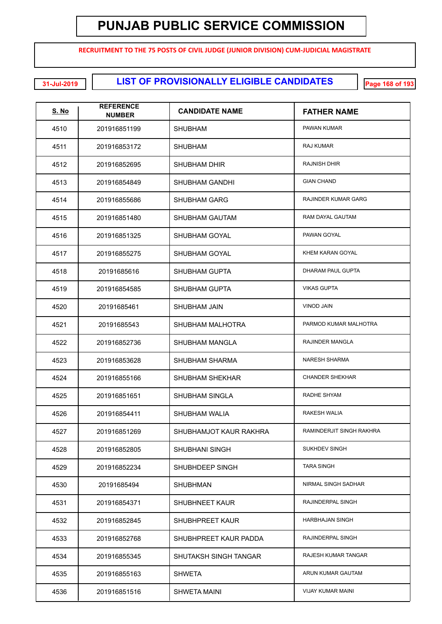**RECRUITMENT TO THE 75 POSTS OF CIVIL JUDGE (JUNIOR DIVISION) CUM-JUDICIAL MAGISTRATE**

**LIST OF PROVISIONALLY ELIGIBLE CANDIDATES 31-Jul-2019 Page 168 of 193**

| <u>S. No</u> | <b>REFERENCE</b><br><b>NUMBER</b> | <b>CANDIDATE NAME</b>  | <b>FATHER NAME</b>         |
|--------------|-----------------------------------|------------------------|----------------------------|
| 4510         | 201916851199                      | <b>SHUBHAM</b>         | PAWAN KUMAR                |
| 4511         | 201916853172                      | <b>SHUBHAM</b>         | RAJ KUMAR                  |
| 4512         | 201916852695                      | <b>SHUBHAM DHIR</b>    | <b>RAJNISH DHIR</b>        |
| 4513         | 201916854849                      | SHUBHAM GANDHI         | <b>GIAN CHAND</b>          |
| 4514         | 201916855686                      | <b>SHUBHAM GARG</b>    | <b>RAJINDER KUMAR GARG</b> |
| 4515         | 201916851480                      | SHUBHAM GAUTAM         | RAM DAYAL GAUTAM           |
| 4516         | 201916851325                      | SHUBHAM GOYAL          | PAWAN GOYAL                |
| 4517         | 201916855275                      | SHUBHAM GOYAL          | KHEM KARAN GOYAL           |
| 4518         | 20191685616                       | <b>SHUBHAM GUPTA</b>   | <b>DHARAM PAUL GUPTA</b>   |
| 4519         | 201916854585                      | <b>SHUBHAM GUPTA</b>   | <b>VIKAS GUPTA</b>         |
| 4520         | 20191685461                       | SHUBHAM JAIN           | <b>VINOD JAIN</b>          |
| 4521         | 20191685543                       | SHUBHAM MALHOTRA       | PARMOD KUMAR MALHOTRA      |
| 4522         | 201916852736                      | SHUBHAM MANGLA         | RAJINDER MANGLA            |
| 4523         | 201916853628                      | <b>SHUBHAM SHARMA</b>  | <b>NARESH SHARMA</b>       |
| 4524         | 201916855166                      | SHUBHAM SHEKHAR        | <b>CHANDER SHEKHAR</b>     |
| 4525         | 201916851651                      | <b>SHUBHAM SINGLA</b>  | RADHE SHYAM                |
| 4526         | 201916854411                      | <b>SHUBHAM WALIA</b>   | <b>RAKESH WALIA</b>        |
| 4527         | 201916851269                      | SHUBHAMJOT KAUR RAKHRA | RAMINDERJIT SINGH RAKHRA   |
| 4528         | 201916852805                      | <b>SHUBHANI SINGH</b>  | SUKHDEV SINGH              |
| 4529         | 201916852234                      | SHUBHDEEP SINGH        | <b>TARA SINGH</b>          |
| 4530         | 20191685494                       | <b>SHUBHMAN</b>        | NIRMAL SINGH SADHAR        |
| 4531         | 201916854371                      | <b>SHUBHNEET KAUR</b>  | RAJINDERPAL SINGH          |
| 4532         | 201916852845                      | SHUBHPREET KAUR        | <b>HARBHAJAN SINGH</b>     |
| 4533         | 201916852768                      | SHUBHPREET KAUR PADDA  | RAJINDERPAL SINGH          |
| 4534         | 201916855345                      | SHUTAKSH SINGH TANGAR  | RAJESH KUMAR TANGAR        |
| 4535         | 201916855163                      | <b>SHWETA</b>          | ARUN KUMAR GAUTAM          |
| 4536         | 201916851516                      | <b>SHWETA MAINI</b>    | <b>VIJAY KUMAR MAINI</b>   |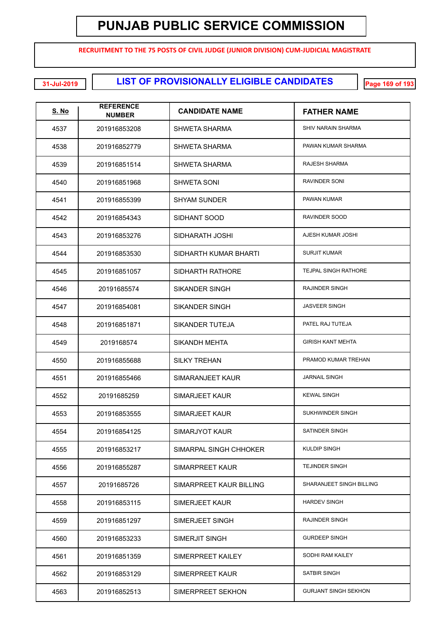**RECRUITMENT TO THE 75 POSTS OF CIVIL JUDGE (JUNIOR DIVISION) CUM-JUDICIAL MAGISTRATE**

**LIST OF PROVISIONALLY ELIGIBLE CANDIDATES 31-Jul-2019 Page 169 of 193**

| <u>S. No</u> | <b>REFERENCE</b><br><b>NUMBER</b> | <b>CANDIDATE NAME</b>   | <b>FATHER NAME</b>          |
|--------------|-----------------------------------|-------------------------|-----------------------------|
| 4537         | 201916853208                      | SHWETA SHARMA           | SHIV NARAIN SHARMA          |
| 4538         | 201916852779                      | SHWETA SHARMA           | PAWAN KUMAR SHARMA          |
| 4539         | 201916851514                      | SHWETA SHARMA           | RAJESH SHARMA               |
| 4540         | 201916851968                      | <b>SHWETA SONI</b>      | <b>RAVINDER SONI</b>        |
| 4541         | 201916855399                      | <b>SHYAM SUNDER</b>     | PAWAN KUMAR                 |
| 4542         | 201916854343                      | SIDHANT SOOD            | RAVINDER SOOD               |
| 4543         | 201916853276                      | SIDHARATH JOSHI         | AJESH KUMAR JOSHI           |
| 4544         | 201916853530                      | SIDHARTH KUMAR BHARTI   | <b>SURJIT KUMAR</b>         |
| 4545         | 201916851057                      | SIDHARTH RATHORE        | TEJPAL SINGH RATHORE        |
| 4546         | 20191685574                       | <b>SIKANDER SINGH</b>   | <b>RAJINDER SINGH</b>       |
| 4547         | 201916854081                      | <b>SIKANDER SINGH</b>   | <b>JASVEER SINGH</b>        |
| 4548         | 201916851871                      | <b>SIKANDER TUTEJA</b>  | PATEL RAJ TUTEJA            |
| 4549         | 2019168574                        | <b>SIKANDH MEHTA</b>    | <b>GIRISH KANT MEHTA</b>    |
| 4550         | 201916855688                      | <b>SILKY TREHAN</b>     | PRAMOD KUMAR TREHAN         |
| 4551         | 201916855466                      | SIMARANJEET KAUR        | <b>JARNAIL SINGH</b>        |
| 4552         | 20191685259                       | <b>SIMARJEET KAUR</b>   | <b>KEWAL SINGH</b>          |
| 4553         | 201916853555                      | <b>SIMARJEET KAUR</b>   | SUKHWINDER SINGH            |
| 4554         | 201916854125                      | <b>SIMARJYOT KAUR</b>   | SATINDER SINGH              |
| 4555         | 201916853217                      | SIMARPAL SINGH CHHOKER  | <b>KULDIP SINGH</b>         |
| 4556         | 201916855287                      | SIMARPREET KAUR         | <b>TEJINDER SINGH</b>       |
| 4557         | 20191685726                       | SIMARPREET KAUR BILLING | SHARANJEET SINGH BILLING    |
| 4558         | 201916853115                      | SIMERJEET KAUR          | <b>HARDEV SINGH</b>         |
| 4559         | 201916851297                      | SIMERJEET SINGH         | RAJINDER SINGH              |
| 4560         | 201916853233                      | SIMERJIT SINGH          | <b>GURDEEP SINGH</b>        |
| 4561         | 201916851359                      | SIMERPREET KAILEY       | SODHI RAM KAILEY            |
| 4562         | 201916853129                      | SIMERPREET KAUR         | SATBIR SINGH                |
| 4563         | 201916852513                      | SIMERPREET SEKHON       | <b>GURJANT SINGH SEKHON</b> |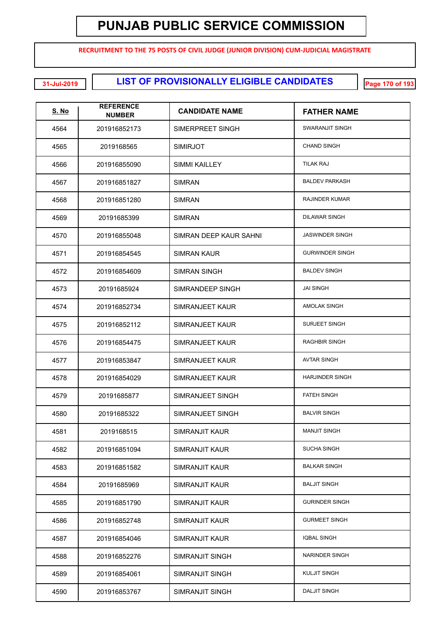**RECRUITMENT TO THE 75 POSTS OF CIVIL JUDGE (JUNIOR DIVISION) CUM-JUDICIAL MAGISTRATE**

**LIST OF PROVISIONALLY ELIGIBLE CANDIDATES 31-Jul-2019 Page 170 of 193**

| <u>S. No</u> | <b>REFERENCE</b><br><b>NUMBER</b> | <b>CANDIDATE NAME</b>  | <b>FATHER NAME</b>     |
|--------------|-----------------------------------|------------------------|------------------------|
| 4564         | 201916852173                      | SIMERPREET SINGH       | SWARANJIT SINGH        |
| 4565         | 2019168565                        | <b>SIMIRJOT</b>        | <b>CHAND SINGH</b>     |
| 4566         | 201916855090                      | SIMMI KAILLEY          | <b>TILAK RAJ</b>       |
| 4567         | 201916851827                      | <b>SIMRAN</b>          | <b>BALDEV PARKASH</b>  |
| 4568         | 201916851280                      | <b>SIMRAN</b>          | <b>RAJINDER KUMAR</b>  |
| 4569         | 20191685399                       | <b>SIMRAN</b>          | <b>DILAWAR SINGH</b>   |
| 4570         | 201916855048                      | SIMRAN DEEP KAUR SAHNI | <b>JASWINDER SINGH</b> |
| 4571         | 201916854545                      | SIMRAN KAUR            | <b>GURWINDER SINGH</b> |
| 4572         | 201916854609                      | SIMRAN SINGH           | <b>BALDEV SINGH</b>    |
| 4573         | 20191685924                       | SIMRANDEEP SINGH       | <b>JAI SINGH</b>       |
| 4574         | 201916852734                      | SIMRANJEET KAUR        | <b>AMOLAK SINGH</b>    |
| 4575         | 201916852112                      | SIMRANJEET KAUR        | <b>SURJEET SINGH</b>   |
| 4576         | 201916854475                      | SIMRANJEET KAUR        | <b>RAGHBIR SINGH</b>   |
| 4577         | 201916853847                      | SIMRANJEET KAUR        | <b>AVTAR SINGH</b>     |
| 4578         | 201916854029                      | SIMRANJEET KAUR        | <b>HARJINDER SINGH</b> |
| 4579         | 20191685877                       | SIMRANJEET SINGH       | <b>FATEH SINGH</b>     |
| 4580         | 20191685322                       | SIMRANJEET SINGH       | <b>BALVIR SINGH</b>    |
| 4581         | 2019168515                        | SIMRANJIT KAUR         | <b>MANJIT SINGH</b>    |
| 4582         | 201916851094                      | SIMRANJIT KAUR         | <b>SUCHA SINGH</b>     |
| 4583         | 201916851582                      | SIMRANJIT KAUR         | <b>BALKAR SINGH</b>    |
| 4584         | 20191685969                       | SIMRANJIT KAUR         | <b>BALJIT SINGH</b>    |
| 4585         | 201916851790                      | SIMRANJIT KAUR         | <b>GURINDER SINGH</b>  |
| 4586         | 201916852748                      | SIMRANJIT KAUR         | <b>GURMEET SINGH</b>   |
| 4587         | 201916854046                      | SIMRANJIT KAUR         | <b>IQBAL SINGH</b>     |
| 4588         | 201916852276                      | SIMRANJIT SINGH        | NARINDER SINGH         |
| 4589         | 201916854061                      | SIMRANJIT SINGH        | <b>KULJIT SINGH</b>    |
| 4590         | 201916853767                      | SIMRANJIT SINGH        | <b>DALJIT SINGH</b>    |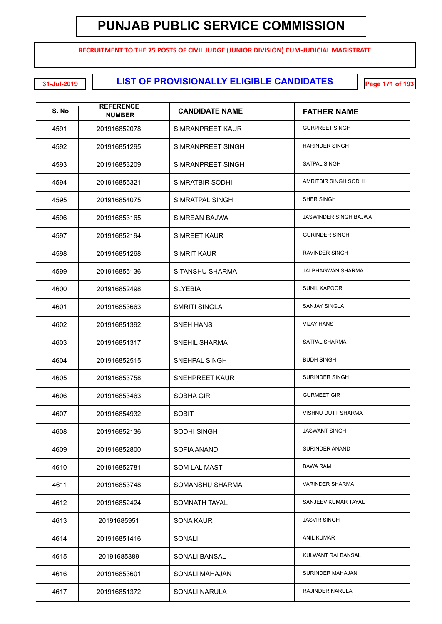**RECRUITMENT TO THE 75 POSTS OF CIVIL JUDGE (JUNIOR DIVISION) CUM-JUDICIAL MAGISTRATE**

**LIST OF PROVISIONALLY ELIGIBLE CANDIDATES 31-Jul-2019 Page 171 of 193**

| <u>S. No</u> | <b>REFERENCE</b><br><b>NUMBER</b> | <b>CANDIDATE NAME</b> | <b>FATHER NAME</b>          |
|--------------|-----------------------------------|-----------------------|-----------------------------|
| 4591         | 201916852078                      | SIMRANPREET KAUR      | <b>GURPREET SINGH</b>       |
| 4592         | 201916851295                      | SIMRANPREET SINGH     | <b>HARINDER SINGH</b>       |
| 4593         | 201916853209                      | SIMRANPREET SINGH     | SATPAL SINGH                |
| 4594         | 201916855321                      | SIMRATBIR SODHI       | <b>AMRITBIR SINGH SODHI</b> |
| 4595         | 201916854075                      | SIMRATPAL SINGH       | SHER SINGH                  |
| 4596         | 201916853165                      | SIMREAN BAJWA         | JASWINDER SINGH BAJWA       |
| 4597         | 201916852194                      | SIMREET KAUR          | <b>GURINDER SINGH</b>       |
| 4598         | 201916851268                      | SIMRIT KAUR           | RAVINDER SINGH              |
| 4599         | 201916855136                      | SITANSHU SHARMA       | JAI BHAGWAN SHARMA          |
| 4600         | 201916852498                      | <b>SLYEBIA</b>        | <b>SUNIL KAPOOR</b>         |
| 4601         | 201916853663                      | <b>SMRITI SINGLA</b>  | <b>SANJAY SINGLA</b>        |
| 4602         | 201916851392                      | SNEH HANS             | <b>VIJAY HANS</b>           |
| 4603         | 201916851317                      | SNEHIL SHARMA         | SATPAL SHARMA               |
| 4604         | 201916852515                      | SNEHPAL SINGH         | <b>BUDH SINGH</b>           |
| 4605         | 201916853758                      | SNEHPREET KAUR        | <b>SURINDER SINGH</b>       |
| 4606         | 201916853463                      | SOBHA GIR             | <b>GURMEET GIR</b>          |
| 4607         | 201916854932                      | <b>SOBIT</b>          | VISHNU DUTT SHARMA          |
| 4608         | 201916852136                      | SODHI SINGH           | <b>JASWANT SINGH</b>        |
| 4609         | 201916852800                      | SOFIA ANAND           | SURINDER ANAND              |
| 4610         | 201916852781                      | <b>SOM LAL MAST</b>   | <b>BAWA RAM</b>             |
| 4611         | 201916853748                      | SOMANSHU SHARMA       | <b>VARINDER SHARMA</b>      |
| 4612         | 201916852424                      | SOMNATH TAYAL         | SANJEEV KUMAR TAYAL         |
| 4613         | 20191685951                       | SONA KAUR             | <b>JASVIR SINGH</b>         |
| 4614         | 201916851416                      | SONALI                | ANIL KUMAR                  |
| 4615         | 20191685389                       | SONALI BANSAL         | KULWANT RAI BANSAL          |
| 4616         | 201916853601                      | SONALI MAHAJAN        | SURINDER MAHAJAN            |
| 4617         | 201916851372                      | SONALI NARULA         | RAJINDER NARULA             |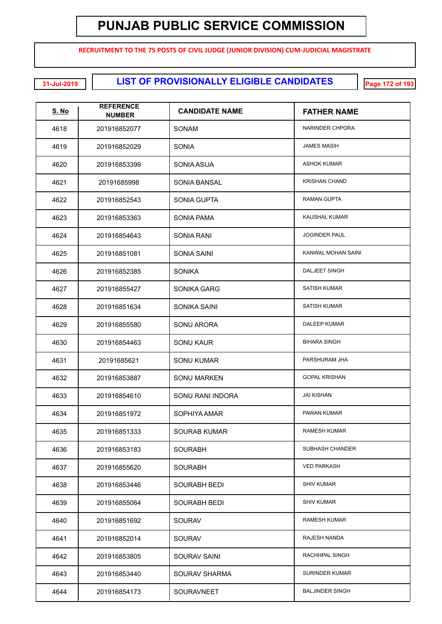**RECRUITMENT TO THE 75 POSTS OF CIVIL JUDGE (JUNIOR DIVISION) CUM-JUDICIAL MAGISTRATE**

**LIST OF PROVISIONALLY ELIGIBLE CANDIDATES 31-Jul-2019 Page 172 of 193**

| <b>S. No</b> | <b>REFERENCE</b><br><b>NUMBER</b> | <b>CANDIDATE NAME</b> | <b>FATHER NAME</b>     |
|--------------|-----------------------------------|-----------------------|------------------------|
| 4618         | 201916852077                      | SONAM                 | NARINDER CHPORA        |
| 4619         | 201916852029                      | <b>SONIA</b>          | <b>JAMES MASIH</b>     |
| 4620         | 201916853399                      | SONIA ASIJA           | <b>ASHOK KUMAR</b>     |
| 4621         | 20191685998                       | <b>SONIA BANSAL</b>   | <b>KRISHAN CHAND</b>   |
| 4622         | 201916852543                      | <b>SONIA GUPTA</b>    | <b>RAMAN GUPTA</b>     |
| 4623         | 201916853363                      | SONIA PAMA            | <b>KAUSHAL KUMAR</b>   |
| 4624         | 201916854643                      | SONIA RANI            | <b>JOGINDER PAUL</b>   |
| 4625         | 201916851081                      | <b>SONIA SAINI</b>    | KANWAL MOHAN SAINI     |
| 4626         | 201916852385                      | <b>SONIKA</b>         | <b>DALJEET SINGH</b>   |
| 4627         | 201916855427                      | SONIKA GARG           | <b>SATISH KUMAR</b>    |
| 4628         | 201916851634                      | SONIKA SAINI          | <b>SATISH KUMAR</b>    |
| 4629         | 201916855580                      | <b>SONU ARORA</b>     | <b>DALEEP KUMAR</b>    |
| 4630         | 201916854463                      | <b>SONU KAUR</b>      | <b>BIHARA SINGH</b>    |
| 4631         | 20191685621                       | <b>SONU KUMAR</b>     | PARSHURAM JHA          |
| 4632         | 201916853887                      | SONU MARKEN           | <b>GOPAL KRISHAN</b>   |
| 4633         | 201916854610                      | SONU RANI INDORA      | <b>JAI KISHAN</b>      |
| 4634         | 201916851972                      | SOPHIYA AMAR          | PAWAN KUMAR            |
| 4635         | 201916851333                      | <b>SOURAB KUMAR</b>   | <b>RAMESH KUMAR</b>    |
| 4636         | 201916853183                      | <b>SOURABH</b>        | SUBHASH CHANDER        |
| 4637         | 201916855620                      | SOURABH               | <b>VED PARKASH</b>     |
| 4638         | 201916853446                      | <b>SOURABH BEDI</b>   | <b>SHIV KUMAR</b>      |
| 4639         | 201916855064                      | <b>SOURABH BEDI</b>   | <b>SHIV KUMAR</b>      |
| 4640         | 201916851692                      | <b>SOURAV</b>         | <b>RAMESH KUMAR</b>    |
| 4641         | 201916852014                      | <b>SOURAV</b>         | RAJESH NANDA           |
| 4642         | 201916853805                      | <b>SOURAV SAINI</b>   | RACHHPAL SINGH         |
| 4643         | 201916853440                      | <b>SOURAV SHARMA</b>  | <b>SURINDER KUMAR</b>  |
| 4644         | 201916854173                      | SOURAVNEET            | <b>BALJINDER SINGH</b> |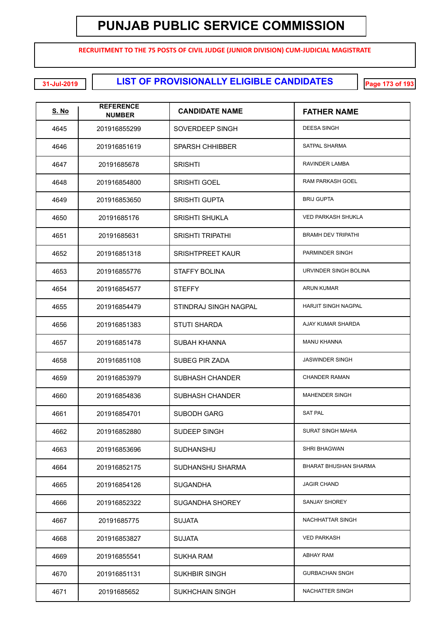**RECRUITMENT TO THE 75 POSTS OF CIVIL JUDGE (JUNIOR DIVISION) CUM-JUDICIAL MAGISTRATE**

**CONDITIONS IN A LIST OF PROVISIONALLY ELIGIBLE CANDIDATES** 

| <u>S. No</u> | <b>REFERENCE</b><br><b>NUMBER</b> | <b>CANDIDATE NAME</b>   | <b>FATHER NAME</b>         |
|--------------|-----------------------------------|-------------------------|----------------------------|
| 4645         | 201916855299                      | SOVERDEEP SINGH         | <b>DEESA SINGH</b>         |
| 4646         | 201916851619                      | <b>SPARSH CHHIBBER</b>  | SATPAL SHARMA              |
| 4647         | 20191685678                       | <b>SRISHTI</b>          | <b>RAVINDER LAMBA</b>      |
| 4648         | 201916854800                      | <b>SRISHTI GOEL</b>     | <b>RAM PARKASH GOEL</b>    |
| 4649         | 201916853650                      | <b>SRISHTI GUPTA</b>    | <b>BRIJ GUPTA</b>          |
| 4650         | 20191685176                       | <b>SRISHTI SHUKLA</b>   | <b>VED PARKASH SHUKLA</b>  |
| 4651         | 20191685631                       | <b>SRISHTI TRIPATHI</b> | <b>BRAMH DEV TRIPATHI</b>  |
| 4652         | 201916851318                      | <b>SRISHTPREET KAUR</b> | PARMINDER SINGH            |
| 4653         | 201916855776                      | <b>STAFFY BOLINA</b>    | URVINDER SINGH BOLINA      |
| 4654         | 201916854577                      | <b>STEFFY</b>           | <b>ARUN KUMAR</b>          |
| 4655         | 201916854479                      | STINDRAJ SINGH NAGPAL   | <b>HARJIT SINGH NAGPAL</b> |
| 4656         | 201916851383                      | <b>STUTI SHARDA</b>     | AJAY KUMAR SHARDA          |
| 4657         | 201916851478                      | <b>SUBAH KHANNA</b>     | <b>MANU KHANNA</b>         |
| 4658         | 201916851108                      | <b>SUBEG PIR ZADA</b>   | <b>JASWINDER SINGH</b>     |
| 4659         | 201916853979                      | <b>SUBHASH CHANDER</b>  | <b>CHANDER RAMAN</b>       |
| 4660         | 201916854836                      | <b>SUBHASH CHANDER</b>  | <b>MAHENDER SINGH</b>      |
| 4661         | 201916854701                      | <b>SUBODH GARG</b>      | <b>SAT PAL</b>             |
| 4662         | 201916852880                      | SUDEEP SINGH            | <b>SURAT SINGH MAHIA</b>   |
| 4663         | 201916853696                      | <b>SUDHANSHU</b>        | <b>SHRI BHAGWAN</b>        |
| 4664         | 201916852175                      | SUDHANSHU SHARMA        | BHARAT BHUSHAN SHARMA      |
| 4665         | 201916854126                      | <b>SUGANDHA</b>         | <b>JAGIR CHAND</b>         |
| 4666         | 201916852322                      | <b>SUGANDHA SHOREY</b>  | <b>SANJAY SHOREY</b>       |
| 4667         | 20191685775                       | <b>SUJATA</b>           | NACHHATTAR SINGH           |
| 4668         | 201916853827                      | <b>SUJATA</b>           | <b>VED PARKASH</b>         |
| 4669         | 201916855541                      | <b>SUKHA RAM</b>        | ABHAY RAM                  |
| 4670         | 201916851131                      | <b>SUKHBIR SINGH</b>    | <b>GURBACHAN SNGH</b>      |
| 4671         | 20191685652                       | <b>SUKHCHAIN SINGH</b>  | NACHATTER SINGH            |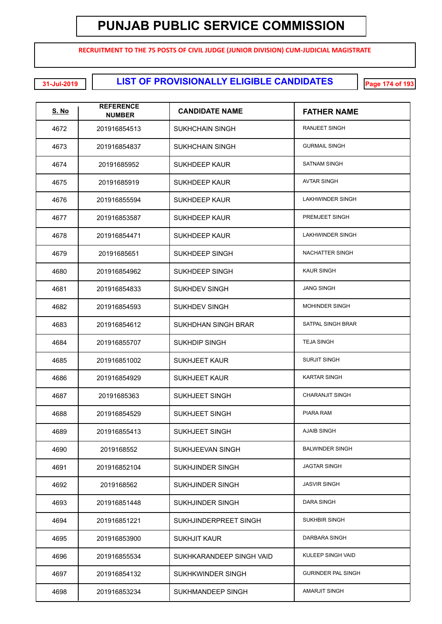**RECRUITMENT TO THE 75 POSTS OF CIVIL JUDGE (JUNIOR DIVISION) CUM-JUDICIAL MAGISTRATE**

**LIST OF PROVISIONALLY ELIGIBLE CANDIDATES 31-Jul-2019 Page 174 of 193**

| S. No | <b>REFERENCE</b><br><b>NUMBER</b> | <b>CANDIDATE NAME</b>      | <b>FATHER NAME</b>        |
|-------|-----------------------------------|----------------------------|---------------------------|
| 4672  | 201916854513                      | SUKHCHAIN SINGH            | RANJEET SINGH             |
| 4673  | 201916854837                      | SUKHCHAIN SINGH            | <b>GURMAIL SINGH</b>      |
| 4674  | 20191685952                       | SUKHDEEP KAUR              | <b>SATNAM SINGH</b>       |
| 4675  | 20191685919                       | <b>SUKHDEEP KAUR</b>       | <b>AVTAR SINGH</b>        |
| 4676  | 201916855594                      | SUKHDEEP KAUR              | <b>LAKHWINDER SINGH</b>   |
| 4677  | 201916853587                      | SUKHDEEP KAUR              | PREMJEET SINGH            |
| 4678  | 201916854471                      | <b>SUKHDEEP KAUR</b>       | <b>LAKHWINDER SINGH</b>   |
| 4679  | 20191685651                       | SUKHDEEP SINGH             | NACHATTER SINGH           |
| 4680  | 201916854962                      | SUKHDEEP SINGH             | <b>KAUR SINGH</b>         |
| 4681  | 201916854833                      | <b>SUKHDEV SINGH</b>       | <b>JANG SINGH</b>         |
| 4682  | 201916854593                      | <b>SUKHDEV SINGH</b>       | <b>MOHINDER SINGH</b>     |
| 4683  | 201916854612                      | <b>SUKHDHAN SINGH BRAR</b> | SATPAL SINGH BRAR         |
| 4684  | 201916855707                      | <b>SUKHDIP SINGH</b>       | <b>TEJA SINGH</b>         |
| 4685  | 201916851002                      | <b>SUKHJEET KAUR</b>       | <b>SURJIT SINGH</b>       |
| 4686  | 201916854929                      | <b>SUKHJEET KAUR</b>       | <b>KARTAR SINGH</b>       |
| 4687  | 20191685363                       | <b>SUKHJEET SINGH</b>      | <b>CHARANJIT SINGH</b>    |
| 4688  | 201916854529                      | <b>SUKHJEET SINGH</b>      | PIARA RAM                 |
| 4689  | 201916855413                      | SUKHJEET SINGH             | <b>AJAIB SINGH</b>        |
| 4690  | 2019168552                        | SUKHJEEVAN SINGH           | <b>BALWINDER SINGH</b>    |
| 4691  | 201916852104                      | SUKHJINDER SINGH           | <b>JAGTAR SINGH</b>       |
| 4692  | 2019168562                        | <b>SUKHJINDER SINGH</b>    | <b>JASVIR SINGH</b>       |
| 4693  | 201916851448                      | <b>SUKHJINDER SINGH</b>    | <b>DARA SINGH</b>         |
| 4694  | 201916851221                      | SUKHJINDERPREET SINGH      | SUKHBIR SINGH             |
| 4695  | 201916853900                      | <b>SUKHJIT KAUR</b>        | DARBARA SINGH             |
| 4696  | 201916855534                      | SUKHKARANDEEP SINGH VAID   | KULEEP SINGH VAID         |
| 4697  | 201916854132                      | SUKHKWINDER SINGH          | <b>GURINDER PAL SINGH</b> |
| 4698  | 201916853234                      | SUKHMANDEEP SINGH          | AMARJIT SINGH             |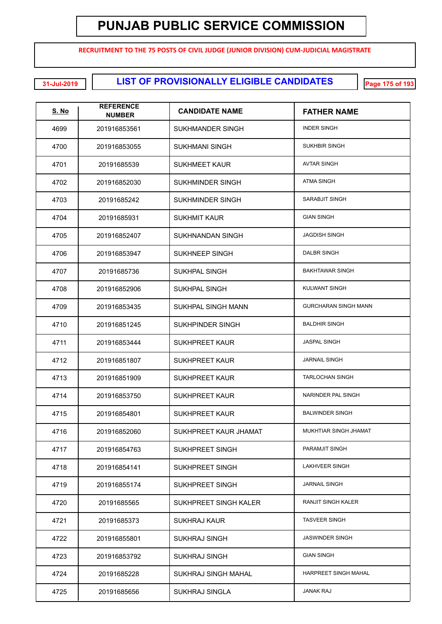**RECRUITMENT TO THE 75 POSTS OF CIVIL JUDGE (JUNIOR DIVISION) CUM-JUDICIAL MAGISTRATE**

**LIST OF PROVISIONALLY ELIGIBLE CANDIDATES 31-Jul-2019 Page 175 of 193**

| <u>S. No</u> | <b>REFERENCE</b><br><b>NUMBER</b> | <b>CANDIDATE NAME</b>     | <b>FATHER NAME</b>          |
|--------------|-----------------------------------|---------------------------|-----------------------------|
| 4699         | 201916853561                      | <b>SUKHMANDER SINGH</b>   | <b>INDER SINGH</b>          |
| 4700         | 201916853055                      | <b>SUKHMANI SINGH</b>     | <b>SUKHBIR SINGH</b>        |
| 4701         | 20191685539                       | <b>SUKHMEET KAUR</b>      | <b>AVTAR SINGH</b>          |
| 4702         | 201916852030                      | <b>SUKHMINDER SINGH</b>   | <b>ATMA SINGH</b>           |
| 4703         | 20191685242                       | <b>SUKHMINDER SINGH</b>   | SARABJIT SINGH              |
| 4704         | 20191685931                       | <b>SUKHMIT KAUR</b>       | <b>GIAN SINGH</b>           |
| 4705         | 201916852407                      | <b>SUKHNANDAN SINGH</b>   | <b>JAGDISH SINGH</b>        |
| 4706         | 201916853947                      | <b>SUKHNEEP SINGH</b>     | <b>DALBR SINGH</b>          |
| 4707         | 20191685736                       | <b>SUKHPAL SINGH</b>      | <b>BAKHTAWAR SINGH</b>      |
| 4708         | 201916852906                      | <b>SUKHPAL SINGH</b>      | <b>KULWANT SINGH</b>        |
| 4709         | 201916853435                      | <b>SUKHPAL SINGH MANN</b> | <b>GURCHARAN SINGH MANN</b> |
| 4710         | 201916851245                      | <b>SUKHPINDER SINGH</b>   | <b>BALDHIR SINGH</b>        |
| 4711         | 201916853444                      | <b>SUKHPREET KAUR</b>     | <b>JASPAL SINGH</b>         |
| 4712         | 201916851807                      | <b>SUKHPREET KAUR</b>     | <b>JARNAIL SINGH</b>        |
| 4713         | 201916851909                      | <b>SUKHPREET KAUR</b>     | <b>TARLOCHAN SINGH</b>      |
| 4714         | 201916853750                      | <b>SUKHPREET KAUR</b>     | NARINDER PAL SINGH          |
| 4715         | 201916854801                      | <b>SUKHPREET KAUR</b>     | <b>BALWINDER SINGH</b>      |
| 4716         | 201916852060                      | SUKHPREET KAUR JHAMAT     | MUKHTIAR SINGH JHAMAT       |
| 4717         | 201916854763                      | <b>SUKHPREET SINGH</b>    | PARAMJIT SINGH              |
| 4718         | 201916854141                      | <b>SUKHPREET SINGH</b>    | <b>LAKHVEER SINGH</b>       |
| 4719         | 201916855174                      | <b>SUKHPREET SINGH</b>    | <b>JARNAIL SINGH</b>        |
| 4720         | 20191685565                       | SUKHPREET SINGH KALER     | <b>RANJIT SINGH KALER</b>   |
| 4721         | 20191685373                       | SUKHRAJ KAUR              | <b>TASVEER SINGH</b>        |
| 4722         | 201916855801                      | SUKHRAJ SINGH             | <b>JASWINDER SINGH</b>      |
| 4723         | 201916853792                      | SUKHRAJ SINGH             | <b>GIAN SINGH</b>           |
| 4724         | 20191685228                       | SUKHRAJ SINGH MAHAL       | <b>HARPREET SINGH MAHAL</b> |
| 4725         | 20191685656                       | SUKHRAJ SINGLA            | <b>JANAK RAJ</b>            |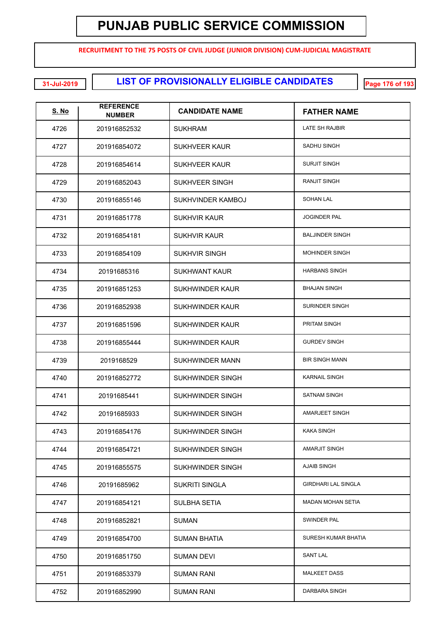**RECRUITMENT TO THE 75 POSTS OF CIVIL JUDGE (JUNIOR DIVISION) CUM-JUDICIAL MAGISTRATE**

**LIST OF PROVISIONALLY ELIGIBLE CANDIDATES 31-Jul-2019 Page 176 of 193**

| <u>S. No</u> | <b>REFERENCE</b><br><b>NUMBER</b> | <b>CANDIDATE NAME</b>   | <b>FATHER NAME</b>         |
|--------------|-----------------------------------|-------------------------|----------------------------|
| 4726         | 201916852532                      | <b>SUKHRAM</b>          | LATE SH RAJBIR             |
| 4727         | 201916854072                      | <b>SUKHVEER KAUR</b>    | <b>SADHU SINGH</b>         |
| 4728         | 201916854614                      | <b>SUKHVEER KAUR</b>    | <b>SURJIT SINGH</b>        |
| 4729         | 201916852043                      | <b>SUKHVEER SINGH</b>   | <b>RANJIT SINGH</b>        |
| 4730         | 201916855146                      | SUKHVINDER KAMBOJ       | <b>SOHAN LAL</b>           |
| 4731         | 201916851778                      | <b>SUKHVIR KAUR</b>     | <b>JOGINDER PAL</b>        |
| 4732         | 201916854181                      | <b>SUKHVIR KAUR</b>     | <b>BALJINDER SINGH</b>     |
| 4733         | 201916854109                      | <b>SUKHVIR SINGH</b>    | <b>MOHINDER SINGH</b>      |
| 4734         | 20191685316                       | <b>SUKHWANT KAUR</b>    | <b>HARBANS SINGH</b>       |
| 4735         | 201916851253                      | <b>SUKHWINDER KAUR</b>  | <b>BHAJAN SINGH</b>        |
| 4736         | 201916852938                      | <b>SUKHWINDER KAUR</b>  | <b>SURINDER SINGH</b>      |
| 4737         | 201916851596                      | <b>SUKHWINDER KAUR</b>  | PRITAM SINGH               |
| 4738         | 201916855444                      | <b>SUKHWINDER KAUR</b>  | <b>GURDEV SINGH</b>        |
| 4739         | 2019168529                        | SUKHWINDER MANN         | <b>BIR SINGH MANN</b>      |
| 4740         | 201916852772                      | SUKHWINDER SINGH        | <b>KARNAIL SINGH</b>       |
| 4741         | 20191685441                       | <b>SUKHWINDER SINGH</b> | <b>SATNAM SINGH</b>        |
| 4742         | 20191685933                       | SUKHWINDER SINGH        | AMARJEET SINGH             |
| 4743         | 201916854176                      | SUKHWINDER SINGH        | <b>KAKA SINGH</b>          |
| 4744         | 201916854721                      | <b>SUKHWINDER SINGH</b> | <b>AMARJIT SINGH</b>       |
| 4745         | 201916855575                      | <b>SUKHWINDER SINGH</b> | <b>AJAIB SINGH</b>         |
| 4746         | 20191685962                       | <b>SUKRITI SINGLA</b>   | <b>GIRDHARI LAL SINGLA</b> |
| 4747         | 201916854121                      | <b>SULBHA SETIA</b>     | MADAN MOHAN SETIA          |
| 4748         | 201916852821                      | <b>SUMAN</b>            | SWINDER PAL                |
| 4749         | 201916854700                      | SUMAN BHATIA            | SURESH KUMAR BHATIA        |
| 4750         | 201916851750                      | <b>SUMAN DEVI</b>       | <b>SANT LAL</b>            |
| 4751         | 201916853379                      | <b>SUMAN RANI</b>       | <b>MALKEET DASS</b>        |
| 4752         | 201916852990                      | <b>SUMAN RANI</b>       | DARBARA SINGH              |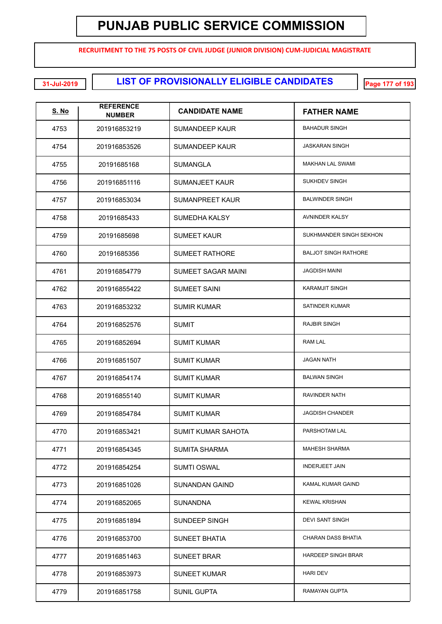**RECRUITMENT TO THE 75 POSTS OF CIVIL JUDGE (JUNIOR DIVISION) CUM-JUDICIAL MAGISTRATE**

**LIST OF PROVISIONALLY ELIGIBLE CANDIDATES 31-Jul-2019 Page 177 of 193**

| <b>S. No</b> | <b>REFERENCE</b><br><b>NUMBER</b> | <b>CANDIDATE NAME</b>     | <b>FATHER NAME</b>          |
|--------------|-----------------------------------|---------------------------|-----------------------------|
| 4753         | 201916853219                      | SUMANDEEP KAUR            | <b>BAHADUR SINGH</b>        |
| 4754         | 201916853526                      | <b>SUMANDEEP KAUR</b>     | <b>JASKARAN SINGH</b>       |
| 4755         | 20191685168                       | <b>SUMANGLA</b>           | <b>MAKHAN LAL SWAMI</b>     |
| 4756         | 201916851116                      | <b>SUMANJEET KAUR</b>     | <b>SUKHDEV SINGH</b>        |
| 4757         | 201916853034                      | <b>SUMANPREET KAUR</b>    | <b>BALWINDER SINGH</b>      |
| 4758         | 20191685433                       | SUMEDHA KALSY             | AVNINDER KALSY              |
| 4759         | 20191685698                       | <b>SUMEET KAUR</b>        | SUKHMANDER SINGH SEKHON     |
| 4760         | 20191685356                       | <b>SUMEET RATHORE</b>     | <b>BALJOT SINGH RATHORE</b> |
| 4761         | 201916854779                      | <b>SUMEET SAGAR MAINI</b> | <b>JAGDISH MAINI</b>        |
| 4762         | 201916855422                      | <b>SUMEET SAINI</b>       | <b>KARAMJIT SINGH</b>       |
| 4763         | 201916853232                      | <b>SUMIR KUMAR</b>        | <b>SATINDER KUMAR</b>       |
| 4764         | 201916852576                      | <b>SUMIT</b>              | <b>RAJBIR SINGH</b>         |
| 4765         | 201916852694                      | <b>SUMIT KUMAR</b>        | <b>RAM LAL</b>              |
| 4766         | 201916851507                      | <b>SUMIT KUMAR</b>        | <b>JAGAN NATH</b>           |
| 4767         | 201916854174                      | <b>SUMIT KUMAR</b>        | <b>BALWAN SINGH</b>         |
| 4768         | 201916855140                      | <b>SUMIT KUMAR</b>        | <b>RAVINDER NATH</b>        |
| 4769         | 201916854784                      | <b>SUMIT KUMAR</b>        | <b>JAGDISH CHANDER</b>      |
| 4770         | 201916853421                      | SUMIT KUMAR SAHOTA        | PARSHOTAM LAL               |
| 4771         | 201916854345                      | <b>SUMITA SHARMA</b>      | <b>MAHESH SHARMA</b>        |
| 4772         | 201916854254                      | <b>SUMTI OSWAL</b>        | <b>INDERJEET JAIN</b>       |
| 4773         | 201916851026                      | <b>SUNANDAN GAIND</b>     | KAMAL KUMAR GAIND           |
| 4774         | 201916852065                      | <b>SUNANDNA</b>           | <b>KEWAL KRISHAN</b>        |
| 4775         | 201916851894                      | SUNDEEP SINGH             | <b>DEVI SANT SINGH</b>      |
| 4776         | 201916853700                      | <b>SUNEET BHATIA</b>      | <b>CHARAN DASS BHATIA</b>   |
| 4777         | 201916851463                      | <b>SUNEET BRAR</b>        | <b>HARDEEP SINGH BRAR</b>   |
| 4778         | 201916853973                      | <b>SUNEET KUMAR</b>       | <b>HARI DEV</b>             |
| 4779         | 201916851758                      | <b>SUNIL GUPTA</b>        | RAMAYAN GUPTA               |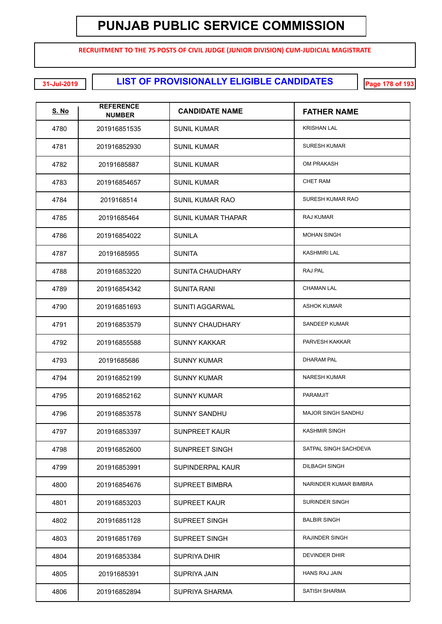**RECRUITMENT TO THE 75 POSTS OF CIVIL JUDGE (JUNIOR DIVISION) CUM-JUDICIAL MAGISTRATE**

**EXECUTE: 11-Jul-2019 120 131-Jul-2019 LIST OF PROVISIONALLY ELIGIBLE CANDIDATES** 

| <u>S. No</u> | <b>REFERENCE</b><br><b>NUMBER</b> | <b>CANDIDATE NAME</b>     | <b>FATHER NAME</b>        |
|--------------|-----------------------------------|---------------------------|---------------------------|
| 4780         | 201916851535                      | <b>SUNIL KUMAR</b>        | <b>KRISHAN LAL</b>        |
| 4781         | 201916852930                      | <b>SUNIL KUMAR</b>        | <b>SURESH KUMAR</b>       |
| 4782         | 20191685887                       | <b>SUNIL KUMAR</b>        | OM PRAKASH                |
| 4783         | 201916854657                      | <b>SUNIL KUMAR</b>        | <b>CHET RAM</b>           |
| 4784         | 2019168514                        | <b>SUNIL KUMAR RAO</b>    | SURESH KUMAR RAO          |
| 4785         | 20191685464                       | <b>SUNIL KUMAR THAPAR</b> | <b>RAJ KUMAR</b>          |
| 4786         | 201916854022                      | <b>SUNILA</b>             | <b>MOHAN SINGH</b>        |
| 4787         | 20191685955                       | <b>SUNITA</b>             | <b>KASHMIRI LAL</b>       |
| 4788         | 201916853220                      | SUNITA CHAUDHARY          | RAJ PAL                   |
| 4789         | 201916854342                      | SUNITA RANI               | <b>CHAMAN LAL</b>         |
| 4790         | 201916851693                      | <b>SUNITI AGGARWAL</b>    | <b>ASHOK KUMAR</b>        |
| 4791         | 201916853579                      | <b>SUNNY CHAUDHARY</b>    | SANDEEP KUMAR             |
| 4792         | 201916855588                      | <b>SUNNY KAKKAR</b>       | PARVESH KAKKAR            |
| 4793         | 20191685686                       | <b>SUNNY KUMAR</b>        | <b>DHARAM PAL</b>         |
| 4794         | 201916852199                      | <b>SUNNY KUMAR</b>        | <b>NARESH KUMAR</b>       |
| 4795         | 201916852162                      | <b>SUNNY KUMAR</b>        | <b>PARAMJIT</b>           |
| 4796         | 201916853578                      | <b>SUNNY SANDHU</b>       | <b>MAJOR SINGH SANDHU</b> |
| 4797         | 201916853397                      | SUNPREET KAUR             | <b>KASHMIR SINGH</b>      |
| 4798         | 201916852600                      | <b>SUNPREET SINGH</b>     | SATPAL SINGH SACHDEVA     |
| 4799         | 201916853991                      | SUPINDERPAL KAUR          | <b>DILBAGH SINGH</b>      |
| 4800         | 201916854676                      | <b>SUPREET BIMBRA</b>     | NARINDER KUMAR BIMBRA     |
| 4801         | 201916853203                      | <b>SUPREET KAUR</b>       | SURINDER SINGH            |
| 4802         | 201916851128                      | <b>SUPREET SINGH</b>      | <b>BALBIR SINGH</b>       |
| 4803         | 201916851769                      | <b>SUPREET SINGH</b>      | <b>RAJINDER SINGH</b>     |
| 4804         | 201916853384                      | SUPRIYA DHIR              | DEVINDER DHIR             |
| 4805         | 20191685391                       | SUPRIYA JAIN              | <b>HANS RAJ JAIN</b>      |
| 4806         | 201916852894                      | <b>SUPRIYA SHARMA</b>     | SATISH SHARMA             |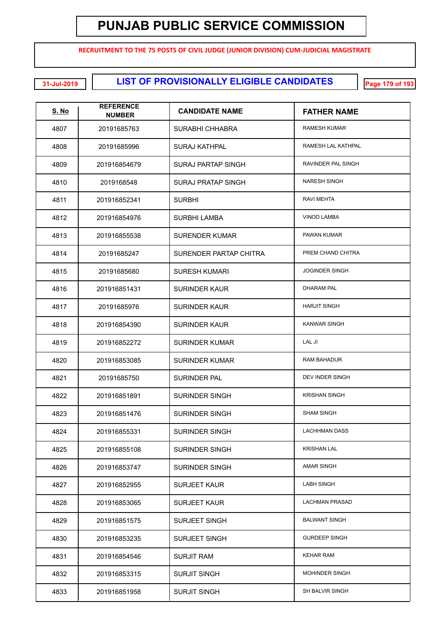**RECRUITMENT TO THE 75 POSTS OF CIVIL JUDGE (JUNIOR DIVISION) CUM-JUDICIAL MAGISTRATE**

**LIST OF PROVISIONALLY ELIGIBLE CANDIDATES 31-Jul-2019 Page 179 of 193**

| <u>S. No</u> | <b>REFERENCE</b><br><b>NUMBER</b> | <b>CANDIDATE NAME</b>     | <b>FATHER NAME</b>        |
|--------------|-----------------------------------|---------------------------|---------------------------|
| 4807         | 20191685763                       | SURABHI CHHABRA           | <b>RAMESH KUMAR</b>       |
| 4808         | 20191685996                       | SURAJ KATHPAL             | <b>RAMESH LAL KATHPAL</b> |
| 4809         | 201916854679                      | <b>SURAJ PARTAP SINGH</b> | RAVINDER PAL SINGH        |
| 4810         | 2019168548                        | <b>SURAJ PRATAP SINGH</b> | <b>NARESH SINGH</b>       |
| 4811         | 201916852341                      | <b>SURBHI</b>             | <b>RAVI MEHTA</b>         |
| 4812         | 201916854976                      | SURBHI LAMBA              | <b>VINOD LAMBA</b>        |
| 4813         | 201916855538                      | SURENDER KUMAR            | PAWAN KUMAR               |
| 4814         | 20191685247                       | SURENDER PARTAP CHITRA    | PREM CHAND CHITRA         |
| 4815         | 20191685680                       | <b>SURESH KUMARI</b>      | <b>JOGINDER SINGH</b>     |
| 4816         | 201916851431                      | <b>SURINDER KAUR</b>      | <b>DHARAM PAL</b>         |
| 4817         | 20191685976                       | SURINDER KAUR             | <b>HARJIT SINGH</b>       |
| 4818         | 201916854390                      | SURINDER KAUR             | <b>KANWAR SINGH</b>       |
| 4819         | 201916852272                      | SURINDER KUMAR            | LAL JI                    |
| 4820         | 201916853085                      | SURINDER KUMAR            | <b>RAM BAHADUR</b>        |
| 4821         | 20191685750                       | SURINDER PAL              | DEV INDER SINGH           |
| 4822         | 201916851891                      | <b>SURINDER SINGH</b>     | <b>KRISHAN SINGH</b>      |
| 4823         | 201916851476                      | SURINDER SINGH            | <b>SHAM SINGH</b>         |
| 4824         | 201916855331                      | <b>SURINDER SINGH</b>     | <b>LACHHMAN DASS</b>      |
| 4825         | 201916855108                      | <b>SURINDER SINGH</b>     | <b>KRISHAN LAL</b>        |
| 4826         | 201916853747                      | <b>SURINDER SINGH</b>     | <b>AMAR SINGH</b>         |
| 4827         | 201916852955                      | <b>SURJEET KAUR</b>       | <b>LABH SINGH</b>         |
| 4828         | 201916853065                      | <b>SURJEET KAUR</b>       | <b>LACHMAN PRASAD</b>     |
| 4829         | 201916851575                      | <b>SURJEET SINGH</b>      | <b>BALWANT SINGH</b>      |
| 4830         | 201916853235                      | <b>SURJEET SINGH</b>      | <b>GURDEEP SINGH</b>      |
| 4831         | 201916854546                      | <b>SURJIT RAM</b>         | <b>KEHAR RAM</b>          |
| 4832         | 201916853315                      | <b>SURJIT SINGH</b>       | <b>MOHINDER SINGH</b>     |
| 4833         | 201916851958                      | <b>SURJIT SINGH</b>       | SH BALVIR SINGH           |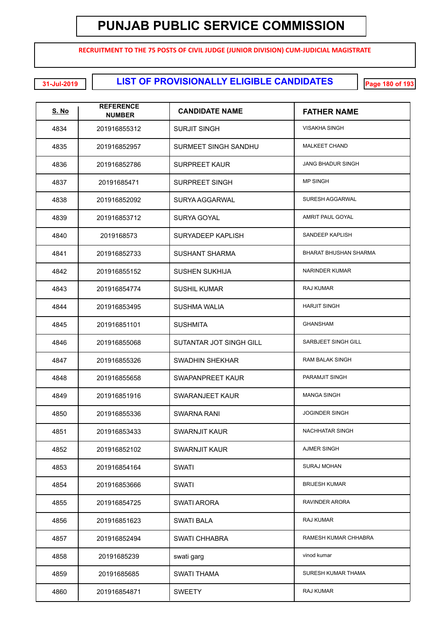**RECRUITMENT TO THE 75 POSTS OF CIVIL JUDGE (JUNIOR DIVISION) CUM-JUDICIAL MAGISTRATE**

**LIST OF PROVISIONALLY ELIGIBLE CANDIDATES 31-Jul-2019 Page 180 of 193**

| <u>S. No</u> | <b>REFERENCE</b><br><b>NUMBER</b> | <b>CANDIDATE NAME</b>          | <b>FATHER NAME</b>       |
|--------------|-----------------------------------|--------------------------------|--------------------------|
| 4834         | 201916855312                      | <b>SURJIT SINGH</b>            | <b>VISAKHA SINGH</b>     |
| 4835         | 201916852957                      | <b>SURMEET SINGH SANDHU</b>    | <b>MALKEET CHAND</b>     |
| 4836         | 201916852786                      | <b>SURPREET KAUR</b>           | <b>JANG BHADUR SINGH</b> |
| 4837         | 20191685471                       | <b>SURPREET SINGH</b>          | <b>MP SINGH</b>          |
| 4838         | 201916852092                      | SURYA AGGARWAL                 | SURESH AGGARWAL          |
| 4839         | 201916853712                      | <b>SURYA GOYAL</b>             | AMRIT PAUL GOYAL         |
| 4840         | 2019168573                        | SURYADEEP KAPLISH              | SANDEEP KAPLISH          |
| 4841         | 201916852733                      | <b>SUSHANT SHARMA</b>          | BHARAT BHUSHAN SHARMA    |
| 4842         | 201916855152                      | <b>SUSHEN SUKHIJA</b>          | NARINDER KUMAR           |
| 4843         | 201916854774                      | <b>SUSHIL KUMAR</b>            | RAJ KUMAR                |
| 4844         | 201916853495                      | <b>SUSHMA WALIA</b>            | <b>HARJIT SINGH</b>      |
| 4845         | 201916851101                      | <b>SUSHMITA</b>                | <b>GHANSHAM</b>          |
| 4846         | 201916855068                      | <b>SUTANTAR JOT SINGH GILL</b> | SARBJEET SINGH GILL      |
| 4847         | 201916855326                      | <b>SWADHIN SHEKHAR</b>         | <b>RAM BALAK SINGH</b>   |
| 4848         | 201916855658                      | SWAPANPREET KAUR               | PARAMJIT SINGH           |
| 4849         | 201916851916                      | SWARANJEET KAUR                | <b>MANGA SINGH</b>       |
| 4850         | 201916855336                      | <b>SWARNA RANI</b>             | <b>JOGINDER SINGH</b>    |
| 4851         | 201916853433                      | <b>SWARNJIT KAUR</b>           | <b>NACHHATAR SINGH</b>   |
| 4852         | 201916852102                      | <b>SWARNJIT KAUR</b>           | AJMER SINGH              |
| 4853         | 201916854164                      | <b>SWATI</b>                   | <b>SURAJ MOHAN</b>       |
| 4854         | 201916853666                      | <b>SWATI</b>                   | <b>BRIJESH KUMAR</b>     |
| 4855         | 201916854725                      | <b>SWATI ARORA</b>             | RAVINDER ARORA           |
| 4856         | 201916851623                      | <b>SWATI BALA</b>              | RAJ KUMAR                |
| 4857         | 201916852494                      | <b>SWATI CHHABRA</b>           | RAMESH KUMAR CHHABRA     |
| 4858         | 20191685239                       | swati garg                     | vinod kumar              |
| 4859         | 20191685685                       | SWATI THAMA                    | SURESH KUMAR THAMA       |
| 4860         | 201916854871                      | <b>SWEETY</b>                  | RAJ KUMAR                |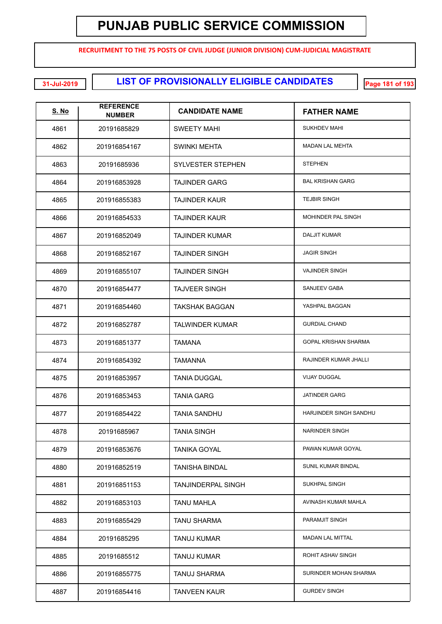**RECRUITMENT TO THE 75 POSTS OF CIVIL JUDGE (JUNIOR DIVISION) CUM-JUDICIAL MAGISTRATE**

**LIST OF PROVISIONALLY ELIGIBLE CANDIDATES 31-Jul-2019 Page 181 of 193**

| <b>S. No</b> | <b>REFERENCE</b><br><b>NUMBER</b> | <b>CANDIDATE NAME</b>     | <b>FATHER NAME</b>          |
|--------------|-----------------------------------|---------------------------|-----------------------------|
| 4861         | 20191685829                       | SWEETY MAHI               | <b>SUKHDEV MAHI</b>         |
| 4862         | 201916854167                      | <b>SWINKI MEHTA</b>       | <b>MADAN LAL MEHTA</b>      |
| 4863         | 20191685936                       | <b>SYLVESTER STEPHEN</b>  | <b>STEPHEN</b>              |
| 4864         | 201916853928                      | <b>TAJINDER GARG</b>      | <b>BAL KRISHAN GARG</b>     |
| 4865         | 201916855383                      | TAJINDER KAUR             | <b>TEJBIR SINGH</b>         |
| 4866         | 201916854533                      | TAJINDER KAUR             | MOHINDER PAL SINGH          |
| 4867         | 201916852049                      | <b>TAJINDER KUMAR</b>     | <b>DALJIT KUMAR</b>         |
| 4868         | 201916852167                      | <b>TAJINDER SINGH</b>     | <b>JAGIR SINGH</b>          |
| 4869         | 201916855107                      | <b>TAJINDER SINGH</b>     | <b>VAJINDER SINGH</b>       |
| 4870         | 201916854477                      | <b>TAJVEER SINGH</b>      | SANJEEV GABA                |
| 4871         | 201916854460                      | TAKSHAK BAGGAN            | YASHPAL BAGGAN              |
| 4872         | 201916852787                      | <b>TALWINDER KUMAR</b>    | <b>GURDIAL CHAND</b>        |
| 4873         | 201916851377                      | <b>TAMANA</b>             | <b>GOPAL KRISHAN SHARMA</b> |
| 4874         | 201916854392                      | TAMANNA                   | RAJINDER KUMAR JHALLI       |
| 4875         | 201916853957                      | <b>TANIA DUGGAL</b>       | <b>VIJAY DUGGAL</b>         |
| 4876         | 201916853453                      | <b>TANIA GARG</b>         | <b>JATINDER GARG</b>        |
| 4877         | 201916854422                      | <b>TANIA SANDHU</b>       | HARJINDER SINGH SANDHU      |
| 4878         | 20191685967                       | <b>TANIA SINGH</b>        | NARINDER SINGH              |
| 4879         | 201916853676                      | <b>TANIKA GOYAL</b>       | PAWAN KUMAR GOYAL           |
| 4880         | 201916852519                      | TANISHA BINDAL            | SUNIL KUMAR BINDAL          |
| 4881         | 201916851153                      | <b>TANJINDERPAL SINGH</b> | SUKHPAL SINGH               |
| 4882         | 201916853103                      | TANU MAHLA                | AVINASH KUMAR MAHLA         |
| 4883         | 201916855429                      | <b>TANU SHARMA</b>        | PARAMJIT SINGH              |
| 4884         | 20191685295                       | <b>TANUJ KUMAR</b>        | <b>MADAN LAL MITTAL</b>     |
| 4885         | 20191685512                       | <b>TANUJ KUMAR</b>        | ROHIT ASHAV SINGH           |
| 4886         | 201916855775                      | <b>TANUJ SHARMA</b>       | SURINDER MOHAN SHARMA       |
| 4887         | 201916854416                      | <b>TANVEEN KAUR</b>       | <b>GURDEV SINGH</b>         |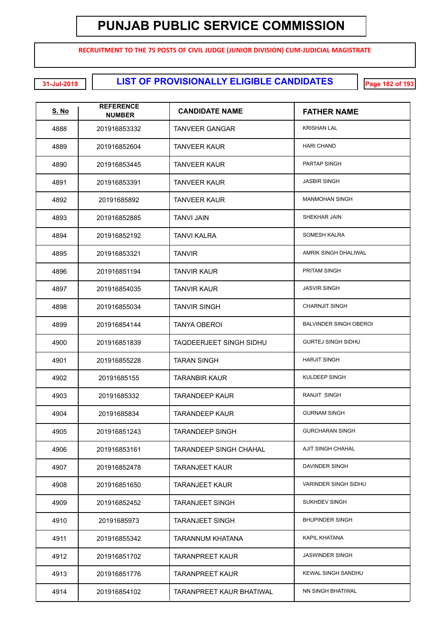**RECRUITMENT TO THE 75 POSTS OF CIVIL JUDGE (JUNIOR DIVISION) CUM-JUDICIAL MAGISTRATE**

**LIST OF PROVISIONALLY ELIGIBLE CANDIDATES 31-Jul-2019 Page 182 of 193**

| <u>S. No</u> | <b>REFERENCE</b><br><b>NUMBER</b> | <b>CANDIDATE NAME</b>           | <b>FATHER NAME</b>            |
|--------------|-----------------------------------|---------------------------------|-------------------------------|
| 4888         | 201916853332                      | <b>TANVEER GANGAR</b>           | <b>KRISHAN LAL</b>            |
| 4889         | 201916852604                      | <b>TANVEER KAUR</b>             | <b>HARI CHAND</b>             |
| 4890         | 201916853445                      | <b>TANVEER KAUR</b>             | PARTAP SINGH                  |
| 4891         | 201916853391                      | <b>TANVEER KAUR</b>             | <b>JASBIR SINGH</b>           |
| 4892         | 20191685892                       | <b>TANVEER KAUR</b>             | <b>MANMOHAN SINGH</b>         |
| 4893         | 201916852885                      | TANVI JAIN                      | SHEKHAR JAIN                  |
| 4894         | 201916852192                      | TANVI KALRA                     | SOMESH KALRA                  |
| 4895         | 201916853321                      | <b>TANVIR</b>                   | AMRIK SINGH DHALIWAL          |
| 4896         | 201916851194                      | <b>TANVIR KAUR</b>              | <b>PRITAM SINGH</b>           |
| 4897         | 201916854035                      | <b>TANVIR KAUR</b>              | <b>JASVIR SINGH</b>           |
| 4898         | 201916855034                      | <b>TANVIR SINGH</b>             | <b>CHARNJIT SINGH</b>         |
| 4899         | 201916854144                      | TANYA OBEROI                    | <b>BALVINDER SINGH OBEROI</b> |
| 4900         | 201916851839                      | <b>TAQDEERJEET SINGH SIDHU</b>  | <b>GURTEJ SINGH SIDHU</b>     |
| 4901         | 201916855228                      | <b>TARAN SINGH</b>              | <b>HARJIT SINGH</b>           |
| 4902         | 20191685155                       | TARANBIR KAUR                   | KULDEEP SINGH                 |
| 4903         | 20191685332                       | TARANDEEP KAUR                  | RANJIT SINGH                  |
| 4904         | 20191685834                       | TARANDEEP KAUR                  | <b>GURNAM SINGH</b>           |
| 4905         | 201916851243                      | <b>TARANDEEP SINGH</b>          | <b>GURCHARAN SINGH</b>        |
| 4906         | 201916853161                      | <b>TARANDEEP SINGH CHAHAL</b>   | AJIT SINGH CHAHAL             |
| 4907         | 201916852478                      | <b>TARANJEET KAUR</b>           | DAVINDER SINGH                |
| 4908         | 201916851650                      | TARANJEET KAUR                  | <b>VARINDER SINGH SIDHU</b>   |
| 4909         | 201916852452                      | <b>TARANJEET SINGH</b>          | SUKHDEV SINGH                 |
| 4910         | 20191685973                       | <b>TARANJEET SINGH</b>          | <b>BHUPINDER SINGH</b>        |
| 4911         | 201916855342                      | TARANNUM KHATANA                | KAPIL KHATANA                 |
| 4912         | 201916851702                      | TARANPREET KAUR                 | <b>JASWINDER SINGH</b>        |
| 4913         | 201916851776                      | TARANPREET KAUR                 | <b>KEWAL SINGH SANDHU</b>     |
| 4914         | 201916854102                      | <b>TARANPREET KAUR BHATIWAL</b> | NN SINGH BHATIWAL             |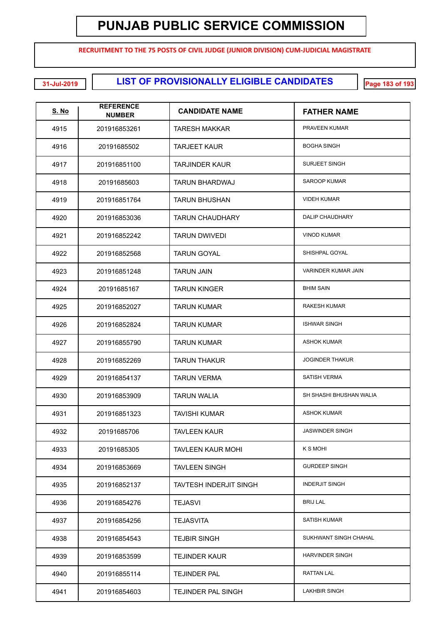**RECRUITMENT TO THE 75 POSTS OF CIVIL JUDGE (JUNIOR DIVISION) CUM-JUDICIAL MAGISTRATE**

**EXECUTE: LIST OF PROVISIONALLY ELIGIBLE CANDIDATES** 

| <u>S. No</u> | <b>REFERENCE</b><br><b>NUMBER</b> | <b>CANDIDATE NAME</b>         | <b>FATHER NAME</b>         |
|--------------|-----------------------------------|-------------------------------|----------------------------|
| 4915         | 201916853261                      | TARESH MAKKAR                 | PRAVEEN KUMAR              |
| 4916         | 20191685502                       | <b>TARJEET KAUR</b>           | <b>BOGHA SINGH</b>         |
| 4917         | 201916851100                      | TARJINDER KAUR                | <b>SURJEET SINGH</b>       |
| 4918         | 20191685603                       | <b>TARUN BHARDWAJ</b>         | <b>SAROOP KUMAR</b>        |
| 4919         | 201916851764                      | <b>TARUN BHUSHAN</b>          | <b>VIDEH KUMAR</b>         |
| 4920         | 201916853036                      | <b>TARUN CHAUDHARY</b>        | DALIP CHAUDHARY            |
| 4921         | 201916852242                      | <b>TARUN DWIVEDI</b>          | <b>VINOD KUMAR</b>         |
| 4922         | 201916852568                      | <b>TARUN GOYAL</b>            | SHISHPAL GOYAL             |
| 4923         | 201916851248                      | <b>TARUN JAIN</b>             | <b>VARINDER KUMAR JAIN</b> |
| 4924         | 20191685167                       | <b>TARUN KINGER</b>           | <b>BHIM SAIN</b>           |
| 4925         | 201916852027                      | <b>TARUN KUMAR</b>            | RAKESH KUMAR               |
| 4926         | 201916852824                      | <b>TARUN KUMAR</b>            | <b>ISHWAR SINGH</b>        |
| 4927         | 201916855790                      | <b>TARUN KUMAR</b>            | <b>ASHOK KUMAR</b>         |
| 4928         | 201916852269                      | <b>TARUN THAKUR</b>           | <b>JOGINDER THAKUR</b>     |
| 4929         | 201916854137                      | <b>TARUN VERMA</b>            | <b>SATISH VERMA</b>        |
| 4930         | 201916853909                      | <b>TARUN WALIA</b>            | SH SHASHI BHUSHAN WALIA    |
| 4931         | 201916851323                      | <b>TAVISHI KUMAR</b>          | <b>ASHOK KUMAR</b>         |
| 4932         | 20191685706                       | <b>TAVLEEN KAUR</b>           | <b>JASWINDER SINGH</b>     |
| 4933         | 20191685305                       | <b>TAVLEEN KAUR MOHI</b>      | K S MOHI                   |
| 4934         | 201916853669                      | <b>TAVLEEN SINGH</b>          | <b>GURDEEP SINGH</b>       |
| 4935         | 201916852137                      | <b>TAVTESH INDERJIT SINGH</b> | <b>INDERJIT SINGH</b>      |
| 4936         | 201916854276                      | <b>TEJASVI</b>                | <b>BRIJ LAL</b>            |
| 4937         | 201916854256                      | <b>TEJASVITA</b>              | SATISH KUMAR               |
| 4938         | 201916854543                      | <b>TEJBIR SINGH</b>           | SUKHWANT SINGH CHAHAL      |
| 4939         | 201916853599                      | <b>TEJINDER KAUR</b>          | <b>HARVINDER SINGH</b>     |
| 4940         | 201916855114                      | <b>TEJINDER PAL</b>           | <b>RATTAN LAL</b>          |
| 4941         | 201916854603                      | <b>TEJINDER PAL SINGH</b>     | <b>LAKHBIR SINGH</b>       |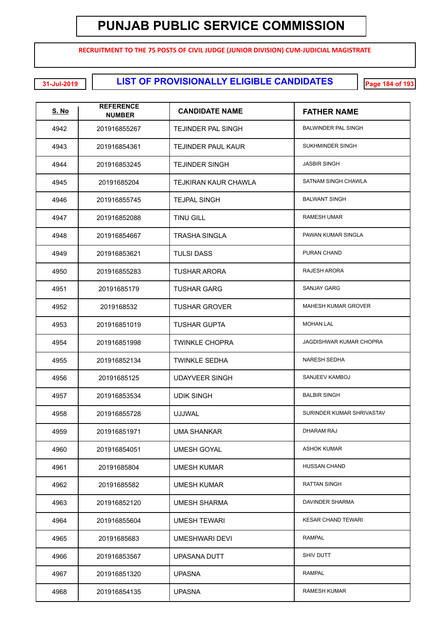**RECRUITMENT TO THE 75 POSTS OF CIVIL JUDGE (JUNIOR DIVISION) CUM-JUDICIAL MAGISTRATE**

**LIST OF PROVISIONALLY ELIGIBLE CANDIDATES 31-Jul-2019 Page 184 of 193**

| <u>S. No</u> | <b>REFERENCE</b><br><b>NUMBER</b> | <b>CANDIDATE NAME</b>     | <b>FATHER NAME</b>         |
|--------------|-----------------------------------|---------------------------|----------------------------|
| 4942         | 201916855267                      | TEJINDER PAL SINGH        | <b>BALWINDER PAL SINGH</b> |
| 4943         | 201916854361                      | <b>TEJINDER PAUL KAUR</b> | SUKHMINDER SINGH           |
| 4944         | 201916853245                      | <b>TEJINDER SINGH</b>     | <b>JASBIR SINGH</b>        |
| 4945         | 20191685204                       | TEJKIRAN KAUR CHAWLA      | SATNAM SINGH CHAWLA        |
| 4946         | 201916855745                      | <b>TEJPAL SINGH</b>       | <b>BALWANT SINGH</b>       |
| 4947         | 201916852088                      | <b>TINU GILL</b>          | <b>RAMESH UMAR</b>         |
| 4948         | 201916854667                      | TRASHA SINGLA             | PAWAN KUMAR SINGLA         |
| 4949         | 201916853621                      | <b>TULSI DASS</b>         | PURAN CHAND                |
| 4950         | 201916855283                      | TUSHAR ARORA              | RAJESH ARORA               |
| 4951         | 20191685179                       | <b>TUSHAR GARG</b>        | <b>SANJAY GARG</b>         |
| 4952         | 2019168532                        | <b>TUSHAR GROVER</b>      | <b>MAHESH KUMAR GROVER</b> |
| 4953         | 201916851019                      | TUSHAR GUPTA              | <b>MOHAN LAL</b>           |
| 4954         | 201916851998                      | TWINKLE CHOPRA            | JAGDISHWAR KUMAR CHOPRA    |
| 4955         | 201916852134                      | <b>TWINKLE SEDHA</b>      | <b>NARESH SEDHA</b>        |
| 4956         | 20191685125                       | UDAYVEER SINGH            | SANJEEV KAMBOJ             |
| 4957         | 201916853534                      | UDIK SINGH                | <b>BALBIR SINGH</b>        |
| 4958         | 201916855728                      | <b>UJJWAL</b>             | SURINDER KUMAR SHRIVASTAV  |
| 4959         | 201916851971                      | UMA SHANKAR               | <b>DHARAM RAJ</b>          |
| 4960         | 201916854051                      | <b>UMESH GOYAL</b>        | <b>ASHOK KUMAR</b>         |
| 4961         | 20191685804                       | <b>UMESH KUMAR</b>        | HUSSAN CHAND               |
| 4962         | 20191685582                       | <b>UMESH KUMAR</b>        | <b>RATTAN SINGH</b>        |
| 4963         | 201916852120                      | <b>UMESH SHARMA</b>       | DAVINDER SHARMA            |
| 4964         | 201916855604                      | <b>UMESH TEWARI</b>       | <b>KESAR CHAND TEWARI</b>  |
| 4965         | 20191685683                       | <b>UMESHWARI DEVI</b>     | RAMPAL                     |
| 4966         | 201916853567                      | UPASANA DUTT              | SHIV DUTT                  |
| 4967         | 201916851320                      | <b>UPASNA</b>             | RAMPAL                     |
| 4968         | 201916854135                      | <b>UPASNA</b>             | RAMESH KUMAR               |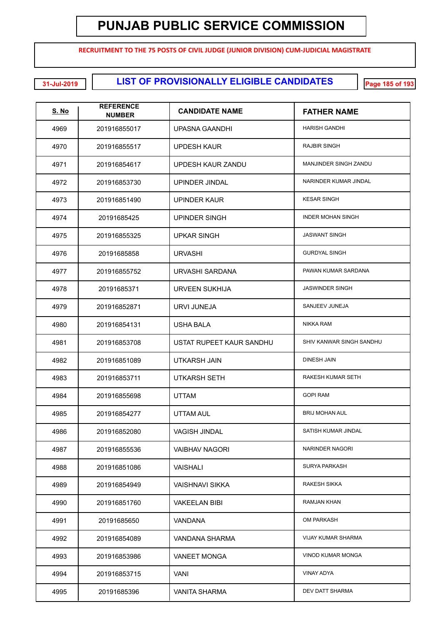**RECRUITMENT TO THE 75 POSTS OF CIVIL JUDGE (JUNIOR DIVISION) CUM-JUDICIAL MAGISTRATE**

**LIST OF PROVISIONALLY ELIGIBLE CANDIDATES 31-Jul-2019 Page 185 of 193**

| <b>S. No</b> | <b>REFERENCE</b><br><b>NUMBER</b> | <b>CANDIDATE NAME</b>    | <b>FATHER NAME</b>        |
|--------------|-----------------------------------|--------------------------|---------------------------|
| 4969         | 201916855017                      | UPASNA GAANDHI           | <b>HARISH GANDHI</b>      |
| 4970         | 201916855517                      | UPDESH KAUR              | <b>RAJBIR SINGH</b>       |
| 4971         | 201916854617                      | UPDESH KAUR ZANDU        | MANJINDER SINGH ZANDU     |
| 4972         | 201916853730                      | UPINDER JINDAL           | NARINDER KUMAR JINDAL     |
| 4973         | 201916851490                      | UPINDER KAUR             | <b>KESAR SINGH</b>        |
| 4974         | 20191685425                       | UPINDER SINGH            | <b>INDER MOHAN SINGH</b>  |
| 4975         | 201916855325                      | <b>UPKAR SINGH</b>       | <b>JASWANT SINGH</b>      |
| 4976         | 20191685858                       | <b>URVASHI</b>           | <b>GURDYAL SINGH</b>      |
| 4977         | 201916855752                      | URVASHI SARDANA          | PAWAN KUMAR SARDANA       |
| 4978         | 20191685371                       | <b>URVEEN SUKHIJA</b>    | <b>JASWINDER SINGH</b>    |
| 4979         | 201916852871                      | <b>URVI JUNEJA</b>       | SANJEEV JUNEJA            |
| 4980         | 201916854131                      | USHA BALA                | <b>NIKKA RAM</b>          |
| 4981         | 201916853708                      | USTAT RUPEET KAUR SANDHU | SHIV KANWAR SINGH SANDHU  |
| 4982         | 201916851089                      | <b>UTKARSH JAIN</b>      | <b>DINESH JAIN</b>        |
| 4983         | 201916853711                      | <b>UTKARSH SETH</b>      | RAKESH KUMAR SETH         |
| 4984         | 201916855698                      | <b>UTTAM</b>             | <b>GOPI RAM</b>           |
| 4985         | 201916854277                      | UTTAM AUL                | <b>BRIJ MOHAN AUL</b>     |
| 4986         | 201916852080                      | VAGISH JINDAL            | SATISH KUMAR JINDAL       |
| 4987         | 201916855536                      | VAIBHAV NAGORI           | NARINDER NAGORI           |
| 4988         | 201916851086                      | <b>VAISHALI</b>          | SURYA PARKASH             |
| 4989         | 201916854949                      | VAISHNAVI SIKKA          | RAKESH SIKKA              |
| 4990         | 201916851760                      | <b>VAKEELAN BIBI</b>     | RAMJAN KHAN               |
| 4991         | 20191685650                       | VANDANA                  | OM PARKASH                |
| 4992         | 201916854089                      | VANDANA SHARMA           | <b>VIJAY KUMAR SHARMA</b> |
| 4993         | 201916853986                      | <b>VANEET MONGA</b>      | <b>VINOD KUMAR MONGA</b>  |
| 4994         | 201916853715                      | <b>VANI</b>              | <b>VINAY ADYA</b>         |
| 4995         | 20191685396                       | <b>VANITA SHARMA</b>     | DEV DATT SHARMA           |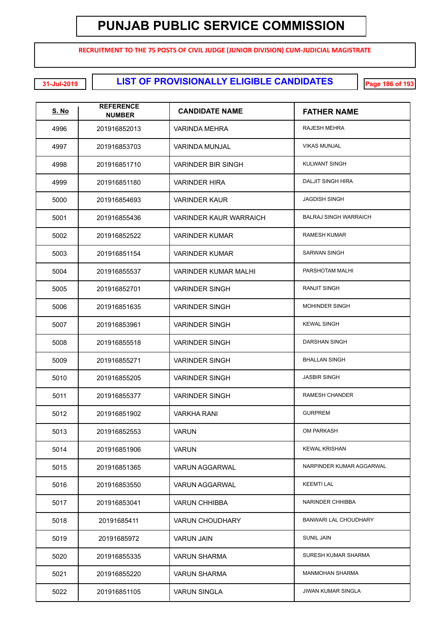**RECRUITMENT TO THE 75 POSTS OF CIVIL JUDGE (JUNIOR DIVISION) CUM-JUDICIAL MAGISTRATE**

**LIST OF PROVISIONALLY ELIGIBLE CANDIDATES 31-Jul-2019 Page 186 of 193**

| <b>S. No</b> | <b>REFERENCE</b><br><b>NUMBER</b> | <b>CANDIDATE NAME</b>     | <b>FATHER NAME</b>           |
|--------------|-----------------------------------|---------------------------|------------------------------|
| 4996         | 201916852013                      | VARINDA MEHRA             | RAJESH MEHRA                 |
| 4997         | 201916853703                      | <b>VARINDA MUNJAL</b>     | <b>VIKAS MUNJAL</b>          |
| 4998         | 201916851710                      | <b>VARINDER BIR SINGH</b> | <b>KULWANT SINGH</b>         |
| 4999         | 201916851180                      | <b>VARINDER HIRA</b>      | <b>DALJIT SINGH HIRA</b>     |
| 5000         | 201916854693                      | <b>VARINDER KAUR</b>      | <b>JAGDISH SINGH</b>         |
| 5001         | 201916855436                      | VARINDER KAUR WARRAICH    | <b>BALRAJ SINGH WARRAICH</b> |
| 5002         | 201916852522                      | <b>VARINDER KUMAR</b>     | <b>RAMESH KUMAR</b>          |
| 5003         | 201916851154                      | <b>VARINDER KUMAR</b>     | <b>SARWAN SINGH</b>          |
| 5004         | 201916855537                      | VARINDER KUMAR MALHI      | PARSHOTAM MALHI              |
| 5005         | 201916852701                      | <b>VARINDER SINGH</b>     | <b>RANJIT SINGH</b>          |
| 5006         | 201916851635                      | <b>VARINDER SINGH</b>     | <b>MOHINDER SINGH</b>        |
| 5007         | 201916853961                      | <b>VARINDER SINGH</b>     | <b>KEWAL SINGH</b>           |
| 5008         | 201916855518                      | <b>VARINDER SINGH</b>     | <b>DARSHAN SINGH</b>         |
| 5009         | 201916855271                      | <b>VARINDER SINGH</b>     | <b>BHALLAN SINGH</b>         |
| 5010         | 201916855205                      | <b>VARINDER SINGH</b>     | <b>JASBIR SINGH</b>          |
| 5011         | 201916855377                      | <b>VARINDER SINGH</b>     | <b>RAMESH CHANDER</b>        |
| 5012         | 201916851902                      | <b>VARKHA RANI</b>        | <b>GURPREM</b>               |
| 5013         | 201916852553                      | <b>VARUN</b>              | <b>OM PARKASH</b>            |
| 5014         | 201916851906                      | <b>VARUN</b>              | <b>KEWAL KRISHAN</b>         |
| 5015         | 201916851365                      | VARUN AGGARWAL            | NARPINDER KUMAR AGGARWAL     |
| 5016         | 201916853550                      | <b>VARUN AGGARWAL</b>     | <b>KEEMTI LAL</b>            |
| 5017         | 201916853041                      | <b>VARUN CHHIBBA</b>      | NARINDER CHHIBBA             |
| 5018         | 20191685411                       | <b>VARUN CHOUDHARY</b>    | BANWARI LAL CHOUDHARY        |
| 5019         | 20191685972                       | <b>VARUN JAIN</b>         | <b>SUNIL JAIN</b>            |
| 5020         | 201916855335                      | VARUN SHARMA              | SURESH KUMAR SHARMA          |
| 5021         | 201916855220                      | VARUN SHARMA              | <b>MANMOHAN SHARMA</b>       |
| 5022         | 201916851105                      | <b>VARUN SINGLA</b>       | <b>JIWAN KUMAR SINGLA</b>    |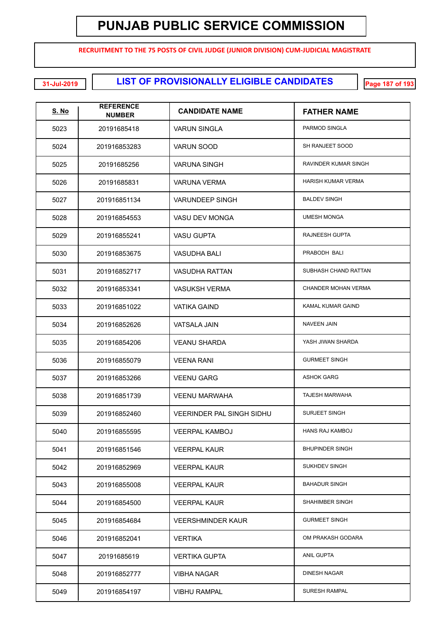**RECRUITMENT TO THE 75 POSTS OF CIVIL JUDGE (JUNIOR DIVISION) CUM-JUDICIAL MAGISTRATE**

**LIST OF PROVISIONALLY ELIGIBLE CANDIDATES 31-Jul-2019 Page 187 of 193**

| <u>S. No</u> | <b>REFERENCE</b><br><b>NUMBER</b> | <b>CANDIDATE NAME</b>            | <b>FATHER NAME</b>       |
|--------------|-----------------------------------|----------------------------------|--------------------------|
| 5023         | 20191685418                       | <b>VARUN SINGLA</b>              | PARMOD SINGLA            |
| 5024         | 201916853283                      | VARUN SOOD                       | SH RANJEET SOOD          |
| 5025         | 20191685256                       | VARUNA SINGH                     | RAVINDER KUMAR SINGH     |
| 5026         | 20191685831                       | VARUNA VERMA                     | HARISH KUMAR VERMA       |
| 5027         | 201916851134                      | <b>VARUNDEEP SINGH</b>           | <b>BALDEV SINGH</b>      |
| 5028         | 201916854553                      | <b>VASU DEV MONGA</b>            | <b>UMESH MONGA</b>       |
| 5029         | 201916855241                      | VASU GUPTA                       | RAJNEESH GUPTA           |
| 5030         | 201916853675                      | VASUDHA BALI                     | PRABODH BALI             |
| 5031         | 201916852717                      | <b>VASUDHA RATTAN</b>            | SUBHASH CHAND RATTAN     |
| 5032         | 201916853341                      | <b>VASUKSH VERMA</b>             | CHANDER MOHAN VERMA      |
| 5033         | 201916851022                      | <b>VATIKA GAIND</b>              | <b>KAMAL KUMAR GAIND</b> |
| 5034         | 201916852626                      | <b>VATSALA JAIN</b>              | <b>NAVEEN JAIN</b>       |
| 5035         | 201916854206                      | <b>VEANU SHARDA</b>              | YASH JIWAN SHARDA        |
| 5036         | 201916855079                      | <b>VEENA RANI</b>                | <b>GURMEET SINGH</b>     |
| 5037         | 201916853266                      | <b>VEENU GARG</b>                | <b>ASHOK GARG</b>        |
| 5038         | 201916851739                      | <b>VEENU MARWAHA</b>             | <b>TAJESH MARWAHA</b>    |
| 5039         | 201916852460                      | <b>VEERINDER PAL SINGH SIDHU</b> | <b>SURJEET SINGH</b>     |
| 5040         | 201916855595                      | <b>VEERPAL KAMBOJ</b>            | <b>HANS RAJ KAMBOJ</b>   |
| 5041         | 201916851546                      | <b>VEERPAL KAUR</b>              | <b>BHUPINDER SINGH</b>   |
| 5042         | 201916852969                      | <b>VEERPAL KAUR</b>              | SUKHDEV SINGH            |
| 5043         | 201916855008                      | <b>VEERPAL KAUR</b>              | <b>BAHADUR SINGH</b>     |
| 5044         | 201916854500                      | <b>VEERPAL KAUR</b>              | SHAHIMBER SINGH          |
| 5045         | 201916854684                      | <b>VEERSHMINDER KAUR</b>         | <b>GURMEET SINGH</b>     |
| 5046         | 201916852041                      | <b>VERTIKA</b>                   | OM PRAKASH GODARA        |
| 5047         | 20191685619                       | <b>VERTIKA GUPTA</b>             | <b>ANIL GUPTA</b>        |
| 5048         | 201916852777                      | <b>VIBHA NAGAR</b>               | DINESH NAGAR             |
| 5049         | 201916854197                      | <b>VIBHU RAMPAL</b>              | <b>SURESH RAMPAL</b>     |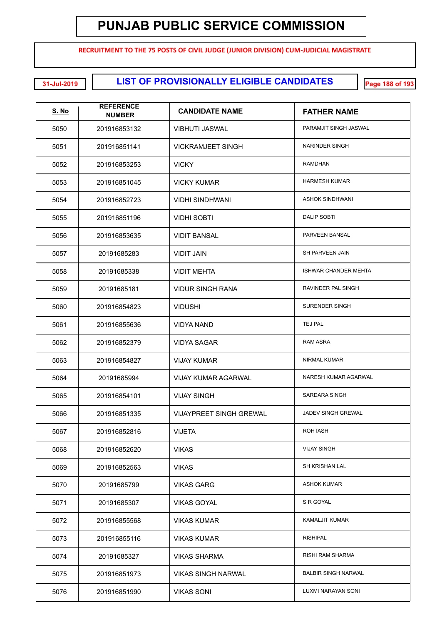**RECRUITMENT TO THE 75 POSTS OF CIVIL JUDGE (JUNIOR DIVISION) CUM-JUDICIAL MAGISTRATE**

**LIST OF PROVISIONALLY ELIGIBLE CANDIDATES 31-Jul-2019 Page 188 of 193**

| <u>S. No</u> | <b>REFERENCE</b><br><b>NUMBER</b> | <b>CANDIDATE NAME</b>          | <b>FATHER NAME</b>          |
|--------------|-----------------------------------|--------------------------------|-----------------------------|
| 5050         | 201916853132                      | VIBHUTI JASWAL                 | PARAMJIT SINGH JASWAL       |
| 5051         | 201916851141                      | <b>VICKRAMJEET SINGH</b>       | <b>NARINDER SINGH</b>       |
| 5052         | 201916853253                      | <b>VICKY</b>                   | <b>RAMDHAN</b>              |
| 5053         | 201916851045                      | <b>VICKY KUMAR</b>             | <b>HARMESH KUMAR</b>        |
| 5054         | 201916852723                      | <b>VIDHI SINDHWANI</b>         | <b>ASHOK SINDHWANI</b>      |
| 5055         | 201916851196                      | VIDHI SOBTI                    | <b>DALIP SOBTI</b>          |
| 5056         | 201916853635                      | <b>VIDIT BANSAL</b>            | PARVEEN BANSAL              |
| 5057         | 20191685283                       | <b>VIDIT JAIN</b>              | SH PARVEEN JAIN             |
| 5058         | 20191685338                       | <b>VIDIT MEHTA</b>             | <b>ISHWAR CHANDER MEHTA</b> |
| 5059         | 20191685181                       | <b>VIDUR SINGH RANA</b>        | <b>RAVINDER PAL SINGH</b>   |
| 5060         | 201916854823                      | <b>VIDUSHI</b>                 | <b>SURENDER SINGH</b>       |
| 5061         | 201916855636                      | <b>VIDYA NAND</b>              | TEJ PAL                     |
| 5062         | 201916852379                      | <b>VIDYA SAGAR</b>             | RAM ASRA                    |
| 5063         | 201916854827                      | <b>VIJAY KUMAR</b>             | NIRMAL KUMAR                |
| 5064         | 20191685994                       | <b>VIJAY KUMAR AGARWAL</b>     | NARESH KUMAR AGARWAL        |
| 5065         | 201916854101                      | <b>VIJAY SINGH</b>             | <b>SARDARA SINGH</b>        |
| 5066         | 201916851335                      | <b>VIJAYPREET SINGH GREWAL</b> | JADEV SINGH GREWAL          |
| 5067         | 201916852816                      | <b>VIJETA</b>                  | <b>ROHTASH</b>              |
| 5068         | 201916852620                      | <b>VIKAS</b>                   | <b>VIJAY SINGH</b>          |
| 5069         | 201916852563                      | <b>VIKAS</b>                   | <b>SH KRISHAN LAL</b>       |
| 5070         | 20191685799                       | <b>VIKAS GARG</b>              | <b>ASHOK KUMAR</b>          |
| 5071         | 20191685307                       | <b>VIKAS GOYAL</b>             | S R GOYAL                   |
| 5072         | 201916855568                      | <b>VIKAS KUMAR</b>             | <b>KAMALJIT KUMAR</b>       |
| 5073         | 201916855116                      | <b>VIKAS KUMAR</b>             | <b>RISHIPAL</b>             |
| 5074         | 20191685327                       | <b>VIKAS SHARMA</b>            | <b>RISHI RAM SHARMA</b>     |
| 5075         | 201916851973                      | VIKAS SINGH NARWAL             | <b>BALBIR SINGH NARWAL</b>  |
| 5076         | 201916851990                      | <b>VIKAS SONI</b>              | LUXMI NARAYAN SONI          |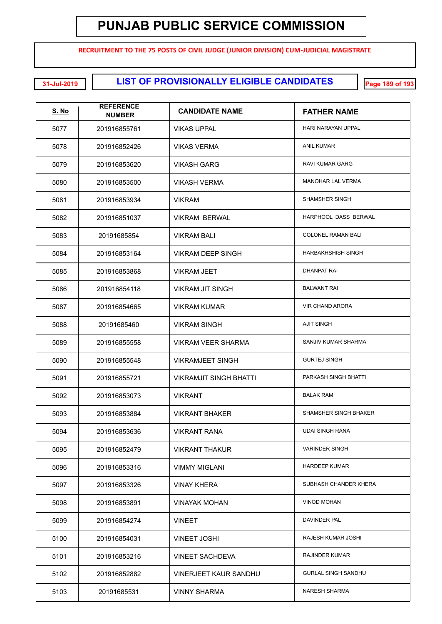**RECRUITMENT TO THE 75 POSTS OF CIVIL JUDGE (JUNIOR DIVISION) CUM-JUDICIAL MAGISTRATE**

**LIST OF PROVISIONALLY ELIGIBLE CANDIDATES 31-Jul-2019 Page 189 of 193**

| <u>S. No</u> | <b>REFERENCE</b><br><b>NUMBER</b> | <b>CANDIDATE NAME</b>         | <b>FATHER NAME</b>         |
|--------------|-----------------------------------|-------------------------------|----------------------------|
| 5077         | 201916855761                      | <b>VIKAS UPPAL</b>            | HARI NARAYAN UPPAL         |
| 5078         | 201916852426                      | <b>VIKAS VERMA</b>            | <b>ANIL KUMAR</b>          |
| 5079         | 201916853620                      | <b>VIKASH GARG</b>            | <b>RAVI KUMAR GARG</b>     |
| 5080         | 201916853500                      | <b>VIKASH VERMA</b>           | <b>MANOHAR LAL VERMA</b>   |
| 5081         | 201916853934                      | <b>VIKRAM</b>                 | SHAMSHER SINGH             |
| 5082         | 201916851037                      | <b>VIKRAM BERWAL</b>          | HARPHOOL DASS BERWAL       |
| 5083         | 20191685854                       | <b>VIKRAM BALI</b>            | <b>COLONEL RAMAN BALI</b>  |
| 5084         | 201916853164                      | <b>VIKRAM DEEP SINGH</b>      | HARBAKHSHISH SINGH         |
| 5085         | 201916853868                      | <b>VIKRAM JEET</b>            | <b>DHANPAT RAI</b>         |
| 5086         | 201916854118                      | <b>VIKRAM JIT SINGH</b>       | <b>BALWANT RAI</b>         |
| 5087         | 201916854665                      | <b>VIKRAM KUMAR</b>           | <b>VIR CHAND ARORA</b>     |
| 5088         | 20191685460                       | <b>VIKRAM SINGH</b>           | <b>AJIT SINGH</b>          |
| 5089         | 201916855558                      | <b>VIKRAM VEER SHARMA</b>     | SANJIV KUMAR SHARMA        |
| 5090         | 201916855548                      | <b>VIKRAMJEET SINGH</b>       | <b>GURTEJ SINGH</b>        |
| 5091         | 201916855721                      | <b>VIKRAMJIT SINGH BHATTI</b> | PARKASH SINGH BHATTI       |
| 5092         | 201916853073                      | <b>VIKRANT</b>                | <b>BALAK RAM</b>           |
| 5093         | 201916853884                      | <b>VIKRANT BHAKER</b>         | SHAMSHER SINGH BHAKER      |
| 5094         | 201916853636                      | <b>VIKRANT RANA</b>           | <b>UDAI SINGH RANA</b>     |
| 5095         | 201916852479                      | <b>VIKRANT THAKUR</b>         | <b>VARINDER SINGH</b>      |
| 5096         | 201916853316                      | <b>VIMMY MIGLANI</b>          | <b>HARDEEP KUMAR</b>       |
| 5097         | 201916853326                      | <b>VINAY KHERA</b>            | SUBHASH CHANDER KHERA      |
| 5098         | 201916853891                      | <b>VINAYAK MOHAN</b>          | <b>VINOD MOHAN</b>         |
| 5099         | 201916854274                      | <b>VINEET</b>                 | DAVINDER PAL               |
| 5100         | 201916854031                      | <b>VINEET JOSHI</b>           | RAJESH KUMAR JOSHI         |
| 5101         | 201916853216                      | <b>VINEET SACHDEVA</b>        | <b>RAJINDER KUMAR</b>      |
| 5102         | 201916852882                      | VINERJEET KAUR SANDHU         | <b>GURLAL SINGH SANDHU</b> |
| 5103         | 20191685531                       | <b>VINNY SHARMA</b>           | <b>NARESH SHARMA</b>       |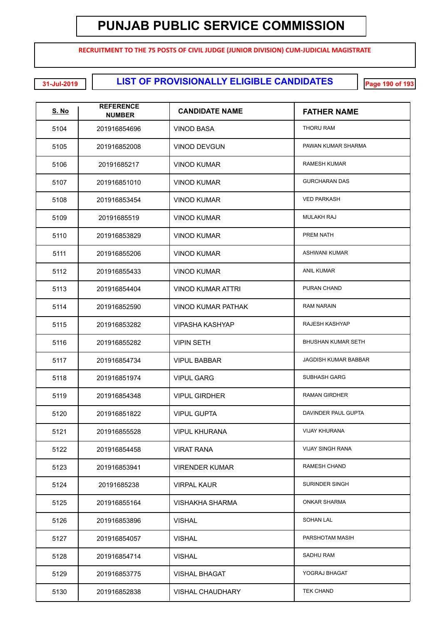**RECRUITMENT TO THE 75 POSTS OF CIVIL JUDGE (JUNIOR DIVISION) CUM-JUDICIAL MAGISTRATE**

**LIST OF PROVISIONALLY ELIGIBLE CANDIDATES 31-Jul-2019 Page 190 of 193**

| <u>S. No</u> | <b>REFERENCE</b><br><b>NUMBER</b> | <b>CANDIDATE NAME</b>     | <b>FATHER NAME</b>          |
|--------------|-----------------------------------|---------------------------|-----------------------------|
| 5104         | 201916854696                      | <b>VINOD BASA</b>         | THORU RAM                   |
| 5105         | 201916852008                      | <b>VINOD DEVGUN</b>       | PAWAN KUMAR SHARMA          |
| 5106         | 20191685217                       | <b>VINOD KUMAR</b>        | <b>RAMESH KUMAR</b>         |
| 5107         | 201916851010                      | <b>VINOD KUMAR</b>        | <b>GURCHARAN DAS</b>        |
| 5108         | 201916853454                      | <b>VINOD KUMAR</b>        | <b>VED PARKASH</b>          |
| 5109         | 20191685519                       | <b>VINOD KUMAR</b>        | <b>MULAKH RAJ</b>           |
| 5110         | 201916853829                      | <b>VINOD KUMAR</b>        | PREM NATH                   |
| 5111         | 201916855206                      | <b>VINOD KUMAR</b>        | <b>ASHWANI KUMAR</b>        |
| 5112         | 201916855433                      | <b>VINOD KUMAR</b>        | <b>ANIL KUMAR</b>           |
| 5113         | 201916854404                      | <b>VINOD KUMAR ATTRI</b>  | PURAN CHAND                 |
| 5114         | 201916852590                      | <b>VINOD KUMAR PATHAK</b> | <b>RAM NARAIN</b>           |
| 5115         | 201916853282                      | <b>VIPASHA KASHYAP</b>    | RAJESH KASHYAP              |
| 5116         | 201916855282                      | <b>VIPIN SETH</b>         | <b>BHUSHAN KUMAR SETH</b>   |
| 5117         | 201916854734                      | <b>VIPUL BABBAR</b>       | <b>JAGDISH KUMAR BABBAR</b> |
| 5118         | 201916851974                      | <b>VIPUL GARG</b>         | <b>SUBHASH GARG</b>         |
| 5119         | 201916854348                      | <b>VIPUL GIRDHER</b>      | <b>RAMAN GIRDHER</b>        |
| 5120         | 201916851822                      | <b>VIPUL GUPTA</b>        | DAVINDER PAUL GUPTA         |
| 5121         | 201916855528                      | <b>VIPUL KHURANA</b>      | <b>VIJAY KHURANA</b>        |
| 5122         | 201916854458                      | <b>VIRAT RANA</b>         | <b>VIJAY SINGH RANA</b>     |
| 5123         | 201916853941                      | <b>VIRENDER KUMAR</b>     | <b>RAMESH CHAND</b>         |
| 5124         | 20191685238                       | <b>VIRPAL KAUR</b>        | <b>SURINDER SINGH</b>       |
| 5125         | 201916855164                      | VISHAKHA SHARMA           | <b>ONKAR SHARMA</b>         |
| 5126         | 201916853896                      | <b>VISHAL</b>             | <b>SOHAN LAL</b>            |
| 5127         | 201916854057                      | <b>VISHAL</b>             | PARSHOTAM MASIH             |
| 5128         | 201916854714                      | <b>VISHAL</b>             | <b>SADHU RAM</b>            |
| 5129         | 201916853775                      | <b>VISHAL BHAGAT</b>      | YOGRAJ BHAGAT               |
| 5130         | 201916852838                      | <b>VISHAL CHAUDHARY</b>   | <b>TEK CHAND</b>            |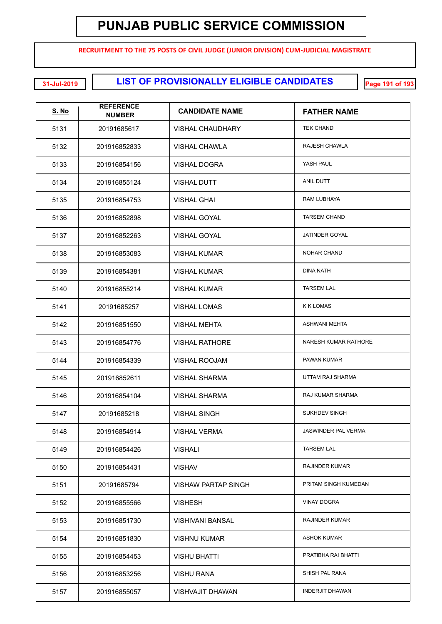**RECRUITMENT TO THE 75 POSTS OF CIVIL JUDGE (JUNIOR DIVISION) CUM-JUDICIAL MAGISTRATE**

**LIST OF PROVISIONALLY ELIGIBLE CANDIDATES 31-Jul-2019 Page 191 of 193**

| <u>S. No</u> | <b>REFERENCE</b><br><b>NUMBER</b> | <b>CANDIDATE NAME</b>   | <b>FATHER NAME</b>         |
|--------------|-----------------------------------|-------------------------|----------------------------|
| 5131         | 20191685617                       | <b>VISHAL CHAUDHARY</b> | <b>TEK CHAND</b>           |
| 5132         | 201916852833                      | <b>VISHAL CHAWLA</b>    | RAJESH CHAWLA              |
| 5133         | 201916854156                      | <b>VISHAL DOGRA</b>     | YASH PAUL                  |
| 5134         | 201916855124                      | <b>VISHAL DUTT</b>      | <b>ANIL DUTT</b>           |
| 5135         | 201916854753                      | <b>VISHAL GHAI</b>      | RAM LUBHAYA                |
| 5136         | 201916852898                      | <b>VISHAL GOYAL</b>     | <b>TARSEM CHAND</b>        |
| 5137         | 201916852263                      | <b>VISHAL GOYAL</b>     | JATINDER GOYAL             |
| 5138         | 201916853083                      | <b>VISHAL KUMAR</b>     | <b>NOHAR CHAND</b>         |
| 5139         | 201916854381                      | <b>VISHAL KUMAR</b>     | <b>DINA NATH</b>           |
| 5140         | 201916855214                      | <b>VISHAL KUMAR</b>     | <b>TARSEM LAL</b>          |
| 5141         | 20191685257                       | <b>VISHAL LOMAS</b>     | <b>K K LOMAS</b>           |
| 5142         | 201916851550                      | <b>VISHAL MEHTA</b>     | <b>ASHWANI MEHTA</b>       |
| 5143         | 201916854776                      | <b>VISHAL RATHORE</b>   | NARESH KUMAR RATHORE       |
| 5144         | 201916854339                      | VISHAL ROOJAM           | PAWAN KUMAR                |
| 5145         | 201916852611                      | <b>VISHAL SHARMA</b>    | UTTAM RAJ SHARMA           |
| 5146         | 201916854104                      | <b>VISHAL SHARMA</b>    | RAJ KUMAR SHARMA           |
| 5147         | 20191685218                       | <b>VISHAL SINGH</b>     | <b>SUKHDEV SINGH</b>       |
| 5148         | 201916854914                      | <b>VISHAL VERMA</b>     | <b>JASWINDER PAL VERMA</b> |
| 5149         | 201916854426                      | <b>VISHALI</b>          | <b>TARSEM LAL</b>          |
| 5150         | 201916854431                      | <b>VISHAV</b>           | <b>RAJINDER KUMAR</b>      |
| 5151         | 20191685794                       | VISHAW PARTAP SINGH     | PRITAM SINGH KUMEDAN       |
| 5152         | 201916855566                      | <b>VISHESH</b>          | <b>VINAY DOGRA</b>         |
| 5153         | 201916851730                      | <b>VISHIVANI BANSAL</b> | <b>RAJINDER KUMAR</b>      |
| 5154         | 201916851830                      | <b>VISHNU KUMAR</b>     | <b>ASHOK KUMAR</b>         |
| 5155         | 201916854453                      | <b>VISHU BHATTI</b>     | PRATIBHA RAI BHATTI        |
| 5156         | 201916853256                      | <b>VISHU RANA</b>       | SHISH PAL RANA             |
| 5157         | 201916855057                      | <b>VISHVAJIT DHAWAN</b> | <b>INDERJIT DHAWAN</b>     |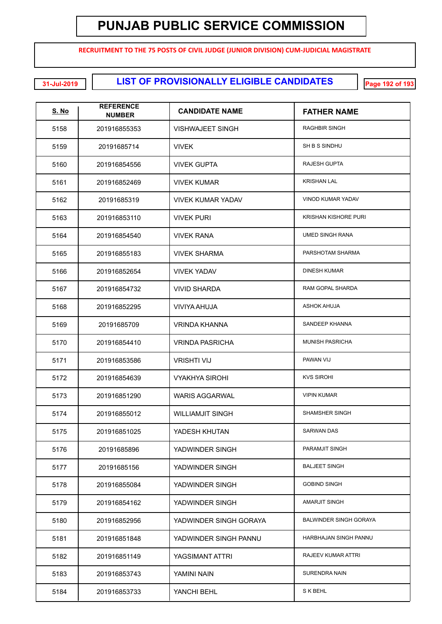**RECRUITMENT TO THE 75 POSTS OF CIVIL JUDGE (JUNIOR DIVISION) CUM-JUDICIAL MAGISTRATE**

**LIST OF PROVISIONALLY ELIGIBLE CANDIDATES 31-Jul-2019 Page 192 of 193**

| <u>S. No</u> | <b>REFERENCE</b><br><b>NUMBER</b> | <b>CANDIDATE NAME</b>    | <b>FATHER NAME</b>            |
|--------------|-----------------------------------|--------------------------|-------------------------------|
| 5158         | 201916855353                      | VISHWAJEET SINGH         | <b>RAGHBIR SINGH</b>          |
| 5159         | 20191685714                       | <b>VIVEK</b>             | SH B S SINDHU                 |
| 5160         | 201916854556                      | <b>VIVEK GUPTA</b>       | <b>RAJESH GUPTA</b>           |
| 5161         | 201916852469                      | <b>VIVEK KUMAR</b>       | <b>KRISHAN LAL</b>            |
| 5162         | 20191685319                       | <b>VIVEK KUMAR YADAV</b> | VINOD KUMAR YADAV             |
| 5163         | 201916853110                      | <b>VIVEK PURI</b>        | <b>KRISHAN KISHORE PURI</b>   |
| 5164         | 201916854540                      | <b>VIVEK RANA</b>        | <b>UMED SINGH RANA</b>        |
| 5165         | 201916855183                      | <b>VIVEK SHARMA</b>      | PARSHOTAM SHARMA              |
| 5166         | 201916852654                      | <b>VIVEK YADAV</b>       | <b>DINESH KUMAR</b>           |
| 5167         | 201916854732                      | <b>VIVID SHARDA</b>      | RAM GOPAL SHARDA              |
| 5168         | 201916852295                      | VIVIYA AHUJA             | <b>ASHOK AHUJA</b>            |
| 5169         | 20191685709                       | VRINDA KHANNA            | SANDEEP KHANNA                |
| 5170         | 201916854410                      | <b>VRINDA PASRICHA</b>   | MUNISH PASRICHA               |
| 5171         | 201916853586                      | <b>VRISHTI VIJ</b>       | PAWAN VIJ                     |
| 5172         | 201916854639                      | <b>VYAKHYA SIROHI</b>    | <b>KVS SIROHI</b>             |
| 5173         | 201916851290                      | <b>WARIS AGGARWAL</b>    | <b>VIPIN KUMAR</b>            |
| 5174         | 201916855012                      | <b>WILLIAMJIT SINGH</b>  | <b>SHAMSHER SINGH</b>         |
| 5175         | 201916851025                      | YADESH KHUTAN            | <b>SARWAN DAS</b>             |
| 5176         | 20191685896                       | YADWINDER SINGH          | PARAMJIT SINGH                |
| 5177         | 20191685156                       | YADWINDER SINGH          | <b>BALJEET SINGH</b>          |
| 5178         | 201916855084                      | YADWINDER SINGH          | <b>GOBIND SINGH</b>           |
| 5179         | 201916854162                      | YADWINDER SINGH          | <b>AMARJIT SINGH</b>          |
| 5180         | 201916852956                      | YADWINDER SINGH GORAYA   | <b>BALWINDER SINGH GORAYA</b> |
| 5181         | 201916851848                      | YADWINDER SINGH PANNU    | HARBHAJAN SINGH PANNU         |
| 5182         | 201916851149                      | YAGSIMANT ATTRI          | RAJEEV KUMAR ATTRI            |
| 5183         | 201916853743                      | YAMINI NAIN              | SURENDRA NAIN                 |
| 5184         | 201916853733                      | YANCHI BEHL              | S K BEHL                      |